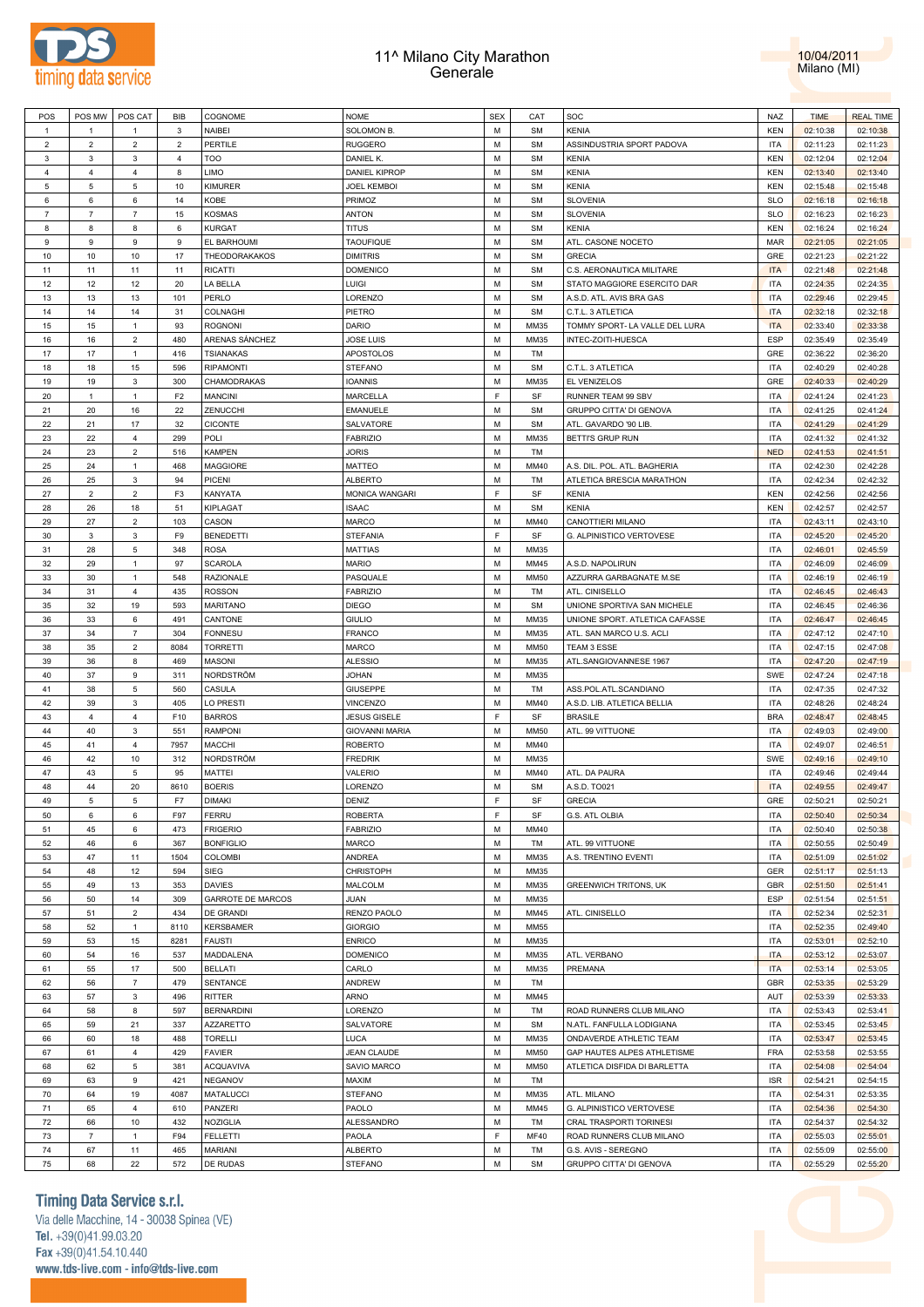



| POS            | POS MW         | POS CAT        | BIB            | COGNOME                  | <b>NOME</b>           | <b>SEX</b> | CAT         | SOC                            | <b>NAZ</b> | <b>TIME</b> | <b>REAL TIME</b> |
|----------------|----------------|----------------|----------------|--------------------------|-----------------------|------------|-------------|--------------------------------|------------|-------------|------------------|
| $\mathbf{1}$   | $\overline{1}$ | $\overline{1}$ | 3              | NAIBEI                   | SOLOMON B.            | M          | SM          | <b>KENIA</b>                   | <b>KEN</b> | 02:10:38    | 02:10:38         |
| $\overline{2}$ | $\overline{c}$ | $\overline{2}$ | $\overline{2}$ | PERTILE                  | <b>RUGGERO</b>        | М          | <b>SM</b>   | ASSINDUSTRIA SPORT PADOVA      | <b>ITA</b> | 02:11:23    | 02:11:23         |
| $\mathbf{3}$   | 3              | 3              | $\overline{4}$ | <b>TOO</b>               | DANIEL K.             | М          | <b>SM</b>   | <b>KENIA</b>                   | KEN        | 02:12:04    | 02:12:04         |
|                |                |                |                |                          |                       |            |             |                                |            |             |                  |
| $\overline{4}$ | 4              | $\overline{4}$ | 8              | LIMO                     | <b>DANIEL KIPROP</b>  | M          | SM          | <b>KENIA</b>                   | <b>KEN</b> | 02:13:40    | 02:13:40         |
| 5              | 5              | 5              | 10             | KIMURER                  | <b>JOEL KEMBOI</b>    | М          | <b>SM</b>   | <b>KENIA</b>                   | <b>KEN</b> | 02:15:48    | 02:15:48         |
| 6              | 6              | 6              | 14             | KOBE                     | PRIMOZ                | М          | SM          | <b>SLOVENIA</b>                | <b>SLO</b> | 02:16:18    | 02:16:18         |
| $\overline{7}$ | $\overline{7}$ | $\overline{7}$ | 15             | <b>KOSMAS</b>            | <b>ANTON</b>          | М          | <b>SM</b>   | <b>SLOVENIA</b>                | <b>SLO</b> | 02:16:23    | 02:16:23         |
| 8              | 8              | 8              | 6              | <b>KURGAT</b>            | <b>TITUS</b>          | M          | <b>SM</b>   | <b>KENIA</b>                   | <b>KEN</b> | 02:16:24    | 02:16:24         |
| 9              | 9              | 9              | 9              | EL BARHOUMI              | <b>TAOUFIQUE</b>      | М          | <b>SM</b>   | ATL. CASONE NOCETO             | MAR        | 02:21:05    | 02:21:05         |
| 10             | 10             | 10             | 17             | THEODORAKAKOS            | <b>DIMITRIS</b>       | M          | SM          | <b>GRECIA</b>                  | GRE        | 02:21:23    | 02:21:22         |
| 11             | 11             | 11             | 11             | <b>RICATTI</b>           | <b>DOMENICO</b>       | M          | <b>SM</b>   | C.S. AERONAUTICA MILITARE      | <b>ITA</b> | 02:21:48    | 02:21:48         |
|                | 12             | 12             |                | LA BELLA                 | LUIGI                 | M          |             | STATO MAGGIORE ESERCITO DAR    | <b>ITA</b> | 02:24:35    | 02:24:35         |
| 12             |                |                | 20             |                          |                       |            | <b>SM</b>   |                                |            |             |                  |
| 13             | 13             | 13             | 101            | PERLO                    | LORENZO               | M          | <b>SM</b>   | A.S.D. ATL. AVIS BRA GAS       | <b>ITA</b> | 02:29:46    | 02:29:45         |
| 14             | 14             | 14             | 31             | COLNAGHI                 | PIETRO                | M          | SM          | C.T.L. 3 ATLETICA              | <b>ITA</b> | 02:32:18    | 02:32:18         |
| 15             | 15             | $\overline{1}$ | 93             | <b>ROGNONI</b>           | <b>DARIO</b>          | M          | MM35        | TOMMY SPORT- LA VALLE DEL LURA | <b>ITA</b> | 02:33:40    | 02:33:38         |
| 16             | 16             | $\overline{2}$ | 480            | ARENAS SÁNCHEZ           | <b>JOSE LUIS</b>      | M          | MM35        | INTEC-ZOITI-HUESCA             | ESP        | 02:35:49    | 02:35:49         |
| 17             | 17             | $\overline{1}$ | 416            | <b>TSIANAKAS</b>         | APOSTOLOS             | M          | TM          |                                | GRE        | 02:36:22    | 02:36:20         |
| 18             | 18             | 15             | 596            | <b>RIPAMONTI</b>         | <b>STEFANO</b>        | M          | SM          | C.T.L. 3 ATLETICA              | <b>ITA</b> | 02:40:29    | 02:40:28         |
| 19             | 19             | $\mathbf{3}$   | 300            | CHAMODRAKAS              | <b>IOANNIS</b>        | M          | MM35        | EL VENIZELOS                   | GRE        | 02:40:33    | 02:40:29         |
| 20             | $\mathbf{1}$   | $\overline{1}$ | F <sub>2</sub> | <b>MANCINI</b>           | <b>MARCELLA</b>       | F          | SF          | RUNNER TEAM 99 SBV             | <b>ITA</b> | 02:41:24    | 02:41:23         |
|                |                |                |                |                          |                       |            |             |                                |            |             |                  |
| 21             | 20             | 16             | 22             | ZENUCCHI                 | EMANUELE              | М          | <b>SM</b>   | GRUPPO CITTA' DI GENOVA        | <b>ITA</b> | 02:41:25    | 02:41:24         |
| 22             | 21             | 17             | 32             | <b>CICONTE</b>           | SALVATORE             | М          | SM          | ATL. GAVARDO '90 LIB           | <b>ITA</b> | 02:41:29    | 02:41:29         |
| 23             | 22             | $\overline{4}$ | 299            | POLI                     | <b>FABRIZIO</b>       | М          | MM35        | <b>BETTI'S GRUP RUN</b>        | ITA        | 02:41:32    | 02:41:32         |
| 24             | 23             | $\overline{2}$ | 516            | <b>KAMPEN</b>            | <b>JORIS</b>          | M          | TM          |                                | <b>NED</b> | 02:41:53    | 02:41:51         |
| 25             | 24             | $\overline{1}$ | 468            | <b>MAGGIORE</b>          | MATTEO                | М          | MM40        | A.S. DIL. POL. ATL. BAGHERIA   | ITA        | 02:42:30    | 02:42:28         |
| 26             | 25             | $\mathbf{3}$   | 94             | PICENI                   | <b>ALBERTO</b>        | M          | TM          | ATLETICA BRESCIA MARATHON      | <b>ITA</b> | 02:42:34    | 02:42:32         |
| 27             | $\overline{c}$ | $\overline{2}$ | F <sub>3</sub> | KANYATA                  | MONICA WANGARI        | F          | SF          | <b>KENIA</b>                   | <b>KEN</b> | 02:42:56    | 02:42:56         |
| 28             | 26             | 18             | 51             | <b>KIPLAGAT</b>          | <b>ISAAC</b>          | M          | SM          | <b>KENIA</b>                   | KEN        | 02:42:57    | 02:42:57         |
|                |                |                |                |                          |                       |            |             |                                |            |             |                  |
| 29             | 27             | $\overline{2}$ | 103            | CASON                    | MARCO                 | M          | MM40        | CANOTTIERI MILANO              | <b>ITA</b> | 02:43:11    | 02:43:10         |
| 30             | 3              | 3              | F9             | <b>BENEDETTI</b>         | <b>STEFANIA</b>       | E          | SF          | G. ALPINISTICO VERTOVESE       | <b>ITA</b> | 02:45:20    | 02:45:20         |
| 31             | 28             | 5              | 348            | <b>ROSA</b>              | <b>MATTIAS</b>        | M          | MM35        |                                | <b>ITA</b> | 02:46:01    | 02:45:59         |
| 32             | 29             | $\mathbf{1}$   | 97             | <b>SCAROLA</b>           | <b>MARIO</b>          | M          | MM45        | A.S.D. NAPOLIRUN               | <b>ITA</b> | 02:46:09    | 02:46:09         |
| 33             | 30             | $\overline{1}$ | 548            | RAZIONALE                | PASQUALE              | M          | <b>MM50</b> | AZZURRA GARBAGNATE M.SE        | <b>ITA</b> | 02:46:19    | 02:46:19         |
| 34             | 31             | $\overline{4}$ | 435            | <b>ROSSON</b>            | <b>FABRIZIO</b>       | M          | TM          | ATL. CINISELLO                 | <b>ITA</b> | 02:46:45    | 02:46:43         |
| 35             | 32             | 19             | 593            | <b>MARITANO</b>          | <b>DIEGO</b>          | M          | <b>SM</b>   | UNIONE SPORTIVA SAN MICHELE    | <b>ITA</b> | 02:46:45    | 02:46:36         |
| 36             | 33             | 6              | 491            | CANTONE                  | <b>GIULIO</b>         | M          | MM35        | UNIONE SPORT. ATLETICA CAFASSE | <b>ITA</b> | 02:46:47    | 02:46:45         |
| 37             | 34             | $\overline{7}$ | 304            | <b>FONNESU</b>           | FRANCO                | M          | MM35        | ATL. SAN MARCO U.S. ACLI       | <b>ITA</b> | 02:47:12    | 02:47:10         |
|                |                |                |                |                          |                       |            |             |                                |            |             |                  |
| 38             | 35             | $\overline{2}$ | 8084           | <b>TORRETTI</b>          | MARCO                 | М          | <b>MM50</b> | TEAM 3 ESSE                    | <b>ITA</b> | 02:47:15    | 02:47:08         |
| 39             | 36             | 8              | 469            | <b>MASONI</b>            | <b>ALESSIO</b>        | М          | MM35        | ATL.SANGIOVANNESE 1967         | ITA        | 02:47:20    | 02:47:19         |
| 40             | 37             | 9              | 311            | NORDSTRÖM                | <b>JOHAN</b>          | М          | MM35        |                                | SWE        | 02:47:24    | 02:47:18         |
| 41             | 38             | 5              | 560            | CASULA                   | GIUSEPPE              | М          | TM          | ASS.POL.ATL.SCANDIANO          | ITA        | 02:47:35    | 02:47:32         |
| 42             | 39             | $\mathbf{3}$   | 405            | LO PRESTI                | VINCENZO              | М          | MM40        | A.S.D. LIB. ATLETICA BELLIA    | <b>ITA</b> | 02:48:26    | 02:48:24         |
| 43             | 4              | $\overline{4}$ | F10            | <b>BARROS</b>            | <b>JESUS GISELE</b>   | F          | SF          | <b>BRASILE</b>                 | <b>BRA</b> | 02:48:47    | 02:48:45         |
| 44             | 40             | $\mathbf{3}$   | 551            | <b>RAMPONI</b>           | <b>GIOVANNI MARIA</b> | M          | <b>MM50</b> | ATL. 99 VITTUONE               | <b>ITA</b> | 02:49:03    | 02:49:00         |
| 45             | 41             | $\overline{4}$ | 7957           | MACCHI                   | <b>ROBERTO</b>        | M          | MM40        |                                | <b>ITA</b> | 02:49:07    | 02:46:51         |
|                |                |                |                |                          |                       |            |             |                                |            |             |                  |
| 46             | 42             | 10             | 312            | NORDSTRÖM                | <b>FREDRIK</b>        | М          | MM35        |                                | SWE        | 02:49:16    | 02:49:10         |
| 47             | 43             | 5              | 95             | MATTEI                   | VALERIO               | M          | MM40        | ATL. DA PAURA                  | <b>ITA</b> | 02:49:46    | 02:49:44         |
| 48             | 44             | 20             | 8610           | <b>BOERIS</b>            | LORENZO               | M          | SM          | A.S.D. TO021                   | <b>ITA</b> | 02:49:55    | 02:49:47         |
| 49             | 5              | 5              | F7             | <b>DIMAKI</b>            | DENIZ                 | E          | SF          | <b>GRECIA</b>                  | GRE        | 02:50:21    | 02:50:21         |
| 50             | 6              | 6              | F97            | <b>FERRU</b>             | <b>ROBERTA</b>        | F          | SF          | G.S. ATL OLBIA                 | <b>ITA</b> | 02:50:40    | 02:50:34         |
| 51             | 45             | 6              | 473            | <b>FRIGERIO</b>          | <b>FABRIZIO</b>       | M          | MM40        |                                | <b>ITA</b> | 02:50:40    | 02:50:38         |
| 52             | 46             | 6              | 367            | <b>BONFIGLIO</b>         | <b>MARCO</b>          | М          | TM          | ATL. 99 VITTUONE               | <b>ITA</b> | 02:50:55    | 02:50:49         |
| 53             | 47             | 11             | 1504           | COLOMBI                  | <b>ANDREA</b>         | М          | MM35        | A.S. TRENTINO EVENTI           | ITA        | 02:51:09    | 02:51:02         |
|                |                |                |                |                          |                       |            |             |                                |            |             |                  |
| 54             | 48             | 12             | 594            | SIEG                     | CHRISTOPH             | М          | MM35        |                                | GER        | 02:51:17    | 02:51:13         |
| 55             | 49             | 13             | 353            | <b>DAVIES</b>            | MALCOLM               | М          | MM35        | <b>GREENWICH TRITONS, UK</b>   | GBR        | 02:51:50    | 02:51:41         |
| 56             | 50             | 14             | 309            | <b>GARROTE DE MARCOS</b> | JUAN                  | М          | MM35        |                                | ESP        | 02:51:54    | 02:51:51         |
| 57             | 51             | $\overline{2}$ | 434            | DE GRANDI                | RENZO PAOLO           | М          | MM45        | ATL. CINISELLO                 | ITA        | 02:52:34    | 02:52:31         |
| 58             | 52             | $\mathbf{1}$   | 8110           | <b>KERSBAMER</b>         | <b>GIORGIO</b>        | М          | <b>MM55</b> |                                | <b>ITA</b> | 02:52:35    | 02:49:40         |
| 59             | 53             | 15             | 8281           | <b>FAUSTI</b>            | <b>ENRICO</b>         | М          | MM35        |                                | <b>ITA</b> | 02:53:01    | 02:52:10         |
| 60             | 54             | 16             | 537            | MADDALENA                | <b>DOMENICO</b>       | М          | MM35        | ATL. VERBANO                   | <b>ITA</b> | 02:53:12    | 02:53:07         |
| 61             | 55             | 17             | 500            | <b>BELLATI</b>           | CARLO                 | М          | MM35        | PREMANA                        | <b>ITA</b> | 02:53:14    | 02:53:05         |
| 62             | 56             | $\overline{7}$ | 479            | SENTANCE                 | ANDREW                | M          | TM          |                                | <b>GBR</b> | 02:53:35    | 02:53:29         |
|                |                |                |                |                          |                       |            |             |                                |            |             |                  |
| 63             | 57             | $\mathbf{3}$   | 496            | <b>RITTER</b>            | ARNO                  | М          | MM45        |                                | AUT        | 02:53:39    | 02:53:33         |
| 64             | 58             | 8              | 597            | <b>BERNARDINI</b>        | LORENZO               | М          | TM          | ROAD RUNNERS CLUB MILANO       | <b>ITA</b> | 02:53:43    | 02:53:41         |
| 65             | 59             | 21             | 337            | <b>AZZARETTO</b>         | SALVATORE             | М          | <b>SM</b>   | N.ATL. FANFULLA LODIGIANA      | <b>ITA</b> | 02:53:45    | 02:53:45         |
| 66             | 60             | 18             | 488            | <b>TORELLI</b>           | LUCA                  | M          | MM35        | ONDAVERDE ATHLETIC TEAM        | <b>ITA</b> | 02:53:47    | 02:53:45         |
| 67             | 61             | $\overline{4}$ | 429            | <b>FAVIER</b>            | <b>JEAN CLAUDE</b>    | M          | <b>MM50</b> | GAP HAUTES ALPES ATHLETISME    | FRA        | 02:53:58    | 02:53:55         |
| 68             | 62             | $\,$ 5 $\,$    | 381            | <b>ACQUAVIVA</b>         | SAVIO MARCO           | М          | <b>MM50</b> | ATLETICA DISFIDA DI BARLETTA   | <b>ITA</b> | 02:54:08    | 02:54:04         |
| 69             | 63             | 9              | 421            | <b>NEGANOV</b>           | MAXIM                 | М          | TM          |                                | <b>ISR</b> | 02:54:21    | 02:54:15         |
| 70             |                |                | 4087           |                          |                       | M          | MM35        |                                | <b>ITA</b> | 02:54:31    |                  |
|                | 64             | 19             |                | <b>MATALUCCI</b>         | <b>STEFANO</b>        |            |             | ATL. MILANO                    |            |             | 02:53:35         |
| 71             | 65             | $\overline{4}$ | 610            | PANZERI                  | PAOLO                 | M          | MM45        | G. ALPINISTICO VERTOVESE       | ITA        | 02:54:36    | 02:54:30         |
| 72             | 66             | $10$           | 432            | NOZIGLIA                 | ALESSANDRO            | M          | TM          | CRAL TRASPORTI TORINESI        | <b>ITA</b> | 02:54:37    | 02:54:32         |
| 73             | $\overline{7}$ | $\mathbf{1}$   | F94            | <b>FELLETTI</b>          | PAOLA                 | F          | <b>MF40</b> | ROAD RUNNERS CLUB MILANO       | <b>ITA</b> | 02:55:03    | 02:55:01         |
| 74             | 67             | 11             | 465            | <b>MARIANI</b>           | <b>ALBERTO</b>        | М          | TM          | G.S. AVIS - SEREGNO            | <b>ITA</b> | 02:55:09    | 02:55:00         |
| 75             | 68             | 22             | 572            | DE RUDAS                 | STEFANO               | М          | SM          | GRUPPO CITTA' DI GENOVA        | <b>ITA</b> | 02:55:29    | 02:55:20         |
|                |                |                |                |                          |                       |            |             |                                |            |             |                  |

# **Timing Data Service s.r.l.**

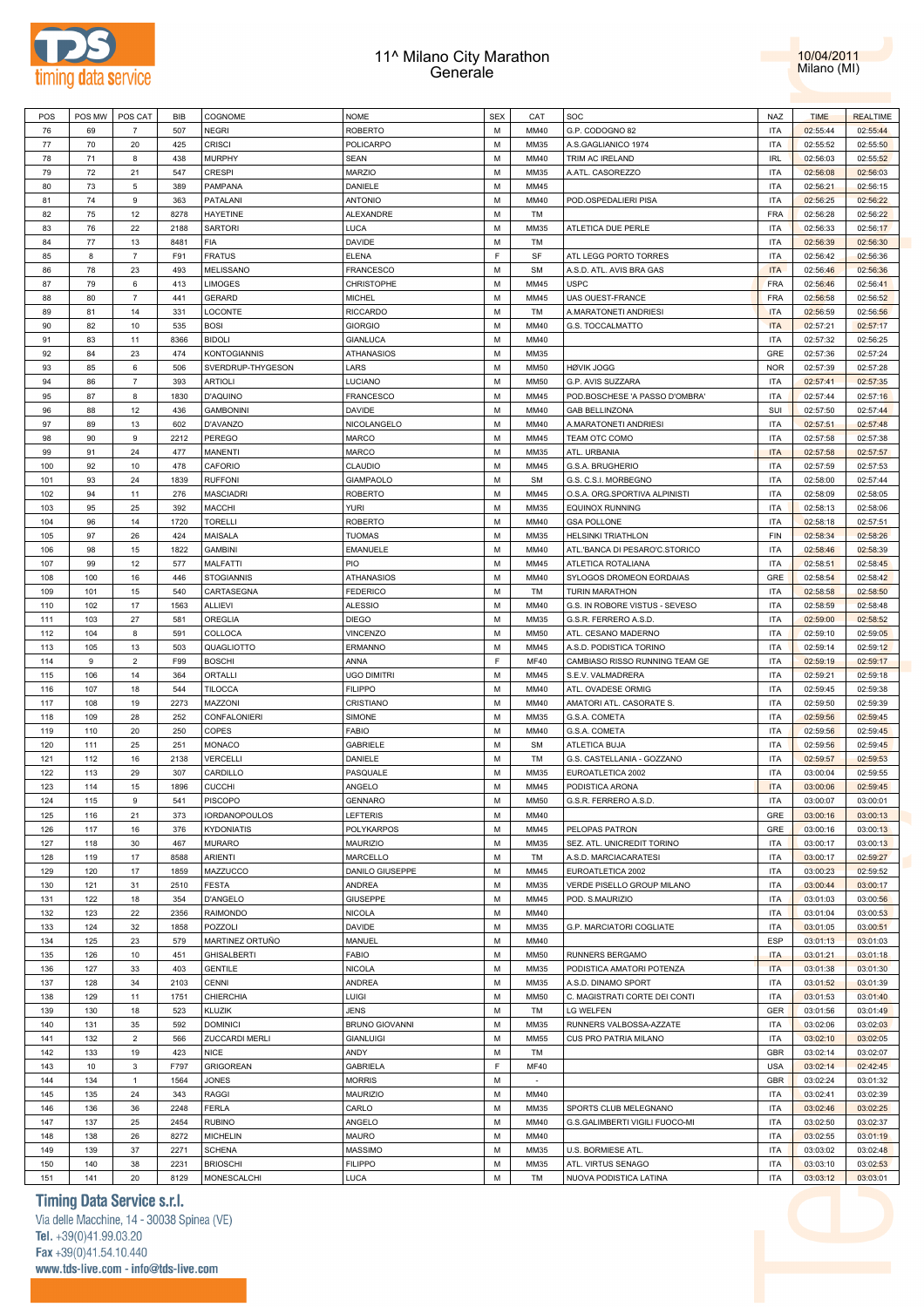



| POS | POS MW      | POS CAT                   | <b>BIB</b> | COGNOME              | <b>NOME</b>           | <b>SEX</b> | CAT         | SOC                                    | NAZ                                | <b>TIME</b> | <b>REALTIME</b> |
|-----|-------------|---------------------------|------------|----------------------|-----------------------|------------|-------------|----------------------------------------|------------------------------------|-------------|-----------------|
| 76  | 69          | $\overline{7}$            | 507        | <b>NEGRI</b>         | ROBERTO               | M          | MM40        | G.P. CODOGNO 82                        | <b>ITA</b>                         | 02:55:44    | 02:55:44        |
| 77  | 70          | 20                        | 425        | <b>CRISCI</b>        | POLICARPO             | M          | MM35        | A.S.GAGLIANICO 1974                    | <b>ITA</b>                         | 02:55:52    | 02:55:50        |
| 78  | 71          | 8                         | 438        | <b>MURPHY</b>        | SEAN                  | M          | MM40        | TRIM AC IRELAND                        | $\ensuremath{\mathsf{IRL}}\xspace$ | 02:56:03    | 02:55:52        |
| 79  | 72          | 21                        | 547        | <b>CRESPI</b>        | MARZIO                | M          | MM35        | A.ATL. CASOREZZO                       | <b>ITA</b>                         | 02:56:08    | 02:56:03        |
| 80  | 73          | 5                         | 389        | PAMPANA              | DANIELE               | M          | MM45        |                                        | <b>ITA</b>                         | 02:56:21    | 02:56:15        |
| 81  | 74          | 9                         | 363        | PATALANI             | <b>ANTONIO</b>        | M          | MM40        | POD.OSPEDALIERI PISA                   | <b>ITA</b>                         | 02:56:25    | 02:56:22        |
| 82  | 75          | 12                        | 8278       | <b>HAYETINE</b>      | ALEXANDRE             | M          | TM          |                                        | FRA                                | 02:56:28    | 02:56:22        |
| 83  | 76          | 22                        | 2188       | SARTORI              | LUCA                  | M          | MM35        | ATLETICA DUE PERLE                     | <b>ITA</b>                         | 02:56:33    | 02:56:17        |
| 84  | $77\,$      | 13                        | 8481       | FIA                  | DAVIDE                | M          | TM          |                                        | <b>ITA</b>                         | 02:56:39    | 02:56:30        |
| 85  | 8           | $\overline{7}$            | F91        | <b>FRATUS</b>        | <b>ELENA</b>          | F          | SF          | ATL LEGG PORTO TORRES                  | <b>ITA</b>                         | 02:56:42    | 02:56:36        |
| 86  | 78          | 23                        | 493        | <b>MELISSANO</b>     | FRANCESCO             | M          | <b>SM</b>   | A.S.D. ATL. AVIS BRA GAS               | <b>ITA</b>                         | 02:56:46    | 02:56:36        |
| 87  | 79          | 6                         | 413        | <b>LIMOGES</b>       | CHRISTOPHE            | M          | MM45        | <b>USPC</b>                            | FRA                                | 02:56:46    | 02:56:41        |
| 88  | 80          | $\overline{7}$            | 441        | <b>GERARD</b>        | <b>MICHEL</b>         | M          | MM45        | UAS OUEST-FRANCE                       | <b>FRA</b>                         | 02:56:58    | 02:56:52        |
| 89  | 81          | 14                        | 331        | LOCONTE              | <b>RICCARDO</b>       | M          | TM          | A.MARATONETI ANDRIESI                  | <b>ITA</b>                         | 02:56:59    | 02:56:56        |
| 90  | 82          | 10                        | 535        | <b>BOSI</b>          | <b>GIORGIO</b>        | M          | MM40        | G.S. TOCCALMATTO                       | <b>ITA</b>                         | 02:57:21    | 02:57:17        |
| 91  | 83          | 11                        | 8366       | <b>BIDOLI</b>        | GIANLUCA              | M          | MM40        |                                        | <b>ITA</b>                         | 02:57:32    | 02:56:25        |
| 92  | 84          | 23                        | 474        | <b>KONTOGIANNIS</b>  | ATHANASIOS            | M          | MM35        |                                        | GRE                                | 02:57:36    | 02:57:24        |
| 93  | 85          | 6                         | 506        | SVERDRUP-THYGESON    | LARS                  | M          | MM50        | <b>HØVIK JOGG</b>                      | <b>NOR</b>                         | 02:57:39    | 02:57:28        |
| 94  | 86          | $\overline{7}$            | 393        | ARTIOLI              | LUCIANO               | M          | MM50        | G.P. AVIS SUZZARA                      | <b>ITA</b>                         | 02:57:41    | 02:57:35        |
| 95  | 87          | 8                         | 1830       | <b>D'AQUINO</b>      | FRANCESCO             | M          | MM45        | POD.BOSCHESE 'A PASSO D'OMBRA'         | <b>ITA</b>                         | 02:57:44    | 02:57:16        |
| 96  | 88          | 12                        | 436        | <b>GAMBONINI</b>     | <b>DAVIDE</b>         | M          | MM40        | <b>GAB BELLINZONA</b>                  | SUI                                |             |                 |
|     |             |                           |            |                      |                       |            |             |                                        |                                    | 02:57:50    | 02:57:44        |
| 97  | 89          | 13                        | 602        | D'AVANZO             | NICOLANGELO           | M          | MM40        | A.MARATONETI ANDRIESI<br>TEAM OTC COMO | <b>ITA</b>                         | 02:57:51    | 02:57:48        |
| 98  | 90          | 9                         | 2212       | PEREGO               | MARCO                 | M          | MM45        |                                        | <b>ITA</b>                         | 02:57:58    | 02:57:38        |
| 99  | 91          | 24                        | 477        | <b>MANENTI</b>       | MARCO                 | M          | MM35        | ATL. URBANIA                           | <b>ITA</b>                         | 02:57:58    | 02:57:57        |
| 100 | 92          | 10                        | 478        | CAFORIO              | CLAUDIO               | M          | MM45        | G.S.A. BRUGHERIO                       | <b>ITA</b>                         | 02:57:59    | 02:57:53        |
| 101 | 93          | 24                        | 1839       | <b>RUFFONI</b>       | <b>GIAMPAOLO</b>      | M          | <b>SM</b>   | G.S. C.S.I. MORBEGNO                   | <b>ITA</b>                         | 02:58:00    | 02:57:44        |
| 102 | 94          | 11                        | 276        | <b>MASCIADRI</b>     | ROBERTO               | M          | MM45        | O.S.A. ORG.SPORTIVA ALPINISTI          | <b>ITA</b>                         | 02:58:09    | 02:58:05        |
| 103 | 95          | 25                        | 392        | <b>MACCHI</b>        | YURI                  | M          | MM35        | <b>EQUINOX RUNNING</b>                 | <b>ITA</b>                         | 02:58:13    | 02:58:06        |
| 104 | 96          | 14                        | 1720       | <b>TORELLI</b>       | ROBERTO               | M          | MM40        | <b>GSA POLLONE</b>                     | <b>ITA</b>                         | 02:58:18    | 02:57:51        |
| 105 | 97          | 26                        | 424        | MAISALA              | TUOMAS                | M          | MM35        | <b>HELSINKI TRIATHLON</b>              | FIN                                | 02:58:34    | 02:58:26        |
| 106 | 98          | 15                        | 1822       | <b>GAMBINI</b>       | EMANUELE              | M          | MM40        | ATL.'BANCA DI PESARO'C.STORICO         | <b>ITA</b>                         | 02:58:46    | 02:58:39        |
| 107 | 99          | 12                        | 577        | MALFATTI             | PIO                   | M          | MM45        | ATLETICA ROTALIANA                     | <b>ITA</b>                         | 02:58:51    | 02:58:45        |
| 108 | 100         | 16                        | 446        | <b>STOGIANNIS</b>    | <b>ATHANASIOS</b>     | M          | MM40        | SYLOGOS DROMEON EORDAIAS               | GRE                                | 02:58:54    | 02:58:42        |
| 109 | 101         | 15                        | 540        | CARTASEGNA           | FEDERICO              | M          | TM          | <b>TURIN MARATHON</b>                  | <b>ITA</b>                         | 02:58:58    | 02:58:50        |
| 110 | 102         | 17                        | 1563       | ALLIEVI              | <b>ALESSIO</b>        | M          | MM40        | G.S. IN ROBORE VISTUS - SEVESO         | <b>ITA</b>                         | 02:58:59    | 02:58:48        |
| 111 | 103         | 27                        | 581        | OREGLIA              | <b>DIEGO</b>          | M          | MM35        | G.S.R. FERRERO A.S.D.                  | <b>ITA</b>                         | 02:59:00    | 02:58:52        |
| 112 | 104         | 8                         | 591        | COLLOCA              | <b>VINCENZO</b>       | M          | MM50        | ATL. CESANO MADERNO                    | <b>ITA</b>                         | 02:59:10    | 02:59:05        |
| 113 | 105         | 13                        | 503        | QUAGLIOTTO           | ERMANNO               | M          | MM45        | A.S.D. PODISTICA TORINO                | <b>ITA</b>                         | 02:59:14    | 02:59:12        |
| 114 | $\mathsf g$ | $\overline{2}$            | F99        | <b>BOSCHI</b>        | ANNA                  | F          | <b>MF40</b> | CAMBIASO RISSO RUNNING TEAM GE         | <b>ITA</b>                         | 02:59:19    | 02:59:17        |
| 115 | 106         | 14                        | 364        | ORTALLI              | UGO DIMITRI           | M          | MM45        | S.E.V. VALMADRERA                      | <b>ITA</b>                         | 02:59:21    | 02:59:18        |
| 116 | 107         | 18                        | 544        | TILOCCA              | <b>FILIPPO</b>        | M          | MM40        | ATL. OVADESE ORMIG                     | <b>ITA</b>                         | 02:59:45    | 02:59:38        |
| 117 | 108         | 19                        | 2273       | MAZZONI              | CRISTIANO             | M          | MM40        | AMATORI ATL. CASORATE S.               | <b>ITA</b>                         | 02:59:50    | 02:59:39        |
| 118 | 109         | 28                        | 252        | CONFALONIERI         | SIMONE                | M          | MM35        | G.S.A. COMETA                          | <b>ITA</b>                         | 02:59:56    | 02:59:45        |
| 119 | 110         | 20                        | 250        | COPES                | FABIO                 | M          | MM40        | G.S.A. COMETA                          | <b>ITA</b>                         | 02:59:56    | 02:59:45        |
| 120 | 111         | 25                        | 251        | MONACO               | <b>GABRIELE</b>       | M          | <b>SM</b>   | ATLETICA BUJA                          | <b>ITA</b>                         | 02:59:56    | 02:59:45        |
| 121 | 112         | 16                        | 2138       | VERCELLI             | DANIELE               | M          | TM          | G.S. CASTELLANIA - GOZZANO             | <b>ITA</b>                         | 02:59:57    | 02:59:53        |
| 122 | 113         | 29                        | 307        | CARDILLO             | PASQUALE              | M          | MM35        | EUROATLETICA 2002                      | <b>ITA</b>                         | 03:00:04    | 02:59:55        |
| 123 | 114         | 15                        | 1896       | <b>CUCCHI</b>        | ANGELO                | M          | MM45        | PODISTICA ARONA                        | <b>ITA</b>                         | 03:00:06    | 02:59:45        |
| 124 | 115         | 9                         | 541        | <b>PISCOPO</b>       | <b>GENNARO</b>        | M          | <b>MM50</b> | G.S.R. FERRERO A.S.D.                  | <b>ITA</b>                         | 03:00:07    | 03:00:01        |
| 125 | 116         | 21                        | 373        | <b>IORDANOPOULOS</b> | LEFTERIS              | M          | MM40        |                                        | GRE                                | 03:00:16    | 03:00:13        |
| 126 | 117         | 16                        | 376        | <b>KYDONIATIS</b>    | POLYKARPOS            | M          | MM45        | PELOPAS PATRON                         | GRE                                | 03:00:16    | 03:00:13        |
| 127 | 118         | 30                        | 467        | <b>MURARO</b>        | <b>MAURIZIO</b>       | M          | MM35        | SEZ. ATL. UNICREDIT TORINO             | <b>ITA</b>                         | 03:00:17    | 03:00:13        |
| 128 | 119         | 17                        | 8588       | ARIENTI              | MARCELLO              | M          | TM          | A.S.D. MARCIACARATESI                  | <b>ITA</b>                         | 03:00:17    | 02:59:27        |
| 129 | 120         | 17                        | 1859       | MAZZUCCO             | DANILO GIUSEPPE       | M          | MM45        | EUROATLETICA 2002                      | <b>ITA</b>                         | 03:00:23    | 02:59:52        |
| 130 | 121         | 31                        | 2510       | <b>FESTA</b>         | ANDREA                | M          | MM35        | VERDE PISELLO GROUP MILANO             | <b>ITA</b>                         | 03:00:44    | 03:00:17        |
| 131 | 122         | 18                        | 354        | D'ANGELO             | GIUSEPPE              | M          | MM45        | POD. S.MAURIZIO                        | <b>ITA</b>                         | 03:01:03    | 03:00:56        |
| 132 | 123         | 22                        | 2356       | <b>RAIMONDO</b>      | NICOLA                | M          | MM40        |                                        | <b>ITA</b>                         | 03:01:04    | 03:00:53        |
| 133 | 124         | 32                        | 1858       | POZZOLI              | DAVIDE                | M          | MM35        | G.P. MARCIATORI COGLIATE               | <b>ITA</b>                         | 03:01:05    | 03:00:51        |
| 134 | 125         | 23                        | 579        | MARTINEZ ORTUÑO      | MANUEL                | M          | MM40        |                                        | <b>ESP</b>                         | 03:01:13    | 03:01:03        |
| 135 | 126         | 10                        | 451        | <b>GHISALBERTI</b>   | FABIO                 | M          | MM50        | RUNNERS BERGAMO                        | <b>ITA</b>                         | 03:01:21    | 03:01:18        |
| 136 | 127         | 33                        | 403        | <b>GENTILE</b>       | NICOLA                | M          | MM35        | PODISTICA AMATORI POTENZA              | <b>ITA</b>                         | 03:01:38    | 03:01:30        |
| 137 | 128         | 34                        | 2103       | CENNI                | ANDREA                | M          | MM35        | A.S.D. DINAMO SPORT                    | <b>ITA</b>                         | 03:01:52    | 03:01:39        |
| 138 | 129         | 11                        | 1751       | CHIERCHIA            | LUIGI                 | M          | MM50        | C. MAGISTRATI CORTE DEI CONTI          | <b>ITA</b>                         | 03:01:53    | 03:01:40        |
|     | 130         | 18                        |            | <b>KLUZIK</b>        | <b>JENS</b>           | M          | TM          | LG WELFEN                              | GER                                |             | 03:01:49        |
| 139 |             |                           | 523        |                      |                       | M          | MM35        |                                        |                                    | 03:01:56    |                 |
| 140 | 131         | 35                        | 592        | <b>DOMINICI</b>      | <b>BRUNO GIOVANNI</b> |            |             | RUNNERS VALBOSSA-AZZATE                | <b>ITA</b>                         | 03:02:06    | 03:02:03        |
| 141 | 132         | $\mathbf 2$               | 566        | ZUCCARDI MERLI       | GIANLUIGI             | M          | MM55        | CUS PRO PATRIA MILANO                  | <b>ITA</b>                         | 03:02:10    | 03:02:05        |
| 142 | 133         | 19                        | 423        | <b>NICE</b>          | ANDY                  | M          | TM          |                                        | <b>GBR</b>                         | 03:02:14    | 03:02:07        |
| 143 | 10          | $\ensuremath{\mathsf{3}}$ | F797       | <b>GRIGOREAN</b>     | <b>GABRIELA</b>       | F          | <b>MF40</b> |                                        | <b>USA</b>                         | 03:02:14    | 02:42:45        |
| 144 | 134         | $\mathbf{1}$              | 1564       | <b>JONES</b>         | <b>MORRIS</b>         | M          |             |                                        | <b>GBR</b>                         | 03:02:24    | 03:01:32        |
| 145 | 135         | 24                        | 343        | <b>RAGGI</b>         | <b>MAURIZIO</b>       | M          | MM40        |                                        | <b>ITA</b>                         | 03:02:41    | 03:02:39        |
| 146 | 136         | 36                        | 2248       | FERLA                | CARLO                 | M          | MM35        | SPORTS CLUB MELEGNANO                  | <b>ITA</b>                         | 03:02:46    | 03:02:25        |
| 147 | 137         | 25                        | 2454       | <b>RUBINO</b>        | ANGELO                | M          | MM40        | G.S.GALIMBERTI VIGILI FUOCO-MI         | <b>ITA</b>                         | 03:02:50    | 03:02:37        |
| 148 | 138         | 26                        | 8272       | <b>MICHELIN</b>      | MAURO                 | M          | MM40        |                                        | <b>ITA</b>                         | 03:02:55    | 03:01:19        |
| 149 | 139         | 37                        | 2271       | <b>SCHENA</b>        | MASSIMO               | M          | MM35        | U.S. BORMIESE ATL.                     | <b>ITA</b>                         | 03:03:02    | 03:02:48        |
| 150 | 140         | 38                        | 2231       | <b>BRIOSCHI</b>      | <b>FILIPPO</b>        | M          | MM35        | ATL. VIRTUS SENAGO                     | <b>ITA</b>                         | 03:03:10    | 03:02:53        |
| 151 | 141         | 20                        | 8129       | MONESCALCHI          | LUCA                  | M          | TM          | NUOVA PODISTICA LATINA                 | <b>ITA</b>                         | 03:03:12    | 03:03:01        |

# **Timing Data Service s.r.l.**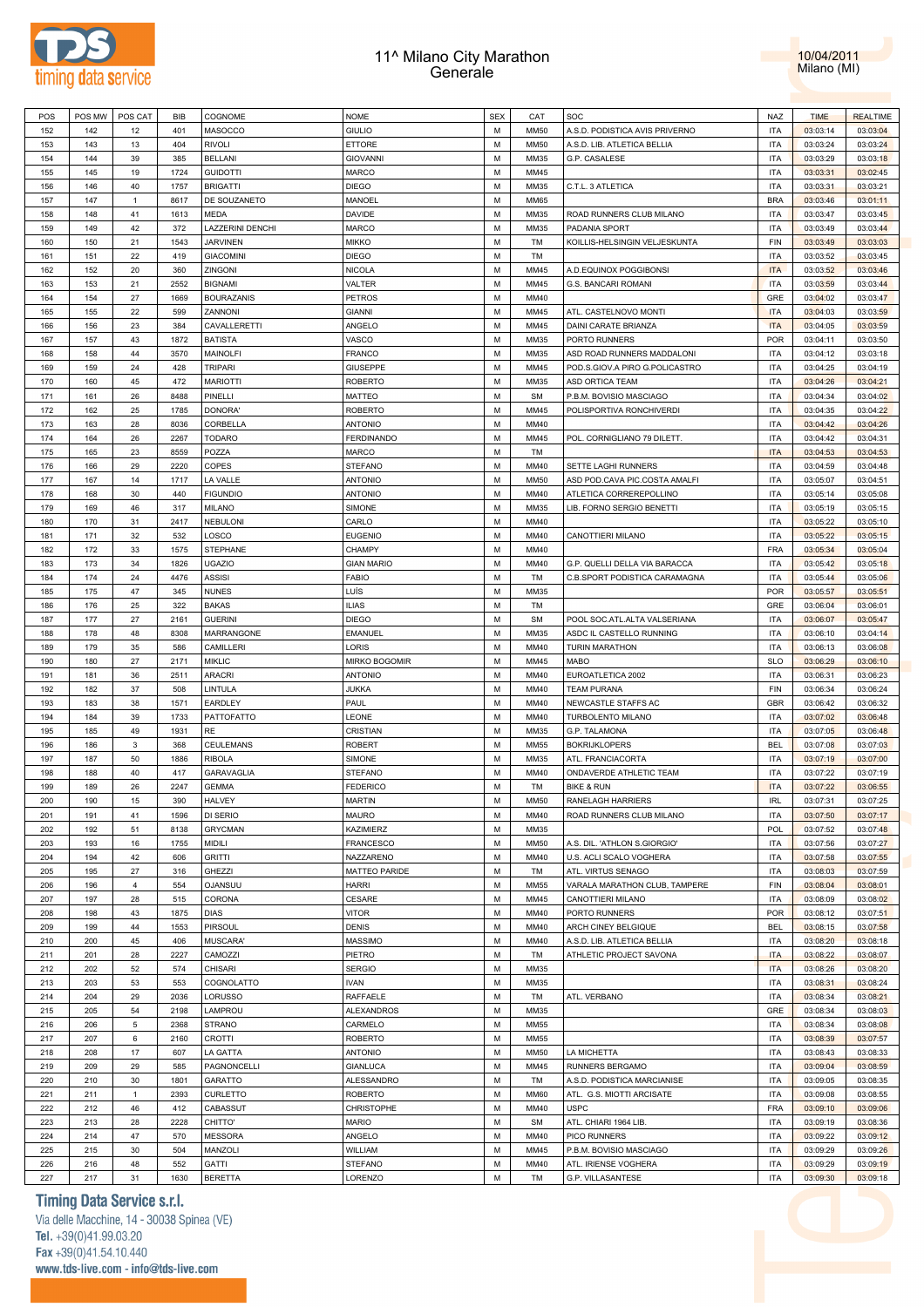



| POS | POS MW | POS CAT        | BIB  | COGNOME           | <b>NOME</b>          | <b>SEX</b> | CAT         | SOC                            | NAZ        | <b>TIME</b> | <b>REALTIME</b> |
|-----|--------|----------------|------|-------------------|----------------------|------------|-------------|--------------------------------|------------|-------------|-----------------|
| 152 | 142    | 12             | 401  | MASOCCO           | <b>GIULIO</b>        | M          | <b>MM50</b> | A.S.D. PODISTICA AVIS PRIVERNO | <b>ITA</b> | 03:03:14    | 03:03:04        |
|     |        | 13             | 404  |                   | <b>ETTORE</b>        | М          | <b>MM50</b> |                                | <b>ITA</b> | 03:03:24    | 03:03:24        |
| 153 | 143    |                |      | <b>RIVOLI</b>     |                      |            |             | A.S.D. LIB. ATLETICA BELLIA    |            |             |                 |
| 154 | 144    | 39             | 385  | <b>BELLANI</b>    | <b>GIOVANNI</b>      | М          | MM35        | G.P. CASALESE                  | <b>ITA</b> | 03:03:29    | 03:03:18        |
| 155 | 145    | 19             | 1724 | <b>GUIDOTTI</b>   | <b>MARCO</b>         | М          | MM45        |                                | <b>ITA</b> | 03:03:31    | 03:02:45        |
| 156 | 146    | 40             | 1757 | <b>BRIGATTI</b>   | <b>DIEGO</b>         | М          | MM35        | C.T.L. 3 ATLETICA              | <b>ITA</b> | 03:03:31    | 03:03:21        |
| 157 | 147    | $\mathbf{1}$   | 8617 | DE SOUZANETO      | <b>MANOEL</b>        | M          | MM65        |                                | <b>BRA</b> | 03:03:46    | 03:01:11        |
|     |        |                |      |                   |                      |            |             |                                |            |             |                 |
| 158 | 148    | 41             | 1613 | <b>MEDA</b>       | <b>DAVIDE</b>        | М          | MM35        | ROAD RUNNERS CLUB MILANO       | <b>ITA</b> | 03:03:47    | 03:03:45        |
| 159 | 149    | 42             | 372  | LAZZERINI DENCHI  | <b>MARCO</b>         | M          | MM35        | PADANIA SPORT                  | <b>ITA</b> | 03:03:49    | 03:03:44        |
| 160 | 150    | 21             | 1543 | <b>JARVINEN</b>   | <b>MIKKO</b>         | M          | TM          | KOILLIS-HELSINGIN VELJESKUNTA  | FIN        | 03:03:49    | 03:03:03        |
| 161 | 151    | 22             | 419  | <b>GIACOMINI</b>  | <b>DIEGO</b>         | M          | TM          |                                | <b>ITA</b> | 03:03:52    | 03:03:45        |
| 162 | 152    | 20             | 360  | ZINGONI           | <b>NICOLA</b>        | М          | MM45        | A.D.EQUINOX POGGIBONSI         | <b>ITA</b> | 03:03:52    | 03:03:46        |
|     |        |                |      |                   |                      |            |             |                                |            |             |                 |
| 163 | 153    | 21             | 2552 | <b>BIGNAMI</b>    | VALTER               | M          | MM45        | G.S. BANCARI ROMANI            | <b>ITA</b> | 03:03:59    | 03:03:44        |
| 164 | 154    | 27             | 1669 | <b>BOURAZANIS</b> | <b>PETROS</b>        | M          | MM40        |                                | GRE        | 03:04:02    | 03:03:47        |
| 165 | 155    | 22             | 599  | ZANNONI           | <b>GIANNI</b>        | M          | MM45        | ATL. CASTELNOVO MONTI          | <b>ITA</b> | 03:04:03    | 03:03:59        |
| 166 | 156    | 23             | 384  | CAVALLERETTI      | ANGELO               | М          | MM45        | DAINI CARATE BRIANZA           | <b>ITA</b> | 03:04:05    | 03:03:59        |
| 167 | 157    | 43             | 1872 | <b>BATISTA</b>    | VASCO                | M          | MM35        | PORTO RUNNERS                  | POR        | 03:04:11    | 03:03:50        |
|     |        |                |      |                   |                      |            |             |                                |            |             |                 |
| 168 | 158    | 44             | 3570 | MAINOLFI          | <b>FRANCO</b>        | M          | MM35        | ASD ROAD RUNNERS MADDALONI     | <b>ITA</b> | 03:04:12    | 03:03:18        |
| 169 | 159    | 24             | 428  | <b>TRIPARI</b>    | GIUSEPPE             | M          | MM45        | POD.S.GIOV.A PIRO G.POLICASTRO | <b>ITA</b> | 03:04:25    | 03:04:19        |
| 170 | 160    | 45             | 472  | <b>MARIOTTI</b>   | <b>ROBERTO</b>       | М          | MM35        | ASD ORTICA TEAM                | <b>ITA</b> | 03:04:26    | 03:04:21        |
| 171 | 161    | 26             | 8488 | PINELLI           | <b>MATTEO</b>        | M          | <b>SM</b>   | P.B.M. BOVISIO MASCIAGO        | <b>ITA</b> | 03:04:34    | 03:04:02        |
|     |        |                |      |                   |                      |            |             |                                |            |             |                 |
| 172 | 162    | 25             | 1785 | DONORA'           | <b>ROBERTO</b>       | М          | MM45        | POLISPORTIVA RONCHIVERDI       | <b>ITA</b> | 03:04:35    | 03:04:22        |
| 173 | 163    | 28             | 8036 | CORBELLA          | <b>ANTONIO</b>       | М          | MM40        |                                | <b>ITA</b> | 03:04:42    | 03:04:26        |
| 174 | 164    | 26             | 2267 | <b>TODARO</b>     | <b>FERDINANDO</b>    | М          | MM45        | POL. CORNIGLIANO 79 DILETT.    | <b>ITA</b> | 03:04:42    | 03:04:31        |
| 175 | 165    | 23             | 8559 | POZZA             | <b>MARCO</b>         | М          | TM          |                                | <b>ITA</b> | 03:04:53    | 03:04:53        |
| 176 | 166    | 29             | 2220 | COPES             | <b>STEFANO</b>       | М          | MM40        | SETTE LAGHI RUNNERS            | <b>ITA</b> | 03:04:59    | 03:04:48        |
|     |        |                |      |                   |                      |            |             |                                |            |             |                 |
| 177 | 167    | 14             | 1717 | LA VALLE          | <b>ANTONIO</b>       | М          | MM50        | ASD POD.CAVA PIC.COSTA AMALFI  | <b>ITA</b> | 03:05:07    | 03:04:51        |
| 178 | 168    | 30             | 440  | <b>FIGUNDIO</b>   | <b>ANTONIO</b>       | М          | MM40        | ATLETICA CORREREPOLLINO        | <b>ITA</b> | 03:05:14    | 03:05:08        |
| 179 | 169    | 46             | 317  | MILANO            | SIMONE               | M          | MM35        | LIB. FORNO SERGIO BENETTI      | <b>ITA</b> | 03:05:19    | 03:05:15        |
| 180 | 170    | 31             | 2417 | NEBULONI          | CARLO                | М          | MM40        |                                | <b>ITA</b> | 03:05:22    | 03:05:10        |
| 181 | 171    | 32             | 532  | LOSCO             | <b>EUGENIO</b>       | M          | MM40        | CANOTTIERI MILANO              | <b>ITA</b> | 03:05:22    | 03:05:15        |
|     |        |                |      |                   |                      |            |             |                                |            |             |                 |
| 182 | 172    | 33             | 1575 | STEPHANE          | <b>CHAMPY</b>        | M          | MM40        |                                | <b>FRA</b> | 03:05:34    | 03:05:04        |
| 183 | 173    | 34             | 1826 | <b>UGAZIO</b>     | <b>GIAN MARIO</b>    | M          | MM40        | G.P. QUELLI DELLA VIA BARACCA  | <b>ITA</b> | 03:05:42    | 03:05:18        |
| 184 | 174    | 24             | 4476 | <b>ASSISI</b>     | <b>FABIO</b>         | M          | TM          | C.B.SPORT PODISTICA CARAMAGNA  | <b>ITA</b> | 03:05:44    | 03:05:06        |
| 185 | 175    | 47             | 345  | <b>NUNES</b>      | LUÍS                 | М          | MM35        |                                | POR        | 03:05:57    | 03:05:51        |
| 186 | 176    | 25             | 322  | <b>BAKAS</b>      | <b>ILIAS</b>         | М          | TM          |                                | GRE        | 03:06:04    |                 |
|     |        |                |      |                   |                      |            |             |                                |            |             | 03:06:01        |
| 187 | 177    | 27             | 2161 | <b>GUERINI</b>    | <b>DIEGO</b>         | M          | <b>SM</b>   | POOL SOC.ATL.ALTA VALSERIANA   | <b>ITA</b> | 03:06:07    | 03:05:47        |
| 188 | 178    | 48             | 8308 | MARRANGONE        | EMANUEL              | М          | MM35        | ASDC IL CASTELLO RUNNING       | <b>ITA</b> | 03:06:10    | 03:04:14        |
| 189 | 179    | 35             | 586  | CAMILLERI         | LORIS                | М          | MM40        | <b>TURIN MARATHON</b>          | <b>ITA</b> | 03:06:13    | 03:06:08        |
| 190 | 180    | 27             | 2171 | <b>MIKLIC</b>     | MIRKO BOGOMIR        | М          | MM45        | <b>MABO</b>                    | <b>SLO</b> | 03:06:29    | 03:06:10        |
| 191 | 181    | 36             | 2511 | <b>ARACRI</b>     | <b>ANTONIO</b>       | М          | MM40        | EUROATLETICA 2002              | <b>ITA</b> | 03:06:31    | 03:06:23        |
|     |        |                |      |                   |                      |            |             |                                |            |             |                 |
|     |        | 37             | 508  | LINTULA           | <b>JUKKA</b>         | М          | MM40        | <b>TEAM PURANA</b>             | FIN        | 03:06:34    | 03:06:24        |
| 192 | 182    |                |      | EARDLEY           | PAUL                 | М          |             |                                |            | 03:06:42    |                 |
| 193 | 183    | 38             | 1571 |                   |                      |            | MM40        | NEWCASTLE STAFFS AC            | <b>GBR</b> |             | 03:06:32        |
| 194 | 184    | 39             | 1733 | PATTOFATTO        | LEONE                | М          | MM40        | TURBOLENTO MILANO              | <b>ITA</b> | 03:07:02    | 03:06:48        |
|     |        |                |      |                   |                      |            |             |                                |            |             |                 |
| 195 | 185    | 49             | 1931 | <b>RE</b>         | CRISTIAN             | M          | MM35        | G.P. TALAMONA                  | <b>ITA</b> | 03:07:05    | 03:06:48        |
| 196 | 186    | 3              | 368  | CEULEMANS         | <b>ROBERT</b>        | М          | MM55        | <b>BOKRIJKLOPERS</b>           | <b>BEL</b> | 03:07:08    | 03:07:03        |
| 197 | 187    | 50             | 1886 | <b>RIBOLA</b>     | SIMONE               | М          | MM35        | ATL. FRANCIACORTA              | <b>ITA</b> | 03:07:19    | 03:07:00        |
| 198 | 188    | 40             | 417  | GARAVAGLIA        | <b>STEFANO</b>       | М          | MM40        | ONDAVERDE ATHLETIC TEAM        | <b>ITA</b> | 03:07:22    | 03:07:19        |
| 199 | 189    | 26             | 2247 | <b>GEMMA</b>      | <b>FEDERICO</b>      | М          | TM          | <b>BIKE &amp; RUN</b>          | <b>ITA</b> | 03:07:22    | 03:06:55        |
| 200 | 190    | 15             | 390  |                   |                      | M          | MM50        |                                | <b>IRL</b> |             |                 |
|     |        |                |      | <b>HALVEY</b>     | <b>MARTIN</b>        |            |             | RANELAGH HARRIERS              |            | 03:07:31    | 03:07:25        |
| 201 | 191    | 41             | 1596 | DI SERIO          | <b>MAURO</b>         | м          | MM40        | ROAD RUNNERS CLUB MILANO       | <b>ITA</b> | 03:07:50    | 03:07:17        |
| 202 | 192    | 51             | 8138 | <b>GRYCMAN</b>    | KAZIMIERZ            | M          | MM35        |                                | <b>POL</b> | 03:07:52    | 03:07:48        |
| 203 | 193    | 16             | 1755 | <b>MIDILI</b>     | <b>FRANCESCO</b>     | M          | MM50        | A.S. DIL. 'ATHLON S.GIORGIO'   | <b>ITA</b> | 03:07:56    | 03:07:27        |
| 204 | 194    | 42             | 606  | <b>GRITTI</b>     | NAZZARENO            | M          | MM40        | U.S. ACLI SCALO VOGHERA        | <b>ITA</b> | 03:07:58    | 03:07:55        |
| 205 | 195    | 27             | 316  | GHEZZI            | <b>MATTEO PARIDE</b> | M          | TM          | ATL. VIRTUS SENAGO             | <b>ITA</b> | 03:08:03    | 03:07:59        |
|     |        |                |      |                   |                      |            |             |                                |            |             |                 |
| 206 | 196    | $\overline{4}$ | 554  | OJANSUU           | <b>HARRI</b>         | M          | MM55        | VARALA MARATHON CLUB, TAMPERE  | FIN        | 03:08:04    | 03:08:01        |
| 207 | 197    | 28             | 515  | CORONA            | CESARE               | M          | MM45        | CANOTTIERI MILANO              | <b>ITA</b> | 03:08:09    | 03:08:02        |
| 208 | 198    | 43             | 1875 | DIAS              | <b>VITOR</b>         | M          | MM40        | PORTO RUNNERS                  | POR        | 03:08:12    | 03:07:51        |
| 209 | 199    | $44\,$         | 1553 | PIRSOUL           | <b>DENIS</b>         | M          | MM40        | ARCH CINEY BELGIQUE            | <b>BEL</b> | 03:08:15    | 03:07:58        |
|     |        |                |      |                   |                      |            |             |                                |            |             |                 |
| 210 | 200    | 45             | 406  | MUSCARA'          | <b>MASSIMO</b>       | M          | MM40        | A.S.D. LIB. ATLETICA BELLIA    | <b>ITA</b> | 03:08:20    | 03:08:18        |
| 211 | 201    | 28             | 2227 | CAMOZZI           | PIETRO               | M          | TM          | ATHLETIC PROJECT SAVONA        | <b>ITA</b> | 03:08:22    | 03:08:07        |
| 212 | 202    | 52             | 574  | <b>CHISARI</b>    | <b>SERGIO</b>        | M          | MM35        |                                | <b>ITA</b> | 03:08:26    | 03:08:20        |
| 213 | 203    | 53             | 553  | COGNOLATTO        | <b>IVAN</b>          | M          | MM35        |                                | <b>ITA</b> | 03:08:31    | 03:08:24        |
| 214 | 204    | 29             | 2036 | LORUSSO           | RAFFAELE             | M          | TM          | ATL. VERBANO                   | <b>ITA</b> | 03:08:34    | 03:08:21        |
|     |        |                |      |                   |                      |            |             |                                |            |             |                 |
| 215 | 205    | 54             | 2198 | LAMPROU           | <b>ALEXANDROS</b>    | M          | MM35        |                                | GRE        | 03:08:34    | 03:08:03        |
| 216 | 206    | 5              | 2368 | <b>STRANO</b>     | CARMELO              | M          | MM55        |                                | <b>ITA</b> | 03:08:34    | 03:08:08        |
| 217 | 207    | 6              | 2160 | CROTTI            | <b>ROBERTO</b>       | M          | MM55        |                                | <b>ITA</b> | 03:08:39    | 03:07:57        |
| 218 | 208    | 17             | 607  | LA GATTA          | <b>ANTONIO</b>       | M          | MM50        | LA MICHETTA                    | <b>ITA</b> | 03:08:43    | 03:08:33        |
|     |        | 29             |      |                   |                      | M          |             |                                |            |             |                 |
| 219 | 209    |                | 585  | PAGNONCELLI       | <b>GIANLUCA</b>      |            | MM45        | RUNNERS BERGAMO                | <b>ITA</b> | 03:09:04    | 03:08:59        |
| 220 | 210    | 30             | 1801 | GARATTO           | ALESSANDRO           | M          | TM          | A.S.D. PODISTICA MARCIANISE    | <b>ITA</b> | 03:09:05    | 03:08:35        |
| 221 | 211    | $\mathbf{1}$   | 2393 | CURLETTO          | <b>ROBERTO</b>       | M          | <b>MM60</b> | ATL. G.S. MIOTTI ARCISATE      | <b>ITA</b> | 03:09:08    | 03:08:55        |
| 222 | 212    | 46             | 412  | CABASSUT          | CHRISTOPHE           | M          | MM40        | <b>USPC</b>                    | <b>FRA</b> | 03:09:10    | 03:09:06        |
| 223 | 213    | 28             | 2228 | CHITTO'           | <b>MARIO</b>         | M          | <b>SM</b>   | ATL. CHIARI 1964 LIB.          | <b>ITA</b> | 03:09:19    | 03:08:36        |
|     |        |                |      |                   |                      |            |             |                                |            |             |                 |
| 224 | 214    | 47             | 570  | <b>MESSORA</b>    | ANGELO               | M          | MM40        | PICO RUNNERS                   | <b>ITA</b> | 03:09:22    | 03:09:12        |
| 225 | 215    | 30             | 504  | MANZOLI           | WILLIAM              | M          | MM45        | P.B.M. BOVISIO MASCIAGO        | <b>ITA</b> | 03:09:29    | 03:09:26        |
| 226 | 216    | 48             | 552  | <b>GATTI</b>      | <b>STEFANO</b>       | M          | MM40        | ATL. IRIENSE VOGHERA           | <b>ITA</b> | 03:09:29    | 03:09:19        |

### **Timing Data Service s.r.l.**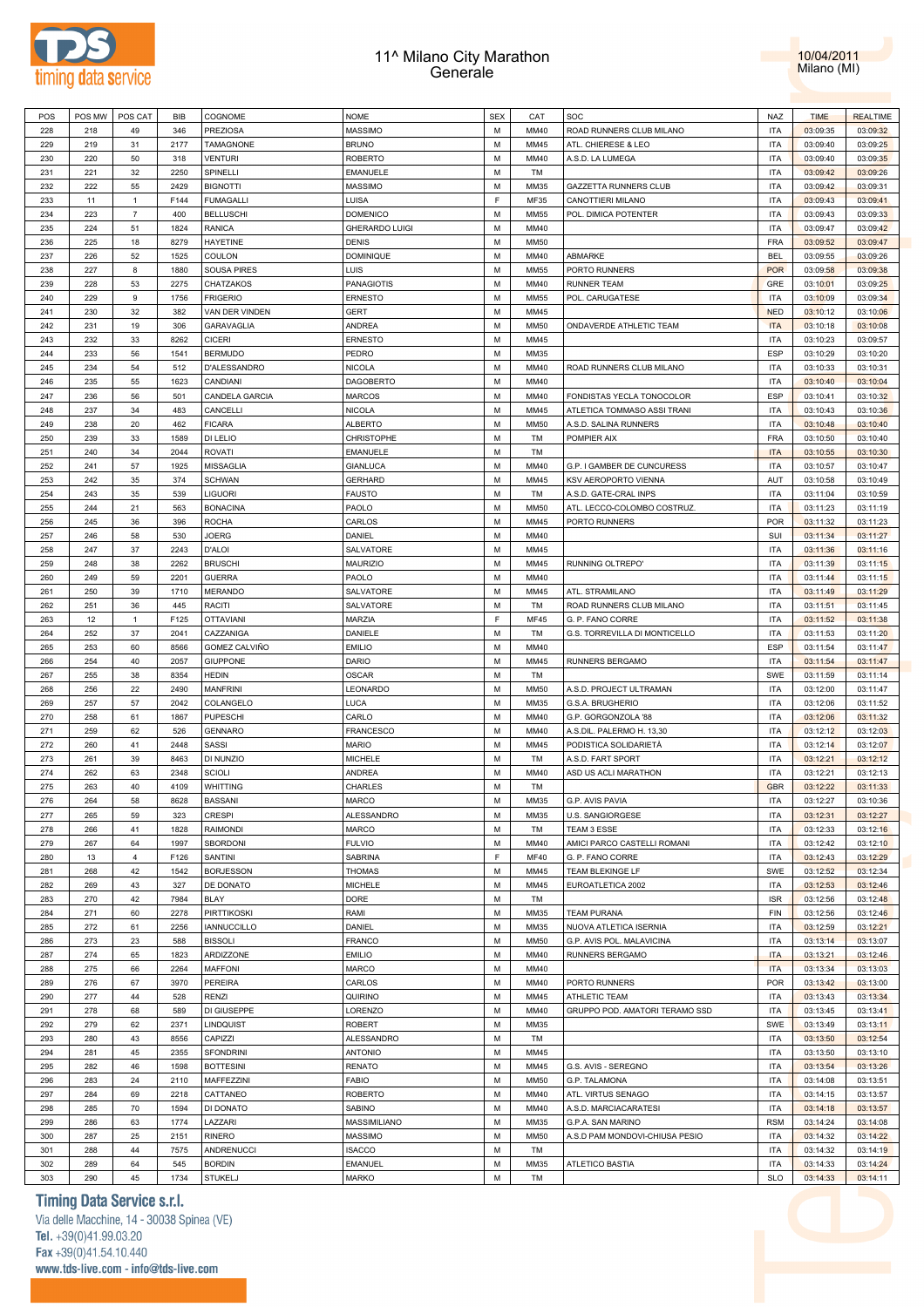



| POS | POS MW | POS CAT        | BIB  | COGNOME            | <b>NOME</b>           | <b>SEX</b> | CAT         | SOC                            | NAZ        | <b>TIME</b> | <b>REALTIME</b> |
|-----|--------|----------------|------|--------------------|-----------------------|------------|-------------|--------------------------------|------------|-------------|-----------------|
| 228 | 218    | 49             | 346  | <b>PREZIOSA</b>    | MASSIMO               | M          | MM40        | ROAD RUNNERS CLUB MILANO       | <b>ITA</b> | 03:09:35    | 03:09:32        |
| 229 | 219    | 31             | 2177 | TAMAGNONE          | <b>BRUNO</b>          | М          | MM45        | ATL. CHIERESE & LEO            | <b>ITA</b> | 03:09:40    | 03:09:25        |
| 230 | 220    | 50             | 318  | <b>VENTURI</b>     | <b>ROBERTO</b>        | М          | MM40        | A.S.D. LA LUMEGA               | <b>ITA</b> | 03:09:40    | 03:09:35        |
| 231 | 221    | 32             | 2250 | SPINELLI           | <b>EMANUELE</b>       | М          | TM          |                                | <b>ITA</b> | 03:09:42    | 03:09:26        |
| 232 | 222    | 55             | 2429 | <b>BIGNOTTI</b>    | <b>MASSIMO</b>        | М          | MM35        | <b>GAZZETTA RUNNERS CLUB</b>   | <b>ITA</b> | 03:09:42    | 03:09:31        |
|     |        |                |      |                    |                       | E          |             |                                |            |             |                 |
| 233 | 11     | 1              | F144 | <b>FUMAGALLI</b>   | LUISA                 |            | MF35        | CANOTTIERI MILANO              | <b>ITA</b> | 03:09:43    | 03:09:41        |
| 234 | 223    | $\overline{7}$ | 400  | <b>BELLUSCHI</b>   | <b>DOMENICO</b>       | M          | MM55        | POL. DIMICA POTENTER           | <b>ITA</b> | 03:09:43    | 03:09:33        |
| 235 | 224    | 51             | 1824 | RANICA             | <b>GHERARDO LUIGI</b> | М          | MM40        |                                | <b>ITA</b> | 03:09:47    | 03:09:42        |
| 236 | 225    | 18             | 8279 | <b>HAYETINE</b>    | <b>DENIS</b>          | M          | <b>MM50</b> |                                | <b>FRA</b> | 03:09:52    | 03:09:47        |
| 237 | 226    | 52             | 1525 | COULON             | <b>DOMINIQUE</b>      | M          | MM40        | ABMARKE                        | <b>BEL</b> | 03:09:55    | 03:09:26        |
| 238 | 227    | 8              | 1880 | <b>SOUSA PIRES</b> | LUIS                  | М          | MM55        | PORTO RUNNERS                  | <b>POR</b> | 03:09:58    | 03:09:38        |
| 239 | 228    | 53             | 2275 | CHATZAKOS          | <b>PANAGIOTIS</b>     | М          | MM40        | <b>RUNNER TEAM</b>             | GRE        | 03:10:01    | 03:09:25        |
| 240 | 229    | 9              | 1756 | <b>FRIGERIO</b>    | <b>ERNESTO</b>        | М          | MM55        | POL. CARUGATESE                | <b>ITA</b> | 03:10:09    | 03:09:34        |
| 241 | 230    | 32             | 382  | VAN DER VINDEN     | <b>GERT</b>           | М          | MM45        |                                | <b>NED</b> | 03:10:12    | 03:10:06        |
| 242 | 231    | 19             | 306  | GARAVAGLIA         | <b>ANDREA</b>         | М          | <b>MM50</b> | ONDAVERDE ATHLETIC TEAM        | <b>ITA</b> | 03:10:18    | 03:10:08        |
| 243 | 232    | 33             | 8262 | <b>CICERI</b>      | <b>ERNESTO</b>        | М          | MM45        |                                | <b>ITA</b> | 03:10:23    | 03:09:57        |
| 244 | 233    | 56             | 1541 | <b>BERMUDO</b>     | PEDRO                 | М          | MM35        |                                | <b>ESP</b> | 03:10:29    | 03:10:20        |
| 245 | 234    | 54             | 512  | D'ALESSANDRO       | <b>NICOLA</b>         | М          | MM40        | ROAD RUNNERS CLUB MILANO       | <b>ITA</b> | 03:10:33    | 03:10:31        |
| 246 | 235    | 55             | 1623 | CANDIANI           | <b>DAGOBERTO</b>      | М          | MM40        |                                | <b>ITA</b> | 03:10:40    | 03:10:04        |
| 247 | 236    | 56             | 501  | CANDELA GARCIA     | MARCOS                | М          | MM40        | FONDISTAS YECLA TONOCOLOR      | ESP        | 03:10:41    | 03:10:32        |
|     |        | 34             | 483  | CANCELLI           |                       | М          | MM45        |                                | <b>ITA</b> |             |                 |
| 248 | 237    |                |      |                    | <b>NICOLA</b>         |            |             | ATLETICA TOMMASO ASSI TRANI    |            | 03:10:43    | 03:10:36        |
| 249 | 238    | 20             | 462  | <b>FICARA</b>      | <b>ALBERTO</b>        | М          | <b>MM50</b> | A.S.D. SALINA RUNNERS          | <b>ITA</b> | 03:10:48    | 03:10:40        |
| 250 | 239    | 33             | 1589 | DI LELIO           | CHRISTOPHE            | М          | TM          | POMPIER AIX                    | <b>FRA</b> | 03:10:50    | 03:10:40        |
| 251 | 240    | 34             | 2044 | ROVATI             | <b>EMANUELE</b>       | М          | TM          |                                | <b>ITA</b> | 03:10:55    | 03:10:30        |
| 252 | 241    | 57             | 1925 | <b>MISSAGLIA</b>   | <b>GIANLUCA</b>       | M          | MM40        | G.P. I GAMBER DE CUNCURESS     | <b>ITA</b> | 03:10:57    | 03:10:47        |
| 253 | 242    | 35             | 374  | <b>SCHWAN</b>      | <b>GERHARD</b>        | M          | MM45        | KSV AEROPORTO VIENNA           | AUT        | 03:10:58    | 03:10:49        |
| 254 | 243    | 35             | 539  | <b>LIGUORI</b>     | <b>FAUSTO</b>         | М          | TM          | A.S.D. GATE-CRAL INPS          | <b>ITA</b> | 03:11:04    | 03:10:59        |
| 255 | 244    | 21             | 563  | <b>BONACINA</b>    | PAOLO                 | М          | <b>MM50</b> | ATL. LECCO-COLOMBO COSTRUZ.    | <b>ITA</b> | 03:11:23    | 03:11:19        |
| 256 | 245    | 36             | 396  | <b>ROCHA</b>       | CARLOS                | M          | MM45        | PORTO RUNNERS                  | <b>POR</b> | 03:11:32    | 03:11:23        |
| 257 | 246    | 58             | 530  | JOERG              | DANIEL                | М          | MM40        |                                | SUI        | 03:11:34    | 03:11:27        |
| 258 | 247    | 37             | 2243 | <b>D'ALOI</b>      | SALVATORE             | М          | MM45        |                                | <b>ITA</b> | 03:11:36    | 03:11:16        |
| 259 | 248    | 38             | 2262 | <b>BRUSCHI</b>     | <b>MAURIZIO</b>       | М          | MM45        | RUNNING OLTREPO'               | <b>ITA</b> | 03:11:39    | 03:11:15        |
| 260 | 249    | 59             | 2201 | <b>GUERRA</b>      | PAOLO                 | М          | MM40        |                                | <b>ITA</b> | 03:11:44    | 03:11:15        |
|     | 250    | 39             |      | <b>MERANDO</b>     |                       | М          | MM45        |                                | <b>ITA</b> |             |                 |
| 261 |        |                | 1710 |                    | SALVATORE             |            |             | ATL. STRAMILANO                |            | 03:11:49    | 03:11:29        |
| 262 | 251    | 36             | 445  | RACITI             | SALVATORE             | М          | TM          | ROAD RUNNERS CLUB MILANO       | <b>ITA</b> | 03:11:51    | 03:11:45        |
| 263 | 12     | 1              | F125 | <b>OTTAVIANI</b>   | <b>MARZIA</b>         | F          | <b>MF45</b> | G. P. FANO CORRE               | <b>ITA</b> | 03:11:52    | 03:11:38        |
| 264 | 252    | 37             | 2041 | CAZZANIGA          | DANIELE               | M          | TM          | G.S. TORREVILLA DI MONTICELLO  | <b>ITA</b> | 03:11:53    | 03:11:20        |
| 265 | 253    | 60             | 8566 | GOMEZ CALVIÑO      | <b>EMILIO</b>         | М          | MM40        |                                | <b>ESP</b> | 03:11:54    | 03:11:47        |
| 266 | 254    | 40             | 2057 | <b>GIUPPONE</b>    | DARIO                 | М          | MM45        | RUNNERS BERGAMO                | <b>ITA</b> | 03:11:54    | 03:11:47        |
| 267 | 255    | 38             | 8354 | HEDIN              | OSCAR                 | М          | TM          |                                | SWE        | 03:11:59    | 03:11:14        |
|     |        | 22             | 2490 | <b>MANFRINI</b>    | LEONARDO              | M          | <b>MM50</b> | A.S.D. PROJECT ULTRAMAN        | <b>ITA</b> | 03:12:00    | 03:11:47        |
| 268 | 256    |                |      |                    |                       |            |             |                                |            |             |                 |
| 269 | 257    | 57             | 2042 | COLANGELO          | LUCA                  | M          | MM35        | G.S.A. BRUGHERIO               | <b>ITA</b> | 03:12:06    | 03:11:52        |
| 270 | 258    | 61             | 1867 | <b>PUPESCHI</b>    | CARLO                 | M          | MM40        | G.P. GORGONZOLA '88            | <b>ITA</b> | 03:12:06    | 03:11:32        |
| 271 | 259    | 62             | 526  | <b>GENNARO</b>     | <b>FRANCESCO</b>      | М          | MM40        | A.S.DIL. PALERMO H. 13,30      | <b>ITA</b> | 03:12:12    | 03:12:03        |
| 272 | 260    | 41             | 2448 | SASSI              | <b>MARIO</b>          | M          | MM45        |                                | <b>ITA</b> |             |                 |
|     |        |                |      |                    |                       |            |             | PODISTICA SOLIDARIETÀ          |            | 03:12:14    | 03:12:07        |
| 273 | 261    | 39             | 8463 | DI NUNZIO          | <b>MICHELE</b>        | М          | TM          | A.S.D. FART SPORT              | <b>ITA</b> | 03:12:21    | 03:12:12        |
| 274 | 262    | 63             | 2348 | <b>SCIOLI</b>      | ANDREA                | М          | MM40        | ASD US ACLI MARATHON           | <b>ITA</b> | 03:12:21    | 03:12:13        |
| 275 | 263    | 40             | 4109 | WHITTING           | <b>CHARLES</b>        | М          | TM          |                                | <b>GBR</b> | 03:12:22    | 03:11:33        |
| 276 | 264    | 58             | 8628 | <b>BASSANI</b>     | <b>MARCO</b>          | M          | MM35        | G.P. AVIS PAVIA                | <b>ITA</b> | 03:12:27    | 03:10:36        |
| 277 | 265    | 59             | 323  | <b>CRESPI</b>      | ALESSANDRO            | М          | MM35        | U.S. SANGIORGESE               | <b>ITA</b> | 03:12:31    | 03:12:27        |
| 278 | 266    | 41             | 1828 | <b>RAIMONDI</b>    | <b>MARCO</b>          | M          | TM          | TEAM 3 ESSE                    | <b>ITA</b> | 03:12:33    | 03:12:16        |
| 279 | 267    | 64             | 1997 | SBORDONI           | <b>FULVIO</b>         | М          | MM40        | AMICI PARCO CASTELLI ROMANI    | <b>ITA</b> | 03:12:42    | 03:12:10        |
| 280 | 13     | $\overline{4}$ | F126 | SANTINI            | SABRINA               | F          | <b>MF40</b> | G. P. FANO CORRE               | <b>ITA</b> | 03:12:43    | 03:12:29        |
| 281 | 268    | 42             | 1542 | <b>BORJESSON</b>   | <b>THOMAS</b>         | M          | MM45        | TEAM BLEKINGE LF               | SWE        | 03:12:52    | 03:12:34        |
| 282 | 269    | 43             | 327  | DE DONATO          | <b>MICHELE</b>        | M          | MM45        | EUROATLETICA 2002              | <b>ITA</b> | 03:12:53    | 03:12:46        |
| 283 | 270    | 42             | 7984 | BLAY               | <b>DORE</b>           | M          | TM          |                                | <b>ISR</b> | 03:12:56    | 03:12:48        |
| 284 | 271    | 60             | 2278 | PIRTTIKOSKI        | RAMI                  | M          | MM35        | <b>TEAM PURANA</b>             | FIN        | 03:12:56    | 03:12:46        |
| 285 | 272    | 61             | 2256 | <b>IANNUCCILLO</b> | DANIEL                | М          | MM35        | NUOVA ATLETICA ISERNIA         | <b>ITA</b> | 03:12:59    | 03:12:21        |
| 286 | 273    | 23             | 588  | <b>BISSOLI</b>     | <b>FRANCO</b>         | M          | <b>MM50</b> | G.P. AVIS POL. MALAVICINA      | <b>ITA</b> | 03:13:14    | 03:13:07        |
| 287 | 274    | 65             | 1823 | ARDIZZONE          | <b>EMILIO</b>         | M          | MM40        | RUNNERS BERGAMO                | <b>ITA</b> | 03:13:21    | 03:12:46        |
| 288 | 275    | 66             | 2264 | <b>MAFFONI</b>     |                       | M          | MM40        |                                | <b>ITA</b> |             |                 |
|     |        |                |      |                    | <b>MARCO</b>          |            |             |                                |            | 03:13:34    | 03:13:03        |
| 289 | 276    | 67             | 3970 | <b>PEREIRA</b>     | CARLOS                | М          | MM40        | PORTO RUNNERS                  | <b>POR</b> | 03:13:42    | 03:13:00        |
| 290 | 277    | 44             | 528  | RENZI              | QUIRINO               | M          | MM45        | <b>ATHLETIC TEAM</b>           | <b>ITA</b> | 03:13:43    | 03:13:34        |
| 291 | 278    | 68             | 589  | DI GIUSEPPE        | LORENZO               | М          | MM40        | GRUPPO POD. AMATORI TERAMO SSD | <b>ITA</b> | 03:13:45    | 03:13:41        |
| 292 | 279    | 62             | 2371 | LINDQUIST          | <b>ROBERT</b>         | M          | MM35        |                                | SWE        | 03:13:49    | 03:13:11        |
| 293 | 280    | 43             | 8556 | CAPIZZI            | ALESSANDRO            | М          | TM          |                                | <b>ITA</b> | 03:13:50    | 03:12:54        |
| 294 | 281    | 45             | 2355 | <b>SFONDRINI</b>   | <b>ANTONIO</b>        | M          | MM45        |                                | <b>ITA</b> | 03:13:50    | 03:13:10        |
| 295 | 282    | 46             | 1598 | <b>BOTTESINI</b>   | <b>RENATO</b>         | М          | MM45        | G.S. AVIS - SEREGNO            | <b>ITA</b> | 03:13:54    | 03:13:26        |
| 296 | 283    | 24             | 2110 | MAFFEZZINI         | <b>FABIO</b>          | M          | <b>MM50</b> | G.P. TALAMONA                  | <b>ITA</b> | 03:14:08    | 03:13:51        |
| 297 | 284    | 69             | 2218 | CATTANEO           | <b>ROBERTO</b>        | М          | MM40        | ATL. VIRTUS SENAGO             | <b>ITA</b> | 03:14:15    | 03:13:57        |
| 298 | 285    | 70             | 1594 | DI DONATO          | SABINO                | M          | MM40        | A.S.D. MARCIACARATESI          | <b>ITA</b> | 03:14:18    | 03:13:57        |
| 299 | 286    | 63             | 1774 | LAZZARI            | MASSIMILIANO          | М          | MM35        | G.P.A. SAN MARINO              | <b>RSM</b> | 03:14:24    | 03:14:08        |
| 300 | 287    | 25             | 2151 | RINERO             | <b>MASSIMO</b>        | M          | <b>MM50</b> | A.S.D PAM MONDOVI-CHIUSA PESIO | <b>ITA</b> | 03:14:32    | 03:14:22        |
| 301 | 288    | 44             | 7575 | ANDRENUCCI         | <b>ISACCO</b>         | M          | TM          |                                | <b>ITA</b> | 03:14:32    | 03:14:19        |
| 302 | 289    | 64             | 545  | <b>BORDIN</b>      | <b>EMANUEL</b>        | M          | MM35        | <b>ATLETICO BASTIA</b>         | <b>ITA</b> | 03:14:33    | 03:14:24        |
| 303 | 290    | 45             | 1734 | <b>STUKELJ</b>     | <b>MARKO</b>          | M          | TM          |                                | <b>SLO</b> | 03:14:33    | 03:14:11        |

# **Timing Data Service s.r.l.**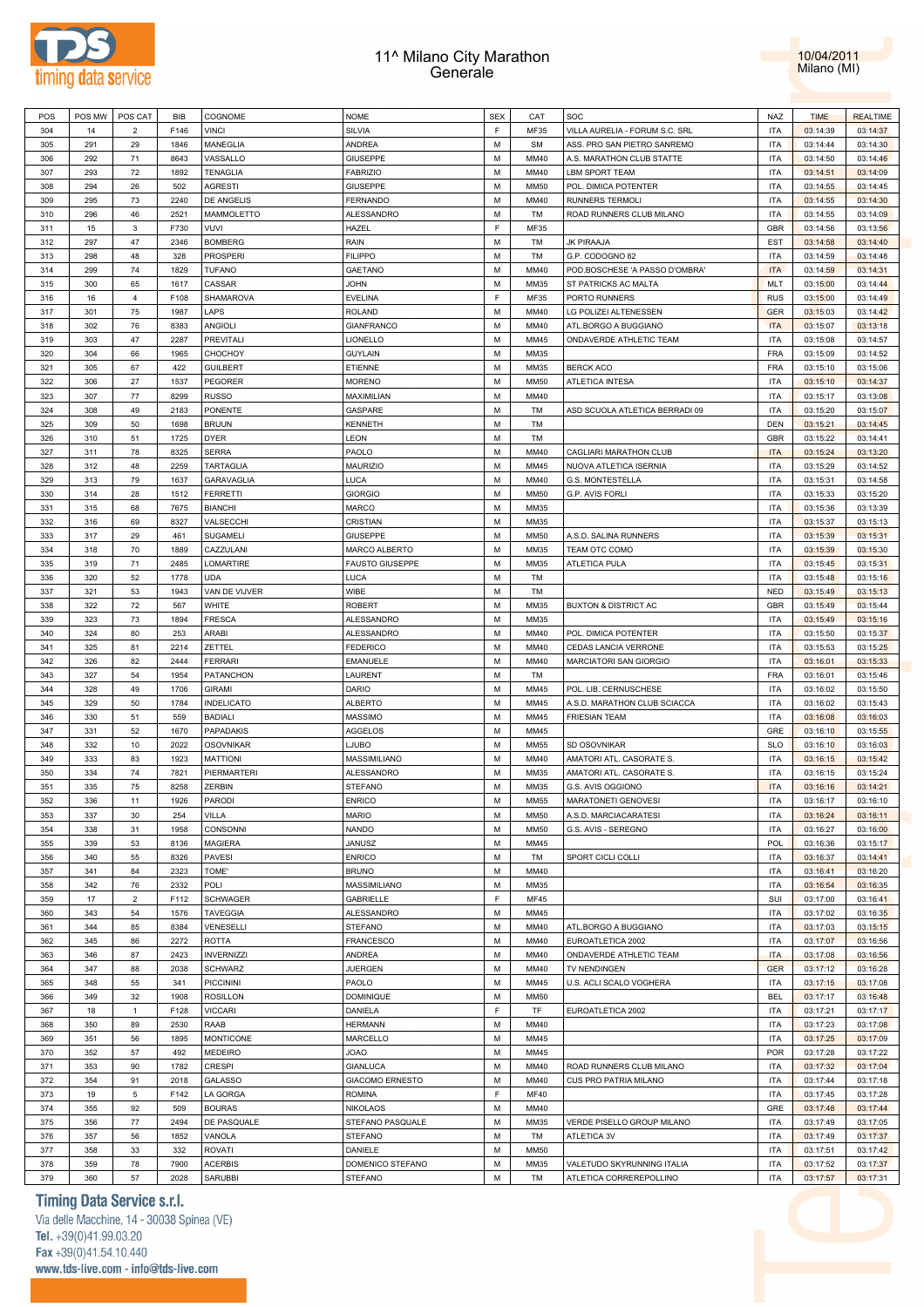



| POS | POS MW | POS CAT        | <b>BIB</b> | COGNOME           | <b>NOME</b>            | <b>SEX</b> | CAT         | SOC                             | <b>NAZ</b> | <b>TIME</b> | <b>REALTIME</b> |
|-----|--------|----------------|------------|-------------------|------------------------|------------|-------------|---------------------------------|------------|-------------|-----------------|
| 304 | 14     | 2              | F146       | <b>VINCI</b>      | <b>SILVIA</b>          | E          | MF35        | VILLA AURELIA - FORUM S.C. SRL  | <b>ITA</b> | 03:14:39    | 03:14:37        |
| 305 | 291    | 29             | 1846       | MANEGLIA          | ANDREA                 | М          | SM          | ASS. PRO SAN PIETRO SANREMO     | <b>ITA</b> | 03:14:44    | 03:14:30        |
| 306 | 292    | 71             | 8643       | VASSALLO          | <b>GIUSEPPE</b>        | М          | MM40        | A.S. MARATHON CLUB STATTE       | <b>ITA</b> | 03:14:50    | 03:14:46        |
|     |        |                |            |                   |                        |            |             |                                 |            |             |                 |
| 307 | 293    | 72             | 1892       | <b>TENAGLIA</b>   | <b>FABRIZIO</b>        | М          | MM40        | <b>LBM SPORT TEAM</b>           | <b>ITA</b> | 03:14:51    | 03:14:09        |
| 308 | 294    | 26             | 502        | <b>AGRESTI</b>    | <b>GIUSEPPE</b>        | М          | MM50        | POL. DIMICA POTENTER            | <b>ITA</b> | 03:14:55    | 03:14:45        |
| 309 | 295    | 73             | 2240       | DE ANGELIS        | FERNANDO               | М          | MM40        | RUNNERS TERMOLI                 | <b>ITA</b> | 03:14:55    | 03:14:30        |
| 310 | 296    | 46             | 2521       | MAMMOLETTO        | ALESSANDRO             | М          | TM          | ROAD RUNNERS CLUB MILANO        | <b>ITA</b> | 03:14:55    | 03:14:09        |
| 311 | 15     | 3              | F730       | VUVI              | HAZEL                  | F          | MF35        |                                 | <b>GBR</b> | 03:14:56    | 03:13:56        |
| 312 | 297    | 47             | 2346       | <b>BOMBERG</b>    | RAIN                   | M          | TM          | JK PIRAAJA                      | EST        | 03:14:58    | 03:14:40        |
| 313 | 298    | 48             | 328        | <b>PROSPERI</b>   | <b>FILIPPO</b>         | М          | TM          | G.P. CODOGNO 82                 | <b>ITA</b> | 03:14:59    | 03:14:48        |
|     |        |                |            |                   |                        |            |             |                                 |            |             |                 |
| 314 | 299    | 74             | 1829       | <b>TUFANO</b>     | GAETANO                | M          | MM40        | POD.BOSCHESE 'A PASSO D'OMBRA'  | <b>ITA</b> | 03:14:59    | 03:14:31        |
| 315 | 300    | 65             | 1617       | CASSAR            | <b>JOHN</b>            | M          | MM35        | ST PATRICKS AC MALTA            | <b>MLT</b> | 03:15:00    | 03:14:44        |
| 316 | 16     | 4              | F108       | SHAMAROVA         | <b>EVELINA</b>         | F          | MF35        | PORTO RUNNERS                   | <b>RUS</b> | 03:15:00    | 03:14:49        |
| 317 | 301    | 75             | 1987       | LAPS              | <b>ROLAND</b>          | М          | MM40        | LG POLIZEI ALTENESSEN           | <b>GER</b> | 03:15:03    | 03:14:42        |
| 318 | 302    | 76             | 8383       | ANGIOLI           | <b>GIANFRANCO</b>      | М          | MM40        | ATL.BORGO A BUGGIANO            | <b>ITA</b> | 03:15:07    | 03:13:18        |
| 319 | 303    | 47             | 2287       | PREVITALI         | LIONELLO               | М          | MM45        | ONDAVERDE ATHLETIC TEAM         | <b>ITA</b> | 03:15:08    | 03:14:57        |
| 320 | 304    | 66             | 1965       | CHOCHOY           | <b>GUYLAIN</b>         | М          | MM35        |                                 | <b>FRA</b> | 03:15:09    | 03:14:52        |
|     |        |                |            |                   |                        |            |             |                                 |            |             |                 |
| 321 | 305    | 67             | 422        | <b>GUILBERT</b>   | ETIENNE                | М          | MM35        | <b>BERCK ACO</b>                | <b>FRA</b> | 03:15:10    | 03:15:06        |
| 322 | 306    | 27             | 1537       | PEGORER           | <b>MORENO</b>          | М          | MM50        | <b>ATLETICA INTESA</b>          | <b>ITA</b> | 03:15:10    | 03:14:37        |
| 323 | 307    | 77             | 8299       | <b>RUSSO</b>      | MAXIMILIAN             | М          | MM40        |                                 | <b>ITA</b> | 03:15:17    | 03:13:08        |
| 324 | 308    | 49             | 2183       | PONENTE           | GASPARE                | М          | TM          | ASD SCUOLA ATLETICA BERRADI 09  | <b>ITA</b> | 03:15:20    | 03:15:07        |
| 325 | 309    | 50             | 1698       | <b>BRUUN</b>      | <b>KENNETH</b>         | М          | TM          |                                 | <b>DEN</b> | 03:15:21    | 03:14:45        |
| 326 | 310    | 51             | 1725       | <b>DYER</b>       | LEON                   | M          | TM          |                                 | <b>GBR</b> | 03:15:22    | 03:14:41        |
| 327 | 311    | 78             | 8325       | <b>SERRA</b>      | PAOLO                  | M          | MM40        | CAGLIARI MARATHON CLUB          | <b>ITA</b> | 03:15:24    | 03:13:20        |
| 328 |        |                | 2259       |                   |                        |            |             | NUOVA ATLETICA ISERNIA          |            |             |                 |
|     | 312    | 48             |            | <b>TARTAGLIA</b>  | MAURIZIO               | М          | MM45        |                                 | <b>ITA</b> | 03:15:29    | 03:14:52        |
| 329 | 313    | 79             | 1637       | GARAVAGLIA        | LUCA                   | M          | MM40        | G.S. MONTESTELLA                | <b>ITA</b> | 03:15:31    | 03:14:58        |
| 330 | 314    | 28             | 1512       | <b>FERRETTI</b>   | <b>GIORGIO</b>         | М          | MM50        | G.P. AVIS FORLI                 | <b>ITA</b> | 03:15:33    | 03:15:20        |
| 331 | 315    | 68             | 7675       | <b>BIANCHI</b>    | <b>MARCO</b>           | М          | MM35        |                                 | <b>ITA</b> | 03:15:36    | 03:13:39        |
| 332 | 316    | 69             | 8327       | VALSECCHI         | CRISTIAN               | М          | MM35        |                                 | <b>ITA</b> | 03:15:37    | 03:15:13        |
| 333 | 317    | 29             | 461        | SUGAMELI          | <b>GIUSEPPE</b>        | М          | MM50        | A.S.D. SALINA RUNNERS           | <b>ITA</b> | 03:15:39    | 03:15:31        |
| 334 | 318    | 70             | 1889       | CAZZULANI         | MARCO ALBERTO          | М          | MM35        | TEAM OTC COMO                   | <b>ITA</b> | 03:15:39    | 03:15:30        |
|     |        |                |            |                   |                        |            |             |                                 |            |             |                 |
| 335 | 319    | 71             | 2485       | LOMARTIRE         | <b>FAUSTO GIUSEPPE</b> | М          | MM35        | ATLETICA PULA                   | <b>ITA</b> | 03:15:45    | 03:15:31        |
| 336 | 320    | 52             | 1778       | <b>UDA</b>        | LUCA                   | М          | TM          |                                 | <b>ITA</b> | 03:15:48    | 03:15:16        |
| 337 | 321    | 53             | 1943       | VAN DE VIJVER     | WIBE                   | М          | TM          |                                 | <b>NED</b> | 03:15:49    | 03:15:13        |
| 338 | 322    | 72             | 567        | WHITE             | <b>ROBERT</b>          | М          | MM35        | <b>BUXTON &amp; DISTRICT AC</b> | <b>GBR</b> | 03:15:49    | 03:15:44        |
| 339 | 323    | 73             | 1894       | <b>FRESCA</b>     | ALESSANDRO             | M          | MM35        |                                 | <b>ITA</b> | 03:15:49    | 03:15:16        |
| 340 | 324    | 80             | 253        | ARABI             | ALESSANDRO             | М          | MM40        | POL. DIMICA POTENTER            | <b>ITA</b> | 03:15:50    | 03:15:37        |
| 341 | 325    | 81             | 2214       | ZETTEL            | <b>FEDERICO</b>        | M          | MM40        | CEDAS LANCIA VERRONE            | <b>ITA</b> | 03:15:53    | 03:15:25        |
| 342 |        |                |            |                   |                        |            |             |                                 |            |             |                 |
|     | 326    | 82             | 2444       | <b>FERRARI</b>    | EMANUELE               | М          | MM40        | MARCIATORI SAN GIORGIO          | <b>ITA</b> | 03:16:01    | 03:15:33        |
| 343 | 327    | 54             | 1954       | <b>PATANCHON</b>  | LAURENT                | М          | TM          |                                 | <b>FRA</b> | 03:16:01    | 03:15:46        |
| 344 | 328    | 49             | 1706       | <b>GIRAMI</b>     | DARIO                  | М          | MM45        | POL. LIB. CERNUSCHESE           | <b>ITA</b> | 03:16:02    | 03:15:50        |
| 345 | 329    | 50             | 1784       | <b>INDELICATO</b> | <b>ALBERTO</b>         | М          | MM45        | A.S.D. MARATHON CLUB SCIACCA    | <b>ITA</b> | 03:16:02    | 03:15:43        |
| 346 | 330    | 51             | 559        | <b>BADIALI</b>    | <b>MASSIMO</b>         | М          | MM45        | <b>FRIESIAN TEAM</b>            | <b>ITA</b> | 03:16:08    | 03:16:03        |
| 347 | 331    | 52             | 1670       | PAPADAKIS         | AGGELOS                | М          | MM45        |                                 | GRE        | 03:16:10    | 03:15:55        |
| 348 | 332    | 10             | 2022       | <b>OSOVNIKAR</b>  | LJUBO                  | М          | MM55        | SD OSOVNIKAR                    | <b>SLO</b> | 03:16:10    | 03:16:03        |
| 349 | 333    | 83             | 1923       | <b>MATTIONI</b>   | MASSIMILIANO           | М          | MM40        | AMATORI ATL. CASORATE S.        | <b>ITA</b> | 03:16:15    | 03:15:42        |
|     |        |                |            |                   |                        |            |             |                                 |            |             |                 |
| 350 | 334    | 74             | 7821       | PIERMARTERI       | ALESSANDRO             | M          | MM35        | AMATORI ATL. CASORATE S.        | <b>ITA</b> | 03:16:15    | 03:15:24        |
| 351 | 335    | 75             | 8258       | ZERBIN            | <b>STEFANO</b>         | М          | MM35        | G.S. AVIS OGGIONO               | <b>ITA</b> | 03:16:16    | 03:14:21        |
| 352 | 336    | 11             | 1926       | PARODI            | <b>ENRICO</b>          | M          | MM55        | MARATONETI GENOVESI             | <b>ITA</b> | 03:16:17    | 03:16:10        |
| 353 | 337    | 30             | 254        | <b>VILLA</b>      | <b>MARIO</b>           | М          | MM50        | A.S.D. MARCIACARATESI           | <b>ITA</b> | 03:16:24    | 03:16:11        |
| 354 | 338    | 31             | 1958       | CONSONNI          | <b>NANDO</b>           | M          | MM50        | G.S. AVIS - SEREGNO             | <b>ITA</b> | 03:16:27    | 03:16:00        |
| 355 | 339    | 53             | 8136       | <b>MAGIERA</b>    | JANUSZ                 | М          | MM45        |                                 | POL        | 03:16:36    | 03:15:17        |
| 356 | 340    | 55             | 8326       | <b>PAVESI</b>     | <b>ENRICO</b>          | М          | TM          | SPORT CICLI COLLI               | <b>ITA</b> | 03:16:37    | 03:14:41        |
| 357 | 341    | 84             | 2323       | TOME'             | <b>BRUNO</b>           | М          | MM40        |                                 | <b>ITA</b> | 03:16:41    | 03:16:20        |
|     |        |                |            |                   |                        |            |             |                                 |            |             |                 |
| 358 | 342    | 76             | 2332       | POLI              | MASSIMILIANO           | М          | MM35        |                                 | <b>ITA</b> | 03:16:54    | 03:16:35        |
| 359 | 17     | $\overline{2}$ | F112       | <b>SCHWAGER</b>   | GABRIELLE              | F          | MF45        |                                 | SUI        | 03:17:00    | 03:16:41        |
| 360 | 343    | 54             | 1576       | <b>TAVEGGIA</b>   | ALESSANDRO             | М          | MM45        |                                 | <b>ITA</b> | 03:17:02    | 03:16:35        |
| 361 | 344    | 85             | 8384       | VENESELLI         | <b>STEFANO</b>         | М          | MM40        | ATL.BORGO A BUGGIANO            | <b>ITA</b> | 03:17:03    | 03:15:15        |
| 362 | 345    | 86             | 2272       | <b>ROTTA</b>      | FRANCESCO              | М          | MM40        | EUROATLETICA 2002               | <b>ITA</b> | 03:17:07    | 03:16:56        |
| 363 | 346    | 87             | 2423       | <b>INVERNIZZI</b> | ANDREA                 | М          | MM40        | ONDAVERDE ATHLETIC TEAM         | <b>ITA</b> | 03:17:08    | 03:16:56        |
| 364 | 347    | 88             | 2038       | <b>SCHWARZ</b>    | <b>JUERGEN</b>         | М          | MM40        | TV NENDINGEN                    | <b>GER</b> | 03:17:12    | 03:16:28        |
|     | 348    | 55             | 341        | <b>PICCININI</b>  | PAOLO                  | М          | MM45        | U.S. ACLI SCALO VOGHERA         | <b>ITA</b> | 03:17:15    | 03:17:08        |
| 365 |        |                |            |                   |                        |            |             |                                 |            |             |                 |
| 366 | 349    | 32             | 1908       | <b>ROSILLON</b>   | <b>DOMINIQUE</b>       | М          | MM50        |                                 | <b>BEL</b> | 03:17:17    | 03:16:48        |
| 367 | 18     | $\mathbf{1}$   | F128       | <b>VICCARI</b>    | DANIELA                | F          | TF          | EUROATLETICA 2002               | <b>ITA</b> | 03:17:21    | 03:17:17        |
| 368 | 350    | 89             | 2530       | RAAB              | <b>HERMANN</b>         | М          | MM40        |                                 | <b>ITA</b> | 03:17:23    | 03:17:08        |
| 369 | 351    | 56             | 1895       | <b>MONTICONE</b>  | MARCELLO               | М          | MM45        |                                 | <b>ITA</b> | 03:17:25    | 03:17:09        |
| 370 | 352    | 57             | 492        | <b>MEDEIRO</b>    | <b>JOAO</b>            | М          | MM45        |                                 | <b>POR</b> | 03:17:28    | 03:17:22        |
| 371 | 353    | 90             | 1782       | <b>CRESPI</b>     | <b>GIANLUCA</b>        | М          | MM40        | ROAD RUNNERS CLUB MILANO        | <b>ITA</b> | 03:17:32    | 03:17:04        |
|     |        |                |            |                   |                        |            |             |                                 |            |             |                 |
| 372 | 354    | 91             | 2018       | GALASSO           | <b>GIACOMO ERNESTO</b> | М          | MM40        | CUS PRO PATRIA MILANO           | <b>ITA</b> | 03:17:44    | 03:17:18        |
| 373 | 19     | 5              | F142       | LA GORGA          | <b>ROMINA</b>          | F          | <b>MF40</b> |                                 | <b>ITA</b> | 03:17:45    | 03:17:28        |
| 374 | 355    | 92             | 509        | <b>BOURAS</b>     | <b>NIKOLAOS</b>        | М          | MM40        |                                 | GRE        | 03:17:48    | 03:17:44        |
| 375 | 356    | 77             | 2494       | DE PASQUALE       | STEFANO PASQUALE       | М          | MM35        | VERDE PISELLO GROUP MILANO      | <b>ITA</b> | 03:17:49    | 03:17:05        |
| 376 | 357    | 56             | 1852       | VANOLA            | <b>STEFANO</b>         | М          | TM          | ATLETICA 3V                     | <b>ITA</b> | 03:17:49    | 03:17:37        |
| 377 | 358    | 33             | 332        | <b>ROVATI</b>     | DANIELE                | М          | MM50        |                                 | <b>ITA</b> | 03:17:51    | 03:17:42        |
| 378 | 359    | 78             | 7900       | <b>ACERBIS</b>    | DOMENICO STEFANO       | М          | MM35        | VALETUDO SKYRUNNING ITALIA      | <b>ITA</b> | 03:17:52    | 03:17:37        |
|     | 360    | 57             | 2028       | <b>SARUBBI</b>    | <b>STEFANO</b>         | М          | TM          | ATLETICA CORREREPOLLINO         | <b>ITA</b> | 03:17:57    | 03:17:31        |
| 379 |        |                |            |                   |                        |            |             |                                 |            |             |                 |

# **Timing Data Service s.r.l.**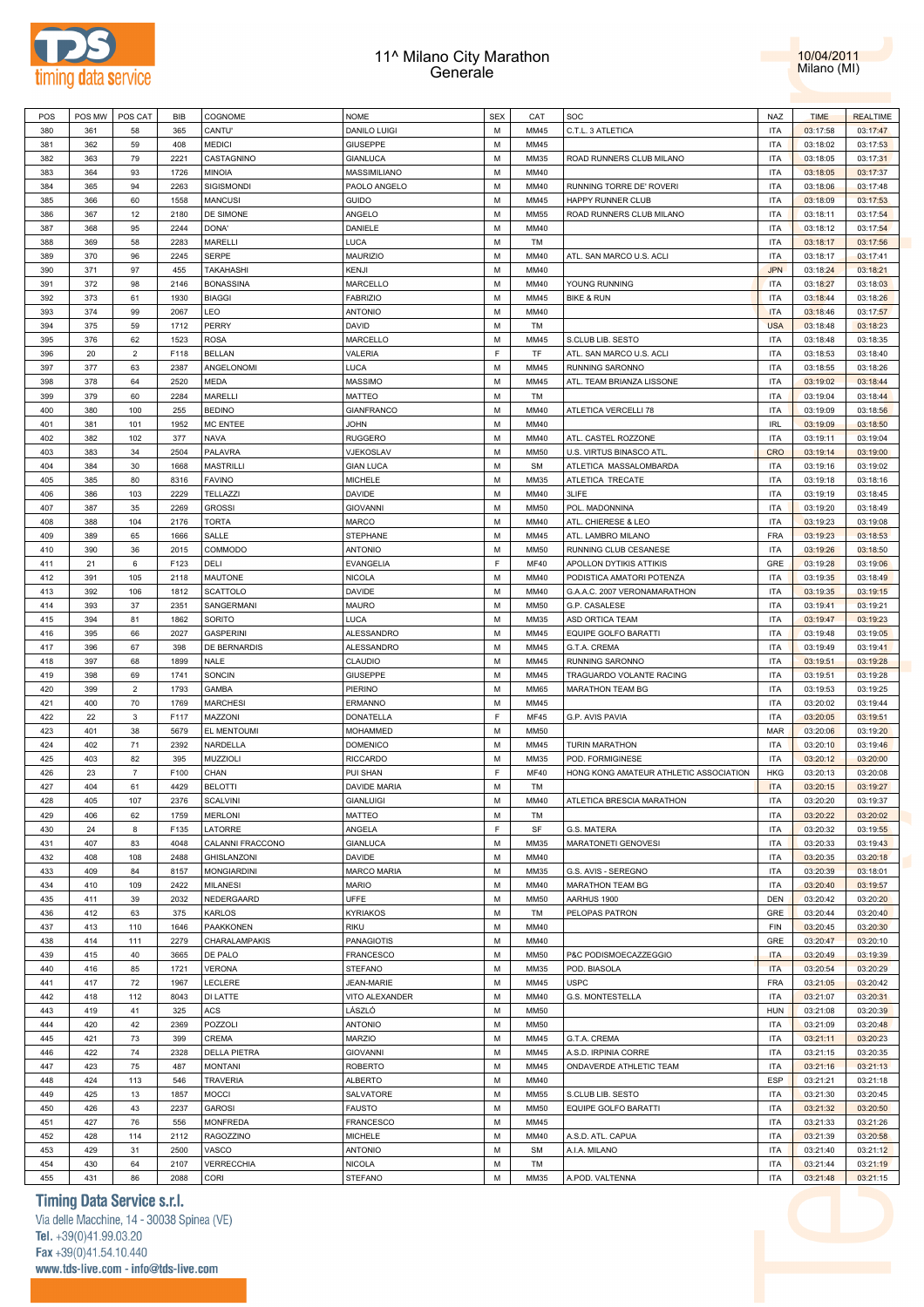



| M<br>C.T.L. 3 ATLETICA<br><b>ITA</b><br>380<br>361<br>58<br>365<br>CANTU'<br><b>DANILO LUIGI</b><br>MM45<br>03:17:58<br>03:17:47<br><b>MEDICI</b><br>M<br>MM45<br><b>ITA</b><br>381<br>362<br>59<br>408<br><b>GIUSEPPE</b><br>03:18:02<br>03:17:53<br>M<br><b>ITA</b><br>382<br>363<br>79<br>2221<br>CASTAGNINO<br><b>GIANLUCA</b><br>MM35<br>ROAD RUNNERS CLUB MILANO<br>03:18:05<br>03:17:31<br>93<br>M<br><b>ITA</b><br>383<br>364<br>1726<br>MINOIA<br>MASSIMILIANO<br>MM40<br>03:18:05<br>03:17:37<br>M<br><b>ITA</b><br>384<br>365<br>94<br>2263<br>SIGISMONDI<br>PAOLO ANGELO<br>MM40<br>RUNNING TORRE DE' ROVERI<br>03:18:06<br>03:17:48<br>60<br>1558<br>M<br>HAPPY RUNNER CLUB<br><b>ITA</b><br>385<br>366<br><b>MANCUSI</b><br>GUIDO<br>MM45<br>03:18:09<br>03:17:53<br>12<br>M<br><b>ITA</b><br>386<br>367<br>2180<br>DE SIMONE<br>ANGELO<br><b>MM55</b><br>ROAD RUNNERS CLUB MILANO<br>03:18:11<br>03:17:54<br>95<br>2244<br>DANIELE<br>M<br>MM40<br><b>ITA</b><br>03:17:54<br>387<br>368<br>DONA'<br>03:18:12<br>58<br>2283<br>LUCA<br>M<br><b>ITA</b><br>388<br>369<br>MARELLI<br>TM<br>03:18:17<br>03:17:56<br>96<br>2245<br>M<br><b>ITA</b><br>389<br>370<br><b>SERPE</b><br><b>MAURIZIO</b><br>MM40<br>ATL. SAN MARCO U.S. ACLI<br>03:18:17<br>03:17:41<br>97<br>M<br><b>JPN</b><br>390<br>371<br>455<br><b>TAKAHASHI</b><br>KENJI<br>MM40<br>03:18:24<br>03:18:21<br>98<br>M<br><b>ITA</b><br>391<br>372<br>2146<br><b>BONASSINA</b><br>MARCELLO<br>MM40<br>YOUNG RUNNING<br>03:18:27<br>03:18:03<br>373<br>M<br><b>ITA</b><br>392<br>61<br>1930<br><b>BIAGGI</b><br><b>FABRIZIO</b><br>MM45<br><b>BIKE &amp; RUN</b><br>03:18:44<br>03:18:26<br>99<br>LEO<br>M<br><b>ITA</b><br>393<br>374<br>2067<br><b>ANTONIO</b><br>MM40<br>03:18:46<br>03:17:57<br>375<br>PERRY<br>M<br><b>USA</b><br>394<br>59<br>1712<br>DAVID<br>TM<br>03:18:48<br>03:18:23<br>62<br>1523<br>M<br><b>ITA</b><br>395<br>376<br><b>ROSA</b><br>MARCELLO<br>MM45<br>S.CLUB LIB. SESTO<br>03:18:48<br>03:18:35<br>F<br>$\overline{2}$<br>F118<br><b>VALERIA</b><br>TF<br><b>ITA</b><br>396<br>20<br><b>BELLAN</b><br>ATL. SAN MARCO U.S. ACLI<br>03:18:53<br>03:18:40<br>377<br>63<br>2387<br>ANGELONOMI<br>LUCA<br>M<br>MM45<br>RUNNING SARONNO<br><b>ITA</b><br>397<br>03:18:55<br>03:18:26<br>378<br>2520<br>M<br><b>ITA</b><br>398<br>64<br><b>MEDA</b><br><b>MASSIMO</b><br>MM45<br>ATL. TEAM BRIANZA LISSONE<br>03:19:02<br>03:18:44<br>60<br>2284<br><b>MARELLI</b><br>M<br><b>ITA</b><br>399<br>379<br><b>MATTEO</b><br>TM<br>03:19:04<br>03:18:44<br>M<br>MM40<br><b>ITA</b><br>400<br>380<br>100<br>255<br><b>BEDINO</b><br><b>GIANFRANCO</b><br>ATLETICA VERCELLI 78<br>03:19:09<br>03:18:56<br>101<br>M<br>MM40<br><b>IRL</b><br>401<br>381<br>1952<br><b>MC ENTEE</b><br><b>JOHN</b><br>03:19:09<br>03:18:50<br>M<br><b>ITA</b><br>402<br>382<br>102<br>377<br>NAVA<br><b>RUGGERO</b><br>MM40<br>ATL. CASTEL ROZZONE<br>03:19:11<br>03:19:04<br>M<br><b>CRO</b><br>403<br>383<br>34<br>2504<br>PALAVRA<br>VJEKOSLAV<br><b>MM50</b><br>U.S. VIRTUS BINASCO ATL.<br>03:19:14<br>03:19:00<br>30<br>M<br><b>ITA</b><br>404<br>384<br>1668<br><b>MASTRILLI</b><br><b>GIAN LUCA</b><br><b>SM</b><br>ATLETICA MASSALOMBARDA<br>03:19:16<br>03:19:02<br>80<br><b>MICHELE</b><br>M<br>ATLETICA TRECATE<br><b>ITA</b><br>405<br>385<br>8316<br><b>FAVINO</b><br>MM35<br>03:19:18<br>03:18:16<br>103<br>2229<br>M<br>3LIFE<br><b>ITA</b><br>406<br>386<br>TELLAZZI<br><b>DAVIDE</b><br>MM40<br>03:19:19<br>03:18:45<br>35<br>2269<br><b>GROSSI</b><br>M<br><b>MM50</b><br>POL. MADONNINA<br><b>ITA</b><br>407<br>387<br><b>GIOVANNI</b><br>03:19:20<br>03:18:49<br>408<br>388<br>104<br>M<br><b>ITA</b><br>2176<br><b>TORTA</b><br><b>MARCO</b><br>MM40<br>ATL. CHIERESE & LEO<br>03:19:23<br>03:19:08<br>65<br>M<br>MM45<br><b>FRA</b><br>03:18:53<br>409<br>389<br>1666<br>SALLE<br>STEPHANE<br>ATL. LAMBRO MILANO<br>03:19:23<br>2015<br>M<br><b>ITA</b><br>410<br>390<br>36<br>COMMODO<br><b>ANTONIO</b><br><b>MM50</b><br>RUNNING CLUB CESANESE<br>03:19:26<br>03:18:50<br>$\mathsf F$<br>6<br>F123<br>GRE<br>411<br>21<br>DELI<br>EVANGELIA<br><b>MF40</b><br>APOLLON DYTIKIS ATTIKIS<br>03:19:28<br>03:19:06<br>412<br>105<br>M<br><b>ITA</b><br>391<br>2118<br>MAUTONE<br><b>NICOLA</b><br>MM40<br>PODISTICA AMATORI POTENZA<br>03:19:35<br>03:18:49<br>M<br><b>ITA</b><br>413<br>392<br>106<br>1812<br><b>SCATTOLO</b><br><b>DAVIDE</b><br>MM40<br>G.A.A.C. 2007 VERONAMARATHON<br>03:19:35<br>03:19:15<br>414<br>37<br>2351<br>M<br><b>ITA</b><br>393<br>SANGERMANI<br><b>MAURO</b><br><b>MM50</b><br>G.P. CASALESE<br>03:19:41<br>03:19:21<br>LUCA<br>M<br><b>ITA</b><br>415<br>394<br>81<br>1862<br>SORITO<br>MM35<br>ASD ORTICA TEAM<br>03:19:47<br>03:19:23<br>395<br>66<br>2027<br>M<br><b>ITA</b><br>416<br><b>GASPERINI</b><br><b>ALESSANDRO</b><br>MM45<br>EQUIPE GOLFO BARATTI<br>03:19:48<br>03:19:05<br>67<br>DE BERNARDIS<br>M<br>MM45<br><b>ITA</b><br>417<br>396<br>398<br>ALESSANDRO<br>G.T.A. CREMA<br>03:19:49<br>03:19:41<br>418<br>M<br><b>ITA</b><br>397<br>68<br>1899<br><b>NALE</b><br>CLAUDIO<br>MM45<br>RUNNING SARONNO<br>03:19:51<br>03:19:28<br>69<br><b>GIUSEPPE</b><br>M<br><b>ITA</b><br>419<br>398<br>1741<br>SONCIN<br>MM45<br>TRAGUARDO VOLANTE RACING<br>03:19:51<br>03:19:28<br>$\overline{2}$<br>M<br><b>MARATHON TEAM BG</b><br><b>ITA</b><br>420<br>399<br>1793<br><b>GAMBA</b><br>PIERINO<br><b>MM65</b><br>03:19:53<br>03:19:25<br>70<br>M<br><b>ITA</b><br>421<br>400<br>1769<br><b>MARCHESI</b><br><b>ERMANNO</b><br>MM45<br>03:20:02<br>03:19:44<br>$\mathsf F$<br>422<br>F117<br><b>ITA</b><br>22<br>3<br>MAZZONI<br>DONATELLA<br><b>MF45</b><br>G.P. AVIS PAVIA<br>03:20:05<br>03:19:51<br>38<br>M<br><b>MAR</b><br>423<br>401<br>5679<br>EL MENTOUMI<br><b>MOHAMMED</b><br><b>MM50</b><br>03:20:06<br>03:19:20<br>402<br>71<br>M<br><b>ITA</b><br>424<br>2392<br>NARDELLA<br><b>DOMENICO</b><br>MM45<br><b>TURIN MARATHON</b><br>03:20:10<br>03:19:46<br>82<br>M<br>POD. FORMIGINESE<br><b>ITA</b><br>425<br>403<br>395<br>MUZZIOLI<br><b>RICCARDO</b><br>MM35<br>03:20:12<br>03:20:00<br>$\mathsf F$<br>426<br>23<br>$\overline{7}$<br>F100<br>CHAN<br>PUI SHAN<br><b>MF40</b><br>HONG KONG AMATEUR ATHLETIC ASSOCIATION<br><b>HKG</b><br>03:20:13<br>03:20:08<br>427<br>404<br>61<br>4429<br><b>BELOTTI</b><br>DAVIDE MARIA<br>M<br><b>ITA</b><br>TM<br>03:20:15<br>03:19:27<br>405<br>107<br>2376<br>M<br><b>ITA</b><br>428<br><b>SCALVINI</b><br><b>GIANLUIGI</b><br>MM40<br>ATLETICA BRESCIA MARATHON<br>03:20:20<br>03:19:37<br>MATTEO<br><b>ITA</b><br>429<br>62<br><b>MERLONI</b><br>М<br>03:20:22<br>03:20:02<br>406<br>1759<br>TM<br>F<br>ANGELA<br>SF<br><b>ITA</b><br>430<br>24<br>8<br>F135<br>LATORRE<br>G.S. MATERA<br>03:20:32<br>03:19:55<br>83<br>CALANNI FRACCONO<br><b>GIANLUCA</b><br>M<br>MM35<br>MARATONETI GENOVESI<br><b>ITA</b><br>431<br>407<br>4048<br>03:20:33<br>03:19:43<br>432<br>GHISLANZONI<br>M<br><b>ITA</b><br>408<br>108<br>2488<br>DAVIDE<br>MM40<br>03:20:35<br>03:20:18<br>84<br><b>MARCO MARIA</b><br>M<br>MM35<br><b>ITA</b><br>03:18:01<br>433<br>409<br>8157<br><b>MONGIARDINI</b><br>G.S. AVIS - SEREGNO<br>03:20:39<br>434<br>M<br>MARATHON TEAM BG<br><b>ITA</b><br>03:20:40<br>410<br>109<br>2422<br><b>MILANESI</b><br><b>MARIO</b><br>MM40<br>03:19:57<br>DEN<br>39<br>2032<br>NEDERGAARD<br><b>UFFE</b><br>M<br><b>MM50</b><br>03:20:20<br>435<br>411<br>AARHUS 1900<br>03:20:42<br>412<br>375<br>M<br>PELOPAS PATRON<br>GRE<br>03:20:40<br>436<br>63<br>KARLOS<br><b>KYRIAKOS</b><br>TM<br>03:20:44<br>110<br>PAAKKONEN<br><b>RIKU</b><br>M<br>MM40<br>FIN<br>03:20:30<br>437<br>413<br>1646<br>03:20:45<br>438<br>414<br>2279<br>CHARALAMPAKIS<br>PANAGIOTIS<br>M<br>GRE<br>03:20:47<br>111<br>MM40<br>03:20:10<br>40<br>3665<br>DE PALO<br><b>FRANCESCO</b><br>M<br><b>MM50</b><br>P&C PODISMOECAZZEGGIO<br><b>ITA</b><br>03:19:39<br>439<br>415<br>03:20:49<br>85<br>M<br>POD. BIASOLA<br><b>ITA</b><br>440<br>416<br>1721<br><b>VERONA</b><br><b>STEFANO</b><br>MM35<br>03:20:54<br>03:20:29<br>72<br>LECLERE<br>JEAN-MARIE<br>M<br><b>USPC</b><br><b>FRA</b><br>03:20:42<br>441<br>417<br>1967<br>MM45<br>03:21:05<br>442<br>112<br>VITO ALEXANDER<br>M<br><b>G.S. MONTESTELLA</b><br><b>ITA</b><br>418<br>8043<br>DI LATTE<br>MM40<br>03:21:07<br>03:20:31<br>41<br>ACS<br>LÁSZLÓ<br>M<br><b>MM50</b><br><b>HUN</b><br>03:20:39<br>443<br>419<br>325<br>03:21:08<br>444<br>420<br>42<br>2369<br>POZZOLI<br><b>ANTONIO</b><br>M<br><b>ITA</b><br>03:20:48<br><b>MM50</b><br>03:21:09<br><b>MARZIO</b><br>73<br>CREMA<br>M<br>MM45<br>G.T.A. CREMA<br><b>ITA</b><br>03:20:23<br>445<br>421<br>399<br>03:21:11<br>422<br>74<br>2328<br>M<br>A.S.D. IRPINIA CORRE<br><b>ITA</b><br>446<br><b>DELLA PIETRA</b><br><b>GIOVANNI</b><br>MM45<br>03:21:15<br>03:20:35<br>75<br>423<br>487<br><b>ROBERTO</b><br>M<br>MM45<br><b>ITA</b><br>03:21:13<br>447<br><b>MONTANI</b><br>ONDAVERDE ATHLETIC TEAM<br>03:21:16<br>424<br>113<br>546<br>M<br>ESP<br>448<br><b>TRAVERIA</b><br><b>ALBERTO</b><br>MM40<br>03:21:21<br>03:21:18<br>13<br>MOCCI<br>SALVATORE<br>M<br><b>MM55</b><br>S.CLUB LIB. SESTO<br><b>ITA</b><br>03:20:45<br>449<br>425<br>1857<br>03:21:30<br>43<br>2237<br>M<br>EQUIPE GOLFO BARATTI<br><b>ITA</b><br>450<br>426<br><b>GAROSI</b><br><b>FAUSTO</b><br><b>MM50</b><br>03:21:32<br>03:20:50<br>76<br><b>FRANCESCO</b><br>M<br><b>ITA</b><br>451<br>427<br>556<br><b>MONFREDA</b><br>MM45<br>03:21:33<br>03:21:26<br>452<br>RAGOZZINO<br><b>MICHELE</b><br>M<br><b>ITA</b><br>428<br>114<br>2112<br>MM40<br>A.S.D. ATL. CAPUA<br>03:21:39<br>03:20:58<br>31<br>2500<br><b>ANTONIO</b><br>M<br>A.I.A. MILANO<br><b>ITA</b><br>453<br>429<br>VASCO<br><b>SM</b><br>03:21:40<br>03:21:12<br>454<br>430<br>VERRECCHIA<br>M<br>TM<br><b>ITA</b><br>64<br>2107<br><b>NICOLA</b><br>03:21:44<br>03:21:19<br>86<br>CORI<br><b>STEFANO</b><br>M<br>MM35<br>A.POD. VALTENNA<br><b>ITA</b><br>03:21:15<br>455<br>431<br>2088<br>03:21:48 | POS | POS MW | POS CAT | <b>BIB</b> | COGNOME | <b>NOME</b> | <b>SEX</b> | CAT | SOC | NAZ | <b>TIME</b> | <b>REALTIME</b> |
|-------------------------------------------------------------------------------------------------------------------------------------------------------------------------------------------------------------------------------------------------------------------------------------------------------------------------------------------------------------------------------------------------------------------------------------------------------------------------------------------------------------------------------------------------------------------------------------------------------------------------------------------------------------------------------------------------------------------------------------------------------------------------------------------------------------------------------------------------------------------------------------------------------------------------------------------------------------------------------------------------------------------------------------------------------------------------------------------------------------------------------------------------------------------------------------------------------------------------------------------------------------------------------------------------------------------------------------------------------------------------------------------------------------------------------------------------------------------------------------------------------------------------------------------------------------------------------------------------------------------------------------------------------------------------------------------------------------------------------------------------------------------------------------------------------------------------------------------------------------------------------------------------------------------------------------------------------------------------------------------------------------------------------------------------------------------------------------------------------------------------------------------------------------------------------------------------------------------------------------------------------------------------------------------------------------------------------------------------------------------------------------------------------------------------------------------------------------------------------------------------------------------------------------------------------------------------------------------------------------------------------------------------------------------------------------------------------------------------------------------------------------------------------------------------------------------------------------------------------------------------------------------------------------------------------------------------------------------------------------------------------------------------------------------------------------------------------------------------------------------------------------------------------------------------------------------------------------------------------------------------------------------------------------------------------------------------------------------------------------------------------------------------------------------------------------------------------------------------------------------------------------------------------------------------------------------------------------------------------------------------------------------------------------------------------------------------------------------------------------------------------------------------------------------------------------------------------------------------------------------------------------------------------------------------------------------------------------------------------------------------------------------------------------------------------------------------------------------------------------------------------------------------------------------------------------------------------------------------------------------------------------------------------------------------------------------------------------------------------------------------------------------------------------------------------------------------------------------------------------------------------------------------------------------------------------------------------------------------------------------------------------------------------------------------------------------------------------------------------------------------------------------------------------------------------------------------------------------------------------------------------------------------------------------------------------------------------------------------------------------------------------------------------------------------------------------------------------------------------------------------------------------------------------------------------------------------------------------------------------------------------------------------------------------------------------------------------------------------------------------------------------------------------------------------------------------------------------------------------------------------------------------------------------------------------------------------------------------------------------------------------------------------------------------------------------------------------------------------------------------------------------------------------------------------------------------------------------------------------------------------------------------------------------------------------------------------------------------------------------------------------------------------------------------------------------------------------------------------------------------------------------------------------------------------------------------------------------------------------------------------------------------------------------------------------------------------------------------------------------------------------------------------------------------------------------------------------------------------------------------------------------------------------------------------------------------------------------------------------------------------------------------------------------------------------------------------------------------------------------------------------------------------------------------------------------------------------------------------------------------------------------------------------------------------------------------------------------------------------------------------------------------------------------------------------------------------------------------------------------------------------------------------------------------------------------------------------------------------------------------------------------------------------------------------------------------------------------------------------------------------------------------------------------------------------------------------------------------------------------------------------------------------------------------------------------------------------------------------------------------------------------------------------------------------------------------------------------------------------------------------------------------------------------------------------------------------------------------------------------------------------------------------------------------------------------------------------------------------------------------------------------------------------------------------------------------------------------------------------------------------------------------------------------------------------------------------------------------------------------------------------------------------------------------------------------------------------------------------------------------------------------------------------------------------------------------------------------------------------------------------------------------------------------------------------------------------------------------------------------------------------------------------------------------------------------------------------------------------------------------------------------------------------------------------------------------------------------------------------------------------------------------------------------------------------------------------------------------------------------------------------------------------------------------------------------------------------------------------------------------------------------------------------------------------------------------------------------------------------------------------------------------------------------------------------------------------------------------------------------------------------------------------------------------------------------------------------------------------------------------------------------------------------------------------------------------------------------------------------------------------------------------------------------------------------------------------------------------------------------------------------------------------------------------------------------------------------------------------------------------------------------------------------------------------------------------------------------------------------------------------------------------------------------------------------|-----|--------|---------|------------|---------|-------------|------------|-----|-----|-----|-------------|-----------------|
|                                                                                                                                                                                                                                                                                                                                                                                                                                                                                                                                                                                                                                                                                                                                                                                                                                                                                                                                                                                                                                                                                                                                                                                                                                                                                                                                                                                                                                                                                                                                                                                                                                                                                                                                                                                                                                                                                                                                                                                                                                                                                                                                                                                                                                                                                                                                                                                                                                                                                                                                                                                                                                                                                                                                                                                                                                                                                                                                                                                                                                                                                                                                                                                                                                                                                                                                                                                                                                                                                                                                                                                                                                                                                                                                                                                                                                                                                                                                                                                                                                                                                                                                                                                                                                                                                                                                                                                                                                                                                                                                                                                                                                                                                                                                                                                                                                                                                                                                                                                                                                                                                                                                                                                                                                                                                                                                                                                                                                                                                                                                                                                                                                                                                                                                                                                                                                                                                                                                                                                                                                                                                                                                                                                                                                                                                                                                                                                                                                                                                                                                                                                                                                                                                                                                                                                                                                                                                                                                                                                                                                                                                                                                                                                                                                                                                                                                                                                                                                                                                                                                                                                                                                                                                                                                                                                                                                                                                                                                                                                                                                                                                                                                                                                                                                                                                                                                                                                                                                                                                                                                                                                                                                                                                                                                                                                                                                                                                                                                                                                                                                                                                                                                                                                                                                                                                                                                                                                                                                                                                                                                                                                                                                                                                                                                                                                                                                                                                                                                                                                                                                                       |     |        |         |            |         |             |            |     |     |     |             |                 |
|                                                                                                                                                                                                                                                                                                                                                                                                                                                                                                                                                                                                                                                                                                                                                                                                                                                                                                                                                                                                                                                                                                                                                                                                                                                                                                                                                                                                                                                                                                                                                                                                                                                                                                                                                                                                                                                                                                                                                                                                                                                                                                                                                                                                                                                                                                                                                                                                                                                                                                                                                                                                                                                                                                                                                                                                                                                                                                                                                                                                                                                                                                                                                                                                                                                                                                                                                                                                                                                                                                                                                                                                                                                                                                                                                                                                                                                                                                                                                                                                                                                                                                                                                                                                                                                                                                                                                                                                                                                                                                                                                                                                                                                                                                                                                                                                                                                                                                                                                                                                                                                                                                                                                                                                                                                                                                                                                                                                                                                                                                                                                                                                                                                                                                                                                                                                                                                                                                                                                                                                                                                                                                                                                                                                                                                                                                                                                                                                                                                                                                                                                                                                                                                                                                                                                                                                                                                                                                                                                                                                                                                                                                                                                                                                                                                                                                                                                                                                                                                                                                                                                                                                                                                                                                                                                                                                                                                                                                                                                                                                                                                                                                                                                                                                                                                                                                                                                                                                                                                                                                                                                                                                                                                                                                                                                                                                                                                                                                                                                                                                                                                                                                                                                                                                                                                                                                                                                                                                                                                                                                                                                                                                                                                                                                                                                                                                                                                                                                                                                                                                                                                       |     |        |         |            |         |             |            |     |     |     |             |                 |
|                                                                                                                                                                                                                                                                                                                                                                                                                                                                                                                                                                                                                                                                                                                                                                                                                                                                                                                                                                                                                                                                                                                                                                                                                                                                                                                                                                                                                                                                                                                                                                                                                                                                                                                                                                                                                                                                                                                                                                                                                                                                                                                                                                                                                                                                                                                                                                                                                                                                                                                                                                                                                                                                                                                                                                                                                                                                                                                                                                                                                                                                                                                                                                                                                                                                                                                                                                                                                                                                                                                                                                                                                                                                                                                                                                                                                                                                                                                                                                                                                                                                                                                                                                                                                                                                                                                                                                                                                                                                                                                                                                                                                                                                                                                                                                                                                                                                                                                                                                                                                                                                                                                                                                                                                                                                                                                                                                                                                                                                                                                                                                                                                                                                                                                                                                                                                                                                                                                                                                                                                                                                                                                                                                                                                                                                                                                                                                                                                                                                                                                                                                                                                                                                                                                                                                                                                                                                                                                                                                                                                                                                                                                                                                                                                                                                                                                                                                                                                                                                                                                                                                                                                                                                                                                                                                                                                                                                                                                                                                                                                                                                                                                                                                                                                                                                                                                                                                                                                                                                                                                                                                                                                                                                                                                                                                                                                                                                                                                                                                                                                                                                                                                                                                                                                                                                                                                                                                                                                                                                                                                                                                                                                                                                                                                                                                                                                                                                                                                                                                                                                                                       |     |        |         |            |         |             |            |     |     |     |             |                 |
|                                                                                                                                                                                                                                                                                                                                                                                                                                                                                                                                                                                                                                                                                                                                                                                                                                                                                                                                                                                                                                                                                                                                                                                                                                                                                                                                                                                                                                                                                                                                                                                                                                                                                                                                                                                                                                                                                                                                                                                                                                                                                                                                                                                                                                                                                                                                                                                                                                                                                                                                                                                                                                                                                                                                                                                                                                                                                                                                                                                                                                                                                                                                                                                                                                                                                                                                                                                                                                                                                                                                                                                                                                                                                                                                                                                                                                                                                                                                                                                                                                                                                                                                                                                                                                                                                                                                                                                                                                                                                                                                                                                                                                                                                                                                                                                                                                                                                                                                                                                                                                                                                                                                                                                                                                                                                                                                                                                                                                                                                                                                                                                                                                                                                                                                                                                                                                                                                                                                                                                                                                                                                                                                                                                                                                                                                                                                                                                                                                                                                                                                                                                                                                                                                                                                                                                                                                                                                                                                                                                                                                                                                                                                                                                                                                                                                                                                                                                                                                                                                                                                                                                                                                                                                                                                                                                                                                                                                                                                                                                                                                                                                                                                                                                                                                                                                                                                                                                                                                                                                                                                                                                                                                                                                                                                                                                                                                                                                                                                                                                                                                                                                                                                                                                                                                                                                                                                                                                                                                                                                                                                                                                                                                                                                                                                                                                                                                                                                                                                                                                                                                                       |     |        |         |            |         |             |            |     |     |     |             |                 |
|                                                                                                                                                                                                                                                                                                                                                                                                                                                                                                                                                                                                                                                                                                                                                                                                                                                                                                                                                                                                                                                                                                                                                                                                                                                                                                                                                                                                                                                                                                                                                                                                                                                                                                                                                                                                                                                                                                                                                                                                                                                                                                                                                                                                                                                                                                                                                                                                                                                                                                                                                                                                                                                                                                                                                                                                                                                                                                                                                                                                                                                                                                                                                                                                                                                                                                                                                                                                                                                                                                                                                                                                                                                                                                                                                                                                                                                                                                                                                                                                                                                                                                                                                                                                                                                                                                                                                                                                                                                                                                                                                                                                                                                                                                                                                                                                                                                                                                                                                                                                                                                                                                                                                                                                                                                                                                                                                                                                                                                                                                                                                                                                                                                                                                                                                                                                                                                                                                                                                                                                                                                                                                                                                                                                                                                                                                                                                                                                                                                                                                                                                                                                                                                                                                                                                                                                                                                                                                                                                                                                                                                                                                                                                                                                                                                                                                                                                                                                                                                                                                                                                                                                                                                                                                                                                                                                                                                                                                                                                                                                                                                                                                                                                                                                                                                                                                                                                                                                                                                                                                                                                                                                                                                                                                                                                                                                                                                                                                                                                                                                                                                                                                                                                                                                                                                                                                                                                                                                                                                                                                                                                                                                                                                                                                                                                                                                                                                                                                                                                                                                                                                       |     |        |         |            |         |             |            |     |     |     |             |                 |
|                                                                                                                                                                                                                                                                                                                                                                                                                                                                                                                                                                                                                                                                                                                                                                                                                                                                                                                                                                                                                                                                                                                                                                                                                                                                                                                                                                                                                                                                                                                                                                                                                                                                                                                                                                                                                                                                                                                                                                                                                                                                                                                                                                                                                                                                                                                                                                                                                                                                                                                                                                                                                                                                                                                                                                                                                                                                                                                                                                                                                                                                                                                                                                                                                                                                                                                                                                                                                                                                                                                                                                                                                                                                                                                                                                                                                                                                                                                                                                                                                                                                                                                                                                                                                                                                                                                                                                                                                                                                                                                                                                                                                                                                                                                                                                                                                                                                                                                                                                                                                                                                                                                                                                                                                                                                                                                                                                                                                                                                                                                                                                                                                                                                                                                                                                                                                                                                                                                                                                                                                                                                                                                                                                                                                                                                                                                                                                                                                                                                                                                                                                                                                                                                                                                                                                                                                                                                                                                                                                                                                                                                                                                                                                                                                                                                                                                                                                                                                                                                                                                                                                                                                                                                                                                                                                                                                                                                                                                                                                                                                                                                                                                                                                                                                                                                                                                                                                                                                                                                                                                                                                                                                                                                                                                                                                                                                                                                                                                                                                                                                                                                                                                                                                                                                                                                                                                                                                                                                                                                                                                                                                                                                                                                                                                                                                                                                                                                                                                                                                                                                                                       |     |        |         |            |         |             |            |     |     |     |             |                 |
|                                                                                                                                                                                                                                                                                                                                                                                                                                                                                                                                                                                                                                                                                                                                                                                                                                                                                                                                                                                                                                                                                                                                                                                                                                                                                                                                                                                                                                                                                                                                                                                                                                                                                                                                                                                                                                                                                                                                                                                                                                                                                                                                                                                                                                                                                                                                                                                                                                                                                                                                                                                                                                                                                                                                                                                                                                                                                                                                                                                                                                                                                                                                                                                                                                                                                                                                                                                                                                                                                                                                                                                                                                                                                                                                                                                                                                                                                                                                                                                                                                                                                                                                                                                                                                                                                                                                                                                                                                                                                                                                                                                                                                                                                                                                                                                                                                                                                                                                                                                                                                                                                                                                                                                                                                                                                                                                                                                                                                                                                                                                                                                                                                                                                                                                                                                                                                                                                                                                                                                                                                                                                                                                                                                                                                                                                                                                                                                                                                                                                                                                                                                                                                                                                                                                                                                                                                                                                                                                                                                                                                                                                                                                                                                                                                                                                                                                                                                                                                                                                                                                                                                                                                                                                                                                                                                                                                                                                                                                                                                                                                                                                                                                                                                                                                                                                                                                                                                                                                                                                                                                                                                                                                                                                                                                                                                                                                                                                                                                                                                                                                                                                                                                                                                                                                                                                                                                                                                                                                                                                                                                                                                                                                                                                                                                                                                                                                                                                                                                                                                                                                                       |     |        |         |            |         |             |            |     |     |     |             |                 |
|                                                                                                                                                                                                                                                                                                                                                                                                                                                                                                                                                                                                                                                                                                                                                                                                                                                                                                                                                                                                                                                                                                                                                                                                                                                                                                                                                                                                                                                                                                                                                                                                                                                                                                                                                                                                                                                                                                                                                                                                                                                                                                                                                                                                                                                                                                                                                                                                                                                                                                                                                                                                                                                                                                                                                                                                                                                                                                                                                                                                                                                                                                                                                                                                                                                                                                                                                                                                                                                                                                                                                                                                                                                                                                                                                                                                                                                                                                                                                                                                                                                                                                                                                                                                                                                                                                                                                                                                                                                                                                                                                                                                                                                                                                                                                                                                                                                                                                                                                                                                                                                                                                                                                                                                                                                                                                                                                                                                                                                                                                                                                                                                                                                                                                                                                                                                                                                                                                                                                                                                                                                                                                                                                                                                                                                                                                                                                                                                                                                                                                                                                                                                                                                                                                                                                                                                                                                                                                                                                                                                                                                                                                                                                                                                                                                                                                                                                                                                                                                                                                                                                                                                                                                                                                                                                                                                                                                                                                                                                                                                                                                                                                                                                                                                                                                                                                                                                                                                                                                                                                                                                                                                                                                                                                                                                                                                                                                                                                                                                                                                                                                                                                                                                                                                                                                                                                                                                                                                                                                                                                                                                                                                                                                                                                                                                                                                                                                                                                                                                                                                                                                       |     |        |         |            |         |             |            |     |     |     |             |                 |
|                                                                                                                                                                                                                                                                                                                                                                                                                                                                                                                                                                                                                                                                                                                                                                                                                                                                                                                                                                                                                                                                                                                                                                                                                                                                                                                                                                                                                                                                                                                                                                                                                                                                                                                                                                                                                                                                                                                                                                                                                                                                                                                                                                                                                                                                                                                                                                                                                                                                                                                                                                                                                                                                                                                                                                                                                                                                                                                                                                                                                                                                                                                                                                                                                                                                                                                                                                                                                                                                                                                                                                                                                                                                                                                                                                                                                                                                                                                                                                                                                                                                                                                                                                                                                                                                                                                                                                                                                                                                                                                                                                                                                                                                                                                                                                                                                                                                                                                                                                                                                                                                                                                                                                                                                                                                                                                                                                                                                                                                                                                                                                                                                                                                                                                                                                                                                                                                                                                                                                                                                                                                                                                                                                                                                                                                                                                                                                                                                                                                                                                                                                                                                                                                                                                                                                                                                                                                                                                                                                                                                                                                                                                                                                                                                                                                                                                                                                                                                                                                                                                                                                                                                                                                                                                                                                                                                                                                                                                                                                                                                                                                                                                                                                                                                                                                                                                                                                                                                                                                                                                                                                                                                                                                                                                                                                                                                                                                                                                                                                                                                                                                                                                                                                                                                                                                                                                                                                                                                                                                                                                                                                                                                                                                                                                                                                                                                                                                                                                                                                                                                                                       |     |        |         |            |         |             |            |     |     |     |             |                 |
|                                                                                                                                                                                                                                                                                                                                                                                                                                                                                                                                                                                                                                                                                                                                                                                                                                                                                                                                                                                                                                                                                                                                                                                                                                                                                                                                                                                                                                                                                                                                                                                                                                                                                                                                                                                                                                                                                                                                                                                                                                                                                                                                                                                                                                                                                                                                                                                                                                                                                                                                                                                                                                                                                                                                                                                                                                                                                                                                                                                                                                                                                                                                                                                                                                                                                                                                                                                                                                                                                                                                                                                                                                                                                                                                                                                                                                                                                                                                                                                                                                                                                                                                                                                                                                                                                                                                                                                                                                                                                                                                                                                                                                                                                                                                                                                                                                                                                                                                                                                                                                                                                                                                                                                                                                                                                                                                                                                                                                                                                                                                                                                                                                                                                                                                                                                                                                                                                                                                                                                                                                                                                                                                                                                                                                                                                                                                                                                                                                                                                                                                                                                                                                                                                                                                                                                                                                                                                                                                                                                                                                                                                                                                                                                                                                                                                                                                                                                                                                                                                                                                                                                                                                                                                                                                                                                                                                                                                                                                                                                                                                                                                                                                                                                                                                                                                                                                                                                                                                                                                                                                                                                                                                                                                                                                                                                                                                                                                                                                                                                                                                                                                                                                                                                                                                                                                                                                                                                                                                                                                                                                                                                                                                                                                                                                                                                                                                                                                                                                                                                                                                                       |     |        |         |            |         |             |            |     |     |     |             |                 |
|                                                                                                                                                                                                                                                                                                                                                                                                                                                                                                                                                                                                                                                                                                                                                                                                                                                                                                                                                                                                                                                                                                                                                                                                                                                                                                                                                                                                                                                                                                                                                                                                                                                                                                                                                                                                                                                                                                                                                                                                                                                                                                                                                                                                                                                                                                                                                                                                                                                                                                                                                                                                                                                                                                                                                                                                                                                                                                                                                                                                                                                                                                                                                                                                                                                                                                                                                                                                                                                                                                                                                                                                                                                                                                                                                                                                                                                                                                                                                                                                                                                                                                                                                                                                                                                                                                                                                                                                                                                                                                                                                                                                                                                                                                                                                                                                                                                                                                                                                                                                                                                                                                                                                                                                                                                                                                                                                                                                                                                                                                                                                                                                                                                                                                                                                                                                                                                                                                                                                                                                                                                                                                                                                                                                                                                                                                                                                                                                                                                                                                                                                                                                                                                                                                                                                                                                                                                                                                                                                                                                                                                                                                                                                                                                                                                                                                                                                                                                                                                                                                                                                                                                                                                                                                                                                                                                                                                                                                                                                                                                                                                                                                                                                                                                                                                                                                                                                                                                                                                                                                                                                                                                                                                                                                                                                                                                                                                                                                                                                                                                                                                                                                                                                                                                                                                                                                                                                                                                                                                                                                                                                                                                                                                                                                                                                                                                                                                                                                                                                                                                                                                       |     |        |         |            |         |             |            |     |     |     |             |                 |
|                                                                                                                                                                                                                                                                                                                                                                                                                                                                                                                                                                                                                                                                                                                                                                                                                                                                                                                                                                                                                                                                                                                                                                                                                                                                                                                                                                                                                                                                                                                                                                                                                                                                                                                                                                                                                                                                                                                                                                                                                                                                                                                                                                                                                                                                                                                                                                                                                                                                                                                                                                                                                                                                                                                                                                                                                                                                                                                                                                                                                                                                                                                                                                                                                                                                                                                                                                                                                                                                                                                                                                                                                                                                                                                                                                                                                                                                                                                                                                                                                                                                                                                                                                                                                                                                                                                                                                                                                                                                                                                                                                                                                                                                                                                                                                                                                                                                                                                                                                                                                                                                                                                                                                                                                                                                                                                                                                                                                                                                                                                                                                                                                                                                                                                                                                                                                                                                                                                                                                                                                                                                                                                                                                                                                                                                                                                                                                                                                                                                                                                                                                                                                                                                                                                                                                                                                                                                                                                                                                                                                                                                                                                                                                                                                                                                                                                                                                                                                                                                                                                                                                                                                                                                                                                                                                                                                                                                                                                                                                                                                                                                                                                                                                                                                                                                                                                                                                                                                                                                                                                                                                                                                                                                                                                                                                                                                                                                                                                                                                                                                                                                                                                                                                                                                                                                                                                                                                                                                                                                                                                                                                                                                                                                                                                                                                                                                                                                                                                                                                                                                                                       |     |        |         |            |         |             |            |     |     |     |             |                 |
|                                                                                                                                                                                                                                                                                                                                                                                                                                                                                                                                                                                                                                                                                                                                                                                                                                                                                                                                                                                                                                                                                                                                                                                                                                                                                                                                                                                                                                                                                                                                                                                                                                                                                                                                                                                                                                                                                                                                                                                                                                                                                                                                                                                                                                                                                                                                                                                                                                                                                                                                                                                                                                                                                                                                                                                                                                                                                                                                                                                                                                                                                                                                                                                                                                                                                                                                                                                                                                                                                                                                                                                                                                                                                                                                                                                                                                                                                                                                                                                                                                                                                                                                                                                                                                                                                                                                                                                                                                                                                                                                                                                                                                                                                                                                                                                                                                                                                                                                                                                                                                                                                                                                                                                                                                                                                                                                                                                                                                                                                                                                                                                                                                                                                                                                                                                                                                                                                                                                                                                                                                                                                                                                                                                                                                                                                                                                                                                                                                                                                                                                                                                                                                                                                                                                                                                                                                                                                                                                                                                                                                                                                                                                                                                                                                                                                                                                                                                                                                                                                                                                                                                                                                                                                                                                                                                                                                                                                                                                                                                                                                                                                                                                                                                                                                                                                                                                                                                                                                                                                                                                                                                                                                                                                                                                                                                                                                                                                                                                                                                                                                                                                                                                                                                                                                                                                                                                                                                                                                                                                                                                                                                                                                                                                                                                                                                                                                                                                                                                                                                                                                                       |     |        |         |            |         |             |            |     |     |     |             |                 |
|                                                                                                                                                                                                                                                                                                                                                                                                                                                                                                                                                                                                                                                                                                                                                                                                                                                                                                                                                                                                                                                                                                                                                                                                                                                                                                                                                                                                                                                                                                                                                                                                                                                                                                                                                                                                                                                                                                                                                                                                                                                                                                                                                                                                                                                                                                                                                                                                                                                                                                                                                                                                                                                                                                                                                                                                                                                                                                                                                                                                                                                                                                                                                                                                                                                                                                                                                                                                                                                                                                                                                                                                                                                                                                                                                                                                                                                                                                                                                                                                                                                                                                                                                                                                                                                                                                                                                                                                                                                                                                                                                                                                                                                                                                                                                                                                                                                                                                                                                                                                                                                                                                                                                                                                                                                                                                                                                                                                                                                                                                                                                                                                                                                                                                                                                                                                                                                                                                                                                                                                                                                                                                                                                                                                                                                                                                                                                                                                                                                                                                                                                                                                                                                                                                                                                                                                                                                                                                                                                                                                                                                                                                                                                                                                                                                                                                                                                                                                                                                                                                                                                                                                                                                                                                                                                                                                                                                                                                                                                                                                                                                                                                                                                                                                                                                                                                                                                                                                                                                                                                                                                                                                                                                                                                                                                                                                                                                                                                                                                                                                                                                                                                                                                                                                                                                                                                                                                                                                                                                                                                                                                                                                                                                                                                                                                                                                                                                                                                                                                                                                                                                       |     |        |         |            |         |             |            |     |     |     |             |                 |
|                                                                                                                                                                                                                                                                                                                                                                                                                                                                                                                                                                                                                                                                                                                                                                                                                                                                                                                                                                                                                                                                                                                                                                                                                                                                                                                                                                                                                                                                                                                                                                                                                                                                                                                                                                                                                                                                                                                                                                                                                                                                                                                                                                                                                                                                                                                                                                                                                                                                                                                                                                                                                                                                                                                                                                                                                                                                                                                                                                                                                                                                                                                                                                                                                                                                                                                                                                                                                                                                                                                                                                                                                                                                                                                                                                                                                                                                                                                                                                                                                                                                                                                                                                                                                                                                                                                                                                                                                                                                                                                                                                                                                                                                                                                                                                                                                                                                                                                                                                                                                                                                                                                                                                                                                                                                                                                                                                                                                                                                                                                                                                                                                                                                                                                                                                                                                                                                                                                                                                                                                                                                                                                                                                                                                                                                                                                                                                                                                                                                                                                                                                                                                                                                                                                                                                                                                                                                                                                                                                                                                                                                                                                                                                                                                                                                                                                                                                                                                                                                                                                                                                                                                                                                                                                                                                                                                                                                                                                                                                                                                                                                                                                                                                                                                                                                                                                                                                                                                                                                                                                                                                                                                                                                                                                                                                                                                                                                                                                                                                                                                                                                                                                                                                                                                                                                                                                                                                                                                                                                                                                                                                                                                                                                                                                                                                                                                                                                                                                                                                                                                                                       |     |        |         |            |         |             |            |     |     |     |             |                 |
|                                                                                                                                                                                                                                                                                                                                                                                                                                                                                                                                                                                                                                                                                                                                                                                                                                                                                                                                                                                                                                                                                                                                                                                                                                                                                                                                                                                                                                                                                                                                                                                                                                                                                                                                                                                                                                                                                                                                                                                                                                                                                                                                                                                                                                                                                                                                                                                                                                                                                                                                                                                                                                                                                                                                                                                                                                                                                                                                                                                                                                                                                                                                                                                                                                                                                                                                                                                                                                                                                                                                                                                                                                                                                                                                                                                                                                                                                                                                                                                                                                                                                                                                                                                                                                                                                                                                                                                                                                                                                                                                                                                                                                                                                                                                                                                                                                                                                                                                                                                                                                                                                                                                                                                                                                                                                                                                                                                                                                                                                                                                                                                                                                                                                                                                                                                                                                                                                                                                                                                                                                                                                                                                                                                                                                                                                                                                                                                                                                                                                                                                                                                                                                                                                                                                                                                                                                                                                                                                                                                                                                                                                                                                                                                                                                                                                                                                                                                                                                                                                                                                                                                                                                                                                                                                                                                                                                                                                                                                                                                                                                                                                                                                                                                                                                                                                                                                                                                                                                                                                                                                                                                                                                                                                                                                                                                                                                                                                                                                                                                                                                                                                                                                                                                                                                                                                                                                                                                                                                                                                                                                                                                                                                                                                                                                                                                                                                                                                                                                                                                                                                                       |     |        |         |            |         |             |            |     |     |     |             |                 |
|                                                                                                                                                                                                                                                                                                                                                                                                                                                                                                                                                                                                                                                                                                                                                                                                                                                                                                                                                                                                                                                                                                                                                                                                                                                                                                                                                                                                                                                                                                                                                                                                                                                                                                                                                                                                                                                                                                                                                                                                                                                                                                                                                                                                                                                                                                                                                                                                                                                                                                                                                                                                                                                                                                                                                                                                                                                                                                                                                                                                                                                                                                                                                                                                                                                                                                                                                                                                                                                                                                                                                                                                                                                                                                                                                                                                                                                                                                                                                                                                                                                                                                                                                                                                                                                                                                                                                                                                                                                                                                                                                                                                                                                                                                                                                                                                                                                                                                                                                                                                                                                                                                                                                                                                                                                                                                                                                                                                                                                                                                                                                                                                                                                                                                                                                                                                                                                                                                                                                                                                                                                                                                                                                                                                                                                                                                                                                                                                                                                                                                                                                                                                                                                                                                                                                                                                                                                                                                                                                                                                                                                                                                                                                                                                                                                                                                                                                                                                                                                                                                                                                                                                                                                                                                                                                                                                                                                                                                                                                                                                                                                                                                                                                                                                                                                                                                                                                                                                                                                                                                                                                                                                                                                                                                                                                                                                                                                                                                                                                                                                                                                                                                                                                                                                                                                                                                                                                                                                                                                                                                                                                                                                                                                                                                                                                                                                                                                                                                                                                                                                                                                       |     |        |         |            |         |             |            |     |     |     |             |                 |
|                                                                                                                                                                                                                                                                                                                                                                                                                                                                                                                                                                                                                                                                                                                                                                                                                                                                                                                                                                                                                                                                                                                                                                                                                                                                                                                                                                                                                                                                                                                                                                                                                                                                                                                                                                                                                                                                                                                                                                                                                                                                                                                                                                                                                                                                                                                                                                                                                                                                                                                                                                                                                                                                                                                                                                                                                                                                                                                                                                                                                                                                                                                                                                                                                                                                                                                                                                                                                                                                                                                                                                                                                                                                                                                                                                                                                                                                                                                                                                                                                                                                                                                                                                                                                                                                                                                                                                                                                                                                                                                                                                                                                                                                                                                                                                                                                                                                                                                                                                                                                                                                                                                                                                                                                                                                                                                                                                                                                                                                                                                                                                                                                                                                                                                                                                                                                                                                                                                                                                                                                                                                                                                                                                                                                                                                                                                                                                                                                                                                                                                                                                                                                                                                                                                                                                                                                                                                                                                                                                                                                                                                                                                                                                                                                                                                                                                                                                                                                                                                                                                                                                                                                                                                                                                                                                                                                                                                                                                                                                                                                                                                                                                                                                                                                                                                                                                                                                                                                                                                                                                                                                                                                                                                                                                                                                                                                                                                                                                                                                                                                                                                                                                                                                                                                                                                                                                                                                                                                                                                                                                                                                                                                                                                                                                                                                                                                                                                                                                                                                                                                                                       |     |        |         |            |         |             |            |     |     |     |             |                 |
|                                                                                                                                                                                                                                                                                                                                                                                                                                                                                                                                                                                                                                                                                                                                                                                                                                                                                                                                                                                                                                                                                                                                                                                                                                                                                                                                                                                                                                                                                                                                                                                                                                                                                                                                                                                                                                                                                                                                                                                                                                                                                                                                                                                                                                                                                                                                                                                                                                                                                                                                                                                                                                                                                                                                                                                                                                                                                                                                                                                                                                                                                                                                                                                                                                                                                                                                                                                                                                                                                                                                                                                                                                                                                                                                                                                                                                                                                                                                                                                                                                                                                                                                                                                                                                                                                                                                                                                                                                                                                                                                                                                                                                                                                                                                                                                                                                                                                                                                                                                                                                                                                                                                                                                                                                                                                                                                                                                                                                                                                                                                                                                                                                                                                                                                                                                                                                                                                                                                                                                                                                                                                                                                                                                                                                                                                                                                                                                                                                                                                                                                                                                                                                                                                                                                                                                                                                                                                                                                                                                                                                                                                                                                                                                                                                                                                                                                                                                                                                                                                                                                                                                                                                                                                                                                                                                                                                                                                                                                                                                                                                                                                                                                                                                                                                                                                                                                                                                                                                                                                                                                                                                                                                                                                                                                                                                                                                                                                                                                                                                                                                                                                                                                                                                                                                                                                                                                                                                                                                                                                                                                                                                                                                                                                                                                                                                                                                                                                                                                                                                                                                                       |     |        |         |            |         |             |            |     |     |     |             |                 |
|                                                                                                                                                                                                                                                                                                                                                                                                                                                                                                                                                                                                                                                                                                                                                                                                                                                                                                                                                                                                                                                                                                                                                                                                                                                                                                                                                                                                                                                                                                                                                                                                                                                                                                                                                                                                                                                                                                                                                                                                                                                                                                                                                                                                                                                                                                                                                                                                                                                                                                                                                                                                                                                                                                                                                                                                                                                                                                                                                                                                                                                                                                                                                                                                                                                                                                                                                                                                                                                                                                                                                                                                                                                                                                                                                                                                                                                                                                                                                                                                                                                                                                                                                                                                                                                                                                                                                                                                                                                                                                                                                                                                                                                                                                                                                                                                                                                                                                                                                                                                                                                                                                                                                                                                                                                                                                                                                                                                                                                                                                                                                                                                                                                                                                                                                                                                                                                                                                                                                                                                                                                                                                                                                                                                                                                                                                                                                                                                                                                                                                                                                                                                                                                                                                                                                                                                                                                                                                                                                                                                                                                                                                                                                                                                                                                                                                                                                                                                                                                                                                                                                                                                                                                                                                                                                                                                                                                                                                                                                                                                                                                                                                                                                                                                                                                                                                                                                                                                                                                                                                                                                                                                                                                                                                                                                                                                                                                                                                                                                                                                                                                                                                                                                                                                                                                                                                                                                                                                                                                                                                                                                                                                                                                                                                                                                                                                                                                                                                                                                                                                                                                       |     |        |         |            |         |             |            |     |     |     |             |                 |
|                                                                                                                                                                                                                                                                                                                                                                                                                                                                                                                                                                                                                                                                                                                                                                                                                                                                                                                                                                                                                                                                                                                                                                                                                                                                                                                                                                                                                                                                                                                                                                                                                                                                                                                                                                                                                                                                                                                                                                                                                                                                                                                                                                                                                                                                                                                                                                                                                                                                                                                                                                                                                                                                                                                                                                                                                                                                                                                                                                                                                                                                                                                                                                                                                                                                                                                                                                                                                                                                                                                                                                                                                                                                                                                                                                                                                                                                                                                                                                                                                                                                                                                                                                                                                                                                                                                                                                                                                                                                                                                                                                                                                                                                                                                                                                                                                                                                                                                                                                                                                                                                                                                                                                                                                                                                                                                                                                                                                                                                                                                                                                                                                                                                                                                                                                                                                                                                                                                                                                                                                                                                                                                                                                                                                                                                                                                                                                                                                                                                                                                                                                                                                                                                                                                                                                                                                                                                                                                                                                                                                                                                                                                                                                                                                                                                                                                                                                                                                                                                                                                                                                                                                                                                                                                                                                                                                                                                                                                                                                                                                                                                                                                                                                                                                                                                                                                                                                                                                                                                                                                                                                                                                                                                                                                                                                                                                                                                                                                                                                                                                                                                                                                                                                                                                                                                                                                                                                                                                                                                                                                                                                                                                                                                                                                                                                                                                                                                                                                                                                                                                                                       |     |        |         |            |         |             |            |     |     |     |             |                 |
|                                                                                                                                                                                                                                                                                                                                                                                                                                                                                                                                                                                                                                                                                                                                                                                                                                                                                                                                                                                                                                                                                                                                                                                                                                                                                                                                                                                                                                                                                                                                                                                                                                                                                                                                                                                                                                                                                                                                                                                                                                                                                                                                                                                                                                                                                                                                                                                                                                                                                                                                                                                                                                                                                                                                                                                                                                                                                                                                                                                                                                                                                                                                                                                                                                                                                                                                                                                                                                                                                                                                                                                                                                                                                                                                                                                                                                                                                                                                                                                                                                                                                                                                                                                                                                                                                                                                                                                                                                                                                                                                                                                                                                                                                                                                                                                                                                                                                                                                                                                                                                                                                                                                                                                                                                                                                                                                                                                                                                                                                                                                                                                                                                                                                                                                                                                                                                                                                                                                                                                                                                                                                                                                                                                                                                                                                                                                                                                                                                                                                                                                                                                                                                                                                                                                                                                                                                                                                                                                                                                                                                                                                                                                                                                                                                                                                                                                                                                                                                                                                                                                                                                                                                                                                                                                                                                                                                                                                                                                                                                                                                                                                                                                                                                                                                                                                                                                                                                                                                                                                                                                                                                                                                                                                                                                                                                                                                                                                                                                                                                                                                                                                                                                                                                                                                                                                                                                                                                                                                                                                                                                                                                                                                                                                                                                                                                                                                                                                                                                                                                                                                                       |     |        |         |            |         |             |            |     |     |     |             |                 |
|                                                                                                                                                                                                                                                                                                                                                                                                                                                                                                                                                                                                                                                                                                                                                                                                                                                                                                                                                                                                                                                                                                                                                                                                                                                                                                                                                                                                                                                                                                                                                                                                                                                                                                                                                                                                                                                                                                                                                                                                                                                                                                                                                                                                                                                                                                                                                                                                                                                                                                                                                                                                                                                                                                                                                                                                                                                                                                                                                                                                                                                                                                                                                                                                                                                                                                                                                                                                                                                                                                                                                                                                                                                                                                                                                                                                                                                                                                                                                                                                                                                                                                                                                                                                                                                                                                                                                                                                                                                                                                                                                                                                                                                                                                                                                                                                                                                                                                                                                                                                                                                                                                                                                                                                                                                                                                                                                                                                                                                                                                                                                                                                                                                                                                                                                                                                                                                                                                                                                                                                                                                                                                                                                                                                                                                                                                                                                                                                                                                                                                                                                                                                                                                                                                                                                                                                                                                                                                                                                                                                                                                                                                                                                                                                                                                                                                                                                                                                                                                                                                                                                                                                                                                                                                                                                                                                                                                                                                                                                                                                                                                                                                                                                                                                                                                                                                                                                                                                                                                                                                                                                                                                                                                                                                                                                                                                                                                                                                                                                                                                                                                                                                                                                                                                                                                                                                                                                                                                                                                                                                                                                                                                                                                                                                                                                                                                                                                                                                                                                                                                                                                       |     |        |         |            |         |             |            |     |     |     |             |                 |
|                                                                                                                                                                                                                                                                                                                                                                                                                                                                                                                                                                                                                                                                                                                                                                                                                                                                                                                                                                                                                                                                                                                                                                                                                                                                                                                                                                                                                                                                                                                                                                                                                                                                                                                                                                                                                                                                                                                                                                                                                                                                                                                                                                                                                                                                                                                                                                                                                                                                                                                                                                                                                                                                                                                                                                                                                                                                                                                                                                                                                                                                                                                                                                                                                                                                                                                                                                                                                                                                                                                                                                                                                                                                                                                                                                                                                                                                                                                                                                                                                                                                                                                                                                                                                                                                                                                                                                                                                                                                                                                                                                                                                                                                                                                                                                                                                                                                                                                                                                                                                                                                                                                                                                                                                                                                                                                                                                                                                                                                                                                                                                                                                                                                                                                                                                                                                                                                                                                                                                                                                                                                                                                                                                                                                                                                                                                                                                                                                                                                                                                                                                                                                                                                                                                                                                                                                                                                                                                                                                                                                                                                                                                                                                                                                                                                                                                                                                                                                                                                                                                                                                                                                                                                                                                                                                                                                                                                                                                                                                                                                                                                                                                                                                                                                                                                                                                                                                                                                                                                                                                                                                                                                                                                                                                                                                                                                                                                                                                                                                                                                                                                                                                                                                                                                                                                                                                                                                                                                                                                                                                                                                                                                                                                                                                                                                                                                                                                                                                                                                                                                                                       |     |        |         |            |         |             |            |     |     |     |             |                 |
|                                                                                                                                                                                                                                                                                                                                                                                                                                                                                                                                                                                                                                                                                                                                                                                                                                                                                                                                                                                                                                                                                                                                                                                                                                                                                                                                                                                                                                                                                                                                                                                                                                                                                                                                                                                                                                                                                                                                                                                                                                                                                                                                                                                                                                                                                                                                                                                                                                                                                                                                                                                                                                                                                                                                                                                                                                                                                                                                                                                                                                                                                                                                                                                                                                                                                                                                                                                                                                                                                                                                                                                                                                                                                                                                                                                                                                                                                                                                                                                                                                                                                                                                                                                                                                                                                                                                                                                                                                                                                                                                                                                                                                                                                                                                                                                                                                                                                                                                                                                                                                                                                                                                                                                                                                                                                                                                                                                                                                                                                                                                                                                                                                                                                                                                                                                                                                                                                                                                                                                                                                                                                                                                                                                                                                                                                                                                                                                                                                                                                                                                                                                                                                                                                                                                                                                                                                                                                                                                                                                                                                                                                                                                                                                                                                                                                                                                                                                                                                                                                                                                                                                                                                                                                                                                                                                                                                                                                                                                                                                                                                                                                                                                                                                                                                                                                                                                                                                                                                                                                                                                                                                                                                                                                                                                                                                                                                                                                                                                                                                                                                                                                                                                                                                                                                                                                                                                                                                                                                                                                                                                                                                                                                                                                                                                                                                                                                                                                                                                                                                                                                                       |     |        |         |            |         |             |            |     |     |     |             |                 |
|                                                                                                                                                                                                                                                                                                                                                                                                                                                                                                                                                                                                                                                                                                                                                                                                                                                                                                                                                                                                                                                                                                                                                                                                                                                                                                                                                                                                                                                                                                                                                                                                                                                                                                                                                                                                                                                                                                                                                                                                                                                                                                                                                                                                                                                                                                                                                                                                                                                                                                                                                                                                                                                                                                                                                                                                                                                                                                                                                                                                                                                                                                                                                                                                                                                                                                                                                                                                                                                                                                                                                                                                                                                                                                                                                                                                                                                                                                                                                                                                                                                                                                                                                                                                                                                                                                                                                                                                                                                                                                                                                                                                                                                                                                                                                                                                                                                                                                                                                                                                                                                                                                                                                                                                                                                                                                                                                                                                                                                                                                                                                                                                                                                                                                                                                                                                                                                                                                                                                                                                                                                                                                                                                                                                                                                                                                                                                                                                                                                                                                                                                                                                                                                                                                                                                                                                                                                                                                                                                                                                                                                                                                                                                                                                                                                                                                                                                                                                                                                                                                                                                                                                                                                                                                                                                                                                                                                                                                                                                                                                                                                                                                                                                                                                                                                                                                                                                                                                                                                                                                                                                                                                                                                                                                                                                                                                                                                                                                                                                                                                                                                                                                                                                                                                                                                                                                                                                                                                                                                                                                                                                                                                                                                                                                                                                                                                                                                                                                                                                                                                                                                       |     |        |         |            |         |             |            |     |     |     |             |                 |
|                                                                                                                                                                                                                                                                                                                                                                                                                                                                                                                                                                                                                                                                                                                                                                                                                                                                                                                                                                                                                                                                                                                                                                                                                                                                                                                                                                                                                                                                                                                                                                                                                                                                                                                                                                                                                                                                                                                                                                                                                                                                                                                                                                                                                                                                                                                                                                                                                                                                                                                                                                                                                                                                                                                                                                                                                                                                                                                                                                                                                                                                                                                                                                                                                                                                                                                                                                                                                                                                                                                                                                                                                                                                                                                                                                                                                                                                                                                                                                                                                                                                                                                                                                                                                                                                                                                                                                                                                                                                                                                                                                                                                                                                                                                                                                                                                                                                                                                                                                                                                                                                                                                                                                                                                                                                                                                                                                                                                                                                                                                                                                                                                                                                                                                                                                                                                                                                                                                                                                                                                                                                                                                                                                                                                                                                                                                                                                                                                                                                                                                                                                                                                                                                                                                                                                                                                                                                                                                                                                                                                                                                                                                                                                                                                                                                                                                                                                                                                                                                                                                                                                                                                                                                                                                                                                                                                                                                                                                                                                                                                                                                                                                                                                                                                                                                                                                                                                                                                                                                                                                                                                                                                                                                                                                                                                                                                                                                                                                                                                                                                                                                                                                                                                                                                                                                                                                                                                                                                                                                                                                                                                                                                                                                                                                                                                                                                                                                                                                                                                                                                                                       |     |        |         |            |         |             |            |     |     |     |             |                 |
|                                                                                                                                                                                                                                                                                                                                                                                                                                                                                                                                                                                                                                                                                                                                                                                                                                                                                                                                                                                                                                                                                                                                                                                                                                                                                                                                                                                                                                                                                                                                                                                                                                                                                                                                                                                                                                                                                                                                                                                                                                                                                                                                                                                                                                                                                                                                                                                                                                                                                                                                                                                                                                                                                                                                                                                                                                                                                                                                                                                                                                                                                                                                                                                                                                                                                                                                                                                                                                                                                                                                                                                                                                                                                                                                                                                                                                                                                                                                                                                                                                                                                                                                                                                                                                                                                                                                                                                                                                                                                                                                                                                                                                                                                                                                                                                                                                                                                                                                                                                                                                                                                                                                                                                                                                                                                                                                                                                                                                                                                                                                                                                                                                                                                                                                                                                                                                                                                                                                                                                                                                                                                                                                                                                                                                                                                                                                                                                                                                                                                                                                                                                                                                                                                                                                                                                                                                                                                                                                                                                                                                                                                                                                                                                                                                                                                                                                                                                                                                                                                                                                                                                                                                                                                                                                                                                                                                                                                                                                                                                                                                                                                                                                                                                                                                                                                                                                                                                                                                                                                                                                                                                                                                                                                                                                                                                                                                                                                                                                                                                                                                                                                                                                                                                                                                                                                                                                                                                                                                                                                                                                                                                                                                                                                                                                                                                                                                                                                                                                                                                                                                                       |     |        |         |            |         |             |            |     |     |     |             |                 |
|                                                                                                                                                                                                                                                                                                                                                                                                                                                                                                                                                                                                                                                                                                                                                                                                                                                                                                                                                                                                                                                                                                                                                                                                                                                                                                                                                                                                                                                                                                                                                                                                                                                                                                                                                                                                                                                                                                                                                                                                                                                                                                                                                                                                                                                                                                                                                                                                                                                                                                                                                                                                                                                                                                                                                                                                                                                                                                                                                                                                                                                                                                                                                                                                                                                                                                                                                                                                                                                                                                                                                                                                                                                                                                                                                                                                                                                                                                                                                                                                                                                                                                                                                                                                                                                                                                                                                                                                                                                                                                                                                                                                                                                                                                                                                                                                                                                                                                                                                                                                                                                                                                                                                                                                                                                                                                                                                                                                                                                                                                                                                                                                                                                                                                                                                                                                                                                                                                                                                                                                                                                                                                                                                                                                                                                                                                                                                                                                                                                                                                                                                                                                                                                                                                                                                                                                                                                                                                                                                                                                                                                                                                                                                                                                                                                                                                                                                                                                                                                                                                                                                                                                                                                                                                                                                                                                                                                                                                                                                                                                                                                                                                                                                                                                                                                                                                                                                                                                                                                                                                                                                                                                                                                                                                                                                                                                                                                                                                                                                                                                                                                                                                                                                                                                                                                                                                                                                                                                                                                                                                                                                                                                                                                                                                                                                                                                                                                                                                                                                                                                                                                       |     |        |         |            |         |             |            |     |     |     |             |                 |
|                                                                                                                                                                                                                                                                                                                                                                                                                                                                                                                                                                                                                                                                                                                                                                                                                                                                                                                                                                                                                                                                                                                                                                                                                                                                                                                                                                                                                                                                                                                                                                                                                                                                                                                                                                                                                                                                                                                                                                                                                                                                                                                                                                                                                                                                                                                                                                                                                                                                                                                                                                                                                                                                                                                                                                                                                                                                                                                                                                                                                                                                                                                                                                                                                                                                                                                                                                                                                                                                                                                                                                                                                                                                                                                                                                                                                                                                                                                                                                                                                                                                                                                                                                                                                                                                                                                                                                                                                                                                                                                                                                                                                                                                                                                                                                                                                                                                                                                                                                                                                                                                                                                                                                                                                                                                                                                                                                                                                                                                                                                                                                                                                                                                                                                                                                                                                                                                                                                                                                                                                                                                                                                                                                                                                                                                                                                                                                                                                                                                                                                                                                                                                                                                                                                                                                                                                                                                                                                                                                                                                                                                                                                                                                                                                                                                                                                                                                                                                                                                                                                                                                                                                                                                                                                                                                                                                                                                                                                                                                                                                                                                                                                                                                                                                                                                                                                                                                                                                                                                                                                                                                                                                                                                                                                                                                                                                                                                                                                                                                                                                                                                                                                                                                                                                                                                                                                                                                                                                                                                                                                                                                                                                                                                                                                                                                                                                                                                                                                                                                                                                                                       |     |        |         |            |         |             |            |     |     |     |             |                 |
|                                                                                                                                                                                                                                                                                                                                                                                                                                                                                                                                                                                                                                                                                                                                                                                                                                                                                                                                                                                                                                                                                                                                                                                                                                                                                                                                                                                                                                                                                                                                                                                                                                                                                                                                                                                                                                                                                                                                                                                                                                                                                                                                                                                                                                                                                                                                                                                                                                                                                                                                                                                                                                                                                                                                                                                                                                                                                                                                                                                                                                                                                                                                                                                                                                                                                                                                                                                                                                                                                                                                                                                                                                                                                                                                                                                                                                                                                                                                                                                                                                                                                                                                                                                                                                                                                                                                                                                                                                                                                                                                                                                                                                                                                                                                                                                                                                                                                                                                                                                                                                                                                                                                                                                                                                                                                                                                                                                                                                                                                                                                                                                                                                                                                                                                                                                                                                                                                                                                                                                                                                                                                                                                                                                                                                                                                                                                                                                                                                                                                                                                                                                                                                                                                                                                                                                                                                                                                                                                                                                                                                                                                                                                                                                                                                                                                                                                                                                                                                                                                                                                                                                                                                                                                                                                                                                                                                                                                                                                                                                                                                                                                                                                                                                                                                                                                                                                                                                                                                                                                                                                                                                                                                                                                                                                                                                                                                                                                                                                                                                                                                                                                                                                                                                                                                                                                                                                                                                                                                                                                                                                                                                                                                                                                                                                                                                                                                                                                                                                                                                                                                                       |     |        |         |            |         |             |            |     |     |     |             |                 |
|                                                                                                                                                                                                                                                                                                                                                                                                                                                                                                                                                                                                                                                                                                                                                                                                                                                                                                                                                                                                                                                                                                                                                                                                                                                                                                                                                                                                                                                                                                                                                                                                                                                                                                                                                                                                                                                                                                                                                                                                                                                                                                                                                                                                                                                                                                                                                                                                                                                                                                                                                                                                                                                                                                                                                                                                                                                                                                                                                                                                                                                                                                                                                                                                                                                                                                                                                                                                                                                                                                                                                                                                                                                                                                                                                                                                                                                                                                                                                                                                                                                                                                                                                                                                                                                                                                                                                                                                                                                                                                                                                                                                                                                                                                                                                                                                                                                                                                                                                                                                                                                                                                                                                                                                                                                                                                                                                                                                                                                                                                                                                                                                                                                                                                                                                                                                                                                                                                                                                                                                                                                                                                                                                                                                                                                                                                                                                                                                                                                                                                                                                                                                                                                                                                                                                                                                                                                                                                                                                                                                                                                                                                                                                                                                                                                                                                                                                                                                                                                                                                                                                                                                                                                                                                                                                                                                                                                                                                                                                                                                                                                                                                                                                                                                                                                                                                                                                                                                                                                                                                                                                                                                                                                                                                                                                                                                                                                                                                                                                                                                                                                                                                                                                                                                                                                                                                                                                                                                                                                                                                                                                                                                                                                                                                                                                                                                                                                                                                                                                                                                                                                       |     |        |         |            |         |             |            |     |     |     |             |                 |
|                                                                                                                                                                                                                                                                                                                                                                                                                                                                                                                                                                                                                                                                                                                                                                                                                                                                                                                                                                                                                                                                                                                                                                                                                                                                                                                                                                                                                                                                                                                                                                                                                                                                                                                                                                                                                                                                                                                                                                                                                                                                                                                                                                                                                                                                                                                                                                                                                                                                                                                                                                                                                                                                                                                                                                                                                                                                                                                                                                                                                                                                                                                                                                                                                                                                                                                                                                                                                                                                                                                                                                                                                                                                                                                                                                                                                                                                                                                                                                                                                                                                                                                                                                                                                                                                                                                                                                                                                                                                                                                                                                                                                                                                                                                                                                                                                                                                                                                                                                                                                                                                                                                                                                                                                                                                                                                                                                                                                                                                                                                                                                                                                                                                                                                                                                                                                                                                                                                                                                                                                                                                                                                                                                                                                                                                                                                                                                                                                                                                                                                                                                                                                                                                                                                                                                                                                                                                                                                                                                                                                                                                                                                                                                                                                                                                                                                                                                                                                                                                                                                                                                                                                                                                                                                                                                                                                                                                                                                                                                                                                                                                                                                                                                                                                                                                                                                                                                                                                                                                                                                                                                                                                                                                                                                                                                                                                                                                                                                                                                                                                                                                                                                                                                                                                                                                                                                                                                                                                                                                                                                                                                                                                                                                                                                                                                                                                                                                                                                                                                                                                                                       |     |        |         |            |         |             |            |     |     |     |             |                 |
|                                                                                                                                                                                                                                                                                                                                                                                                                                                                                                                                                                                                                                                                                                                                                                                                                                                                                                                                                                                                                                                                                                                                                                                                                                                                                                                                                                                                                                                                                                                                                                                                                                                                                                                                                                                                                                                                                                                                                                                                                                                                                                                                                                                                                                                                                                                                                                                                                                                                                                                                                                                                                                                                                                                                                                                                                                                                                                                                                                                                                                                                                                                                                                                                                                                                                                                                                                                                                                                                                                                                                                                                                                                                                                                                                                                                                                                                                                                                                                                                                                                                                                                                                                                                                                                                                                                                                                                                                                                                                                                                                                                                                                                                                                                                                                                                                                                                                                                                                                                                                                                                                                                                                                                                                                                                                                                                                                                                                                                                                                                                                                                                                                                                                                                                                                                                                                                                                                                                                                                                                                                                                                                                                                                                                                                                                                                                                                                                                                                                                                                                                                                                                                                                                                                                                                                                                                                                                                                                                                                                                                                                                                                                                                                                                                                                                                                                                                                                                                                                                                                                                                                                                                                                                                                                                                                                                                                                                                                                                                                                                                                                                                                                                                                                                                                                                                                                                                                                                                                                                                                                                                                                                                                                                                                                                                                                                                                                                                                                                                                                                                                                                                                                                                                                                                                                                                                                                                                                                                                                                                                                                                                                                                                                                                                                                                                                                                                                                                                                                                                                                                                       |     |        |         |            |         |             |            |     |     |     |             |                 |
|                                                                                                                                                                                                                                                                                                                                                                                                                                                                                                                                                                                                                                                                                                                                                                                                                                                                                                                                                                                                                                                                                                                                                                                                                                                                                                                                                                                                                                                                                                                                                                                                                                                                                                                                                                                                                                                                                                                                                                                                                                                                                                                                                                                                                                                                                                                                                                                                                                                                                                                                                                                                                                                                                                                                                                                                                                                                                                                                                                                                                                                                                                                                                                                                                                                                                                                                                                                                                                                                                                                                                                                                                                                                                                                                                                                                                                                                                                                                                                                                                                                                                                                                                                                                                                                                                                                                                                                                                                                                                                                                                                                                                                                                                                                                                                                                                                                                                                                                                                                                                                                                                                                                                                                                                                                                                                                                                                                                                                                                                                                                                                                                                                                                                                                                                                                                                                                                                                                                                                                                                                                                                                                                                                                                                                                                                                                                                                                                                                                                                                                                                                                                                                                                                                                                                                                                                                                                                                                                                                                                                                                                                                                                                                                                                                                                                                                                                                                                                                                                                                                                                                                                                                                                                                                                                                                                                                                                                                                                                                                                                                                                                                                                                                                                                                                                                                                                                                                                                                                                                                                                                                                                                                                                                                                                                                                                                                                                                                                                                                                                                                                                                                                                                                                                                                                                                                                                                                                                                                                                                                                                                                                                                                                                                                                                                                                                                                                                                                                                                                                                                                                       |     |        |         |            |         |             |            |     |     |     |             |                 |
|                                                                                                                                                                                                                                                                                                                                                                                                                                                                                                                                                                                                                                                                                                                                                                                                                                                                                                                                                                                                                                                                                                                                                                                                                                                                                                                                                                                                                                                                                                                                                                                                                                                                                                                                                                                                                                                                                                                                                                                                                                                                                                                                                                                                                                                                                                                                                                                                                                                                                                                                                                                                                                                                                                                                                                                                                                                                                                                                                                                                                                                                                                                                                                                                                                                                                                                                                                                                                                                                                                                                                                                                                                                                                                                                                                                                                                                                                                                                                                                                                                                                                                                                                                                                                                                                                                                                                                                                                                                                                                                                                                                                                                                                                                                                                                                                                                                                                                                                                                                                                                                                                                                                                                                                                                                                                                                                                                                                                                                                                                                                                                                                                                                                                                                                                                                                                                                                                                                                                                                                                                                                                                                                                                                                                                                                                                                                                                                                                                                                                                                                                                                                                                                                                                                                                                                                                                                                                                                                                                                                                                                                                                                                                                                                                                                                                                                                                                                                                                                                                                                                                                                                                                                                                                                                                                                                                                                                                                                                                                                                                                                                                                                                                                                                                                                                                                                                                                                                                                                                                                                                                                                                                                                                                                                                                                                                                                                                                                                                                                                                                                                                                                                                                                                                                                                                                                                                                                                                                                                                                                                                                                                                                                                                                                                                                                                                                                                                                                                                                                                                                                                       |     |        |         |            |         |             |            |     |     |     |             |                 |
|                                                                                                                                                                                                                                                                                                                                                                                                                                                                                                                                                                                                                                                                                                                                                                                                                                                                                                                                                                                                                                                                                                                                                                                                                                                                                                                                                                                                                                                                                                                                                                                                                                                                                                                                                                                                                                                                                                                                                                                                                                                                                                                                                                                                                                                                                                                                                                                                                                                                                                                                                                                                                                                                                                                                                                                                                                                                                                                                                                                                                                                                                                                                                                                                                                                                                                                                                                                                                                                                                                                                                                                                                                                                                                                                                                                                                                                                                                                                                                                                                                                                                                                                                                                                                                                                                                                                                                                                                                                                                                                                                                                                                                                                                                                                                                                                                                                                                                                                                                                                                                                                                                                                                                                                                                                                                                                                                                                                                                                                                                                                                                                                                                                                                                                                                                                                                                                                                                                                                                                                                                                                                                                                                                                                                                                                                                                                                                                                                                                                                                                                                                                                                                                                                                                                                                                                                                                                                                                                                                                                                                                                                                                                                                                                                                                                                                                                                                                                                                                                                                                                                                                                                                                                                                                                                                                                                                                                                                                                                                                                                                                                                                                                                                                                                                                                                                                                                                                                                                                                                                                                                                                                                                                                                                                                                                                                                                                                                                                                                                                                                                                                                                                                                                                                                                                                                                                                                                                                                                                                                                                                                                                                                                                                                                                                                                                                                                                                                                                                                                                                                                                       |     |        |         |            |         |             |            |     |     |     |             |                 |
|                                                                                                                                                                                                                                                                                                                                                                                                                                                                                                                                                                                                                                                                                                                                                                                                                                                                                                                                                                                                                                                                                                                                                                                                                                                                                                                                                                                                                                                                                                                                                                                                                                                                                                                                                                                                                                                                                                                                                                                                                                                                                                                                                                                                                                                                                                                                                                                                                                                                                                                                                                                                                                                                                                                                                                                                                                                                                                                                                                                                                                                                                                                                                                                                                                                                                                                                                                                                                                                                                                                                                                                                                                                                                                                                                                                                                                                                                                                                                                                                                                                                                                                                                                                                                                                                                                                                                                                                                                                                                                                                                                                                                                                                                                                                                                                                                                                                                                                                                                                                                                                                                                                                                                                                                                                                                                                                                                                                                                                                                                                                                                                                                                                                                                                                                                                                                                                                                                                                                                                                                                                                                                                                                                                                                                                                                                                                                                                                                                                                                                                                                                                                                                                                                                                                                                                                                                                                                                                                                                                                                                                                                                                                                                                                                                                                                                                                                                                                                                                                                                                                                                                                                                                                                                                                                                                                                                                                                                                                                                                                                                                                                                                                                                                                                                                                                                                                                                                                                                                                                                                                                                                                                                                                                                                                                                                                                                                                                                                                                                                                                                                                                                                                                                                                                                                                                                                                                                                                                                                                                                                                                                                                                                                                                                                                                                                                                                                                                                                                                                                                                                                       |     |        |         |            |         |             |            |     |     |     |             |                 |
|                                                                                                                                                                                                                                                                                                                                                                                                                                                                                                                                                                                                                                                                                                                                                                                                                                                                                                                                                                                                                                                                                                                                                                                                                                                                                                                                                                                                                                                                                                                                                                                                                                                                                                                                                                                                                                                                                                                                                                                                                                                                                                                                                                                                                                                                                                                                                                                                                                                                                                                                                                                                                                                                                                                                                                                                                                                                                                                                                                                                                                                                                                                                                                                                                                                                                                                                                                                                                                                                                                                                                                                                                                                                                                                                                                                                                                                                                                                                                                                                                                                                                                                                                                                                                                                                                                                                                                                                                                                                                                                                                                                                                                                                                                                                                                                                                                                                                                                                                                                                                                                                                                                                                                                                                                                                                                                                                                                                                                                                                                                                                                                                                                                                                                                                                                                                                                                                                                                                                                                                                                                                                                                                                                                                                                                                                                                                                                                                                                                                                                                                                                                                                                                                                                                                                                                                                                                                                                                                                                                                                                                                                                                                                                                                                                                                                                                                                                                                                                                                                                                                                                                                                                                                                                                                                                                                                                                                                                                                                                                                                                                                                                                                                                                                                                                                                                                                                                                                                                                                                                                                                                                                                                                                                                                                                                                                                                                                                                                                                                                                                                                                                                                                                                                                                                                                                                                                                                                                                                                                                                                                                                                                                                                                                                                                                                                                                                                                                                                                                                                                                                                       |     |        |         |            |         |             |            |     |     |     |             |                 |
|                                                                                                                                                                                                                                                                                                                                                                                                                                                                                                                                                                                                                                                                                                                                                                                                                                                                                                                                                                                                                                                                                                                                                                                                                                                                                                                                                                                                                                                                                                                                                                                                                                                                                                                                                                                                                                                                                                                                                                                                                                                                                                                                                                                                                                                                                                                                                                                                                                                                                                                                                                                                                                                                                                                                                                                                                                                                                                                                                                                                                                                                                                                                                                                                                                                                                                                                                                                                                                                                                                                                                                                                                                                                                                                                                                                                                                                                                                                                                                                                                                                                                                                                                                                                                                                                                                                                                                                                                                                                                                                                                                                                                                                                                                                                                                                                                                                                                                                                                                                                                                                                                                                                                                                                                                                                                                                                                                                                                                                                                                                                                                                                                                                                                                                                                                                                                                                                                                                                                                                                                                                                                                                                                                                                                                                                                                                                                                                                                                                                                                                                                                                                                                                                                                                                                                                                                                                                                                                                                                                                                                                                                                                                                                                                                                                                                                                                                                                                                                                                                                                                                                                                                                                                                                                                                                                                                                                                                                                                                                                                                                                                                                                                                                                                                                                                                                                                                                                                                                                                                                                                                                                                                                                                                                                                                                                                                                                                                                                                                                                                                                                                                                                                                                                                                                                                                                                                                                                                                                                                                                                                                                                                                                                                                                                                                                                                                                                                                                                                                                                                                                                       |     |        |         |            |         |             |            |     |     |     |             |                 |
|                                                                                                                                                                                                                                                                                                                                                                                                                                                                                                                                                                                                                                                                                                                                                                                                                                                                                                                                                                                                                                                                                                                                                                                                                                                                                                                                                                                                                                                                                                                                                                                                                                                                                                                                                                                                                                                                                                                                                                                                                                                                                                                                                                                                                                                                                                                                                                                                                                                                                                                                                                                                                                                                                                                                                                                                                                                                                                                                                                                                                                                                                                                                                                                                                                                                                                                                                                                                                                                                                                                                                                                                                                                                                                                                                                                                                                                                                                                                                                                                                                                                                                                                                                                                                                                                                                                                                                                                                                                                                                                                                                                                                                                                                                                                                                                                                                                                                                                                                                                                                                                                                                                                                                                                                                                                                                                                                                                                                                                                                                                                                                                                                                                                                                                                                                                                                                                                                                                                                                                                                                                                                                                                                                                                                                                                                                                                                                                                                                                                                                                                                                                                                                                                                                                                                                                                                                                                                                                                                                                                                                                                                                                                                                                                                                                                                                                                                                                                                                                                                                                                                                                                                                                                                                                                                                                                                                                                                                                                                                                                                                                                                                                                                                                                                                                                                                                                                                                                                                                                                                                                                                                                                                                                                                                                                                                                                                                                                                                                                                                                                                                                                                                                                                                                                                                                                                                                                                                                                                                                                                                                                                                                                                                                                                                                                                                                                                                                                                                                                                                                                                                       |     |        |         |            |         |             |            |     |     |     |             |                 |
|                                                                                                                                                                                                                                                                                                                                                                                                                                                                                                                                                                                                                                                                                                                                                                                                                                                                                                                                                                                                                                                                                                                                                                                                                                                                                                                                                                                                                                                                                                                                                                                                                                                                                                                                                                                                                                                                                                                                                                                                                                                                                                                                                                                                                                                                                                                                                                                                                                                                                                                                                                                                                                                                                                                                                                                                                                                                                                                                                                                                                                                                                                                                                                                                                                                                                                                                                                                                                                                                                                                                                                                                                                                                                                                                                                                                                                                                                                                                                                                                                                                                                                                                                                                                                                                                                                                                                                                                                                                                                                                                                                                                                                                                                                                                                                                                                                                                                                                                                                                                                                                                                                                                                                                                                                                                                                                                                                                                                                                                                                                                                                                                                                                                                                                                                                                                                                                                                                                                                                                                                                                                                                                                                                                                                                                                                                                                                                                                                                                                                                                                                                                                                                                                                                                                                                                                                                                                                                                                                                                                                                                                                                                                                                                                                                                                                                                                                                                                                                                                                                                                                                                                                                                                                                                                                                                                                                                                                                                                                                                                                                                                                                                                                                                                                                                                                                                                                                                                                                                                                                                                                                                                                                                                                                                                                                                                                                                                                                                                                                                                                                                                                                                                                                                                                                                                                                                                                                                                                                                                                                                                                                                                                                                                                                                                                                                                                                                                                                                                                                                                                                                       |     |        |         |            |         |             |            |     |     |     |             |                 |
|                                                                                                                                                                                                                                                                                                                                                                                                                                                                                                                                                                                                                                                                                                                                                                                                                                                                                                                                                                                                                                                                                                                                                                                                                                                                                                                                                                                                                                                                                                                                                                                                                                                                                                                                                                                                                                                                                                                                                                                                                                                                                                                                                                                                                                                                                                                                                                                                                                                                                                                                                                                                                                                                                                                                                                                                                                                                                                                                                                                                                                                                                                                                                                                                                                                                                                                                                                                                                                                                                                                                                                                                                                                                                                                                                                                                                                                                                                                                                                                                                                                                                                                                                                                                                                                                                                                                                                                                                                                                                                                                                                                                                                                                                                                                                                                                                                                                                                                                                                                                                                                                                                                                                                                                                                                                                                                                                                                                                                                                                                                                                                                                                                                                                                                                                                                                                                                                                                                                                                                                                                                                                                                                                                                                                                                                                                                                                                                                                                                                                                                                                                                                                                                                                                                                                                                                                                                                                                                                                                                                                                                                                                                                                                                                                                                                                                                                                                                                                                                                                                                                                                                                                                                                                                                                                                                                                                                                                                                                                                                                                                                                                                                                                                                                                                                                                                                                                                                                                                                                                                                                                                                                                                                                                                                                                                                                                                                                                                                                                                                                                                                                                                                                                                                                                                                                                                                                                                                                                                                                                                                                                                                                                                                                                                                                                                                                                                                                                                                                                                                                                                                       |     |        |         |            |         |             |            |     |     |     |             |                 |
|                                                                                                                                                                                                                                                                                                                                                                                                                                                                                                                                                                                                                                                                                                                                                                                                                                                                                                                                                                                                                                                                                                                                                                                                                                                                                                                                                                                                                                                                                                                                                                                                                                                                                                                                                                                                                                                                                                                                                                                                                                                                                                                                                                                                                                                                                                                                                                                                                                                                                                                                                                                                                                                                                                                                                                                                                                                                                                                                                                                                                                                                                                                                                                                                                                                                                                                                                                                                                                                                                                                                                                                                                                                                                                                                                                                                                                                                                                                                                                                                                                                                                                                                                                                                                                                                                                                                                                                                                                                                                                                                                                                                                                                                                                                                                                                                                                                                                                                                                                                                                                                                                                                                                                                                                                                                                                                                                                                                                                                                                                                                                                                                                                                                                                                                                                                                                                                                                                                                                                                                                                                                                                                                                                                                                                                                                                                                                                                                                                                                                                                                                                                                                                                                                                                                                                                                                                                                                                                                                                                                                                                                                                                                                                                                                                                                                                                                                                                                                                                                                                                                                                                                                                                                                                                                                                                                                                                                                                                                                                                                                                                                                                                                                                                                                                                                                                                                                                                                                                                                                                                                                                                                                                                                                                                                                                                                                                                                                                                                                                                                                                                                                                                                                                                                                                                                                                                                                                                                                                                                                                                                                                                                                                                                                                                                                                                                                                                                                                                                                                                                                                                       |     |        |         |            |         |             |            |     |     |     |             |                 |
|                                                                                                                                                                                                                                                                                                                                                                                                                                                                                                                                                                                                                                                                                                                                                                                                                                                                                                                                                                                                                                                                                                                                                                                                                                                                                                                                                                                                                                                                                                                                                                                                                                                                                                                                                                                                                                                                                                                                                                                                                                                                                                                                                                                                                                                                                                                                                                                                                                                                                                                                                                                                                                                                                                                                                                                                                                                                                                                                                                                                                                                                                                                                                                                                                                                                                                                                                                                                                                                                                                                                                                                                                                                                                                                                                                                                                                                                                                                                                                                                                                                                                                                                                                                                                                                                                                                                                                                                                                                                                                                                                                                                                                                                                                                                                                                                                                                                                                                                                                                                                                                                                                                                                                                                                                                                                                                                                                                                                                                                                                                                                                                                                                                                                                                                                                                                                                                                                                                                                                                                                                                                                                                                                                                                                                                                                                                                                                                                                                                                                                                                                                                                                                                                                                                                                                                                                                                                                                                                                                                                                                                                                                                                                                                                                                                                                                                                                                                                                                                                                                                                                                                                                                                                                                                                                                                                                                                                                                                                                                                                                                                                                                                                                                                                                                                                                                                                                                                                                                                                                                                                                                                                                                                                                                                                                                                                                                                                                                                                                                                                                                                                                                                                                                                                                                                                                                                                                                                                                                                                                                                                                                                                                                                                                                                                                                                                                                                                                                                                                                                                                                                       |     |        |         |            |         |             |            |     |     |     |             |                 |
|                                                                                                                                                                                                                                                                                                                                                                                                                                                                                                                                                                                                                                                                                                                                                                                                                                                                                                                                                                                                                                                                                                                                                                                                                                                                                                                                                                                                                                                                                                                                                                                                                                                                                                                                                                                                                                                                                                                                                                                                                                                                                                                                                                                                                                                                                                                                                                                                                                                                                                                                                                                                                                                                                                                                                                                                                                                                                                                                                                                                                                                                                                                                                                                                                                                                                                                                                                                                                                                                                                                                                                                                                                                                                                                                                                                                                                                                                                                                                                                                                                                                                                                                                                                                                                                                                                                                                                                                                                                                                                                                                                                                                                                                                                                                                                                                                                                                                                                                                                                                                                                                                                                                                                                                                                                                                                                                                                                                                                                                                                                                                                                                                                                                                                                                                                                                                                                                                                                                                                                                                                                                                                                                                                                                                                                                                                                                                                                                                                                                                                                                                                                                                                                                                                                                                                                                                                                                                                                                                                                                                                                                                                                                                                                                                                                                                                                                                                                                                                                                                                                                                                                                                                                                                                                                                                                                                                                                                                                                                                                                                                                                                                                                                                                                                                                                                                                                                                                                                                                                                                                                                                                                                                                                                                                                                                                                                                                                                                                                                                                                                                                                                                                                                                                                                                                                                                                                                                                                                                                                                                                                                                                                                                                                                                                                                                                                                                                                                                                                                                                                                                                       |     |        |         |            |         |             |            |     |     |     |             |                 |
|                                                                                                                                                                                                                                                                                                                                                                                                                                                                                                                                                                                                                                                                                                                                                                                                                                                                                                                                                                                                                                                                                                                                                                                                                                                                                                                                                                                                                                                                                                                                                                                                                                                                                                                                                                                                                                                                                                                                                                                                                                                                                                                                                                                                                                                                                                                                                                                                                                                                                                                                                                                                                                                                                                                                                                                                                                                                                                                                                                                                                                                                                                                                                                                                                                                                                                                                                                                                                                                                                                                                                                                                                                                                                                                                                                                                                                                                                                                                                                                                                                                                                                                                                                                                                                                                                                                                                                                                                                                                                                                                                                                                                                                                                                                                                                                                                                                                                                                                                                                                                                                                                                                                                                                                                                                                                                                                                                                                                                                                                                                                                                                                                                                                                                                                                                                                                                                                                                                                                                                                                                                                                                                                                                                                                                                                                                                                                                                                                                                                                                                                                                                                                                                                                                                                                                                                                                                                                                                                                                                                                                                                                                                                                                                                                                                                                                                                                                                                                                                                                                                                                                                                                                                                                                                                                                                                                                                                                                                                                                                                                                                                                                                                                                                                                                                                                                                                                                                                                                                                                                                                                                                                                                                                                                                                                                                                                                                                                                                                                                                                                                                                                                                                                                                                                                                                                                                                                                                                                                                                                                                                                                                                                                                                                                                                                                                                                                                                                                                                                                                                                                                       |     |        |         |            |         |             |            |     |     |     |             |                 |
|                                                                                                                                                                                                                                                                                                                                                                                                                                                                                                                                                                                                                                                                                                                                                                                                                                                                                                                                                                                                                                                                                                                                                                                                                                                                                                                                                                                                                                                                                                                                                                                                                                                                                                                                                                                                                                                                                                                                                                                                                                                                                                                                                                                                                                                                                                                                                                                                                                                                                                                                                                                                                                                                                                                                                                                                                                                                                                                                                                                                                                                                                                                                                                                                                                                                                                                                                                                                                                                                                                                                                                                                                                                                                                                                                                                                                                                                                                                                                                                                                                                                                                                                                                                                                                                                                                                                                                                                                                                                                                                                                                                                                                                                                                                                                                                                                                                                                                                                                                                                                                                                                                                                                                                                                                                                                                                                                                                                                                                                                                                                                                                                                                                                                                                                                                                                                                                                                                                                                                                                                                                                                                                                                                                                                                                                                                                                                                                                                                                                                                                                                                                                                                                                                                                                                                                                                                                                                                                                                                                                                                                                                                                                                                                                                                                                                                                                                                                                                                                                                                                                                                                                                                                                                                                                                                                                                                                                                                                                                                                                                                                                                                                                                                                                                                                                                                                                                                                                                                                                                                                                                                                                                                                                                                                                                                                                                                                                                                                                                                                                                                                                                                                                                                                                                                                                                                                                                                                                                                                                                                                                                                                                                                                                                                                                                                                                                                                                                                                                                                                                                                                       |     |        |         |            |         |             |            |     |     |     |             |                 |
|                                                                                                                                                                                                                                                                                                                                                                                                                                                                                                                                                                                                                                                                                                                                                                                                                                                                                                                                                                                                                                                                                                                                                                                                                                                                                                                                                                                                                                                                                                                                                                                                                                                                                                                                                                                                                                                                                                                                                                                                                                                                                                                                                                                                                                                                                                                                                                                                                                                                                                                                                                                                                                                                                                                                                                                                                                                                                                                                                                                                                                                                                                                                                                                                                                                                                                                                                                                                                                                                                                                                                                                                                                                                                                                                                                                                                                                                                                                                                                                                                                                                                                                                                                                                                                                                                                                                                                                                                                                                                                                                                                                                                                                                                                                                                                                                                                                                                                                                                                                                                                                                                                                                                                                                                                                                                                                                                                                                                                                                                                                                                                                                                                                                                                                                                                                                                                                                                                                                                                                                                                                                                                                                                                                                                                                                                                                                                                                                                                                                                                                                                                                                                                                                                                                                                                                                                                                                                                                                                                                                                                                                                                                                                                                                                                                                                                                                                                                                                                                                                                                                                                                                                                                                                                                                                                                                                                                                                                                                                                                                                                                                                                                                                                                                                                                                                                                                                                                                                                                                                                                                                                                                                                                                                                                                                                                                                                                                                                                                                                                                                                                                                                                                                                                                                                                                                                                                                                                                                                                                                                                                                                                                                                                                                                                                                                                                                                                                                                                                                                                                                                                       |     |        |         |            |         |             |            |     |     |     |             |                 |
|                                                                                                                                                                                                                                                                                                                                                                                                                                                                                                                                                                                                                                                                                                                                                                                                                                                                                                                                                                                                                                                                                                                                                                                                                                                                                                                                                                                                                                                                                                                                                                                                                                                                                                                                                                                                                                                                                                                                                                                                                                                                                                                                                                                                                                                                                                                                                                                                                                                                                                                                                                                                                                                                                                                                                                                                                                                                                                                                                                                                                                                                                                                                                                                                                                                                                                                                                                                                                                                                                                                                                                                                                                                                                                                                                                                                                                                                                                                                                                                                                                                                                                                                                                                                                                                                                                                                                                                                                                                                                                                                                                                                                                                                                                                                                                                                                                                                                                                                                                                                                                                                                                                                                                                                                                                                                                                                                                                                                                                                                                                                                                                                                                                                                                                                                                                                                                                                                                                                                                                                                                                                                                                                                                                                                                                                                                                                                                                                                                                                                                                                                                                                                                                                                                                                                                                                                                                                                                                                                                                                                                                                                                                                                                                                                                                                                                                                                                                                                                                                                                                                                                                                                                                                                                                                                                                                                                                                                                                                                                                                                                                                                                                                                                                                                                                                                                                                                                                                                                                                                                                                                                                                                                                                                                                                                                                                                                                                                                                                                                                                                                                                                                                                                                                                                                                                                                                                                                                                                                                                                                                                                                                                                                                                                                                                                                                                                                                                                                                                                                                                                                                       |     |        |         |            |         |             |            |     |     |     |             |                 |
|                                                                                                                                                                                                                                                                                                                                                                                                                                                                                                                                                                                                                                                                                                                                                                                                                                                                                                                                                                                                                                                                                                                                                                                                                                                                                                                                                                                                                                                                                                                                                                                                                                                                                                                                                                                                                                                                                                                                                                                                                                                                                                                                                                                                                                                                                                                                                                                                                                                                                                                                                                                                                                                                                                                                                                                                                                                                                                                                                                                                                                                                                                                                                                                                                                                                                                                                                                                                                                                                                                                                                                                                                                                                                                                                                                                                                                                                                                                                                                                                                                                                                                                                                                                                                                                                                                                                                                                                                                                                                                                                                                                                                                                                                                                                                                                                                                                                                                                                                                                                                                                                                                                                                                                                                                                                                                                                                                                                                                                                                                                                                                                                                                                                                                                                                                                                                                                                                                                                                                                                                                                                                                                                                                                                                                                                                                                                                                                                                                                                                                                                                                                                                                                                                                                                                                                                                                                                                                                                                                                                                                                                                                                                                                                                                                                                                                                                                                                                                                                                                                                                                                                                                                                                                                                                                                                                                                                                                                                                                                                                                                                                                                                                                                                                                                                                                                                                                                                                                                                                                                                                                                                                                                                                                                                                                                                                                                                                                                                                                                                                                                                                                                                                                                                                                                                                                                                                                                                                                                                                                                                                                                                                                                                                                                                                                                                                                                                                                                                                                                                                                                                       |     |        |         |            |         |             |            |     |     |     |             |                 |
|                                                                                                                                                                                                                                                                                                                                                                                                                                                                                                                                                                                                                                                                                                                                                                                                                                                                                                                                                                                                                                                                                                                                                                                                                                                                                                                                                                                                                                                                                                                                                                                                                                                                                                                                                                                                                                                                                                                                                                                                                                                                                                                                                                                                                                                                                                                                                                                                                                                                                                                                                                                                                                                                                                                                                                                                                                                                                                                                                                                                                                                                                                                                                                                                                                                                                                                                                                                                                                                                                                                                                                                                                                                                                                                                                                                                                                                                                                                                                                                                                                                                                                                                                                                                                                                                                                                                                                                                                                                                                                                                                                                                                                                                                                                                                                                                                                                                                                                                                                                                                                                                                                                                                                                                                                                                                                                                                                                                                                                                                                                                                                                                                                                                                                                                                                                                                                                                                                                                                                                                                                                                                                                                                                                                                                                                                                                                                                                                                                                                                                                                                                                                                                                                                                                                                                                                                                                                                                                                                                                                                                                                                                                                                                                                                                                                                                                                                                                                                                                                                                                                                                                                                                                                                                                                                                                                                                                                                                                                                                                                                                                                                                                                                                                                                                                                                                                                                                                                                                                                                                                                                                                                                                                                                                                                                                                                                                                                                                                                                                                                                                                                                                                                                                                                                                                                                                                                                                                                                                                                                                                                                                                                                                                                                                                                                                                                                                                                                                                                                                                                                                                       |     |        |         |            |         |             |            |     |     |     |             |                 |
|                                                                                                                                                                                                                                                                                                                                                                                                                                                                                                                                                                                                                                                                                                                                                                                                                                                                                                                                                                                                                                                                                                                                                                                                                                                                                                                                                                                                                                                                                                                                                                                                                                                                                                                                                                                                                                                                                                                                                                                                                                                                                                                                                                                                                                                                                                                                                                                                                                                                                                                                                                                                                                                                                                                                                                                                                                                                                                                                                                                                                                                                                                                                                                                                                                                                                                                                                                                                                                                                                                                                                                                                                                                                                                                                                                                                                                                                                                                                                                                                                                                                                                                                                                                                                                                                                                                                                                                                                                                                                                                                                                                                                                                                                                                                                                                                                                                                                                                                                                                                                                                                                                                                                                                                                                                                                                                                                                                                                                                                                                                                                                                                                                                                                                                                                                                                                                                                                                                                                                                                                                                                                                                                                                                                                                                                                                                                                                                                                                                                                                                                                                                                                                                                                                                                                                                                                                                                                                                                                                                                                                                                                                                                                                                                                                                                                                                                                                                                                                                                                                                                                                                                                                                                                                                                                                                                                                                                                                                                                                                                                                                                                                                                                                                                                                                                                                                                                                                                                                                                                                                                                                                                                                                                                                                                                                                                                                                                                                                                                                                                                                                                                                                                                                                                                                                                                                                                                                                                                                                                                                                                                                                                                                                                                                                                                                                                                                                                                                                                                                                                                                                       |     |        |         |            |         |             |            |     |     |     |             |                 |
|                                                                                                                                                                                                                                                                                                                                                                                                                                                                                                                                                                                                                                                                                                                                                                                                                                                                                                                                                                                                                                                                                                                                                                                                                                                                                                                                                                                                                                                                                                                                                                                                                                                                                                                                                                                                                                                                                                                                                                                                                                                                                                                                                                                                                                                                                                                                                                                                                                                                                                                                                                                                                                                                                                                                                                                                                                                                                                                                                                                                                                                                                                                                                                                                                                                                                                                                                                                                                                                                                                                                                                                                                                                                                                                                                                                                                                                                                                                                                                                                                                                                                                                                                                                                                                                                                                                                                                                                                                                                                                                                                                                                                                                                                                                                                                                                                                                                                                                                                                                                                                                                                                                                                                                                                                                                                                                                                                                                                                                                                                                                                                                                                                                                                                                                                                                                                                                                                                                                                                                                                                                                                                                                                                                                                                                                                                                                                                                                                                                                                                                                                                                                                                                                                                                                                                                                                                                                                                                                                                                                                                                                                                                                                                                                                                                                                                                                                                                                                                                                                                                                                                                                                                                                                                                                                                                                                                                                                                                                                                                                                                                                                                                                                                                                                                                                                                                                                                                                                                                                                                                                                                                                                                                                                                                                                                                                                                                                                                                                                                                                                                                                                                                                                                                                                                                                                                                                                                                                                                                                                                                                                                                                                                                                                                                                                                                                                                                                                                                                                                                                                                                       |     |        |         |            |         |             |            |     |     |     |             |                 |
|                                                                                                                                                                                                                                                                                                                                                                                                                                                                                                                                                                                                                                                                                                                                                                                                                                                                                                                                                                                                                                                                                                                                                                                                                                                                                                                                                                                                                                                                                                                                                                                                                                                                                                                                                                                                                                                                                                                                                                                                                                                                                                                                                                                                                                                                                                                                                                                                                                                                                                                                                                                                                                                                                                                                                                                                                                                                                                                                                                                                                                                                                                                                                                                                                                                                                                                                                                                                                                                                                                                                                                                                                                                                                                                                                                                                                                                                                                                                                                                                                                                                                                                                                                                                                                                                                                                                                                                                                                                                                                                                                                                                                                                                                                                                                                                                                                                                                                                                                                                                                                                                                                                                                                                                                                                                                                                                                                                                                                                                                                                                                                                                                                                                                                                                                                                                                                                                                                                                                                                                                                                                                                                                                                                                                                                                                                                                                                                                                                                                                                                                                                                                                                                                                                                                                                                                                                                                                                                                                                                                                                                                                                                                                                                                                                                                                                                                                                                                                                                                                                                                                                                                                                                                                                                                                                                                                                                                                                                                                                                                                                                                                                                                                                                                                                                                                                                                                                                                                                                                                                                                                                                                                                                                                                                                                                                                                                                                                                                                                                                                                                                                                                                                                                                                                                                                                                                                                                                                                                                                                                                                                                                                                                                                                                                                                                                                                                                                                                                                                                                                                                                       |     |        |         |            |         |             |            |     |     |     |             |                 |
|                                                                                                                                                                                                                                                                                                                                                                                                                                                                                                                                                                                                                                                                                                                                                                                                                                                                                                                                                                                                                                                                                                                                                                                                                                                                                                                                                                                                                                                                                                                                                                                                                                                                                                                                                                                                                                                                                                                                                                                                                                                                                                                                                                                                                                                                                                                                                                                                                                                                                                                                                                                                                                                                                                                                                                                                                                                                                                                                                                                                                                                                                                                                                                                                                                                                                                                                                                                                                                                                                                                                                                                                                                                                                                                                                                                                                                                                                                                                                                                                                                                                                                                                                                                                                                                                                                                                                                                                                                                                                                                                                                                                                                                                                                                                                                                                                                                                                                                                                                                                                                                                                                                                                                                                                                                                                                                                                                                                                                                                                                                                                                                                                                                                                                                                                                                                                                                                                                                                                                                                                                                                                                                                                                                                                                                                                                                                                                                                                                                                                                                                                                                                                                                                                                                                                                                                                                                                                                                                                                                                                                                                                                                                                                                                                                                                                                                                                                                                                                                                                                                                                                                                                                                                                                                                                                                                                                                                                                                                                                                                                                                                                                                                                                                                                                                                                                                                                                                                                                                                                                                                                                                                                                                                                                                                                                                                                                                                                                                                                                                                                                                                                                                                                                                                                                                                                                                                                                                                                                                                                                                                                                                                                                                                                                                                                                                                                                                                                                                                                                                                                                                       |     |        |         |            |         |             |            |     |     |     |             |                 |
|                                                                                                                                                                                                                                                                                                                                                                                                                                                                                                                                                                                                                                                                                                                                                                                                                                                                                                                                                                                                                                                                                                                                                                                                                                                                                                                                                                                                                                                                                                                                                                                                                                                                                                                                                                                                                                                                                                                                                                                                                                                                                                                                                                                                                                                                                                                                                                                                                                                                                                                                                                                                                                                                                                                                                                                                                                                                                                                                                                                                                                                                                                                                                                                                                                                                                                                                                                                                                                                                                                                                                                                                                                                                                                                                                                                                                                                                                                                                                                                                                                                                                                                                                                                                                                                                                                                                                                                                                                                                                                                                                                                                                                                                                                                                                                                                                                                                                                                                                                                                                                                                                                                                                                                                                                                                                                                                                                                                                                                                                                                                                                                                                                                                                                                                                                                                                                                                                                                                                                                                                                                                                                                                                                                                                                                                                                                                                                                                                                                                                                                                                                                                                                                                                                                                                                                                                                                                                                                                                                                                                                                                                                                                                                                                                                                                                                                                                                                                                                                                                                                                                                                                                                                                                                                                                                                                                                                                                                                                                                                                                                                                                                                                                                                                                                                                                                                                                                                                                                                                                                                                                                                                                                                                                                                                                                                                                                                                                                                                                                                                                                                                                                                                                                                                                                                                                                                                                                                                                                                                                                                                                                                                                                                                                                                                                                                                                                                                                                                                                                                                                                                       |     |        |         |            |         |             |            |     |     |     |             |                 |
|                                                                                                                                                                                                                                                                                                                                                                                                                                                                                                                                                                                                                                                                                                                                                                                                                                                                                                                                                                                                                                                                                                                                                                                                                                                                                                                                                                                                                                                                                                                                                                                                                                                                                                                                                                                                                                                                                                                                                                                                                                                                                                                                                                                                                                                                                                                                                                                                                                                                                                                                                                                                                                                                                                                                                                                                                                                                                                                                                                                                                                                                                                                                                                                                                                                                                                                                                                                                                                                                                                                                                                                                                                                                                                                                                                                                                                                                                                                                                                                                                                                                                                                                                                                                                                                                                                                                                                                                                                                                                                                                                                                                                                                                                                                                                                                                                                                                                                                                                                                                                                                                                                                                                                                                                                                                                                                                                                                                                                                                                                                                                                                                                                                                                                                                                                                                                                                                                                                                                                                                                                                                                                                                                                                                                                                                                                                                                                                                                                                                                                                                                                                                                                                                                                                                                                                                                                                                                                                                                                                                                                                                                                                                                                                                                                                                                                                                                                                                                                                                                                                                                                                                                                                                                                                                                                                                                                                                                                                                                                                                                                                                                                                                                                                                                                                                                                                                                                                                                                                                                                                                                                                                                                                                                                                                                                                                                                                                                                                                                                                                                                                                                                                                                                                                                                                                                                                                                                                                                                                                                                                                                                                                                                                                                                                                                                                                                                                                                                                                                                                                                                                       |     |        |         |            |         |             |            |     |     |     |             |                 |
|                                                                                                                                                                                                                                                                                                                                                                                                                                                                                                                                                                                                                                                                                                                                                                                                                                                                                                                                                                                                                                                                                                                                                                                                                                                                                                                                                                                                                                                                                                                                                                                                                                                                                                                                                                                                                                                                                                                                                                                                                                                                                                                                                                                                                                                                                                                                                                                                                                                                                                                                                                                                                                                                                                                                                                                                                                                                                                                                                                                                                                                                                                                                                                                                                                                                                                                                                                                                                                                                                                                                                                                                                                                                                                                                                                                                                                                                                                                                                                                                                                                                                                                                                                                                                                                                                                                                                                                                                                                                                                                                                                                                                                                                                                                                                                                                                                                                                                                                                                                                                                                                                                                                                                                                                                                                                                                                                                                                                                                                                                                                                                                                                                                                                                                                                                                                                                                                                                                                                                                                                                                                                                                                                                                                                                                                                                                                                                                                                                                                                                                                                                                                                                                                                                                                                                                                                                                                                                                                                                                                                                                                                                                                                                                                                                                                                                                                                                                                                                                                                                                                                                                                                                                                                                                                                                                                                                                                                                                                                                                                                                                                                                                                                                                                                                                                                                                                                                                                                                                                                                                                                                                                                                                                                                                                                                                                                                                                                                                                                                                                                                                                                                                                                                                                                                                                                                                                                                                                                                                                                                                                                                                                                                                                                                                                                                                                                                                                                                                                                                                                                                                       |     |        |         |            |         |             |            |     |     |     |             |                 |
|                                                                                                                                                                                                                                                                                                                                                                                                                                                                                                                                                                                                                                                                                                                                                                                                                                                                                                                                                                                                                                                                                                                                                                                                                                                                                                                                                                                                                                                                                                                                                                                                                                                                                                                                                                                                                                                                                                                                                                                                                                                                                                                                                                                                                                                                                                                                                                                                                                                                                                                                                                                                                                                                                                                                                                                                                                                                                                                                                                                                                                                                                                                                                                                                                                                                                                                                                                                                                                                                                                                                                                                                                                                                                                                                                                                                                                                                                                                                                                                                                                                                                                                                                                                                                                                                                                                                                                                                                                                                                                                                                                                                                                                                                                                                                                                                                                                                                                                                                                                                                                                                                                                                                                                                                                                                                                                                                                                                                                                                                                                                                                                                                                                                                                                                                                                                                                                                                                                                                                                                                                                                                                                                                                                                                                                                                                                                                                                                                                                                                                                                                                                                                                                                                                                                                                                                                                                                                                                                                                                                                                                                                                                                                                                                                                                                                                                                                                                                                                                                                                                                                                                                                                                                                                                                                                                                                                                                                                                                                                                                                                                                                                                                                                                                                                                                                                                                                                                                                                                                                                                                                                                                                                                                                                                                                                                                                                                                                                                                                                                                                                                                                                                                                                                                                                                                                                                                                                                                                                                                                                                                                                                                                                                                                                                                                                                                                                                                                                                                                                                                                                                       |     |        |         |            |         |             |            |     |     |     |             |                 |
|                                                                                                                                                                                                                                                                                                                                                                                                                                                                                                                                                                                                                                                                                                                                                                                                                                                                                                                                                                                                                                                                                                                                                                                                                                                                                                                                                                                                                                                                                                                                                                                                                                                                                                                                                                                                                                                                                                                                                                                                                                                                                                                                                                                                                                                                                                                                                                                                                                                                                                                                                                                                                                                                                                                                                                                                                                                                                                                                                                                                                                                                                                                                                                                                                                                                                                                                                                                                                                                                                                                                                                                                                                                                                                                                                                                                                                                                                                                                                                                                                                                                                                                                                                                                                                                                                                                                                                                                                                                                                                                                                                                                                                                                                                                                                                                                                                                                                                                                                                                                                                                                                                                                                                                                                                                                                                                                                                                                                                                                                                                                                                                                                                                                                                                                                                                                                                                                                                                                                                                                                                                                                                                                                                                                                                                                                                                                                                                                                                                                                                                                                                                                                                                                                                                                                                                                                                                                                                                                                                                                                                                                                                                                                                                                                                                                                                                                                                                                                                                                                                                                                                                                                                                                                                                                                                                                                                                                                                                                                                                                                                                                                                                                                                                                                                                                                                                                                                                                                                                                                                                                                                                                                                                                                                                                                                                                                                                                                                                                                                                                                                                                                                                                                                                                                                                                                                                                                                                                                                                                                                                                                                                                                                                                                                                                                                                                                                                                                                                                                                                                                                                       |     |        |         |            |         |             |            |     |     |     |             |                 |
|                                                                                                                                                                                                                                                                                                                                                                                                                                                                                                                                                                                                                                                                                                                                                                                                                                                                                                                                                                                                                                                                                                                                                                                                                                                                                                                                                                                                                                                                                                                                                                                                                                                                                                                                                                                                                                                                                                                                                                                                                                                                                                                                                                                                                                                                                                                                                                                                                                                                                                                                                                                                                                                                                                                                                                                                                                                                                                                                                                                                                                                                                                                                                                                                                                                                                                                                                                                                                                                                                                                                                                                                                                                                                                                                                                                                                                                                                                                                                                                                                                                                                                                                                                                                                                                                                                                                                                                                                                                                                                                                                                                                                                                                                                                                                                                                                                                                                                                                                                                                                                                                                                                                                                                                                                                                                                                                                                                                                                                                                                                                                                                                                                                                                                                                                                                                                                                                                                                                                                                                                                                                                                                                                                                                                                                                                                                                                                                                                                                                                                                                                                                                                                                                                                                                                                                                                                                                                                                                                                                                                                                                                                                                                                                                                                                                                                                                                                                                                                                                                                                                                                                                                                                                                                                                                                                                                                                                                                                                                                                                                                                                                                                                                                                                                                                                                                                                                                                                                                                                                                                                                                                                                                                                                                                                                                                                                                                                                                                                                                                                                                                                                                                                                                                                                                                                                                                                                                                                                                                                                                                                                                                                                                                                                                                                                                                                                                                                                                                                                                                                                                                       |     |        |         |            |         |             |            |     |     |     |             |                 |
|                                                                                                                                                                                                                                                                                                                                                                                                                                                                                                                                                                                                                                                                                                                                                                                                                                                                                                                                                                                                                                                                                                                                                                                                                                                                                                                                                                                                                                                                                                                                                                                                                                                                                                                                                                                                                                                                                                                                                                                                                                                                                                                                                                                                                                                                                                                                                                                                                                                                                                                                                                                                                                                                                                                                                                                                                                                                                                                                                                                                                                                                                                                                                                                                                                                                                                                                                                                                                                                                                                                                                                                                                                                                                                                                                                                                                                                                                                                                                                                                                                                                                                                                                                                                                                                                                                                                                                                                                                                                                                                                                                                                                                                                                                                                                                                                                                                                                                                                                                                                                                                                                                                                                                                                                                                                                                                                                                                                                                                                                                                                                                                                                                                                                                                                                                                                                                                                                                                                                                                                                                                                                                                                                                                                                                                                                                                                                                                                                                                                                                                                                                                                                                                                                                                                                                                                                                                                                                                                                                                                                                                                                                                                                                                                                                                                                                                                                                                                                                                                                                                                                                                                                                                                                                                                                                                                                                                                                                                                                                                                                                                                                                                                                                                                                                                                                                                                                                                                                                                                                                                                                                                                                                                                                                                                                                                                                                                                                                                                                                                                                                                                                                                                                                                                                                                                                                                                                                                                                                                                                                                                                                                                                                                                                                                                                                                                                                                                                                                                                                                                                                                       |     |        |         |            |         |             |            |     |     |     |             |                 |
|                                                                                                                                                                                                                                                                                                                                                                                                                                                                                                                                                                                                                                                                                                                                                                                                                                                                                                                                                                                                                                                                                                                                                                                                                                                                                                                                                                                                                                                                                                                                                                                                                                                                                                                                                                                                                                                                                                                                                                                                                                                                                                                                                                                                                                                                                                                                                                                                                                                                                                                                                                                                                                                                                                                                                                                                                                                                                                                                                                                                                                                                                                                                                                                                                                                                                                                                                                                                                                                                                                                                                                                                                                                                                                                                                                                                                                                                                                                                                                                                                                                                                                                                                                                                                                                                                                                                                                                                                                                                                                                                                                                                                                                                                                                                                                                                                                                                                                                                                                                                                                                                                                                                                                                                                                                                                                                                                                                                                                                                                                                                                                                                                                                                                                                                                                                                                                                                                                                                                                                                                                                                                                                                                                                                                                                                                                                                                                                                                                                                                                                                                                                                                                                                                                                                                                                                                                                                                                                                                                                                                                                                                                                                                                                                                                                                                                                                                                                                                                                                                                                                                                                                                                                                                                                                                                                                                                                                                                                                                                                                                                                                                                                                                                                                                                                                                                                                                                                                                                                                                                                                                                                                                                                                                                                                                                                                                                                                                                                                                                                                                                                                                                                                                                                                                                                                                                                                                                                                                                                                                                                                                                                                                                                                                                                                                                                                                                                                                                                                                                                                                                                       |     |        |         |            |         |             |            |     |     |     |             |                 |
|                                                                                                                                                                                                                                                                                                                                                                                                                                                                                                                                                                                                                                                                                                                                                                                                                                                                                                                                                                                                                                                                                                                                                                                                                                                                                                                                                                                                                                                                                                                                                                                                                                                                                                                                                                                                                                                                                                                                                                                                                                                                                                                                                                                                                                                                                                                                                                                                                                                                                                                                                                                                                                                                                                                                                                                                                                                                                                                                                                                                                                                                                                                                                                                                                                                                                                                                                                                                                                                                                                                                                                                                                                                                                                                                                                                                                                                                                                                                                                                                                                                                                                                                                                                                                                                                                                                                                                                                                                                                                                                                                                                                                                                                                                                                                                                                                                                                                                                                                                                                                                                                                                                                                                                                                                                                                                                                                                                                                                                                                                                                                                                                                                                                                                                                                                                                                                                                                                                                                                                                                                                                                                                                                                                                                                                                                                                                                                                                                                                                                                                                                                                                                                                                                                                                                                                                                                                                                                                                                                                                                                                                                                                                                                                                                                                                                                                                                                                                                                                                                                                                                                                                                                                                                                                                                                                                                                                                                                                                                                                                                                                                                                                                                                                                                                                                                                                                                                                                                                                                                                                                                                                                                                                                                                                                                                                                                                                                                                                                                                                                                                                                                                                                                                                                                                                                                                                                                                                                                                                                                                                                                                                                                                                                                                                                                                                                                                                                                                                                                                                                                                                       |     |        |         |            |         |             |            |     |     |     |             |                 |
|                                                                                                                                                                                                                                                                                                                                                                                                                                                                                                                                                                                                                                                                                                                                                                                                                                                                                                                                                                                                                                                                                                                                                                                                                                                                                                                                                                                                                                                                                                                                                                                                                                                                                                                                                                                                                                                                                                                                                                                                                                                                                                                                                                                                                                                                                                                                                                                                                                                                                                                                                                                                                                                                                                                                                                                                                                                                                                                                                                                                                                                                                                                                                                                                                                                                                                                                                                                                                                                                                                                                                                                                                                                                                                                                                                                                                                                                                                                                                                                                                                                                                                                                                                                                                                                                                                                                                                                                                                                                                                                                                                                                                                                                                                                                                                                                                                                                                                                                                                                                                                                                                                                                                                                                                                                                                                                                                                                                                                                                                                                                                                                                                                                                                                                                                                                                                                                                                                                                                                                                                                                                                                                                                                                                                                                                                                                                                                                                                                                                                                                                                                                                                                                                                                                                                                                                                                                                                                                                                                                                                                                                                                                                                                                                                                                                                                                                                                                                                                                                                                                                                                                                                                                                                                                                                                                                                                                                                                                                                                                                                                                                                                                                                                                                                                                                                                                                                                                                                                                                                                                                                                                                                                                                                                                                                                                                                                                                                                                                                                                                                                                                                                                                                                                                                                                                                                                                                                                                                                                                                                                                                                                                                                                                                                                                                                                                                                                                                                                                                                                                                                                       |     |        |         |            |         |             |            |     |     |     |             |                 |
|                                                                                                                                                                                                                                                                                                                                                                                                                                                                                                                                                                                                                                                                                                                                                                                                                                                                                                                                                                                                                                                                                                                                                                                                                                                                                                                                                                                                                                                                                                                                                                                                                                                                                                                                                                                                                                                                                                                                                                                                                                                                                                                                                                                                                                                                                                                                                                                                                                                                                                                                                                                                                                                                                                                                                                                                                                                                                                                                                                                                                                                                                                                                                                                                                                                                                                                                                                                                                                                                                                                                                                                                                                                                                                                                                                                                                                                                                                                                                                                                                                                                                                                                                                                                                                                                                                                                                                                                                                                                                                                                                                                                                                                                                                                                                                                                                                                                                                                                                                                                                                                                                                                                                                                                                                                                                                                                                                                                                                                                                                                                                                                                                                                                                                                                                                                                                                                                                                                                                                                                                                                                                                                                                                                                                                                                                                                                                                                                                                                                                                                                                                                                                                                                                                                                                                                                                                                                                                                                                                                                                                                                                                                                                                                                                                                                                                                                                                                                                                                                                                                                                                                                                                                                                                                                                                                                                                                                                                                                                                                                                                                                                                                                                                                                                                                                                                                                                                                                                                                                                                                                                                                                                                                                                                                                                                                                                                                                                                                                                                                                                                                                                                                                                                                                                                                                                                                                                                                                                                                                                                                                                                                                                                                                                                                                                                                                                                                                                                                                                                                                                                                       |     |        |         |            |         |             |            |     |     |     |             |                 |
|                                                                                                                                                                                                                                                                                                                                                                                                                                                                                                                                                                                                                                                                                                                                                                                                                                                                                                                                                                                                                                                                                                                                                                                                                                                                                                                                                                                                                                                                                                                                                                                                                                                                                                                                                                                                                                                                                                                                                                                                                                                                                                                                                                                                                                                                                                                                                                                                                                                                                                                                                                                                                                                                                                                                                                                                                                                                                                                                                                                                                                                                                                                                                                                                                                                                                                                                                                                                                                                                                                                                                                                                                                                                                                                                                                                                                                                                                                                                                                                                                                                                                                                                                                                                                                                                                                                                                                                                                                                                                                                                                                                                                                                                                                                                                                                                                                                                                                                                                                                                                                                                                                                                                                                                                                                                                                                                                                                                                                                                                                                                                                                                                                                                                                                                                                                                                                                                                                                                                                                                                                                                                                                                                                                                                                                                                                                                                                                                                                                                                                                                                                                                                                                                                                                                                                                                                                                                                                                                                                                                                                                                                                                                                                                                                                                                                                                                                                                                                                                                                                                                                                                                                                                                                                                                                                                                                                                                                                                                                                                                                                                                                                                                                                                                                                                                                                                                                                                                                                                                                                                                                                                                                                                                                                                                                                                                                                                                                                                                                                                                                                                                                                                                                                                                                                                                                                                                                                                                                                                                                                                                                                                                                                                                                                                                                                                                                                                                                                                                                                                                                                                       |     |        |         |            |         |             |            |     |     |     |             |                 |
|                                                                                                                                                                                                                                                                                                                                                                                                                                                                                                                                                                                                                                                                                                                                                                                                                                                                                                                                                                                                                                                                                                                                                                                                                                                                                                                                                                                                                                                                                                                                                                                                                                                                                                                                                                                                                                                                                                                                                                                                                                                                                                                                                                                                                                                                                                                                                                                                                                                                                                                                                                                                                                                                                                                                                                                                                                                                                                                                                                                                                                                                                                                                                                                                                                                                                                                                                                                                                                                                                                                                                                                                                                                                                                                                                                                                                                                                                                                                                                                                                                                                                                                                                                                                                                                                                                                                                                                                                                                                                                                                                                                                                                                                                                                                                                                                                                                                                                                                                                                                                                                                                                                                                                                                                                                                                                                                                                                                                                                                                                                                                                                                                                                                                                                                                                                                                                                                                                                                                                                                                                                                                                                                                                                                                                                                                                                                                                                                                                                                                                                                                                                                                                                                                                                                                                                                                                                                                                                                                                                                                                                                                                                                                                                                                                                                                                                                                                                                                                                                                                                                                                                                                                                                                                                                                                                                                                                                                                                                                                                                                                                                                                                                                                                                                                                                                                                                                                                                                                                                                                                                                                                                                                                                                                                                                                                                                                                                                                                                                                                                                                                                                                                                                                                                                                                                                                                                                                                                                                                                                                                                                                                                                                                                                                                                                                                                                                                                                                                                                                                                                                                       |     |        |         |            |         |             |            |     |     |     |             |                 |
|                                                                                                                                                                                                                                                                                                                                                                                                                                                                                                                                                                                                                                                                                                                                                                                                                                                                                                                                                                                                                                                                                                                                                                                                                                                                                                                                                                                                                                                                                                                                                                                                                                                                                                                                                                                                                                                                                                                                                                                                                                                                                                                                                                                                                                                                                                                                                                                                                                                                                                                                                                                                                                                                                                                                                                                                                                                                                                                                                                                                                                                                                                                                                                                                                                                                                                                                                                                                                                                                                                                                                                                                                                                                                                                                                                                                                                                                                                                                                                                                                                                                                                                                                                                                                                                                                                                                                                                                                                                                                                                                                                                                                                                                                                                                                                                                                                                                                                                                                                                                                                                                                                                                                                                                                                                                                                                                                                                                                                                                                                                                                                                                                                                                                                                                                                                                                                                                                                                                                                                                                                                                                                                                                                                                                                                                                                                                                                                                                                                                                                                                                                                                                                                                                                                                                                                                                                                                                                                                                                                                                                                                                                                                                                                                                                                                                                                                                                                                                                                                                                                                                                                                                                                                                                                                                                                                                                                                                                                                                                                                                                                                                                                                                                                                                                                                                                                                                                                                                                                                                                                                                                                                                                                                                                                                                                                                                                                                                                                                                                                                                                                                                                                                                                                                                                                                                                                                                                                                                                                                                                                                                                                                                                                                                                                                                                                                                                                                                                                                                                                                                                                       |     |        |         |            |         |             |            |     |     |     |             |                 |
|                                                                                                                                                                                                                                                                                                                                                                                                                                                                                                                                                                                                                                                                                                                                                                                                                                                                                                                                                                                                                                                                                                                                                                                                                                                                                                                                                                                                                                                                                                                                                                                                                                                                                                                                                                                                                                                                                                                                                                                                                                                                                                                                                                                                                                                                                                                                                                                                                                                                                                                                                                                                                                                                                                                                                                                                                                                                                                                                                                                                                                                                                                                                                                                                                                                                                                                                                                                                                                                                                                                                                                                                                                                                                                                                                                                                                                                                                                                                                                                                                                                                                                                                                                                                                                                                                                                                                                                                                                                                                                                                                                                                                                                                                                                                                                                                                                                                                                                                                                                                                                                                                                                                                                                                                                                                                                                                                                                                                                                                                                                                                                                                                                                                                                                                                                                                                                                                                                                                                                                                                                                                                                                                                                                                                                                                                                                                                                                                                                                                                                                                                                                                                                                                                                                                                                                                                                                                                                                                                                                                                                                                                                                                                                                                                                                                                                                                                                                                                                                                                                                                                                                                                                                                                                                                                                                                                                                                                                                                                                                                                                                                                                                                                                                                                                                                                                                                                                                                                                                                                                                                                                                                                                                                                                                                                                                                                                                                                                                                                                                                                                                                                                                                                                                                                                                                                                                                                                                                                                                                                                                                                                                                                                                                                                                                                                                                                                                                                                                                                                                                                                                       |     |        |         |            |         |             |            |     |     |     |             |                 |
|                                                                                                                                                                                                                                                                                                                                                                                                                                                                                                                                                                                                                                                                                                                                                                                                                                                                                                                                                                                                                                                                                                                                                                                                                                                                                                                                                                                                                                                                                                                                                                                                                                                                                                                                                                                                                                                                                                                                                                                                                                                                                                                                                                                                                                                                                                                                                                                                                                                                                                                                                                                                                                                                                                                                                                                                                                                                                                                                                                                                                                                                                                                                                                                                                                                                                                                                                                                                                                                                                                                                                                                                                                                                                                                                                                                                                                                                                                                                                                                                                                                                                                                                                                                                                                                                                                                                                                                                                                                                                                                                                                                                                                                                                                                                                                                                                                                                                                                                                                                                                                                                                                                                                                                                                                                                                                                                                                                                                                                                                                                                                                                                                                                                                                                                                                                                                                                                                                                                                                                                                                                                                                                                                                                                                                                                                                                                                                                                                                                                                                                                                                                                                                                                                                                                                                                                                                                                                                                                                                                                                                                                                                                                                                                                                                                                                                                                                                                                                                                                                                                                                                                                                                                                                                                                                                                                                                                                                                                                                                                                                                                                                                                                                                                                                                                                                                                                                                                                                                                                                                                                                                                                                                                                                                                                                                                                                                                                                                                                                                                                                                                                                                                                                                                                                                                                                                                                                                                                                                                                                                                                                                                                                                                                                                                                                                                                                                                                                                                                                                                                                                                       |     |        |         |            |         |             |            |     |     |     |             |                 |
|                                                                                                                                                                                                                                                                                                                                                                                                                                                                                                                                                                                                                                                                                                                                                                                                                                                                                                                                                                                                                                                                                                                                                                                                                                                                                                                                                                                                                                                                                                                                                                                                                                                                                                                                                                                                                                                                                                                                                                                                                                                                                                                                                                                                                                                                                                                                                                                                                                                                                                                                                                                                                                                                                                                                                                                                                                                                                                                                                                                                                                                                                                                                                                                                                                                                                                                                                                                                                                                                                                                                                                                                                                                                                                                                                                                                                                                                                                                                                                                                                                                                                                                                                                                                                                                                                                                                                                                                                                                                                                                                                                                                                                                                                                                                                                                                                                                                                                                                                                                                                                                                                                                                                                                                                                                                                                                                                                                                                                                                                                                                                                                                                                                                                                                                                                                                                                                                                                                                                                                                                                                                                                                                                                                                                                                                                                                                                                                                                                                                                                                                                                                                                                                                                                                                                                                                                                                                                                                                                                                                                                                                                                                                                                                                                                                                                                                                                                                                                                                                                                                                                                                                                                                                                                                                                                                                                                                                                                                                                                                                                                                                                                                                                                                                                                                                                                                                                                                                                                                                                                                                                                                                                                                                                                                                                                                                                                                                                                                                                                                                                                                                                                                                                                                                                                                                                                                                                                                                                                                                                                                                                                                                                                                                                                                                                                                                                                                                                                                                                                                                                                                       |     |        |         |            |         |             |            |     |     |     |             |                 |
|                                                                                                                                                                                                                                                                                                                                                                                                                                                                                                                                                                                                                                                                                                                                                                                                                                                                                                                                                                                                                                                                                                                                                                                                                                                                                                                                                                                                                                                                                                                                                                                                                                                                                                                                                                                                                                                                                                                                                                                                                                                                                                                                                                                                                                                                                                                                                                                                                                                                                                                                                                                                                                                                                                                                                                                                                                                                                                                                                                                                                                                                                                                                                                                                                                                                                                                                                                                                                                                                                                                                                                                                                                                                                                                                                                                                                                                                                                                                                                                                                                                                                                                                                                                                                                                                                                                                                                                                                                                                                                                                                                                                                                                                                                                                                                                                                                                                                                                                                                                                                                                                                                                                                                                                                                                                                                                                                                                                                                                                                                                                                                                                                                                                                                                                                                                                                                                                                                                                                                                                                                                                                                                                                                                                                                                                                                                                                                                                                                                                                                                                                                                                                                                                                                                                                                                                                                                                                                                                                                                                                                                                                                                                                                                                                                                                                                                                                                                                                                                                                                                                                                                                                                                                                                                                                                                                                                                                                                                                                                                                                                                                                                                                                                                                                                                                                                                                                                                                                                                                                                                                                                                                                                                                                                                                                                                                                                                                                                                                                                                                                                                                                                                                                                                                                                                                                                                                                                                                                                                                                                                                                                                                                                                                                                                                                                                                                                                                                                                                                                                                                                                       |     |        |         |            |         |             |            |     |     |     |             |                 |
|                                                                                                                                                                                                                                                                                                                                                                                                                                                                                                                                                                                                                                                                                                                                                                                                                                                                                                                                                                                                                                                                                                                                                                                                                                                                                                                                                                                                                                                                                                                                                                                                                                                                                                                                                                                                                                                                                                                                                                                                                                                                                                                                                                                                                                                                                                                                                                                                                                                                                                                                                                                                                                                                                                                                                                                                                                                                                                                                                                                                                                                                                                                                                                                                                                                                                                                                                                                                                                                                                                                                                                                                                                                                                                                                                                                                                                                                                                                                                                                                                                                                                                                                                                                                                                                                                                                                                                                                                                                                                                                                                                                                                                                                                                                                                                                                                                                                                                                                                                                                                                                                                                                                                                                                                                                                                                                                                                                                                                                                                                                                                                                                                                                                                                                                                                                                                                                                                                                                                                                                                                                                                                                                                                                                                                                                                                                                                                                                                                                                                                                                                                                                                                                                                                                                                                                                                                                                                                                                                                                                                                                                                                                                                                                                                                                                                                                                                                                                                                                                                                                                                                                                                                                                                                                                                                                                                                                                                                                                                                                                                                                                                                                                                                                                                                                                                                                                                                                                                                                                                                                                                                                                                                                                                                                                                                                                                                                                                                                                                                                                                                                                                                                                                                                                                                                                                                                                                                                                                                                                                                                                                                                                                                                                                                                                                                                                                                                                                                                                                                                                                                                       |     |        |         |            |         |             |            |     |     |     |             |                 |
|                                                                                                                                                                                                                                                                                                                                                                                                                                                                                                                                                                                                                                                                                                                                                                                                                                                                                                                                                                                                                                                                                                                                                                                                                                                                                                                                                                                                                                                                                                                                                                                                                                                                                                                                                                                                                                                                                                                                                                                                                                                                                                                                                                                                                                                                                                                                                                                                                                                                                                                                                                                                                                                                                                                                                                                                                                                                                                                                                                                                                                                                                                                                                                                                                                                                                                                                                                                                                                                                                                                                                                                                                                                                                                                                                                                                                                                                                                                                                                                                                                                                                                                                                                                                                                                                                                                                                                                                                                                                                                                                                                                                                                                                                                                                                                                                                                                                                                                                                                                                                                                                                                                                                                                                                                                                                                                                                                                                                                                                                                                                                                                                                                                                                                                                                                                                                                                                                                                                                                                                                                                                                                                                                                                                                                                                                                                                                                                                                                                                                                                                                                                                                                                                                                                                                                                                                                                                                                                                                                                                                                                                                                                                                                                                                                                                                                                                                                                                                                                                                                                                                                                                                                                                                                                                                                                                                                                                                                                                                                                                                                                                                                                                                                                                                                                                                                                                                                                                                                                                                                                                                                                                                                                                                                                                                                                                                                                                                                                                                                                                                                                                                                                                                                                                                                                                                                                                                                                                                                                                                                                                                                                                                                                                                                                                                                                                                                                                                                                                                                                                                                                       |     |        |         |            |         |             |            |     |     |     |             |                 |
|                                                                                                                                                                                                                                                                                                                                                                                                                                                                                                                                                                                                                                                                                                                                                                                                                                                                                                                                                                                                                                                                                                                                                                                                                                                                                                                                                                                                                                                                                                                                                                                                                                                                                                                                                                                                                                                                                                                                                                                                                                                                                                                                                                                                                                                                                                                                                                                                                                                                                                                                                                                                                                                                                                                                                                                                                                                                                                                                                                                                                                                                                                                                                                                                                                                                                                                                                                                                                                                                                                                                                                                                                                                                                                                                                                                                                                                                                                                                                                                                                                                                                                                                                                                                                                                                                                                                                                                                                                                                                                                                                                                                                                                                                                                                                                                                                                                                                                                                                                                                                                                                                                                                                                                                                                                                                                                                                                                                                                                                                                                                                                                                                                                                                                                                                                                                                                                                                                                                                                                                                                                                                                                                                                                                                                                                                                                                                                                                                                                                                                                                                                                                                                                                                                                                                                                                                                                                                                                                                                                                                                                                                                                                                                                                                                                                                                                                                                                                                                                                                                                                                                                                                                                                                                                                                                                                                                                                                                                                                                                                                                                                                                                                                                                                                                                                                                                                                                                                                                                                                                                                                                                                                                                                                                                                                                                                                                                                                                                                                                                                                                                                                                                                                                                                                                                                                                                                                                                                                                                                                                                                                                                                                                                                                                                                                                                                                                                                                                                                                                                                                                                       |     |        |         |            |         |             |            |     |     |     |             |                 |
|                                                                                                                                                                                                                                                                                                                                                                                                                                                                                                                                                                                                                                                                                                                                                                                                                                                                                                                                                                                                                                                                                                                                                                                                                                                                                                                                                                                                                                                                                                                                                                                                                                                                                                                                                                                                                                                                                                                                                                                                                                                                                                                                                                                                                                                                                                                                                                                                                                                                                                                                                                                                                                                                                                                                                                                                                                                                                                                                                                                                                                                                                                                                                                                                                                                                                                                                                                                                                                                                                                                                                                                                                                                                                                                                                                                                                                                                                                                                                                                                                                                                                                                                                                                                                                                                                                                                                                                                                                                                                                                                                                                                                                                                                                                                                                                                                                                                                                                                                                                                                                                                                                                                                                                                                                                                                                                                                                                                                                                                                                                                                                                                                                                                                                                                                                                                                                                                                                                                                                                                                                                                                                                                                                                                                                                                                                                                                                                                                                                                                                                                                                                                                                                                                                                                                                                                                                                                                                                                                                                                                                                                                                                                                                                                                                                                                                                                                                                                                                                                                                                                                                                                                                                                                                                                                                                                                                                                                                                                                                                                                                                                                                                                                                                                                                                                                                                                                                                                                                                                                                                                                                                                                                                                                                                                                                                                                                                                                                                                                                                                                                                                                                                                                                                                                                                                                                                                                                                                                                                                                                                                                                                                                                                                                                                                                                                                                                                                                                                                                                                                                                                       |     |        |         |            |         |             |            |     |     |     |             |                 |
|                                                                                                                                                                                                                                                                                                                                                                                                                                                                                                                                                                                                                                                                                                                                                                                                                                                                                                                                                                                                                                                                                                                                                                                                                                                                                                                                                                                                                                                                                                                                                                                                                                                                                                                                                                                                                                                                                                                                                                                                                                                                                                                                                                                                                                                                                                                                                                                                                                                                                                                                                                                                                                                                                                                                                                                                                                                                                                                                                                                                                                                                                                                                                                                                                                                                                                                                                                                                                                                                                                                                                                                                                                                                                                                                                                                                                                                                                                                                                                                                                                                                                                                                                                                                                                                                                                                                                                                                                                                                                                                                                                                                                                                                                                                                                                                                                                                                                                                                                                                                                                                                                                                                                                                                                                                                                                                                                                                                                                                                                                                                                                                                                                                                                                                                                                                                                                                                                                                                                                                                                                                                                                                                                                                                                                                                                                                                                                                                                                                                                                                                                                                                                                                                                                                                                                                                                                                                                                                                                                                                                                                                                                                                                                                                                                                                                                                                                                                                                                                                                                                                                                                                                                                                                                                                                                                                                                                                                                                                                                                                                                                                                                                                                                                                                                                                                                                                                                                                                                                                                                                                                                                                                                                                                                                                                                                                                                                                                                                                                                                                                                                                                                                                                                                                                                                                                                                                                                                                                                                                                                                                                                                                                                                                                                                                                                                                                                                                                                                                                                                                                                                       |     |        |         |            |         |             |            |     |     |     |             |                 |
|                                                                                                                                                                                                                                                                                                                                                                                                                                                                                                                                                                                                                                                                                                                                                                                                                                                                                                                                                                                                                                                                                                                                                                                                                                                                                                                                                                                                                                                                                                                                                                                                                                                                                                                                                                                                                                                                                                                                                                                                                                                                                                                                                                                                                                                                                                                                                                                                                                                                                                                                                                                                                                                                                                                                                                                                                                                                                                                                                                                                                                                                                                                                                                                                                                                                                                                                                                                                                                                                                                                                                                                                                                                                                                                                                                                                                                                                                                                                                                                                                                                                                                                                                                                                                                                                                                                                                                                                                                                                                                                                                                                                                                                                                                                                                                                                                                                                                                                                                                                                                                                                                                                                                                                                                                                                                                                                                                                                                                                                                                                                                                                                                                                                                                                                                                                                                                                                                                                                                                                                                                                                                                                                                                                                                                                                                                                                                                                                                                                                                                                                                                                                                                                                                                                                                                                                                                                                                                                                                                                                                                                                                                                                                                                                                                                                                                                                                                                                                                                                                                                                                                                                                                                                                                                                                                                                                                                                                                                                                                                                                                                                                                                                                                                                                                                                                                                                                                                                                                                                                                                                                                                                                                                                                                                                                                                                                                                                                                                                                                                                                                                                                                                                                                                                                                                                                                                                                                                                                                                                                                                                                                                                                                                                                                                                                                                                                                                                                                                                                                                                                                                       |     |        |         |            |         |             |            |     |     |     |             |                 |
|                                                                                                                                                                                                                                                                                                                                                                                                                                                                                                                                                                                                                                                                                                                                                                                                                                                                                                                                                                                                                                                                                                                                                                                                                                                                                                                                                                                                                                                                                                                                                                                                                                                                                                                                                                                                                                                                                                                                                                                                                                                                                                                                                                                                                                                                                                                                                                                                                                                                                                                                                                                                                                                                                                                                                                                                                                                                                                                                                                                                                                                                                                                                                                                                                                                                                                                                                                                                                                                                                                                                                                                                                                                                                                                                                                                                                                                                                                                                                                                                                                                                                                                                                                                                                                                                                                                                                                                                                                                                                                                                                                                                                                                                                                                                                                                                                                                                                                                                                                                                                                                                                                                                                                                                                                                                                                                                                                                                                                                                                                                                                                                                                                                                                                                                                                                                                                                                                                                                                                                                                                                                                                                                                                                                                                                                                                                                                                                                                                                                                                                                                                                                                                                                                                                                                                                                                                                                                                                                                                                                                                                                                                                                                                                                                                                                                                                                                                                                                                                                                                                                                                                                                                                                                                                                                                                                                                                                                                                                                                                                                                                                                                                                                                                                                                                                                                                                                                                                                                                                                                                                                                                                                                                                                                                                                                                                                                                                                                                                                                                                                                                                                                                                                                                                                                                                                                                                                                                                                                                                                                                                                                                                                                                                                                                                                                                                                                                                                                                                                                                                                                                       |     |        |         |            |         |             |            |     |     |     |             |                 |
|                                                                                                                                                                                                                                                                                                                                                                                                                                                                                                                                                                                                                                                                                                                                                                                                                                                                                                                                                                                                                                                                                                                                                                                                                                                                                                                                                                                                                                                                                                                                                                                                                                                                                                                                                                                                                                                                                                                                                                                                                                                                                                                                                                                                                                                                                                                                                                                                                                                                                                                                                                                                                                                                                                                                                                                                                                                                                                                                                                                                                                                                                                                                                                                                                                                                                                                                                                                                                                                                                                                                                                                                                                                                                                                                                                                                                                                                                                                                                                                                                                                                                                                                                                                                                                                                                                                                                                                                                                                                                                                                                                                                                                                                                                                                                                                                                                                                                                                                                                                                                                                                                                                                                                                                                                                                                                                                                                                                                                                                                                                                                                                                                                                                                                                                                                                                                                                                                                                                                                                                                                                                                                                                                                                                                                                                                                                                                                                                                                                                                                                                                                                                                                                                                                                                                                                                                                                                                                                                                                                                                                                                                                                                                                                                                                                                                                                                                                                                                                                                                                                                                                                                                                                                                                                                                                                                                                                                                                                                                                                                                                                                                                                                                                                                                                                                                                                                                                                                                                                                                                                                                                                                                                                                                                                                                                                                                                                                                                                                                                                                                                                                                                                                                                                                                                                                                                                                                                                                                                                                                                                                                                                                                                                                                                                                                                                                                                                                                                                                                                                                                                                       |     |        |         |            |         |             |            |     |     |     |             |                 |
|                                                                                                                                                                                                                                                                                                                                                                                                                                                                                                                                                                                                                                                                                                                                                                                                                                                                                                                                                                                                                                                                                                                                                                                                                                                                                                                                                                                                                                                                                                                                                                                                                                                                                                                                                                                                                                                                                                                                                                                                                                                                                                                                                                                                                                                                                                                                                                                                                                                                                                                                                                                                                                                                                                                                                                                                                                                                                                                                                                                                                                                                                                                                                                                                                                                                                                                                                                                                                                                                                                                                                                                                                                                                                                                                                                                                                                                                                                                                                                                                                                                                                                                                                                                                                                                                                                                                                                                                                                                                                                                                                                                                                                                                                                                                                                                                                                                                                                                                                                                                                                                                                                                                                                                                                                                                                                                                                                                                                                                                                                                                                                                                                                                                                                                                                                                                                                                                                                                                                                                                                                                                                                                                                                                                                                                                                                                                                                                                                                                                                                                                                                                                                                                                                                                                                                                                                                                                                                                                                                                                                                                                                                                                                                                                                                                                                                                                                                                                                                                                                                                                                                                                                                                                                                                                                                                                                                                                                                                                                                                                                                                                                                                                                                                                                                                                                                                                                                                                                                                                                                                                                                                                                                                                                                                                                                                                                                                                                                                                                                                                                                                                                                                                                                                                                                                                                                                                                                                                                                                                                                                                                                                                                                                                                                                                                                                                                                                                                                                                                                                                                                                       |     |        |         |            |         |             |            |     |     |     |             |                 |

# **Timing Data Service s.r.l.**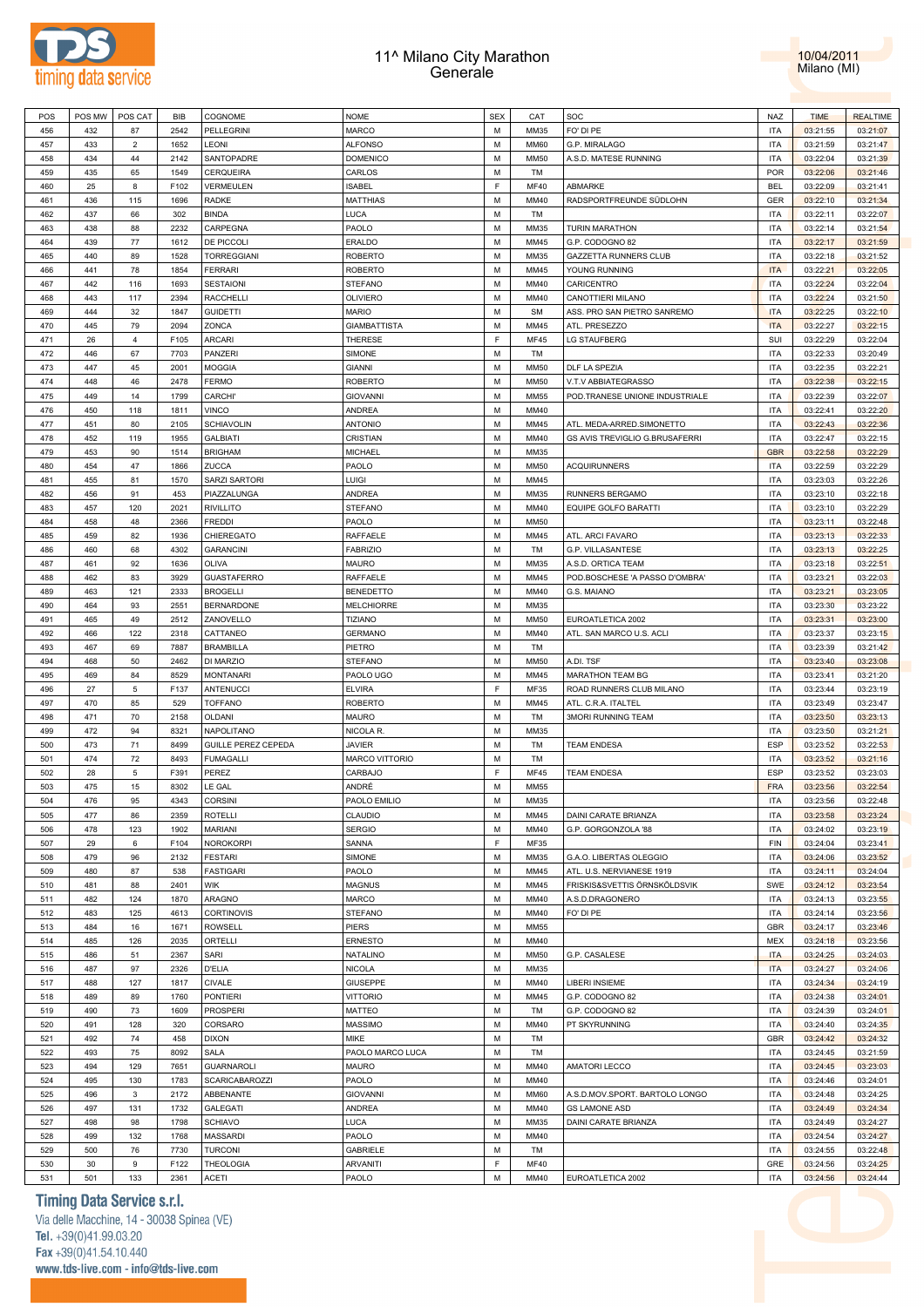



| POS | POS MW | POS CAT        | BIB  | COGNOME             | <b>NOME</b>           | <b>SEX</b> | CAT         | SOC                            | NAZ        | <b>TIME</b> | <b>REALTIME</b> |
|-----|--------|----------------|------|---------------------|-----------------------|------------|-------------|--------------------------------|------------|-------------|-----------------|
| 456 | 432    | 87             | 2542 | <b>PELLEGRINI</b>   | MARCO                 | M          | MM35        | FO' DI PE                      | <b>ITA</b> | 03:21:55    | 03:21:07        |
| 457 | 433    | $\overline{2}$ | 1652 | LEONI               | <b>ALFONSO</b>        | M          | MM60        | G.P. MIRALAGO                  | <b>ITA</b> | 03:21:59    | 03:21:47        |
| 458 | 434    | 44             | 2142 | SANTOPADRE          | <b>DOMENICO</b>       | M          | MM50        | A.S.D. MATESE RUNNING          | <b>ITA</b> | 03:22:04    | 03:21:39        |
| 459 | 435    | 65             | 1549 | CERQUEIRA           | CARLOS                | M          | TM          |                                | <b>POR</b> | 03:22:06    | 03:21:46        |
| 460 | 25     | 8              | F102 | VERMEULEN           |                       | F.         | <b>MF40</b> | ABMARKE                        | <b>BEL</b> |             |                 |
|     |        |                |      |                     | <b>ISABEL</b>         |            |             |                                |            | 03:22:09    | 03:21:41        |
| 461 | 436    | 115            | 1696 | <b>RADKE</b>        | MATTHIAS              | M          | MM40        | RADSPORTFREUNDE SÜDLOHN        | GER        | 03:22:10    | 03:21:34        |
| 462 | 437    | 66             | 302  | <b>BINDA</b>        | LUCA                  | M          | TM          |                                | <b>ITA</b> | 03:22:11    | 03:22:07        |
| 463 | 438    | 88             | 2232 | CARPEGNA            | PAOLO                 | M          | MM35        | <b>TURIN MARATHON</b>          | <b>ITA</b> | 03:22:14    | 03:21:54        |
| 464 | 439    | 77             | 1612 | DE PICCOLI          | ERALDO                | M          | MM45        | G.P. CODOGNO 82                | <b>ITA</b> | 03:22:17    | 03:21:59        |
| 465 | 440    | 89             | 1528 | <b>TORREGGIANI</b>  | ROBERTO               | М          | MM35        | <b>GAZZETTA RUNNERS CLUB</b>   | <b>ITA</b> | 03:22:18    | 03:21:52        |
| 466 | 441    | 78             | 1854 | <b>FERRARI</b>      | ROBERTO               | M          | MM45        | YOUNG RUNNING                  | <b>ITA</b> | 03:22:21    | 03:22:05        |
| 467 | 442    | 116            | 1693 | <b>SESTAIONI</b>    | STEFANO               | M          | MM40        | CARICENTRO                     | <b>ITA</b> | 03:22:24    | 03:22:04        |
|     |        |                |      |                     |                       |            |             | CANOTTIERI MILANO              |            |             |                 |
| 468 | 443    | 117            | 2394 | <b>RACCHELLI</b>    | OLIVIERO              | M          | MM40        |                                | <b>ITA</b> | 03:22:24    | 03:21:50        |
| 469 | 444    | 32             | 1847 | <b>GUIDETTI</b>     | <b>MARIO</b>          | M          | <b>SM</b>   | ASS. PRO SAN PIETRO SANREMO    | <b>ITA</b> | 03:22:25    | 03:22:10        |
| 470 | 445    | 79             | 2094 | ZONCA               | <b>GIAMBATTISTA</b>   | M          | MM45        | ATL. PRESEZZO                  | <b>ITA</b> | 03:22:27    | 03:22:15        |
| 471 | 26     | $\overline{4}$ | F105 | <b>ARCARI</b>       | THERESE               | F          | <b>MF45</b> | <b>LG STAUFBERG</b>            | SUI        | 03:22:29    | 03:22:04        |
| 472 | 446    | 67             | 7703 | PANZERI             | SIMONE                | M          | TM          |                                | <b>ITA</b> | 03:22:33    | 03:20:49        |
| 473 | 447    | 45             | 2001 | <b>MOGGIA</b>       | <b>GIANNI</b>         | M          | MM50        | DLF LA SPEZIA                  | <b>ITA</b> | 03:22:35    | 03:22:21        |
| 474 | 448    | 46             | 2478 | FERMO               | ROBERTO               | M          | MM50        | V.T.V ABBIATEGRASSO            | <b>ITA</b> | 03:22:38    | 03:22:15        |
| 475 | 449    | 14             | 1799 | <b>CARCHI</b> '     | <b>GIOVANNI</b>       | M          | MM55        | POD.TRANESE UNIONE INDUSTRIALE | <b>ITA</b> | 03:22:39    | 03:22:07        |
|     |        |                |      |                     |                       |            |             |                                |            |             |                 |
| 476 | 450    | 118            | 1811 | <b>VINCO</b>        | ANDREA                | M          | MM40        |                                | <b>ITA</b> | 03:22:41    | 03:22:20        |
| 477 | 451    | 80             | 2105 | <b>SCHIAVOLIN</b>   | <b>ANTONIO</b>        | М          | MM45        | ATL. MEDA-ARRED.SIMONETTO      | <b>ITA</b> | 03:22:43    | 03:22:36        |
| 478 | 452    | 119            | 1955 | <b>GALBIATI</b>     | CRISTIAN              | M          | MM40        | GS AVIS TREVIGLIO G.BRUSAFERRI | <b>ITA</b> | 03:22:47    | 03:22:15        |
| 479 | 453    | 90             | 1514 | <b>BRIGHAM</b>      | MICHAEL               | М          | MM35        |                                | <b>GBR</b> | 03:22:58    | 03:22:29        |
| 480 | 454    | 47             | 1866 | ZUCCA               | PAOLO                 | M          | MM50        | <b>ACQUIRUNNERS</b>            | <b>ITA</b> | 03:22:59    | 03:22:29        |
| 481 | 455    | 81             | 1570 | SARZI SARTORI       | Luigi                 | M          | MM45        |                                | <b>ITA</b> | 03:23:03    | 03:22:26        |
| 482 | 456    | 91             | 453  | PIAZZALUNGA         | ANDREA                | M          | MM35        | RUNNERS BERGAMO                | <b>ITA</b> | 03:23:10    | 03:22:18        |
| 483 | 457    | 120            | 2021 | <b>RIVILLITO</b>    | <b>STEFANO</b>        | M          | MM40        | EQUIPE GOLFO BARATTI           | <b>ITA</b> | 03:23:10    | 03:22:29        |
|     |        |                |      |                     |                       |            |             |                                |            |             |                 |
| 484 | 458    | 48             | 2366 | <b>FREDDI</b>       | PAOLO                 | M          | MM50        |                                | <b>ITA</b> | 03:23:11    | 03:22:48        |
| 485 | 459    | 82             | 1936 | CHIEREGATO          | RAFFAELE              | M          | MM45        | ATL. ARCI FAVARO               | <b>ITA</b> | 03:23:13    | 03:22:33        |
| 486 | 460    | 68             | 4302 | <b>GARANCINI</b>    | <b>FABRIZIO</b>       | M          | TM          | G.P. VILLASANTESE              | <b>ITA</b> | 03:23:13    | 03:22:25        |
| 487 | 461    | 92             | 1636 | <b>OLIVA</b>        | MAURO                 | M          | MM35        | A.S.D. ORTICA TEAM             | <b>ITA</b> | 03:23:18    | 03:22:51        |
| 488 | 462    | 83             | 3929 | <b>GUASTAFERRO</b>  | RAFFAELE              | M          | MM45        | POD.BOSCHESE 'A PASSO D'OMBRA' | <b>ITA</b> | 03:23:21    | 03:22:03        |
| 489 | 463    | 121            | 2333 | <b>BROGELLI</b>     | BENEDETTO             | М          | MM40        | G.S. MAIANO                    | <b>ITA</b> | 03:23:21    | 03:23:05        |
| 490 | 464    | 93             | 2551 | <b>BERNARDONE</b>   | <b>MELCHIORRE</b>     | M          | MM35        |                                | <b>ITA</b> | 03:23:30    | 03:23:22        |
|     |        |                |      |                     |                       |            |             |                                |            |             |                 |
| 491 | 465    | 49             | 2512 | ZANOVELLO           | <b>TIZIANO</b>        | М          | MM50        | EUROATLETICA 2002              | <b>ITA</b> | 03:23:31    | 03:23:00        |
| 492 | 466    | 122            | 2318 | CATTANEO            | <b>GERMANO</b>        | M          | MM40        | ATL. SAN MARCO U.S. ACLI       | <b>ITA</b> | 03:23:37    | 03:23:15        |
| 493 | 467    | 69             | 7887 | <b>BRAMBILLA</b>    | PIETRO                | М          | TM          |                                | <b>ITA</b> | 03:23:39    | 03:21:42        |
| 494 | 468    | 50             | 2462 | DI MARZIO           | STEFANO               | M          | MM50        | A.DI. TSF                      | <b>ITA</b> | 03:23:40    | 03:23:08        |
| 495 | 469    | 84             | 8529 | <b>MONTANARI</b>    | PAOLO UGO             | M          | MM45        | MARATHON TEAM BG               | <b>ITA</b> | 03:23:41    | 03:21:20        |
| 496 | 27     | 5              | F137 | <b>ANTENUCCI</b>    | <b>ELVIRA</b>         | F.         | MF35        | ROAD RUNNERS CLUB MILANO       | <b>ITA</b> | 03:23:44    | 03:23:19        |
| 497 | 470    | 85             | 529  | <b>TOFFANO</b>      | ROBERTO               | M          | MM45        | ATL. C.R.A. ITALTEL            | <b>ITA</b> | 03:23:49    | 03:23:47        |
| 498 | 471    | 70             | 2158 | <b>OLDANI</b>       | MAURO                 | M          | TM          | <b>3MORI RUNNING TEAM</b>      | <b>ITA</b> | 03:23:50    | 03:23:13        |
| 499 | 472    | 94             | 8321 | NAPOLITANO          | NICOLA R.             | M          | MM35        |                                | <b>ITA</b> | 03:23:50    | 03:21:21        |
|     |        |                |      |                     |                       |            |             |                                |            |             |                 |
| 500 | 473    | 71             | 8499 | GUILLE PEREZ CEPEDA | JAVIER                | M          | TM          | <b>TEAM ENDESA</b>             | <b>ESP</b> | 03:23:52    | 03:22:53        |
| 501 | 474    | 72             | 8493 | <b>FUMAGALLI</b>    | <b>MARCO VITTORIO</b> | М          | TM          |                                | <b>ITA</b> | 03:23:52    | 03:21:16        |
| 502 | 28     | 5              | F391 | PEREZ               | CARBAJO               | F          | <b>MF45</b> | <b>TEAM ENDESA</b>             | <b>ESP</b> | 03:23:52    | 03:23:03        |
| 503 | 475    | 15             | 8302 | LE GAL              | ANDRÉ                 | М          | MM55        |                                | <b>FRA</b> | 03:23:56    | 03:22:54        |
| 504 | 476    | 95             | 4343 | <b>CORSINI</b>      | PAOLO EMILIO          | M          | MM35        |                                | <b>ITA</b> | 03:23:56    | 03:22:48        |
| 505 | 477    | 86             | 2359 | <b>ROTELLI</b>      | CLAUDIO               | М          | MM45        | DAINI CARATE BRIANZA           | <b>ITA</b> | 03:23:58    | 03:23:24        |
| 506 | 478    | 123            | 1902 | <b>MARIANI</b>      | <b>SERGIO</b>         | M          | MM40        | G.P. GORGONZOLA '88            | <b>ITA</b> | 03:24:02    | 03:23:19        |
| 507 | 29     | 6              | F104 | <b>NOROKORPI</b>    | SANNA                 | F          | MF35        |                                | FIN        | 03:24:04    | 03:23:41        |
|     | 479    |                |      |                     |                       | M          |             | G.A.O. LIBERTAS OLEGGIO        |            |             |                 |
| 508 |        | 96             | 2132 | <b>FESTARI</b>      | SIMONE                |            | MM35        |                                | <b>ITA</b> | 03:24:06    | 03:23:52        |
| 509 | 480    | 87             | 538  | <b>FASTIGARI</b>    | PAOLO                 | М          | MM45        | ATL. U.S. NERVIANESE 1919      | <b>ITA</b> | 03:24:11    | 03:24:04        |
| 510 | 481    | 88             | 2401 | <b>WIK</b>          | MAGNUS                | M          | MM45        | FRISKIS&SVETTIS ÖRNSKÖLDSVIK   | SWE        | 03:24:12    | 03:23:54        |
| 511 | 482    | 124            | 1870 | ARAGNO              | MARCO                 | M          | MM40        | A.S.D.DRAGONERO                | <b>ITA</b> | 03:24:13    | 03:23:55        |
| 512 | 483    | 125            | 4613 | <b>CORTINOVIS</b>   | STEFANO               | M          | MM40        | FO' DI PE                      | <b>ITA</b> | 03:24:14    | 03:23:56        |
| 513 | 484    | 16             | 1671 | <b>ROWSELL</b>      | PIERS                 | М          | MM55        |                                | GBR        | 03:24:17    | 03:23:46        |
| 514 | 485    | 126            | 2035 | ORTELLI             | ERNESTO               | М          | MM40        |                                | MEX        | 03:24:18    | 03:23:56        |
| 515 | 486    | 51             | 2367 | SARI                | NATALINO              | М          | MM50        | G.P. CASALESE                  | <b>ITA</b> | 03:24:25    | 03:24:03        |
| 516 | 487    | 97             | 2326 | <b>D'ELIA</b>       | NICOLA                | M          | MM35        |                                | <b>ITA</b> | 03:24:27    | 03:24:06        |
|     |        |                |      |                     |                       |            |             |                                |            |             |                 |
| 517 | 488    | 127            | 1817 | CIVALE              | GIUSEPPE              | М          | MM40        | LIBERI INSIEME                 | <b>ITA</b> | 03:24:34    | 03:24:19        |
| 518 | 489    | 89             | 1760 | <b>PONTIERI</b>     | VITTORIO              | M          | MM45        | G.P. CODOGNO 82                | <b>ITA</b> | 03:24:38    | 03:24:01        |
| 519 | 490    | 73             | 1609 | <b>PROSPERI</b>     | MATTEO                | М          | TM          | G.P. CODOGNO 82                | <b>ITA</b> | 03:24:39    | 03:24:01        |
| 520 | 491    | 128            | 320  | CORSARO             | MASSIMO               | M          | MM40        | PT SKYRUNNING                  | <b>ITA</b> | 03:24:40    | 03:24:35        |
| 521 | 492    | 74             | 458  | <b>DIXON</b>        | MIKE                  | М          | TM          |                                | <b>GBR</b> | 03:24:42    | 03:24:32        |
| 522 | 493    | 75             | 8092 | SALA                | PAOLO MARCO LUCA      | M          | TM          |                                | <b>ITA</b> | 03:24:45    | 03:21:59        |
| 523 | 494    | 129            | 7651 | <b>GUARNAROLI</b>   | MAURO                 | M          | MM40        | <b>AMATORI LECCO</b>           | <b>ITA</b> | 03:24:45    | 03:23:03        |
| 524 | 495    | 130            | 1783 | SCARICABAROZZI      | PAOLO                 | M          | MM40        |                                | <b>ITA</b> | 03:24:46    | 03:24:01        |
|     | 496    | $\mathbf{3}$   |      |                     |                       | M          | MM60        |                                |            |             |                 |
| 525 |        |                | 2172 | ABBENANTE           | <b>GIOVANNI</b>       |            |             | A.S.D.MOV.SPORT. BARTOLO LONGO | <b>ITA</b> | 03:24:48    | 03:24:25        |
| 526 | 497    | 131            | 1732 | <b>GALEGATI</b>     | ANDREA                | M          | MM40        | <b>GS LAMONE ASD</b>           | <b>ITA</b> | 03:24:49    | 03:24:34        |
| 527 | 498    | 98             | 1798 | <b>SCHIAVO</b>      | LUCA                  | M          | MM35        | DAINI CARATE BRIANZA           | <b>ITA</b> | 03:24:49    | 03:24:27        |
| 528 | 499    | 132            | 1768 | MASSARDI            | PAOLO                 | M          | MM40        |                                | <b>ITA</b> | 03:24:54    | 03:24:27        |
| 529 | 500    | 76             | 7730 | <b>TURCONI</b>      | GABRIELE              | М          | TM          |                                | <b>ITA</b> | 03:24:55    | 03:22:48        |
| 530 | 30     | 9              | F122 | THEOLOGIA           | ARVANITI              | F          | <b>MF40</b> |                                | GRE        | 03:24:56    | 03:24:25        |
| 531 | 501    | 133            | 2361 | <b>ACETI</b>        | PAOLO                 | М          | MM40        | EUROATLETICA 2002              | <b>ITA</b> | 03:24:56    | 03:24:44        |
|     |        |                |      |                     |                       |            |             |                                |            |             |                 |

### **Timing Data Service s.r.l.**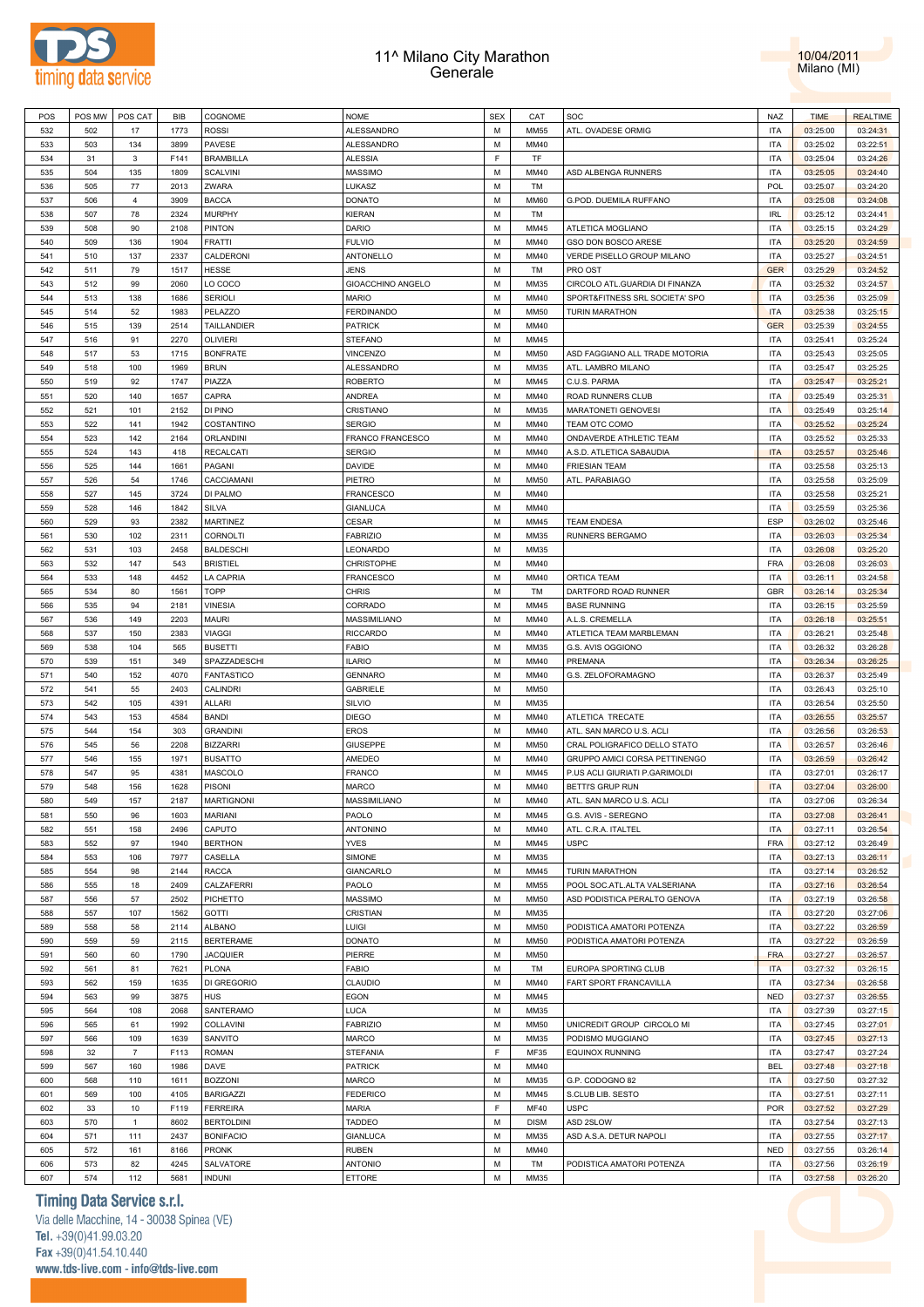



| POS<br>POS MW<br>COGNOME<br><b>NOME</b><br>CAT<br>BIB<br>532<br>1773<br><b>ROSSI</b><br>ALESSANDRO<br>М<br><b>MM55</b><br>502<br>17<br>ALESSANDRO<br>533<br>503<br>3899<br>PAVESE<br>MM40<br>134<br>м<br>F.<br>534<br>F141<br><b>BRAMBILLA</b><br><b>ALESSIA</b><br>TF<br>31<br>3<br>535<br>504<br><b>SCALVINI</b><br><b>MASSIMO</b><br>135<br>1809<br>м<br>MM40<br>536<br>2013<br>ZWARA<br>LUKASZ<br>М<br>505<br>77<br>TM<br>537<br>3909<br><b>BACCA</b><br><b>DONATO</b><br>506<br>м<br>MM60<br>4<br>538<br>78<br>2324<br><b>MURPHY</b><br>KIERAN<br>М<br>507<br>TM<br>539<br><b>PINTON</b><br>DARIO<br>508<br>90<br>2108<br>м<br>MM45<br>540<br><b>FRATTI</b><br><b>FULVIO</b><br>М<br>509<br>136<br>1904<br>MM40<br>541<br>2337<br>CALDERONI<br>ANTONELLO<br>510<br>137<br>м<br>MM40 | SOC<br>ATL. OVADESE ORMIG      | NAZ        | <b>TIME</b> | <b>REALTIME</b> |
|------------------------------------------------------------------------------------------------------------------------------------------------------------------------------------------------------------------------------------------------------------------------------------------------------------------------------------------------------------------------------------------------------------------------------------------------------------------------------------------------------------------------------------------------------------------------------------------------------------------------------------------------------------------------------------------------------------------------------------------------------------------------------------------|--------------------------------|------------|-------------|-----------------|
|                                                                                                                                                                                                                                                                                                                                                                                                                                                                                                                                                                                                                                                                                                                                                                                          |                                | <b>ITA</b> | 03:25:00    | 03:24:31        |
|                                                                                                                                                                                                                                                                                                                                                                                                                                                                                                                                                                                                                                                                                                                                                                                          |                                | <b>ITA</b> | 03:25:02    | 03:22:51        |
|                                                                                                                                                                                                                                                                                                                                                                                                                                                                                                                                                                                                                                                                                                                                                                                          |                                |            |             |                 |
|                                                                                                                                                                                                                                                                                                                                                                                                                                                                                                                                                                                                                                                                                                                                                                                          |                                | <b>ITA</b> | 03:25:04    | 03:24:26        |
|                                                                                                                                                                                                                                                                                                                                                                                                                                                                                                                                                                                                                                                                                                                                                                                          | ASD ALBENGA RUNNERS            | <b>ITA</b> | 03:25:05    | 03:24:40        |
|                                                                                                                                                                                                                                                                                                                                                                                                                                                                                                                                                                                                                                                                                                                                                                                          |                                | <b>POL</b> | 03:25:07    | 03:24:20        |
|                                                                                                                                                                                                                                                                                                                                                                                                                                                                                                                                                                                                                                                                                                                                                                                          | G.POD. DUEMILA RUFFANO         | <b>ITA</b> | 03:25:08    | 03:24:08        |
|                                                                                                                                                                                                                                                                                                                                                                                                                                                                                                                                                                                                                                                                                                                                                                                          |                                | IRL        | 03:25:12    | 03:24:41        |
|                                                                                                                                                                                                                                                                                                                                                                                                                                                                                                                                                                                                                                                                                                                                                                                          | ATLETICA MOGLIANO              | ITA        | 03:25:15    | 03:24:29        |
|                                                                                                                                                                                                                                                                                                                                                                                                                                                                                                                                                                                                                                                                                                                                                                                          | GSO DON BOSCO ARESE            | <b>ITA</b> | 03:25:20    | 03:24:59        |
|                                                                                                                                                                                                                                                                                                                                                                                                                                                                                                                                                                                                                                                                                                                                                                                          | VERDE PISELLO GROUP MILANO     | <b>ITA</b> | 03:25:27    | 03:24:51        |
| 542<br><b>JENS</b><br>М<br>511<br>79<br>1517<br>HESSE<br>TM                                                                                                                                                                                                                                                                                                                                                                                                                                                                                                                                                                                                                                                                                                                              | PRO OST                        | <b>GER</b> | 03:25:29    | 03:24:52        |
| 543<br>2060<br>LO COCO<br>GIOACCHINO ANGELO<br>512<br>99<br>М<br>MM35                                                                                                                                                                                                                                                                                                                                                                                                                                                                                                                                                                                                                                                                                                                    | CIRCOLO ATL.GUARDIA DI FINANZA | <b>ITA</b> | 03:25:32    | 03:24:57        |
|                                                                                                                                                                                                                                                                                                                                                                                                                                                                                                                                                                                                                                                                                                                                                                                          |                                |            |             |                 |
| 544<br>SERIOLI<br><b>MARIO</b><br>М<br>MM40<br>513<br>138<br>1686                                                                                                                                                                                                                                                                                                                                                                                                                                                                                                                                                                                                                                                                                                                        | SPORT&FITNESS SRL SOCIETA' SPO | <b>ITA</b> | 03:25:36    | 03:25:09        |
| PELAZZO<br>545<br>514<br>52<br><b>FERDINANDO</b><br>1983<br>м<br><b>MM50</b>                                                                                                                                                                                                                                                                                                                                                                                                                                                                                                                                                                                                                                                                                                             | <b>TURIN MARATHON</b>          | <b>ITA</b> | 03:25:38    | 03:25:15        |
| TAILLANDIER<br>546<br>2514<br><b>PATRICK</b><br>М<br>515<br>139<br>MM40                                                                                                                                                                                                                                                                                                                                                                                                                                                                                                                                                                                                                                                                                                                  |                                | <b>GER</b> | 03:25:39    | 03:24:55        |
| 547<br>2270<br><b>OLIVIERI</b><br>STEFANO<br>516<br>91<br>м<br>MM45                                                                                                                                                                                                                                                                                                                                                                                                                                                                                                                                                                                                                                                                                                                      |                                | <b>ITA</b> | 03:25:41    | 03:25:24        |
| 548<br>1715<br><b>VINCENZO</b><br>М<br>517<br>53<br><b>BONFRATE</b><br><b>MM50</b>                                                                                                                                                                                                                                                                                                                                                                                                                                                                                                                                                                                                                                                                                                       | ASD FAGGIANO ALL TRADE MOTORIA | <b>ITA</b> | 03:25:43    | 03:25:05        |
| 549<br>1969<br>ALESSANDRO<br>518<br>100<br><b>BRUN</b><br>м<br>MM35                                                                                                                                                                                                                                                                                                                                                                                                                                                                                                                                                                                                                                                                                                                      | ATL. LAMBRO MILANO             | ITA        | 03:25:47    | 03:25:25        |
| 550<br>1747<br>PIAZZA<br>ROBERTO<br>М<br>519<br>92<br>MM45                                                                                                                                                                                                                                                                                                                                                                                                                                                                                                                                                                                                                                                                                                                               | C.U.S. PARMA                   | ITA        | 03:25:47    | 03:25:21        |
| CAPRA<br>ANDREA<br>551<br>520<br>140<br>1657<br>м<br>MM40                                                                                                                                                                                                                                                                                                                                                                                                                                                                                                                                                                                                                                                                                                                                | ROAD RUNNERS CLUB              | ITA        | 03:25:49    | 03:25:31        |
| 552<br>DI PINO<br>CRISTIANO<br>М<br>521<br>101<br>2152<br>MM35                                                                                                                                                                                                                                                                                                                                                                                                                                                                                                                                                                                                                                                                                                                           | MARATONETI GENOVESI            | <b>ITA</b> | 03:25:49    | 03:25:14        |
|                                                                                                                                                                                                                                                                                                                                                                                                                                                                                                                                                                                                                                                                                                                                                                                          |                                |            |             |                 |
| 553<br>COSTANTINO<br><b>SERGIO</b><br>522<br>141<br>1942<br>м<br>MM40                                                                                                                                                                                                                                                                                                                                                                                                                                                                                                                                                                                                                                                                                                                    | TEAM OTC COMO                  | <b>ITA</b> | 03:25:52    | 03:25:24        |
| 554<br>2164<br><b>ORLANDINI</b><br>FRANCO FRANCESCO<br>М<br>523<br>142<br>MM40                                                                                                                                                                                                                                                                                                                                                                                                                                                                                                                                                                                                                                                                                                           | ONDAVERDE ATHLETIC TEAM        | <b>ITA</b> | 03:25:52    | 03:25:33        |
| 555<br><b>RECALCATI</b><br><b>SERGIO</b><br>524<br>143<br>418<br>М<br>MM40                                                                                                                                                                                                                                                                                                                                                                                                                                                                                                                                                                                                                                                                                                               | A.S.D. ATLETICA SABAUDIA       | <b>ITA</b> | 03:25:57    | 03:25:46        |
| 556<br>DAVIDE<br>М<br>525<br>144<br>1661<br>PAGANI<br>MM40                                                                                                                                                                                                                                                                                                                                                                                                                                                                                                                                                                                                                                                                                                                               | <b>FRIESIAN TEAM</b>           | <b>ITA</b> | 03:25:58    | 03:25:13        |
| 557<br>54<br>1746<br>CACCIAMANI<br>PIETRO<br>526<br>М<br><b>MM50</b>                                                                                                                                                                                                                                                                                                                                                                                                                                                                                                                                                                                                                                                                                                                     | ATL. PARABIAGO                 | <b>ITA</b> | 03:25:58    | 03:25:09        |
| 558<br>527<br>3724<br>DI PALMO<br><b>FRANCESCO</b><br>М<br>145<br>MM40                                                                                                                                                                                                                                                                                                                                                                                                                                                                                                                                                                                                                                                                                                                   |                                | <b>ITA</b> | 03:25:58    | 03:25:21        |
| 559<br>1842<br>SILVA<br><b>GIANLUCA</b><br>528<br>146<br>м<br>MM40                                                                                                                                                                                                                                                                                                                                                                                                                                                                                                                                                                                                                                                                                                                       |                                | <b>ITA</b> | 03:25:59    | 03:25:36        |
| 560<br>2382<br>MARTINEZ<br>CESAR<br>М<br>MM45<br>529<br>93                                                                                                                                                                                                                                                                                                                                                                                                                                                                                                                                                                                                                                                                                                                               | <b>TEAM ENDESA</b>             | ESP        | 03:26:02    | 03:25:46        |
| 561<br>2311<br>CORNOLTI<br><b>FABRIZIO</b><br>530<br>102<br>м<br>MM35                                                                                                                                                                                                                                                                                                                                                                                                                                                                                                                                                                                                                                                                                                                    | RUNNERS BERGAMO                | ITA        | 03:26:03    | 03:25:34        |
|                                                                                                                                                                                                                                                                                                                                                                                                                                                                                                                                                                                                                                                                                                                                                                                          |                                |            |             |                 |
| 562<br>2458<br><b>BALDESCHI</b><br>LEONARDO<br>М<br>531<br>103<br>MM35                                                                                                                                                                                                                                                                                                                                                                                                                                                                                                                                                                                                                                                                                                                   |                                | ITA        | 03:26:08    | 03:25:20        |
| 563<br>CHRISTOPHE<br>532<br>147<br>543<br><b>BRISTIEL</b><br>м<br>MM40                                                                                                                                                                                                                                                                                                                                                                                                                                                                                                                                                                                                                                                                                                                   |                                | <b>FRA</b> | 03:26:08    | 03:26:03        |
| 564<br>LA CAPRIA<br>М<br>533<br>148<br>4452<br>FRANCESCO<br>MM40                                                                                                                                                                                                                                                                                                                                                                                                                                                                                                                                                                                                                                                                                                                         | ORTICA TEAM                    | ITA        | 03:26:11    | 03:24:58        |
| <b>TOPP</b><br>565<br>534<br>80<br>1561<br><b>CHRIS</b><br>м<br>TM                                                                                                                                                                                                                                                                                                                                                                                                                                                                                                                                                                                                                                                                                                                       | DARTFORD ROAD RUNNER           | GBR        | 03:26:14    | 03:25:34        |
| 566<br><b>VINESIA</b><br>CORRADO<br>М<br>535<br>94<br>2181<br>MM45                                                                                                                                                                                                                                                                                                                                                                                                                                                                                                                                                                                                                                                                                                                       | <b>BASE RUNNING</b>            | ITA        | 03:26:15    | 03:25:59        |
| 567<br><b>MAURI</b><br>MASSIMILIANO<br>536<br>149<br>2203<br>М<br>MM40                                                                                                                                                                                                                                                                                                                                                                                                                                                                                                                                                                                                                                                                                                                   | A.L.S. CREMELLA                | <b>ITA</b> | 03:26:18    | 03:25:51        |
| 568<br>2383<br><b>VIAGGI</b><br><b>RICCARDO</b><br>М<br>537<br>150<br>MM40                                                                                                                                                                                                                                                                                                                                                                                                                                                                                                                                                                                                                                                                                                               | ATLETICA TEAM MARBLEMAN        | <b>ITA</b> | 03:26:21    | 03:25:48        |
| 569<br><b>BUSETTI</b><br>FABIO<br>538<br>104<br>565<br>М<br>MM35                                                                                                                                                                                                                                                                                                                                                                                                                                                                                                                                                                                                                                                                                                                         | G.S. AVIS OGGIONO              | <b>ITA</b> | 03:26:32    | 03:26:28        |
| SPAZZADESCHI<br>570<br><b>ILARIO</b><br>М<br>539<br>151<br>349<br>MM40                                                                                                                                                                                                                                                                                                                                                                                                                                                                                                                                                                                                                                                                                                                   | PREMANA                        | <b>ITA</b> | 03:26:34    | 03:26:25        |
| 571<br><b>FANTASTICO</b><br><b>GENNARO</b><br>540<br>152<br>4070<br>м<br>MM40                                                                                                                                                                                                                                                                                                                                                                                                                                                                                                                                                                                                                                                                                                            | G.S. ZELOFORAMAGNO             | <b>ITA</b> | 03:26:37    | 03:25:49        |
|                                                                                                                                                                                                                                                                                                                                                                                                                                                                                                                                                                                                                                                                                                                                                                                          |                                |            |             |                 |
| 572<br>55<br>2403<br>CALINDRI<br><b>GABRIELE</b><br>М<br>541<br>MM50                                                                                                                                                                                                                                                                                                                                                                                                                                                                                                                                                                                                                                                                                                                     |                                | <b>ITA</b> | 03:26:43    | 03:25:10        |
| 573<br>4391<br>ALLARI<br>SILVIO<br>542<br>105<br>м<br>MM35                                                                                                                                                                                                                                                                                                                                                                                                                                                                                                                                                                                                                                                                                                                               |                                | <b>ITA</b> | 03:26:54    | 03:25:50        |
| 574<br>4584<br><b>BANDI</b><br><b>DIEGO</b><br>М<br>543<br>153<br>MM40                                                                                                                                                                                                                                                                                                                                                                                                                                                                                                                                                                                                                                                                                                                   | ATLETICA TRECATE               | <b>ITA</b> | 03:26:55    | 03:25:57        |
| 575<br><b>GRANDINI</b><br><b>EROS</b><br>544<br>154<br>303<br>м<br>MM40                                                                                                                                                                                                                                                                                                                                                                                                                                                                                                                                                                                                                                                                                                                  | ATL. SAN MARCO U.S. ACLI       | <b>ITA</b> | 03:26:56    | 03:26:53        |
| 576<br><b>BIZZARRI</b><br><b>GIUSEPPE</b><br>М<br>545<br>56<br>2208<br><b>MM50</b>                                                                                                                                                                                                                                                                                                                                                                                                                                                                                                                                                                                                                                                                                                       | CRAL POLIGRAFICO DELLO STATO   | <b>ITA</b> | 03:26:57    | 03:26:46        |
|                                                                                                                                                                                                                                                                                                                                                                                                                                                                                                                                                                                                                                                                                                                                                                                          | GRUPPO AMICI CORSA PETTINENGO  | ITA        | 03:26:59    | 03:26:42        |
| <b>BUSATTO</b><br>AMEDEO<br>577<br>546<br>155<br>1971<br>MM40<br>м                                                                                                                                                                                                                                                                                                                                                                                                                                                                                                                                                                                                                                                                                                                       | P.US ACLI GIURIATI P.GARIMOLDI | <b>ITA</b> |             |                 |
| 578<br>MASCOLO<br>FRANCO<br>М<br>547<br>95<br>4381<br>MM45                                                                                                                                                                                                                                                                                                                                                                                                                                                                                                                                                                                                                                                                                                                               | BETTI'S GRUP RUN               | <b>ITA</b> | 03:27:01    | 03:26:17        |
|                                                                                                                                                                                                                                                                                                                                                                                                                                                                                                                                                                                                                                                                                                                                                                                          | ATL. SAN MARCO U.S. ACLI       |            |             |                 |
| 579<br>М<br>548<br>156<br>1628<br><b>PISONI</b><br>MARCO<br>MM40                                                                                                                                                                                                                                                                                                                                                                                                                                                                                                                                                                                                                                                                                                                         |                                |            | 03:27:04    | 03:26:00        |
| 580<br>2187<br>М<br>549<br>157<br><b>MARTIGNONI</b><br>MASSIMILIANO<br>MM40                                                                                                                                                                                                                                                                                                                                                                                                                                                                                                                                                                                                                                                                                                              |                                | <b>ITA</b> | 03:27:06    | 03:26:34        |
| PAOLO<br>581<br>550<br>96<br><b>MARIANI</b><br>М<br>1603<br>MM45                                                                                                                                                                                                                                                                                                                                                                                                                                                                                                                                                                                                                                                                                                                         | G.S. AVIS - SEREGNO            | <b>ITA</b> | 03:27:08    | 03:26:41        |
| CAPUTO<br>ANTONINO<br>M<br>582<br>551<br>158<br>2496<br>MM40                                                                                                                                                                                                                                                                                                                                                                                                                                                                                                                                                                                                                                                                                                                             | ATL. C.R.A. ITALTEL            | <b>ITA</b> | 03:27:11    | 03:26:54        |
| 97<br><b>BERTHON</b><br>583<br>552<br>1940<br><b>YVES</b><br>М<br>MM45                                                                                                                                                                                                                                                                                                                                                                                                                                                                                                                                                                                                                                                                                                                   | <b>USPC</b>                    | <b>FRA</b> | 03:27:12    | 03:26:49        |
| 584<br>7977<br>М<br>553<br>106<br>CASELLA<br>SIMONE<br>MM35                                                                                                                                                                                                                                                                                                                                                                                                                                                                                                                                                                                                                                                                                                                              |                                | <b>ITA</b> | 03:27:13    | 03:26:11        |
| <b>RACCA</b><br>GIANCARLO<br>585<br>554<br>98<br>2144<br>М<br>MM45                                                                                                                                                                                                                                                                                                                                                                                                                                                                                                                                                                                                                                                                                                                       | <b>TURIN MARATHON</b>          | <b>ITA</b> | 03:27:14    | 03:26:52        |
| CALZAFERRI<br>М<br>586<br>555<br>18<br>2409<br>PAOLO<br><b>MM55</b>                                                                                                                                                                                                                                                                                                                                                                                                                                                                                                                                                                                                                                                                                                                      | POOL SOC.ATL.ALTA VALSERIANA   | <b>ITA</b> | 03:27:16    | 03:26:54        |
| 587<br>57<br>2502<br>PICHETTO<br>MASSIMO<br>М<br>556<br><b>MM50</b>                                                                                                                                                                                                                                                                                                                                                                                                                                                                                                                                                                                                                                                                                                                      | ASD PODISTICA PERALTO GENOVA   | <b>ITA</b> | 03:27:19    | 03:26:58        |
|                                                                                                                                                                                                                                                                                                                                                                                                                                                                                                                                                                                                                                                                                                                                                                                          |                                |            |             |                 |
| CRISTIAN<br>М<br>588<br>557<br>107<br>1562<br><b>GOTTI</b><br>MM35                                                                                                                                                                                                                                                                                                                                                                                                                                                                                                                                                                                                                                                                                                                       |                                | <b>ITA</b> | 03:27:20    | 03:27:06        |
| 589<br>58<br>2114<br><b>ALBANO</b><br>Luigi<br>М<br>558<br><b>MM50</b>                                                                                                                                                                                                                                                                                                                                                                                                                                                                                                                                                                                                                                                                                                                   | PODISTICA AMATORI POTENZA      | <b>ITA</b> | 03:27:22    | 03:26:59        |
| М<br>590<br>559<br>59<br>2115<br><b>BERTERAME</b><br>DONATO<br><b>MM50</b>                                                                                                                                                                                                                                                                                                                                                                                                                                                                                                                                                                                                                                                                                                               | PODISTICA AMATORI POTENZA      | <b>ITA</b> | 03:27:22    | 03:26:59        |
| PIERRE<br>591<br>560<br>60<br>1790<br><b>JACQUIER</b><br>М<br><b>MM50</b>                                                                                                                                                                                                                                                                                                                                                                                                                                                                                                                                                                                                                                                                                                                |                                | <b>FRA</b> | 03:27:27    | 03:26:57        |
| 592<br><b>PLONA</b><br><b>FABIO</b><br>М<br>561<br>81<br>7621<br>TM                                                                                                                                                                                                                                                                                                                                                                                                                                                                                                                                                                                                                                                                                                                      | EUROPA SPORTING CLUB           | <b>ITA</b> | 03:27:32    | 03:26:15        |
| DI GREGORIO<br>593<br>562<br>159<br>1635<br>CLAUDIO<br>М<br>MM40                                                                                                                                                                                                                                                                                                                                                                                                                                                                                                                                                                                                                                                                                                                         | FART SPORT FRANCAVILLA         | <b>ITA</b> | 03:27:34    | 03:26:58        |
| 594<br>M<br>563<br>99<br>3875<br><b>HUS</b><br>EGON<br>MM45                                                                                                                                                                                                                                                                                                                                                                                                                                                                                                                                                                                                                                                                                                                              |                                | <b>NED</b> | 03:27:37    | 03:26:55        |
| 595<br>564<br>108<br>2068<br>SANTERAMO<br>LUCA<br>М<br>MM35                                                                                                                                                                                                                                                                                                                                                                                                                                                                                                                                                                                                                                                                                                                              |                                | <b>ITA</b> | 03:27:39    | 03:27:15        |
| 596<br><b>FABRIZIO</b><br>M<br>565<br>61<br>1992<br>COLLAVINI<br><b>MM50</b>                                                                                                                                                                                                                                                                                                                                                                                                                                                                                                                                                                                                                                                                                                             | UNICREDIT GROUP CIRCOLO MI     | <b>ITA</b> | 03:27:45    | 03:27:01        |
| 597<br>566<br>109<br>1639<br>SANVITO<br>MARCO<br>М<br>MM35                                                                                                                                                                                                                                                                                                                                                                                                                                                                                                                                                                                                                                                                                                                               | PODISMO MUGGIANO               | <b>ITA</b> | 03:27:45    | 03:27:13        |
|                                                                                                                                                                                                                                                                                                                                                                                                                                                                                                                                                                                                                                                                                                                                                                                          |                                |            |             |                 |
| F<br>598<br>32<br>$\boldsymbol{7}$<br>F113<br><b>ROMAN</b><br><b>STEFANIA</b><br>MF35                                                                                                                                                                                                                                                                                                                                                                                                                                                                                                                                                                                                                                                                                                    | <b>EQUINOX RUNNING</b>         | <b>ITA</b> | 03:27:47    | 03:27:24        |
| 599<br>567<br>160<br>1986<br>DAVE<br><b>PATRICK</b><br>М<br>MM40                                                                                                                                                                                                                                                                                                                                                                                                                                                                                                                                                                                                                                                                                                                         |                                | <b>BEL</b> | 03:27:48    | 03:27:18        |
| 600<br><b>BOZZONI</b><br>MARCO<br>М<br>568<br>110<br>1611<br>MM35                                                                                                                                                                                                                                                                                                                                                                                                                                                                                                                                                                                                                                                                                                                        | G.P. CODOGNO 82                | <b>ITA</b> | 03:27:50    | 03:27:32        |
| <b>BARIGAZZI</b><br>601<br>569<br>100<br>4105<br><b>FEDERICO</b><br>М<br>MM45                                                                                                                                                                                                                                                                                                                                                                                                                                                                                                                                                                                                                                                                                                            | S.CLUB LIB. SESTO              | <b>ITA</b> | 03:27:51    | 03:27:11        |
| F<br>602<br>33<br>10<br>F119<br><b>FERREIRA</b><br>MARIA<br><b>MF40</b>                                                                                                                                                                                                                                                                                                                                                                                                                                                                                                                                                                                                                                                                                                                  | <b>USPC</b>                    | POR        | 03:27:52    | 03:27:29        |
| 603<br>570<br>8602<br><b>BERTOLDINI</b><br><b>TADDEO</b><br>М<br><b>DISM</b><br>1                                                                                                                                                                                                                                                                                                                                                                                                                                                                                                                                                                                                                                                                                                        | ASD 2SLOW                      | <b>ITA</b> | 03:27:54    | 03:27:13        |
| 604<br>M<br>571<br>111<br>2437<br><b>BONIFACIO</b><br><b>GIANLUCA</b><br>MM35                                                                                                                                                                                                                                                                                                                                                                                                                                                                                                                                                                                                                                                                                                            | ASD A.S.A. DETUR NAPOLI        | <b>ITA</b> | 03:27:55    | 03:27:17        |
| 605<br>572<br>161<br>8166<br><b>PRONK</b><br><b>RUBEN</b><br>М<br>MM40                                                                                                                                                                                                                                                                                                                                                                                                                                                                                                                                                                                                                                                                                                                   |                                | <b>NED</b> | 03:27:55    | 03:26:14        |
| М<br>606<br>573<br>82<br>4245<br>SALVATORE<br><b>ANTONIO</b><br>TM                                                                                                                                                                                                                                                                                                                                                                                                                                                                                                                                                                                                                                                                                                                       | PODISTICA AMATORI POTENZA      | <b>ITA</b> | 03:27:56    | 03:26:19        |

### **Timing Data Service s.r.l.**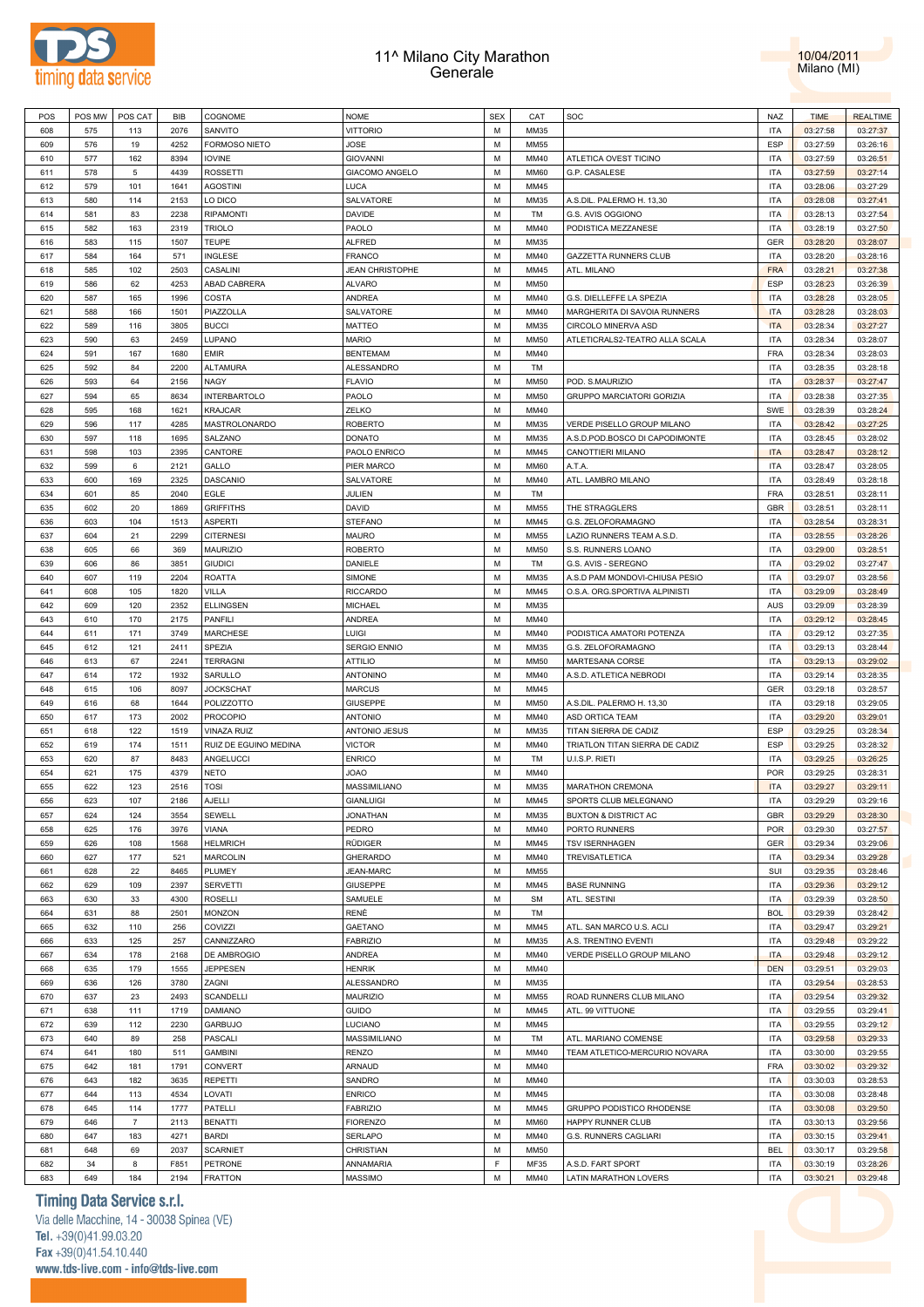



| POS | POS MW | POS CAT        | <b>BIB</b> | COGNOME               | <b>NOME</b>            | <b>SEX</b> | CAT         | SOC                              | <b>NAZ</b> | <b>TIME</b> | <b>REALTIME</b> |
|-----|--------|----------------|------------|-----------------------|------------------------|------------|-------------|----------------------------------|------------|-------------|-----------------|
| 608 | 575    | 113            | 2076       | SANVITO               | <b>VITTORIO</b>        | M          | MM35        |                                  | <b>ITA</b> | 03:27:58    | 03:27:37        |
|     |        |                |            |                       |                        |            |             |                                  |            |             |                 |
| 609 | 576    | 19             | 4252       | FORMOSO NIETO         | <b>JOSE</b>            | M          | <b>MM55</b> |                                  | <b>ESP</b> | 03:27:59    | 03:26:16        |
| 610 | 577    | 162            | 8394       | <b>IOVINE</b>         | <b>GIOVANNI</b>        | M          | MM40        | ATLETICA OVEST TICINO            | <b>ITA</b> | 03:27:59    | 03:26:51        |
| 611 | 578    | 5              | 4439       | <b>ROSSETTI</b>       | GIACOMO ANGELO         | M          | MM60        | G.P. CASALESE                    | <b>ITA</b> | 03:27:59    | 03:27:14        |
| 612 | 579    | 101            | 1641       | <b>AGOSTINI</b>       | LUCA                   | M          | MM45        |                                  | <b>ITA</b> | 03:28:06    | 03:27:29        |
| 613 | 580    | 114            | 2153       | LO DICO               | <b>SALVATORE</b>       | M          | MM35        | A.S.DIL. PALERMO H. 13,30        | <b>ITA</b> | 03:28:08    | 03:27:41        |
|     |        |                |            |                       |                        |            |             |                                  |            |             |                 |
| 614 | 581    | 83             | 2238       | <b>RIPAMONTI</b>      | <b>DAVIDE</b>          | M          | TM          | G.S. AVIS OGGIONO                | <b>ITA</b> | 03:28:13    | 03:27:54        |
| 615 | 582    | 163            | 2319       | <b>TRIOLO</b>         | PAOLO                  | M          | MM40        | PODISTICA MEZZANESE              | <b>ITA</b> | 03:28:19    | 03:27:50        |
| 616 | 583    | 115            | 1507       | <b>TEUPE</b>          | <b>ALFRED</b>          | M          | MM35        |                                  | GER        | 03:28:20    | 03:28:07        |
| 617 | 584    | 164            | 571        | INGLESE               | FRANCO                 | M          | MM40        | GAZZETTA RUNNERS CLUB            | <b>ITA</b> | 03:28:20    | 03:28:16        |
|     |        |                |            |                       | <b>JEAN CHRISTOPHE</b> | M          |             |                                  |            |             |                 |
| 618 | 585    | 102            | 2503       | CASALINI              |                        |            | MM45        | ATL. MILANO                      | <b>FRA</b> | 03:28:21    | 03:27:38        |
| 619 | 586    | 62             | 4253       | ABAD CABRERA          | <b>ALVARO</b>          | M          | MM50        |                                  | ESP        | 03:28:23    | 03:26:39        |
| 620 | 587    | 165            | 1996       | COSTA                 | <b>ANDREA</b>          | M          | MM40        | G.S. DIELLEFFE LA SPEZIA         | <b>ITA</b> | 03:28:28    | 03:28:05        |
| 621 | 588    | 166            | 1501       | PIAZZOLLA             | SALVATORE              | M          | MM40        | MARGHERITA DI SAVOIA RUNNERS     | <b>ITA</b> | 03:28:28    | 03:28:03        |
| 622 | 589    | 116            | 3805       | <b>BUCCI</b>          | MATTEO                 | M          | MM35        | CIRCOLO MINERVA ASD              | <b>ITA</b> | 03:28:34    | 03:27:27        |
|     |        |                |            |                       |                        | M          |             |                                  |            |             |                 |
| 623 | 590    | 63             | 2459       | LUPANO                | <b>MARIO</b>           |            | MM50        | ATLETICRALS2-TEATRO ALLA SCALA   | <b>ITA</b> | 03:28:34    | 03:28:07        |
| 624 | 591    | 167            | 1680       | <b>EMIR</b>           | <b>BENTEMAM</b>        | M          | MM40        |                                  | FRA        | 03:28:34    | 03:28:03        |
| 625 | 592    | 84             | 2200       | ALTAMURA              | <b>ALESSANDRO</b>      | M          | <b>TM</b>   |                                  | <b>ITA</b> | 03:28:35    | 03:28:18        |
| 626 | 593    | 64             | 2156       | <b>NAGY</b>           | <b>FLAVIO</b>          | M          | MM50        | POD. S.MAURIZIO                  | <b>ITA</b> | 03:28:37    | 03:27:47        |
| 627 | 594    | 65             | 8634       | <b>INTERBARTOLO</b>   | PAOLO                  | M          | MM50        | <b>GRUPPO MARCIATORI GORIZIA</b> | <b>ITA</b> | 03:28:38    | 03:27:35        |
|     |        |                |            |                       |                        |            |             |                                  |            |             |                 |
| 628 | 595    | 168            | 1621       | <b>KRAJCAR</b>        | ZELKO                  | M          | MM40        |                                  | SWE        | 03:28:39    | 03:28:24        |
| 629 | 596    | 117            | 4285       | MASTROLONARDO         | <b>ROBERTO</b>         | M          | MM35        | VERDE PISELLO GROUP MILANO       | <b>ITA</b> | 03:28:42    | 03:27:25        |
| 630 | 597    | 118            | 1695       | SALZANO               | DONATO                 | M          | MM35        | A.S.D.POD.BOSCO DI CAPODIMONTE   | <b>ITA</b> | 03:28:45    | 03:28:02        |
| 631 | 598    | 103            | 2395       | CANTORE               | PAOLO ENRICO           | M          | MM45        | CANOTTIERI MILANO                | <b>ITA</b> | 03:28:47    | 03:28:12        |
| 632 | 599    | 6              | 2121       | GALLO                 | PIER MARCO             | M          | MM60        | A.T.A.                           | <b>ITA</b> | 03:28:47    | 03:28:05        |
|     |        |                |            |                       |                        |            |             |                                  |            |             |                 |
| 633 | 600    | 169            | 2325       | <b>DASCANIO</b>       | SALVATORE              | M          | MM40        | ATL. LAMBRO MILANO               | <b>ITA</b> | 03:28:49    | 03:28:18        |
| 634 | 601    | 85             | 2040       | EGLE                  | JULIEN                 | M          | TM          |                                  | <b>FRA</b> | 03:28:51    | 03:28:11        |
| 635 | 602    | 20             | 1869       | <b>GRIFFITHS</b>      | DAVID                  | M          | MM55        | THE STRAGGLERS                   | <b>GBR</b> | 03:28:51    | 03:28:11        |
| 636 | 603    | 104            | 1513       | <b>ASPERTI</b>        | <b>STEFANO</b>         | M          | MM45        | G.S. ZELOFORAMAGNO               | <b>ITA</b> | 03:28:54    | 03:28:31        |
| 637 | 604    | 21             | 2299       | <b>CITERNESI</b>      | MAURO                  | M          | MM55        | LAZIO RUNNERS TEAM A.S.D.        | <b>ITA</b> | 03:28:55    | 03:28:26        |
|     |        |                |            |                       |                        |            |             |                                  |            |             |                 |
| 638 | 605    | 66             | 369        | <b>MAURIZIO</b>       | <b>ROBERTO</b>         | M          | <b>MM50</b> | S.S. RUNNERS LOANO               | <b>ITA</b> | 03:29:00    | 03:28:51        |
| 639 | 606    | 86             | 3851       | <b>GIUDICI</b>        | DANIELE                | M          | TM          | G.S. AVIS - SEREGNO              | <b>ITA</b> | 03:29:02    | 03:27:47        |
| 640 | 607    | 119            | 2204       | <b>ROATTA</b>         | SIMONE                 | M          | MM35        | A.S.D PAM MONDOVI-CHIUSA PESIO   | <b>ITA</b> | 03:29:07    | 03:28:56        |
| 641 | 608    | 105            | 1820       | VILLA                 | <b>RICCARDO</b>        | M          | MM45        | O.S.A. ORG.SPORTIVA ALPINISTI    | <b>ITA</b> | 03:29:09    | 03:28:49        |
|     |        |                |            |                       |                        | M          |             |                                  |            |             |                 |
| 642 | 609    | 120            | 2352       | <b>ELLINGSEN</b>      | MICHAEL                |            | MM35        |                                  | <b>AUS</b> | 03:29:09    | 03:28:39        |
| 643 | 610    | 170            | 2175       | PANFILI               | ANDREA                 | M          | MM40        |                                  | <b>ITA</b> | 03:29:12    | 03:28:45        |
| 644 | 611    | 171            | 3749       | <b>MARCHESE</b>       | LUIGI                  | M          | MM40        | PODISTICA AMATORI POTENZA        | <b>ITA</b> | 03:29:12    | 03:27:35        |
| 645 | 612    | 121            | 2411       | SPEZIA                | <b>SERGIO ENNIO</b>    | M          | MM35        | G.S. ZELOFORAMAGNO               | <b>ITA</b> | 03:29:13    | 03:28:44        |
| 646 | 613    | 67             | 2241       | <b>TERRAGNI</b>       | <b>ATTILIO</b>         | M          | MM50        | MARTESANA CORSE                  | <b>ITA</b> | 03:29:13    | 03:29:02        |
| 647 | 614    | 172            | 1932       | SARULLO               | <b>ANTONINO</b>        | M          | MM40        | A.S.D. ATLETICA NEBRODI          | <b>ITA</b> | 03:29:14    | 03:28:35        |
|     |        |                |            |                       |                        |            |             |                                  |            |             |                 |
| 648 | 615    | 106            | 8097       | <b>JOCKSCHAT</b>      | <b>MARCUS</b>          | M          | MM45        |                                  | <b>GER</b> | 03:29:18    | 03:28:57        |
| 649 | 616    | 68             | 1644       | POLIZZOTTO            | <b>GIUSEPPE</b>        | M          | <b>MM50</b> | A.S.DIL. PALERMO H. 13,30        | <b>ITA</b> | 03:29:18    | 03:29:05        |
| 650 | 617    | 173            | 2002       | <b>PROCOPIO</b>       | <b>ANTONIO</b>         | M          | MM40        | ASD ORTICA TEAM                  | <b>ITA</b> | 03:29:20    | 03:29:01        |
| 651 | 618    | 122            | 1519       | VINAZA RUIZ           | ANTONIO JESUS          | M          | MM35        | TITAN SIERRA DE CADIZ            | ESP        | 03:29:25    | 03:28:34        |
| 652 | 619    | 174            | 1511       | RUIZ DE EGUINO MEDINA | <b>VICTOR</b>          | M          | MM40        | TRIATLON TITAN SIERRA DE CADIZ   | <b>ESP</b> | 03:29:25    | 03:28:32        |
|     |        |                |            |                       |                        |            |             |                                  |            |             |                 |
| 653 | 620    | 87             | 8483       | ANGELUCCI             | <b>ENRICO</b>          | M          | TM          | U.I.S.P. RIETI                   | <b>ITA</b> | 03:29:25    | 03:26:25        |
| 654 | 621    | 175            | 4379       | NETO                  | <b>OAOL</b>            | M          | MM40        |                                  | <b>POR</b> | 03:29:25    | 03:28:31        |
| 655 | 622    | 123            | 2516       | <b>TOSI</b>           | MASSIMILIANO           | M          | MM35        | <b>MARATHON CREMONA</b>          | <b>ITA</b> | 03:29:27    | 03:29:11        |
| 656 | 623    | 107            | 2186       | AJELLI                | <b>GIANLUIGI</b>       | M          | MM45        | SPORTS CLUB MELEGNANO            | <b>ITA</b> | 03:29:29    | 03:29:16        |
| 657 | 624    | 124            | 3554       | SEWELL                | <b>JONATHAN</b>        | М          | MM35        | <b>BUXTON &amp; DISTRICT AC</b>  | GBR        | 03:29:29    | 03:28:30        |
|     |        |                |            |                       |                        |            |             |                                  |            |             |                 |
| 658 | 625    | 176            | 3976       | VIANA                 | PEDRO                  | M          | MM40        | PORTO RUNNERS                    | POR        | 03:29:30    | 03:27:57        |
| 659 | 626    | 108            | 1568       | <b>HELMRICH</b>       | RÜDIGER                | M          | MM45        | <b>TSV ISERNHAGEN</b>            | <b>GER</b> | 03:29:34    | 03:29:06        |
| 660 | 627    | 177            | 521        | <b>MARCOLIN</b>       | <b>GHERARDO</b>        | M          | MM40        | <b>TREVISATLETICA</b>            | <b>ITA</b> | 03:29:34    | 03:29:28        |
| 661 | 628    | 22             | 8465       | PLUMEY                | <b>JEAN-MARC</b>       | M          | MM55        |                                  | SUI        | 03:29:35    | 03:28:46        |
| 662 | 629    | 109            | 2397       | <b>SERVETTI</b>       | GIUSEPPE               | M          | MM45        | <b>BASE RUNNING</b>              | <b>ITA</b> | 03:29:36    | 03:29:12        |
| 663 | 630    | 33             | 4300       | <b>ROSELLI</b>        | SAMUELE                | M          | <b>SM</b>   | ATL. SESTINI                     | <b>ITA</b> | 03:29:39    | 03:28:50        |
|     |        |                |            |                       |                        |            |             |                                  |            |             |                 |
| 664 | 631    | 88             | 2501       | <b>MONZON</b>         | RENÈ                   | M          | TM          |                                  | <b>BOL</b> | 03:29:39    | 03:28:42        |
| 665 | 632    | 110            | 256        | COVIZZI               | GAETANO                | M          | MM45        | ATL. SAN MARCO U.S. ACLI         | <b>ITA</b> | 03:29:47    | 03:29:21        |
| 666 | 633    | 125            | 257        | CANNIZZARO            | <b>FABRIZIO</b>        | М          | MM35        | A.S. TRENTINO EVENTI             | <b>ITA</b> | 03:29:48    | 03:29:22        |
| 667 | 634    | 178            | 2168       | DE AMBROGIO           | ANDREA                 | M          | MM40        | VERDE PISELLO GROUP MILANO       | <b>ITA</b> | 03:29:48    | 03:29:12        |
|     |        |                |            |                       |                        |            |             |                                  |            |             |                 |
| 668 | 635    | 179            | 1555       | <b>JEPPESEN</b>       | HENRIK                 | М          | MM40        |                                  | <b>DEN</b> | 03:29:51    | 03:29:03        |
| 669 | 636    | 126            | 3780       | ZAGNI                 | ALESSANDRO             | М          | MM35        |                                  | <b>ITA</b> | 03:29:54    | 03:28:53        |
| 670 | 637    | 23             | 2493       | <b>SCANDELLI</b>      | <b>MAURIZIO</b>        | M          | MM55        | ROAD RUNNERS CLUB MILANO         | <b>ITA</b> | 03:29:54    | 03:29:32        |
| 671 | 638    | 111            | 1719       | <b>DAMIANO</b>        | GUIDO                  | M          | MM45        | ATL. 99 VITTUONE                 | <b>ITA</b> | 03:29:55    | 03:29:41        |
| 672 | 639    | 112            | 2230       | GARBUJO               | LUCIANO                | M          | MM45        |                                  | <b>ITA</b> | 03:29:55    | 03:29:12        |
|     |        |                |            |                       |                        |            |             |                                  |            |             |                 |
| 673 | 640    | 89             | 258        | PASCALI               | MASSIMILIANO           | M          | TM          | ATL. MARIANO COMENSE             | <b>ITA</b> | 03:29:58    | 03:29:33        |
| 674 | 641    | 180            | 511        | <b>GAMBINI</b>        | RENZO                  | M          | MM40        | TEAM ATLETICO-MERCURIO NOVARA    | <b>ITA</b> | 03:30:00    | 03:29:55        |
| 675 | 642    | 181            | 1791       | CONVERT               | ARNAUD                 | M          | MM40        |                                  | <b>FRA</b> | 03:30:02    | 03:29:32        |
| 676 | 643    | 182            | 3635       | <b>REPETTI</b>        | SANDRO                 | М          | MM40        |                                  | <b>ITA</b> | 03:30:03    | 03:28:53        |
| 677 | 644    | 113            | 4534       | LOVATI                | <b>ENRICO</b>          | M          | MM45        |                                  | <b>ITA</b> | 03:30:08    | 03:28:48        |
|     |        |                |            |                       |                        |            |             |                                  |            |             |                 |
| 678 | 645    | 114            | 1777       | PATELLI               | <b>FABRIZIO</b>        | М          | MM45        | GRUPPO PODISTICO RHODENSE        | <b>ITA</b> | 03:30:08    | 03:29:50        |
| 679 | 646    | $\overline{7}$ | 2113       | <b>BENATTI</b>        | <b>FIORENZO</b>        | M          | <b>MM60</b> | HAPPY RUNNER CLUB                | <b>ITA</b> | 03:30:13    | 03:29:56        |
| 680 | 647    | 183            | 4271       | <b>BARDI</b>          | SERLAPO                | М          | MM40        | G.S. RUNNERS CAGLIARI            | <b>ITA</b> | 03:30:15    | 03:29:41        |
| 681 | 648    | 69             | 2037       | <b>SCARNIET</b>       | CHRISTIAN              | M          | MM50        |                                  | <b>BEL</b> | 03:30:17    | 03:29:58        |
|     |        |                |            | <b>PETRONE</b>        | ANNAMARIA              | F          | MF35        |                                  |            |             |                 |
| 682 | 34     | 8              | F851       |                       |                        |            |             | A.S.D. FART SPORT                | <b>ITA</b> | 03:30:19    | 03:28:26        |
| 683 | 649    | 184            | 2194       | FRATTON               | MASSIMO                | М          | MM40        | LATIN MARATHON LOVERS            | ITA        | 03:30:21    | 03:29:48        |

### **Timing Data Service s.r.l.**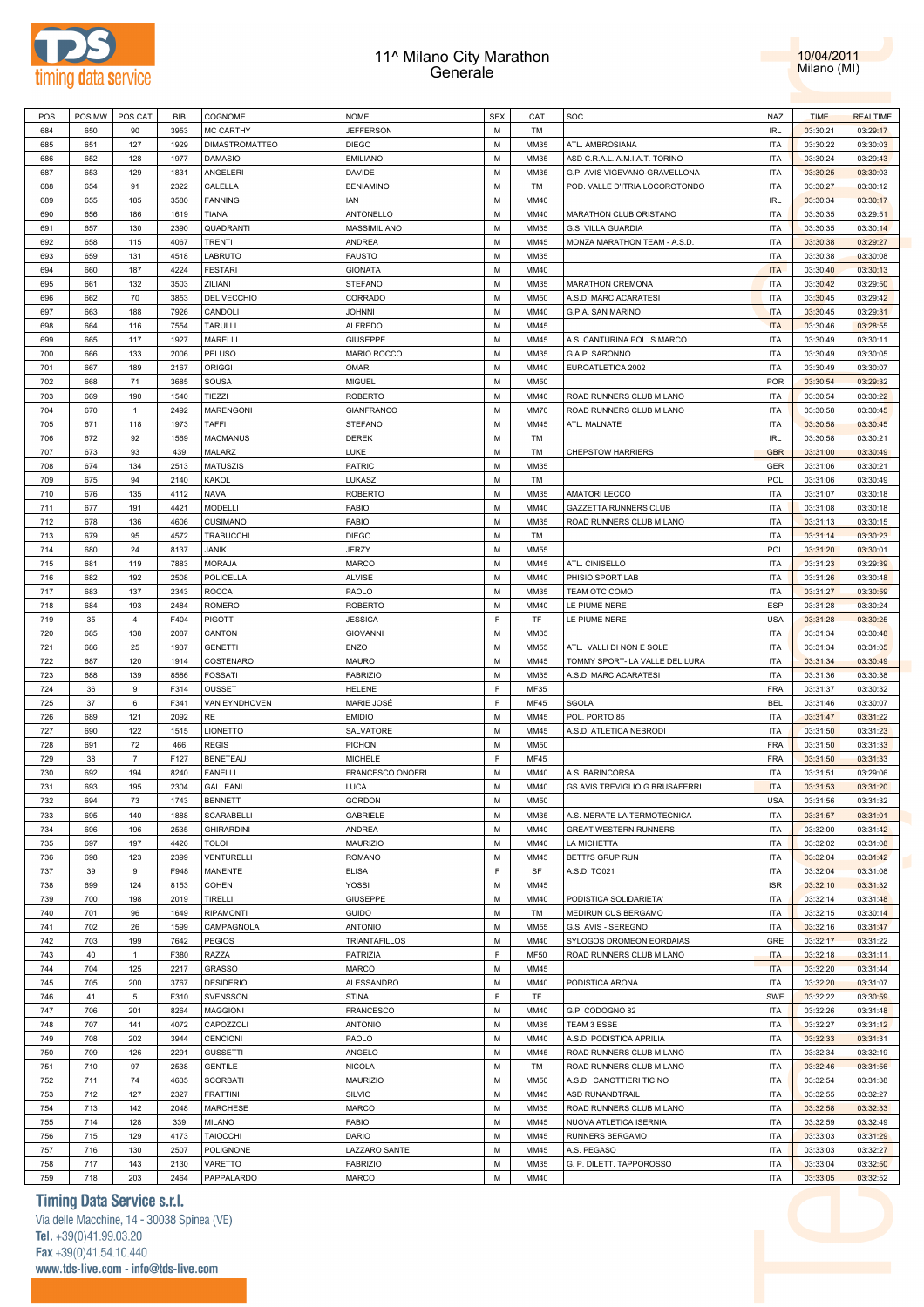



| POS | POS MW | POS CAT        | BIB  | <b>COGNOME</b>        | <b>NOME</b>          | <b>SEX</b> | CAT         | SOC                            | NAZ        | <b>TIME</b> | <b>REALTIME</b> |
|-----|--------|----------------|------|-----------------------|----------------------|------------|-------------|--------------------------------|------------|-------------|-----------------|
| 684 | 650    | 90             | 3953 | <b>MC CARTHY</b>      | <b>JEFFERSON</b>     | M          | <b>TM</b>   |                                | <b>IRL</b> | 03:30:21    | 03:29:17        |
| 685 | 651    | 127            | 1929 | <b>DIMASTROMATTEO</b> | <b>DIEGO</b>         | M          | MM35        | ATL. AMBROSIANA                | <b>ITA</b> | 03:30:22    | 03:30:03        |
| 686 | 652    | 128            | 1977 | <b>DAMASIO</b>        | EMILIANO             | M          | MM35        | ASD C.R.A.L. A.M.I.A.T. TORINO | <b>ITA</b> | 03:30:24    | 03:29:43        |
|     |        |                |      |                       |                      | M          |             |                                | <b>ITA</b> |             |                 |
| 687 | 653    | 129            | 1831 | ANGELERI              | <b>DAVIDE</b>        |            | MM35        | G.P. AVIS VIGEVANO-GRAVELLONA  |            | 03:30:25    | 03:30:03        |
| 688 | 654    | 91             | 2322 | CALELLA               | <b>BENIAMINO</b>     | M          | TM          | POD. VALLE D'ITRIA LOCOROTONDO | <b>ITA</b> | 03:30:27    | 03:30:12        |
| 689 | 655    | 185            | 3580 | <b>FANNING</b>        | IAN                  | M          | MM40        |                                | <b>IRL</b> | 03:30:34    | 03:30:17        |
| 690 | 656    | 186            | 1619 | TIANA                 | ANTONELLO            | M          | MM40        | MARATHON CLUB ORISTANO         | <b>ITA</b> | 03:30:35    | 03:29:51        |
| 691 | 657    | 130            | 2390 | QUADRANTI             | MASSIMILIANO         | M          | MM35        | G.S. VILLA GUARDIA             | <b>ITA</b> | 03:30:35    | 03:30:14        |
| 692 | 658    | 115            | 4067 | <b>TRENTI</b>         | ANDREA               | M          | MM45        | MONZA MARATHON TEAM - A.S.D.   | <b>ITA</b> | 03:30:38    | 03:29:27        |
| 693 | 659    | 131            | 4518 | LABRUTO               | FAUSTO               | M          | MM35        |                                | <b>ITA</b> | 03:30:38    | 03:30:08        |
| 694 | 660    | 187            | 4224 | <b>FESTARI</b>        | <b>GIONATA</b>       | M          | MM40        |                                | <b>ITA</b> | 03:30:40    | 03:30:13        |
| 695 | 661    | 132            | 3503 | ZILIANI               | <b>STEFANO</b>       | M          | MM35        | <b>MARATHON CREMONA</b>        | <b>ITA</b> | 03:30:42    | 03:29:50        |
|     |        |                |      |                       |                      |            |             |                                |            |             |                 |
| 696 | 662    | 70             | 3853 | DEL VECCHIO           | CORRADO              | M          | <b>MM50</b> | A.S.D. MARCIACARATESI          | <b>ITA</b> | 03:30:45    | 03:29:42        |
| 697 | 663    | 188            | 7926 | CANDOLI               | <b>JOHNNI</b>        | M          | MM40        | G.P.A. SAN MARINO              | <b>ITA</b> | 03:30:45    | 03:29:31        |
| 698 | 664    | 116            | 7554 | <b>TARULLI</b>        | <b>ALFREDO</b>       | M          | MM45        |                                | <b>ITA</b> | 03:30:46    | 03:28:55        |
| 699 | 665    | 117            | 1927 | MARELLI               | GIUSEPPE             | M          | MM45        | A.S. CANTURINA POL. S.MARCO    | <b>ITA</b> | 03:30:49    | 03:30:11        |
| 700 | 666    | 133            | 2006 | <b>PELUSO</b>         | <b>MARIO ROCCO</b>   | M          | MM35        | G.A.P. SARONNO                 | <b>ITA</b> | 03:30:49    | 03:30:05        |
| 701 | 667    | 189            | 2167 | ORIGGI                | OMAR                 | M          | MM40        | EUROATLETICA 2002              | <b>ITA</b> | 03:30:49    | 03:30:07        |
| 702 | 668    | 71             | 3685 | SOUSA                 | <b>MIGUEL</b>        | M          | <b>MM50</b> |                                | <b>POR</b> | 03:30:54    | 03:29:32        |
| 703 | 669    | 190            | 1540 | TIEZZI                | <b>ROBERTO</b>       | M          | MM40        | ROAD RUNNERS CLUB MILANO       | <b>ITA</b> | 03:30:54    | 03:30:22        |
|     |        |                |      |                       |                      |            |             |                                |            |             |                 |
| 704 | 670    | $\mathbf{1}$   | 2492 | <b>MARENGONI</b>      | <b>GIANFRANCO</b>    | M          | <b>MM70</b> | ROAD RUNNERS CLUB MILANO       | <b>ITA</b> | 03:30:58    | 03:30:45        |
| 705 | 671    | 118            | 1973 | TAFFI                 | <b>STEFANO</b>       | M          | MM45        | ATL. MALNATE                   | <b>ITA</b> | 03:30:58    | 03:30:45        |
| 706 | 672    | 92             | 1569 | <b>MACMANUS</b>       | <b>DEREK</b>         | M          | TM          |                                | <b>IRL</b> | 03:30:58    | 03:30:21        |
| 707 | 673    | 93             | 439  | MALARZ                | LUKE                 | M          | TM          | <b>CHEPSTOW HARRIERS</b>       | <b>GBR</b> | 03:31:00    | 03:30:49        |
| 708 | 674    | 134            | 2513 | MATUSZIS              | PATRIC               | M          | MM35        |                                | GER        | 03:31:06    | 03:30:21        |
| 709 | 675    | 94             | 2140 | KAKOL                 | LUKASZ               | M          | <b>TM</b>   |                                | <b>POL</b> | 03:31:06    | 03:30:49        |
| 710 | 676    | 135            | 4112 | NAVA                  | <b>ROBERTO</b>       | M          | MM35        | <b>AMATORI LECCO</b>           | <b>ITA</b> | 03:31:07    | 03:30:18        |
| 711 | 677    | 191            | 4421 | MODELLI               | FABIO                | M          | MM40        |                                | <b>ITA</b> |             | 03:30:18        |
|     |        |                |      |                       |                      |            |             | GAZZETTA RUNNERS CLUB          |            | 03:31:08    |                 |
| 712 | 678    | 136            | 4606 | <b>CUSIMANO</b>       | <b>FABIO</b>         | M          | MM35        | ROAD RUNNERS CLUB MILANO       | <b>ITA</b> | 03:31:13    | 03:30:15        |
| 713 | 679    | 95             | 4572 | TRABUCCHI             | <b>DIEGO</b>         | M          | TM          |                                | <b>ITA</b> | 03:31:14    | 03:30:23        |
| 714 | 680    | 24             | 8137 | <b>JANIK</b>          | JERZY                | M          | <b>MM55</b> |                                | <b>POL</b> | 03:31:20    | 03:30:01        |
| 715 | 681    | 119            | 7883 | <b>MORAJA</b>         | <b>MARCO</b>         | M          | MM45        | ATL. CINISELLO                 | <b>ITA</b> | 03:31:23    | 03:29:39        |
| 716 | 682    | 192            | 2508 | POLICELLA             | <b>ALVISE</b>        | M          | MM40        | PHISIO SPORT LAB               | <b>ITA</b> | 03:31:26    | 03:30:48        |
| 717 | 683    | 137            | 2343 | <b>ROCCA</b>          | PAOLO                | M          | MM35        | TEAM OTC COMO                  | <b>ITA</b> | 03:31:27    | 03:30:59        |
| 718 | 684    | 193            | 2484 | ROMERO                | <b>ROBERTO</b>       | M          | MM40        | LE PIUME NERE                  | <b>ESP</b> | 03:31:28    | 03:30:24        |
|     |        |                |      |                       |                      | E          |             |                                | <b>USA</b> |             |                 |
| 719 | 35     | $\overline{4}$ | F404 | PIGOTT                | JESSICA              |            | TF          | LE PIUME NERE                  |            | 03:31:28    | 03:30:25        |
| 720 | 685    | 138            | 2087 | CANTON                | <b>GIOVANNI</b>      | M          | MM35        |                                | <b>ITA</b> | 03:31:34    | 03:30:48        |
| 721 | 686    | 25             | 1937 | <b>GENETTI</b>        | ENZO                 | M          | <b>MM55</b> | ATL. VALLI DI NON E SOLE       | <b>ITA</b> | 03:31:34    | 03:31:05        |
| 722 | 687    | 120            | 1914 | COSTENARO             | <b>MAURO</b>         | M          | MM45        | TOMMY SPORT- LA VALLE DEL LURA | <b>ITA</b> | 03:31:34    | 03:30:49        |
| 723 | 688    | 139            | 8586 | <b>FOSSATI</b>        | <b>FABRIZIO</b>      | M          | MM35        | A.S.D. MARCIACARATESI          | <b>ITA</b> | 03:31:36    | 03:30:38        |
| 724 | 36     | 9              | F314 | OUSSET                | <b>HELENE</b>        | E          | MF35        |                                | <b>FRA</b> | 03:31:37    | 03:30:32        |
| 725 | 37     | 6              | F341 | VAN EYNDHOVEN         | MARIE JOSÉ           | E          | <b>MF45</b> | SGOLA                          | <b>BEL</b> | 03:31:46    | 03:30:07        |
| 726 | 689    | 121            | 2092 | RE                    | <b>EMIDIO</b>        | M          | MM45        | POL. PORTO 85                  | <b>ITA</b> | 03:31:47    | 03:31:22        |
| 727 | 690    | 122            | 1515 | <b>LIONETTO</b>       | SALVATORE            | M          | MM45        | A.S.D. ATLETICA NEBRODI        | <b>ITA</b> | 03:31:50    | 03:31:23        |
| 728 | 691    | 72             | 466  | <b>REGIS</b>          | <b>PICHON</b>        | M          | <b>MM50</b> |                                | <b>FRA</b> | 03:31:50    | 03:31:33        |
|     |        |                |      |                       |                      | E          |             |                                |            |             |                 |
| 729 | 38     | $\overline{7}$ | F127 | <b>BENETEAU</b>       | MICHÈLE              |            | <b>MF45</b> |                                | FRA        | 03:31:50    | 03:31:33        |
| 730 | 692    | 194            | 8240 | FANELLI               | FRANCESCO ONOFRI     | M          | MM40        | A.S. BARINCORSA                | <b>ITA</b> | 03:31:51    | 03:29:06        |
| 731 | 693    | 195            | 2304 | <b>GALLEANI</b>       | LUCA                 | M          | MM40        | GS AVIS TREVIGLIO G.BRUSAFERRI | <b>ITA</b> | 03:31:53    | 03:31:20        |
| 732 | 694    | 73             | 1743 | <b>BENNETT</b>        | <b>GORDON</b>        | M          | <b>MM50</b> |                                | <b>USA</b> | 03:31:56    | 03:31:32        |
| 733 | 695    | 140            | 1888 | SCARABELLI            | GABRIELE             | M          | MM35        | A.S. MERATE LA TERMOTECNICA    | <b>ITA</b> | 03:31:57    | 03:31:01        |
| 734 | 696    | 196            | 2535 | <b>GHIRARDINI</b>     | ANDREA               | M          | MM40        | <b>GREAT WESTERN RUNNERS</b>   | <b>ITA</b> | 03:32:00    | 03:31:42        |
| 735 | 697    | 197            | 4426 | TOLOI                 | MAURIZIO             | M          | MM40        | LA MICHETTA                    | <b>ITA</b> | 03:32:02    | 03:31:08        |
| 736 | 698    | 123            | 2399 | VENTURELLI            | <b>ROMANO</b>        | M          | MM45        | BETTI'S GRUP RUN               | <b>ITA</b> | 03:32:04    | 03:31:42        |
| 737 | 39     | 9              | F948 | <b>MANENTE</b>        | <b>ELISA</b>         | F          | SF          | A.S.D. TO021                   | <b>ITA</b> | 03:32:04    | 03:31:08        |
|     | 699    | 124            | 8153 | <b>COHEN</b>          | YOSSI                | M          | MM45        |                                | <b>ISR</b> |             |                 |
| 738 |        |                |      |                       |                      |            |             |                                |            | 03:32:10    | 03:31:32        |
| 739 | 700    | 198            | 2019 | TIRELLI               | <b>GIUSEPPE</b>      | M          | MM40        | PODISTICA SOLIDARIETA'         | <b>ITA</b> | 03:32:14    | 03:31:48        |
| 740 | 701    | 96             | 1649 | RIPAMONTI             | GUIDO                | M          | TM          | MEDIRUN CUS BERGAMO            | <b>ITA</b> | 03:32:15    | 03:30:14        |
| 741 | 702    | 26             | 1599 | CAMPAGNOLA            | <b>ANTONIO</b>       | M          | <b>MM55</b> | G.S. AVIS - SEREGNO            | <b>ITA</b> | 03:32:16    | 03:31:47        |
| 742 | 703    | 199            | 7642 | <b>PEGIOS</b>         | <b>TRIANTAFILLOS</b> | M          | MM40        | SYLOGOS DROMEON EORDAIAS       | GRE        | 03:32:17    | 03:31:22        |
| 743 | 40     | $\mathbf{1}$   | F380 | RAZZA                 | PATRIZIA             | F          | <b>MF50</b> | ROAD RUNNERS CLUB MILANO       | <b>ITA</b> | 03:32:18    | 03:31:11        |
| 744 | 704    | 125            | 2217 | GRASSO                | <b>MARCO</b>         | M          | MM45        |                                | <b>ITA</b> | 03:32:20    | 03:31:44        |
| 745 | 705    | 200            | 3767 | <b>DESIDERIO</b>      | ALESSANDRO           | M          | MM40        | PODISTICA ARONA                | <b>ITA</b> | 03:32:20    | 03:31:07        |
| 746 | 41     | $\overline{5}$ | F310 | <b>SVENSSON</b>       | <b>STINA</b>         | F          | TF          |                                | SWE        | 03:32:22    | 03:30:59        |
|     |        |                |      |                       |                      | M          |             |                                |            |             |                 |
| 747 | 706    | 201            | 8264 | <b>MAGGIONI</b>       | FRANCESCO            |            | MM40        | G.P. CODOGNO 82                | <b>ITA</b> | 03:32:26    | 03:31:48        |
| 748 | 707    | 141            | 4072 | CAPOZZOLI             | <b>ANTONIO</b>       | M          | MM35        | TEAM 3 ESSE                    | <b>ITA</b> | 03:32:27    | 03:31:12        |
| 749 | 708    | 202            | 3944 | <b>CENCIONI</b>       | PAOLO                | M          | MM40        | A.S.D. PODISTICA APRILIA       | <b>ITA</b> | 03:32:33    | 03:31:31        |
| 750 | 709    | 126            | 2291 | <b>GUSSETTI</b>       | ANGELO               | M          | MM45        | ROAD RUNNERS CLUB MILANO       | <b>ITA</b> | 03:32:34    | 03:32:19        |
| 751 | 710    | 97             | 2538 | <b>GENTILE</b>        | <b>NICOLA</b>        | M          | TM          | ROAD RUNNERS CLUB MILANO       | <b>ITA</b> | 03:32:46    | 03:31:56        |
| 752 | 711    | 74             | 4635 | SCORBATI              | <b>MAURIZIO</b>      | M          | <b>MM50</b> | A.S.D. CANOTTIERI TICINO       | <b>ITA</b> | 03:32:54    | 03:31:38        |
| 753 |        | 127            | 2327 | <b>FRATTINI</b>       | SILVIO               | M          | MM45        | ASD RUNANDTRAIL                | <b>ITA</b> | 03:32:55    | 03:32:27        |
|     | 712    |                |      |                       |                      | M          | MM35        | ROAD RUNNERS CLUB MILANO       | <b>ITA</b> | 03:32:58    | 03:32:33        |
|     |        |                |      |                       |                      |            |             |                                |            |             |                 |
| 754 | 713    | 142            | 2048 | MARCHESE              | <b>MARCO</b>         |            |             |                                |            |             |                 |
| 755 | 714    | 128            | 339  | <b>MILANO</b>         | FABIO                | M          | MM45        | NUOVA ATLETICA ISERNIA         | <b>ITA</b> | 03:32:59    | 03:32:49        |
| 756 | 715    | 129            | 4173 | TAIOCCHI              | DARIO                | M          | MM45        | RUNNERS BERGAMO                | <b>ITA</b> | 03:33:03    | 03:31:29        |
| 757 | 716    | 130            | 2507 | POLIGNONE             | LAZZARO SANTE        | M          | MM45        | A.S. PEGASO                    | <b>ITA</b> | 03:33:03    | 03:32:27        |
| 758 | 717    | 143            | 2130 | VARETTO               | <b>FABRIZIO</b>      | M          | MM35        | G. P. DILETT. TAPPOROSSO       | <b>ITA</b> | 03:33:04    | 03:32:50        |

**Timing Data Service s.r.l.**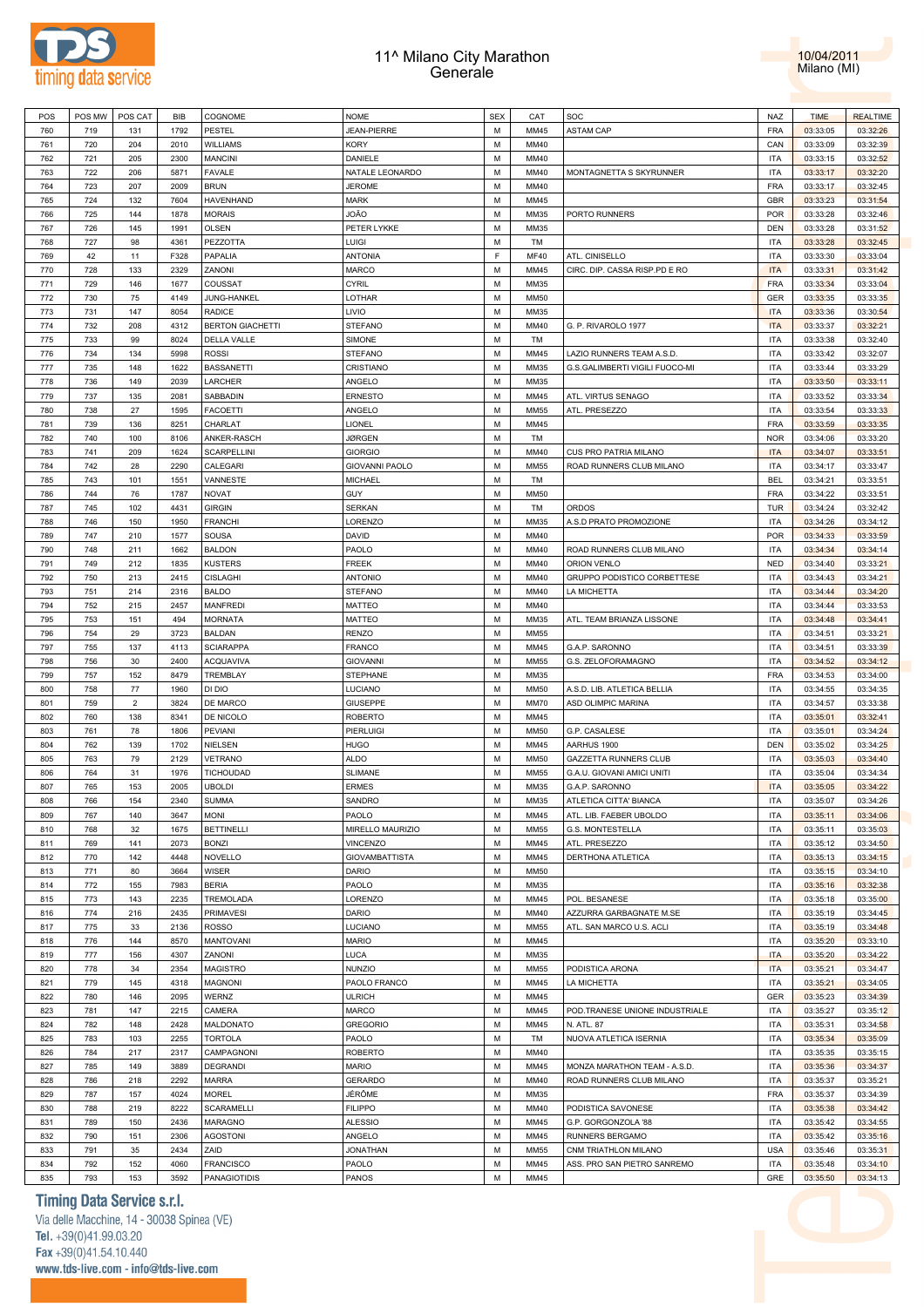



| POS | POS MW | POS CAT        | BIB  | COGNOME                 | <b>NOME</b>           | <b>SEX</b> | CAT         | SOC                            | NAZ        | <b>TIME</b> | <b>REALTIME</b> |
|-----|--------|----------------|------|-------------------------|-----------------------|------------|-------------|--------------------------------|------------|-------------|-----------------|
| 760 | 719    | 131            | 1792 | <b>PESTEL</b>           | <b>JEAN-PIERRE</b>    | M          | MM45        | <b>ASTAM CAP</b>               | <b>FRA</b> | 03:33:05    | 03:32:26        |
| 761 | 720    | 204            | 2010 | <b>WILLIAMS</b>         | <b>KORY</b>           | M          | MM40        |                                | CAN        | 03:33:09    | 03:32:39        |
| 762 | 721    | 205            | 2300 | <b>MANCINI</b>          | DANIELE               | M          | MM40        |                                | <b>ITA</b> | 03:33:15    | 03:32:52        |
|     |        |                |      |                         |                       |            |             |                                |            |             |                 |
| 763 | 722    | 206            | 5871 | <b>FAVALE</b>           | NATALE LEONARDO       | M          | MM40        | MONTAGNETTA S SKYRUNNER        | <b>ITA</b> | 03:33:17    | 03:32:20        |
| 764 | 723    | 207            | 2009 | <b>BRUN</b>             | <b>JEROME</b>         | M          | MM40        |                                | <b>FRA</b> | 03:33:17    | 03:32:45        |
| 765 | 724    | 132            | 7604 | HAVENHAND               | MARK                  | M          | MM45        |                                | <b>GBR</b> | 03:33:23    | 03:31:54        |
| 766 | 725    | 144            | 1878 | <b>MORAIS</b>           | OÃO                   | M          | MM35        | PORTO RUNNERS                  | <b>POR</b> | 03:33:28    | 03:32:46        |
| 767 | 726    | 145            | 1991 | <b>OLSEN</b>            | PETER LYKKE           | M          | MM35        |                                | <b>DEN</b> | 03:33:28    | 03:31:52        |
| 768 | 727    | 98             | 4361 | PEZZOTTA                | LUIGI                 | M          | TM          |                                | <b>ITA</b> | 03:33:28    | 03:32:45        |
| 769 | 42     | 11             | F328 | PAPALIA                 | <b>ANTONIA</b>        | F          | <b>MF40</b> | ATL. CINISELLO                 | <b>ITA</b> | 03:33:30    | 03:33:04        |
| 770 | 728    | 133            | 2329 | ZANONI                  | <b>MARCO</b>          | M          | MM45        | CIRC. DIP. CASSA RISP.PD E RO  | <b>ITA</b> | 03:33:31    | 03:31:42        |
| 771 | 729    | 146            | 1677 | COUSSAT                 | <b>CYRIL</b>          | M          | MM35        |                                | <b>FRA</b> | 03:33:34    | 03:33:04        |
|     |        |                |      |                         |                       | M          |             |                                |            |             |                 |
| 772 | 730    | 75             | 4149 | JUNG-HANKEL             | LOTHAR                |            | <b>MM50</b> |                                | GER        | 03:33:35    | 03:33:35        |
| 773 | 731    | 147            | 8054 | <b>RADICE</b>           | LIVIO                 | M          | MM35        |                                | <b>ITA</b> | 03:33:36    | 03:30:54        |
| 774 | 732    | 208            | 4312 | <b>BERTON GIACHETTI</b> | <b>STEFANO</b>        | M          | MM40        | G. P. RIVAROLO 1977            | <b>ITA</b> | 03:33:37    | 03:32:21        |
| 775 | 733    | 99             | 8024 | DELLA VALLE             | <b>SIMONE</b>         | M          | TM          |                                | <b>ITA</b> | 03:33:38    | 03:32:40        |
| 776 | 734    | 134            | 5998 | <b>ROSSI</b>            | <b>STEFANO</b>        | M          | MM45        | LAZIO RUNNERS TEAM A.S.D.      | <b>ITA</b> | 03:33:42    | 03:32:07        |
| 777 | 735    | 148            | 1622 | <b>BASSANETTI</b>       | CRISTIANO             | M          | MM35        | G.S.GALIMBERTI VIGILI FUOCO-MI | <b>ITA</b> | 03:33:44    | 03:33:29        |
| 778 | 736    | 149            | 2039 | LARCHER                 | ANGELO                | M          | MM35        |                                | <b>ITA</b> | 03:33:50    | 03:33:11        |
| 779 | 737    | 135            | 2081 | SABBADIN                | <b>ERNESTO</b>        | M          | MM45        | ATL. VIRTUS SENAGO             | <b>ITA</b> | 03:33:52    | 03:33:34        |
| 780 | 738    | 27             | 1595 | <b>FACOETTI</b>         | ANGELO                | M          | MM55        | ATL. PRESEZZO                  | <b>ITA</b> | 03:33:54    | 03:33:33        |
| 781 | 739    | 136            | 8251 | CHARLAT                 | LIONEL                | M          | MM45        |                                | <b>FRA</b> | 03:33:59    | 03:33:35        |
| 782 | 740    | 100            | 8106 | ANKER-RASCH             | <b>JØRGEN</b>         | M          | TM          |                                | <b>NOR</b> | 03:34:06    | 03:33:20        |
|     |        |                |      |                         |                       | M          |             |                                |            |             |                 |
| 783 | 741    | 209            | 1624 | SCARPELLINI             | <b>GIORGIO</b>        |            | MM40        | CUS PRO PATRIA MILANO          | <b>ITA</b> | 03:34:07    | 03:33:51        |
| 784 | 742    | 28             | 2290 | CALEGARI                | <b>GIOVANNI PAOLO</b> | M          | <b>MM55</b> | ROAD RUNNERS CLUB MILANO       | <b>ITA</b> | 03:34:17    | 03:33:47        |
| 785 | 743    | 101            | 1551 | VANNESTE                | <b>MICHAEL</b>        | M          | TM          |                                | <b>BEL</b> | 03:34:21    | 03:33:51        |
| 786 | 744    | 76             | 1787 | NOVAT                   | GUY                   | M          | <b>MM50</b> |                                | <b>FRA</b> | 03:34:22    | 03:33:51        |
| 787 | 745    | 102            | 4431 | <b>GIRGIN</b>           | <b>SERKAN</b>         | M          | TM          | <b>ORDOS</b>                   | <b>TUR</b> | 03:34:24    | 03:32:42        |
| 788 | 746    | 150            | 1950 | <b>FRANCHI</b>          | LORENZO               | M          | MM35        | A.S.D PRATO PROMOZIONE         | <b>ITA</b> | 03:34:26    | 03:34:12        |
| 789 | 747    | 210            | 1577 | SOUSA                   | DAVID                 | M          | MM40        |                                | <b>POR</b> | 03:34:33    | 03:33:59        |
| 790 | 748    | 211            | 1662 | <b>BALDON</b>           | PAOLO                 | M          | MM40        | ROAD RUNNERS CLUB MILANO       | <b>ITA</b> | 03:34:34    | 03:34:14        |
| 791 | 749    | 212            | 1835 | KUSTERS                 | <b>FREEK</b>          | M          | MM40        | ORION VENLO                    | <b>NED</b> | 03:34:40    | 03:33:21        |
| 792 | 750    | 213            | 2415 | <b>CISLAGHI</b>         | <b>ANTONIO</b>        | M          | MM40        | GRUPPO PODISTICO CORBETTESE    | <b>ITA</b> | 03:34:43    | 03:34:21        |
| 793 | 751    | 214            | 2316 | <b>BALDO</b>            | <b>STEFANO</b>        | M          | MM40        | LA MICHETTA                    | <b>ITA</b> | 03:34:44    | 03:34:20        |
| 794 |        | 215            | 2457 |                         |                       | M          | MM40        |                                | <b>ITA</b> |             |                 |
|     | 752    |                |      | <b>MANFREDI</b>         | <b>MATTEO</b>         |            |             |                                |            | 03:34:44    | 03:33:53        |
| 795 | 753    | 151            | 494  | <b>MORNATA</b>          | MATTEO                | M          | MM35        | ATL. TEAM BRIANZA LISSONE      | <b>ITA</b> | 03:34:48    | 03:34:41        |
| 796 | 754    | 29             | 3723 | <b>BALDAN</b>           | <b>RENZO</b>          | M          | MM55        |                                | <b>ITA</b> | 03:34:51    | 03:33:21        |
| 797 | 755    | 137            | 4113 | <b>SCIARAPPA</b>        | <b>FRANCO</b>         | M          | MM45        | G.A.P. SARONNO                 | <b>ITA</b> | 03:34:51    | 03:33:39        |
| 798 | 756    | 30             | 2400 | <b>ACQUAVIVA</b>        | <b>GIOVANNI</b>       | M          | MM55        | G.S. ZELOFORAMAGNO             | <b>ITA</b> | 03:34:52    | 03:34:12        |
| 799 | 757    | 152            | 8479 | TREMBLAY                | STEPHANE              | M          | MM35        |                                | <b>FRA</b> | 03:34:53    | 03:34:00        |
| 800 | 758    | 77             | 1960 | DI DIO                  | LUCIANO               | M          | <b>MM50</b> | A.S.D. LIB. ATLETICA BELLIA    | <b>ITA</b> | 03:34:55    | 03:34:35        |
| 801 | 759    | $\overline{2}$ | 3824 | DE MARCO                | <b>GIUSEPPE</b>       | M          | <b>MM70</b> | ASD OLIMPIC MARINA             | <b>ITA</b> | 03:34:57    | 03:33:38        |
| 802 | 760    | 138            | 8341 | DE NICOLO               | <b>ROBERTO</b>        | M          | MM45        |                                | <b>ITA</b> | 03:35:01    | 03:32:41        |
| 803 | 761    | 78             | 1806 | <b>PEVIANI</b>          | PIERLUIGI             | M          | <b>MM50</b> | G.P. CASALESE                  | <b>ITA</b> | 03:35:01    | 03:34:24        |
| 804 | 762    | 139            | 1702 | NIELSEN                 | <b>HUGO</b>           | M          | MM45        | AARHUS 1900                    | DEN        | 03:35:02    | 03:34:25        |
| 805 | 763    | 79             | 2129 | VETRANO                 | ALDO                  | M          | <b>MM50</b> | GAZZETTA RUNNERS CLUB          | <b>ITA</b> | 03:35:03    | 03:34:40        |
| 806 | 764    | 31             | 1976 | TICHOUDAD               | SLIMANE               | M          | <b>MM55</b> | G.A.U. GIOVANI AMICI UNITI     | <b>ITA</b> | 03:35:04    | 03:34:34        |
|     |        |                |      |                         |                       |            |             |                                |            |             |                 |
| 807 | 765    | 153            | 2005 | <b>UBOLDI</b>           | <b>ERMES</b>          | M          | MM35        | G.A.P. SARONNO                 | <b>ITA</b> | 03:35:05    | 03:34:22        |
| 808 | 766    | 154            | 2340 | <b>SUMMA</b>            | SANDRO                | M          | MM35        | ATLETICA CITTA' BIANCA         | <b>ITA</b> | 03:35:07    | 03:34:26        |
| 809 | 767    | 140            | 3647 | <b>MONI</b>             | PAOLO                 | M          | MM45        | ATL. LIB. FAEBER UBOLDO        | <b>ITA</b> | 03:35:11    | 03:34:06        |
| 810 | 768    | 32             | 1675 | <b>BETTINELLI</b>       | MIRELLO MAURIZIO      | M          | <b>MM55</b> | G.S. MONTESTELLA               | <b>ITA</b> | 03:35:11    | 03:35:03        |
| 811 | 769    | 141            | 2073 | <b>BONZI</b>            | <b>VINCENZO</b>       | M          | MM45        | ATL. PRESEZZO                  | <b>ITA</b> | 03:35:12    | 03:34:50        |
| 812 | 770    | 142            | 4448 | NOVELLO                 | <b>GIOVAMBATTISTA</b> | M          | MM45        | DERTHONA ATLETICA              | <b>ITA</b> | 03:35:13    | 03:34:15        |
| 813 | 771    | 80             | 3664 | <b>WISER</b>            | <b>DARIO</b>          | M          | <b>MM50</b> |                                | <b>ITA</b> | 03:35:15    | 03:34:10        |
| 814 | 772    | 155            | 7983 | <b>BERIA</b>            | PAOLO                 | M          | MM35        |                                | <b>ITA</b> | 03:35:16    | 03:32:38        |
| 815 | 773    | 143            | 2235 | TREMOLADA               | LORENZO               | M          | MM45        | POL. BESANESE                  | <b>ITA</b> | 03:35:18    | 03:35:00        |
| 816 | 774    | 216            | 2435 | <b>PRIMAVESI</b>        | DARIO                 | M          | MM40        | AZZURRA GARBAGNATE M.SE        | <b>ITA</b> | 03:35:19    | 03:34:45        |
| 817 | 775    | 33             | 2136 | <b>ROSSO</b>            | LUCIANO               | M          | MM55        | ATL. SAN MARCO U.S. ACLI       | <b>ITA</b> | 03:35:19    | 03:34:48        |
|     |        |                |      |                         |                       |            |             |                                |            |             |                 |
| 818 | 776    | 144            | 8570 | <b>MANTOVANI</b>        | <b>MARIO</b>          | M          | MM45        |                                | <b>ITA</b> | 03:35:20    | 03:33:10        |
| 819 | 777    | 156            | 4307 | ZANONI                  | LUCA                  | M          | MM35        |                                | <b>ITA</b> | 03:35:20    | 03:34:22        |
| 820 | 778    | 34             | 2354 | MAGISTRO                | <b>NUNZIO</b>         | M          | MM55        | PODISTICA ARONA                | <b>ITA</b> | 03:35:21    | 03:34:47        |
| 821 | 779    | 145            | 4318 | <b>MAGNONI</b>          | PAOLO FRANCO          | M          | MM45        | LA MICHETTA                    | <b>ITA</b> | 03:35:21    | 03:34:05        |
| 822 | 780    | 146            | 2095 | WERNZ                   | <b>ULRICH</b>         | M          | MM45        |                                | GER        | 03:35:23    | 03:34:39        |
| 823 | 781    | 147            | 2215 | CAMERA                  | <b>MARCO</b>          | M          | MM45        | POD.TRANESE UNIONE INDUSTRIALE | <b>ITA</b> | 03:35:27    | 03:35:12        |
| 824 | 782    | 148            | 2428 | MALDONATO               | <b>GREGORIO</b>       | M          | MM45        | N. ATL. 87                     | <b>ITA</b> | 03:35:31    | 03:34:58        |
| 825 | 783    | 103            | 2255 | TORTOLA                 | PAOLO                 | M          | TM          | NUOVA ATLETICA ISERNIA         | <b>ITA</b> | 03:35:34    | 03:35:09        |
| 826 | 784    | 217            | 2317 | CAMPAGNONI              | <b>ROBERTO</b>        | M          | MM40        |                                | <b>ITA</b> | 03:35:35    | 03:35:15        |
| 827 | 785    | 149            | 3889 | <b>DEGRANDI</b>         | <b>MARIO</b>          | M          | MM45        | MONZA MARATHON TEAM - A.S.D.   | <b>ITA</b> | 03:35:36    | 03:34:37        |
| 828 | 786    | 218            | 2292 | MARRA                   | <b>GERARDO</b>        | M          | MM40        | ROAD RUNNERS CLUB MILANO       | <b>ITA</b> | 03:35:37    | 03:35:21        |
|     |        |                |      |                         |                       |            |             |                                |            |             |                 |
| 829 | 787    | 157            | 4024 | MOREL                   | JÉRÔME                | M          | MM35        |                                | FRA        | 03:35:37    | 03:34:39        |
| 830 | 788    | 219            | 8222 | SCARAMELLI              | <b>FILIPPO</b>        | M          | MM40        | PODISTICA SAVONESE             | <b>ITA</b> | 03:35:38    | 03:34:42        |
| 831 | 789    | 150            | 2436 | MARAGNO                 | <b>ALESSIO</b>        | M          | MM45        | G.P. GORGONZOLA '88            | <b>ITA</b> | 03:35:42    | 03:34:55        |
| 832 | 790    | 151            | 2306 | <b>AGOSTONI</b>         | ANGELO                | M          | MM45        | RUNNERS BERGAMO                | <b>ITA</b> | 03:35:42    | 03:35:16        |
| 833 | 791    | 35             | 2434 | ZAID                    | <b>JONATHAN</b>       | M          | MM55        | CNM TRIATHLON MILANO           | <b>USA</b> | 03:35:46    | 03:35:31        |
| 834 | 792    | 152            | 4060 | <b>FRANCISCO</b>        | PAOLO                 | М          | MM45        | ASS. PRO SAN PIETRO SANREMO    | <b>ITA</b> | 03:35:48    | 03:34:10        |
| 835 | 793    | 153            | 3592 | <b>PANAGIOTIDIS</b>     | PANOS                 | М          | MM45        |                                | GRE        | 03:35:50    | 03:34:13        |

# **Timing Data Service s.r.l.**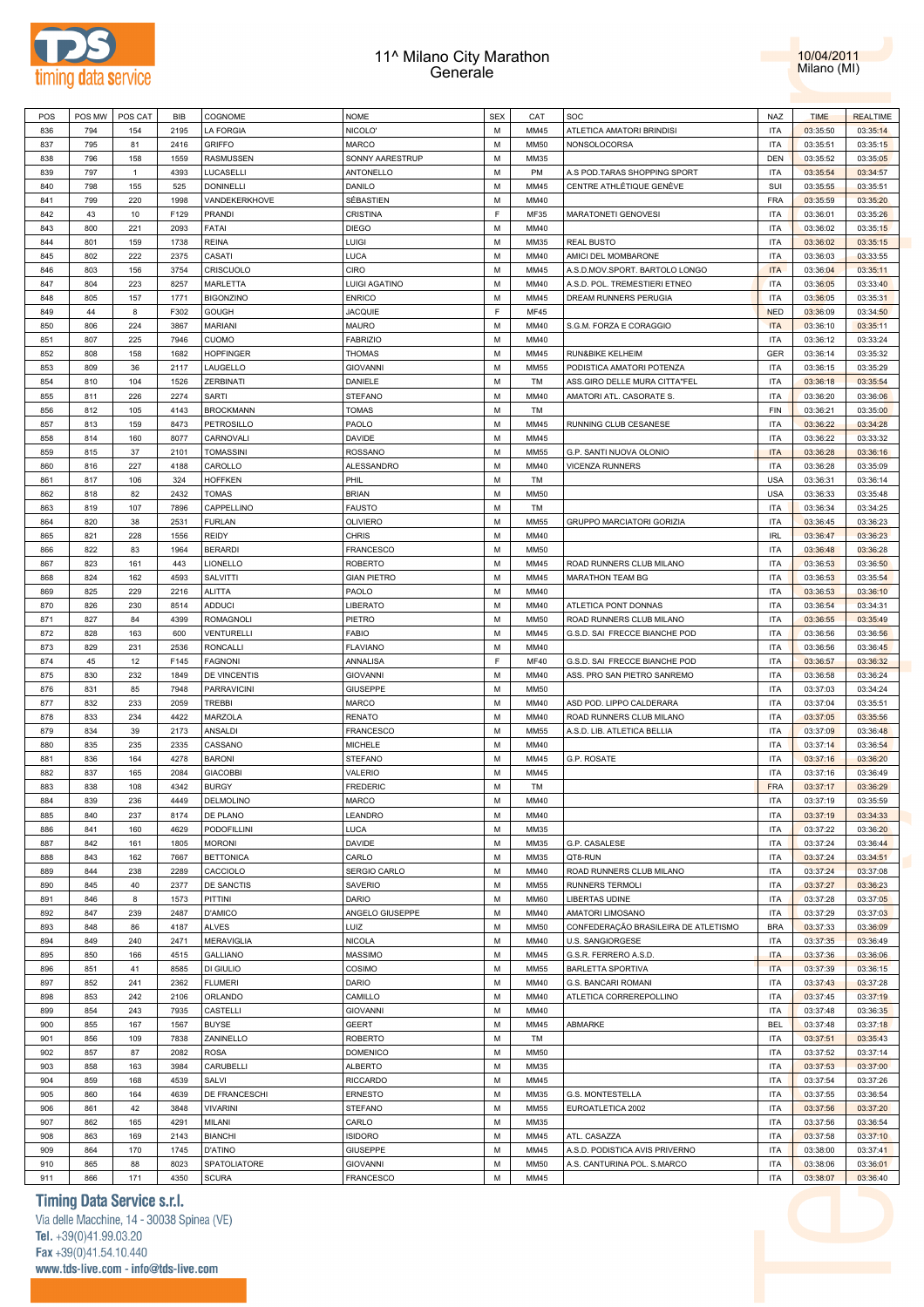



| POS | POS MW | POS CAT      | BIB  | COGNOME            | <b>NOME</b>        | <b>SEX</b> | CAT         | SOC                                  | <b>NAZ</b> | <b>TIME</b> | <b>REALTIME</b> |
|-----|--------|--------------|------|--------------------|--------------------|------------|-------------|--------------------------------------|------------|-------------|-----------------|
| 836 | 794    | 154          | 2195 | <b>LA FORGIA</b>   | NICOLO'            | M          | MM45        | ATLETICA AMATORI BRINDISI            | <b>ITA</b> | 03:35:50    | 03:35:14        |
| 837 | 795    | 81           | 2416 | <b>GRIFFO</b>      | <b>MARCO</b>       | M          | MM50        | NONSOLOCORSA                         | <b>ITA</b> | 03:35:51    | 03:35:15        |
|     |        |              |      |                    |                    |            |             |                                      |            |             |                 |
| 838 | 796    | 158          | 1559 | <b>RASMUSSEN</b>   | SONNY AARESTRUP    | M          | MM35        |                                      | <b>DEN</b> | 03:35:52    | 03:35:05        |
| 839 | 797    | $\mathbf{1}$ | 4393 | LUCASELLI          | ANTONELLO          | M          | PM          | A.S POD.TARAS SHOPPING SPORT         | <b>ITA</b> | 03:35:54    | 03:34:57        |
| 840 | 798    | 155          | 525  | <b>DONINELLI</b>   | DANILO             | M          | MM45        | CENTRE ATHLÉTIQUE GENÈVE             | SUI        | 03:35:55    | 03:35:51        |
| 841 | 799    | 220          | 1998 | VANDEKERKHOVE      | SÉBASTIEN          | M          | MM40        |                                      | <b>FRA</b> | 03:35:59    | 03:35:20        |
| 842 |        |              | F129 | <b>PRANDI</b>      |                    | E          | MF35        |                                      | <b>ITA</b> |             |                 |
|     | 43     | 10           |      |                    | CRISTINA           |            |             | MARATONETI GENOVESI                  |            | 03:36:01    | 03:35:26        |
| 843 | 800    | 221          | 2093 | FATAI              | <b>DIEGO</b>       | M          | MM40        |                                      | <b>ITA</b> | 03:36:02    | 03:35:15        |
| 844 | 801    | 159          | 1738 | <b>REINA</b>       | LUIGI              | M          | MM35        | <b>REAL BUSTO</b>                    | <b>ITA</b> | 03:36:02    | 03:35:15        |
| 845 | 802    | 222          | 2375 | CASATI             | LUCA               | M          | MM40        | AMICI DEL MOMBARONE                  | <b>ITA</b> | 03:36:03    | 03:33:55        |
| 846 | 803    | 156          | 3754 | CRISCUOLO          | CIRO               | M          | MM45        | A.S.D.MOV.SPORT. BARTOLO LONGO       | <b>ITA</b> | 03:36:04    | 03:35:11        |
|     |        |              |      |                    |                    |            |             |                                      |            |             |                 |
| 847 | 804    | 223          | 8257 | MARLETTA           | LUIGI AGATINO      | M          | MM40        | A.S.D. POL. TREMESTIERI ETNEO        | <b>ITA</b> | 03:36:05    | 03:33:40        |
| 848 | 805    | 157          | 1771 | <b>BIGONZINO</b>   | <b>ENRICO</b>      | M          | MM45        | DREAM RUNNERS PERUGIA                | <b>ITA</b> | 03:36:05    | 03:35:31        |
| 849 | 44     | 8            | F302 | <b>GOUGH</b>       | <b>JACQUIE</b>     | F          | <b>MF45</b> |                                      | <b>NED</b> | 03:36:09    | 03:34:50        |
| 850 | 806    | 224          | 3867 | MARIANI            | <b>MAURO</b>       | M          | MM40        | S.G.M. FORZA E CORAGGIO              | <b>ITA</b> | 03:36:10    | 03:35:11        |
| 851 | 807    | 225          | 7946 | <b>CUOMO</b>       | <b>FABRIZIO</b>    | M          | MM40        |                                      | <b>ITA</b> | 03:36:12    | 03:33:24        |
|     |        |              |      |                    |                    |            |             |                                      |            |             |                 |
| 852 | 808    | 158          | 1682 | <b>HOPFINGER</b>   | <b>THOMAS</b>      | M          | MM45        | RUN&BIKE KELHEIM                     | <b>GER</b> | 03:36:14    | 03:35:32        |
| 853 | 809    | 36           | 2117 | LAUGELLO           | <b>GIOVANNI</b>    | M          | MM55        | PODISTICA AMATORI POTENZA            | <b>ITA</b> | 03:36:15    | 03:35:29        |
| 854 | 810    | 104          | 1526 | ZERBINATI          | DANIELE            | M          | TM          | ASS.GIRO DELLE MURA CITTA"FEL        | <b>ITA</b> | 03:36:18    | 03:35:54        |
| 855 | 811    | 226          | 2274 | <b>SARTI</b>       | <b>STEFANO</b>     | M          | MM40        | AMATORI ATL. CASORATE S.             | <b>ITA</b> | 03:36:20    | 03:36:06        |
| 856 | 812    | 105          | 4143 | <b>BROCKMANN</b>   | <b>TOMAS</b>       | M          | TM          |                                      | FIN        | 03:36:21    | 03:35:00        |
|     |        |              |      |                    |                    |            |             |                                      |            |             |                 |
| 857 | 813    | 159          | 8473 | PETROSILLO         | PAOLO              | M          | MM45        | RUNNING CLUB CESANESE                | <b>ITA</b> | 03:36:22    | 03:34:28        |
| 858 | 814    | 160          | 8077 | CARNOVALI          | DAVIDE             | M          | MM45        |                                      | <b>ITA</b> | 03:36:22    | 03:33:32        |
| 859 | 815    | 37           | 2101 | <b>TOMASSINI</b>   | ROSSANO            | M          | MM55        | G.P. SANTI NUOVA OLONIO              | <b>ITA</b> | 03:36:28    | 03:36:16        |
| 860 | 816    | 227          | 4188 | CAROLLO            | ALESSANDRO         | M          | MM40        | <b>VICENZA RUNNERS</b>               | <b>ITA</b> | 03:36:28    | 03:35:09        |
|     |        |              |      |                    |                    |            |             |                                      |            |             |                 |
| 861 | 817    | 106          | 324  | <b>HOFFKEN</b>     | PHIL               | M          | TM          |                                      | <b>USA</b> | 03:36:31    | 03:36:14        |
| 862 | 818    | 82           | 2432 | <b>TOMAS</b>       | <b>BRIAN</b>       | M          | MM50        |                                      | <b>USA</b> | 03:36:33    | 03:35:48        |
| 863 | 819    | 107          | 7896 | CAPPELLINO         | <b>FAUSTO</b>      | M          | TM          |                                      | <b>ITA</b> | 03:36:34    | 03:34:25        |
| 864 | 820    | 38           | 2531 | <b>FURLAN</b>      | <b>OLIVIERO</b>    | M          | MM55        | <b>GRUPPO MARCIATORI GORIZIA</b>     | <b>ITA</b> | 03:36:45    | 03:36:23        |
| 865 | 821    | 228          | 1556 | <b>REIDY</b>       | <b>CHRIS</b>       | M          | MM40        |                                      | <b>IRL</b> | 03:36:47    | 03:36:23        |
|     |        |              |      |                    |                    |            |             |                                      |            |             |                 |
| 866 | 822    | 83           | 1964 | <b>BERARDI</b>     | <b>FRANCESCO</b>   | M          | MM50        |                                      | <b>ITA</b> | 03:36:48    | 03:36:28        |
| 867 | 823    | 161          | 443  | LIONELLO           | <b>ROBERTO</b>     | M          | MM45        | ROAD RUNNERS CLUB MILANO             | <b>ITA</b> | 03:36:53    | 03:36:50        |
| 868 | 824    | 162          | 4593 | SALVITTI           | <b>GIAN PIETRO</b> | M          | MM45        | MARATHON TEAM BG                     | <b>ITA</b> | 03:36:53    | 03:35:54        |
| 869 | 825    | 229          | 2216 | <b>ALITTA</b>      | PAOLO              | M          | MM40        |                                      | <b>ITA</b> | 03:36:53    | 03:36:10        |
| 870 | 826    | 230          | 8514 | <b>ADDUCI</b>      | LIBERATO           | M          | MM40        | ATLETICA PONT DONNAS                 | <b>ITA</b> | 03:36:54    | 03:34:31        |
|     |        |              |      |                    |                    |            |             |                                      |            |             |                 |
| 871 | 827    | 84           | 4399 | <b>ROMAGNOLI</b>   | PIETRO             | M          | <b>MM50</b> | ROAD RUNNERS CLUB MILANO             | <b>ITA</b> | 03:36:55    | 03:35:49        |
| 872 | 828    | 163          | 600  | <b>VENTURELLI</b>  | <b>FABIO</b>       | M          | MM45        | G.S.D. SAI FRECCE BIANCHE POD        | <b>ITA</b> | 03:36:56    | 03:36:56        |
| 873 | 829    | 231          | 2536 | <b>RONCALLI</b>    | <b>FLAVIANO</b>    | M          | MM40        |                                      | <b>ITA</b> | 03:36:56    | 03:36:45        |
| 874 | 45     | 12           | F145 | <b>FAGNONI</b>     | ANNALISA           | F          | <b>MF40</b> | G.S.D. SAI FRECCE BIANCHE POD        | <b>ITA</b> | 03:36:57    | 03:36:32        |
| 875 | 830    | 232          | 1849 | DE VINCENTIS       | <b>GIOVANNI</b>    | M          | MM40        | ASS. PRO SAN PIETRO SANREMO          | <b>ITA</b> | 03:36:58    | 03:36:24        |
|     |        |              |      |                    |                    |            |             |                                      |            |             |                 |
| 876 | 831    | 85           | 7948 | <b>PARRAVICINI</b> | <b>GIUSEPPE</b>    | M          | MM50        |                                      | <b>ITA</b> | 03:37:03    | 03:34:24        |
| 877 | 832    | 233          | 2059 | <b>TREBBI</b>      | MARCO              | M          | MM40        | ASD POD. LIPPO CALDERARA             | <b>ITA</b> | 03:37:04    | 03:35:51        |
| 878 | 833    | 234          | 4422 | MARZOLA            | <b>RENATO</b>      | M          | MM40        | ROAD RUNNERS CLUB MILANO             | <b>ITA</b> | 03:37:05    | 03:35:56        |
| 879 | 834    | 39           | 2173 | <b>ANSALDI</b>     | <b>FRANCESCO</b>   | M          | MM55        | A.S.D. LIB. ATLETICA BELLIA          | <b>ITA</b> | 03:37:09    | 03:36:48        |
| 880 | 835    | 235          | 2335 | CASSANO            | <b>MICHELE</b>     | M          | MM40        |                                      | <b>ITA</b> | 03:37:14    | 03:36:54        |
|     |        |              |      |                    |                    |            |             |                                      |            |             |                 |
| 881 | 836    | 164          | 4278 | <b>BARONI</b>      | <b>STEFANO</b>     | M          | MM45        | G.P. ROSATE                          | <b>ITA</b> | 03:37:16    | 03:36:20        |
| 882 | 837    | 165          | 2084 | <b>GIACOBBI</b>    | VALERIO            | M          | MM45        |                                      | <b>ITA</b> | 03:37:16    | 03:36:49        |
| 883 | 838    | 108          | 4342 | <b>BURGY</b>       | <b>FREDERIC</b>    | M          | TM          |                                      | <b>FRA</b> | 03:37:17    | 03:36:29        |
| 884 | 839    | 236          | 4449 | DELMOLINO          | <b>MARCO</b>       | M          | MM40        |                                      | <b>ITA</b> | 03:37:19    | 03:35:59        |
| 885 | 840    | 237          | 8174 | DE PLANO           | LEANDRO            | М          | MM40        |                                      | <b>ITA</b> | 03:37:19    | 03:34:33        |
|     |        |              |      |                    |                    |            |             |                                      |            |             |                 |
| 886 | 841    | 160          | 4629 | PODOFILLINI        | LUCA               | M          | MM35        |                                      | <b>ITA</b> | 03:37:22    | 03:36:20        |
| 887 | 842    | 161          | 1805 | <b>MORONI</b>      | DAVIDE             | M          | MM35        | G.P. CASALESE                        | <b>ITA</b> | 03:37:24    | 03:36:44        |
| 888 | 843    | 162          | 7667 | <b>BETTONICA</b>   | CARLO              | M          | MM35        | QT8-RUN                              | <b>ITA</b> | 03:37:24    | 03:34:51        |
| 889 | 844    | 238          | 2289 | CACCIOLO           | SERGIO CARLO       | M          | MM40        | ROAD RUNNERS CLUB MILANO             | <b>ITA</b> | 03:37:24    | 03:37:08        |
| 890 | 845    | 40           | 2377 | DE SANCTIS         | SAVERIO            | M          | MM55        | RUNNERS TERMOLI                      | <b>ITA</b> | 03:37:27    | 03:36:23        |
|     |        |              |      |                    |                    |            |             |                                      |            |             |                 |
| 891 | 846    | 8            | 1573 | PITTINI            | DARIO              | M          | <b>MM60</b> | LIBERTAS UDINE                       | <b>ITA</b> | 03:37:28    | 03:37:05        |
| 892 | 847    | 239          | 2487 | <b>D'AMICO</b>     | ANGELO GIUSEPPE    | M          | MM40        | AMATORI LIMOSANO                     | <b>ITA</b> | 03:37:29    | 03:37:03        |
| 893 | 848    | 86           | 4187 | <b>ALVES</b>       | LUIZ               | M          | MM50        | CONFEDERAÇÃO BRASILEIRA DE ATLETISMO | <b>BRA</b> | 03:37:33    | 03:36:09        |
| 894 | 849    | 240          | 2471 | MERAVIGLIA         | <b>NICOLA</b>      | M          | MM40        | U.S. SANGIORGESE                     | <b>ITA</b> | 03:37:35    | 03:36:49        |
|     |        |              |      |                    |                    |            |             |                                      |            |             |                 |
| 895 | 850    | 166          | 4515 | <b>GALLIANO</b>    | MASSIMO            | M          | MM45        | G.S.R. FERRERO A.S.D.                | <b>ITA</b> | 03:37:36    | 03:36:06        |
| 896 | 851    | 41           | 8585 | DI GIULIO          | COSIMO             | M          | MM55        | <b>BARLETTA SPORTIVA</b>             | <b>ITA</b> | 03:37:39    | 03:36:15        |
| 897 | 852    | 241          | 2362 | <b>FLUMERI</b>     | DARIO              | M          | MM40        | G.S. BANCARI ROMANI                  | <b>ITA</b> | 03:37:43    | 03:37:28        |
| 898 | 853    | 242          | 2106 | ORLANDO            | CAMILLO            | M          | MM40        | ATLETICA CORREREPOLLINO              | <b>ITA</b> | 03:37:45    | 03:37:19        |
| 899 | 854    | 243          | 7935 | CASTELLI           | <b>GIOVANNI</b>    | M          | MM40        |                                      | <b>ITA</b> | 03:37:48    | 03:36:35        |
|     |        |              |      |                    |                    |            |             |                                      |            |             |                 |
| 900 | 855    | 167          | 1567 | <b>BUYSE</b>       | <b>GEERT</b>       | M          | MM45        | ABMARKE                              | <b>BEL</b> | 03:37:48    | 03:37:18        |
| 901 | 856    | 109          | 7838 | ZANINELLO          | <b>ROBERTO</b>     | M          | TM          |                                      | <b>ITA</b> | 03:37:51    | 03:35:43        |
| 902 | 857    | 87           | 2082 | <b>ROSA</b>        | <b>DOMENICO</b>    | M          | MM50        |                                      | <b>ITA</b> | 03:37:52    | 03:37:14        |
| 903 | 858    | 163          | 3984 | CARUBELLI          | ALBERTO            | M          | MM35        |                                      | <b>ITA</b> | 03:37:53    | 03:37:00        |
|     |        |              |      |                    |                    |            |             |                                      |            |             |                 |
| 904 | 859    | 168          | 4539 | SALVI              | <b>RICCARDO</b>    | M          | MM45        |                                      | <b>ITA</b> | 03:37:54    | 03:37:26        |
| 905 | 860    | 164          | 4639 | DE FRANCESCHI      | <b>ERNESTO</b>     | M          | MM35        | G.S. MONTESTELLA                     | <b>ITA</b> | 03:37:55    | 03:36:54        |
| 906 | 861    | 42           | 3848 | <b>VIVARINI</b>    | STEFANO            | M          | MM55        | EUROATLETICA 2002                    | <b>ITA</b> | 03:37:56    | 03:37:20        |
| 907 | 862    | 165          | 4291 | MILANI             | CARLO              | M          | MM35        |                                      | <b>ITA</b> | 03:37:56    | 03:36:54        |
| 908 | 863    | 169          |      |                    |                    | M          | MM45        |                                      | <b>ITA</b> |             |                 |
|     |        |              | 2143 | <b>BIANCHI</b>     | <b>ISIDORO</b>     |            |             | ATL. CASAZZA                         |            | 03:37:58    | 03:37:10        |
| 909 | 864    | 170          | 1745 | <b>D'ATINO</b>     | <b>GIUSEPPE</b>    | M          | MM45        | A.S.D. PODISTICA AVIS PRIVERNO       | <b>ITA</b> | 03:38:00    | 03:37:41        |
| 910 | 865    | 88           | 8023 | SPATOLIATORE       | <b>GIOVANNI</b>    | M          | MM50        | A.S. CANTURINA POL. S.MARCO          | <b>ITA</b> | 03:38:06    | 03:36:01        |
| 911 | 866    | 171          | 4350 | <b>SCURA</b>       | <b>FRANCESCO</b>   | М          | MM45        |                                      | <b>ITA</b> | 03:38:07    | 03:36:40        |

### **Timing Data Service s.r.l.**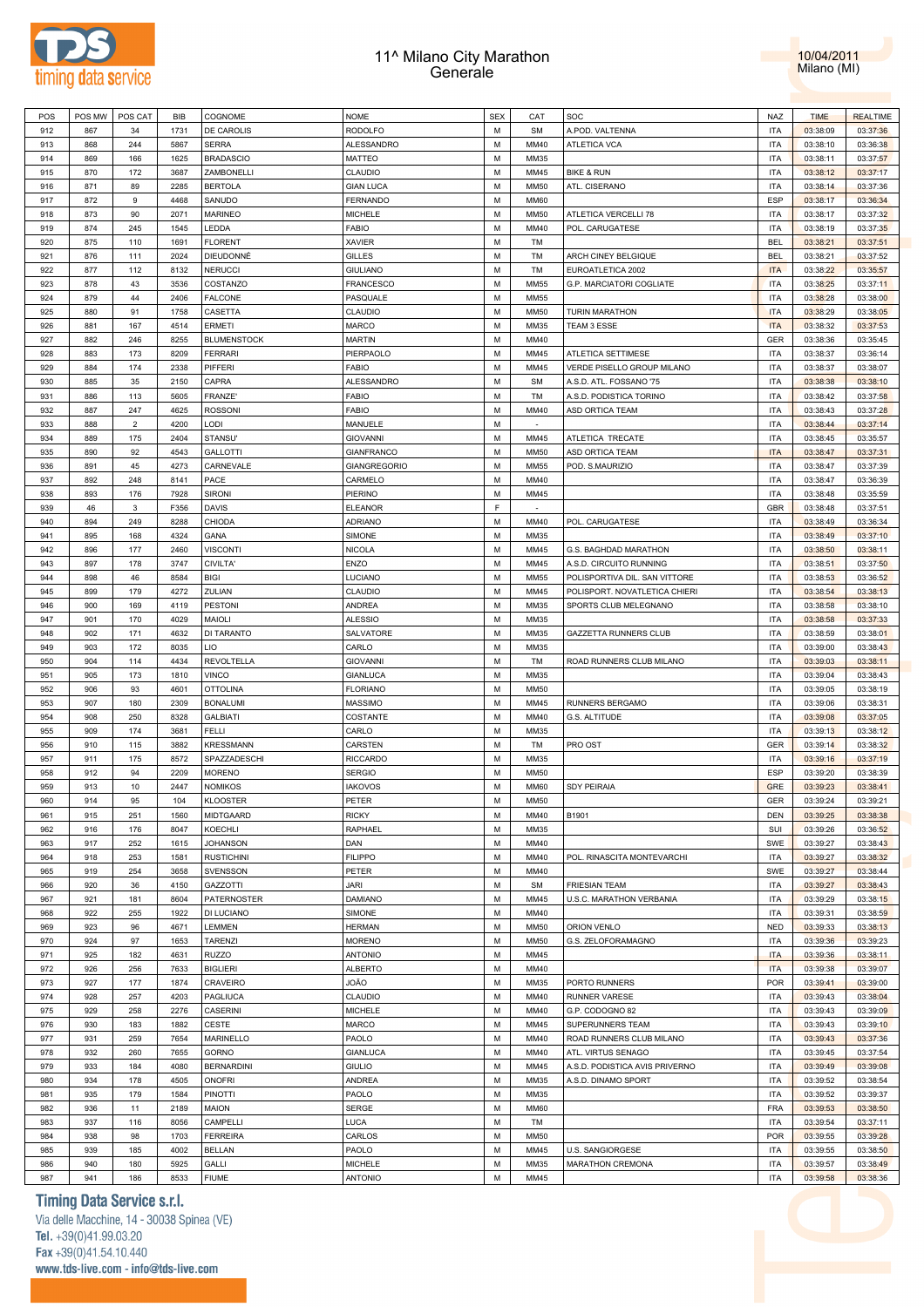



| POS | POS MW | POS CAT        | BIB  | COGNOME            | <b>NOME</b>         | <b>SEX</b> | CAT         | SOC                            | NAZ        | <b>TIME</b> | <b>REALTIME</b> |
|-----|--------|----------------|------|--------------------|---------------------|------------|-------------|--------------------------------|------------|-------------|-----------------|
| 912 | 867    | 34             | 1731 | <b>DE CAROLIS</b>  | <b>RODOLFO</b>      | M          | <b>SM</b>   | A.POD. VALTENNA                | <b>ITA</b> | 03:38:09    | 03:37:36        |
| 913 | 868    | 244            | 5867 | <b>SERRA</b>       | ALESSANDRO          | M          | MM40        | ATLETICA VCA                   | <b>ITA</b> | 03:38:10    | 03:36:38        |
| 914 | 869    | 166            | 1625 | <b>BRADASCIO</b>   | MATTEO              | M          | MM35        |                                | <b>ITA</b> | 03:38:11    | 03:37:57        |
| 915 | 870    | 172            | 3687 | ZAMBONELLI         | CLAUDIO             | M          | MM45        | <b>BIKE &amp; RUN</b>          | <b>ITA</b> | 03:38:12    | 03:37:17        |
| 916 | 871    | 89             | 2285 | <b>BERTOLA</b>     | <b>GIAN LUCA</b>    | M          | <b>MM50</b> | ATL. CISERANO                  | <b>ITA</b> | 03:38:14    | 03:37:36        |
|     |        |                |      |                    |                     |            |             |                                |            |             |                 |
| 917 | 872    | $\mathsf g$    | 4468 | SANUDO             | FERNANDO            | M          | <b>MM60</b> |                                | ESP        | 03:38:17    | 03:36:34        |
| 918 | 873    | 90             | 2071 | <b>MARINEO</b>     | MICHELE             | M          | <b>MM50</b> | ATLETICA VERCELLI 78           | <b>ITA</b> | 03:38:17    | 03:37:32        |
| 919 | 874    | 245            | 1545 | LEDDA              | <b>FABIO</b>        | M          | MM40        | POL. CARUGATESE                | <b>ITA</b> | 03:38:19    | 03:37:35        |
| 920 | 875    | 110            | 1691 | <b>FLORENT</b>     | XAVIER              | M          | TM          |                                | <b>BEL</b> | 03:38:21    | 03:37:51        |
| 921 | 876    | 111            | 2024 | DIEUDONNÉ          | <b>GILLES</b>       | M          | TM          | ARCH CINEY BELGIQUE            | <b>BEL</b> | 03:38:21    | 03:37:52        |
| 922 | 877    | 112            | 8132 | NERUCCI            | <b>GIULIANO</b>     | M          | TM          | EUROATLETICA 2002              | <b>ITA</b> | 03:38:22    | 03:35:57        |
| 923 | 878    | 43             | 3536 | COSTANZO           | FRANCESCO           | M          | <b>MM55</b> | G.P. MARCIATORI COGLIATE       | <b>ITA</b> | 03:38:25    | 03:37:11        |
| 924 | 879    | 44             | 2406 | <b>FALCONE</b>     | PASQUALE            | M          | <b>MM55</b> |                                | <b>ITA</b> | 03:38:28    | 03:38:00        |
| 925 | 880    | 91             | 1758 | CASETTA            | CLAUDIO             | M          | <b>MM50</b> | <b>TURIN MARATHON</b>          | <b>ITA</b> | 03:38:29    | 03:38:05        |
|     |        |                | 4514 | ERMETI             |                     | M          |             |                                | <b>ITA</b> |             |                 |
| 926 | 881    | 167            |      |                    | <b>MARCO</b>        |            | MM35        | TEAM 3 ESSE                    |            | 03:38:32    | 03:37:53        |
| 927 | 882    | 246            | 8255 | <b>BLUMENSTOCK</b> | <b>MARTIN</b>       | M          | MM40        |                                | <b>GER</b> | 03:38:36    | 03:35:45        |
| 928 | 883    | 173            | 8209 | <b>FERRARI</b>     | PIERPAOLO           | M          | MM45        | ATLETICA SETTIMESE             | <b>ITA</b> | 03:38:37    | 03:36:14        |
| 929 | 884    | 174            | 2338 | PIFFERI            | <b>FABIO</b>        | M          | MM45        | VERDE PISELLO GROUP MILANO     | <b>ITA</b> | 03:38:37    | 03:38:07        |
| 930 | 885    | 35             | 2150 | CAPRA              | ALESSANDRO          | M          | <b>SM</b>   | A.S.D. ATL. FOSSANO '75        | <b>ITA</b> | 03:38:38    | 03:38:10        |
| 931 | 886    | 113            | 5605 | FRANZE'            | <b>FABIO</b>        | M          | TM          | A.S.D. PODISTICA TORINO        | <b>ITA</b> | 03:38:42    | 03:37:58        |
| 932 | 887    | 247            | 4625 | <b>ROSSONI</b>     | <b>FABIO</b>        | M          | MM40        | ASD ORTICA TEAM                | <b>ITA</b> | 03:38:43    | 03:37:28        |
| 933 | 888    | $\overline{2}$ | 4200 | LODI               | MANUELE             | M          |             |                                | <b>ITA</b> | 03:38:44    | 03:37:14        |
| 934 | 889    | 175            | 2404 | STANSU'            | <b>GIOVANNI</b>     | M          | MM45        | ATLETICA TRECATE               | <b>ITA</b> | 03:38:45    | 03:35:57        |
|     | 890    | 92             | 4543 | <b>GALLOTTI</b>    |                     | M          | <b>MM50</b> |                                | <b>ITA</b> |             | 03:37:31        |
| 935 |        |                |      |                    | <b>GIANFRANCO</b>   |            |             | ASD ORTICA TEAM                |            | 03:38:47    |                 |
| 936 | 891    | 45             | 4273 | CARNEVALE          | <b>GIANGREGORIO</b> | M          | <b>MM55</b> | POD. S.MAURIZIO                | <b>ITA</b> | 03:38:47    | 03:37:39        |
| 937 | 892    | 248            | 8141 | PACE               | CARMELO             | M          | MM40        |                                | <b>ITA</b> | 03:38:47    | 03:36:39        |
| 938 | 893    | 176            | 7928 | <b>SIRONI</b>      | PIERINO             | M          | MM45        |                                | <b>ITA</b> | 03:38:48    | 03:35:59        |
| 939 | 46     | 3              | F356 | <b>DAVIS</b>       | <b>ELEANOR</b>      | F          |             |                                | <b>GBR</b> | 03:38:48    | 03:37:51        |
| 940 | 894    | 249            | 8288 | CHIODA             | ADRIANO             | M          | MM40        | POL. CARUGATESE                | <b>ITA</b> | 03:38:49    | 03:36:34        |
| 941 | 895    | 168            | 4324 | GANA               | SIMONE              | M          | MM35        |                                | <b>ITA</b> | 03:38:49    | 03:37:10        |
| 942 | 896    | 177            | 2460 | <b>VISCONTI</b>    | <b>NICOLA</b>       | M          | MM45        | G.S. BAGHDAD MARATHON          | <b>ITA</b> | 03:38:50    | 03:38:11        |
| 943 | 897    | 178            | 3747 | CIVILTA'           | ENZO                | M          | MM45        | A.S.D. CIRCUITO RUNNING        | <b>ITA</b> | 03:38:51    | 03:37:50        |
| 944 | 898    | 46             | 8584 | <b>BIGI</b>        | LUCIANO             | M          | <b>MM55</b> | POLISPORTIVA DIL. SAN VITTORE  | <b>ITA</b> | 03:38:53    | 03:36:52        |
|     |        |                |      |                    |                     | M          |             |                                | <b>ITA</b> |             |                 |
| 945 | 899    | 179            | 4272 | ZULIAN             | CLAUDIO             |            | MM45        | POLISPORT. NOVATLETICA CHIERI  |            | 03:38:54    | 03:38:13        |
| 946 | 900    | 169            | 4119 | <b>PESTONI</b>     | ANDREA              | M          | MM35        | SPORTS CLUB MELEGNANO          | <b>ITA</b> | 03:38:58    | 03:38:10        |
| 947 | 901    | 170            | 4029 | MAIOLI             | <b>ALESSIO</b>      | M          | MM35        |                                | <b>ITA</b> | 03:38:58    | 03:37:33        |
| 948 | 902    | 171            | 4632 | <b>DI TARANTO</b>  | SALVATORE           | M          | MM35        | GAZZETTA RUNNERS CLUB          | <b>ITA</b> | 03:38:59    | 03:38:01        |
| 949 | 903    | 172            | 8035 | LIO                | CARLO               | M          | MM35        |                                | <b>ITA</b> | 03:39:00    | 03:38:43        |
| 950 | 904    | 114            | 4434 | REVOLTELLA         | <b>GIOVANNI</b>     | M          | TM          | ROAD RUNNERS CLUB MILANO       | <b>ITA</b> | 03:39:03    | 03:38:11        |
| 951 | 905    | 173            | 1810 | <b>VINCO</b>       | <b>GIANLUCA</b>     | M          | MM35        |                                | <b>ITA</b> | 03:39:04    | 03:38:43        |
| 952 | 906    | 93             | 4601 | <b>OTTOLINA</b>    | <b>FLORIANO</b>     | M          | <b>MM50</b> |                                | <b>ITA</b> | 03:39:05    | 03:38:19        |
| 953 | 907    | 180            | 2309 | <b>BONALUMI</b>    | MASSIMO             | M          | MM45        | RUNNERS BERGAMO                | <b>ITA</b> | 03:39:06    | 03:38:31        |
| 954 | 908    | 250            | 8328 | <b>GALBIATI</b>    | COSTANTE            | M          | MM40        | G.S. ALTITUDE                  | <b>ITA</b> | 03:39:08    | 03:37:05        |
|     | 909    | 174            | 3681 | <b>FELLI</b>       | CARLO               | M          | MM35        |                                | <b>ITA</b> |             | 03:38:12        |
| 955 |        |                |      |                    |                     |            |             |                                |            | 03:39:13    |                 |
| 956 | 910    | 115            | 3882 | <b>KRESSMANN</b>   | CARSTEN             | M          | TM          | PRO OST                        | <b>GER</b> | 03:39:14    | 03:38:32        |
| 957 | 911    | 175            | 8572 | SPAZZADESCHI       | <b>RICCARDO</b>     | M          | MM35        |                                | <b>ITA</b> | 03:39:16    | 03:37:19        |
| 958 | 912    | 94             | 2209 | <b>MORENO</b>      | <b>SERGIO</b>       | M          | <b>MM50</b> |                                | ESP        | 03:39:20    | 03:38:39        |
| 959 | 913    | 10             | 2447 | <b>NOMIKOS</b>     | <b>IAKOVOS</b>      | M          | <b>MM60</b> | <b>SDY PEIRAIA</b>             | <b>GRE</b> | 03:39:23    | 03:38:41        |
| 960 | 914    | 95             | 104  | <b>KLOOSTER</b>    | PETER               | M          | <b>MM50</b> |                                | <b>GER</b> | 03:39:24    | 03:39:21        |
| 961 | 915    | 251            | 1560 | <b>MIDTGAARD</b>   | <b>RICKY</b>        | M          | MM40        | B1901                          | <b>DEN</b> | 03:39:25    | 03:38:38        |
| 962 | 916    | 176            | 8047 | KOECHLI            | RAPHAEL             | M          | MM35        |                                | SUI        | 03:39:26    | 03:36:52        |
| 963 | 917    | 252            | 1615 | <b>JOHANSON</b>    | DAN                 | M          | MM40        |                                | SWE        | 03:39:27    | 03:38:43        |
| 964 | 918    | 253            | 1581 | <b>RUSTICHINI</b>  | <b>FILIPPO</b>      | M          | MM40        | POL. RINASCITA MONTEVARCHI     | <b>ITA</b> | 03:39:27    | 03:38:32        |
|     |        |                |      |                    |                     | M          |             |                                |            |             |                 |
| 965 | 919    | 254            | 3658 | <b>SVENSSON</b>    | PETER               |            | MM40        |                                | SWE        | 03:39:27    | 03:38:44        |
| 966 | 920    | 36             | 4150 | GAZZOTTI           | <b>JARI</b>         | M          | <b>SM</b>   | <b>FRIESIAN TEAM</b>           | <b>ITA</b> | 03:39:27    | 03:38:43        |
| 967 | 921    | 181            | 8604 | PATERNOSTER        | <b>DAMIANO</b>      | M          | MM45        | U.S.C. MARATHON VERBANIA       | <b>ITA</b> | 03:39:29    | 03:38:15        |
| 968 | 922    | 255            | 1922 | DI LUCIANO         | SIMONE              | M          | MM40        |                                | <b>ITA</b> | 03:39:31    | 03:38:59        |
| 969 | 923    | 96             | 4671 | LEMMEN             | <b>HERMAN</b>       | M          | <b>MM50</b> | ORION VENLO                    | <b>NED</b> | 03:39:33    | 03:38:13        |
| 970 | 924    | 97             | 1653 | <b>TARENZI</b>     | <b>MORENO</b>       | M          | <b>MM50</b> | G.S. ZELOFORAMAGNO             | <b>ITA</b> | 03:39:36    | 03:39:23        |
| 971 | 925    | 182            | 4631 | RUZZO              | <b>ANTONIO</b>      | M          | MM45        |                                | <b>ITA</b> | 03:39:36    | 03:38:11        |
| 972 | 926    | 256            | 7633 | <b>BIGLIERI</b>    | <b>ALBERTO</b>      | M          | MM40        |                                | <b>ITA</b> | 03:39:38    | 03:39:07        |
| 973 | 927    | 177            | 1874 | CRAVEIRO           | <b>OÃO</b>          | M          | MM35        | PORTO RUNNERS                  | <b>POR</b> | 03:39:41    | 03:39:00        |
| 974 | 928    | 257            | 4203 |                    | CLAUDIO             | M          | MM40        | <b>RUNNER VARESE</b>           |            |             | 03:38:04        |
|     |        |                |      | PAGLIUCA           |                     |            |             |                                | <b>ITA</b> | 03:39:43    |                 |
| 975 | 929    | 258            | 2276 | CASERINI           | <b>MICHELE</b>      | M          | MM40        | G.P. CODOGNO 82                | <b>ITA</b> | 03:39:43    | 03:39:09        |
| 976 | 930    | 183            | 1882 | CESTE              | <b>MARCO</b>        | M          | MM45        | SUPERUNNERS TEAM               | <b>ITA</b> | 03:39:43    | 03:39:10        |
| 977 | 931    | 259            | 7654 | MARINELLO          | PAOLO               | M          | MM40        | ROAD RUNNERS CLUB MILANO       | <b>ITA</b> | 03:39:43    | 03:37:36        |
| 978 | 932    | 260            | 7655 | GORNO              | <b>GIANLUCA</b>     | M          | MM40        | ATL. VIRTUS SENAGO             | <b>ITA</b> | 03:39:45    | 03:37:54        |
| 979 | 933    | 184            | 4080 | <b>BERNARDINI</b>  | <b>GIULIO</b>       | M          | MM45        | A.S.D. PODISTICA AVIS PRIVERNO | <b>ITA</b> | 03:39:49    | 03:39:08        |
| 980 | 934    | 178            | 4505 | ONOFRI             | ANDREA              | M          | MM35        | A.S.D. DINAMO SPORT            | <b>ITA</b> | 03:39:52    | 03:38:54        |
| 981 | 935    | 179            | 1584 | PINOTTI            | PAOLO               | M          | MM35        |                                | <b>ITA</b> | 03:39:52    | 03:39:37        |
| 982 | 936    | 11             | 2189 | MAION              | SERGE               | M          | <b>MM60</b> |                                | <b>FRA</b> | 03:39:53    | 03:38:50        |
| 983 | 937    | 116            | 8056 | CAMPELLI           | <b>LUCA</b>         | M          | <b>TM</b>   |                                | <b>ITA</b> | 03:39:54    | 03:37:11        |
|     |        |                |      |                    |                     |            |             |                                |            |             |                 |
| 984 | 938    | 98             | 1703 | <b>FERREIRA</b>    | CARLOS              | M          | <b>MM50</b> |                                | <b>POR</b> | 03:39:55    | 03:39:28        |
| 985 | 939    | 185            | 4002 | <b>BELLAN</b>      | PAOLO               | M          | MM45        | <b>U.S. SANGIORGESE</b>        | <b>ITA</b> | 03:39:55    | 03:38:50        |
| 986 | 940    | 180            | 5925 | GALLI              | <b>MICHELE</b>      | M          | MM35        | MARATHON CREMONA               | <b>ITA</b> | 03:39:57    | 03:38:49        |
| 987 | 941    | 186            | 8533 | <b>FIUME</b>       | <b>ANTONIO</b>      | M          | MM45        |                                | <b>ITA</b> | 03:39:58    | 03:38:36        |

# **Timing Data Service s.r.l.**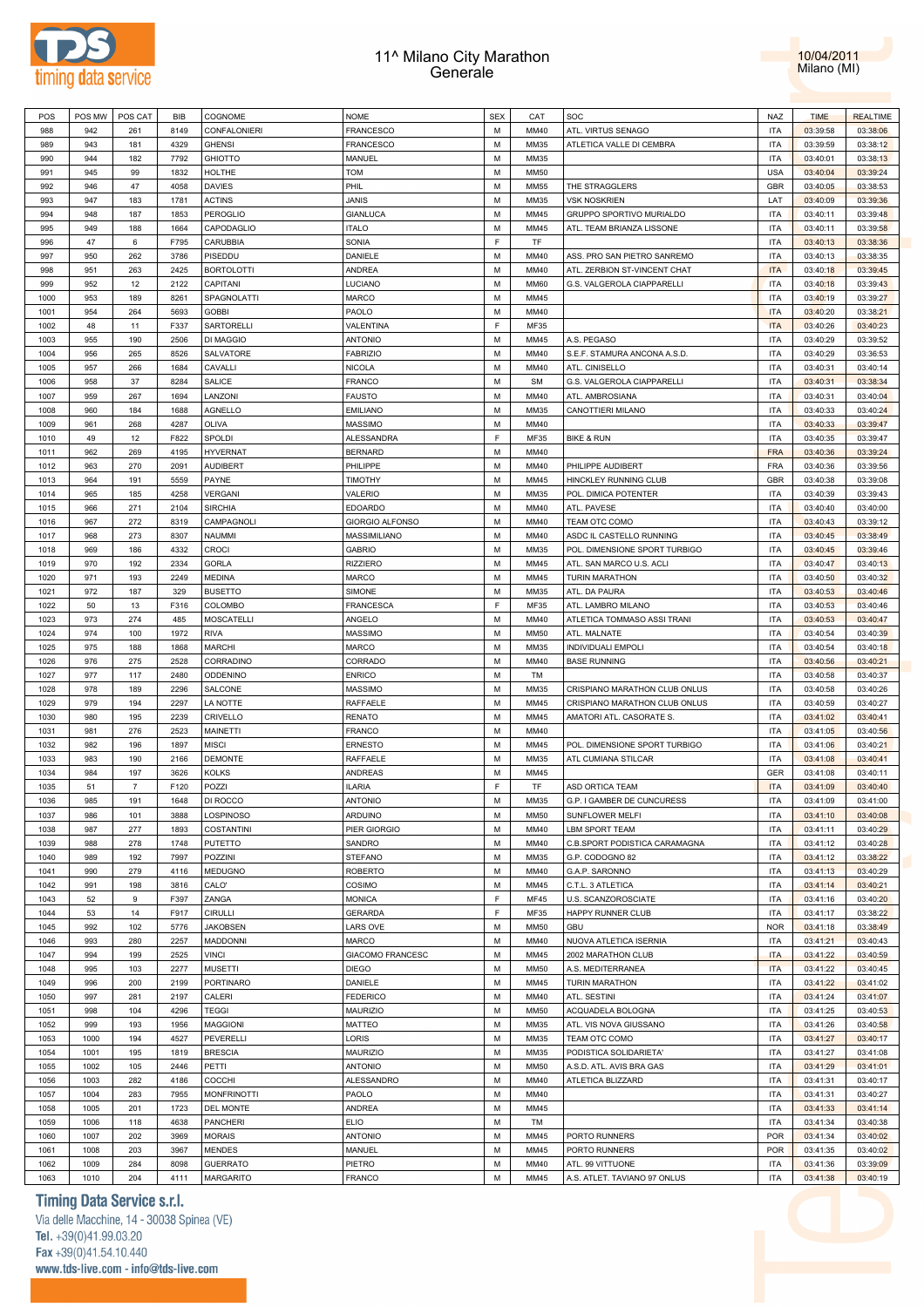



| POS  | POS MW | POS CAT        | <b>BIB</b> | COGNOME             | <b>NOME</b>            | <b>SEX</b> | CAT         | SOC                           | <b>NAZ</b> | <b>TIME</b> | <b>REALTIME</b> |
|------|--------|----------------|------------|---------------------|------------------------|------------|-------------|-------------------------------|------------|-------------|-----------------|
| 988  | 942    | 261            | 8149       | <b>CONFALONIERI</b> | FRANCESCO              | M          | MM40        | ATL. VIRTUS SENAGO            | <b>ITA</b> | 03:39:58    | 03:38:06        |
| 989  | 943    | 181            | 4329       | <b>GHENSI</b>       | FRANCESCO              | M          | MM35        | ATLETICA VALLE DI CEMBRA      | <b>ITA</b> | 03:39:59    | 03:38:12        |
|      |        |                |            |                     |                        |            |             |                               |            |             |                 |
| 990  | 944    | 182            | 7792       | <b>GHIOTTO</b>      | MANUEL                 | M          | MM35        |                               | <b>ITA</b> | 03:40:01    | 03:38:13        |
| 991  | 945    | 99             | 1832       | HOLTHE              | <b>TOM</b>             | M          | MM50        |                               | <b>USA</b> | 03:40:04    | 03:39:24        |
| 992  | 946    | 47             | 4058       | <b>DAVIES</b>       | PHIL                   | M          | MM55        | THE STRAGGLERS                | GBR        | 03:40:05    | 03:38:53        |
| 993  | 947    | 183            | 1781       | <b>ACTINS</b>       | <b>JANIS</b>           | M          | MM35        | <b>VSK NOSKRIEN</b>           | LAT        | 03:40:09    | 03:39:36        |
| 994  | 948    | 187            | 1853       | <b>PEROGLIO</b>     | <b>GIANLUCA</b>        | M          | MM45        | GRUPPO SPORTIVO MURIALDO      | <b>ITA</b> | 03:40:11    | 03:39:48        |
|      |        |                |            |                     |                        |            |             |                               |            |             |                 |
| 995  | 949    | 188            | 1664       | CAPODAGLIO          | <b>ITALO</b>           | M          | MM45        | ATL. TEAM BRIANZA LISSONE     | <b>ITA</b> | 03:40:11    | 03:39:58        |
| 996  | 47     | 6              | F795       | CARUBBIA            | SONIA                  | F          | TF          |                               | <b>ITA</b> | 03:40:13    | 03:38:36        |
| 997  | 950    | 262            | 3786       | PISEDDU             | DANIELE                | M          | MM40        | ASS. PRO SAN PIETRO SANREMO   | <b>ITA</b> | 03:40:13    | 03:38:35        |
| 998  | 951    | 263            | 2425       | <b>BORTOLOTTI</b>   | <b>ANDREA</b>          | M          | MM40        | ATL. ZERBION ST-VINCENT CHAT  | <b>ITA</b> | 03:40:18    | 03:39:45        |
| 999  | 952    | 12             | 2122       | CAPITANI            | LUCIANO                | M          | <b>MM60</b> | G.S. VALGEROLA CIAPPARELLI    | <b>ITA</b> | 03:40:18    | 03:39:43        |
|      |        |                |            |                     |                        |            |             |                               |            |             |                 |
| 1000 | 953    | 189            | 8261       | SPAGNOLATTI         | <b>MARCO</b>           | M          | MM45        |                               | <b>ITA</b> | 03:40:19    | 03:39:27        |
| 1001 | 954    | 264            | 5693       | <b>GOBBI</b>        | PAOLO                  | M          | MM40        |                               | <b>ITA</b> | 03:40:20    | 03:38:21        |
| 1002 | 48     | 11             | F337       | SARTORELLI          | VALENTINA              | F          | MF35        |                               | <b>ITA</b> | 03:40:26    | 03:40:23        |
| 1003 | 955    | 190            | 2506       | <b>DI MAGGIO</b>    | <b>ANTONIO</b>         | M          | MM45        | A.S. PEGASO                   | <b>ITA</b> | 03:40:29    | 03:39:52        |
| 1004 | 956    | 265            | 8526       | SALVATORE           | <b>FABRIZIO</b>        | M          | MM40        | S.E.F. STAMURA ANCONA A.S.D.  | <b>ITA</b> | 03:40:29    | 03:36:53        |
|      |        |                |            |                     |                        |            |             |                               |            |             |                 |
| 1005 | 957    | 266            | 1684       | CAVALLI             | <b>NICOLA</b>          | M          | MM40        | ATL. CINISELLO                | <b>ITA</b> | 03:40:31    | 03:40:14        |
| 1006 | 958    | 37             | 8284       | SALICE              | <b>FRANCO</b>          | M          | <b>SM</b>   | G.S. VALGEROLA CIAPPARELLI    | <b>ITA</b> | 03:40:31    | 03:38:34        |
| 1007 | 959    | 267            | 1694       | LANZONI             | <b>FAUSTO</b>          | M          | MM40        | ATL. AMBROSIANA               | <b>ITA</b> | 03:40:31    | 03:40:04        |
| 1008 | 960    | 184            | 1688       | <b>AGNELLO</b>      | <b>EMILIANO</b>        | M          | MM35        | CANOTTIERI MILANO             | <b>ITA</b> | 03:40:33    | 03:40:24        |
| 1009 | 961    | 268            | 4287       | OLIVA               | <b>MASSIMO</b>         | M          | MM40        |                               | <b>ITA</b> | 03:40:33    | 03:39:47        |
|      |        |                |            |                     |                        |            |             |                               |            |             |                 |
| 1010 | 49     | 12             | F822       | SPOLDI              | ALESSANDRA             | F          | MF35        | <b>BIKE &amp; RUN</b>         | <b>ITA</b> | 03:40:35    | 03:39:47        |
| 1011 | 962    | 269            | 4195       | <b>HYVERNAT</b>     | <b>BERNARD</b>         | M          | MM40        |                               | <b>FRA</b> | 03:40:36    | 03:39:24        |
| 1012 | 963    | 270            | 2091       | <b>AUDIBERT</b>     | PHILIPPE               | M          | MM40        | PHILIPPE AUDIBERT             | <b>FRA</b> | 03:40:36    | 03:39:56        |
| 1013 | 964    | 191            | 5559       | PAYNE               | TIMOTHY                | M          | MM45        | HINCKLEY RUNNING CLUB         | GBR        | 03:40:38    | 03:39:08        |
|      |        |                |            |                     |                        |            |             |                               |            |             |                 |
| 1014 | 965    | 185            | 4258       | <b>VERGANI</b>      | VALERIO                | M          | MM35        | POL. DIMICA POTENTER          | <b>ITA</b> | 03:40:39    | 03:39:43        |
| 1015 | 966    | 271            | 2104       | <b>SIRCHIA</b>      | <b>EDOARDO</b>         | M          | MM40        | ATL. PAVESE                   | <b>ITA</b> | 03:40:40    | 03:40:00        |
| 1016 | 967    | 272            | 8319       | CAMPAGNOLI          | <b>GIORGIO ALFONSO</b> | M          | MM40        | TEAM OTC COMO                 | <b>ITA</b> | 03:40:43    | 03:39:12        |
| 1017 | 968    | 273            | 8307       | <b>NAUMMI</b>       | MASSIMILIANO           | M          | MM40        | ASDC IL CASTELLO RUNNING      | <b>ITA</b> | 03:40:45    | 03:38:49        |
| 1018 | 969    | 186            | 4332       | <b>CROCI</b>        | <b>GABRIO</b>          | M          | MM35        | POL. DIMENSIONE SPORT TURBIGO | <b>ITA</b> | 03:40:45    | 03:39:46        |
|      |        |                |            |                     |                        |            |             |                               |            |             |                 |
| 1019 | 970    | 192            | 2334       | <b>GORLA</b>        | <b>RIZZIERO</b>        | M          | MM45        | ATL. SAN MARCO U.S. ACLI      | <b>ITA</b> | 03:40:47    | 03:40:13        |
| 1020 | 971    | 193            | 2249       | <b>MEDINA</b>       | MARCO                  | M          | MM45        | <b>TURIN MARATHON</b>         | <b>ITA</b> | 03:40:50    | 03:40:32        |
| 1021 | 972    | 187            | 329        | <b>BUSETTO</b>      | SIMONE                 | M          | MM35        | ATL. DA PAURA                 | <b>ITA</b> | 03:40:53    | 03:40:46        |
| 1022 | 50     | 13             | F316       | COLOMBO             | <b>FRANCESCA</b>       | F          | MF35        | ATL. LAMBRO MILANO            | <b>ITA</b> | 03:40:53    | 03:40:46        |
| 1023 | 973    | 274            | 485        | <b>MOSCATELLI</b>   | ANGELO                 | M          | MM40        | ATLETICA TOMMASO ASSI TRANI   | <b>ITA</b> | 03:40:53    | 03:40:47        |
|      |        |                |            |                     |                        |            |             |                               |            |             |                 |
| 1024 | 974    | 100            | 1972       | <b>RIVA</b>         | <b>MASSIMO</b>         | M          | MM50        | ATL. MALNATE                  | <b>ITA</b> | 03:40:54    | 03:40:39        |
| 1025 | 975    | 188            | 1868       | <b>MARCHI</b>       | <b>MARCO</b>           | M          | MM35        | INDIVIDUALI EMPOLI            | <b>ITA</b> | 03:40:54    | 03:40:18        |
| 1026 | 976    | 275            | 2528       | CORRADINO           | CORRADO                | M          | MM40        | <b>BASE RUNNING</b>           | <b>ITA</b> | 03:40:56    | 03:40:21        |
| 1027 | 977    | 117            | 2480       | ODDENINO            | <b>ENRICO</b>          | M          | TM          |                               | <b>ITA</b> | 03:40:58    | 03:40:37        |
| 1028 | 978    | 189            | 2296       | SALCONE             | <b>MASSIMO</b>         | M          | MM35        | CRISPIANO MARATHON CLUB ONLUS | <b>ITA</b> | 03:40:58    | 03:40:26        |
|      |        |                |            |                     |                        |            |             |                               |            |             |                 |
| 1029 | 979    | 194            | 2297       | LA NOTTE            | RAFFAELE               | M          | MM45        | CRISPIANO MARATHON CLUB ONLUS | <b>ITA</b> | 03:40:59    | 03:40:27        |
| 1030 | 980    | 195            | 2239       | CRIVELLO            | <b>RENATO</b>          | M          | MM45        | AMATORI ATL. CASORATE S       | <b>ITA</b> | 03:41:02    | 03:40:41        |
| 1031 | 981    | 276            | 2523       | MAINETTI            | FRANCO                 | M          | MM40        |                               | <b>ITA</b> | 03:41:05    | 03:40:56        |
| 1032 | 982    | 196            | 1897       | <b>MISCI</b>        | <b>ERNESTO</b>         | M          | MM45        | POL. DIMENSIONE SPORT TURBIGO | <b>ITA</b> | 03:41:06    | 03:40:21        |
| 1033 | 983    | 190            | 2166       | <b>DEMONTE</b>      | RAFFAELE               | M          | MM35        | ATL CUMIANA STILCAR           | <b>ITA</b> | 03:41:08    | 03:40:41        |
|      |        |                |            |                     |                        |            |             |                               |            |             |                 |
| 1034 | 984    | 197            | 3626       | <b>KOLKS</b>        | ANDREAS                | M          | MM45        |                               | GER        | 03:41:08    | 03:40:11        |
| 1035 | 51     | $\overline{7}$ | F120       | POZZI               | <b>ILARIA</b>          | F.         | TF          | ASD ORTICA TEAM               | <b>ITA</b> | 03:41:09    | 03:40:40        |
| 1036 | 985    | 191            | 1648       | DI ROCCO            | <b>ANTONIO</b>         | M          | MM35        | G.P. I GAMBER DE CUNCURESS    | <b>ITA</b> | 03:41:09    | 03:41:00        |
| 1037 | 986    | 101            | 3888       | LOSPINOSO           | ARDUINO                | M          | MM50        | SUNFLOWER MELFI               | <b>ITA</b> | 03:41:10    | 03:40:08        |
|      | 987    | 277            | 1893       |                     | PIER GIORGIO           | M          | MM40        | <b>LBM SPORT TEAM</b>         | <b>ITA</b> |             |                 |
| 1038 |        |                |            | <b>COSTANTINI</b>   |                        |            |             |                               |            | 03:41:11    | 03:40:29        |
| 1039 | 988    | 278            | 1748       | <b>PUTETTO</b>      | SANDRO                 | M          | MM40        | C.B.SPORT PODISTICA CARAMAGNA | <b>ITA</b> | 03:41:12    | 03:40:28        |
| 1040 | 989    | 192            | 7997       | POZZINI             | STEFANO                | M          | MM35        | G.P. CODOGNO 82               | <b>ITA</b> | 03:41:12    | 03:38:22        |
| 1041 | 990    | 279            | 4116       | <b>MEDUGNO</b>      | <b>ROBERTO</b>         | M          | MM40        | G.A.P. SARONNO                | <b>ITA</b> | 03:41:13    | 03:40:29        |
| 1042 | 991    | 198            | 3816       | CALO'               | COSIMO                 | M          | MM45        | C.T.L. 3 ATLETICA             | <b>ITA</b> | 03:41:14    | 03:40:21        |
|      |        |                |            |                     |                        | F          |             |                               |            |             |                 |
| 1043 | 52     | $\mathsf g$    | F397       | ZANGA               | <b>MONICA</b>          |            | <b>MF45</b> | U.S. SCANZOROSCIATE           | <b>ITA</b> | 03:41:16    | 03:40:20        |
| 1044 | 53     | 14             | F917       | <b>CIRULLI</b>      | <b>GERARDA</b>         | F          | MF35        | HAPPY RUNNER CLUB             | <b>ITA</b> | 03:41:17    | 03:38:22        |
| 1045 | 992    | 102            | 5776       | <b>JAKOBSEN</b>     | LARS OVE               | M          | MM50        | GBU                           | <b>NOR</b> | 03:41:18    | 03:38:49        |
| 1046 | 993    | 280            | 2257       | <b>MADDONNI</b>     | MARCO                  | M          | MM40        | NUOVA ATLETICA ISERNIA        | <b>ITA</b> | 03:41:21    | 03:40:43        |
| 1047 | 994    | 199            | 2525       | <b>VINCI</b>        | GIACOMO FRANCESC       | M          | MM45        | 2002 MARATHON CLUB            | <b>ITA</b> | 03:41:22    | 03:40:59        |
|      |        |                |            |                     |                        |            |             |                               |            |             |                 |
| 1048 | 995    | 103            | 2277       | <b>MUSETTI</b>      | <b>DIEGO</b>           | M          | MM50        | A.S. MEDITERRANEA             | <b>ITA</b> | 03:41:22    | 03:40:45        |
| 1049 | 996    | 200            | 2199       | <b>PORTINARO</b>    | DANIELE                | M          | MM45        | <b>TURIN MARATHON</b>         | <b>ITA</b> | 03:41:22    | 03:41:02        |
| 1050 | 997    | 281            | 2197       | CALERI              | <b>FEDERICO</b>        | M          | MM40        | ATL. SESTINI                  | <b>ITA</b> | 03:41:24    | 03:41:07        |
| 1051 | 998    | 104            | 4296       | <b>TEGGI</b>        | MAURIZIO               | M          | MM50        | ACQUADELA BOLOGNA             | <b>ITA</b> | 03:41:25    | 03:40:53        |
|      | 999    |                |            |                     |                        | M          | MM35        |                               | <b>ITA</b> |             |                 |
| 1052 |        | 193            | 1956       | <b>MAGGIONI</b>     | MATTEO                 |            |             | ATL. VIS NOVA GIUSSANO        |            | 03:41:26    | 03:40:58        |
| 1053 | 1000   | 194            | 4527       | PEVERELLI           | LORIS                  | M          | MM35        | TEAM OTC COMO                 | <b>ITA</b> | 03:41:27    | 03:40:17        |
| 1054 | 1001   | 195            | 1819       | <b>BRESCIA</b>      | <b>MAURIZIO</b>        | M          | MM35        | PODISTICA SOLIDARIETA'        | <b>ITA</b> | 03:41:27    | 03:41:08        |
| 1055 | 1002   | 105            | 2446       | PETTI               | <b>ANTONIO</b>         | M          | MM50        | A.S.D. ATL. AVIS BRA GAS      | <b>ITA</b> | 03:41:29    | 03:41:01        |
| 1056 | 1003   | 282            | 4186       | <b>COCCHI</b>       | ALESSANDRO             | M          | MM40        | ATLETICA BLIZZARD             | <b>ITA</b> | 03:41:31    | 03:40:17        |
|      |        |                |            |                     |                        |            |             |                               |            |             |                 |
| 1057 | 1004   | 283            | 7955       | <b>MONFRINOTTI</b>  | PAOLO                  | М          | MM40        |                               | <b>ITA</b> | 03:41:31    | 03:40:27        |
| 1058 | 1005   | 201            | 1723       | <b>DEL MONTE</b>    | ANDREA                 | M          | MM45        |                               | <b>ITA</b> | 03:41:33    | 03:41:14        |
| 1059 | 1006   | 118            | 4638       | <b>PANCHERI</b>     | <b>ELIO</b>            | M          | TM          |                               | <b>ITA</b> | 03:41:34    | 03:40:38        |
| 1060 | 1007   | 202            | 3969       | <b>MORAIS</b>       | <b>ANTONIO</b>         | M          | MM45        | PORTO RUNNERS                 | <b>POR</b> | 03:41:34    | 03:40:02        |
| 1061 | 1008   | 203            | 3967       | <b>MENDES</b>       | MANUEL                 | M          | MM45        | PORTO RUNNERS                 | <b>POR</b> | 03:41:35    | 03:40:02        |
|      |        |                |            |                     |                        |            |             |                               |            |             |                 |
| 1062 | 1009   | 284            | 8098       | <b>GUERRATO</b>     | PIETRO                 | M          | MM40        | ATL. 99 VITTUONE              | <b>ITA</b> | 03:41:36    | 03:39:09        |
| 1063 | 1010   | 204            | 4111       | MARGARITO           | <b>FRANCO</b>          | М          | MM45        | A.S. ATLET. TAVIANO 97 ONLUS  | ITA        | 03:41:38    | 03:40:19        |

### **Timing Data Service s.r.l.**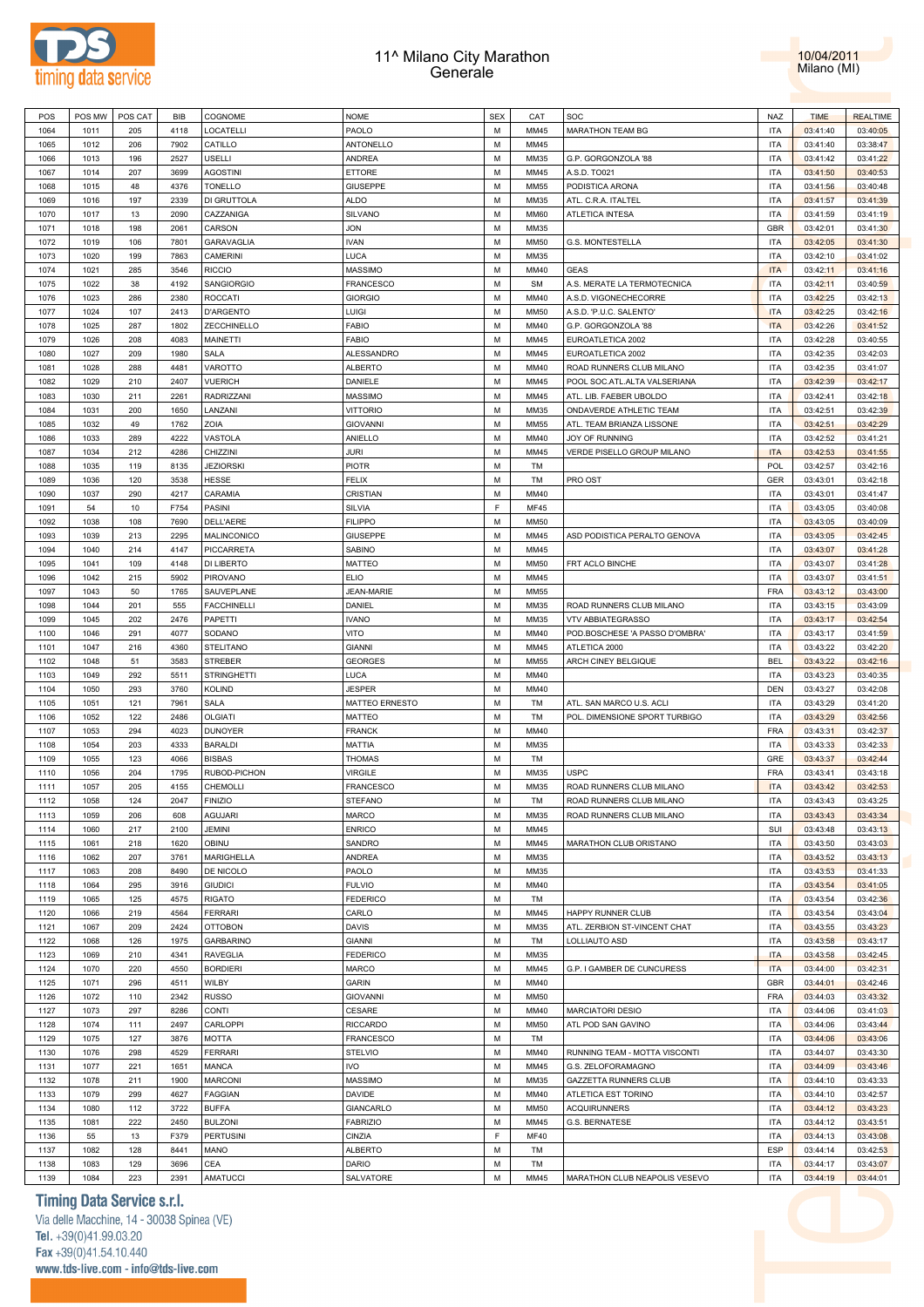



| POS  | POS MW | POS CAT | <b>BIB</b> | COGNOME            | <b>NOME</b>       | <b>SEX</b> | CAT         | SOC                            | <b>NAZ</b> | <b>TIME</b> | <b>REALTIME</b> |
|------|--------|---------|------------|--------------------|-------------------|------------|-------------|--------------------------------|------------|-------------|-----------------|
| 1064 | 1011   | 205     | 4118       | LOCATELLI          | PAOLO             | M          | MM45        | MARATHON TEAM BG               | <b>ITA</b> | 03:41:40    | 03:40:05        |
| 1065 | 1012   | 206     | 7902       | CATILLO            | ANTONELLO         | M          | MM45        |                                | <b>ITA</b> | 03:41:40    | 03:38:47        |
|      |        |         | 2527       | USELLI             | ANDREA            | M          |             | G.P. GORGONZOLA '88            |            |             |                 |
| 1066 | 1013   | 196     |            |                    |                   |            | MM35        |                                | <b>ITA</b> | 03:41:42    | 03:41:22        |
| 1067 | 1014   | 207     | 3699       | <b>AGOSTINI</b>    | <b>ETTORE</b>     | M          | MM45        | A.S.D. TO021                   | <b>ITA</b> | 03:41:50    | 03:40:53        |
| 1068 | 1015   | 48      | 4376       | <b>TONELLO</b>     | <b>GIUSEPPE</b>   | M          | MM55        | PODISTICA ARONA                | <b>ITA</b> | 03:41:56    | 03:40:48        |
| 1069 | 1016   | 197     | 2339       | DI GRUTTOLA        | <b>ALDO</b>       | М          | MM35        | ATL. C.R.A. ITALTEL            | <b>ITA</b> | 03:41:57    | 03:41:39        |
| 1070 | 1017   | 13      | 2090       | CAZZANIGA          | SILVANO           | M          | MM60        | ATLETICA INTESA                | <b>ITA</b> | 03:41:59    | 03:41:19        |
| 1071 | 1018   | 198     | 2061       | CARSON             | JON               | М          | MM35        |                                | GBR        | 03:42:01    | 03:41:30        |
| 1072 | 1019   | 106     | 7801       | GARAVAGLIA         | <b>IVAN</b>       | M          | MM50        | G.S. MONTESTELLA               | <b>ITA</b> | 03:42:05    | 03:41:30        |
| 1073 | 1020   | 199     | 7863       | CAMERINI           | LUCA              | М          | MM35        |                                | <b>ITA</b> | 03:42:10    | 03:41:02        |
| 1074 | 1021   | 285     | 3546       | <b>RICCIO</b>      | <b>MASSIMO</b>    | M          | MM40        | GEAS                           | <b>ITA</b> | 03:42:11    | 03:41:16        |
| 1075 | 1022   | 38      | 4192       | SANGIORGIO         | <b>FRANCESCO</b>  | М          | <b>SM</b>   | A.S. MERATE LA TERMOTECNICA    | <b>ITA</b> | 03:42:11    | 03:40:59        |
|      |        |         |            |                    |                   | M          |             | A.S.D. VIGONECHECORRE          |            |             |                 |
| 1076 | 1023   | 286     | 2380       | <b>ROCCATI</b>     | <b>GIORGIO</b>    |            | MM40        |                                | <b>ITA</b> | 03:42:25    | 03:42:13        |
| 1077 | 1024   | 107     | 2413       | <b>D'ARGENTO</b>   | Luigi             | М          | MM50        | A.S.D. 'P.U.C. SALENTO'        | <b>ITA</b> | 03:42:25    | 03:42:16        |
| 1078 | 1025   | 287     | 1802       | ZECCHINELLO        | <b>FABIO</b>      | M          | MM40        | G.P. GORGONZOLA '88            | <b>ITA</b> | 03:42:26    | 03:41:52        |
| 1079 | 1026   | 208     | 4083       | MAINETTI           | <b>FABIO</b>      | M          | MM45        | EUROATLETICA 2002              | <b>ITA</b> | 03:42:28    | 03:40:55        |
| 1080 | 1027   | 209     | 1980       | SALA               | ALESSANDRO        | M          | MM45        | EUROATLETICA 2002              | <b>ITA</b> | 03:42:35    | 03:42:03        |
| 1081 | 1028   | 288     | 4481       | VAROTTO            | <b>ALBERTO</b>    | M          | MM40        | ROAD RUNNERS CLUB MILANO       | <b>ITA</b> | 03:42:35    | 03:41:07        |
| 1082 | 1029   | 210     | 2407       | <b>VUERICH</b>     | DANIELE           | M          | MM45        | POOL SOC.ATL.ALTA VALSERIANA   | <b>ITA</b> | 03:42:39    | 03:42:17        |
| 1083 | 1030   | 211     | 2261       | RADRIZZANI         | <b>MASSIMO</b>    | M          | MM45        | ATL. LIB. FAEBER UBOLDO        | <b>ITA</b> | 03:42:41    | 03:42:18        |
| 1084 | 1031   | 200     | 1650       | LANZANI            | <b>VITTORIO</b>   | M          | MM35        | ONDAVERDE ATHLETIC TEAM        | <b>ITA</b> | 03:42:51    | 03:42:39        |
|      |        |         |            |                    |                   |            |             |                                |            |             |                 |
| 1085 | 1032   | 49      | 1762       | ZOIA               | <b>GIOVANNI</b>   | М          | MM55        | ATL. TEAM BRIANZA LISSONE      | <b>ITA</b> | 03:42:51    | 03:42:29        |
| 1086 | 1033   | 289     | 4222       | VASTOLA            | ANIELLO           | M          | MM40        | JOY OF RUNNING                 | <b>ITA</b> | 03:42:52    | 03:41:21        |
| 1087 | 1034   | 212     | 4286       | CHIZZINI           | JURI              | М          | MM45        | VERDE PISELLO GROUP MILANO     | <b>ITA</b> | 03:42:53    | 03:41:55        |
| 1088 | 1035   | 119     | 8135       | <b>JEZIORSKI</b>   | <b>PIOTR</b>      | M          | TM          |                                | <b>POL</b> | 03:42:57    | 03:42:16        |
| 1089 | 1036   | 120     | 3538       | HESSE              | <b>FELIX</b>      | М          | TM          | PRO OST                        | GER        | 03:43:01    | 03:42:18        |
| 1090 | 1037   | 290     | 4217       | CARAMIA            | CRISTIAN          | M          | MM40        |                                | <b>ITA</b> | 03:43:01    | 03:41:47        |
| 1091 | 54     | 10      | F754       | PASINI             | SILVIA            | F          | MF45        |                                | <b>ITA</b> | 03:43:05    | 03:40:08        |
| 1092 | 1038   | 108     | 7690       | DELL'AERE          | <b>FILIPPO</b>    | M          | MM50        |                                | <b>ITA</b> | 03:43:05    | 03:40:09        |
| 1093 | 1039   | 213     | 2295       | MALINCONICO        | <b>GIUSEPPE</b>   | М          | MM45        | ASD PODISTICA PERALTO GENOVA   | <b>ITA</b> | 03:43:05    | 03:42:45        |
| 1094 | 1040   | 214     | 4147       | PICCARRETA         | SABINO            | M          | MM45        |                                | <b>ITA</b> | 03:43:07    | 03:41:28        |
|      |        |         |            |                    |                   |            |             |                                |            |             |                 |
| 1095 | 1041   | 109     | 4148       | DI LIBERTO         | MATTEO            | М          | MM50        | FRT ACLO BINCHE                | <b>ITA</b> | 03:43:07    | 03:41:28        |
| 1096 | 1042   | 215     | 5902       | PIROVANO           | <b>ELIO</b>       | M          | MM45        |                                | <b>ITA</b> | 03:43:07    | 03:41:51        |
| 1097 | 1043   | 50      | 1765       | SAUVEPLANE         | <b>JEAN-MARIE</b> | M          | MM55        |                                | <b>FRA</b> | 03:43:12    | 03:43:00        |
| 1098 | 1044   | 201     | 555        | <b>FACCHINELLI</b> | DANIEL            | M          | MM35        | ROAD RUNNERS CLUB MILANO       | <b>ITA</b> | 03:43:15    | 03:43:09        |
| 1099 | 1045   | 202     | 2476       | PAPETTI            | <b>IVANO</b>      | M          | MM35        | <b>VTV ABBIATEGRASSO</b>       | <b>ITA</b> | 03:43:17    | 03:42:54        |
| 1100 | 1046   | 291     | 4077       | SODANO             | VITO              | M          | MM40        | POD.BOSCHESE 'A PASSO D'OMBRA' | <b>ITA</b> | 03:43:17    | 03:41:59        |
| 1101 | 1047   | 216     | 4360       | <b>STELITANO</b>   | <b>GIANNI</b>     | М          | MM45        | ATLETICA 2000                  | <b>ITA</b> | 03:43:22    | 03:42:20        |
| 1102 | 1048   | 51      | 3583       | <b>STREBER</b>     | <b>GEORGES</b>    | M          | MM55        | ARCH CINEY BELGIQUE            | <b>BEL</b> | 03:43:22    | 03:42:16        |
| 1103 | 1049   | 292     | 5511       | <b>STRINGHETTI</b> | LUCA              | М          | MM40        |                                | <b>ITA</b> | 03:43:23    | 03:40:35        |
| 1104 | 1050   | 293     | 3760       | KOLIND             | JESPER            | M          | MM40        |                                | <b>DEN</b> | 03:43:27    | 03:42:08        |
|      |        | 121     | 7961       | SALA               | MATTEO ERNESTO    | М          |             |                                | <b>ITA</b> | 03:43:29    | 03:41:20        |
| 1105 | 1051   |         |            |                    |                   |            | TM          | ATL. SAN MARCO U.S. ACLI       |            |             |                 |
| 1106 | 1052   | 122     | 2486       | <b>OLGIATI</b>     | <b>MATTEO</b>     | M          | TM          | POL. DIMENSIONE SPORT TURBIGO  | <b>ITA</b> | 03:43:29    | 03:42:56        |
| 1107 | 1053   | 294     | 4023       | <b>DUNOYER</b>     | <b>FRANCK</b>     | М          | MM40        |                                | <b>FRA</b> | 03:43:31    | 03:42:37        |
| 1108 | 1054   | 203     | 4333       | <b>BARALDI</b>     | <b>MATTIA</b>     | M          | MM35        |                                | <b>ITA</b> | 03:43:33    | 03:42:33        |
| 1109 | 1055   | 123     | 4066       | <b>BISBAS</b>      | <b>THOMAS</b>     | М          | TM          |                                | GRE        | 03:43:37    | 03:42:44        |
| 1110 | 1056   | 204     | 1795       | RUBOD-PICHON       | <b>VIRGILE</b>    | M          | MM35        | <b>USPC</b>                    | <b>FRA</b> | 03:43:41    | 03:43:18        |
| 1111 | 1057   | 205     | 4155       | CHEMOLLI           | <b>FRANCESCO</b>  | M          | MM35        | ROAD RUNNERS CLUB MILANO       | <b>ITA</b> | 03:43:42    | 03:42:53        |
| 1112 | 1058   | 124     | 2047       | <b>FINIZIO</b>     | <b>STEFANO</b>    | М          | TM          | ROAD RUNNERS CLUB MILANO       | <b>ITA</b> | 03:43:43    | 03:43:25        |
| 1113 | 1059   | 206     | 608        | <b>AGUJARI</b>     | <b>MARCO</b>      | M          | MM35        | ROAD RUNNERS CLUB MILANO       | <b>ITA</b> | 03:43:43    | 03:43:34        |
| 1114 | 1060   | 217     | 2100       | JEMINI             | <b>ENRICO</b>     | M          | MM45        |                                | SUI        | 03:43:48    | 03:43:13        |
|      |        |         |            |                    |                   |            |             |                                |            |             |                 |
| 1115 | 1061   | 218     | 1620       | OBINU              | SANDRO            | M          | MM45        | MARATHON CLUB ORISTANO         | <b>ITA</b> | 03:43:50    | 03:43:03        |
| 1116 | 1062   | 207     | 3761       | <b>MARIGHELLA</b>  | ANDREA            | M          | MM35        |                                | <b>ITA</b> | 03:43:52    | 03:43:13        |
| 1117 | 1063   | 208     | 8490       | DE NICOLO          | PAOLO             | M          | MM35        |                                | <b>ITA</b> | 03:43:53    | 03:41:33        |
| 1118 | 1064   | 295     | 3916       | <b>GIUDICI</b>     | <b>FULVIO</b>     | M          | MM40        |                                | <b>ITA</b> | 03:43:54    | 03:41:05        |
| 1119 | 1065   | 125     | 4575       | RIGATO             | <b>FEDERICO</b>   | M          | TM          |                                | <b>ITA</b> | 03:43:54    | 03:42:36        |
| 1120 | 1066   | 219     | 4564       | <b>FERRARI</b>     | CARLO             | M          | MM45        | HAPPY RUNNER CLUB              | <b>ITA</b> | 03:43:54    | 03:43:04        |
| 1121 | 1067   | 209     | 2424       | <b>OTTOBON</b>     | <b>DAVIS</b>      | М          | MM35        | ATL. ZERBION ST-VINCENT CHAT   | <b>ITA</b> | 03:43:55    | 03:43:23        |
| 1122 | 1068   | 126     | 1975       | <b>GARBARINO</b>   | <b>GIANNI</b>     | M          | TM          | LOLLIAUTO ASD                  | <b>ITA</b> | 03:43:58    | 03:43:17        |
| 1123 | 1069   | 210     | 4341       | <b>RAVEGLIA</b>    | <b>FEDERICO</b>   | М          | MM35        |                                | <b>ITA</b> | 03:43:58    | 03:42:45        |
| 1124 | 1070   | 220     | 4550       | <b>BORDIERI</b>    | MARCO             | M          | MM45        | G.P. I GAMBER DE CUNCURESS     | <b>ITA</b> | 03:44:00    | 03:42:31        |
|      |        |         |            |                    |                   |            |             |                                |            |             |                 |
| 1125 | 1071   | 296     | 4511       | WILBY              | <b>GARIN</b>      | M          | MM40        |                                | GBR        | 03:44:01    | 03:42:46        |
| 1126 | 1072   | 110     | 2342       | <b>RUSSO</b>       | <b>GIOVANNI</b>   | M          | MM50        |                                | <b>FRA</b> | 03:44:03    | 03:43:32        |
| 1127 | 1073   | 297     | 8286       | CONTI              | CESARE            | М          | MM40        | <b>MARCIATORI DESIO</b>        | <b>ITA</b> | 03:44:06    | 03:41:03        |
| 1128 | 1074   | 111     | 2497       | CARLOPPI           | <b>RICCARDO</b>   | M          | MM50        | ATL POD SAN GAVINO             | <b>ITA</b> | 03:44:06    | 03:43:44        |
| 1129 | 1075   | 127     | 3876       | MOTTA              | <b>FRANCESCO</b>  | M          | TM          |                                | <b>ITA</b> | 03:44:06    | 03:43:06        |
| 1130 | 1076   | 298     | 4529       | <b>FERRARI</b>     | <b>STELVIO</b>    | M          | MM40        | RUNNING TEAM - MOTTA VISCONTI  | <b>ITA</b> | 03:44:07    | 03:43:30        |
| 1131 | 1077   | 221     | 1651       | MANCA              | <b>IVO</b>        | M          | MM45        | G.S. ZELOFORAMAGNO             | <b>ITA</b> | 03:44:09    | 03:43:46        |
| 1132 | 1078   | 211     | 1900       | <b>MARCONI</b>     | <b>MASSIMO</b>    | M          | MM35        | GAZZETTA RUNNERS CLUB          | <b>ITA</b> | 03:44:10    | 03:43:33        |
| 1133 | 1079   | 299     | 4627       | <b>FAGGIAN</b>     | DAVIDE            | M          | MM40        | ATLETICA EST TORINO            | <b>ITA</b> | 03:44:10    | 03:42:57        |
|      |        |         |            |                    |                   |            |             |                                |            |             |                 |
| 1134 | 1080   | 112     | 3722       | <b>BUFFA</b>       | GIANCARLO         | M          | MM50        | <b>ACQUIRUNNERS</b>            | <b>ITA</b> | 03:44:12    | 03:43:23        |
| 1135 | 1081   | 222     | 2450       | <b>BULZONI</b>     | <b>FABRIZIO</b>   | M          | MM45        | <b>G.S. BERNATESE</b>          | <b>ITA</b> | 03:44:12    | 03:43:51        |
| 1136 | 55     | 13      | F379       | <b>PERTUSINI</b>   | CINZIA            | E          | <b>MF40</b> |                                | <b>ITA</b> | 03:44:13    | 03:43:08        |
| 1137 | 1082   | 128     | 8441       | MANO               | <b>ALBERTO</b>    | M          | TM          |                                | ESP        | 03:44:14    | 03:42:53        |
| 1138 | 1083   | 129     | 3696       | CEA                | DARIO             | M          | TM          |                                | <b>ITA</b> | 03:44:17    | 03:43:07        |
| 1139 | 1084   | 223     | 2391       | <b>AMATUCCI</b>    | SALVATORE         | М          | MM45        | MARATHON CLUB NEAPOLIS VESEVO  | <b>ITA</b> | 03:44:19    | 03:44:01        |

### **Timing Data Service s.r.l.**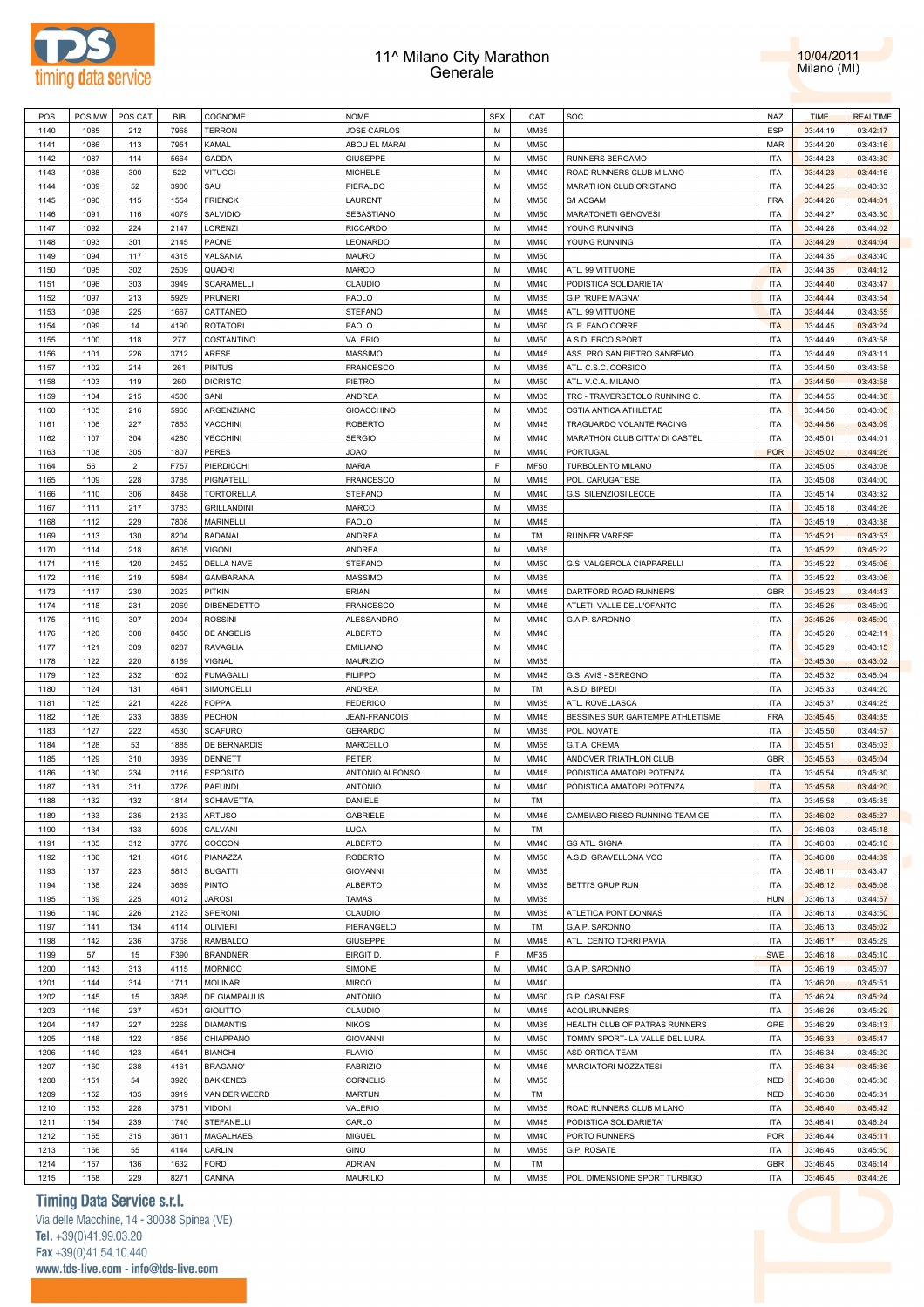



| POS  | POS MW       | POS CAT        | BIB  | COGNOME            | <b>NOME</b>          | <b>SEX</b> | CAT         | SOC                              | NAZ        | <b>TIME</b> | <b>REALTIME</b> |
|------|--------------|----------------|------|--------------------|----------------------|------------|-------------|----------------------------------|------------|-------------|-----------------|
| 1140 | 1085         | 212            | 7968 | <b>TERRON</b>      | <b>JOSE CARLOS</b>   | M          | MM35        |                                  | <b>ESP</b> | 03:44:19    | 03:42:17        |
| 1141 | 1086         | 113            | 7951 | KAMAL              | ABOU EL MARAI        | M          | <b>MM50</b> |                                  | MAR        | 03:44:20    | 03:43:16        |
| 1142 | 1087         | 114            | 5664 | GADDA              | <b>GIUSEPPE</b>      | M          | <b>MM50</b> | RUNNERS BERGAMO                  | <b>ITA</b> | 03:44:23    | 03:43:30        |
| 1143 | 1088         | 300            | 522  | <b>VITUCCI</b>     | MICHELE              | M          | MM40        | ROAD RUNNERS CLUB MILANO         | <b>ITA</b> | 03:44:23    | 03:44:16        |
| 1144 | 1089         | 52             | 3900 | SAU                | PIERALDO             | M          | <b>MM55</b> | MARATHON CLUB ORISTANO           | <b>ITA</b> | 03:44:25    | 03:43:33        |
| 1145 | 1090         | 115            | 1554 | <b>FRIENCK</b>     | LAURENT              | M          | <b>MM50</b> | S/I ACSAM                        | <b>FRA</b> | 03:44:26    | 03:44:01        |
| 1146 | 1091         | 116            | 4079 | SALVIDIO           | SEBASTIANO           | M          | <b>MM50</b> | MARATONETI GENOVESI              | <b>ITA</b> | 03:44:27    | 03:43:30        |
| 1147 | 1092         | 224            | 2147 | LORENZI            | <b>RICCARDO</b>      | M          | MM45        | YOUNG RUNNING                    | <b>ITA</b> | 03:44:28    | 03:44:02        |
| 1148 | 1093         | 301            | 2145 | PAONE              | LEONARDO             | M          | MM40        | YOUNG RUNNING                    | <b>ITA</b> | 03:44:29    | 03:44:04        |
| 1149 | 1094         | 117            | 4315 | VALSANIA           | <b>MAURO</b>         | M          | <b>MM50</b> |                                  | <b>ITA</b> | 03:44:35    | 03:43:40        |
| 1150 | 1095         | 302            | 2509 | QUADRI             | <b>MARCO</b>         | M          | MM40        | ATL. 99 VITTUONE                 | <b>ITA</b> | 03:44:35    | 03:44:12        |
| 1151 | 1096         | 303            | 3949 | SCARAMELLI         | CLAUDIO              | M          | MM40        | PODISTICA SOLIDARIETA'           | <b>ITA</b> | 03:44:40    | 03:43:47        |
| 1152 | 1097         | 213            | 5929 | PRUNERI            | PAOLO                | M          | MM35        | G.P. 'RUPE MAGNA'                | <b>ITA</b> | 03:44:44    | 03:43:54        |
| 1153 | 1098         | 225            | 1667 | CATTANEO           | <b>STEFANO</b>       | M          | MM45        | ATL. 99 VITTUONE                 | <b>ITA</b> | 03:44:44    | 03:43:55        |
| 1154 | 1099         | 14             | 4190 | <b>ROTATORI</b>    | PAOLO                | M          | <b>MM60</b> | G. P. FANO CORRE                 | <b>ITA</b> | 03:44:45    | 03:43:24        |
| 1155 | 1100         | 118            | 277  | COSTANTINO         | VALERIO              | M          | <b>MM50</b> | A.S.D. ERCO SPORT                | <b>ITA</b> | 03:44:49    | 03:43:58        |
| 1156 | 1101         | 226            | 3712 | ARESE              | MASSIMO              | M          | MM45        | ASS. PRO SAN PIETRO SANREMO      | <b>ITA</b> | 03:44:49    | 03:43:11        |
| 1157 | 1102         | 214            | 261  | PINTUS             | FRANCESCO            | M          | MM35        | ATL. C.S.C. CORSICO              | <b>ITA</b> | 03:44:50    | 03:43:58        |
| 1158 | 1103         | 119            | 260  | <b>DICRISTO</b>    | PIETRO               | M          | <b>MM50</b> | ATL. V.C.A. MILANO               | <b>ITA</b> | 03:44:50    | 03:43:58        |
| 1159 | 1104         | 215            | 4500 | SANI               | ANDREA               | M          | MM35        | TRC - TRAVERSETOLO RUNNING C.    | <b>ITA</b> | 03:44:55    | 03:44:38        |
| 1160 | 1105         | 216            | 5960 | ARGENZIANO         | <b>GIOACCHINO</b>    | M          | MM35        | OSTIA ANTICA ATHLETAE            | <b>ITA</b> | 03:44:56    | 03:43:06        |
| 1161 | 1106         | 227            | 7853 | VACCHINI           | <b>ROBERTO</b>       | M          | MM45        | TRAGUARDO VOLANTE RACING         | <b>ITA</b> | 03:44:56    | 03:43:09        |
| 1162 | 1107         | 304            | 4280 | <b>VECCHINI</b>    | <b>SERGIO</b>        | M          | MM40        | MARATHON CLUB CITTA' DI CASTEL   | <b>ITA</b> | 03:45:01    | 03:44:01        |
| 1163 | 1108         | 305            | 1807 | PERES              | OAOL                 | M          | MM40        | PORTUGAL                         | <b>POR</b> | 03:45:02    | 03:44:26        |
| 1164 | 56           | $\overline{2}$ | F757 | PIERDICCHI         | <b>MARIA</b>         | F          | <b>MF50</b> | TURBOLENTO MILANO                | <b>ITA</b> | 03:45:05    | 03:43:08        |
| 1165 | 1109         | 228            | 3785 | PIGNATELLI         | <b>FRANCESCO</b>     | M          | MM45        | POL. CARUGATESE                  | <b>ITA</b> | 03:45:08    | 03:44:00        |
| 1166 | 1110         | 306            | 8468 | <b>TORTORELLA</b>  | STEFANO              | M          | MM40        | G.S. SILENZIOSI LECCE            | <b>ITA</b> | 03:45:14    | 03:43:32        |
| 1167 | 1111         | 217            | 3783 | <b>GRILLANDINI</b> | <b>MARCO</b>         | M          | MM35        |                                  | <b>ITA</b> | 03:45:18    | 03:44:26        |
| 1168 | 1112         | 229            | 7808 | MARINELLI          | PAOLO                | M          | MM45        |                                  | <b>ITA</b> | 03:45:19    | 03:43:38        |
| 1169 | 1113         | 130            | 8204 | <b>BADANAI</b>     | ANDREA               | M          | TM          | <b>RUNNER VARESE</b>             | <b>ITA</b> | 03:45:21    | 03:43:53        |
| 1170 | 1114         | 218            | 8605 | Vigoni             | ANDREA               | M          | MM35        |                                  | <b>ITA</b> | 03:45:22    | 03:45:22        |
| 1171 |              | 120            | 2452 | DELLA NAVE         | <b>STEFANO</b>       | M          | <b>MM50</b> | G.S. VALGEROLA CIAPPARELLI       | <b>ITA</b> | 03:45:22    | 03:45:06        |
| 1172 | 1115<br>1116 | 219            | 5984 | <b>GAMBARANA</b>   | MASSIMO              | M          | MM35        |                                  | <b>ITA</b> |             | 03:43:06        |
|      |              | 230            |      | PITKIN             |                      | M          | MM45        |                                  | <b>GBR</b> | 03:45:22    |                 |
| 1173 | 1117         |                | 2023 |                    | <b>BRIAN</b>         |            |             | DARTFORD ROAD RUNNERS            |            | 03:45:23    | 03:44:43        |
| 1174 | 1118         | 231            | 2069 | DIBENEDETTO        | <b>FRANCESCO</b>     | M          | MM45        | ATLETI VALLE DELL'OFANTO         | <b>ITA</b> | 03:45:25    | 03:45:09        |
| 1175 | 1119         | 307            | 2004 | <b>ROSSINI</b>     | ALESSANDRO           | M          | MM40        | G.A.P. SARONNO                   | <b>ITA</b> | 03:45:25    | 03:45:09        |
| 1176 | 1120         | 308            | 8450 | DE ANGELIS         | <b>ALBERTO</b>       | M          | MM40        |                                  | <b>ITA</b> | 03:45:26    | 03:42:11        |
| 1177 | 1121         | 309            | 8287 | <b>RAVAGLIA</b>    | <b>EMILIANO</b>      | M<br>M     | MM40        |                                  | <b>ITA</b> | 03:45:29    | 03:43:15        |
| 1178 | 1122         | 220            | 8169 | VIGNALI            | <b>MAURIZIO</b>      |            | MM35        |                                  | <b>ITA</b> | 03:45:30    | 03:43:02        |
| 1179 | 1123         | 232            | 1602 | <b>FUMAGALLI</b>   | <b>FILIPPO</b>       | M          | MM45        | G.S. AVIS - SEREGNO              | <b>ITA</b> | 03:45:32    | 03:45:04        |
| 1180 | 1124         | 131            | 4641 | SIMONCELLI         | ANDREA               | M          | TM          | A.S.D. BIPEDI                    | <b>ITA</b> | 03:45:33    | 03:44:20        |
| 1181 | 1125         | 221            | 4228 | FOPPA              | <b>FEDERICO</b>      | M          | MM35        | ATL. ROVELLASCA                  | <b>ITA</b> | 03:45:37    | 03:44:25        |
| 1182 | 1126         | 233            | 3839 | PECHON             | <b>JEAN-FRANCOIS</b> | M          | MM45        | BESSINES SUR GARTEMPE ATHLETISME | <b>FRA</b> | 03:45:45    | 03:44:35        |
| 1183 | 1127         | 222            | 4530 | <b>SCAFURO</b>     | <b>GERARDO</b>       | M          | MM35        | POL. NOVATE                      | <b>ITA</b> | 03:45:50    | 03:44:57        |
| 1184 | 1128         | 53             | 1885 | DE BERNARDIS       | MARCELLO             | M          | <b>MM55</b> | G.T.A. CREMA                     | <b>ITA</b> | 03:45:51    | 03:45:03        |
| 1185 | 1129         | 310            | 3939 | <b>DENNETT</b>     | PETER                | M          | MM40        | ANDOVER TRIATHLON CLUB           | <b>GBR</b> | 03:45:53    | 03:45:04        |
| 1186 | 1130         | 234            | 2116 | <b>ESPOSITO</b>    | ANTONIO ALFONSO      | M          | MM45        | PODISTICA AMATORI POTENZA        | <b>ITA</b> | 03:45:54    | 03:45:30        |
| 1187 | 1131         | 311            | 3726 | <b>PAFUNDI</b>     | <b>ANTONIO</b>       | M          | MM40        | PODISTICA AMATORI POTENZA        | <b>ITA</b> | 03:45:58    | 03:44:20        |
| 1188 | 1132         | 132            | 1814 | <b>SCHIAVETTA</b>  | DANIELE              | M          | <b>TM</b>   |                                  | <b>ITA</b> | 03:45:58    | 03:45:35        |
| 1189 | 1133         | 235            | 2133 | <b>ARTUSO</b>      | <b>GABRIELE</b>      | M          | MM45        | CAMBIASO RISSO RUNNING TEAM GE   | <b>ITA</b> | 03:46:02    | 03:45:27        |
| 1190 | 1134         | 133            | 5908 | CALVANI            | LUCA                 | M          | TM          |                                  | <b>ITA</b> | 03:46:03    | 03:45:18        |
| 1191 | 1135         | 312            | 3778 | COCCON             | <b>ALBERTO</b>       | M          | MM40        | <b>GS ATL. SIGNA</b>             | <b>ITA</b> | 03:46:03    | 03:45:10        |
| 1192 | 1136         | 121            | 4618 | PIANAZZA           | <b>ROBERTO</b>       | M          | <b>MM50</b> | A.S.D. GRAVELLONA VCO            | <b>ITA</b> | 03:46:08    | 03:44:39        |
| 1193 | 1137         | 223            | 5813 | <b>BUGATTI</b>     | <b>GIOVANNI</b>      | M          | MM35        |                                  | <b>ITA</b> | 03:46:11    | 03:43:47        |
| 1194 | 1138         | 224            | 3669 | <b>PINTO</b>       | <b>ALBERTO</b>       | M          | MM35        | BETTI'S GRUP RUN                 | <b>ITA</b> | 03:46:12    | 03:45:08        |
| 1195 | 1139         | 225            | 4012 | <b>JAROSI</b>      | <b>TAMAS</b>         | M          | MM35        |                                  | <b>HUN</b> | 03:46:13    | 03:44:57        |
| 1196 | 1140         | 226            | 2123 | SPERONI            | CLAUDIO              | M          | MM35        | ATLETICA PONT DONNAS             | <b>ITA</b> | 03:46:13    | 03:43:50        |
| 1197 | 1141         | 134            | 4114 | OLIVIERI           | PIERANGELO           | M          | <b>TM</b>   | G.A.P. SARONNO                   | <b>ITA</b> | 03:46:13    | 03:45:02        |
| 1198 | 1142         | 236            | 3768 | RAMBALDO           | <b>GIUSEPPE</b>      | M          | MM45        | ATL. CENTO TORRI PAVIA           | <b>ITA</b> | 03:46:17    | 03:45:29        |
| 1199 | 57           | 15             | F390 | <b>BRANDNER</b>    | <b>BIRGIT D</b>      | F          | MF35        |                                  | <b>SWE</b> | 03:46:18    | 03:45:10        |
| 1200 | 1143         | 313            | 4115 | <b>MORNICO</b>     | SIMONE               | M          | MM40        | G.A.P. SARONNO                   | <b>ITA</b> | 03:46:19    | 03:45:07        |
| 1201 | 1144         | 314            | 1711 | <b>MOLINARI</b>    | <b>MIRCO</b>         | M          | MM40        |                                  | <b>ITA</b> | 03:46:20    | 03:45:51        |
| 1202 | 1145         | 15             | 3895 | DE GIAMPAULIS      | <b>ANTONIO</b>       | M          | <b>MM60</b> | G.P. CASALESE                    | <b>ITA</b> | 03:46:24    | 03:45:24        |
| 1203 | 1146         | 237            | 4501 | <b>GIOLITTO</b>    | CLAUDIO              | M          | MM45        | <b>ACQUIRUNNERS</b>              | <b>ITA</b> | 03:46:26    | 03:45:29        |
| 1204 | 1147         | 227            | 2268 | <b>DIAMANTIS</b>   | <b>NIKOS</b>         | M          | MM35        | HEALTH CLUB OF PATRAS RUNNERS    | GRE        | 03:46:29    | 03:46:13        |
| 1205 | 1148         | 122            | 1856 | CHIAPPANO          | <b>GIOVANNI</b>      | M          | <b>MM50</b> | TOMMY SPORT- LA VALLE DEL LURA   | <b>ITA</b> | 03:46:33    | 03:45:47        |
| 1206 | 1149         | 123            | 4541 | <b>BIANCHI</b>     | <b>FLAVIO</b>        | M          | <b>MM50</b> | ASD ORTICA TEAM                  | <b>ITA</b> | 03:46:34    | 03:45:20        |
| 1207 | 1150         | 238            | 4161 | <b>BRAGANO'</b>    | <b>FABRIZIO</b>      | M          | MM45        | MARCIATORI MOZZATESI             | <b>ITA</b> | 03:46:34    | 03:45:36        |
| 1208 | 1151         | 54             | 3920 | <b>BAKKENES</b>    | CORNELIS             | M          | <b>MM55</b> |                                  | <b>NED</b> | 03:46:38    | 03:45:30        |
| 1209 | 1152         | 135            | 3919 | VAN DER WEERD      | MARTIJN              | M          | TM          |                                  | <b>NED</b> | 03:46:38    | 03:45:31        |
| 1210 | 1153         | 228            | 3781 | VIDONI             | VALERIO              | M          | MM35        | ROAD RUNNERS CLUB MILANO         | <b>ITA</b> | 03:46:40    | 03:45:42        |
| 1211 | 1154         | 239            | 1740 | STEFANELLI         | CARLO                | M          | MM45        | PODISTICA SOLIDARIETA'           | <b>ITA</b> | 03:46:41    | 03:46:24        |
| 1212 | 1155         | 315            | 3611 | MAGALHAES          | MIGUEL               | M          | MM40        | PORTO RUNNERS                    | <b>POR</b> | 03:46:44    | 03:45:11        |
| 1213 | 1156         | 55             | 4144 | CARLINI            | GINO                 | M          | <b>MM55</b> | G.P. ROSATE                      | <b>ITA</b> | 03:46:45    | 03:45:50        |
| 1214 | 1157         | 136            | 1632 | FORD               | <b>ADRIAN</b>        | M          | TM          |                                  | GBR        | 03:46:45    | 03:46:14        |
| 1215 | 1158         | 229            | 8271 | CANINA             | <b>MAURILIO</b>      | M          | MM35        | POL. DIMENSIONE SPORT TURBIGO    | <b>ITA</b> | 03:46:45    | 03:44:26        |
|      |              |                |      |                    |                      |            |             |                                  |            |             |                 |

# **Timing Data Service s.r.l.**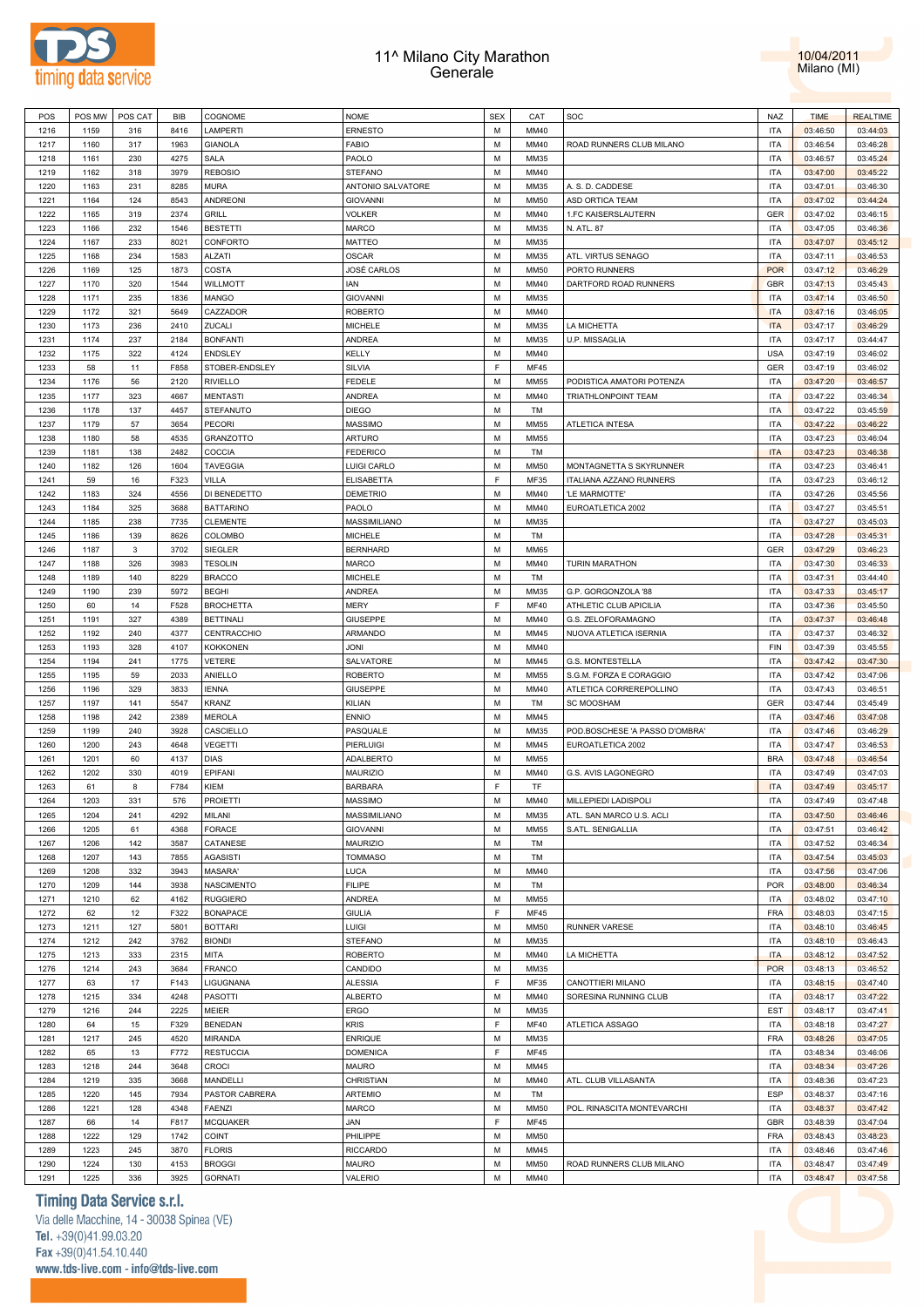



| POS  | POS MW | POS CAT | BIB  | <b>COGNOME</b>   | <b>NOME</b>       | <b>SEX</b>  | CAT         | SOC                            | NAZ        | <b>TIME</b> | <b>REALTIME</b> |
|------|--------|---------|------|------------------|-------------------|-------------|-------------|--------------------------------|------------|-------------|-----------------|
| 1216 | 1159   | 316     | 8416 | LAMPERTI         | <b>ERNESTO</b>    | M           | MM40        |                                | <b>ITA</b> | 03:46:50    | 03:44:03        |
| 1217 | 1160   | 317     | 1963 | <b>GIANOLA</b>   | FABIO             | M           | MM40        | ROAD RUNNERS CLUB MILANO       | <b>ITA</b> | 03:46:54    | 03:46:28        |
| 1218 | 1161   | 230     | 4275 | SALA             | PAOLO             | M           | MM35        |                                | <b>ITA</b> | 03:46:57    | 03:45:24        |
| 1219 | 1162   | 318     | 3979 | <b>REBOSIO</b>   | <b>STEFANO</b>    | M           | MM40        |                                | <b>ITA</b> | 03:47:00    | 03:45:22        |
|      |        |         |      |                  |                   | M           |             |                                |            |             |                 |
| 1220 | 1163   | 231     | 8285 | <b>MURA</b>      | ANTONIO SALVATORE |             | MM35        | A. S. D. CADDESE               | <b>ITA</b> | 03:47:01    | 03:46:30        |
| 1221 | 1164   | 124     | 8543 | ANDREONI         | <b>GIOVANNI</b>   | M           | MM50        | ASD ORTICA TEAM                | <b>ITA</b> | 03:47:02    | 03:44:24        |
| 1222 | 1165   | 319     | 2374 | GRILL            | <b>VOLKER</b>     | M           | MM40        | 1.FC KAISERSLAUTERN            | <b>GER</b> | 03:47:02    | 03:46:15        |
| 1223 | 1166   | 232     | 1546 | <b>BESTETTI</b>  | MARCO             | M           | MM35        | N. ATL. 87                     | <b>ITA</b> | 03:47:05    | 03:46:36        |
| 1224 | 1167   | 233     | 8021 | CONFORTO         | MATTEO            | M           | MM35        |                                | <b>ITA</b> | 03:47:07    | 03:45:12        |
| 1225 | 1168   | 234     | 1583 | ALZATI           | <b>OSCAR</b>      | M           | MM35        | ATL. VIRTUS SENAGO             | <b>ITA</b> | 03:47:11    | 03:46:53        |
| 1226 | 1169   | 125     | 1873 | COSTA            | JOSÉ CARLOS       | M           | MM50        | PORTO RUNNERS                  | <b>POR</b> | 03:47:12    | 03:46:29        |
| 1227 | 1170   | 320     | 1544 | WILLMOTT         | IAN               | M           | MM40        | DARTFORD ROAD RUNNERS          | <b>GBR</b> | 03:47:13    | 03:45:43        |
| 1228 | 1171   | 235     | 1836 | MANGO            | <b>GIOVANNI</b>   | M           | MM35        |                                | <b>ITA</b> | 03:47:14    | 03:46:50        |
| 1229 | 1172   | 321     | 5649 | CAZZADOR         | <b>ROBERTO</b>    | M           | MM40        |                                | <b>ITA</b> | 03:47:16    | 03:46:05        |
|      |        |         |      |                  |                   |             |             |                                |            |             |                 |
| 1230 | 1173   | 236     | 2410 | ZUCALI           | MICHELE           | M           | MM35        | LA MICHETTA                    | <b>ITA</b> | 03:47:17    | 03:46:29        |
| 1231 | 1174   | 237     | 2184 | <b>BONFANTI</b>  | ANDREA            | M           | MM35        | U.P. MISSAGLIA                 | <b>ITA</b> | 03:47:17    | 03:44:47        |
| 1232 | 1175   | 322     | 4124 | ENDSLEY          | KELLY             | M           | MM40        |                                | <b>USA</b> | 03:47:19    | 03:46:02        |
| 1233 | 58     | 11      | F858 | STOBER-ENDSLEY   | SILVIA            | F           | <b>MF45</b> |                                | <b>GER</b> | 03:47:19    | 03:46:02        |
| 1234 | 1176   | 56      | 2120 | <b>RIVIELLO</b>  | FEDELE            | M           | MM55        | PODISTICA AMATORI POTENZA      | <b>ITA</b> | 03:47:20    | 03:46:57        |
| 1235 | 1177   | 323     | 4667 | MENTASTI         | ANDREA            | M           | MM40        | TRIATHLONPOINT TEAM            | <b>ITA</b> | 03:47:22    | 03:46:34        |
| 1236 | 1178   | 137     | 4457 | STEFANUTO        | <b>DIEGO</b>      | M           | TM          |                                | <b>ITA</b> | 03:47:22    | 03:45:59        |
| 1237 | 1179   | 57      | 3654 | PECORI           | MASSIMO           | M           | <b>MM55</b> | ATLETICA INTESA                | <b>ITA</b> | 03:47:22    | 03:46:22        |
| 1238 | 1180   | 58      | 4535 | GRANZOTTO        | <b>ARTURO</b>     | M           | MM55        |                                | <b>ITA</b> |             | 03:46:04        |
|      |        |         |      |                  |                   |             |             |                                |            | 03:47:23    |                 |
| 1239 | 1181   | 138     | 2482 | COCCIA           | <b>FEDERICO</b>   | M           | TM          |                                | <b>ITA</b> | 03:47:23    | 03:46:38        |
| 1240 | 1182   | 126     | 1604 | <b>TAVEGGIA</b>  | LUIGI CARLO       | M           | <b>MM50</b> | MONTAGNETTA S SKYRUNNER        | <b>ITA</b> | 03:47:23    | 03:46:41        |
| 1241 | 59     | 16      | F323 | VILLA            | <b>ELISABETTA</b> | F           | MF35        | ITALIANA AZZANO RUNNERS        | <b>ITA</b> | 03:47:23    | 03:46:12        |
| 1242 | 1183   | 324     | 4556 | DI BENEDETTO     | DEMETRIO          | M           | MM40        | 'LE MARMOTTE'                  | <b>ITA</b> | 03:47:26    | 03:45:56        |
| 1243 | 1184   | 325     | 3688 | <b>BATTARINO</b> | PAOLO             | M           | MM40        | EUROATLETICA 2002              | <b>ITA</b> | 03:47:27    | 03:45:51        |
| 1244 | 1185   | 238     | 7735 | <b>CLEMENTE</b>  | MASSIMILIANO      | M           | MM35        |                                | <b>ITA</b> | 03:47:27    | 03:45:03        |
| 1245 | 1186   | 139     | 8626 | COLOMBO          | MICHELE           | M           | TM          |                                | <b>ITA</b> | 03:47:28    | 03:45:31        |
| 1246 | 1187   | 3       | 3702 | SIEGLER          | <b>BERNHARD</b>   | M           | <b>MM65</b> |                                | <b>GER</b> | 03:47:29    | 03:46:23        |
| 1247 | 1188   | 326     | 3983 | <b>TESOLIN</b>   | MARCO             | M           | MM40        | <b>TURIN MARATHON</b>          | <b>ITA</b> | 03:47:30    | 03:46:33        |
|      |        |         |      |                  |                   |             |             |                                |            |             |                 |
| 1248 | 1189   | 140     | 8229 | <b>BRACCO</b>    | <b>MICHELE</b>    | M           | TM          |                                | <b>ITA</b> | 03:47:31    | 03:44:40        |
| 1249 | 1190   | 239     | 5972 | <b>BEGHI</b>     | <b>ANDREA</b>     | M           | MM35        | G.P. GORGONZOLA '88            | <b>ITA</b> | 03:47:33    | 03:45:17        |
| 1250 | 60     | 14      | F528 | <b>BROCHETTA</b> | MERY              | F           | <b>MF40</b> | ATHLETIC CLUB APICILIA         | <b>ITA</b> | 03:47:36    | 03:45:50        |
| 1251 | 1191   | 327     | 4389 | <b>BETTINALI</b> | <b>GIUSEPPE</b>   | M           | MM40        | G.S. ZELOFORAMAGNO             | <b>ITA</b> | 03:47:37    | 03:46:48        |
| 1252 | 1192   | 240     | 4377 | CENTRACCHIO      | ARMANDO           | M           | MM45        | NUOVA ATLETICA ISERNIA         | <b>ITA</b> | 03:47:37    | 03:46:32        |
| 1253 | 1193   | 328     | 4107 | <b>KOKKONEN</b>  | JONI              | M           | MM40        |                                | <b>FIN</b> | 03:47:39    | 03:45:55        |
| 1254 | 1194   | 241     | 1775 | VETERE           | SALVATORE         | M           | MM45        | G.S. MONTESTELLA               | <b>ITA</b> | 03:47:42    | 03:47:30        |
| 1255 | 1195   | 59      | 2033 | ANIELLO          | <b>ROBERTO</b>    | M           | <b>MM55</b> | S.G.M. FORZA E CORAGGIO        | <b>ITA</b> | 03:47:42    | 03:47:06        |
| 1256 | 1196   | 329     | 3833 | <b>IENNA</b>     | GIUSEPPE          | M           | MM40        | ATLETICA CORREREPOLLINO        | <b>ITA</b> | 03:47:43    | 03:46:51        |
| 1257 | 1197   | 141     | 5547 | KRANZ            |                   | M           | TM          |                                | <b>GER</b> | 03:47:44    |                 |
|      |        |         |      |                  | KILIAN            |             |             | <b>SC MOOSHAM</b>              |            |             | 03:45:49        |
| 1258 | 1198   | 242     | 2389 | MEROLA           | <b>ENNIO</b>      | M           | MM45        |                                | <b>ITA</b> | 03:47:46    | 03:47:08        |
| 1259 | 1199   | 240     | 3928 | CASCIELLO        | PASQUALE          | M           | MM35        | POD.BOSCHESE 'A PASSO D'OMBRA' | <b>ITA</b> | 03:47:46    | 03:46:29        |
| 1260 | 1200   | 243     | 4648 | VEGETTI          | PIERLUIGI         | M           | MM45        | EUROATLETICA 2002              | <b>ITA</b> | 03:47:47    | 03:46:53        |
| 1261 | 1201   | 60      | 4137 | DIAS             | ADALBERTO         | M           | MM55        |                                | <b>BRA</b> | 03:47:48    | 03:46:54        |
| 1262 | 1202   | 330     | 4019 | EPIFANI          | <b>MAURIZIO</b>   | M           | MM40        | G.S. AVIS LAGONEGRO            | <b>ITA</b> | 03:47:49    | 03:47:03        |
| 1263 | 61     | 8       | F784 | KIEM             | <b>BARBARA</b>    | E           | TF          |                                | <b>ITA</b> | 03:47:49    | 03:45:17        |
| 1264 | 1203   | 331     | 576  | <b>PROIETTI</b>  | MASSIMO           | M           | MM40        | MILLEPIEDI LADISPOLI           | <b>ITA</b> | 03:47:49    | 03:47:48        |
| 1265 | 1204   | 241     | 4292 | MILANI           | MASSIMILIANO      | М           | MM35        | ATL. SAN MARCO U.S. ACLI       | <b>ITA</b> | 03:47:50    | 03:46:46        |
|      | 1205   | 61      | 4368 |                  |                   | M           | <b>MM55</b> |                                | <b>ITA</b> |             |                 |
| 1266 |        |         |      | FORACE           | <b>GIOVANNI</b>   |             |             | S.ATL. SENIGALLIA              |            | 03:47:51    | 03:46:42        |
| 1267 | 1206   | 142     | 3587 | CATANESE         | MAURIZIO          | M           | TM          |                                | <b>ITA</b> | 03:47:52    | 03:46:34        |
| 1268 | 1207   | 143     | 7855 | AGASISTI         | <b>TOMMASO</b>    | M           | TM          |                                | <b>ITA</b> | 03:47:54    | 03:45:03        |
| 1269 | 1208   | 332     | 3943 | MASARA'          | LUCA              | M           | MM40        |                                | <b>ITA</b> | 03:47:56    | 03:47:06        |
| 1270 | 1209   | 144     | 3938 | NASCIMENTO       | <b>FILIPE</b>     | M           | TM          |                                | <b>POR</b> | 03:48:00    | 03:46:34        |
| 1271 | 1210   | 62      | 4162 | <b>RUGGIERO</b>  | <b>ANDREA</b>     | M           | MM55        |                                | <b>ITA</b> | 03:48:02    | 03:47:10        |
| 1272 | 62     | 12      | F322 | <b>BONAPACE</b>  | <b>GIULIA</b>     | F           | <b>MF45</b> |                                | <b>FRA</b> | 03:48:03    | 03:47:15        |
| 1273 | 1211   | 127     | 5801 | <b>BOTTARI</b>   | LUIGI             | M           | MM50        | RUNNER VARESE                  | <b>ITA</b> | 03:48:10    | 03:46:45        |
| 1274 | 1212   | 242     | 3762 | <b>BIONDI</b>    | <b>STEFANO</b>    | M           | MM35        |                                | <b>ITA</b> | 03:48:10    | 03:46:43        |
| 1275 | 1213   | 333     | 2315 | MITA             | <b>ROBERTO</b>    | M           | MM40        | LA MICHETTA                    | <b>ITA</b> | 03:48:12    | 03:47:52        |
|      |        |         |      |                  |                   |             |             |                                |            |             |                 |
| 1276 | 1214   | 243     | 3684 | <b>FRANCO</b>    | CANDIDO           | M           | MM35        |                                | <b>POR</b> | 03:48:13    | 03:46:52        |
| 1277 | 63     | 17      | F143 | LIGUGNANA        | <b>ALESSIA</b>    | F           | MF35        | CANOTTIERI MILANO              | <b>ITA</b> | 03:48:15    | 03:47:40        |
| 1278 | 1215   | 334     | 4248 | PASOTTI          | <b>ALBERTO</b>    | M           | MM40        | SORESINA RUNNING CLUB          | <b>ITA</b> | 03:48:17    | 03:47:22        |
| 1279 | 1216   | 244     | 2225 | MEIER            | ERGO              | M           | MM35        |                                | <b>EST</b> | 03:48:17    | 03:47:41        |
| 1280 | 64     | 15      | F329 | <b>BENEDAN</b>   | <b>KRIS</b>       | F           | <b>MF40</b> | ATLETICA ASSAGO                | <b>ITA</b> | 03:48:18    | 03:47:27        |
| 1281 | 1217   | 245     | 4520 | MIRANDA          | <b>ENRIQUE</b>    | M           | MM35        |                                | <b>FRA</b> | 03:48:26    | 03:47:05        |
| 1282 | 65     | 13      | F772 | <b>RESTUCCIA</b> | <b>DOMENICA</b>   | $\mathsf F$ | <b>MF45</b> |                                | <b>ITA</b> | 03:48:34    | 03:46:06        |
| 1283 | 1218   | 244     | 3648 | <b>CROCI</b>     | MAURO             | M           | MM45        |                                | <b>ITA</b> | 03:48:34    | 03:47:26        |
| 1284 | 1219   | 335     | 3668 | MANDELLI         | CHRISTIAN         | M           | MM40        | ATL. CLUB VILLASANTA           | <b>ITA</b> | 03:48:36    | 03:47:23        |
|      |        |         |      |                  |                   | M           |             |                                | <b>ESP</b> |             |                 |
| 1285 | 1220   | 145     | 7934 | PASTOR CABRERA   | <b>ARTEMIO</b>    |             | TM          |                                |            | 03:48:37    | 03:47:16        |
| 1286 | 1221   | 128     | 4348 | <b>FAENZI</b>    | MARCO             | M           | MM50        | POL. RINASCITA MONTEVARCHI     | <b>ITA</b> | 03:48:37    | 03:47:42        |
| 1287 | 66     | 14      | F817 | MCQUAKER         | JAN               | F           | <b>MF45</b> |                                | <b>GBR</b> | 03:48:39    | 03:47:04        |
| 1288 | 1222   | 129     | 1742 | COINT            | PHILIPPE          | M           | <b>MM50</b> |                                | <b>FRA</b> | 03:48:43    | 03:48:23        |
| 1289 | 1223   | 245     | 3870 | <b>FLORIS</b>    | <b>RICCARDO</b>   | M           | MM45        |                                | <b>ITA</b> | 03:48:46    | 03:47:46        |
| 1290 | 1224   | 130     | 4153 | <b>BROGGI</b>    | MAURO             | M           | MM50        | ROAD RUNNERS CLUB MILANO       | <b>ITA</b> | 03:48:47    | 03:47:49        |
| 1291 | 1225   | 336     | 3925 | <b>GORNATI</b>   | VALERIO           | М           | MM40        |                                | <b>ITA</b> | 03:48:47    | 03:47:58        |
|      |        |         |      |                  |                   |             |             |                                |            |             |                 |

### **Timing Data Service s.r.l.**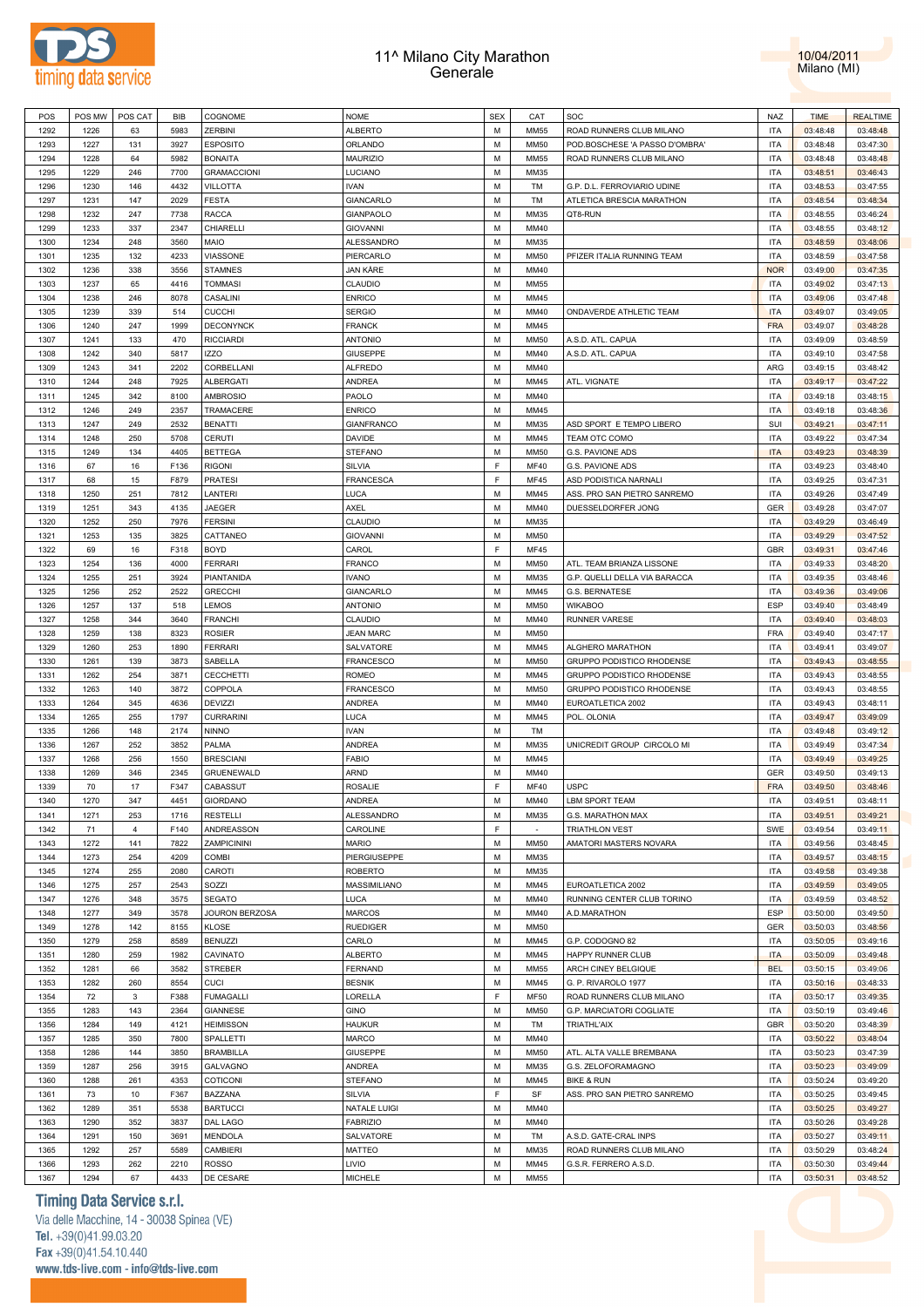



| POS  | POS MW | POS CAT        | BIB  | COGNOME            | <b>NOME</b>       | <b>SEX</b>  | CAT         | SOC                            | NAZ        | <b>TIME</b> | <b>REALTIME</b> |
|------|--------|----------------|------|--------------------|-------------------|-------------|-------------|--------------------------------|------------|-------------|-----------------|
| 1292 | 1226   | 63             | 5983 | <b>ZERBINI</b>     | <b>ALBERTO</b>    | M           | <b>MM55</b> | ROAD RUNNERS CLUB MILANO       | <b>ITA</b> | 03:48:48    | 03:48:48        |
| 1293 | 1227   | 131            | 3927 | <b>ESPOSITO</b>    | ORLANDO           | M           | <b>MM50</b> | POD.BOSCHESE 'A PASSO D'OMBRA' | <b>ITA</b> | 03:48:48    | 03:47:30        |
| 1294 | 1228   | 64             | 5982 | <b>BONAITA</b>     | <b>MAURIZIO</b>   | M           | <b>MM55</b> | ROAD RUNNERS CLUB MILANO       | <b>ITA</b> | 03:48:48    | 03:48:48        |
| 1295 | 1229   | 246            | 7700 | <b>GRAMACCIONI</b> | LUCIANO           | M           | MM35        |                                | <b>ITA</b> | 03:48:51    | 03:46:43        |
|      |        |                |      |                    |                   |             |             |                                |            |             |                 |
| 1296 | 1230   | 146            | 4432 | <b>VILLOTTA</b>    | <b>IVAN</b>       | M           | TM          | G.P. D.L. FERROVIARIO UDINE    | <b>ITA</b> | 03:48:53    | 03:47:55        |
| 1297 | 1231   | 147            | 2029 | <b>FESTA</b>       | GIANCARLO         | M           | TM          | ATLETICA BRESCIA MARATHON      | <b>ITA</b> | 03:48:54    | 03:48:34        |
| 1298 | 1232   | 247            | 7738 | <b>RACCA</b>       | <b>GIANPAOLO</b>  | M           | MM35        | QT8-RUN                        | <b>ITA</b> | 03:48:55    | 03:46:24        |
| 1299 | 1233   | 337            | 2347 | CHIARELLI          | <b>GIOVANNI</b>   | M           | MM40        |                                | <b>ITA</b> | 03:48:55    | 03:48:12        |
| 1300 | 1234   | 248            | 3560 | <b>MAIO</b>        | ALESSANDRO        | M           | MM35        |                                | <b>ITA</b> | 03:48:59    | 03:48:06        |
| 1301 | 1235   | 132            | 4233 | <b>VIASSONE</b>    | PIERCARLO         | M           | <b>MM50</b> | PFIZER ITALIA RUNNING TEAM     | <b>ITA</b> | 03:48:59    | 03:47:58        |
| 1302 | 1236   | 338            | 3556 | <b>STAMNES</b>     | JAN KÅRE          | M           | MM40        |                                | <b>NOR</b> | 03:49:00    | 03:47:35        |
| 1303 | 1237   | 65             | 4416 | <b>TOMMASI</b>     | CLAUDIO           | M           | <b>MM55</b> |                                | <b>ITA</b> | 03:49:02    | 03:47:13        |
| 1304 | 1238   | 246            | 8078 | CASALINI           | <b>ENRICO</b>     | M           | MM45        |                                | <b>ITA</b> | 03:49:06    | 03:47:48        |
|      | 1239   | 339            |      |                    |                   | M           | MM40        |                                | <b>ITA</b> |             |                 |
| 1305 |        |                | 514  | <b>CUCCHI</b>      | <b>SERGIO</b>     |             |             | ONDAVERDE ATHLETIC TEAM        |            | 03:49:07    | 03:49:05        |
| 1306 | 1240   | 247            | 1999 | <b>DECONYNCK</b>   | <b>FRANCK</b>     | M           | MM45        |                                | <b>FRA</b> | 03:49:07    | 03:48:28        |
| 1307 | 1241   | 133            | 470  | <b>RICCIARDI</b>   | <b>ANTONIO</b>    | M           | <b>MM50</b> | A.S.D. ATL. CAPUA              | <b>ITA</b> | 03:49:09    | 03:48:59        |
| 1308 | 1242   | 340            | 5817 | <b>IZZO</b>        | <b>GIUSEPPE</b>   | M           | MM40        | A.S.D. ATL. CAPUA              | <b>ITA</b> | 03:49:10    | 03:47:58        |
| 1309 | 1243   | 341            | 2202 | CORBELLANI         | <b>ALFREDO</b>    | M           | MM40        |                                | ARG        | 03:49:15    | 03:48:42        |
| 1310 | 1244   | 248            | 7925 | <b>ALBERGATI</b>   | ANDREA            | M           | MM45        | ATL. VIGNATE                   | <b>ITA</b> | 03:49:17    | 03:47:22        |
| 1311 | 1245   | 342            | 8100 | <b>AMBROSIO</b>    | PAOLO             | M           | MM40        |                                | <b>ITA</b> | 03:49:18    | 03:48:15        |
| 1312 | 1246   | 249            | 2357 | TRAMACERE          | <b>ENRICO</b>     | M           | MM45        |                                | <b>ITA</b> | 03:49:18    | 03:48:36        |
| 1313 | 1247   | 249            | 2532 | <b>BENATTI</b>     | <b>GIANFRANCO</b> | M           | MM35        | ASD SPORT E TEMPO LIBERO       | SUI        | 03:49:21    | 03:47:11        |
|      |        |                |      |                    |                   | M           | MM45        |                                | <b>ITA</b> |             |                 |
| 1314 | 1248   | 250            | 5708 | CERUTI             | DAVIDE            |             |             | TEAM OTC COMO                  |            | 03:49:22    | 03:47:34        |
| 1315 | 1249   | 134            | 4405 | <b>BETTEGA</b>     | STEFANO           | M           | <b>MM50</b> | G.S. PAVIONE ADS               | <b>ITA</b> | 03:49:23    | 03:48:39        |
| 1316 | 67     | 16             | F136 | <b>RIGONI</b>      | <b>SILVIA</b>     | F           | <b>MF40</b> | G.S. PAVIONE ADS               | <b>ITA</b> | 03:49:23    | 03:48:40        |
| 1317 | 68     | 15             | F879 | <b>PRATESI</b>     | FRANCESCA         | F           | <b>MF45</b> | ASD PODISTICA NARNALI          | <b>ITA</b> | 03:49:25    | 03:47:31        |
| 1318 | 1250   | 251            | 7812 | LANTERI            | LUCA              | M           | MM45        | ASS. PRO SAN PIETRO SANREMO    | <b>ITA</b> | 03:49:26    | 03:47:49        |
| 1319 | 1251   | 343            | 4135 | <b>JAEGER</b>      | AXEL              | M           | MM40        | DUESSELDORFER JONG             | GER        | 03:49:28    | 03:47:07        |
| 1320 | 1252   | 250            | 7976 | <b>FERSINI</b>     | CLAUDIO           | M           | MM35        |                                | <b>ITA</b> | 03:49:29    | 03:46:49        |
| 1321 | 1253   | 135            | 3825 | CATTANEO           | <b>GIOVANNI</b>   | M           | <b>MM50</b> |                                | <b>ITA</b> | 03:49:29    | 03:47:52        |
| 1322 | 69     | 16             | F318 | <b>BOYD</b>        | CAROL             | F           | <b>MF45</b> |                                | <b>GBR</b> | 03:49:31    | 03:47:46        |
| 1323 | 1254   | 136            | 4000 | <b>FERRARI</b>     | <b>FRANCO</b>     | M           | <b>MM50</b> | ATL. TEAM BRIANZA LISSONE      | <b>ITA</b> | 03:49:33    | 03:48:20        |
|      |        |                |      |                    |                   |             |             |                                |            |             |                 |
| 1324 | 1255   | 251            | 3924 | PIANTANIDA         | <b>IVANO</b>      | M           | MM35        | G.P. QUELLI DELLA VIA BARACCA  | <b>ITA</b> | 03:49:35    | 03:48:46        |
| 1325 | 1256   | 252            | 2522 | <b>GRECCHI</b>     | GIANCARLO         | M           | MM45        | G.S. BERNATESE                 | <b>ITA</b> | 03:49:36    | 03:49:06        |
| 1326 | 1257   | 137            | 518  | LEMOS              | <b>ANTONIO</b>    | M           | <b>MM50</b> | <b>WIKABOO</b>                 | ESP        | 03:49:40    | 03:48:49        |
| 1327 | 1258   | 344            | 3640 | <b>FRANCHI</b>     | CLAUDIO           | M           | MM40        | <b>RUNNER VARESE</b>           | <b>ITA</b> | 03:49:40    | 03:48:03        |
| 1328 | 1259   | 138            | 8323 | <b>ROSIER</b>      | <b>JEAN MARC</b>  | M           | <b>MM50</b> |                                | <b>FRA</b> | 03:49:40    | 03:47:17        |
| 1329 | 1260   | 253            | 1890 | <b>FERRARI</b>     | SALVATORE         | M           | MM45        | ALGHERO MARATHON               | <b>ITA</b> | 03:49:41    | 03:49:07        |
| 1330 | 1261   | 139            | 3873 | SABELLA            | <b>FRANCESCO</b>  | M           | <b>MM50</b> | GRUPPO PODISTICO RHODENSE      | <b>ITA</b> | 03:49:43    | 03:48:55        |
| 1331 | 1262   | 254            | 3871 | <b>CECCHETTI</b>   | ROMEO             | M           | MM45        | GRUPPO PODISTICO RHODENSE      | <b>ITA</b> | 03:49:43    | 03:48:55        |
| 1332 | 1263   | 140            | 3872 | COPPOLA            | <b>FRANCESCO</b>  | M           | <b>MM50</b> | GRUPPO PODISTICO RHODENSE      | <b>ITA</b> | 03:49:43    | 03:48:55        |
|      | 1264   |                |      |                    | ANDREA            | M           | MM40        |                                | <b>ITA</b> |             |                 |
| 1333 |        | 345            | 4636 | DEVIZZI            |                   |             |             | EUROATLETICA 2002              |            | 03:49:43    | 03:48:11        |
| 1334 | 1265   | 255            | 1797 | <b>CURRARINI</b>   | LUCA              | M           | MM45        | POL. OLONIA                    | <b>ITA</b> | 03:49:47    | 03:49:09        |
| 1335 | 1266   | 148            | 2174 | <b>NINNO</b>       | <b>IVAN</b>       | M           | TM          |                                | <b>ITA</b> | 03:49:48    | 03:49:12        |
| 1336 | 1267   | 252            | 3852 | PALMA              | <b>ANDREA</b>     | M           | MM35        | UNICREDIT GROUP CIRCOLO MI     | <b>ITA</b> | 03:49:49    | 03:47:34        |
| 1337 | 1268   | 256            | 1550 | <b>BRESCIANI</b>   | <b>FABIO</b>      | M           | MM45        |                                | <b>ITA</b> | 03:49:49    | 03:49:25        |
| 1338 | 1269   | 346            | 2345 | GRUENEWALD         | <b>ARND</b>       | M           | MM40        |                                | <b>GER</b> | 03:49:50    | 03:49:13        |
| 1339 | 70     | 17             | F347 | CABASSUT           | <b>ROSALIE</b>    | $\mathsf F$ | <b>MF40</b> | <b>USPC</b>                    | FRA        | 03:49:50    | 03:48:46        |
| 1340 | 1270   | 347            | 4451 | <b>GIORDANO</b>    | ANDREA            | M           | MM40        | <b>LBM SPORT TEAM</b>          | <b>ITA</b> | 03:49:51    | 03:48:11        |
| 1341 | 1271   | 253            | 1716 | <b>RESTELLI</b>    | ALESSANDRO        | М           | MM35        | G.S. MARATHON MAX              | <b>ITA</b> | 03:49:51    | 03:49:21        |
| 1342 |        | $\overline{4}$ | F140 |                    | CAROLINE          | F           | $\sim$      |                                | SWE        |             |                 |
|      | 71     |                |      | ANDREASSON         |                   |             |             | <b>TRIATHLON VEST</b>          |            | 03:49:54    | 03:49:11        |
| 1343 | 1272   | 141            | 7822 | ZAMPICININI        | <b>MARIO</b>      | M           | <b>MM50</b> | AMATORI MASTERS NOVARA         | <b>ITA</b> | 03:49:56    | 03:48:45        |
| 1344 | 1273   | 254            | 4209 | COMBI              | PIERGIUSEPPE      | M           | MM35        |                                | <b>ITA</b> | 03:49:57    | 03:48:15        |
| 1345 | 1274   | 255            | 2080 | CAROTI             | <b>ROBERTO</b>    | M           | MM35        |                                | <b>ITA</b> | 03:49:58    | 03:49:38        |
| 1346 | 1275   | 257            | 2543 | SOZZI              | MASSIMILIANO      | M           | MM45        | EUROATLETICA 2002              | <b>ITA</b> | 03:49:59    | 03:49:05        |
| 1347 | 1276   | 348            | 3575 | SEGATO             | LUCA              | M           | MM40        | RUNNING CENTER CLUB TORINO     | <b>ITA</b> | 03:49:59    | 03:48:52        |
| 1348 | 1277   | 349            | 3578 | JOURON BERZOSA     | <b>MARCOS</b>     | M           | MM40        | A.D.MARATHON                   | <b>ESP</b> | 03:50:00    | 03:49:50        |
| 1349 | 1278   | 142            | 8155 | KLOSE              | <b>RUEDIGER</b>   | M           | <b>MM50</b> |                                | GER        | 03:50:03    | 03:48:56        |
| 1350 | 1279   | 258            | 8589 | <b>BENUZZI</b>     | CARLO             | M           | MM45        | G.P. CODOGNO 82                | <b>ITA</b> | 03:50:05    | 03:49:16        |
| 1351 | 1280   | 259            | 1982 | CAVINATO           | <b>ALBERTO</b>    | M           | MM45        | HAPPY RUNNER CLUB              | <b>ITA</b> | 03:50:09    | 03:49:48        |
|      |        |                |      |                    |                   |             |             |                                |            |             |                 |
| 1352 | 1281   | 66             | 3582 | <b>STREBER</b>     | FERNAND           | M           | <b>MM55</b> | ARCH CINEY BELGIQUE            | <b>BEL</b> | 03:50:15    | 03:49:06        |
| 1353 | 1282   | 260            | 8554 | CUCI               | <b>BESNIK</b>     | M           | MM45        | G. P. RIVAROLO 1977            | <b>ITA</b> | 03:50:16    | 03:48:33        |
| 1354 | 72     | $\mathbf{3}$   | F388 | <b>FUMAGALLI</b>   | LORELLA           | F           | <b>MF50</b> | ROAD RUNNERS CLUB MILANO       | <b>ITA</b> | 03:50:17    | 03:49:35        |
| 1355 | 1283   | 143            | 2364 | <b>GIANNESE</b>    | <b>GINO</b>       | M           | <b>MM50</b> | G.P. MARCIATORI COGLIATE       | <b>ITA</b> | 03:50:19    | 03:49:46        |
| 1356 | 1284   | 149            | 4121 | <b>HEIMISSON</b>   | <b>HAUKUR</b>     | M           | TM          | TRIATHL'AIX                    | <b>GBR</b> | 03:50:20    | 03:48:39        |
| 1357 | 1285   | 350            | 7800 | SPALLETTI          | MARCO             | M           | MM40        |                                | <b>ITA</b> | 03:50:22    | 03:48:04        |
| 1358 | 1286   | 144            | 3850 | <b>BRAMBILLA</b>   | <b>GIUSEPPE</b>   | M           | <b>MM50</b> | ATL. ALTA VALLE BREMBANA       | <b>ITA</b> | 03:50:23    | 03:47:39        |
| 1359 | 1287   | 256            | 3915 | <b>GALVAGNO</b>    | ANDREA            | M           | MM35        | G.S. ZELOFORAMAGNO             | <b>ITA</b> | 03:50:23    | 03:49:09        |
| 1360 | 1288   | 261            | 4353 | COTICONI           | STEFANO           | M           | MM45        | <b>BIKE &amp; RUN</b>          | <b>ITA</b> | 03:50:24    | 03:49:20        |
|      |        |                |      |                    |                   |             |             |                                |            |             |                 |
| 1361 | 73     | $10$           | F367 | BAZZANA            | SILVIA            | F           | SF          | ASS. PRO SAN PIETRO SANREMO    | <b>ITA</b> | 03:50:25    | 03:49:45        |
| 1362 | 1289   | 351            | 5538 | <b>BARTUCCI</b>    | NATALE LUIGI      | M           | MM40        |                                | <b>ITA</b> | 03:50:25    | 03:49:27        |
| 1363 | 1290   | 352            | 3837 | DAL LAGO           | <b>FABRIZIO</b>   | M           | MM40        |                                | <b>ITA</b> | 03:50:26    | 03:49:28        |
| 1364 | 1291   | 150            | 3691 | <b>MENDOLA</b>     | SALVATORE         | M           | TM          | A.S.D. GATE-CRAL INPS          | <b>ITA</b> | 03:50:27    | 03:49:11        |
| 1365 | 1292   | 257            | 5589 | CAMBIERI           | MATTEO            | M           | MM35        | ROAD RUNNERS CLUB MILANO       | <b>ITA</b> | 03:50:29    | 03:48:24        |
| 1366 | 1293   | 262            | 2210 | <b>ROSSO</b>       | LIVIO             | M           | MM45        | G.S.R. FERRERO A.S.D.          | <b>ITA</b> | 03:50:30    | 03:49:44        |
| 1367 | 1294   | 67             | 4433 | DE CESARE          | MICHELE           | M           | <b>MM55</b> |                                | <b>ITA</b> | 03:50:31    | 03:48:52        |
|      |        |                |      |                    |                   |             |             |                                |            |             |                 |

### **Timing Data Service s.r.l.**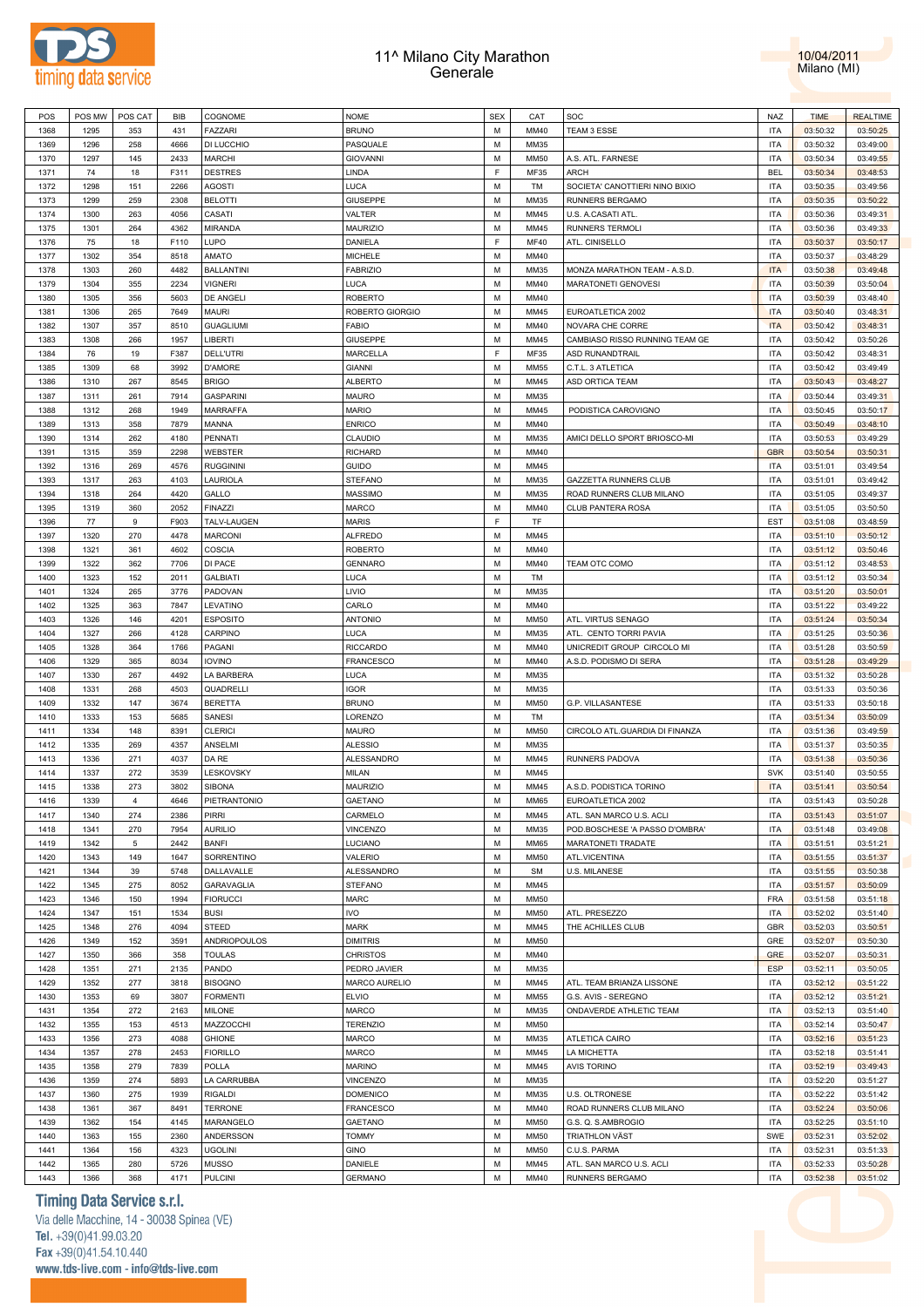



| POS  | POS MW | POS CAT        | BIB  | COGNOME           | <b>NOME</b>      | <b>SEX</b> | CAT         | SOC                            | NAZ        | <b>TIME</b> | <b>REALTIME</b> |
|------|--------|----------------|------|-------------------|------------------|------------|-------------|--------------------------------|------------|-------------|-----------------|
| 1368 | 1295   | 353            | 431  | <b>FAZZARI</b>    | <b>BRUNO</b>     | M          | MM40        | TEAM 3 ESSE                    | <b>ITA</b> | 03:50:32    | 03:50:25        |
| 1369 | 1296   | 258            | 4666 | DI LUCCHIO        | PASQUALE         | M          | MM35        |                                | <b>ITA</b> | 03:50:32    | 03:49:00        |
|      |        |                |      |                   |                  | M          |             |                                |            |             |                 |
| 1370 | 1297   | 145            | 2433 | <b>MARCHI</b>     | <b>GIOVANNI</b>  |            | <b>MM50</b> | A.S. ATL. FARNESE              | <b>ITA</b> | 03:50:34    | 03:49:55        |
| 1371 | 74     | 18             | F311 | <b>DESTRES</b>    | LINDA            | F          | MF35        | ARCH                           | <b>BEL</b> | 03:50:34    | 03:48:53        |
| 1372 | 1298   | 151            | 2266 | AGOSTI            | LUCA             | M          | TM          | SOCIETA' CANOTTIERI NINO BIXIO | <b>ITA</b> | 03:50:35    | 03:49:56        |
| 1373 | 1299   | 259            | 2308 | <b>BELOTTI</b>    | <b>GIUSEPPE</b>  | M          | MM35        | RUNNERS BERGAMO                | <b>ITA</b> | 03:50:35    | 03:50:22        |
| 1374 | 1300   | 263            | 4056 | CASATI            | VALTER           | M          | MM45        | U.S. A.CASATI ATL              | <b>ITA</b> | 03:50:36    | 03:49:31        |
| 1375 | 1301   | 264            | 4362 | <b>MIRANDA</b>    | <b>MAURIZIO</b>  | M          | MM45        | <b>RUNNERS TERMOLI</b>         | <b>ITA</b> | 03:50:36    | 03:49:33        |
| 1376 | 75     | 18             | F110 | LUPO              | DANIELA          | F          | <b>MF40</b> | ATL. CINISELLO                 | <b>ITA</b> | 03:50:37    | 03:50:17        |
| 1377 | 1302   | 354            | 8518 | AMATO             | MICHELE          | M          | MM40        |                                | <b>ITA</b> | 03:50:37    | 03:48:29        |
| 1378 | 1303   | 260            | 4482 | <b>BALLANTINI</b> | <b>FABRIZIO</b>  | M          | MM35        | MONZA MARATHON TEAM - A.S.D    | <b>ITA</b> | 03:50:38    | 03:49:48        |
|      |        |                |      |                   |                  |            |             |                                |            |             |                 |
| 1379 | 1304   | 355            | 2234 | <b>VIGNERI</b>    | LUCA             | M          | MM40        | <b>MARATONETI GENOVESI</b>     | <b>ITA</b> | 03:50:39    | 03:50:04        |
| 1380 | 1305   | 356            | 5603 | DE ANGELI         | <b>ROBERTO</b>   | M          | MM40        |                                | <b>ITA</b> | 03:50:39    | 03:48:40        |
| 1381 | 1306   | 265            | 7649 | <b>MAURI</b>      | ROBERTO GIORGIO  | M          | MM45        | EUROATLETICA 2002              | <b>ITA</b> | 03:50:40    | 03:48:31        |
| 1382 | 1307   | 357            | 8510 | <b>GUAGLIUMI</b>  | <b>FABIO</b>     | M          | MM40        | NOVARA CHE CORRE               | <b>ITA</b> | 03:50:42    | 03:48:31        |
| 1383 | 1308   | 266            | 1957 | LIBERTI           | <b>GIUSEPPE</b>  | M          | MM45        | CAMBIASO RISSO RUNNING TEAM GE | <b>ITA</b> | 03:50:42    | 03:50:26        |
| 1384 | 76     | 19             | F387 | <b>DELL'UTRI</b>  | MARCELLA         | F          | MF35        | ASD RUNANDTRAIL                | <b>ITA</b> | 03:50:42    | 03:48:31        |
| 1385 | 1309   | 68             | 3992 | <b>D'AMORE</b>    | <b>GIANNI</b>    | M          | <b>MM55</b> | C.T.L. 3 ATLETICA              | <b>ITA</b> | 03:50:42    | 03:49:49        |
| 1386 | 1310   | 267            | 8545 | <b>BRIGO</b>      | <b>ALBERTO</b>   | M          | MM45        | ASD ORTICA TEAM                | <b>ITA</b> | 03:50:43    | 03:48:27        |
| 1387 | 1311   | 261            | 7914 | <b>GASPARINI</b>  | <b>MAURO</b>     | M          | MM35        |                                | <b>ITA</b> | 03:50:44    | 03:49:31        |
|      |        |                |      |                   |                  | M          |             |                                |            |             |                 |
| 1388 | 1312   | 268            | 1949 | MARRAFFA          | <b>MARIO</b>     |            | MM45        | PODISTICA CAROVIGNO            | <b>ITA</b> | 03:50:45    | 03:50:17        |
| 1389 | 1313   | 358            | 7879 | MANNA             | <b>ENRICO</b>    | M          | MM40        |                                | <b>ITA</b> | 03:50:49    | 03:48:10        |
| 1390 | 1314   | 262            | 4180 | PENNATI           | CLAUDIO          | M          | MM35        | AMICI DELLO SPORT BRIOSCO-MI   | <b>ITA</b> | 03:50:53    | 03:49:29        |
| 1391 | 1315   | 359            | 2298 | <b>WEBSTER</b>    | <b>RICHARD</b>   | M          | MM40        |                                | <b>GBR</b> | 03:50:54    | 03:50:31        |
| 1392 | 1316   | 269            | 4576 | <b>RUGGININI</b>  | <b>GUIDO</b>     | M          | MM45        |                                | <b>ITA</b> | 03:51:01    | 03:49:54        |
| 1393 | 1317   | 263            | 4103 | LAURIOLA          | <b>STEFANO</b>   | M          | MM35        | GAZZETTA RUNNERS CLUB          | <b>ITA</b> | 03:51:01    | 03:49:42        |
| 1394 | 1318   | 264            | 4420 | GALLO             | MASSIMO          | M          | MM35        | ROAD RUNNERS CLUB MILANO       | <b>ITA</b> | 03:51:05    | 03:49:37        |
| 1395 | 1319   | 360            | 2052 | <b>FINAZZI</b>    | <b>MARCO</b>     | M          | MM40        | CLUB PANTERA ROSA              | <b>ITA</b> | 03:51:05    | 03:50:50        |
| 1396 | 77     | 9              | F903 | TALV-LAUGEN       | <b>MARIS</b>     | F          | TF          |                                | <b>EST</b> | 03:51:08    | 03:48:59        |
| 1397 | 1320   | 270            | 4478 | <b>MARCONI</b>    | <b>ALFREDO</b>   | M          | MM45        |                                | <b>ITA</b> | 03:51:10    | 03:50:12        |
|      |        |                |      |                   |                  |            |             |                                |            |             |                 |
| 1398 | 1321   | 361            | 4602 | COSCIA            | <b>ROBERTO</b>   | M          | MM40        |                                | <b>ITA</b> | 03:51:12    | 03:50:46        |
| 1399 | 1322   | 362            | 7706 | DI PACE           | <b>GENNARO</b>   | M          | MM40        | TEAM OTC COMO                  | <b>ITA</b> | 03:51:12    | 03:48:53        |
| 1400 | 1323   | 152            | 2011 | <b>GALBIATI</b>   | LUCA             | M          | TM          |                                | <b>ITA</b> | 03:51:12    | 03:50:34        |
| 1401 | 1324   | 265            | 3776 | PADOVAN           | LIVIO            | M          | MM35        |                                | <b>ITA</b> | 03:51:20    | 03:50:01        |
| 1402 | 1325   | 363            | 7847 | LEVATINO          | CARLO            | M          | MM40        |                                | <b>ITA</b> | 03:51:22    | 03:49:22        |
| 1403 | 1326   | 146            | 4201 | <b>ESPOSITO</b>   | <b>ANTONIO</b>   | M          | <b>MM50</b> | ATL. VIRTUS SENAGO             | <b>ITA</b> | 03:51:24    | 03:50:34        |
| 1404 | 1327   | 266            | 4128 | CARPINO           | LUCA             | M          | MM35        | ATL. CENTO TORRI PAVIA         | <b>ITA</b> | 03:51:25    | 03:50:36        |
| 1405 | 1328   | 364            | 1766 | PAGANI            | <b>RICCARDO</b>  | M          | MM40        | UNICREDIT GROUP CIRCOLO MI     | <b>ITA</b> | 03:51:28    | 03:50:59        |
| 1406 | 1329   | 365            | 8034 | <b>IOVINO</b>     | FRANCESCO        | M          | MM40        | A.S.D. PODISMO DI SERA         | <b>ITA</b> | 03:51:28    | 03:49:29        |
|      |        |                |      |                   |                  |            |             |                                |            |             |                 |
| 1407 | 1330   | 267            | 4492 | LA BARBERA        | LUCA             | M          | MM35        |                                | <b>ITA</b> | 03:51:32    | 03:50:28        |
| 1408 | 1331   | 268            | 4503 | QUADRELLI         | <b>IGOR</b>      | M          | MM35        |                                | <b>ITA</b> | 03:51:33    | 03:50:36        |
| 1409 | 1332   | 147            | 3674 | <b>BERETTA</b>    | <b>BRUNO</b>     | M          | <b>MM50</b> | G.P. VILLASANTESE              | <b>ITA</b> | 03:51:33    | 03:50:18        |
| 1410 | 1333   | 153            | 5685 | SANESI            | LORENZO          | M          | TM          |                                | <b>ITA</b> | 03:51:34    | 03:50:09        |
| 1411 | 1334   | 148            | 8391 | <b>CLERICI</b>    | <b>MAURO</b>     | M          | <b>MM50</b> | CIRCOLO ATL.GUARDIA DI FINANZA | <b>ITA</b> | 03:51:36    | 03:49:59        |
| 1412 | 1335   | 269            | 4357 | ANSELMI           | <b>ALESSIO</b>   | M          | MM35        |                                | <b>ITA</b> | 03:51:37    | 03:50:35        |
| 1413 | 1336   | 271            | 4037 | DA RE             | ALESSANDRO       | M          | MM45        | RUNNERS PADOVA                 | <b>ITA</b> | 03:51:38    | 03:50:36        |
| 1414 | 1337   | 272            | 3539 | LESKOVSKY         | MILAN            | M          | MM45        |                                | <b>SVK</b> | 03:51:40    | 03:50:55        |
| 1415 | 1338   | 273            | 3802 | <b>SIBONA</b>     | <b>MAURIZIO</b>  | M          | MM45        | A.S.D. PODISTICA TORINO        | <b>ITA</b> | 03:51:41    | 03:50:54        |
| 1416 | 1339   | $\overline{4}$ | 4646 | PIETRANTONIO      | GAETANO          | M          | <b>MM65</b> | EUROATLETICA 2002              | <b>ITA</b> |             |                 |
|      |        |                |      |                   |                  |            |             |                                |            | 03:51:43    | 03:50:28        |
| 1417 | 1340   | 274            | 2386 | <b>PIRRI</b>      | CARMELO          | M          | MM45        | ATL. SAN MARCO U.S. ACLI       | <b>ITA</b> | 03:51:43    | 03:51:07        |
| 1418 | 1341   | 270            | 7954 | AURILIO           | VINCENZO         | M          | MM35        | POD.BOSCHESE 'A PASSO D'OMBRA' | <b>ITA</b> | 03:51:48    | 03:49:08        |
| 1419 | 1342   | $\,$ 5 $\,$    | 2442 | <b>BANFI</b>      | LUCIANO          | M          | <b>MM65</b> | MARATONETI TRADATE             | <b>ITA</b> | 03:51:51    | 03:51:21        |
| 1420 | 1343   | 149            | 1647 | SORRENTINO        | VALERIO          | M          | <b>MM50</b> | ATL.VICENTINA                  | <b>ITA</b> | 03:51:55    | 03:51:37        |
| 1421 | 1344   | 39             | 5748 | DALLAVALLE        | ALESSANDRO       | M          | <b>SM</b>   | <b>U.S. MILANESE</b>           | <b>ITA</b> | 03:51:55    | 03:50:38        |
| 1422 | 1345   | 275            | 8052 | GARAVAGLIA        | <b>STEFANO</b>   | M          | MM45        |                                | <b>ITA</b> | 03:51:57    | 03:50:09        |
| 1423 | 1346   | 150            | 1994 | <b>FIORUCCI</b>   | <b>MARC</b>      | M          | <b>MM50</b> |                                | <b>FRA</b> | 03:51:58    | 03:51:18        |
| 1424 | 1347   | 151            | 1534 | <b>BUSI</b>       | <b>IVO</b>       | M          | <b>MM50</b> | ATL. PRESEZZO                  | <b>ITA</b> | 03:52:02    | 03:51:40        |
| 1425 | 1348   | 276            | 4094 | STEED             | <b>MARK</b>      | M          | MM45        | THE ACHILLES CLUB              | <b>GBR</b> | 03:52:03    | 03:50:51        |
| 1426 | 1349   | 152            | 3591 | ANDRIOPOULOS      | <b>DIMITRIS</b>  | M          | <b>MM50</b> |                                | GRE        | 03:52:07    | 03:50:30        |
|      |        |                |      |                   |                  |            |             |                                |            |             |                 |
| 1427 | 1350   | 366            | 358  | <b>TOULAS</b>     | <b>CHRISTOS</b>  | M          | MM40        |                                | <b>GRE</b> | 03:52:07    | 03:50:31        |
| 1428 | 1351   | 271            | 2135 | PANDO             | PEDRO JAVIER     | M          | MM35        |                                | <b>ESP</b> | 03:52:11    | 03:50:05        |
| 1429 | 1352   | 277            | 3818 | <b>BISOGNO</b>    | MARCO AURELIO    | M          | MM45        | ATL. TEAM BRIANZA LISSONE      | <b>ITA</b> | 03:52:12    | 03:51:22        |
| 1430 | 1353   | 69             | 3807 | <b>FORMENTI</b>   | <b>ELVIO</b>     | M          | <b>MM55</b> | G.S. AVIS - SEREGNO            | <b>ITA</b> | 03:52:12    | 03:51:21        |
| 1431 | 1354   | 272            | 2163 | <b>MILONE</b>     | MARCO            | M          | MM35        | ONDAVERDE ATHLETIC TEAM        | <b>ITA</b> | 03:52:13    | 03:51:40        |
| 1432 | 1355   | 153            | 4513 | MAZZOCCHI         | <b>TERENZIO</b>  | M          | <b>MM50</b> |                                | <b>ITA</b> | 03:52:14    | 03:50:47        |
| 1433 | 1356   | 273            | 4088 | <b>GHIONE</b>     | <b>MARCO</b>     | M          | MM35        | ATLETICA CAIRO                 | <b>ITA</b> | 03:52:16    | 03:51:23        |
| 1434 | 1357   | 278            | 2453 | <b>FIORILLO</b>   | MARCO            | M          | MM45        | LA MICHETTA                    | <b>ITA</b> | 03:52:18    | 03:51:41        |
| 1435 | 1358   | 279            | 7839 | POLLA             | <b>MARINO</b>    | M          | MM45        | <b>AVIS TORINO</b>             | <b>ITA</b> | 03:52:19    | 03:49:43        |
|      |        |                |      |                   |                  |            |             |                                |            |             |                 |
| 1436 | 1359   | 274            | 5893 | LA CARRUBBA       | <b>VINCENZO</b>  | M          | MM35        |                                | <b>ITA</b> | 03:52:20    | 03:51:27        |
| 1437 | 1360   | 275            | 1939 | <b>RIGALDI</b>    | <b>DOMENICO</b>  | M          | MM35        | U.S. OLTRONESE                 | <b>ITA</b> | 03:52:22    | 03:51:42        |
| 1438 | 1361   | 367            | 8491 | <b>TERRONE</b>    | <b>FRANCESCO</b> | M          | MM40        | ROAD RUNNERS CLUB MILANO       | <b>ITA</b> | 03:52:24    | 03:50:06        |
| 1439 | 1362   | 154            | 4145 | MARANGELO         | GAETANO          | M          | <b>MM50</b> | G.S. Q. S.AMBROGIO             | <b>ITA</b> | 03:52:25    | 03:51:10        |
| 1440 | 1363   | 155            | 2360 | ANDERSSON         | <b>TOMMY</b>     | M          | <b>MM50</b> | TRIATHLON VÄST                 | SWE        | 03:52:31    | 03:52:02        |
| 1441 | 1364   | 156            | 4323 | <b>UGOLINI</b>    | GINO             | M          | <b>MM50</b> | C.U.S. PARMA                   | <b>ITA</b> | 03:52:31    | 03:51:33        |
| 1442 | 1365   | 280            | 5726 | <b>MUSSO</b>      | DANIELE          | M          | MM45        | ATL. SAN MARCO U.S. ACLI       | <b>ITA</b> | 03:52:33    | 03:50:28        |
| 1443 | 1366   | 368            | 4171 | <b>PULCINI</b>    | <b>GERMANO</b>   | М          | MM40        | RUNNERS BERGAMO                | <b>ITA</b> | 03:52:38    | 03:51:02        |
|      |        |                |      |                   |                  |            |             |                                |            |             |                 |

# **Timing Data Service s.r.l.**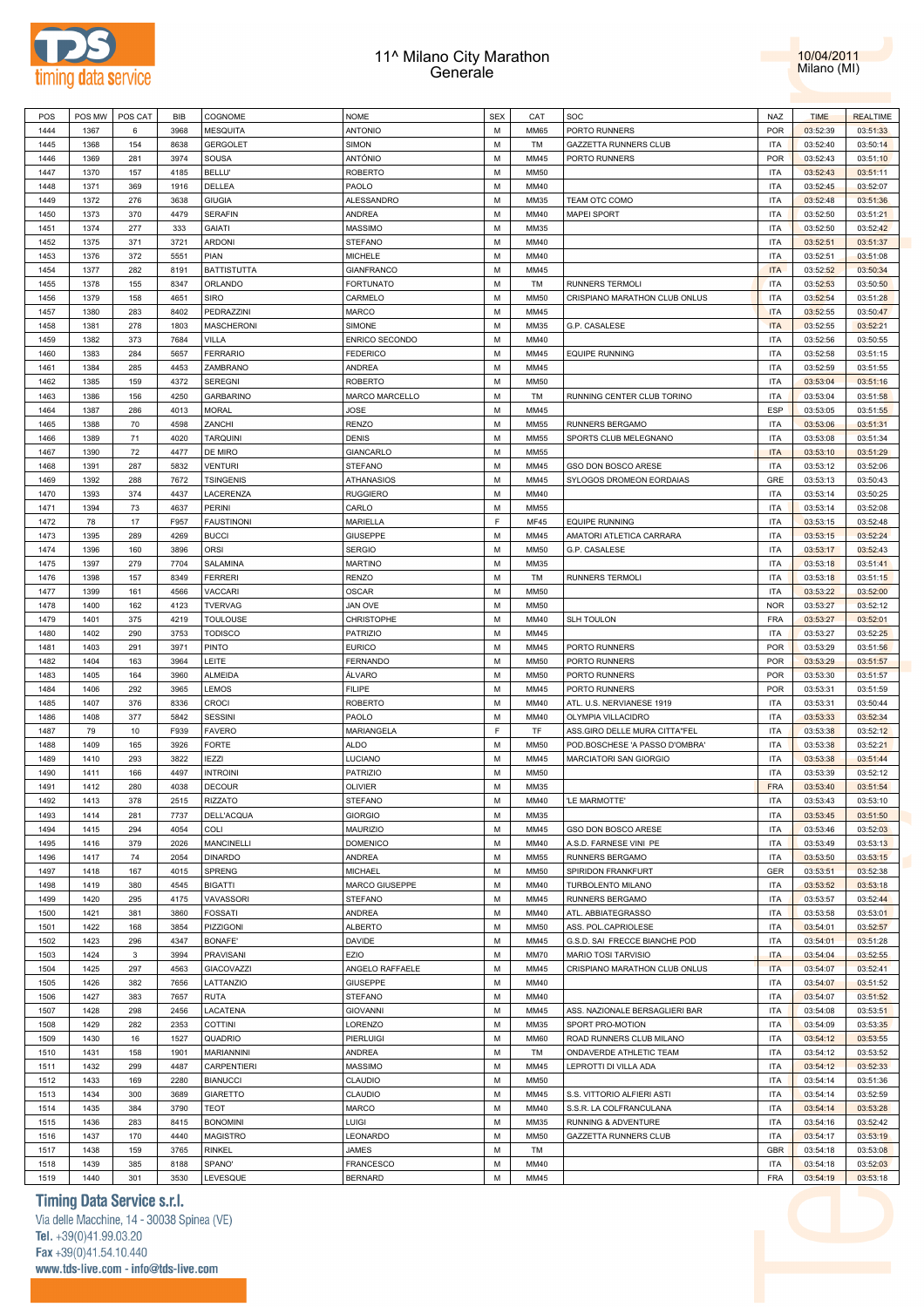



| POS  | POS MW | POS CAT | <b>BIB</b> | COGNOME            | <b>NOME</b>     | <b>SEX</b> | CAT         | SOC                            | NAZ        | <b>TIME</b> | <b>REALTIME</b> |  |
|------|--------|---------|------------|--------------------|-----------------|------------|-------------|--------------------------------|------------|-------------|-----------------|--|
| 1444 | 1367   | 6       | 3968       | <b>MESQUITA</b>    | ANTONIO         | M          | <b>MM65</b> | PORTO RUNNERS                  | <b>POR</b> | 03:52:39    | 03:51:33        |  |
| 1445 | 1368   | 154     | 8638       | <b>GERGOLET</b>    | SIMON           | M          | TM          | GAZZETTA RUNNERS CLUB          | <b>ITA</b> | 03:52:40    | 03:50:14        |  |
| 1446 | 1369   | 281     | 3974       | SOUSA              | ANTÓNIO         | M          | MM45        | PORTO RUNNERS                  | <b>POR</b> | 03:52:43    | 03:51:10        |  |
|      |        |         |            |                    |                 |            |             |                                |            |             |                 |  |
| 1447 | 1370   | 157     | 4185       | <b>BELLU'</b>      | ROBERTO         | М          | MM50        |                                | <b>ITA</b> | 03:52:43    | 03:51:11        |  |
| 1448 | 1371   | 369     | 1916       | DELLEA             | PAOLO           | M          | MM40        |                                | <b>ITA</b> | 03:52:45    | 03:52:07        |  |
| 1449 | 1372   | 276     | 3638       | <b>GIUGIA</b>      | ALESSANDRO      | M          | MM35        | TEAM OTC COMO                  | <b>ITA</b> | 03:52:48    | 03:51:36        |  |
| 1450 | 1373   | 370     | 4479       | <b>SERAFIN</b>     | ANDREA          | M          | MM40        | <b>MAPEI SPORT</b>             | <b>ITA</b> | 03:52:50    | 03:51:21        |  |
| 1451 | 1374   | 277     | 333        | <b>GAIATI</b>      | MASSIMO         | М          | MM35        |                                | <b>ITA</b> | 03:52:50    | 03:52:42        |  |
| 1452 | 1375   | 371     | 3721       | <b>ARDONI</b>      | STEFANO         | M          | MM40        |                                | <b>ITA</b> | 03:52:51    | 03:51:37        |  |
| 1453 | 1376   | 372     | 5551       | PIAN               | MICHELE         | М          | MM40        |                                | <b>ITA</b> | 03:52:51    | 03:51:08        |  |
| 1454 | 1377   | 282     | 8191       | <b>BATTISTUTTA</b> | GIANFRANCO      | M          | MM45        |                                | <b>ITA</b> | 03:52:52    | 03:50:34        |  |
| 1455 | 1378   | 155     | 8347       | ORLANDO            | FORTUNATO       | М          | TM          | <b>RUNNERS TERMOLI</b>         | <b>ITA</b> | 03:52:53    | 03:50:50        |  |
| 1456 | 1379   | 158     | 4651       | <b>SIRO</b>        | CARMELO         | M          | MM50        | CRISPIANO MARATHON CLUB ONLUS  | <b>ITA</b> | 03:52:54    | 03:51:28        |  |
| 1457 | 1380   | 283     | 8402       | PEDRAZZINI         | MARCO           | M          | MM45        |                                | <b>ITA</b> | 03:52:55    | 03:50:47        |  |
| 1458 | 1381   | 278     | 1803       | <b>MASCHERONI</b>  | SIMONE          | M          | MM35        | G.P. CASALESE                  | <b>ITA</b> | 03:52:55    | 03:52:21        |  |
| 1459 | 1382   | 373     | 7684       | VILLA              | ENRICO SECONDO  | М          | MM40        |                                | <b>ITA</b> | 03:52:56    | 03:50:55        |  |
| 1460 | 1383   | 284     | 5657       | <b>FERRARIO</b>    | <b>FEDERICO</b> | M          | MM45        | <b>EQUIPE RUNNING</b>          | <b>ITA</b> | 03:52:58    | 03:51:15        |  |
| 1461 | 1384   | 285     | 4453       | ZAMBRANO           | ANDREA          | M          | MM45        |                                | <b>ITA</b> | 03:52:59    | 03:51:55        |  |
| 1462 |        |         | 4372       |                    |                 | M          | MM50        |                                | <b>ITA</b> |             |                 |  |
|      | 1385   | 159     |            | <b>SEREGNI</b>     | ROBERTO         |            |             |                                |            | 03:53:04    | 03:51:16        |  |
| 1463 | 1386   | 156     | 4250       | <b>GARBARINO</b>   | MARCO MARCELLO  | М          | TM          | RUNNING CENTER CLUB TORINO     | <b>ITA</b> | 03:53:04    | 03:51:58        |  |
| 1464 | 1387   | 286     | 4013       | <b>MORAL</b>       | JOSE            | M          | MM45        |                                | <b>ESP</b> | 03:53:05    | 03:51:55        |  |
| 1465 | 1388   | 70      | 4598       | ZANCHI             | RENZO           | M          | MM55        | RUNNERS BERGAMO                | <b>ITA</b> | 03:53:06    | 03:51:31        |  |
| 1466 | 1389   | 71      | 4020       | <b>TARQUINI</b>    | DENIS           | M          | MM55        | SPORTS CLUB MELEGNANO          | <b>ITA</b> | 03:53:08    | 03:51:34        |  |
| 1467 | 1390   | 72      | 4477       | DE MIRO            | GIANCARLO       | M          | <b>MM55</b> |                                | <b>ITA</b> | 03:53:10    | 03:51:29        |  |
| 1468 | 1391   | 287     | 5832       | <b>VENTURI</b>     | STEFANO         | M          | MM45        | GSO DON BOSCO ARESE            | <b>ITA</b> | 03:53:12    | 03:52:06        |  |
| 1469 | 1392   | 288     | 7672       | <b>TSINGENIS</b>   | ATHANASIOS      | M          | MM45        | SYLOGOS DROMEON EORDAIAS       | GRE        | 03:53:13    | 03:50:43        |  |
| 1470 | 1393   | 374     | 4437       | LACERENZA          | RUGGIERO        | M          | MM40        |                                | <b>ITA</b> | 03:53:14    | 03:50:25        |  |
| 1471 | 1394   | 73      | 4637       | PERINI             | CARLO           | M          | <b>MM55</b> |                                | <b>ITA</b> | 03:53:14    | 03:52:08        |  |
| 1472 | 78     | 17      | F957       | <b>FAUSTINONI</b>  | MARIELLA        | F          | MF45        | <b>EQUIPE RUNNING</b>          | <b>ITA</b> | 03:53:15    | 03:52:48        |  |
| 1473 | 1395   | 289     | 4269       | <b>BUCCI</b>       | GIUSEPPE        | M          | MM45        | AMATORI ATLETICA CARRARA       | <b>ITA</b> | 03:53:15    | 03:52:24        |  |
| 1474 | 1396   | 160     | 3896       | ORSI               | <b>SERGIO</b>   | M          | MM50        | G.P. CASALESE                  | <b>ITA</b> | 03:53:17    | 03:52:43        |  |
| 1475 | 1397   | 279     | 7704       | SALAMINA           | <b>MARTINO</b>  | M          | MM35        |                                | <b>ITA</b> | 03:53:18    | 03:51:41        |  |
| 1476 | 1398   | 157     | 8349       | <b>FERRERI</b>     | RENZO           | M          | TM          | <b>RUNNERS TERMOLI</b>         | <b>ITA</b> | 03:53:18    | 03:51:15        |  |
| 1477 | 1399   | 161     | 4566       | VACCARI            | OSCAR           | M          | <b>MM50</b> |                                | <b>ITA</b> | 03:53:22    | 03:52:00        |  |
|      |        |         |            |                    |                 |            |             |                                |            |             |                 |  |
| 1478 | 1400   | 162     | 4123       | <b>TVERVAG</b>     | <b>JAN OVE</b>  | M          | <b>MM50</b> |                                | <b>NOR</b> | 03:53:27    | 03:52:12        |  |
| 1479 | 1401   | 375     | 4219       | <b>TOULOUSE</b>    | CHRISTOPHE      | М          | MM40        | SLH TOULON                     | <b>FRA</b> | 03:53:27    | 03:52:01        |  |
| 1480 | 1402   | 290     | 3753       | <b>TODISCO</b>     | PATRIZIO        | M          | MM45        |                                | <b>ITA</b> | 03:53:27    | 03:52:25        |  |
| 1481 | 1403   | 291     | 3971       | <b>PINTO</b>       | <b>EURICO</b>   | M          | MM45        | PORTO RUNNERS                  | <b>POR</b> | 03:53:29    | 03:51:56        |  |
| 1482 | 1404   | 163     | 3964       | LEITE              | FERNANDO        | M          | MM50        | PORTO RUNNERS                  | <b>POR</b> | 03:53:29    | 03:51:57        |  |
| 1483 | 1405   | 164     | 3960       | ALMEIDA            | ÁLVARO          | M          | MM50        | PORTO RUNNERS                  | <b>POR</b> | 03:53:30    | 03:51:57        |  |
| 1484 | 1406   | 292     | 3965       | LEMOS              | <b>FILIPE</b>   | M          | MM45        | PORTO RUNNERS                  | <b>POR</b> | 03:53:31    | 03:51:59        |  |
| 1485 | 1407   | 376     | 8336       | <b>CROCI</b>       | ROBERTO         | M          | MM40        | ATL. U.S. NERVIANESE 1919      | <b>ITA</b> | 03:53:31    | 03:50:44        |  |
| 1486 | 1408   | 377     | 5842       | <b>SESSINI</b>     | PAOLO           | M          | MM40        | OLYMPIA VILLACIDRO             | <b>ITA</b> | 03:53:33    | 03:52:34        |  |
| 1487 | 79     | 10      | F939       | <b>FAVERO</b>      | MARIANGELA      | E          | TF          | ASS.GIRO DELLE MURA CITTA"FEL  | <b>ITA</b> | 03:53:38    | 03:52:12        |  |
| 1488 | 1409   | 165     | 3926       | <b>FORTE</b>       | ALDO            | M          | <b>MM50</b> | POD.BOSCHESE 'A PASSO D'OMBRA' | <b>ITA</b> | 03:53:38    | 03:52:21        |  |
| 1489 | 1410   | 293     | 3822       | <b>IEZZI</b>       | LUCIANO         | M          | MM45        | MARCIATORI SAN GIORGIO         | <b>ITA</b> | 03:53:38    | 03:51:44        |  |
| 1490 | 1411   | 166     | 4497       | <b>INTROINI</b>    | PATRIZIO        | M          | MM50        |                                | <b>ITA</b> | 03:53:39    | 03:52:12        |  |
| 1491 | 1412   | 280     | 4038       | <b>DECOUR</b>      | <b>OLIVIER</b>  | M          | MM35        |                                | <b>FRA</b> | 03:53:40    | 03:51:54        |  |
| 1492 | 1413   | 378     | 2515       | <b>RIZZATO</b>     | <b>STEFANO</b>  | M          | MM40        | 'LE MARMOTTE'                  | <b>ITA</b> | 03:53:43    | 03:53:10        |  |
| 1493 | 1414   | 281     | 7737       | DELL'ACQUA         | <b>GIORGIO</b>  | М          | MM35        |                                | <b>ITA</b> | 03:53:45    | 03:51:50        |  |
| 1494 | 1415   | 294     | 4054       | COLI               | MAURIZIO        | M          | MM45        | GSO DON BOSCO ARESE            | ITA        | 03:53:46    | 03:52:03        |  |
|      |        |         |            |                    |                 |            |             |                                |            |             |                 |  |
| 1495 | 1416   | 379     | 2026       | <b>MANCINELLI</b>  | <b>DOMENICO</b> | M          | MM40        | A.S.D. FARNESE VINI PE         | <b>ITA</b> | 03:53:49    | 03:53:13        |  |
| 1496 | 1417   | 74      | 2054       | <b>DINARDO</b>     | ANDREA          | M          | <b>MM55</b> | RUNNERS BERGAMO                | ITA        | 03:53:50    | 03:53:15        |  |
| 1497 | 1418   | 167     | 4015       | SPRENG             | MICHAEL         | M          | MM50        | SPIRIDON FRANKFURT             | <b>GER</b> | 03:53:51    | 03:52:38        |  |
| 1498 | 1419   | 380     | 4545       | <b>BIGATTI</b>     | MARCO GIUSEPPE  | М          | MM40        | TURBOLENTO MILANO              | <b>ITA</b> | 03:53:52    | 03:53:18        |  |
| 1499 | 1420   | 295     | 4175       | VAVASSORI          | <b>STEFANO</b>  | M          | MM45        | RUNNERS BERGAMO                | <b>ITA</b> | 03:53:57    | 03:52:44        |  |
| 1500 | 1421   | 381     | 3860       | <b>FOSSATI</b>     | ANDREA          | M          | MM40        | ATL. ABBIATEGRASSO             | <b>ITA</b> | 03:53:58    | 03:53:01        |  |
| 1501 | 1422   | 168     | 3854       | PIZZIGONI          | <b>ALBERTO</b>  | M          | MM50        | ASS. POL.CAPRIOLESE            | <b>ITA</b> | 03:54:01    | 03:52:57        |  |
| 1502 | 1423   | 296     | 4347       | <b>BONAFE'</b>     | DAVIDE          | M          | MM45        | G.S.D. SAI FRECCE BIANCHE POD  | <b>ITA</b> | 03:54:01    | 03:51:28        |  |
| 1503 | 1424   | 3       | 3994       | PRAVISANI          | EZIO            | M          | <b>MM70</b> | MARIO TOSI TARVISIO            | <b>ITA</b> | 03:54:04    | 03:52:55        |  |
| 1504 | 1425   | 297     | 4563       | <b>GIACOVAZZI</b>  | ANGELO RAFFAELE | M          | MM45        | CRISPIANO MARATHON CLUB ONLUS  | <b>ITA</b> | 03:54:07    | 03:52:41        |  |
| 1505 | 1426   | 382     | 7656       | LATTANZIO          | <b>GIUSEPPE</b> | M          | MM40        |                                | <b>ITA</b> | 03:54:07    | 03:51:52        |  |
| 1506 | 1427   | 383     | 7657       | <b>RUTA</b>        | STEFANO         | M          | MM40        |                                | <b>ITA</b> | 03:54:07    | 03:51:52        |  |
| 1507 | 1428   | 298     | 2456       | LACATENA           | <b>GIOVANNI</b> | M          | MM45        | ASS. NAZIONALE BERSAGLIERI BAR | <b>ITA</b> | 03:54:08    | 03:53:51        |  |
| 1508 | 1429   | 282     | 2353       | <b>COTTINI</b>     | LORENZO         | M          | MM35        | SPORT PRO-MOTION               | <b>ITA</b> | 03:54:09    | 03:53:35        |  |
| 1509 | 1430   | 16      | 1527       | <b>QUADRIO</b>     | PIERLUIGI       | M          | <b>MM60</b> | ROAD RUNNERS CLUB MILANO       | <b>ITA</b> | 03:54:12    | 03:53:55        |  |
| 1510 | 1431   | 158     | 1901       | <b>MARIANNINI</b>  | ANDREA          | M          | TM          | ONDAVERDE ATHLETIC TEAM        | <b>ITA</b> | 03:54:12    | 03:53:52        |  |
| 1511 | 1432   | 299     | 4487       | CARPENTIERI        | MASSIMO         | M          | MM45        | LEPROTTI DI VILLA ADA          | <b>ITA</b> | 03:54:12    | 03:52:33        |  |
| 1512 | 1433   | 169     | 2280       | <b>BIANUCCI</b>    | CLAUDIO         | M          | <b>MM50</b> |                                | <b>ITA</b> | 03:54:14    | 03:51:36        |  |
| 1513 | 1434   | 300     | 3689       | GIARETTO           | CLAUDIO         | M          | MM45        | S.S. VITTORIO ALFIERI ASTI     | <b>ITA</b> | 03:54:14    | 03:52:59        |  |
|      |        |         |            |                    |                 |            |             |                                |            |             |                 |  |
| 1514 | 1435   | 384     | 3790       | <b>TEOT</b>        | MARCO           | M          | MM40        | S.S.R. LA COLFRANCULANA        | <b>ITA</b> | 03:54:14    | 03:53:28        |  |
| 1515 | 1436   | 283     | 8415       | <b>BONOMINI</b>    | LUIGI           | M          | MM35        | RUNNING & ADVENTURE            | <b>ITA</b> | 03:54:16    | 03:52:42        |  |
| 1516 | 1437   | 170     | 4440       | <b>MAGISTRO</b>    | LEONARDO        | M          | MM50        | GAZZETTA RUNNERS CLUB          | ITA        | 03:54:17    | 03:53:19        |  |
| 1517 | 1438   | 159     | 3765       | <b>RINKEL</b>      | <b>JAMES</b>    | M          | TM          |                                | <b>GBR</b> | 03:54:18    | 03:53:08        |  |
| 1518 | 1439   | 385     | 8188       | SPANO'             | FRANCESCO       | М          | MM40        |                                | ITA        | 03:54:18    | 03:52:03        |  |
| 1519 | 1440   | 301     | 3530       | LEVESQUE           | <b>BERNARD</b>  | M          | MM45        |                                | FRA        | 03:54:19    | 03:53:18        |  |

### **Timing Data Service s.r.l.**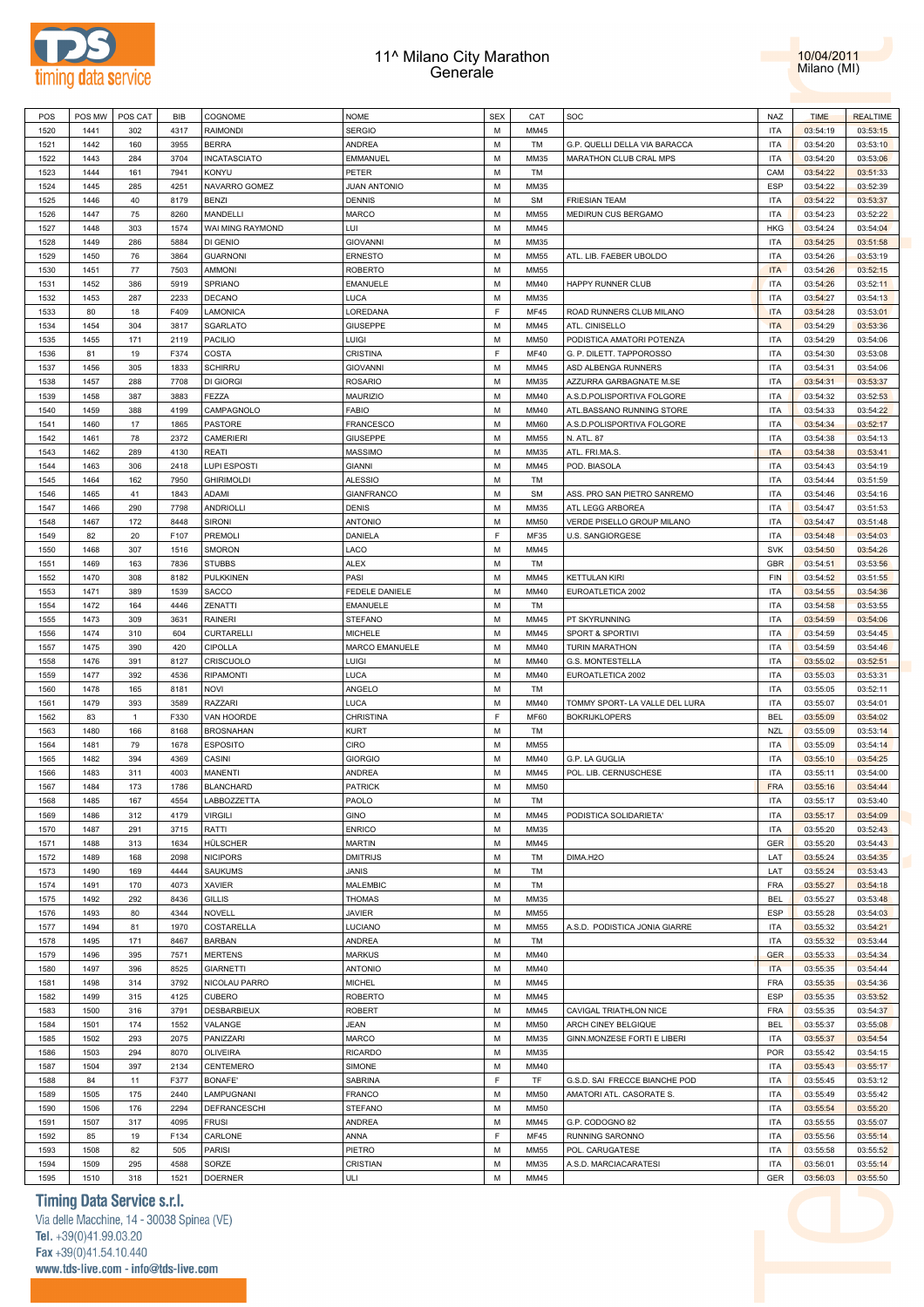



| POS          | POS MW       | POS CAT      | <b>BIB</b>   | COGNOME                 | <b>NOME</b>         | <b>SEX</b> | CAT          | SOC                            | <b>NAZ</b>        | <b>TIME</b>          | <b>REALTIME</b>      |
|--------------|--------------|--------------|--------------|-------------------------|---------------------|------------|--------------|--------------------------------|-------------------|----------------------|----------------------|
| 1520         | 1441         | 302          | 4317         | <b>RAIMONDI</b>         | <b>SERGIO</b>       | M          | MM45         |                                | <b>ITA</b>        | 03:54:19             | 03:53:15             |
| 1521         | 1442         | 160          | 3955         | <b>BERRA</b>            | <b>ANDREA</b>       | M          | TM           | G.P. QUELLI DELLA VIA BARACCA  | <b>ITA</b>        | 03:54:20             | 03:53:10             |
| 1522         | 1443         | 284          | 3704         | INCATASCIATO            | <b>EMMANUEL</b>     | M          | MM35         | MARATHON CLUB CRAL MPS         | <b>ITA</b>        | 03:54:20             | 03:53:06             |
|              |              |              |              |                         |                     |            |              |                                |                   |                      |                      |
| 1523         | 1444         | 161          | 7941         | <b>KONYU</b>            | PETER               | M          | TM           |                                | CAM               | 03:54:22             | 03:51:33             |
| 1524         | 1445         | 285          | 4251         | NAVARRO GOMEZ           | <b>JUAN ANTONIO</b> | M          | MM35         |                                | ESP               | 03:54:22             | 03:52:39             |
| 1525         | 1446         | 40           | 8179         | <b>BENZI</b>            | <b>DENNIS</b>       | M          | <b>SM</b>    | <b>FRIESIAN TEAM</b>           | <b>ITA</b>        | 03:54:22             | 03:53:37             |
| 1526         | 1447         | 75           | 8260         | MANDELLI                | <b>MARCO</b>        | M          | MM55         | MEDIRUN CUS BERGAMO            | <b>ITA</b>        | 03:54:23             | 03:52:22             |
| 1527         | 1448         | 303          | 1574         | WAI MING RAYMOND        | LUI                 | M          | MM45         |                                | <b>HKG</b>        | 03:54:24             | 03:54:04             |
| 1528         | 1449         | 286          | 5884         | DI GENIO                | <b>GIOVANNI</b>     | M          | MM35         |                                | <b>ITA</b>        | 03:54:25             | 03:51:58             |
| 1529         | 1450         | 76           | 3864         | <b>GUARNONI</b>         | <b>ERNESTO</b>      | M          | MM55         | ATL. LIB. FAEBER UBOLDO        | <b>ITA</b>        | 03:54:26             | 03:53:19             |
|              |              |              |              |                         |                     |            |              |                                |                   |                      |                      |
| 1530         | 1451         | 77           | 7503         | <b>AMMONI</b>           | <b>ROBERTO</b>      | M          | MM55         |                                | <b>ITA</b>        | 03:54:26             | 03:52:15             |
| 1531         | 1452         | 386          | 5919         | SPRIANO                 | <b>EMANUELE</b>     | M          | MM40         | HAPPY RUNNER CLUB              | <b>ITA</b>        | 03:54:26             | 03:52:11             |
| 1532         | 1453         | 287          | 2233         | <b>DECANO</b>           | LUCA                | M          | MM35         |                                | <b>ITA</b>        | 03:54:27             | 03:54:13             |
| 1533         | 80           | 18           | F409         | LAMONICA                | LOREDANA            | E          | <b>MF45</b>  | ROAD RUNNERS CLUB MILANO       | <b>ITA</b>        | 03:54:28             | 03:53:01             |
| 1534         | 1454         | 304          | 3817         | SGARLATO                | <b>GIUSEPPE</b>     | M          | MM45         | ATL. CINISELLO                 | <b>ITA</b>        | 03:54:29             | 03:53:36             |
| 1535         | 1455         | 171          | 2119         | <b>PACILIO</b>          | LUIGI               | M          | <b>MM50</b>  | PODISTICA AMATORI POTENZA      | <b>ITA</b>        | 03:54:29             | 03:54:06             |
| 1536         | 81           | 19           | F374         | COSTA                   | <b>CRISTINA</b>     | F          | <b>MF40</b>  | G. P. DILETT. TAPPOROSSO       | <b>ITA</b>        | 03:54:30             | 03:53:08             |
|              |              | 305          |              | <b>SCHIRRU</b>          |                     | M          |              |                                | <b>ITA</b>        |                      |                      |
| 1537         | 1456         |              | 1833         |                         | <b>GIOVANNI</b>     |            | MM45         | ASD ALBENGA RUNNERS            |                   | 03:54:31             | 03:54:06             |
| 1538         | 1457         | 288          | 7708         | DI GIORGI               | <b>ROSARIO</b>      | M          | MM35         | AZZURRA GARBAGNATE M.SE        | <b>ITA</b>        | 03:54:31             | 03:53:37             |
| 1539         | 1458         | 387          | 3883         | FEZZA                   | MAURIZIO            | M          | MM40         | A.S.D.POLISPORTIVA FOLGORE     | <b>ITA</b>        | 03:54:32             | 03:52:53             |
| 1540         | 1459         | 388          | 4199         | CAMPAGNOLO              | <b>FABIO</b>        | M          | MM40         | ATL.BASSANO RUNNING STORE      | <b>ITA</b>        | 03:54:33             | 03:54:22             |
| 1541         | 1460         | 17           | 1865         | <b>PASTORE</b>          | <b>FRANCESCO</b>    | M          | <b>MM60</b>  | A.S.D.POLISPORTIVA FOLGORE     | <b>ITA</b>        | 03:54:34             | 03:52:17             |
| 1542         | 1461         | 78           | 2372         | CAMERIERI               | <b>GIUSEPPE</b>     | M          | <b>MM55</b>  | N. ATL. 87                     | <b>ITA</b>        | 03:54:38             | 03:54:13             |
| 1543         | 1462         | 289          | 4130         | <b>REATI</b>            | <b>MASSIMO</b>      | M          | MM35         | ATL. FRI.MA.S.                 | <b>ITA</b>        | 03:54:38             | 03:53:41             |
|              |              |              |              |                         |                     | M          |              |                                | <b>ITA</b>        |                      |                      |
| 1544         | 1463         | 306          | 2418         | LUPI ESPOSTI            | <b>GIANNI</b>       |            | MM45         | POD. BIASOLA                   |                   | 03:54:43             | 03:54:19             |
| 1545         | 1464         | 162          | 7950         | <b>GHIRIMOLDI</b>       | <b>ALESSIO</b>      | M          | TM           |                                | <b>ITA</b>        | 03:54:44             | 03:51:59             |
| 1546         | 1465         | 41           | 1843         | ADAMI                   | <b>GIANFRANCO</b>   | M          | <b>SM</b>    | ASS. PRO SAN PIETRO SANREMO    | <b>ITA</b>        | 03:54:46             | 03:54:16             |
| 1547         | 1466         | 290          | 7798         | ANDRIOLLI               | <b>DENIS</b>        | M          | MM35         | ATL LEGG ARBOREA               | <b>ITA</b>        | 03:54:47             | 03:51:53             |
| 1548         | 1467         | 172          | 8448         | SIRONI                  | <b>ANTONIO</b>      | M          | <b>MM50</b>  | VERDE PISELLO GROUP MILANO     | <b>ITA</b>        | 03:54:47             | 03:51:48             |
| 1549         | 82           | 20           | F107         | PREMOLI                 | DANIELA             | F.         | MF35         | U.S. SANGIORGESE               | <b>ITA</b>        | 03:54:48             | 03:54:03             |
| 1550         | 1468         | 307          | 1516         | <b>SMORON</b>           | LACO                | M          | MM45         |                                | <b>SVK</b>        | 03:54:50             | 03:54:26             |
|              |              |              |              |                         |                     |            |              |                                |                   |                      |                      |
| 1551         | 1469         | 163          | 7836         | <b>STUBBS</b>           | <b>ALEX</b>         | M          | TM           |                                | GBR               | 03:54:51             | 03:53:56             |
| 1552         | 1470         | 308          | 8182         | <b>PULKKINEN</b>        | PASI                | M          | MM45         | <b>KETTULAN KIRI</b>           | FIN               | 03:54:52             | 03:51:55             |
| 1553         | 1471         | 389          | 1539         | <b>SACCO</b>            | FEDELE DANIELE      | M          | MM40         | EUROATLETICA 2002              | <b>ITA</b>        | 03:54:55             | 03:54:36             |
| 1554         | 1472         | 164          | 4446         | ZENATTI                 | <b>EMANUELE</b>     | M          | TM           |                                | <b>ITA</b>        | 03:54:58             | 03:53:55             |
| 1555         | 1473         | 309          | 3631         | <b>RAINERI</b>          | <b>STEFANO</b>      | M          | MM45         | PT SKYRUNNING                  | <b>ITA</b>        | 03:54:59             | 03:54:06             |
| 1556         | 1474         | 310          | 604          | CURTARELLI              | <b>MICHELE</b>      | M          | MM45         | SPORT & SPORTIVI               | <b>ITA</b>        | 03:54:59             | 03:54:45             |
| 1557         | 1475         | 390          | 420          | <b>CIPOLLA</b>          | MARCO EMANUELE      | M          | MM40         | TURIN MARATHON                 | <b>ITA</b>        | 03:54:59             | 03:54:46             |
|              |              |              |              |                         |                     | M          |              |                                | <b>ITA</b>        |                      |                      |
| 1558         | 1476         | 391          | 8127         | CRISCUOLO               | LUIGI               |            | MM40         | G.S. MONTESTELLA               |                   | 03:55:02             | 03:52:51             |
| 1559         | 1477         | 392          | 4536         | <b>RIPAMONTI</b>        | LUCA                | M          | MM40         | EUROATLETICA 2002              | <b>ITA</b>        | 03:55:03             | 03:53:31             |
| 1560         | 1478         | 165          | 8181         | <b>NOVI</b>             | ANGELO              | M          | TM           |                                | <b>ITA</b>        | 03:55:05             | 03:52:11             |
| 1561         | 1479         | 393          | 3589         | RAZZARI                 | LUCA                | M          | MM40         | TOMMY SPORT- LA VALLE DEL LURA | <b>ITA</b>        | 03:55:07             | 03:54:01             |
| 1562         | 83           | $\mathbf{1}$ | F330         | VAN HOORDE              | <b>CHRISTINA</b>    | F          | <b>MF60</b>  | <b>BOKRIJKLOPERS</b>           | <b>BEL</b>        | 03:55:09             | 03:54:02             |
| 1563         | 1480         | 166          | 8168         | <b>BROSNAHAN</b>        | <b>KURT</b>         | M          | TM           |                                | <b>NZL</b>        | 03:55:09             | 03:53:14             |
| 1564         | 1481         | 79           | 1678         | <b>ESPOSITO</b>         | CIRO                | M          | MM55         |                                | <b>ITA</b>        | 03:55:09             | 03:54:14             |
| 1565         | 1482         | 394          | 4369         | CASINI                  | <b>GIORGIO</b>      | M          | MM40         | G.P. LA GUGLIA                 | <b>ITA</b>        | 03:55:10             | 03:54:25             |
|              |              |              |              |                         |                     |            |              |                                |                   |                      |                      |
| 1566         | 1483         | 311          | 4003         | <b>MANENTI</b>          | ANDREA              | M          | MM45         | POL. LIB. CERNUSCHESE          | <b>ITA</b>        | 03:55:11             | 03:54:00             |
| 1567         | 1484         | 173          | 1786         | <b>BLANCHARD</b>        | <b>PATRICK</b>      | M          | <b>MM50</b>  |                                |                   |                      |                      |
| 1568         | 1485         | 167          | 4554         | LABBOZZETTA             | PAOLO               |            |              |                                | FRA               | 03:55:16             | 03:54:44             |
| 1569         | 1486         | 312          |              |                         |                     | M          | <b>TM</b>    |                                | <b>ITA</b>        | 03:55:17             | 03:53:40             |
| 1570         |              |              | 4179         | <b>VIRGILI</b>          | <b>GINO</b>         | M          | MM45         | PODISTICA SOLIDARIETA'         | <b>ITA</b>        | 03:55:17             | 03:54:09             |
| 1571         | 1487         | 291          | 3715         | RATTI                   | <b>ENRICO</b>       | M          | MM35         |                                | <b>ITA</b>        | 03:55:20             | 03:52:43             |
|              | 1488         | 313          |              |                         |                     | M          | MM45         |                                |                   |                      |                      |
|              |              |              | 1634         | HÜLSCHER                | <b>MARTIN</b>       |            |              |                                | GER               | 03:55:20             | 03:54:43             |
| 1572         | 1489         | 168          | 2098         | <b>NICIPORS</b>         | <b>DMITRIJS</b>     | M          | TM           | DIMA.H2O                       | LAT               | 03:55:24             | 03:54:35             |
| 1573         | 1490         | 169          | 4444         | <b>SAUKUMS</b>          | <b>JANIS</b>        | M          | <b>TM</b>    |                                | LAT               | 03:55:24             | 03:53:43             |
| 1574         | 1491         | 170          | 4073         | <b>XAVIER</b>           | MALEMBIC            | M          | TM           |                                | <b>FRA</b>        | 03:55:27             | 03:54:18             |
| 1575         | 1492         | 292          | 8436         | <b>GILLIS</b>           | <b>THOMAS</b>       | M          | MM35         |                                | <b>BEL</b>        | 03:55:27             | 03:53:48             |
| 1576         | 1493         | 80           | 4344         | <b>NOVELL</b>           | <b>JAVIER</b>       | M          | MM55         |                                | ESP               | 03:55:28             | 03:54:03             |
| 1577         | 1494         | 81           | 1970         | COSTARELLA              | LUCIANO             | M          | MM55         | A.S.D. PODISTICA JONIA GIARRE  | <b>ITA</b>        | 03:55:32             | 03:54:21             |
| 1578         | 1495         | 171          | 8467         | <b>BARBAN</b>           | <b>ANDREA</b>       | M          | TM           |                                | <b>ITA</b>        | 03:55:32             | 03:53:44             |
|              |              |              |              |                         |                     |            |              |                                |                   |                      |                      |
| 1579         | 1496         | 395          | 7571         | <b>MERTENS</b>          | <b>MARKUS</b>       | M          | MM40         |                                | <b>GER</b>        | 03:55:33             | 03:54:34             |
| 1580         | 1497         | 396          | 8525         | <b>GIARNETTI</b>        | <b>ANTONIO</b>      | M          | MM40         |                                | <b>ITA</b>        | 03:55:35             | 03:54:44             |
| 1581         | 1498         | 314          | 3792         | NICOLAU PARRO           | <b>MICHEL</b>       | M          | MM45         |                                | FRA               | 03:55:35             | 03:54:36             |
| 1582         | 1499         | 315          | 4125         | CUBERO                  | <b>ROBERTO</b>      | M          | MM45         |                                | ESP               | 03:55:35             | 03:53:52             |
| 1583         | 1500         | 316          | 3791         | DESBARBIEUX             | <b>ROBERT</b>       | M          | MM45         | CAVIGAL TRIATHLON NICE         | FRA               | 03:55:35             | 03:54:37             |
| 1584         | 1501         | 174          | 1552         | VALANGE                 | <b>JEAN</b>         | M          | <b>MM50</b>  | ARCH CINEY BELGIQUE            | <b>BEL</b>        | 03:55:37             | 03:55:08             |
| 1585         | 1502         | 293          | 2075         | PANIZZARI               | <b>MARCO</b>        | M          | MM35         | GINN.MONZESE FORTI E LIBERI    | <b>ITA</b>        | 03:55:37             | 03:54:54             |
|              |              |              |              |                         |                     |            |              |                                |                   |                      |                      |
| 1586         | 1503         | 294          | 8070         | <b>OLIVEIRA</b>         | <b>RICARDO</b>      | M          | MM35         |                                | POR               | 03:55:42             | 03:54:15             |
| 1587         | 1504         | 397          | 2134         | CENTEMERO               | SIMONE              | M          | MM40         |                                | <b>ITA</b>        | 03:55:43             | 03:55:17             |
| 1588         | 84           | 11           | F377         | <b>BONAFE</b>           | SABRINA             | F          | TF           | G.S.D. SAI FRECCE BIANCHE POD  | <b>ITA</b>        | 03:55:45             | 03:53:12             |
| 1589         | 1505         | 175          | 2440         | LAMPUGNANI              | <b>FRANCO</b>       | M          | <b>MM50</b>  | AMATORI ATL. CASORATE S.       | <b>ITA</b>        | 03:55:49             | 03:55:42             |
| 1590         | 1506         | 176          | 2294         | DEFRANCESCHI            | <b>STEFANO</b>      | M          | <b>MM50</b>  |                                | <b>ITA</b>        | 03:55:54             | 03:55:20             |
| 1591         | 1507         | 317          | 4095         | <b>FRUSI</b>            | ANDREA              | M          | MM45         | G.P. CODOGNO 82                | <b>ITA</b>        | 03:55:55             | 03:55:07             |
| 1592         | 85           | 19           | F134         | CARLONE                 | ANNA                | F          | <b>MF45</b>  | RUNNING SARONNO                | <b>ITA</b>        | 03:55:56             | 03:55:14             |
|              |              |              |              |                         |                     |            |              |                                |                   |                      |                      |
| 1593         | 1508         | 82           | 505          | <b>PARISI</b>           | PIETRO              | M          | MM55         | POL. CARUGATESE                | <b>ITA</b>        | 03:55:58             | 03:55:52             |
| 1594<br>1595 | 1509<br>1510 | 295<br>318   | 4588<br>1521 | SORZE<br><b>DOERNER</b> | CRISTIAN<br>ULI     | M<br>M     | MM35<br>MM45 | A.S.D. MARCIACARATESI          | <b>ITA</b><br>GER | 03:56:01<br>03:56:03 | 03:55:14<br>03:55:50 |

# **Timing Data Service s.r.l.**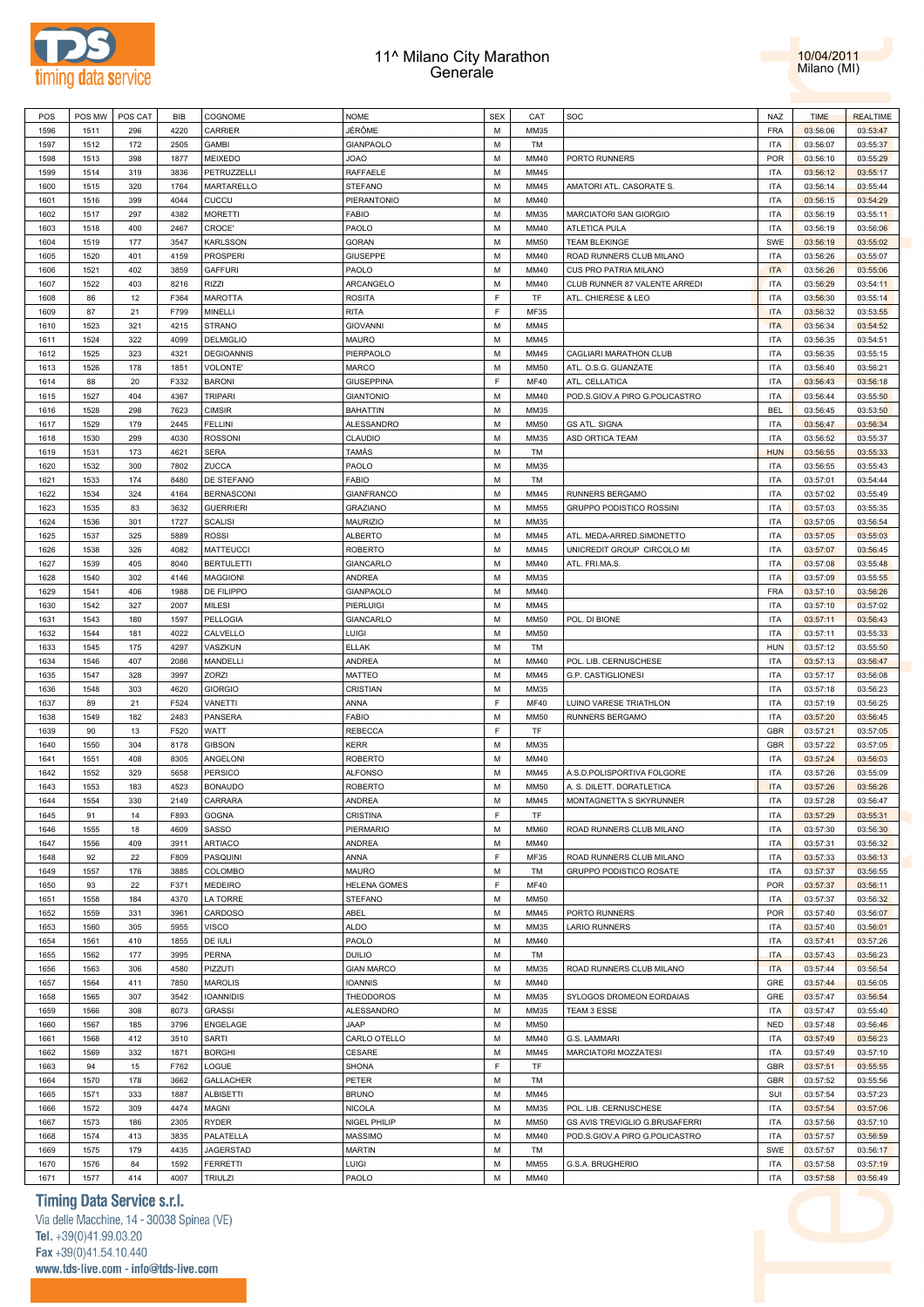



| POS  | POS MW | POS CAT | BIB  | COGNOME           | <b>NOME</b>         | <b>SEX</b> | CAT         | SOC                            | <b>NAZ</b> | <b>TIME</b> | <b>REALTIME</b> |
|------|--------|---------|------|-------------------|---------------------|------------|-------------|--------------------------------|------------|-------------|-----------------|
| 1596 | 1511   | 296     | 4220 | CARRIER           | JÉRÔME              | М          | MM35        |                                | FRA        | 03:56:06    | 03:53:47        |
| 1597 | 1512   | 172     | 2505 | <b>GAMBI</b>      | GIANPAOLO           | М          | TM          |                                | <b>ITA</b> | 03:56:07    | 03:55:37        |
|      |        |         |      | MEIXEDO           | <b>JOAO</b>         | M          |             | PORTO RUNNERS                  | POR        |             |                 |
| 1598 | 1513   | 398     | 1877 |                   |                     |            | MM40        |                                |            | 03:56:10    | 03:55:29        |
| 1599 | 1514   | 319     | 3836 | PETRUZZELLI       | RAFFAELE            | М          | MM45        |                                | <b>ITA</b> | 03:56:12    | 03:55:17        |
| 1600 | 1515   | 320     | 1764 | MARTARELLO        | STEFANO             | M          | MM45        | AMATORI ATL. CASORATE S.       | <b>ITA</b> | 03:56:14    | 03:55:44        |
| 1601 | 1516   | 399     | 4044 | CUCCU             | PIERANTONIO         | М          | MM40        |                                | <b>ITA</b> | 03:56:15    | 03:54:29        |
| 1602 | 1517   | 297     | 4382 | <b>MORETTI</b>    | <b>FABIO</b>        | М          | MM35        | MARCIATORI SAN GIORGIO         | <b>ITA</b> | 03:56:19    | 03:55:11        |
| 1603 | 1518   | 400     | 2467 | CROCE'            | PAOLO               | М          | MM40        | ATLETICA PULA                  | <b>ITA</b> | 03:56:19    | 03:56:06        |
| 1604 | 1519   | 177     | 3547 | <b>KARLSSON</b>   | GORAN               | М          | <b>MM50</b> | <b>TEAM BLEKINGE</b>           | SWE        | 03:56:19    | 03:55:02        |
| 1605 | 1520   | 401     | 4159 | <b>PROSPERI</b>   | <b>GIUSEPPE</b>     | М          | MM40        | ROAD RUNNERS CLUB MILANO       | <b>ITA</b> | 03:56:26    | 03:55:07        |
| 1606 | 1521   | 402     | 3859 | <b>GAFFURI</b>    | PAOLO               | М          | MM40        | CUS PRO PATRIA MILANO          | <b>ITA</b> | 03:56:26    | 03:55:06        |
| 1607 | 1522   | 403     | 8216 | <b>RIZZI</b>      | ARCANGELO           | м          | MM40        | CLUB RUNNER 87 VALENTE ARREDI  | <b>ITA</b> | 03:56:29    | 03:54:11        |
|      |        |         |      |                   |                     | F          |             |                                |            |             |                 |
| 1608 | 86     | 12      | F364 | <b>MAROTTA</b>    | <b>ROSITA</b>       |            | TF          | ATL. CHIERESE & LEO            | <b>ITA</b> | 03:56:30    | 03:55:14        |
| 1609 | 87     | 21      | F799 | MINELLI           | <b>RITA</b>         | E          | MF35        |                                | <b>ITA</b> | 03:56:32    | 03:53:55        |
| 1610 | 1523   | 321     | 4215 | <b>STRANO</b>     | <b>GIOVANNI</b>     | М          | MM45        |                                | <b>ITA</b> | 03:56:34    | 03:54:52        |
| 1611 | 1524   | 322     | 4099 | <b>DELMIGLIO</b>  | MAURO               | М          | MM45        |                                | <b>ITA</b> | 03:56:35    | 03:54:51        |
| 1612 | 1525   | 323     | 4321 | <b>DEGIOANNIS</b> | PIERPAOLO           | M          | MM45        | CAGLIARI MARATHON CLUB         | <b>ITA</b> | 03:56:35    | 03:55:15        |
| 1613 | 1526   | 178     | 1851 | VOLONTE'          | MARCO               | М          | <b>MM50</b> | ATL. O.S.G. GUANZATE           | <b>ITA</b> | 03:56:40    | 03:56:21        |
| 1614 | 88     | 20      | F332 | <b>BARONI</b>     | <b>GIUSEPPINA</b>   | F          | <b>MF40</b> | ATL. CELLATICA                 | <b>ITA</b> | 03:56:43    | 03:56:18        |
| 1615 | 1527   | 404     | 4367 | <b>TRIPARI</b>    | <b>GIANTONIO</b>    | М          | MM40        | POD.S.GIOV.A PIRO G.POLICASTRO | <b>ITA</b> | 03:56:44    | 03:55:50        |
| 1616 | 1528   | 298     | 7623 | <b>CIMSIR</b>     | <b>BAHATTIN</b>     | M          | MM35        |                                | <b>BEL</b> | 03:56:45    | 03:53:50        |
|      |        |         |      |                   |                     | М          |             |                                |            |             |                 |
| 1617 | 1529   | 179     | 2445 | <b>FELLINI</b>    | ALESSANDRO          |            | <b>MM50</b> | <b>GS ATL. SIGNA</b>           | <b>ITA</b> | 03:56:47    | 03:56:34        |
| 1618 | 1530   | 299     | 4030 | <b>ROSSONI</b>    | CLAUDIO             | М          | MM35        | ASD ORTICA TEAM                | <b>ITA</b> | 03:56:52    | 03:55:37        |
| 1619 | 1531   | 173     | 4621 | <b>SERA</b>       | TAMÁS               | М          | TM          |                                | <b>HUN</b> | 03:56:55    | 03:55:33        |
| 1620 | 1532   | 300     | 7802 | ZUCCA             | PAOLO               | М          | MM35        |                                | <b>ITA</b> | 03:56:55    | 03:55:43        |
| 1621 | 1533   | 174     | 8480 | DE STEFANO        | <b>FABIO</b>        | М          | TM          |                                | ITA        | 03:57:01    | 03:54:44        |
| 1622 | 1534   | 324     | 4164 | <b>BERNASCONI</b> | <b>GIANFRANCO</b>   | М          | MM45        | <b>RUNNERS BERGAMO</b>         | <b>ITA</b> | 03:57:02    | 03:55:49        |
| 1623 | 1535   | 83      | 3632 | <b>GUERRIERI</b>  | <b>GRAZIANO</b>     | м          | MM55        | GRUPPO PODISTICO ROSSINI       | <b>ITA</b> | 03:57:03    | 03:55:35        |
| 1624 | 1536   | 301     | 1727 | <b>SCALISI</b>    | <b>MAURIZIO</b>     | М          | MM35        |                                | <b>ITA</b> | 03:57:05    | 03:56:54        |
| 1625 | 1537   | 325     | 5889 | <b>ROSSI</b>      | <b>ALBERTO</b>      | м          | MM45        | ATL. MEDA-ARRED.SIMONETTO      | <b>ITA</b> | 03:57:05    | 03:55:03        |
| 1626 | 1538   | 326     | 4082 | <b>MATTEUCCI</b>  | <b>ROBERTO</b>      | М          | MM45        | UNICREDIT GROUP CIRCOLO MI     | <b>ITA</b> | 03:57:07    | 03:56:45        |
|      |        |         |      |                   |                     |            |             |                                |            |             |                 |
| 1627 | 1539   | 405     | 8040 | <b>BERTULETTI</b> | GIANCARLO           | м          | MM40        | ATL. FRI.MA.S.                 | <b>ITA</b> | 03:57:08    | 03:55:48        |
| 1628 | 1540   | 302     | 4146 | <b>MAGGIONI</b>   | ANDREA              | М          | MM35        |                                | <b>ITA</b> | 03:57:09    | 03:55:55        |
| 1629 | 1541   | 406     | 1988 | DE FILIPPO        | GIANPAOLO           | М          | MM40        |                                | <b>FRA</b> | 03:57:10    | 03:56:26        |
| 1630 | 1542   | 327     | 2007 | MILESI            | PIERLUIGI           | M          | MM45        |                                | <b>ITA</b> | 03:57:10    | 03:57:02        |
| 1631 | 1543   | 180     | 1597 | PELLOGIA          | GIANCARLO           | М          | <b>MM50</b> | POL. DI BIONE                  | <b>ITA</b> | 03:57:11    | 03:56:43        |
| 1632 | 1544   | 181     | 4022 | CALVELLO          | LUIGI               | M          | <b>MM50</b> |                                | <b>ITA</b> | 03:57:11    | 03:55:33        |
| 1633 | 1545   | 175     | 4297 | VASZKUN           | <b>ELLAK</b>        | М          | TM          |                                | <b>HUN</b> | 03:57:12    | 03:55:50        |
| 1634 | 1546   | 407     | 2086 | MANDELLI          | ANDREA              | М          | MM40        | POL. LIB. CERNUSCHESE          | <b>ITA</b> | 03:57:13    | 03:56:47        |
| 1635 | 1547   | 328     | 3997 | ZORZI             | MATTEO              | М          | MM45        | G.P. CASTIGLIONESI             | <b>ITA</b> | 03:57:17    | 03:56:08        |
| 1636 | 1548   | 303     | 4620 | <b>GIORGIO</b>    | CRISTIAN            | М          | MM35        |                                | <b>ITA</b> | 03:57:18    | 03:56:23        |
|      |        |         |      |                   |                     | F          |             |                                |            |             |                 |
| 1637 | 89     | 21      | F524 | VANETTI           | ANNA                |            | MF40        | LUINO VARESE TRIATHLON         | <b>ITA</b> | 03:57:19    | 03:56:25        |
| 1638 | 1549   | 182     | 2483 | PANSERA           | <b>FABIO</b>        | М          | <b>MM50</b> | RUNNERS BERGAMO                | <b>ITA</b> | 03:57:20    | 03:56:45        |
| 1639 | 90     | 13      | F520 | WATT              | <b>REBECCA</b>      | F          | TF          |                                | GBR        | 03:57:21    | 03:57:05        |
| 1640 | 1550   | 304     | 8178 | <b>GIBSON</b>     | <b>KERR</b>         | М          | MM35        |                                | GBR        | 03:57:22    | 03:57:05        |
| 1641 | 1551   | 408     | 8305 | ANGELONI          | <b>ROBERTO</b>      | м          | MM40        |                                | ITA        | 03:57:24    | 03:56:03        |
| 1642 | 1552   | 329     | 5658 | <b>PERSICO</b>    | <b>ALFONSO</b>      | М          | MM45        | A.S.D.POLISPORTIVA FOLGORE     | <b>ITA</b> | 03:57:26    | 03:55:09        |
| 1643 | 1553   | 183     | 4523 | <b>BONAUDO</b>    | <b>ROBERTO</b>      | М          | <b>MM50</b> | A. S. DILETT. DORATLETICA      | <b>ITA</b> | 03:57:26    | 03:56:26        |
| 1644 | 1554   | 330     | 2149 | CARRARA           | <b>ANDREA</b>       | M          | MM45        | MONTAGNETTA S SKYRUNNER        | <b>ITA</b> | 03:57:28    | 03:56:47        |
| 1645 | 91     | 14      | F893 | <b>GOGNA</b>      | CRISTINA            | E          | TF          |                                | <b>ITA</b> | 03:57:29    | 03:55:31        |
| 1646 | 1555   | 18      | 4609 | SASSO             | PIERMARIO           | M          | <b>MM60</b> | ROAD RUNNERS CLUB MILANO       | <b>ITA</b> | 03:57:30    | 03:56:30        |
|      |        |         |      |                   |                     |            |             |                                |            |             |                 |
| 1647 | 1556   | 409     | 3911 | <b>ARTIACO</b>    | <b>ANDREA</b>       | М          | MM40        |                                | <b>ITA</b> | 03:57:31    | 03:56:32        |
| 1648 | 92     | 22      | F809 | PASQUINI          | ANNA                | E          | MF35        | ROAD RUNNERS CLUB MILANO       | <b>ITA</b> | 03:57:33    | 03:56:13        |
| 1649 | 1557   | 176     | 3885 | COLOMBO           | <b>MAURO</b>        | М          | TM          | GRUPPO PODISTICO ROSATE        | <b>ITA</b> | 03:57:37    | 03:56:55        |
| 1650 | 93     | 22      | F371 | <b>MEDEIRO</b>    | <b>HELENA GOMES</b> | E          | <b>MF40</b> |                                | <b>POR</b> | 03:57:37    | 03:56:11        |
| 1651 | 1558   | 184     | 4370 | LA TORRE          | STEFANO             | М          | <b>MM50</b> |                                | ITA        | 03:57:37    | 03:56:32        |
| 1652 | 1559   | 331     | 3961 | CARDOSO           | ABEL                | M          | MM45        | PORTO RUNNERS                  | POR        | 03:57:40    | 03:56:07        |
| 1653 | 1560   | 305     | 5955 | <b>VISCO</b>      | <b>ALDO</b>         | М          | MM35        | <b>LARIO RUNNERS</b>           | <b>ITA</b> | 03:57:40    | 03:56:01        |
| 1654 | 1561   | 410     | 1855 | DE IULI           | PAOLO               | М          | MM40        |                                | <b>ITA</b> | 03:57:41    | 03:57:26        |
| 1655 | 1562   | 177     | 3995 | <b>PERNA</b>      | <b>DUILIO</b>       | М          | TM          |                                | <b>ITA</b> | 03:57:43    | 03:56:23        |
| 1656 |        | 306     | 4580 | PIZZUTI           | <b>GIAN MARCO</b>   | M          |             | ROAD RUNNERS CLUB MILANO       | <b>ITA</b> | 03:57:44    | 03:56:54        |
|      | 1563   |         |      |                   |                     |            | MM35        |                                |            |             |                 |
| 1657 | 1564   | 411     | 7850 | <b>MAROLIS</b>    | <b>IOANNIS</b>      | М          | MM40        |                                | GRE        | 03:57:44    | 03:56:05        |
| 1658 | 1565   | 307     | 3542 | <b>IOANNIDIS</b>  | <b>THEODOROS</b>    | M          | MM35        | SYLOGOS DROMEON EORDAIAS       | GRE        | 03:57:47    | 03:56:54        |
| 1659 | 1566   | 308     | 8073 | <b>GRASSI</b>     | ALESSANDRO          | М          | MM35        | TEAM 3 ESSE                    | <b>ITA</b> | 03:57:47    | 03:55:40        |
| 1660 | 1567   | 185     | 3796 | ENGELAGE          | JAAP                | M          | <b>MM50</b> |                                | <b>NED</b> | 03:57:48    | 03:56:46        |
| 1661 | 1568   | 412     | 3510 | <b>SARTI</b>      | CARLO OTELLO        | М          | MM40        | G.S. LAMMARI                   | <b>ITA</b> | 03:57:49    | 03:56:23        |
| 1662 | 1569   | 332     | 1871 | <b>BORGHI</b>     | CESARE              | M          | MM45        | MARCIATORI MOZZATESI           | <b>ITA</b> | 03:57:49    | 03:57:10        |
| 1663 | 94     | 15      | F762 | LOGUE             | <b>SHONA</b>        | E          | TF          |                                | GBR        | 03:57:51    | 03:55:55        |
| 1664 | 1570   | 178     | 3662 | GALLACHER         | PETER               | M          | TM          |                                | GBR        | 03:57:52    | 03:55:56        |
| 1665 | 1571   | 333     |      | <b>ALBISETTI</b>  | <b>BRUNO</b>        | М          | MM45        |                                | SUI        | 03:57:54    | 03:57:23        |
|      |        |         | 1887 |                   |                     |            |             |                                |            |             |                 |
| 1666 | 1572   | 309     | 4474 | <b>MAGNI</b>      | <b>NICOLA</b>       | M          | MM35        | POL. LIB. CERNUSCHESE          | <b>ITA</b> | 03:57:54    | 03:57:06        |
| 1667 | 1573   | 186     | 2305 | <b>RYDER</b>      | NIGEL PHILIP        | М          | <b>MM50</b> | GS AVIS TREVIGLIO G.BRUSAFERRI | <b>ITA</b> | 03:57:56    | 03:57:10        |
| 1668 | 1574   | 413     | 3835 | PALATELLA         | <b>MASSIMO</b>      | M          | MM40        | POD.S.GIOV.A PIRO G.POLICASTRO | <b>ITA</b> | 03:57:57    | 03:56:59        |
| 1669 | 1575   | 179     | 4435 | <b>JAGERSTAD</b>  | <b>MARTIN</b>       | М          | TM          |                                | SWE        | 03:57:57    | 03:56:17        |
| 1670 | 1576   | 84      | 1592 | <b>FERRETTI</b>   | LUIGI               | М          | <b>MM55</b> | G.S.A. BRUGHERIO               | <b>ITA</b> | 03:57:58    | 03:57:19        |
| 1671 | 1577   | 414     | 4007 | <b>TRIULZI</b>    | PAOLO               | М          | MM40        |                                | <b>ITA</b> | 03:57:58    | 03:56:49        |
|      |        |         |      |                   |                     |            |             |                                |            |             |                 |

**Timing Data Service s.r.l.**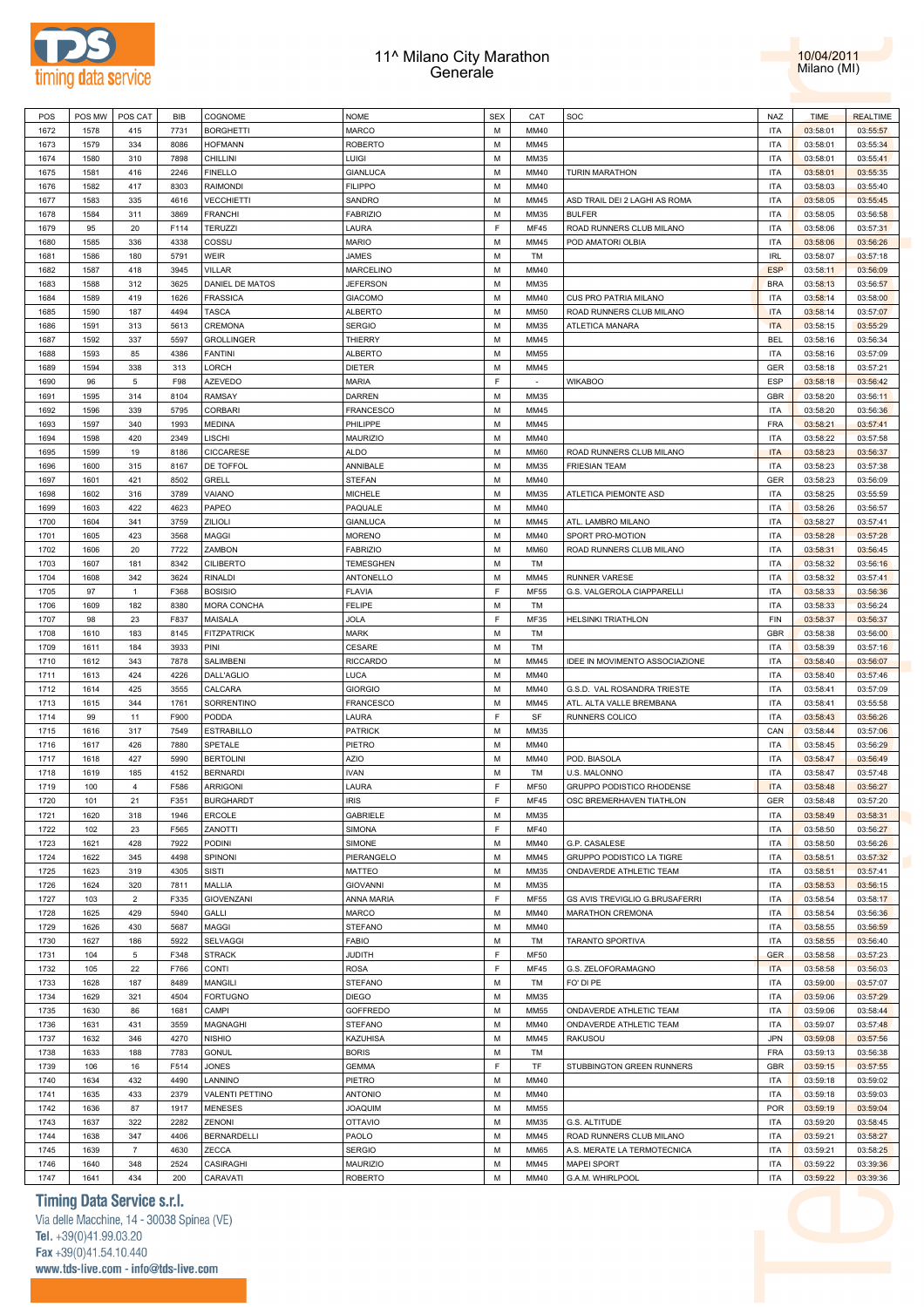



| POS  | POS MW | POS CAT                   | <b>BIB</b> | COGNOME                | <b>NOME</b>      | <b>SEX</b> | CAT         | SOC                            | NAZ        | <b>TIME</b> | <b>REALTIME</b> |
|------|--------|---------------------------|------------|------------------------|------------------|------------|-------------|--------------------------------|------------|-------------|-----------------|
| 1672 | 1578   | 415                       | 7731       | <b>BORGHETTI</b>       | <b>MARCO</b>     | M          | MM40        |                                | <b>ITA</b> | 03:58:01    | 03:55:57        |
| 1673 | 1579   | 334                       | 8086       | <b>HOFMANN</b>         | <b>ROBERTO</b>   | М          | MM45        |                                | <b>ITA</b> | 03:58:01    | 03:55:34        |
| 1674 | 1580   | 310                       | 7898       | CHILLINI               | <b>LUIGI</b>     | M          | MM35        |                                | <b>ITA</b> | 03:58:01    | 03:55:41        |
| 1675 | 1581   | 416                       | 2246       | <b>FINELLO</b>         | <b>GIANLUCA</b>  | M          | MM40        | <b>TURIN MARATHON</b>          | <b>ITA</b> | 03:58:01    | 03:55:35        |
|      |        |                           |            |                        |                  |            |             |                                |            |             |                 |
| 1676 | 1582   | 417                       | 8303       | <b>RAIMONDI</b>        | <b>FILIPPO</b>   | M          | MM40        |                                | <b>ITA</b> | 03:58:03    | 03:55:40        |
| 1677 | 1583   | 335                       | 4616       | VECCHIETTI             | SANDRO           | M          | MM45        | ASD TRAIL DEI 2 LAGHI AS ROMA  | <b>ITA</b> | 03:58:05    | 03:55:45        |
| 1678 | 1584   | 311                       | 3869       | <b>FRANCHI</b>         | <b>FABRIZIO</b>  | M          | MM35        | <b>BULFER</b>                  | <b>ITA</b> | 03:58:05    | 03:56:58        |
| 1679 | 95     | 20                        | F114       | <b>TERUZZI</b>         | LAURA            | F          | <b>MF45</b> | ROAD RUNNERS CLUB MILANO       | <b>ITA</b> | 03:58:06    | 03:57:31        |
| 1680 | 1585   | 336                       | 4338       | COSSU                  | <b>MARIO</b>     | M          | MM45        | POD AMATORI OLBIA              | <b>ITA</b> | 03:58:06    | 03:56:26        |
| 1681 | 1586   | 180                       | 5791       | <b>WEIR</b>            | JAMES            | M          | TM          |                                | <b>IRL</b> | 03:58:07    | 03:57:18        |
| 1682 | 1587   | 418                       | 3945       | <b>VILLAR</b>          | <b>MARCELINO</b> | M          | MM40        |                                | <b>ESP</b> | 03:58:11    | 03:56:09        |
| 1683 | 1588   | 312                       | 3625       | DANIEL DE MATOS        | <b>JEFERSON</b>  | M          | MM35        |                                | <b>BRA</b> | 03:58:13    | 03:56:57        |
| 1684 | 1589   | 419                       | 1626       | <b>FRASSICA</b>        | <b>GIACOMO</b>   | M          | MM40        | CUS PRO PATRIA MILANO          | <b>ITA</b> | 03:58:14    | 03:58:00        |
|      |        |                           |            |                        |                  |            |             |                                |            |             |                 |
| 1685 | 1590   | 187                       | 4494       | <b>TASCA</b>           | <b>ALBERTO</b>   | M          | MM50        | ROAD RUNNERS CLUB MILANO       | <b>ITA</b> | 03:58:14    | 03:57:07        |
| 1686 | 1591   | 313                       | 5613       | CREMONA                | SERGIO           | M          | MM35        | ATLETICA MANARA                | <b>ITA</b> | 03:58:15    | 03:55:29        |
| 1687 | 1592   | 337                       | 5597       | <b>GROLLINGER</b>      | THIERRY          | M          | MM45        |                                | <b>BEL</b> | 03:58:16    | 03:56:34        |
| 1688 | 1593   | 85                        | 4386       | <b>FANTINI</b>         | <b>ALBERTO</b>   | M          | MM55        |                                | <b>ITA</b> | 03:58:16    | 03:57:09        |
| 1689 | 1594   | 338                       | 313        | LORCH                  | <b>DIETER</b>    | M          | MM45        |                                | <b>GER</b> | 03:58:18    | 03:57:21        |
| 1690 | 96     | 5                         | F98        | <b>AZEVEDO</b>         | <b>MARIA</b>     | F          |             | <b>WIKABOO</b>                 | ESP        | 03:58:18    | 03:56:42        |
| 1691 | 1595   | 314                       | 8104       | RAMSAY                 | DARREN           | M          | MM35        |                                | <b>GBR</b> | 03:58:20    | 03:56:11        |
| 1692 | 1596   | 339                       | 5795       | CORBARI                | <b>FRANCESCO</b> | M          | MM45        |                                | <b>ITA</b> | 03:58:20    | 03:56:36        |
| 1693 | 1597   | 340                       | 1993       | <b>MEDINA</b>          | PHILIPPE         | M          | MM45        |                                | <b>FRA</b> | 03:58:21    | 03:57:41        |
|      |        |                           | 2349       | LISCHI                 |                  | M          | MM40        |                                |            |             |                 |
| 1694 | 1598   | 420                       |            |                        | MAURIZIO         |            |             |                                | <b>ITA</b> | 03:58:22    | 03:57:58        |
| 1695 | 1599   | 19                        | 8186       | CICCARESE              | <b>ALDO</b>      | M          | <b>MM60</b> | ROAD RUNNERS CLUB MILANO       | <b>ITA</b> | 03:58:23    | 03:56:37        |
| 1696 | 1600   | 315                       | 8167       | DE TOFFOL              | ANNIBALE         | M          | MM35        | <b>FRIESIAN TEAM</b>           | <b>ITA</b> | 03:58:23    | 03:57:38        |
| 1697 | 1601   | 421                       | 8502       | GRELL                  | <b>STEFAN</b>    | M          | MM40        |                                | <b>GER</b> | 03:58:23    | 03:56:09        |
| 1698 | 1602   | 316                       | 3789       | VAIANO                 | <b>MICHELE</b>   | M          | MM35        | ATLETICA PIEMONTE ASD          | <b>ITA</b> | 03:58:25    | 03:55:59        |
| 1699 | 1603   | 422                       | 4623       | PAPEO                  | PAQUALE          | M          | MM40        |                                | <b>ITA</b> | 03:58:26    | 03:56:57        |
| 1700 | 1604   | 341                       | 3759       | ZILIOLI                | <b>GIANLUCA</b>  | M          | MM45        | ATL. LAMBRO MILANO             | <b>ITA</b> | 03:58:27    | 03:57:41        |
| 1701 | 1605   | 423                       | 3568       | <b>MAGGI</b>           | <b>MORENO</b>    | M          | MM40        | SPORT PRO-MOTION               | <b>ITA</b> | 03:58:28    | 03:57:28        |
| 1702 | 1606   | 20                        | 7722       | ZAMBON                 | <b>FABRIZIO</b>  | M          | <b>MM60</b> | ROAD RUNNERS CLUB MILANO       | <b>ITA</b> | 03:58:31    | 03:56:45        |
| 1703 | 1607   | 181                       | 8342       | <b>CILIBERTO</b>       | <b>TEMESGHEN</b> | M          | TM          |                                | <b>ITA</b> | 03:58:32    | 03:56:16        |
|      |        |                           |            |                        |                  |            |             |                                |            |             |                 |
| 1704 | 1608   | 342                       | 3624       | <b>RINALDI</b>         | ANTONELLO        | M          | MM45        | <b>RUNNER VARESE</b>           | <b>ITA</b> | 03:58:32    | 03:57:41        |
| 1705 | 97     | $\mathbf{1}$              | F368       | <b>BOSISIO</b>         | <b>FLAVIA</b>    | F          | <b>MF55</b> | G.S. VALGEROLA CIAPPARELLI     | <b>ITA</b> | 03:58:33    | 03:56:36        |
| 1706 | 1609   | 182                       | 8380       | MORA CONCHA            | <b>FELIPE</b>    | M          | TM          |                                | <b>ITA</b> | 03:58:33    | 03:56:24        |
| 1707 | 98     | 23                        | F837       | MAISALA                | <b>JOLA</b>      | F          | MF35        | <b>HELSINKI TRIATHLON</b>      | FIN        | 03:58:37    | 03:56:37        |
| 1708 | 1610   | 183                       | 8145       | <b>FITZPATRICK</b>     | <b>MARK</b>      | M          | TM          |                                | GBR        | 03:58:38    | 03:56:00        |
| 1709 | 1611   | 184                       | 3933       | PINI                   | CESARE           | M          | <b>TM</b>   |                                | <b>ITA</b> | 03:58:39    | 03:57:16        |
| 1710 | 1612   | 343                       | 7878       | SALIMBENI              | <b>RICCARDO</b>  | M          | MM45        | IDEE IN MOVIMENTO ASSOCIAZIONE | <b>ITA</b> | 03:58:40    | 03:56:07        |
| 1711 | 1613   | 424                       | 4226       | DALL'AGLIO             | LUCA             | M          | MM40        |                                | <b>ITA</b> | 03:58:40    | 03:57:46        |
| 1712 | 1614   | 425                       | 3555       | CALCARA                | <b>GIORGIO</b>   | M          | MM40        | G.S.D. VAL ROSANDRA TRIESTE    | <b>ITA</b> | 03:58:41    | 03:57:09        |
| 1713 | 1615   | 344                       | 1761       | SORRENTINO             | FRANCESCO        | M          | MM45        | ATL. ALTA VALLE BREMBANA       | <b>ITA</b> | 03:58:41    | 03:55:58        |
|      |        |                           | F900       |                        |                  | F          |             |                                | <b>ITA</b> |             |                 |
| 1714 | 99     | 11                        |            | PODDA                  | LAURA            |            | SF          | RUNNERS COLICO                 |            | 03:58:43    | 03:56:26        |
| 1715 | 1616   | 317                       | 7549       | <b>ESTRABILLO</b>      | <b>PATRICK</b>   | M          | MM35        |                                | CAN        | 03:58:44    | 03:57:06        |
| 1716 | 1617   | 426                       | 7880       | SPETALE                | PIETRO           | M          | MM40        |                                | <b>ITA</b> | 03:58:45    | 03:56:29        |
| 1717 | 1618   | 427                       | 5990       | <b>BERTOLINI</b>       | AZIO             | M          | MM40        | POD. BIASOLA                   | <b>ITA</b> | 03:58:47    | 03:56:49        |
| 1718 | 1619   | 185                       | 4152       | <b>BERNARDI</b>        | <b>IVAN</b>      | M          | TM          | U.S. MALONNO                   | <b>ITA</b> | 03:58:47    | 03:57:48        |
| 1719 | 100    | $\overline{4}$            | F586       | <b>ARRIGONI</b>        | LAURA            | F          | <b>MF50</b> | GRUPPO PODISTICO RHODENSE      | <b>ITA</b> | 03:58:48    | 03:56:27        |
| 1720 | 101    | 21                        | F351       | <b>BURGHARDT</b>       | <b>IRIS</b>      | F          | <b>MF45</b> | OSC BREMERHAVEN TIATHLON       | <b>GER</b> | 03:58:48    | 03:57:20        |
| 1721 | 1620   | 318                       | 1946       | ERCOLE                 | <b>GABRIELE</b>  | M          | MM35        |                                | <b>ITA</b> | 03:58:49    | 03:58:31        |
| 1722 | 102    | 23                        | F565       | ZANOTTI                | <b>SIMONA</b>    | F          | <b>MF40</b> |                                | <b>ITA</b> | 03:58:50    | 03:56:27        |
|      | 1621   | 428                       | 7922       | PODINI                 | SIMONE           | M          | MM40        | G.P. CASALESE                  | <b>ITA</b> | 03:58:50    | 03:56:26        |
| 1723 |        |                           |            |                        |                  |            |             |                                |            |             |                 |
| 1724 | 1622   | 345                       | 4498       | SPINONI                | PIERANGELO       | M          | MM45        | GRUPPO PODISTICO LA TIGRE      | <b>ITA</b> | 03:58:51    | 03:57:32        |
| 1725 | 1623   | 319                       | 4305       | <b>SISTI</b>           | <b>MATTEO</b>    | M          | MM35        | ONDAVERDE ATHLETIC TEAM        | <b>ITA</b> | 03:58:51    | 03:57:41        |
| 1726 | 1624   | 320                       | 7811       | MALLIA                 | <b>GIOVANNI</b>  | M          | MM35        |                                | <b>ITA</b> | 03:58:53    | 03:56:15        |
| 1727 | 103    | $\overline{2}$            | F335       | <b>GIOVENZANI</b>      | ANNA MARIA       | F          | <b>MF55</b> | GS AVIS TREVIGLIO G.BRUSAFERRI | <b>ITA</b> | 03:58:54    | 03:58:17        |
| 1728 | 1625   | 429                       | 5940       | GALLI                  | <b>MARCO</b>     | M          | MM40        | MARATHON CREMONA               | <b>ITA</b> | 03:58:54    | 03:56:36        |
| 1729 | 1626   | 430                       | 5687       | MAGGI                  | <b>STEFANO</b>   | M          | MM40        |                                | <b>ITA</b> | 03:58:55    | 03:56:59        |
| 1730 | 1627   | 186                       | 5922       | SELVAGGI               | <b>FABIO</b>     | M          | TM          | <b>TARANTO SPORTIVA</b>        | <b>ITA</b> | 03:58:55    | 03:56:40        |
| 1731 | 104    | 5                         | F348       | <b>STRACK</b>          | <b>JUDITH</b>    | F          | <b>MF50</b> |                                | <b>GER</b> | 03:58:58    | 03:57:23        |
| 1732 | 105    | 22                        | F766       | CONTI                  | <b>ROSA</b>      | F          | <b>MF45</b> | G.S. ZELOFORAMAGNO             | <b>ITA</b> | 03:58:58    | 03:56:03        |
| 1733 | 1628   | 187                       | 8489       | MANGILI                | <b>STEFANO</b>   | M          | TM          | FO' DI PE                      | <b>ITA</b> |             | 03:57:07        |
|      |        |                           |            |                        |                  |            |             |                                |            | 03:59:00    |                 |
| 1734 | 1629   | 321                       | 4504       | <b>FORTUGNO</b>        | <b>DIEGO</b>     | M          | MM35        |                                | <b>ITA</b> | 03:59:06    | 03:57:29        |
| 1735 | 1630   | 86                        | 1681       | CAMPI                  | GOFFREDO         | M          | MM55        | ONDAVERDE ATHLETIC TEAM        | <b>ITA</b> | 03:59:06    | 03:58:44        |
| 1736 | 1631   | 431                       | 3559       | MAGNAGHI               | <b>STEFANO</b>   | M          | MM40        | ONDAVERDE ATHLETIC TEAM        | <b>ITA</b> | 03:59:07    | 03:57:48        |
| 1737 | 1632   | 346                       | 4270       | <b>NISHIO</b>          | KAZUHISA         | M          | MM45        | RAKUSOU                        | <b>JPN</b> | 03:59:08    | 03:57:56        |
| 1738 | 1633   | 188                       | 7783       | <b>GONUL</b>           | <b>BORIS</b>     | M          | TM          |                                | <b>FRA</b> | 03:59:13    | 03:56:38        |
| 1739 | 106    | 16                        | F514       | <b>JONES</b>           | <b>GEMMA</b>     | F          | TF          | STUBBINGTON GREEN RUNNERS      | <b>GBR</b> | 03:59:15    | 03:57:55        |
| 1740 | 1634   | 432                       | 4490       | LANNINO                | PIETRO           | M          | MM40        |                                | <b>ITA</b> | 03:59:18    | 03:59:02        |
|      | 1635   | 433                       | 2379       |                        | <b>ANTONIO</b>   | M          | MM40        |                                | <b>ITA</b> |             | 03:59:03        |
| 1741 |        |                           |            | <b>VALENTI PETTINO</b> |                  |            |             |                                |            | 03:59:18    |                 |
| 1742 | 1636   | 87                        | 1917       | <b>MENESES</b>         | <b>JOAQUIM</b>   | M          | MM55        |                                | POR        | 03:59:19    | 03:59:04        |
| 1743 | 1637   | 322                       | 2282       | ZENONI                 | <b>OTTAVIO</b>   | M          | MM35        | G.S. ALTITUDE                  | <b>ITA</b> | 03:59:20    | 03:58:45        |
| 1744 | 1638   | 347                       | 4406       | <b>BERNARDELLI</b>     | PAOLO            | M          | MM45        | ROAD RUNNERS CLUB MILANO       | <b>ITA</b> | 03:59:21    | 03:58:27        |
| 1745 | 1639   | $\overline{\mathfrak{c}}$ | 4630       | ZECCA                  | <b>SERGIO</b>    | M          | MM65        | A.S. MERATE LA TERMOTECNICA    | <b>ITA</b> | 03:59:21    | 03:58:25        |
| 1746 | 1640   | 348                       | 2524       | CASIRAGHI              | MAURIZIO         | M          | MM45        | <b>MAPEI SPORT</b>             | <b>ITA</b> | 03:59:22    | 03:39:36        |
| 1747 | 1641   | 434                       | 200        | CARAVATI               | <b>ROBERTO</b>   | M          | MM40        | G.A.M. WHIRLPOOL               | <b>ITA</b> | 03:59:22    | 03:39:36        |
|      |        |                           |            |                        |                  |            |             |                                |            |             |                 |

### **Timing Data Service s.r.l.**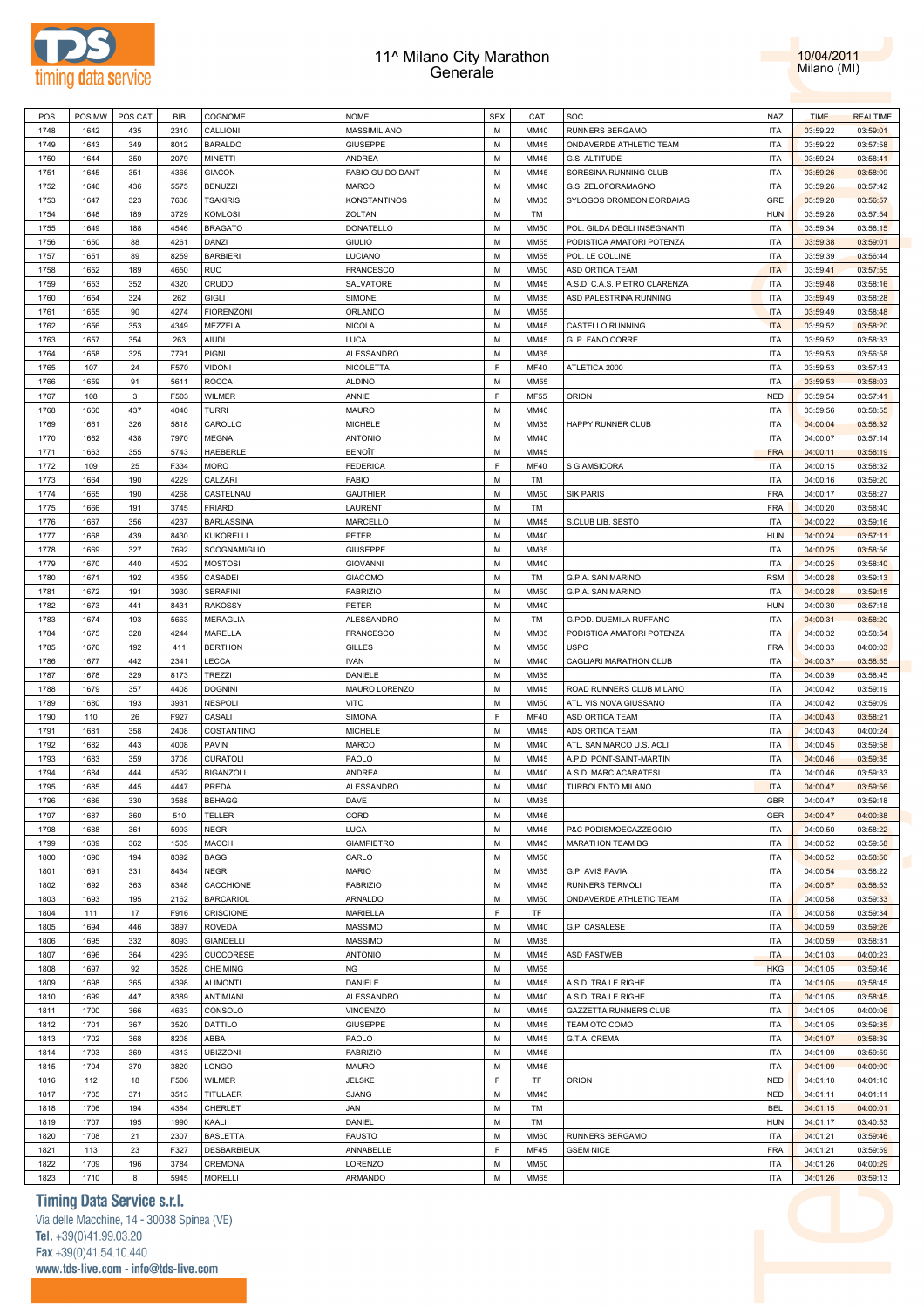



| POS  | POS MW | POS CAT | <b>BIB</b> | COGNOME             | <b>NOME</b>       | <b>SEX</b> | CAT         | SOC                           | NAZ        | <b>TIME</b> | <b>REALTIME</b> |
|------|--------|---------|------------|---------------------|-------------------|------------|-------------|-------------------------------|------------|-------------|-----------------|
| 1748 | 1642   | 435     | 2310       | CALLIONI            | MASSIMILIANO      | M          | MM40        | RUNNERS BERGAMO               | <b>ITA</b> | 03:59:22    | 03:59:01        |
| 1749 | 1643   | 349     | 8012       | <b>BARALDO</b>      | <b>GIUSEPPE</b>   | M          | MM45        | ONDAVERDE ATHLETIC TEAM       | <b>ITA</b> | 03:59:22    | 03:57:58        |
| 1750 | 1644   | 350     | 2079       | MINETTI             | ANDREA            | M          | MM45        | G.S. ALTITUDE                 | <b>ITA</b> | 03:59:24    | 03:58:41        |
|      |        |         | 4366       |                     |                   | M          | MM45        |                               | <b>ITA</b> |             |                 |
| 1751 | 1645   | 351     |            | <b>GIACON</b>       | FABIO GUIDO DANT  |            |             | SORESINA RUNNING CLUB         |            | 03:59:26    | 03:58:09        |
| 1752 | 1646   | 436     | 5575       | <b>BENUZZI</b>      | <b>MARCO</b>      | M          | MM40        | G.S. ZELOFORAMAGNO            | <b>ITA</b> | 03:59:26    | 03:57:42        |
| 1753 | 1647   | 323     | 7638       | <b>TSAKIRIS</b>     | KONSTANTINOS      | M          | MM35        | SYLOGOS DROMEON EORDAIAS      | GRE        | 03:59:28    | 03:56:57        |
| 1754 | 1648   | 189     | 3729       | KOMLOSI             | ZOLTAN            | M          | TM          |                               | <b>HUN</b> | 03:59:28    | 03:57:54        |
| 1755 | 1649   | 188     | 4546       | <b>BRAGATO</b>      | DONATELLO         | M          | <b>MM50</b> | POL. GILDA DEGLI INSEGNANTI   | <b>ITA</b> | 03:59:34    | 03:58:15        |
| 1756 | 1650   | 88      | 4261       | DANZI               | <b>GIULIO</b>     | M          | <b>MM55</b> | PODISTICA AMATORI POTENZA     | <b>ITA</b> | 03:59:38    | 03:59:01        |
| 1757 | 1651   | 89      | 8259       | <b>BARBIERI</b>     | LUCIANO           | M          | MM55        | POL. LE COLLINE               | <b>ITA</b> | 03:59:39    | 03:56:44        |
| 1758 | 1652   | 189     | 4650       | RUO                 | <b>FRANCESCO</b>  | M          | <b>MM50</b> | ASD ORTICA TEAM               | <b>ITA</b> | 03:59:41    | 03:57:55        |
| 1759 | 1653   | 352     | 4320       | CRUDO               | SALVATORE         | M          | MM45        | A.S.D. C.A.S. PIETRO CLARENZA | <b>ITA</b> | 03:59:48    | 03:58:16        |
| 1760 | 1654   | 324     | 262        | <b>GIGLI</b>        | SIMONE            | M          | MM35        | ASD PALESTRINA RUNNING        | <b>ITA</b> |             | 03:58:28        |
|      |        |         |            |                     |                   |            |             |                               |            | 03:59:49    |                 |
| 1761 | 1655   | 90      | 4274       | <b>FIORENZONI</b>   | ORLANDO           | M          | MM55        |                               | <b>ITA</b> | 03:59:49    | 03:58:48        |
| 1762 | 1656   | 353     | 4349       | MEZZELA             | <b>NICOLA</b>     | M          | MM45        | CASTELLO RUNNING              | <b>ITA</b> | 03:59:52    | 03:58:20        |
| 1763 | 1657   | 354     | 263        | <b>AIUDI</b>        | LUCA              | M          | MM45        | G. P. FANO CORRE              | <b>ITA</b> | 03:59:52    | 03:58:33        |
| 1764 | 1658   | 325     | 7791       | PIGNI               | ALESSANDRO        | M          | MM35        |                               | <b>ITA</b> | 03:59:53    | 03:56:58        |
| 1765 | 107    | 24      | F570       | VIDONI              | NICOLETTA         | F          | MF40        | ATLETICA 2000                 | <b>ITA</b> | 03:59:53    | 03:57:43        |
| 1766 | 1659   | 91      | 5611       | <b>ROCCA</b>        | <b>ALDINO</b>     | M          | MM55        |                               | <b>ITA</b> | 03:59:53    | 03:58:03        |
| 1767 | 108    | 3       | F503       | <b>WILMER</b>       | ANNIE             | F          | MF55        | ORION                         | <b>NED</b> | 03:59:54    | 03:57:41        |
| 1768 | 1660   | 437     | 4040       | TURRI               | <b>MAURO</b>      | M          | MM40        |                               | <b>ITA</b> | 03:59:56    | 03:58:55        |
|      |        |         |            | CAROLLO             |                   | M          |             |                               |            |             |                 |
| 1769 | 1661   | 326     | 5818       |                     | MICHELE           |            | MM35        | HAPPY RUNNER CLUB             | <b>ITA</b> | 04:00:04    | 03:58:32        |
| 1770 | 1662   | 438     | 7970       | <b>MEGNA</b>        | <b>ANTONIO</b>    | M          | MM40        |                               | <b>ITA</b> | 04:00:07    | 03:57:14        |
| 1771 | 1663   | 355     | 5743       | HAEBERLE            | BENOÎT            | M          | MM45        |                               | <b>FRA</b> | 04:00:11    | 03:58:19        |
| 1772 | 109    | 25      | F334       | MORO                | <b>FEDERICA</b>   | F          | <b>MF40</b> | S G AMSICORA                  | <b>ITA</b> | 04:00:15    | 03:58:32        |
| 1773 | 1664   | 190     | 4229       | CALZARI             | FABIO             | M          | TM          |                               | <b>ITA</b> | 04:00:16    | 03:59:20        |
| 1774 | 1665   | 190     | 4268       | CASTELNAU           | <b>GAUTHIER</b>   | M          | <b>MM50</b> | <b>SIK PARIS</b>              | <b>FRA</b> | 04:00:17    | 03:58:27        |
| 1775 | 1666   | 191     | 3745       | <b>FRIARD</b>       | LAURENT           | M          | TM          |                               | <b>FRA</b> | 04:00:20    | 03:58:40        |
| 1776 | 1667   | 356     | 4237       | <b>BARLASSINA</b>   | MARCELLO          | M          | MM45        | S.CLUB LIB. SESTO             | <b>ITA</b> | 04:00:22    | 03:59:16        |
| 1777 | 1668   | 439     | 8430       | <b>KUKORELLI</b>    | PETER             | M          | MM40        |                               | <b>HUN</b> | 04:00:24    | 03:57:11        |
| 1778 | 1669   | 327     | 7692       | <b>SCOGNAMIGLIO</b> | GIUSEPPE          | M          | MM35        |                               | <b>ITA</b> | 04:00:25    | 03:58:56        |
|      |        |         |            |                     |                   |            |             |                               |            |             |                 |
| 1779 | 1670   | 440     | 4502       | <b>MOSTOSI</b>      | <b>GIOVANNI</b>   | M          | MM40        |                               | <b>ITA</b> | 04:00:25    | 03:58:40        |
| 1780 | 1671   | 192     | 4359       | CASADEI             | <b>GIACOMO</b>    | M          | TM          | G.P.A. SAN MARINO             | <b>RSM</b> | 04:00:28    | 03:59:13        |
| 1781 | 1672   | 191     | 3930       | <b>SERAFINI</b>     | <b>FABRIZIO</b>   | M          | <b>MM50</b> | G.P.A. SAN MARINO             | <b>ITA</b> | 04:00:28    | 03:59:15        |
| 1782 | 1673   | 441     | 8431       | <b>RAKOSSY</b>      | PETER             | M          | MM40        |                               | <b>HUN</b> | 04:00:30    | 03:57:18        |
| 1783 | 1674   | 193     | 5663       | <b>MERAGLIA</b>     | ALESSANDRO        | M          | TM          | G.POD. DUEMILA RUFFANO        | <b>ITA</b> | 04:00:31    | 03:58:20        |
| 1784 | 1675   | 328     | 4244       | MARELLA             | <b>FRANCESCO</b>  | M          | MM35        | PODISTICA AMATORI POTENZA     | <b>ITA</b> | 04:00:32    | 03:58:54        |
|      |        |         |            |                     |                   |            |             |                               |            |             |                 |
| 1785 | 1676   | 192     | 411        | <b>BERTHON</b>      |                   | M          | <b>MM50</b> | <b>USPC</b>                   | <b>FRA</b> | 04:00:33    |                 |
|      |        |         |            |                     | GILLES            |            |             |                               |            |             | 04:00:03        |
| 1786 | 1677   | 442     | 2341       | LECCA               | <b>IVAN</b>       | M          | MM40        | CAGLIARI MARATHON CLUB        | <b>ITA</b> | 04:00:37    | 03:58:55        |
| 1787 | 1678   | 329     | 8173       | <b>TREZZI</b>       | DANIELE           | M          | MM35        |                               | <b>ITA</b> | 04:00:39    | 03:58:45        |
| 1788 | 1679   | 357     | 4408       | <b>DOGNINI</b>      | MAURO LORENZO     | M          | MM45        | ROAD RUNNERS CLUB MILANO      | <b>ITA</b> | 04:00:42    | 03:59:19        |
| 1789 | 1680   | 193     | 3931       | NESPOLI             | VITO              | M          | <b>MM50</b> | ATL. VIS NOVA GIUSSANO        | <b>ITA</b> | 04:00:42    | 03:59:09        |
| 1790 | 110    | 26      | F927       | CASALI              | SIMONA            | F          | MF40        | ASD ORTICA TEAM               | <b>ITA</b> | 04:00:43    | 03:58:21        |
| 1791 | 1681   | 358     | 2408       | COSTANTINO          | MICHELE           | M          | MM45        | ADS ORTICA TEAM               | <b>ITA</b> | 04:00:43    | 04:00:24        |
| 1792 | 1682   | 443     | 4008       | PAVIN               | <b>MARCO</b>      | M          | MM40        | ATL. SAN MARCO U.S. ACLI      | <b>ITA</b> | 04:00:45    | 03:59:58        |
| 1793 | 1683   | 359     | 3708       | CURATOLI            | PAOLO             | M          | MM45        | A.P.D. PONT-SAINT-MARTIN      | <b>ITA</b> | 04:00:46    | 03:59:35        |
| 1794 | 1684   | 444     | 4592       | <b>BIGANZOLI</b>    | ANDREA            | M          | MM40        | A.S.D. MARCIACARATESI         | <b>ITA</b> | 04:00:46    | 03:59:33        |
|      |        |         |            |                     |                   |            |             |                               |            |             |                 |
| 1795 | 1685   | 445     | 4447       | PREDA               | ALESSANDRO        | M          | MM40        | TURBOLENTO MILANO             | <b>ITA</b> | 04:00:47    | 03:59:56        |
| 1796 | 1686   | 330     | 3588       | <b>BEHAGG</b>       | <b>DAVE</b>       | M          | MM35        |                               | <b>GBR</b> | 04:00:47    | 03:59:18        |
| 1797 | 1687   | 360     | 510        | <b>TELLER</b>       | CORD              | М          | MM45        |                               | GER        | 04:00:47    | 04:00:38        |
| 1798 | 1688   | 361     | 5993       | NEGRI               | LUCA              | M          | MM45        | P&C PODISMOECAZZEGGIO         | <b>ITA</b> | 04:00:50    | 03:58:22        |
| 1799 | 1689   | 362     | 1505       | MACCHI              | <b>GIAMPIETRO</b> | M          | MM45        | MARATHON TEAM BG              | <b>ITA</b> | 04:00:52    | 03:59:58        |
| 1800 | 1690   | 194     | 8392       | <b>BAGGI</b>        | CARLO             | M          | <b>MM50</b> |                               | <b>ITA</b> | 04:00:52    | 03:58:50        |
| 1801 | 1691   | 331     | 8434       | <b>NEGRI</b>        | <b>MARIO</b>      | M          | MM35        | G.P. AVIS PAVIA               | <b>ITA</b> | 04:00:54    | 03:58:22        |
| 1802 | 1692   | 363     | 8348       | CACCHIONE           | <b>FABRIZIO</b>   | M          | MM45        | RUNNERS TERMOLI               | <b>ITA</b> | 04:00:57    | 03:58:53        |
| 1803 | 1693   | 195     | 2162       | <b>BARCARIOL</b>    | ARNALDO           | M          | <b>MM50</b> | ONDAVERDE ATHLETIC TEAM       | <b>ITA</b> | 04:00:58    | 03:59:33        |
| 1804 | 111    | 17      | F916       | CRISCIONE           | MARIELLA          | F          | TF          |                               | <b>ITA</b> | 04:00:58    | 03:59:34        |
| 1805 | 1694   | 446     | 3897       | <b>ROVEDA</b>       | MASSIMO           | M          | MM40        | G.P. CASALESE                 | <b>ITA</b> | 04:00:59    | 03:59:26        |
|      |        |         |            |                     |                   |            |             |                               |            |             |                 |
| 1806 | 1695   | 332     | 8093       | <b>GIANDELLI</b>    | <b>MASSIMO</b>    | M          | MM35        |                               | <b>ITA</b> | 04:00:59    | 03:58:31        |
| 1807 | 1696   | 364     | 4293       | <b>CUCCORESE</b>    | <b>ANTONIO</b>    | M          | MM45        | <b>ASD FASTWEB</b>            | <b>ITA</b> | 04:01:03    | 04:00:23        |
| 1808 | 1697   | 92      | 3528       | CHE MING            | <b>NG</b>         | M          | MM55        |                               | <b>HKG</b> | 04:01:05    | 03:59:46        |
| 1809 | 1698   | 365     | 4398       | <b>ALIMONTI</b>     | DANIELE           | M          | MM45        | A.S.D. TRA LE RIGHE           | <b>ITA</b> | 04:01:05    | 03:58:45        |
| 1810 | 1699   | 447     | 8389       | ANTIMIANI           | ALESSANDRO        | M          | MM40        | A.S.D. TRA LE RIGHE           | <b>ITA</b> | 04:01:05    | 03:58:45        |
| 1811 | 1700   | 366     | 4633       | CONSOLO             | <b>VINCENZO</b>   | M          | MM45        | GAZZETTA RUNNERS CLUB         | <b>ITA</b> | 04:01:05    | 04:00:06        |
| 1812 | 1701   | 367     | 3520       | DATTILO             | <b>GIUSEPPE</b>   | M          | MM45        | TEAM OTC COMO                 | <b>ITA</b> | 04:01:05    | 03:59:35        |
| 1813 | 1702   | 368     | 8208       | ABBA                | PAOLO             | M          | MM45        | G.T.A. CREMA                  | <b>ITA</b> | 04:01:07    | 03:58:39        |
| 1814 | 1703   | 369     | 4313       | <b>UBIZZONI</b>     | <b>FABRIZIO</b>   | M          | MM45        |                               | <b>ITA</b> | 04:01:09    | 03:59:59        |
|      |        |         |            |                     |                   |            |             |                               |            |             |                 |
| 1815 | 1704   | 370     | 3820       | LONGO               | <b>MAURO</b>      | M          | MM45        |                               | <b>ITA</b> | 04:01:09    | 04:00:00        |
| 1816 | 112    | 18      | F506       | <b>WILMER</b>       | JELSKE            | F          | TF          | <b>ORION</b>                  | <b>NED</b> | 04:01:10    | 04:01:10        |
| 1817 | 1705   | 371     | 3513       | TITULAER            | <b>SJANG</b>      | M          | MM45        |                               | <b>NED</b> | 04:01:11    | 04:01:11        |
| 1818 | 1706   | 194     | 4384       | CHERLET             | JAN               | M          | TM          |                               | <b>BEL</b> | 04:01:15    | 04:00:01        |
| 1819 | 1707   | 195     | 1990       | KAALI               | DANIEL            | M          | <b>TM</b>   |                               | <b>HUN</b> | 04:01:17    | 03:40:53        |
| 1820 | 1708   | 21      | 2307       | <b>BASLETTA</b>     | <b>FAUSTO</b>     | M          | <b>MM60</b> | RUNNERS BERGAMO               | <b>ITA</b> | 04:01:21    | 03:59:46        |
| 1821 | 113    | 23      | F327       | <b>DESBARBIEUX</b>  | ANNABELLE         | F          | <b>MF45</b> | <b>GSEM NICE</b>              | FRA        | 04:01:21    | 03:59:59        |
| 1822 | 1709   | 196     | 3784       | CREMONA             | LORENZO           | M          | <b>MM50</b> |                               | <b>ITA</b> | 04:01:26    | 04:00:29        |

### **Timing Data Service s.r.l.**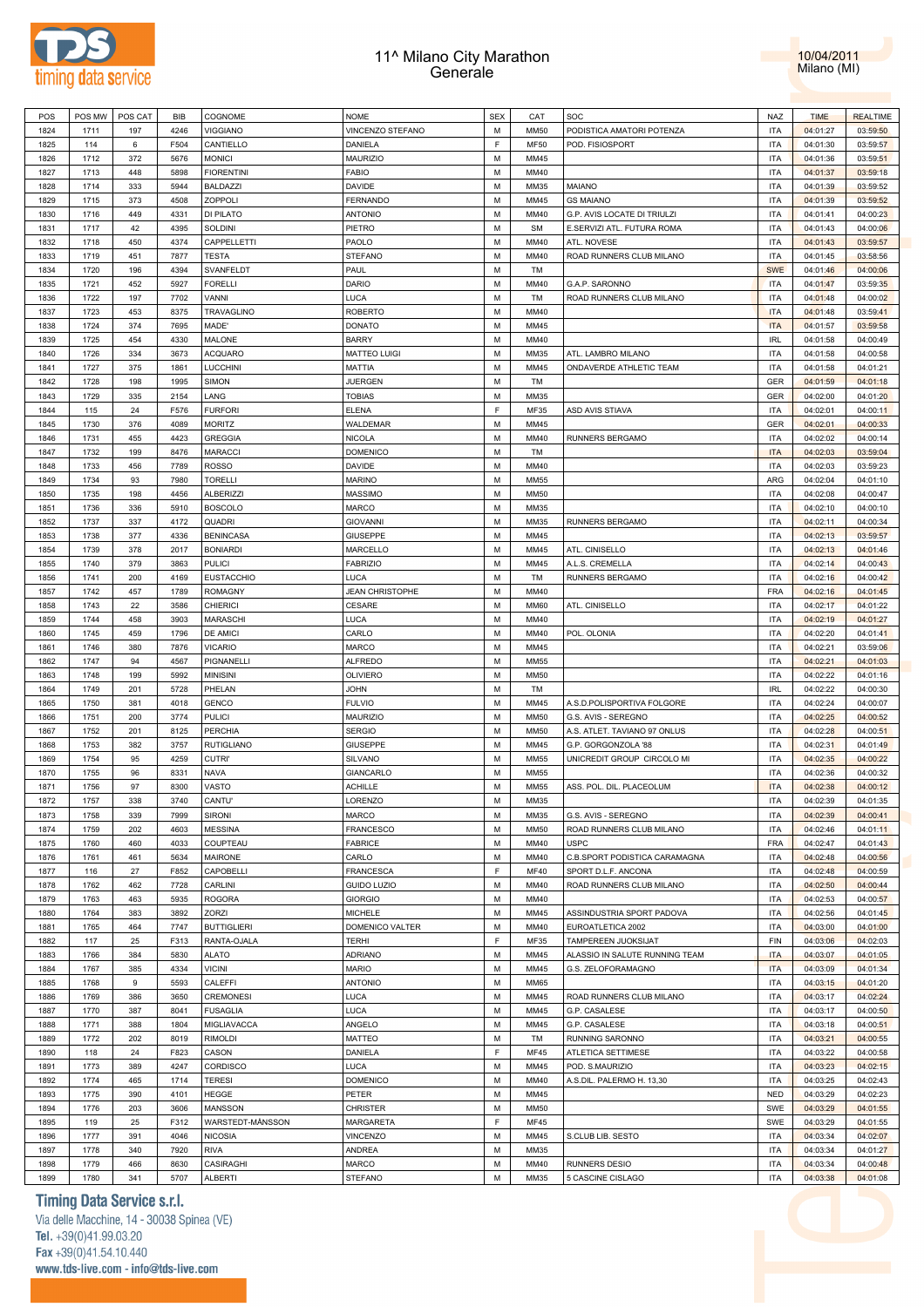



| POS  | POS MW | POS CAT | <b>BIB</b> | COGNOME                          | <b>NOME</b>            | <b>SEX</b> | CAT          | SOC                            | NAZ                      | <b>TIME</b> | <b>REALTIME</b> |
|------|--------|---------|------------|----------------------------------|------------------------|------------|--------------|--------------------------------|--------------------------|-------------|-----------------|
| 1824 | 1711   | 197     | 4246       | <b>VIGGIANO</b>                  | VINCENZO STEFANO       | M          | <b>MM50</b>  | PODISTICA AMATORI POTENZA      | <b>ITA</b>               | 04:01:27    | 03:59:50        |
| 1825 | 114    | 6       | F504       | CANTIELLO                        | DANIELA                | F.         | <b>MF50</b>  | POD. FISIOSPORT                | <b>ITA</b>               | 04:01:30    | 03:59:57        |
| 1826 | 1712   | 372     | 5676       | <b>MONICI</b>                    | <b>MAURIZIO</b>        | M          | MM45         |                                | <b>ITA</b>               | 04:01:36    | 03:59:51        |
| 1827 | 1713   | 448     | 5898       | <b>FIORENTINI</b>                | <b>FABIO</b>           | M          | MM40         |                                | <b>ITA</b>               | 04:01:37    | 03:59:18        |
| 1828 | 1714   | 333     | 5944       | <b>BALDAZZI</b>                  | <b>DAVIDE</b>          | M          | MM35         | <b>MAIANO</b>                  | <b>ITA</b>               | 04:01:39    | 03:59:52        |
| 1829 | 1715   | 373     | 4508       | ZOPPOLI                          | <b>FERNANDO</b>        | M          | MM45         | <b>GS MAIANO</b>               | <b>ITA</b>               | 04:01:39    | 03:59:52        |
| 1830 | 1716   | 449     | 4331       | DI PILATO                        | <b>ANTONIO</b>         | М          | MM40         | G.P. AVIS LOCATE DI TRIULZI    | <b>ITA</b>               | 04:01:41    | 04:00:23        |
| 1831 | 1717   | 42      | 4395       | SOLDINI                          | PIETRO                 | M          | <b>SM</b>    | E.SERVIZI ATL. FUTURA ROMA     | <b>ITA</b>               | 04:01:43    | 04:00:06        |
| 1832 | 1718   | 450     | 4374       | CAPPELLETTI                      | PAOLO                  | M          | MM40         | ATL. NOVESE                    | <b>ITA</b>               | 04:01:43    | 03:59:57        |
| 1833 | 1719   | 451     | 7877       | <b>TESTA</b>                     | <b>STEFANO</b>         | M          | MM40         | ROAD RUNNERS CLUB MILANO       | <b>ITA</b>               | 04:01:45    | 03:58:56        |
| 1834 | 1720   | 196     | 4394       | SVANFELDT                        | PAUL                   | M          | TM           |                                | <b>SWE</b>               | 04:01:46    | 04:00:06        |
| 1835 | 1721   | 452     | 5927       | <b>FORELLI</b>                   | <b>DARIO</b>           | M          | MM40         | G.A.P. SARONNO                 | <b>ITA</b>               | 04:01:47    | 03:59:35        |
| 1836 | 1722   | 197     | 7702       | VANNI                            | <b>LUCA</b>            | M          | TM           | ROAD RUNNERS CLUB MILANO       | <b>ITA</b>               | 04:01:48    | 04:00:02        |
| 1837 | 1723   | 453     | 8375       | TRAVAGLINO                       | <b>ROBERTO</b>         | M          | MM40         |                                | <b>ITA</b>               | 04:01:48    | 03:59:41        |
| 1838 | 1724   | 374     | 7695       | MADE'                            | <b>DONATO</b>          | M          | MM45         |                                | <b>ITA</b>               | 04:01:57    | 03:59:58        |
| 1839 | 1725   | 454     | 4330       | MALONE                           | <b>BARRY</b>           | M          | MM40         |                                | <b>IRL</b>               | 04:01:58    | 04:00:49        |
| 1840 | 1726   | 334     | 3673       | <b>ACQUARO</b>                   | <b>MATTEO LUIGI</b>    | M          | MM35         | ATL. LAMBRO MILANO             | <b>ITA</b>               | 04:01:58    | 04:00:58        |
| 1841 | 1727   | 375     | 1861       | LUCCHINI                         | <b>MATTIA</b>          | M          | MM45         | ONDAVERDE ATHLETIC TEAM        | <b>ITA</b>               | 04:01:58    | 04:01:21        |
| 1842 | 1728   | 198     | 1995       | <b>SIMON</b>                     | <b>JUERGEN</b>         | M          | TM           |                                | GER                      | 04:01:59    | 04:01:18        |
| 1843 | 1729   | 335     | 2154       | LANG                             | <b>TOBIAS</b>          | M          | MM35         |                                | <b>GER</b>               | 04:02:00    | 04:01:20        |
| 1844 | 115    | 24      | F576       | <b>FURFORI</b>                   | <b>ELENA</b>           | F          | MF35         | ASD AVIS STIAVA                | <b>ITA</b>               | 04:02:01    | 04:00:11        |
| 1845 | 1730   | 376     | 4089       | <b>MORITZ</b>                    | WALDEMAR               | M          | MM45         |                                | <b>GER</b>               | 04:02:01    | 04:00:33        |
|      | 1731   |         | 4423       |                                  |                        | М          | MM40         |                                | <b>ITA</b>               |             |                 |
| 1846 |        | 455     | 8476       | <b>GREGGIA</b><br><b>MARACCI</b> | <b>NICOLA</b>          | M          | TM           | RUNNERS BERGAMO                |                          | 04:02:02    | 04:00:14        |
| 1847 | 1732   | 199     | 7789       |                                  | <b>DOMENICO</b>        | M          | MM40         |                                | <b>ITA</b><br><b>ITA</b> | 04:02:03    | 03:59:04        |
| 1848 | 1733   | 456     |            | <b>ROSSO</b><br><b>TORELLI</b>   | <b>DAVIDE</b>          | M          |              |                                |                          | 04:02:03    | 03:59:23        |
| 1849 | 1734   | 93      | 7980       |                                  | <b>MARINO</b>          |            | MM55         |                                | ARG                      | 04:02:04    | 04:01:10        |
| 1850 | 1735   | 198     | 4456       | <b>ALBERIZZI</b>                 | <b>MASSIMO</b>         | М          | <b>MM50</b>  |                                | <b>ITA</b>               | 04:02:08    | 04:00:47        |
| 1851 | 1736   | 336     | 5910       | <b>BOSCOLO</b>                   | MARCO                  | M          | MM35         |                                | <b>ITA</b>               | 04:02:10    | 04:00:10        |
| 1852 | 1737   | 337     | 4172       | QUADRI                           | <b>GIOVANNI</b>        | M          | MM35         | RUNNERS BERGAMO                | <b>ITA</b>               | 04:02:11    | 04:00:34        |
| 1853 | 1738   | 377     | 4336       | <b>BENINCASA</b>                 | <b>GIUSEPPE</b>        | M          | MM45         |                                | <b>ITA</b>               | 04:02:13    | 03:59:57        |
| 1854 | 1739   | 378     | 2017       | <b>BONIARDI</b>                  | MARCELLO               | M          | MM45         | ATL. CINISELLO                 | <b>ITA</b>               | 04:02:13    | 04:01:46        |
| 1855 | 1740   | 379     | 3863       | <b>PULICI</b>                    | <b>FABRIZIO</b>        | M          | MM45         | A.L.S. CREMELLA                | <b>ITA</b>               | 04:02:14    | 04:00:43        |
| 1856 | 1741   | 200     | 4169       | <b>EUSTACCHIO</b>                | LUCA                   | M          | TM           | RUNNERS BERGAMO                | <b>ITA</b>               | 04:02:16    | 04:00:42        |
| 1857 | 1742   | 457     | 1789       | <b>ROMAGNY</b>                   | <b>JEAN CHRISTOPHE</b> | M          | MM40         |                                | FRA                      | 04:02:16    | 04:01:45        |
| 1858 | 1743   | 22      | 3586       | <b>CHIERICI</b>                  | CESARE                 | M          | <b>MM60</b>  | ATL. CINISELLO                 | <b>ITA</b>               | 04:02:17    | 04:01:22        |
| 1859 | 1744   | 458     | 3903       | MARASCHI                         | LUCA                   | M          | MM40         |                                | <b>ITA</b>               | 04:02:19    | 04:01:27        |
| 1860 | 1745   | 459     | 1796       | <b>DE AMICI</b>                  | CARLO                  | M          | MM40         | POL. OLONIA                    | <b>ITA</b>               | 04:02:20    | 04:01:41        |
| 1861 | 1746   | 380     | 7876       | <b>VICARIO</b>                   | MARCO                  | M          | MM45         |                                | <b>ITA</b>               | 04:02:21    | 03:59:06        |
| 1862 | 1747   | 94      | 4567       | PIGNANELLI                       | <b>ALFREDO</b>         | М          | MM55         |                                | <b>ITA</b>               | 04:02:21    | 04:01:03        |
| 1863 | 1748   | 199     | 5992       | <b>MINISINI</b>                  | OLIVIERO               | M          | <b>MM50</b>  |                                | <b>ITA</b>               | 04:02:22    | 04:01:16        |
| 1864 | 1749   | 201     | 5728       | PHELAN                           | <b>JOHN</b>            | M          | TM           |                                | <b>IRL</b>               | 04:02:22    | 04:00:30        |
| 1865 | 1750   | 381     | 4018       | <b>GENCO</b>                     | <b>FULVIO</b>          | M          | MM45         | A.S.D.POLISPORTIVA FOLGORE     | <b>ITA</b>               | 04:02:24    | 04:00:07        |
| 1866 | 1751   | 200     | 3774       | <b>PULICI</b>                    | MAURIZIO               | М          | <b>MM50</b>  | G.S. AVIS - SEREGNO            | <b>ITA</b>               | 04:02:25    | 04:00:52        |
| 1867 | 1752   | 201     | 8125       | <b>PERCHIA</b>                   | <b>SERGIO</b>          | M          | <b>MM50</b>  | A.S. ATLET. TAVIANO 97 ONLUS   | <b>ITA</b>               | 04:02:28    | 04:00:51        |
| 1868 | 1753   | 382     | 3757       | <b>RUTIGLIANO</b>                | <b>GIUSEPPE</b>        | M          | MM45         | G.P. GORGONZOLA '88            | <b>ITA</b>               | 04:02:31    | 04:01:49        |
| 1869 | 1754   | 95      | 4259       | CUTRI'                           | SILVANO                | M          | MM55         | UNICREDIT GROUP CIRCOLO MI     | <b>ITA</b>               | 04:02:35    | 04:00:22        |
| 1870 | 1755   | 96      | 8331       | NAVA                             | <b>GIANCARLO</b>       | M          | MM55         |                                | <b>ITA</b>               | 04:02:36    | 04:00:32        |
| 1871 | 1756   | 97      | 8300       | VASTO                            | <b>ACHILLE</b>         | M          | MM55         | ASS. POL. DIL. PLACEOLUM       | <b>ITA</b>               | 04:02:38    | 04:00:12        |
| 1872 | 1757   | 338     | 3740       | CANTU'                           | LORENZO                | M          | MM35         |                                | <b>ITA</b>               | 04:02:39    | 04:01:35        |
| 1873 | 1758   | 339     | 7999       | SIRONI                           | MARCO                  | M          | MM35         | G.S. AVIS - SEREGNO            | <b>ITA</b>               | 04:02:39    | 04:00:41        |
| 1874 | 1759   | 202     | 4603       | <b>MESSINA</b>                   | FRANCESCO              | M          | MM50         | ROAD RUNNERS CLUB MILANO       | <b>ITA</b>               | 04:02:46    | 04:01:11        |
| 1875 | 1760   | 460     | 4033       | COUPTEAU                         | <b>FABRICE</b>         | M          | MM40         | <b>USPC</b>                    | FRA                      | 04:02:47    | 04:01:43        |
| 1876 | 1761   | 461     | 5634       | MAIRONE                          | CARLO                  | M          | MM40         | C.B.SPORT PODISTICA CARAMAGNA  | <b>ITA</b>               | 04:02:48    | 04:00:56        |
| 1877 | 116    | 27      | F852       | CAPOBELLI                        | <b>FRANCESCA</b>       | F.         | <b>MF40</b>  | SPORT D.L.F. ANCONA            | <b>ITA</b>               | 04:02:48    | 04:00:59        |
| 1878 | 1762   | 462     | 7728       | CARLINI                          | <b>GUIDO LUZIO</b>     | M          | MM40         | ROAD RUNNERS CLUB MILANO       | <b>ITA</b>               | 04:02:50    | 04:00:44        |
| 1879 | 1763   | 463     | 5935       | <b>ROGORA</b>                    | <b>GIORGIO</b>         | M          | MM40         |                                | <b>ITA</b>               | 04:02:53    | 04:00:57        |
| 1880 | 1764   | 383     | 3892       | ZORZI                            | <b>MICHELE</b>         | M          | MM45         | ASSINDUSTRIA SPORT PADOVA      | <b>ITA</b>               | 04:02:56    | 04:01:45        |
| 1881 | 1765   | 464     | 7747       | <b>BUTTIGLIERI</b>               | DOMENICO VALTER        | M          | MM40         | EUROATLETICA 2002              | <b>ITA</b>               | 04:03:00    | 04:01:00        |
| 1882 | 117    | 25      | F313       | RANTA-OJALA                      | <b>TERHI</b>           | F          | MF35         | TAMPEREEN JUOKSIJAT            | FIN                      | 04:03:06    | 04:02:03        |
| 1883 | 1766   | 384     | 5830       | <b>ALATO</b>                     | <b>ADRIANO</b>         | M          | MM45         | ALASSIO IN SALUTE RUNNING TEAM | <b>ITA</b>               | 04:03:07    | 04:01:05        |
| 1884 | 1767   | 385     | 4334       | <b>VICINI</b>                    | <b>MARIO</b>           | M          | MM45         | G.S. ZELOFORAMAGNO             | <b>ITA</b>               | 04:03:09    | 04:01:34        |
| 1885 | 1768   | 9       | 5593       | CALEFFI                          | <b>ANTONIO</b>         | M          | MM65         |                                | <b>ITA</b>               | 04:03:15    | 04:01:20        |
| 1886 | 1769   | 386     | 3650       | <b>CREMONESI</b>                 | <b>LUCA</b>            | M          | MM45         | ROAD RUNNERS CLUB MILANO       | <b>ITA</b>               | 04:03:17    | 04:02:24        |
| 1887 | 1770   | 387     | 8041       | <b>FUSAGLIA</b>                  | <b>LUCA</b>            | M          | MM45         | G.P. CASALESE                  | <b>ITA</b>               | 04:03:17    | 04:00:50        |
| 1888 | 1771   | 388     | 1804       | MIGLIAVACCA                      | ANGELO                 | M          | MM45         | G.P. CASALESE                  | <b>ITA</b>               | 04:03:18    | 04:00:51        |
| 1889 | 1772   | 202     | 8019       | <b>RIMOLDI</b>                   | MATTEO                 | M          | TM           | RUNNING SARONNO                | <b>ITA</b>               | 04:03:21    | 04:00:55        |
|      |        |         |            |                                  |                        | E          |              |                                |                          |             |                 |
| 1890 | 118    | 24      | F823       | CASON                            | DANIELA                | M          | MF45<br>MM45 | ATLETICA SETTIMESE             | <b>ITA</b><br><b>ITA</b> | 04:03:22    | 04:00:58        |
| 1891 | 1773   | 389     | 4247       | CORDISCO                         | <b>LUCA</b>            | M          |              | POD. S.MAURIZIO                |                          | 04:03:23    | 04:02:15        |
| 1892 | 1774   | 465     | 1714       | <b>TERESI</b>                    | <b>DOMENICO</b>        |            | MM40         | A.S.DIL. PALERMO H. 13,30      | <b>ITA</b>               | 04:03:25    | 04:02:43        |
| 1893 | 1775   | 390     | 4101       | <b>HEGGE</b>                     | PETER                  | M          | MM45         |                                | <b>NED</b>               | 04:03:29    | 04:02:23        |
| 1894 | 1776   | 203     | 3606       | MANSSON                          | <b>CHRISTER</b>        | M          | MM50         |                                | SWE                      | 04:03:29    | 04:01:55        |
| 1895 | 119    | 25      | F312       | WARSTEDT-MÅNSSON                 | MARGARETA              | F.         | MF45         |                                | SWE                      | 04:03:29    | 04:01:55        |
| 1896 | 1777   | 391     | 4046       | <b>NICOSIA</b>                   | VINCENZO               | M          | MM45         | S.CLUB LIB. SESTO              | <b>ITA</b>               | 04:03:34    | 04:02:07        |
| 1897 | 1778   | 340     | 7920       | <b>RIVA</b>                      | <b>ANDREA</b>          | M          | MM35         |                                | <b>ITA</b>               | 04:03:34    | 04:01:27        |
| 1898 | 1779   | 466     | 8630       | CASIRAGHI                        | MARCO                  | M          | MM40         | <b>RUNNERS DESIO</b>           | <b>ITA</b>               | 04:03:34    | 04:00:48        |
| 1899 | 1780   | 341     | 5707       | ALBERTI                          | <b>STEFANO</b>         | М          | MM35         | 5 CASCINE CISLAGO              | <b>ITA</b>               | 04:03:38    | 04:01:08        |

# **Timing Data Service s.r.l.**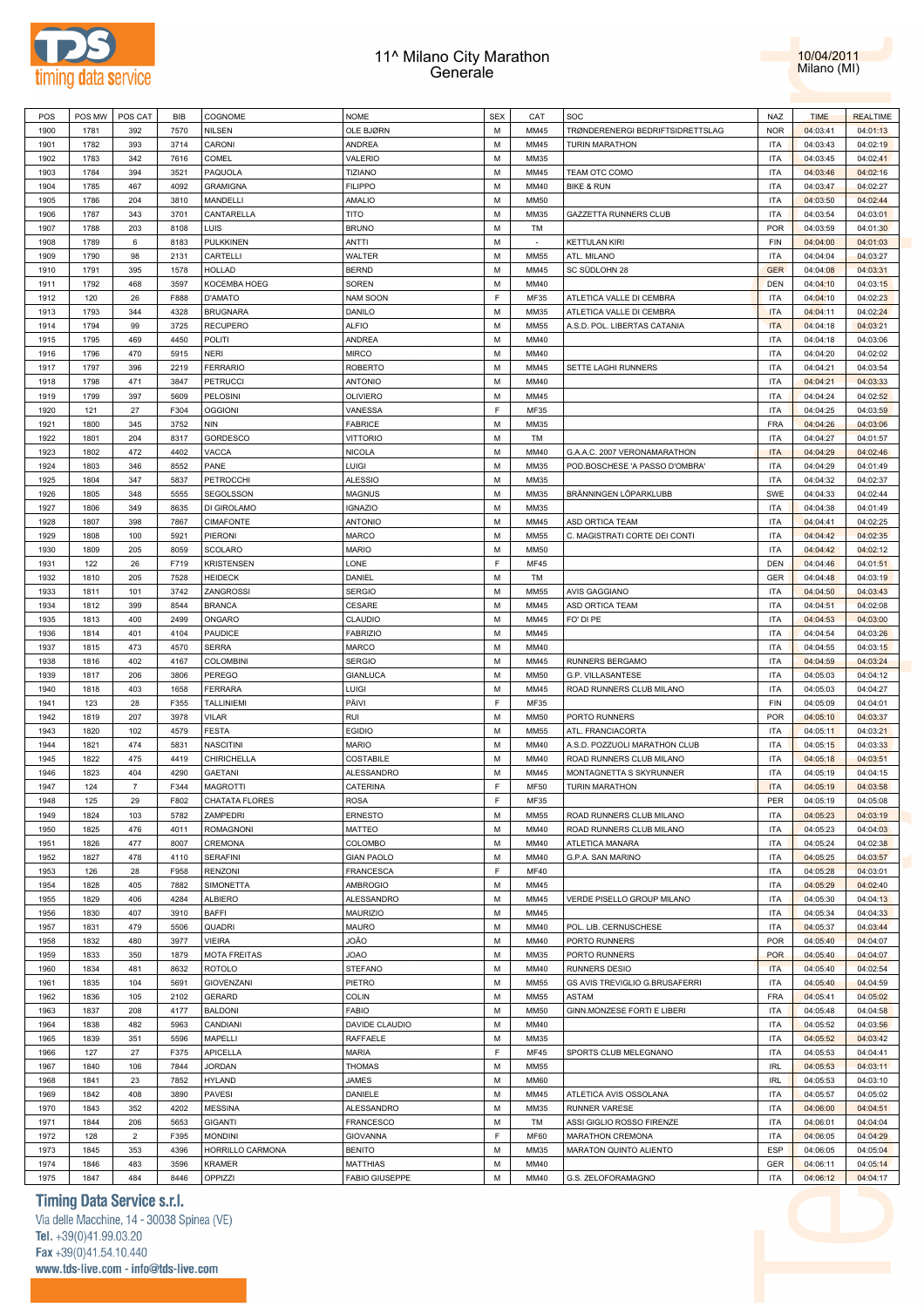



| POS  | POS MW | POS CAT        | BIB  | COGNOME             | <b>NOME</b>           | <b>SEX</b> | CAT         | SOC                              | <b>NAZ</b> | <b>TIME</b> | <b>REALTIME</b> |
|------|--------|----------------|------|---------------------|-----------------------|------------|-------------|----------------------------------|------------|-------------|-----------------|
| 1900 | 1781   | 392            | 7570 | <b>NILSEN</b>       | OLE BJØRN             | М          | MM45        | TRØNDERENERGI BEDRIFTSIDRETTSLAG | <b>NOR</b> | 04:03:41    | 04:01:13        |
| 1901 | 1782   | 393            | 3714 | CARONI              | <b>ANDREA</b>         | М          | MM45        | <b>TURIN MARATHON</b>            | ITA        | 04:03:43    | 04:02:19        |
|      |        |                |      |                     |                       |            |             |                                  |            |             |                 |
| 1902 | 1783   | 342            | 7616 | COMEL               | VALERIO               | М          | MM35        |                                  | ITA        | 04:03:45    | 04:02:41        |
| 1903 | 1784   | 394            | 3521 | PAQUOLA             | <b>TIZIANO</b>        | М          | MM45        | TEAM OTC COMO                    | ITA        | 04:03:46    | 04:02:16        |
| 1904 | 1785   | 467            | 4092 | <b>GRAMIGNA</b>     | <b>FILIPPO</b>        | М          | MM40        | BIKE & RUN                       | ITA        | 04:03:47    | 04:02:27        |
| 1905 | 1786   | 204            | 3810 | MANDELLI            | AMALIO                | М          | <b>MM50</b> |                                  | ITA        | 04:03:50    | 04:02:44        |
| 1906 | 1787   | 343            | 3701 | CANTARELLA          | <b>TITO</b>           | М          | MM35        | GAZZETTA RUNNERS CLUB            | ITA        | 04:03:54    | 04:03:01        |
| 1907 | 1788   | 203            | 8108 | LUIS                | <b>BRUNO</b>          | М          | TM          |                                  | <b>POR</b> | 04:03:59    | 04:01:30        |
| 1908 | 1789   | 6              | 8183 | <b>PULKKINEN</b>    | ANTTI                 | М          | $\sim$      | <b>KETTULAN KIRI</b>             | FIN        | 04:04:00    | 04:01:03        |
| 1909 | 1790   | 98             | 2131 | CARTELLI            | WALTER                | М          | MM55        | ATL. MILANO                      | <b>ITA</b> | 04:04:04    | 04:03:27        |
| 1910 | 1791   | 395            | 1578 | <b>HOLLAD</b>       | <b>BERND</b>          | М          | MM45        | SC SÜDLOHN 28                    | <b>GER</b> | 04:04:08    | 04:03:31        |
| 1911 | 1792   | 468            | 3597 | KOCEMBA HOEG        | <b>SOREN</b>          | М          | MM40        |                                  | <b>DEN</b> | 04:04:10    | 04:03:15        |
|      |        |                |      |                     |                       | E          |             |                                  |            |             |                 |
| 1912 | 120    | 26             | F888 | D'AMATO             | NAM SOON              |            | MF35        | ATLETICA VALLE DI CEMBRA         | <b>ITA</b> | 04:04:10    | 04:02:23        |
| 1913 | 1793   | 344            | 4328 | <b>BRUGNARA</b>     | DANILO                | M          | MM35        | ATLETICA VALLE DI CEMBRA         | <b>ITA</b> | 04:04:11    | 04:02:24        |
| 1914 | 1794   | 99             | 3725 | <b>RECUPERO</b>     | <b>ALFIO</b>          | М          | <b>MM55</b> | A.S.D. POL. LIBERTAS CATANIA     | <b>ITA</b> | 04:04:18    | 04:03:21        |
| 1915 | 1795   | 469            | 4450 | POLITI              | <b>ANDREA</b>         | М          | MM40        |                                  | ITA        | 04:04:18    | 04:03:06        |
| 1916 | 1796   | 470            | 5915 | NERI                | <b>MIRCO</b>          | М          | MM40        |                                  | ITA        | 04:04:20    | 04:02:02        |
| 1917 | 1797   | 396            | 2219 | <b>FERRARIO</b>     | <b>ROBERTO</b>        | М          | MM45        | SETTE LAGHI RUNNERS              | ITA        | 04:04:21    | 04:03:54        |
| 1918 | 1798   | 471            | 3847 | <b>PETRUCCI</b>     | <b>ANTONIO</b>        | М          | MM40        |                                  | ITA        | 04:04:21    | 04:03:33        |
| 1919 | 1799   | 397            | 5609 | PELOSINI            | <b>OLIVIERO</b>       | М          | MM45        |                                  | ITA        | 04:04:24    | 04:02:52        |
| 1920 | 121    | 27             | F304 | <b>OGGIONI</b>      | VANESSA               | F          | MF35        |                                  | ITA        | 04:04:25    | 04:03:59        |
|      |        |                |      |                     |                       |            |             |                                  |            |             |                 |
| 1921 | 1800   | 345            | 3752 | <b>NIN</b>          | <b>FABRICE</b>        | м          | MM35        |                                  | <b>FRA</b> | 04:04:26    | 04:03:06        |
| 1922 | 1801   | 204            | 8317 | <b>GORDESCO</b>     | <b>VITTORIO</b>       | М          | TM          |                                  | <b>ITA</b> | 04:04:27    | 04:01:57        |
| 1923 | 1802   | 472            | 4402 | VACCA               | <b>NICOLA</b>         | M          | MM40        | G.A.A.C. 2007 VERONAMARATHON     | <b>ITA</b> | 04:04:29    | 04:02:46        |
| 1924 | 1803   | 346            | 8552 | PANE                | LUIGI                 | M          | MM35        | POD.BOSCHESE 'A PASSO D'OMBRA'   | <b>ITA</b> | 04:04:29    | 04:01:49        |
| 1925 | 1804   | 347            | 5837 | PETROCCHI           | <b>ALESSIO</b>        | M          | MM35        |                                  | <b>ITA</b> | 04:04:32    | 04:02:37        |
| 1926 | 1805   | 348            | 5555 | SEGOLSSON           | <b>MAGNUS</b>         | М          | MM35        | BRÄNNINGEN LÖPARKLUBB            | SWE        | 04:04:33    | 04:02:44        |
| 1927 | 1806   | 349            | 8635 | DI GIROLAMO         | <b>IGNAZIO</b>        | М          | MM35        |                                  | ITA        | 04:04:38    | 04:01:49        |
| 1928 | 1807   | 398            | 7867 | <b>CIMAFONTE</b>    | <b>ANTONIO</b>        | М          | MM45        | ASD ORTICA TEAM                  | ITA        | 04:04:41    | 04:02:25        |
| 1929 | 1808   | 100            | 5921 | PIERONI             | MARCO                 | М          | MM55        | C. MAGISTRATI CORTE DEI CONTI    | ITA        | 04:04:42    | 04:02:35        |
| 1930 | 1809   | 205            | 8059 | SCOLARO             | <b>MARIO</b>          | М          | <b>MM50</b> |                                  | ITA        | 04:04:42    | 04:02:12        |
|      |        |                |      |                     |                       |            |             |                                  |            |             |                 |
| 1931 | 122    | 26             | F719 | <b>KRISTENSEN</b>   | LONE                  | F          | MF45        |                                  | DEN        | 04:04:46    | 04:01:51        |
| 1932 | 1810   | 205            | 7528 | <b>HEIDECK</b>      | DANIEL                | М          | TM          |                                  | GER        | 04:04:48    | 04:03:19        |
| 1933 | 1811   | 101            | 3742 | ZANGROSSI           | <b>SERGIO</b>         | м          | MM55        | AVIS GAGGIANO                    | ITA        | 04:04:50    | 04:03:43        |
| 1934 | 1812   | 399            | 8544 | <b>BRANCA</b>       | CESARE                | М          | MM45        | ASD ORTICA TEAM                  | ITA        | 04:04:51    | 04:02:08        |
| 1935 | 1813   | 400            | 2499 | ONGARO              | CLAUDIO               | М          | MM45        | FO' DI PE                        | ITA        | 04:04:53    | 04:03:00        |
| 1936 | 1814   | 401            | 4104 | PAUDICE             | <b>FABRIZIO</b>       | М          | MM45        |                                  | <b>ITA</b> | 04:04:54    | 04:03:26        |
| 1937 | 1815   | 473            | 4570 | <b>SERRA</b>        | MARCO                 | M          | MM40        |                                  | <b>ITA</b> | 04:04:55    | 04:03:15        |
| 1938 | 1816   | 402            | 4167 | <b>COLOMBINI</b>    | <b>SERGIO</b>         | М          | MM45        | RUNNERS BERGAMO                  | <b>ITA</b> | 04:04:59    | 04:03:24        |
| 1939 | 1817   | 206            | 3806 | PEREGO              | <b>GIANLUCA</b>       | М          | <b>MM50</b> | G.P. VILLASANTESE                | <b>ITA</b> | 04:05:03    | 04:04:12        |
| 1940 | 1818   | 403            | 1658 | <b>FERRARA</b>      | <b>LUIGI</b>          | М          | MM45        | ROAD RUNNERS CLUB MILANO         | <b>ITA</b> | 04:05:03    | 04:04:27        |
|      |        |                |      |                     |                       |            |             |                                  |            |             |                 |
| 1941 | 123    | 28             | F355 | <b>TALLINIEMI</b>   | PÄIVI                 | F          | MF35        |                                  | FIN        | 04:05:09    | 04:04:01        |
| 1942 | 1819   | 207            | 3978 | <b>VILAR</b>        | RUI                   | М          | <b>MM50</b> | PORTO RUNNERS                    | <b>POR</b> | 04:05:10    | 04:03:37        |
| 1943 | 1820   | 102            | 4579 | <b>FESTA</b>        | <b>EGIDIO</b>         | М          | MM55        | ATL. FRANCIACORTA                | ITA        | 04:05:11    | 04:03:21        |
| 1944 | 1821   | 474            | 5831 | <b>NASCITINI</b>    | <b>MARIO</b>          | М          | MM40        | A.S.D. POZZUOLI MARATHON CLUB    | ITA        | 04:05:15    | 04:03:33        |
| 1945 | 1822   | 475            | 4419 | CHIRICHELLA         | COSTABILE             | м          | MM40        | ROAD RUNNERS CLUB MILANO         | ITA        | 04:05:18    | 04:03:51        |
| 1946 | 1823   | 404            | 4290 | <b>GAETANI</b>      | ALESSANDRO            | М          | MM45        | MONTAGNETTA S SKYRUNNER          | <b>ITA</b> | 04:05:19    | 04:04:15        |
| 1947 | 124    | 7              | F344 | <b>MAGROTTI</b>     | CATERINA              | F          | <b>MF50</b> | <b>TURIN MARATHON</b>            | <b>ITA</b> | 04:05:19    | 04:03:58        |
| 1948 | 125    | 29             | F802 | CHATATA FLORES      | <b>ROSA</b>           | E          | MF35        |                                  | PER        | 04:05:19    | 04:05:08        |
| 1949 | 1824   | 103            | 5782 | ZAMPEDRI            | <b>ERNESTO</b>        | М          | <b>MM55</b> | ROAD RUNNERS CLUB MILANO         | <b>ITA</b> | 04:05:23    | 04:03:19        |
|      |        |                |      |                     |                       |            |             |                                  |            |             |                 |
| 1950 | 1825   | 476            | 4011 | <b>ROMAGNONI</b>    | MATTEO                | М          | MM40        | ROAD RUNNERS CLUB MILANO         | <b>ITA</b> | 04:05:23    | 04:04:03        |
| 1951 | 1826   | 477            | 8007 | CREMONA             | COLOMBO               | М          | MM40        | ATLETICA MANARA                  | <b>ITA</b> | 04:05:24    | 04:02:38        |
| 1952 | 1827   | 478            | 4110 | <b>SERAFINI</b>     | <b>GIAN PAOLO</b>     | М          | MM40        | G.P.A. SAN MARINO                | <b>ITA</b> | 04:05:25    | 04:03:57        |
| 1953 | 126    | 28             | F958 | <b>RENZONI</b>      | <b>FRANCESCA</b>      | F          | MF40        |                                  | <b>ITA</b> | 04:05:28    | 04:03:01        |
| 1954 | 1828   | 405            | 7882 | SIMONETTA           | <b>AMBROGIO</b>       | М          | MM45        |                                  | <b>ITA</b> | 04:05:29    | 04:02:40        |
| 1955 | 1829   | 406            | 4284 | <b>ALBIERO</b>      | ALESSANDRO            | М          | MM45        | VERDE PISELLO GROUP MILANO       | <b>ITA</b> | 04:05:30    | 04:04:13        |
| 1956 | 1830   | 407            | 3910 | <b>BAFFI</b>        | MAURIZIO              | М          | MM45        |                                  | <b>ITA</b> | 04:05:34    | 04:04:33        |
| 1957 | 1831   | 479            | 5506 | <b>QUADRI</b>       | <b>MAURO</b>          | М          | MM40        | POL. LIB. CERNUSCHESE            | <b>ITA</b> | 04:05:37    | 04:03:44        |
| 1958 | 1832   | 480            | 3977 | <b>VIEIRA</b>       | JOÃO                  | М          | MM40        | PORTO RUNNERS                    | <b>POR</b> | 04:05:40    | 04:04:07        |
| 1959 |        | 350            | 1879 | <b>MOTA FREITAS</b> | <b>OAOL</b>           | М          |             | PORTO RUNNERS                    | <b>POR</b> | 04:05:40    | 04:04:07        |
|      | 1833   |                |      |                     |                       |            | MM35        |                                  |            |             |                 |
| 1960 | 1834   | 481            | 8632 | <b>ROTOLO</b>       | STEFANO               | М          | MM40        | RUNNERS DESIO                    | <b>ITA</b> | 04:05:40    | 04:02:54        |
| 1961 | 1835   | 104            | 5691 | <b>GIOVENZANI</b>   | PIETRO                | М          | MM55        | GS AVIS TREVIGLIO G.BRUSAFERRI   | <b>ITA</b> | 04:05:40    | 04:04:59        |
| 1962 | 1836   | 105            | 2102 | <b>GERARD</b>       | <b>COLIN</b>          | М          | <b>MM55</b> | <b>ASTAM</b>                     | <b>FRA</b> | 04:05:41    | 04:05:02        |
| 1963 | 1837   | 208            | 4177 | <b>BALDONI</b>      | <b>FABIO</b>          | М          | <b>MM50</b> | GINN.MONZESE FORTI E LIBERI      | <b>ITA</b> | 04:05:48    | 04:04:58        |
| 1964 | 1838   | 482            | 5963 | CANDIANI            | DAVIDE CLAUDIO        | М          | MM40        |                                  | <b>ITA</b> | 04:05:52    | 04:03:56        |
| 1965 | 1839   | 351            | 5596 | MAPELLI             | RAFFAELE              | М          | MM35        |                                  | <b>ITA</b> | 04:05:52    | 04:03:42        |
| 1966 | 127    | 27             | F375 | <b>APICELLA</b>     | <b>MARIA</b>          | F          | <b>MF45</b> | SPORTS CLUB MELEGNANO            | <b>ITA</b> | 04:05:53    | 04:04:41        |
| 1967 | 1840   | 106            | 7844 | <b>JORDAN</b>       | <b>THOMAS</b>         | М          | MM55        |                                  | <b>IRL</b> | 04:05:53    | 04:03:11        |
|      |        |                |      |                     |                       |            |             |                                  |            |             |                 |
| 1968 | 1841   | 23             | 7852 | <b>HYLAND</b>       | JAMES                 | М          | <b>MM60</b> |                                  | <b>IRL</b> | 04:05:53    | 04:03:10        |
| 1969 | 1842   | 408            | 3890 | <b>PAVESI</b>       | DANIELE               | М          | MM45        | ATLETICA AVIS OSSOLANA           | <b>ITA</b> | 04:05:57    | 04:05:02        |
| 1970 | 1843   | 352            | 4202 | <b>MESSINA</b>      | ALESSANDRO            | М          | MM35        | <b>RUNNER VARESE</b>             | <b>ITA</b> | 04:06:00    | 04:04:51        |
| 1971 | 1844   | 206            | 5653 | <b>GIGANTI</b>      | <b>FRANCESCO</b>      | М          | TM          | ASSI GIGLIO ROSSO FIRENZE        | <b>ITA</b> | 04:06:01    | 04:04:04        |
| 1972 | 128    | $\overline{2}$ | F395 | <b>MONDINI</b>      | <b>GIOVANNA</b>       | F          | <b>MF60</b> | MARATHON CREMONA                 | <b>ITA</b> | 04:06:05    | 04:04:29        |
| 1973 | 1845   | 353            | 4396 | HORRILLO CARMONA    | <b>BENITO</b>         | М          | MM35        | MARATON QUINTO ALIENTO           | <b>ESP</b> | 04:06:05    | 04:05:04        |
| 1974 | 1846   | 483            | 3596 | <b>KRAMER</b>       | <b>MATTHIAS</b>       | М          | MM40        |                                  | GER        | 04:06:11    | 04:05:14        |
| 1975 | 1847   | 484            | 8446 | OPPIZZI             | <b>FABIO GIUSEPPE</b> | М          | MM40        | G.S. ZELOFORAMAGNO               | ITA        | 04:06:12    | 04:04:17        |
|      |        |                |      |                     |                       |            |             |                                  |            |             |                 |

### **Timing Data Service s.r.l.**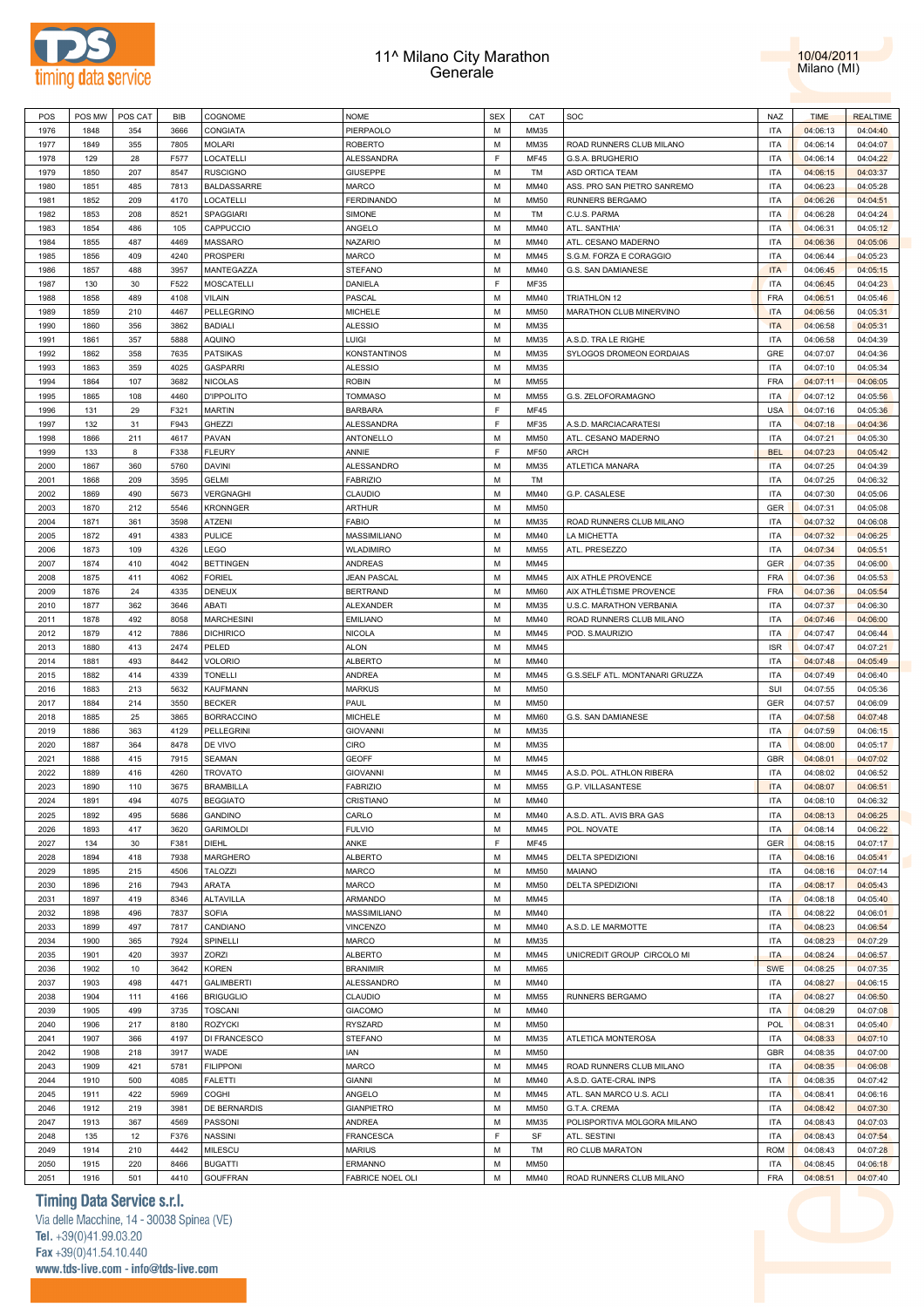



| POS  | POS MW | POS CAT | BIB  | COGNOME            | <b>NOME</b>         | <b>SEX</b> | CAT         | SOC                            | <b>NAZ</b> | <b>TIME</b> | <b>REALTIME</b> |
|------|--------|---------|------|--------------------|---------------------|------------|-------------|--------------------------------|------------|-------------|-----------------|
| 1976 | 1848   | 354     | 3666 | CONGIATA           | PIERPAOLO           | M          | MM35        |                                | <b>ITA</b> | 04:06:13    | 04:04:40        |
| 1977 | 1849   | 355     | 7805 | <b>MOLARI</b>      | <b>ROBERTO</b>      | M          | MM35        | ROAD RUNNERS CLUB MILANO       | <b>ITA</b> | 04:06:14    | 04:04:07        |
| 1978 | 129    | 28      | F577 | LOCATELLI          | ALESSANDRA          | E          | <b>MF45</b> | G.S.A. BRUGHERIO               | <b>ITA</b> | 04:06:14    | 04:04:22        |
|      |        |         |      |                    |                     | M          |             |                                | <b>ITA</b> |             |                 |
| 1979 | 1850   | 207     | 8547 | <b>RUSCIGNO</b>    | <b>GIUSEPPE</b>     |            | TM          | ASD ORTICA TEAM                |            | 04:06:15    | 04:03:37        |
| 1980 | 1851   | 485     | 7813 | <b>BALDASSARRE</b> | <b>MARCO</b>        | M          | MM40        | ASS. PRO SAN PIETRO SANREMO    | <b>ITA</b> | 04:06:23    | 04:05:28        |
| 1981 | 1852   | 209     | 4170 | LOCATELLI          | <b>FERDINANDO</b>   | M          | <b>MM50</b> | RUNNERS BERGAMO                | <b>ITA</b> | 04:06:26    | 04:04:51        |
| 1982 | 1853   | 208     | 8521 | <b>SPAGGIARI</b>   | <b>SIMONE</b>       | M          | TM          | C.U.S. PARMA                   | <b>ITA</b> | 04:06:28    | 04:04:24        |
| 1983 | 1854   | 486     | 105  | CAPPUCCIO          | ANGELO              | M          | MM40        | ATL. SANTHIA'                  | <b>ITA</b> | 04:06:31    | 04:05:12        |
| 1984 | 1855   | 487     | 4469 | <b>MASSARO</b>     | <b>NAZARIO</b>      | M          | MM40        | ATL. CESANO MADERNO            | <b>ITA</b> | 04:06:36    | 04:05:06        |
| 1985 | 1856   | 409     | 4240 | <b>PROSPERI</b>    | <b>MARCO</b>        | м          | MM45        | S.G.M. FORZA E CORAGGIO        | <b>ITA</b> | 04:06:44    | 04:05:23        |
| 1986 | 1857   | 488     | 3957 | MANTEGAZZA         | STEFANO             | M          | MM40        | G.S. SAN DAMIANESE             | <b>ITA</b> | 04:06:45    | 04:05:15        |
| 1987 | 130    | 30      | F522 | <b>MOSCATELLI</b>  | DANIELA             | E          | <b>MF35</b> |                                | <b>ITA</b> | 04:06:45    | 04:04:23        |
| 1988 | 1858   | 489     | 4108 | <b>VILAIN</b>      | PASCAL              | M          | MM40        | <b>TRIATHLON 12</b>            | <b>FRA</b> | 04:06:51    | 04:05:46        |
|      |        |         |      |                    |                     |            |             |                                |            |             |                 |
| 1989 | 1859   | 210     | 4467 | PELLEGRINO         | <b>MICHELE</b>      | м          | <b>MM50</b> | MARATHON CLUB MINERVINO        | <b>ITA</b> | 04:06:56    | 04:05:31        |
| 1990 | 1860   | 356     | 3862 | <b>BADIALI</b>     | <b>ALESSIO</b>      | M          | MM35        |                                | <b>ITA</b> | 04:06:58    | 04:05:31        |
| 1991 | 1861   | 357     | 5888 | <b>AQUINO</b>      | LUIGI               | M          | MM35        | A.S.D. TRA LE RIGHE            | <b>ITA</b> | 04:06:58    | 04:04:39        |
| 1992 | 1862   | 358     | 7635 | <b>PATSIKAS</b>    | <b>KONSTANTINOS</b> | M          | MM35        | SYLOGOS DROMEON EORDAIAS       | GRE        | 04:07:07    | 04:04:36        |
| 1993 | 1863   | 359     | 4025 | <b>GASPARRI</b>    | <b>ALESSIO</b>      | M          | MM35        |                                | <b>ITA</b> | 04:07:10    | 04:05:34        |
| 1994 | 1864   | 107     | 3682 | <b>NICOLAS</b>     | <b>ROBIN</b>        | M          | <b>MM55</b> |                                | FRA        | 04:07:11    | 04:06:05        |
| 1995 | 1865   | 108     | 4460 | <b>D'IPPOLITO</b>  | <b>TOMMASO</b>      | M          | <b>MM55</b> | G.S. ZELOFORAMAGNO             | <b>ITA</b> | 04:07:12    | 04:05:56        |
| 1996 | 131    | 29      | F321 | <b>MARTIN</b>      | <b>BARBARA</b>      | E          | <b>MF45</b> |                                | <b>USA</b> | 04:07:16    | 04:05:36        |
| 1997 | 132    | 31      | F943 | GHEZZI             | <b>ALESSANDRA</b>   | E          | <b>MF35</b> | A.S.D. MARCIACARATESI          | <b>ITA</b> | 04:07:18    | 04:04:36        |
|      |        |         |      |                    |                     | M          |             | ATL. CESANO MADERNO            |            |             |                 |
| 1998 | 1866   | 211     | 4617 | PAVAN              | <b>ANTONELLO</b>    |            | <b>MM50</b> |                                | <b>ITA</b> | 04:07:21    | 04:05:30        |
| 1999 | 133    | 8       | F338 | <b>FLEURY</b>      | ANNIE               | E          | <b>MF50</b> | <b>ARCH</b>                    | <b>BEL</b> | 04:07:23    | 04:05:42        |
| 2000 | 1867   | 360     | 5760 | <b>DAVINI</b>      | <b>ALESSANDRO</b>   | M          | MM35        | ATLETICA MANARA                | <b>ITA</b> | 04:07:25    | 04:04:39        |
| 2001 | 1868   | 209     | 3595 | <b>GELMI</b>       | <b>FABRIZIO</b>     | м          | TM          |                                | <b>ITA</b> | 04:07:25    | 04:06:32        |
| 2002 | 1869   | 490     | 5673 | VERGNAGHI          | CLAUDIO             | M          | MM40        | G.P. CASALESE                  | <b>ITA</b> | 04:07:30    | 04:05:06        |
| 2003 | 1870   | 212     | 5546 | <b>KRONNGER</b>    | <b>ARTHUR</b>       | м          | <b>MM50</b> |                                | GER        | 04:07:31    | 04:05:08        |
| 2004 | 1871   | 361     | 3598 | ATZENI             | FABIO               | M          | MM35        | ROAD RUNNERS CLUB MILANO       | <b>ITA</b> | 04:07:32    | 04:06:08        |
| 2005 | 1872   | 491     | 4383 | <b>PULICE</b>      | MASSIMILIANO        | м          | MM40        | LA MICHETTA                    | <b>ITA</b> | 04:07:32    | 04:06:25        |
| 2006 | 1873   | 109     | 4326 | LEGO               | <b>WLADIMIRO</b>    | M          | <b>MM55</b> | ATL. PRESEZZO                  | <b>ITA</b> | 04:07:34    | 04:05:51        |
| 2007 | 1874   | 410     | 4042 | <b>BETTINGEN</b>   | <b>ANDREAS</b>      | M          | MM45        |                                | GER        | 04:07:35    | 04:06:00        |
|      |        |         |      |                    |                     |            |             |                                |            |             |                 |
| 2008 | 1875   | 411     | 4062 | <b>FORIEL</b>      | <b>JEAN PASCAL</b>  | M          | MM45        | AIX ATHLE PROVENCE             | <b>FRA</b> | 04:07:36    | 04:05:53        |
| 2009 | 1876   | 24      | 4335 | <b>DENEUX</b>      | <b>BERTRAND</b>     | M          | <b>MM60</b> | AIX ATHLÉTISME PROVENCE        | FRA        | 04:07:36    | 04:05:54        |
| 2010 | 1877   | 362     | 3646 | ABATI              | <b>ALEXANDER</b>    | M          | MM35        | U.S.C. MARATHON VERBANIA       | <b>ITA</b> | 04:07:37    | 04:06:30        |
| 2011 | 1878   | 492     | 8058 | <b>MARCHESINI</b>  | <b>EMILIANO</b>     | M          | MM40        | ROAD RUNNERS CLUB MILANO       | <b>ITA</b> | 04:07:46    | 04:06:00        |
| 2012 | 1879   | 412     | 7886 | <b>DICHIRICO</b>   | <b>NICOLA</b>       | M          | MM45        | POD. S.MAURIZIO                | <b>ITA</b> | 04:07:47    | 04:06:44        |
| 2013 | 1880   | 413     | 2474 | PELED              | <b>ALON</b>         | M          | MM45        |                                | <b>ISR</b> | 04:07:47    | 04:07:21        |
| 2014 | 1881   | 493     | 8442 | <b>VOLORIO</b>     | <b>ALBERTO</b>      | M          | MM40        |                                | <b>ITA</b> | 04:07:48    | 04:05:49        |
| 2015 | 1882   | 414     | 4339 | <b>TONELLI</b>     | <b>ANDREA</b>       | M          | MM45        | G.S.SELF ATL. MONTANARI GRUZZA | <b>ITA</b> | 04:07:49    | 04:06:40        |
| 2016 | 1883   | 213     | 5632 | KAUFMANN           | <b>MARKUS</b>       | M          | <b>MM50</b> |                                | SUI        | 04:07:55    | 04:05:36        |
| 2017 | 1884   | 214     | 3550 | <b>BECKER</b>      | PAUL                | м          | <b>MM50</b> |                                | GER        |             | 04:06:09        |
|      |        |         |      |                    |                     |            |             |                                |            | 04:07:57    |                 |
| 2018 | 1885   | 25      | 3865 | <b>BORRACCINO</b>  | <b>MICHELE</b>      | M          | <b>MM60</b> | G.S. SAN DAMIANESE             | <b>ITA</b> | 04:07:58    | 04:07:48        |
| 2019 | 1886   | 363     | 4129 | PELLEGRINI         | <b>GIOVANNI</b>     | м          | MM35        |                                | <b>ITA</b> | 04:07:59    | 04:06:15        |
| 2020 | 1887   | 364     | 8478 | DE VIVO            | CIRO                | M          | MM35        |                                | <b>ITA</b> | 04:08:00    | 04:05:17        |
| 2021 | 1888   | 415     | 7915 | <b>SEAMAN</b>      | <b>GEOFF</b>        | м          | MM45        |                                | GBR        | 04:08:01    | 04:07:02        |
| 2022 | 1889   | 416     | 4260 | <b>TROVATO</b>     | <b>GIOVANNI</b>     | M          | MM45        | A.S.D. POL. ATHLON RIBERA      | <b>ITA</b> | 04:08:02    | 04:06:52        |
| 2023 | 1890   | 110     | 3675 | <b>BRAMBILLA</b>   | <b>FABRIZIO</b>     | M          | <b>MM55</b> | G.P. VILLASANTESE              | <b>ITA</b> | 04:08:07    | 04:06:51        |
| 2024 | 1891   | 494     | 4075 | <b>BEGGIATO</b>    | CRISTIANO           | M          | MM40        |                                | <b>ITA</b> | 04:08:10    | 04:06:32        |
| 2025 | 1892   | 495     | 5686 | <b>GANDINO</b>     | CARLO               | м          | MM40        | A.S.D. ATL. AVIS BRA GAS       | <b>ITA</b> | 04:08:13    | 04:06:25        |
| 2026 | 1893   | 417     | 3620 | <b>GARIMOLDI</b>   | <b>FULVIO</b>       | M          | MM45        | POL. NOVATE                    | <b>ITA</b> | 04:08:14    | 04:06:22        |
|      |        |         |      |                    |                     | E          |             |                                |            |             |                 |
| 2027 | 134    | 30      | F381 | <b>DIEHL</b>       | ANKE                |            | <b>MF45</b> |                                | <b>GER</b> | 04:08:15    | 04:07:17        |
| 2028 | 1894   | 418     | 7938 | MARGHERO           | <b>ALBERTO</b>      | M          | MM45        | <b>DELTA SPEDIZIONI</b>        | <b>ITA</b> | 04:08:16    | 04:05:41        |
| 2029 | 1895   | 215     | 4506 | <b>TALOZZI</b>     | <b>MARCO</b>        | M          | <b>MM50</b> | <b>MAIANO</b>                  | <b>ITA</b> | 04:08:16    | 04:07:14        |
| 2030 | 1896   | 216     | 7943 | ARATA              | MARCO               | M          | <b>MM50</b> | DELTA SPEDIZIONI               | <b>ITA</b> | 04:08:17    | 04:05:43        |
| 2031 | 1897   | 419     | 8346 | ALTAVILLA          | ARMANDO             | M          | MM45        |                                | <b>ITA</b> | 04:08:18    | 04:05:40        |
| 2032 | 1898   | 496     | 7837 | <b>SOFIA</b>       | MASSIMILIANO        | M          | MM40        |                                | <b>ITA</b> | 04:08:22    | 04:06:01        |
| 2033 | 1899   | 497     | 7817 | CANDIANO           | <b>VINCENZO</b>     | M          | MM40        | A.S.D. LE MARMOTTE             | <b>ITA</b> | 04:08:23    | 04:06:54        |
| 2034 | 1900   | 365     | 7924 | SPINELLI           | MARCO               | M          | MM35        |                                | <b>ITA</b> | 04:08:23    | 04:07:29        |
| 2035 | 1901   | 420     | 3937 | ZORZI              | <b>ALBERTO</b>      | м          | MM45        | UNICREDIT GROUP CIRCOLO MI     | <b>ITA</b> | 04:08:24    | 04:06:57        |
|      |        |         |      |                    | <b>BRANIMIR</b>     | M          | <b>MM65</b> |                                | <b>SWE</b> |             |                 |
| 2036 | 1902   | 10      | 3642 | KOREN              |                     |            |             |                                |            | 04:08:25    | 04:07:35        |
| 2037 | 1903   | 498     | 4471 | <b>GALIMBERTI</b>  | ALESSANDRO          | м          | MM40        |                                | <b>ITA</b> | 04:08:27    | 04:06:15        |
| 2038 | 1904   | 111     | 4166 | <b>BRIGUGLIO</b>   | CLAUDIO             | M          | <b>MM55</b> | RUNNERS BERGAMO                | <b>ITA</b> | 04:08:27    | 04:06:50        |
| 2039 | 1905   | 499     | 3735 | <b>TOSCANI</b>     | <b>GIACOMO</b>      | м          | MM40        |                                | <b>ITA</b> | 04:08:29    | 04:07:08        |
| 2040 | 1906   | 217     | 8180 | ROZYCKI            | RYSZARD             | M          | <b>MM50</b> |                                | <b>POL</b> | 04:08:31    | 04:05:40        |
| 2041 | 1907   | 366     | 4197 | DI FRANCESCO       | STEFANO             | M          | MM35        | ATLETICA MONTEROSA             | <b>ITA</b> | 04:08:33    | 04:07:10        |
| 2042 | 1908   | 218     | 3917 | WADE               | IAN                 | M          | <b>MM50</b> |                                | GBR        | 04:08:35    | 04:07:00        |
| 2043 | 1909   | 421     | 5781 | <b>FILIPPONI</b>   | <b>MARCO</b>        | M          | MM45        | ROAD RUNNERS CLUB MILANO       | <b>ITA</b> | 04:08:35    | 04:06:08        |
| 2044 | 1910   | 500     | 4085 | <b>FALETTI</b>     | <b>GIANNI</b>       | M          | MM40        | A.S.D. GATE-CRAL INPS          | <b>ITA</b> | 04:08:35    | 04:07:42        |
|      |        |         |      |                    |                     | M          |             |                                | <b>ITA</b> |             |                 |
| 2045 | 1911   | 422     | 5969 | COGHI              | ANGELO              |            | MM45        | ATL. SAN MARCO U.S. ACLI       |            | 04:08:41    | 04:06:16        |
| 2046 | 1912   | 219     | 3981 | DE BERNARDIS       | <b>GIANPIETRO</b>   | M          | <b>MM50</b> | G.T.A. CREMA                   | <b>ITA</b> | 04:08:42    | 04:07:30        |
| 2047 | 1913   | 367     | 4569 | PASSONI            | ANDREA              | M          | MM35        | POLISPORTIVA MOLGORA MILANO    | <b>ITA</b> | 04:08:43    | 04:07:03        |
| 2048 | 135    | 12      | F376 | <b>NASSINI</b>     | <b>FRANCESCA</b>    | E          | SF          | ATL. SESTINI                   | <b>ITA</b> | 04:08:43    | 04:07:54        |
|      |        |         |      |                    |                     |            |             |                                |            |             |                 |
| 2049 | 1914   | 210     | 4442 | MILESCU            | <b>MARIUS</b>       | M          | TM          | RO CLUB MARATON                | <b>ROM</b> | 04:08:43    | 04:07:28        |
| 2050 | 1915   | 220     | 8466 | <b>BUGATTI</b>     | <b>ERMANNO</b>      | M          | <b>MM50</b> |                                | <b>ITA</b> | 04:08:45    | 04:06:18        |

# **Timing Data Service s.r.l.**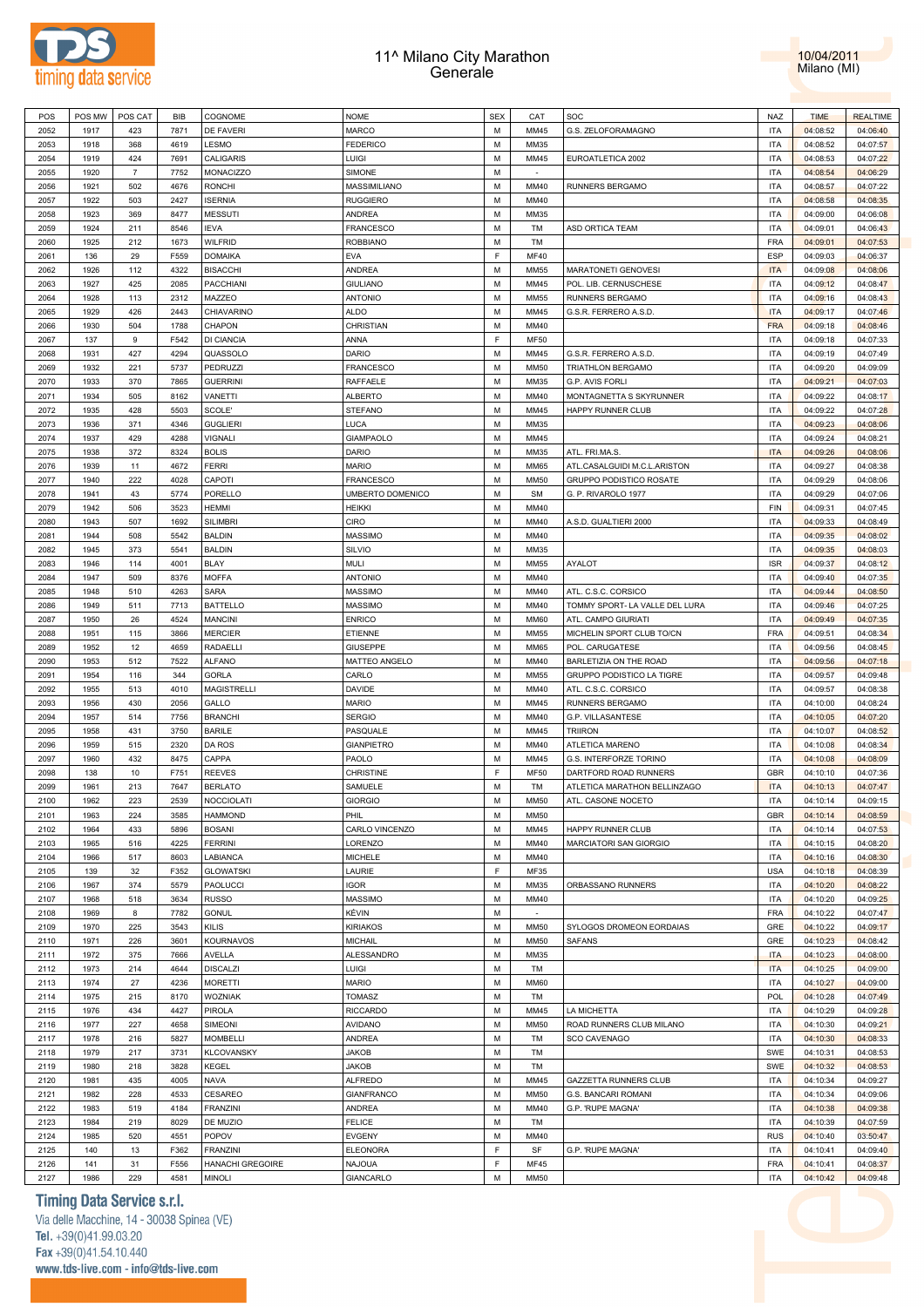



| POS  | POS MW | POS CAT        | BIB  | COGNOME            | <b>NOME</b>       | <b>SEX</b>  | CAT         | SOC                            | NAZ                      | <b>TIME</b> | <b>REALTIME</b> |
|------|--------|----------------|------|--------------------|-------------------|-------------|-------------|--------------------------------|--------------------------|-------------|-----------------|
| 2052 | 1917   | 423            | 7871 | <b>DE FAVERI</b>   | <b>MARCO</b>      | M           | MM45        | G.S. ZELOFORAMAGNO             | <b>ITA</b>               | 04:08:52    | 04:06:40        |
| 2053 | 1918   | 368            | 4619 | LESMO              | <b>FEDERICO</b>   | М           | MM35        |                                | <b>ITA</b>               | 04:08:52    | 04:07:57        |
| 2054 | 1919   | 424            | 7691 | CALIGARIS          | LUIGI             | M           | MM45        | EUROATLETICA 2002              | <b>ITA</b>               | 04:08:53    | 04:07:22        |
| 2055 | 1920   | $\overline{7}$ | 7752 | MONACIZZO          | SIMONE            | М           |             |                                | <b>ITA</b>               | 04:08:54    | 04:06:29        |
|      |        |                |      |                    |                   |             |             |                                |                          |             |                 |
| 2056 | 1921   | 502            | 4676 | <b>RONCHI</b>      | MASSIMILIANO      | M           | MM40        | RUNNERS BERGAMO                | <b>ITA</b>               | 04:08:57    | 04:07:22        |
| 2057 | 1922   | 503            | 2427 | <b>ISERNIA</b>     | <b>RUGGIERO</b>   | М           | MM40        |                                | <b>ITA</b>               | 04:08:58    | 04:08:35        |
| 2058 | 1923   | 369            | 8477 | <b>MESSUTI</b>     | ANDREA            | M           | MM35        |                                | <b>ITA</b>               | 04:09:00    | 04:06:08        |
| 2059 | 1924   | 211            | 8546 | <b>IEVA</b>        | <b>FRANCESCO</b>  | M           | TM          | ASD ORTICA TEAM                | <b>ITA</b>               | 04:09:01    | 04:06:43        |
| 2060 | 1925   | 212            | 1673 | WILFRID            | <b>ROBBIANO</b>   | M           | TM          |                                | <b>FRA</b>               | 04:09:01    | 04:07:53        |
| 2061 | 136    | 29             | F559 | <b>DOMAIKA</b>     | <b>EVA</b>        | $\mathsf F$ | <b>MF40</b> |                                | ESP                      | 04:09:03    | 04:06:37        |
| 2062 | 1926   | 112            | 4322 | <b>BISACCHI</b>    | ANDREA            | M           | <b>MM55</b> | MARATONETI GENOVESI            | <b>ITA</b>               | 04:09:08    | 04:08:06        |
| 2063 | 1927   | 425            | 2085 | PACCHIANI          | <b>GIULIANO</b>   | M           | MM45        | POL. LIB. CERNUSCHESE          | <b>ITA</b>               | 04:09:12    | 04:08:47        |
| 2064 | 1928   | 113            | 2312 | MAZZEO             | <b>ANTONIO</b>    | M           | <b>MM55</b> | RUNNERS BERGAMO                | <b>ITA</b>               | 04:09:16    | 04:08:43        |
| 2065 | 1929   | 426            | 2443 | CHIAVARINO         | <b>ALDO</b>       | M           | MM45        | G.S.R. FERRERO A.S.D.          | <b>ITA</b>               | 04:09:17    | 04:07:46        |
|      |        |                |      |                    |                   |             |             |                                |                          |             |                 |
| 2066 | 1930   | 504            | 1788 | CHAPON             | CHRISTIAN         | M           | MM40        |                                | <b>FRA</b>               | 04:09:18    | 04:08:46        |
| 2067 | 137    | 9              | F542 | DI CIANCIA         | ANNA              | $\mathsf F$ | <b>MF50</b> |                                | <b>ITA</b>               | 04:09:18    | 04:07:33        |
| 2068 | 1931   | 427            | 4294 | QUASSOLO           | DARIO             | M           | MM45        | G.S.R. FERRERO A.S.D           | <b>ITA</b>               | 04:09:19    | 04:07:49        |
| 2069 | 1932   | 221            | 5737 | PEDRUZZI           | <b>FRANCESCO</b>  | M           | <b>MM50</b> | TRIATHLON BERGAMO              | <b>ITA</b>               | 04:09:20    | 04:09:09        |
| 2070 | 1933   | 370            | 7865 | <b>GUERRINI</b>    | RAFFAELE          | M           | MM35        | G.P. AVIS FORLI                | <b>ITA</b>               | 04:09:21    | 04:07:03        |
| 2071 | 1934   | 505            | 8162 | VANETTI            | <b>ALBERTO</b>    | М           | MM40        | MONTAGNETTA S SKYRUNNER        | <b>ITA</b>               | 04:09:22    | 04:08:17        |
| 2072 | 1935   | 428            | 5503 | SCOLE'             | STEFANO           | M           | MM45        | HAPPY RUNNER CLUB              | <b>ITA</b>               | 04:09:22    | 04:07:28        |
| 2073 | 1936   | 371            | 4346 | <b>GUGLIERI</b>    | <b>LUCA</b>       | М           | MM35        |                                | <b>ITA</b>               | 04:09:23    | 04:08:06        |
| 2074 | 1937   | 429            | 4288 | <b>VIGNALI</b>     | <b>GIAMPAOLO</b>  | M           | MM45        |                                | <b>ITA</b>               | 04:09:24    | 04:08:21        |
|      |        |                |      | <b>BOLIS</b>       |                   |             |             |                                | <b>ITA</b>               |             |                 |
| 2075 | 1938   | 372            | 8324 |                    | DARIO             | М           | MM35        | ATL. FRI.MA.S.                 |                          | 04:09:26    | 04:08:06        |
| 2076 | 1939   | 11             | 4672 | <b>FERRI</b>       | <b>MARIO</b>      | M           | <b>MM65</b> | ATL.CASALGUIDI M.C.L.ARISTON   | <b>ITA</b>               | 04:09:27    | 04:08:38        |
| 2077 | 1940   | 222            | 4028 | CAPOTI             | <b>FRANCESCO</b>  | М           | <b>MM50</b> | GRUPPO PODISTICO ROSATE        | <b>ITA</b>               | 04:09:29    | 04:08:06        |
| 2078 | 1941   | 43             | 5774 | PORELLO            | UMBERTO DOMENICO  | M           | SM          | G. P. RIVAROLO 1977            | <b>ITA</b>               | 04:09:29    | 04:07:06        |
| 2079 | 1942   | 506            | 3523 | <b>HEMMI</b>       | <b>HEIKKI</b>     | М           | MM40        |                                | FIN                      | 04:09:31    | 04:07:45        |
| 2080 | 1943   | 507            | 1692 | <b>SILIMBRI</b>    | CIRO              | M           | MM40        | A.S.D. GUALTIERI 2000          | <b>ITA</b>               | 04:09:33    | 04:08:49        |
| 2081 | 1944   | 508            | 5542 | <b>BALDIN</b>      | MASSIMO           | M           | MM40        |                                | <b>ITA</b>               | 04:09:35    | 04:08:02        |
| 2082 | 1945   | 373            | 5541 | <b>BALDIN</b>      | SILVIO            | M           | MM35        |                                | <b>ITA</b>               | 04:09:35    | 04:08:03        |
| 2083 | 1946   | 114            | 4001 | <b>BLAY</b>        | <b>MULI</b>       | M           | <b>MM55</b> | AYALOT                         | <b>ISR</b>               | 04:09:37    | 04:08:12        |
| 2084 | 1947   | 509            | 8376 | <b>MOFFA</b>       | <b>ANTONIO</b>    | M           | MM40        |                                | <b>ITA</b>               | 04:09:40    | 04:07:35        |
|      |        | 510            |      | <b>SARA</b>        |                   |             |             |                                | <b>ITA</b>               |             |                 |
| 2085 | 1948   |                | 4263 |                    | MASSIMO           | М           | MM40        | ATL. C.S.C. CORSICO            |                          | 04:09:44    | 04:08:50        |
| 2086 | 1949   | 511            | 7713 | <b>BATTELLO</b>    | MASSIMO           | M           | MM40        | TOMMY SPORT- LA VALLE DEL LURA | <b>ITA</b>               | 04:09:46    | 04:07:25        |
| 2087 | 1950   | 26             | 4524 | <b>MANCINI</b>     | <b>ENRICO</b>     | М           | <b>MM60</b> | ATL. CAMPO GIURIATI            | <b>ITA</b>               | 04:09:49    | 04:07:35        |
| 2088 | 1951   | 115            | 3866 | <b>MERCIER</b>     | ETIENNE           | M           | <b>MM55</b> | MICHELIN SPORT CLUB TO/CN      | <b>FRA</b>               | 04:09:51    | 04:08:34        |
| 2089 | 1952   | 12             | 4659 | RADAELLI           | <b>GIUSEPPE</b>   | М           | <b>MM65</b> | POL. CARUGATESE                | <b>ITA</b>               | 04:09:56    | 04:08:45        |
| 2090 | 1953   | 512            | 7522 | <b>ALFANO</b>      | MATTEO ANGELO     | M           | MM40        | BARLETIZIA ON THE ROAD         | <b>ITA</b>               | 04:09:56    | 04:07:18        |
| 2091 | 1954   | 116            | 344  | <b>GORLA</b>       | CARLO             | М           | <b>MM55</b> | GRUPPO PODISTICO LA TIGRE      | <b>ITA</b>               | 04:09:57    | 04:09:48        |
| 2092 | 1955   | 513            | 4010 | <b>MAGISTRELLI</b> | DAVIDE            | M           | MM40        | ATL. C.S.C. CORSICO            | <b>ITA</b>               | 04:09:57    | 04:08:38        |
| 2093 | 1956   | 430            | 2056 | GALLO              | <b>MARIO</b>      | М           | MM45        | RUNNERS BERGAMO                | <b>ITA</b>               | 04:10:00    | 04:08:24        |
| 2094 | 1957   | 514            | 7756 | <b>BRANCHI</b>     | <b>SERGIO</b>     | M           | MM40        | G.P. VILLASANTESE              | <b>ITA</b>               | 04:10:05    | 04:07:20        |
|      |        |                |      |                    |                   |             |             |                                |                          |             |                 |
| 2095 | 1958   | 431            | 3750 | <b>BARILE</b>      | PASQUALE          | M           | MM45        | <b>TRIIRON</b>                 | <b>ITA</b>               | 04:10:07    | 04:08:52        |
| 2096 | 1959   | 515            | 2320 | DA ROS             | <b>GIANPIETRO</b> | M           | MM40        | ATLETICA MARENO                | <b>ITA</b>               | 04:10:08    | 04:08:34        |
| 2097 | 1960   | 432            | 8475 | CAPPA              | PAOLO             | М           | MM45        | G.S. INTERFORZE TORINO         | <b>ITA</b>               | 04:10:08    | 04:08:09        |
| 2098 | 138    | 10             | F751 | <b>REEVES</b>      | CHRISTINE         | $\mathsf F$ | <b>MF50</b> | DARTFORD ROAD RUNNERS          | <b>GBR</b>               | 04:10:10    | 04:07:36        |
| 2099 | 1961   | 213            | 7647 | <b>BERLATO</b>     | SAMUELE           | M           | TM          | ATLETICA MARATHON BELLINZAGO   | <b>ITA</b>               | 04:10:13    | 04:07:47        |
| 2100 | 1962   | 223            | 2539 | <b>NOCCIOLATI</b>  | <b>GIORGIO</b>    | M           | <b>MM50</b> | ATL. CASONE NOCETO             | <b>ITA</b>               | 04:10:14    | 04:09:15        |
| 2101 | 1963   | 224            | 3585 | <b>HAMMOND</b>     | PHIL              | M           | <b>MM50</b> |                                | <b>GBR</b>               | 04:10:14    | 04:08:59        |
| 2102 | 1964   | 433            | 5896 | <b>BOSANI</b>      | CARLO VINCENZO    | M           | MM45        | HAPPY RUNNER CLUB              | <b>ITA</b>               | 04:10:14    | 04:07:53        |
| 2103 | 1965   | 516            | 4225 | <b>FERRINI</b>     | LORENZO           | M           | MM40        | MARCIATORI SAN GIORGIO         | <b>ITA</b>               | 04:10:15    | 04:08:20        |
| 2104 | 1966   | 517            | 8603 | LABIANCA           | MICHELE           | M           | MM40        |                                | <b>ITA</b>               | 04:10:16    | 04:08:30        |
|      |        |                |      |                    |                   |             |             |                                |                          |             |                 |
| 2105 | 139    | 32             | F352 | <b>GLOWATSKI</b>   | LAURIE            | $\mathsf F$ | MF35        |                                | <b>USA</b>               | 04:10:18    | 04:08:39        |
| 2106 | 1967   | 374            | 5579 | <b>PAOLUCCI</b>    | <b>IGOR</b>       | M           | MM35        | ORBASSANO RUNNERS              | <b>ITA</b>               | 04:10:20    | 04:08:22        |
| 2107 | 1968   | 518            | 3634 | <b>RUSSO</b>       | MASSIMO           | M           | MM40        |                                | <b>ITA</b>               | 04:10:20    | 04:09:25        |
| 2108 | 1969   | 8              | 7782 | <b>GONUL</b>       | KÉVIN             | M           | ÷.          |                                | <b>FRA</b>               | 04:10:22    | 04:07:47        |
| 2109 | 1970   | 225            | 3543 | KILIS              | <b>KIRIAKOS</b>   | M           | <b>MM50</b> | SYLOGOS DROMEON EORDAIAS       | GRE                      | 04:10:22    | 04:09:17        |
| 2110 | 1971   | 226            | 3601 | KOURNAVOS          | <b>MICHAIL</b>    | M           | <b>MM50</b> | SAFANS                         | GRE                      | 04:10:23    | 04:08:42        |
| 2111 | 1972   | 375            | 7666 | AVELLA             | ALESSANDRO        | M           | MM35        |                                | <b>ITA</b>               | 04:10:23    | 04:08:00        |
| 2112 | 1973   | 214            | 4644 | <b>DISCALZI</b>    | LUIGI             | M           | TM          |                                | <b>ITA</b>               | 04:10:25    | 04:09:00        |
| 2113 | 1974   | 27             | 4236 | <b>MORETTI</b>     | <b>MARIO</b>      | M           | <b>MM60</b> |                                | <b>ITA</b>               | 04:10:27    | 04:09:00        |
|      |        |                |      |                    |                   |             |             |                                |                          |             |                 |
| 2114 | 1975   | 215            | 8170 | <b>WOZNIAK</b>     | <b>TOMASZ</b>     | M           | TM          |                                | <b>POL</b>               | 04:10:28    | 04:07:49        |
| 2115 | 1976   | 434            | 4427 | PIROLA             | <b>RICCARDO</b>   | M           | MM45        | LA MICHETTA                    | <b>ITA</b>               | 04:10:29    | 04:09:28        |
| 2116 | 1977   | 227            | 4658 | SIMEONI            | AVIDANO           | M           | <b>MM50</b> | ROAD RUNNERS CLUB MILANO       | <b>ITA</b>               | 04:10:30    | 04:09:21        |
| 2117 | 1978   | 216            | 5827 | <b>MOMBELLI</b>    | ANDREA            | M           | TM          | SCO CAVENAGO                   | <b>ITA</b>               | 04:10:30    | 04:08:33        |
| 2118 | 1979   | 217            | 3731 | <b>KLCOVANSKY</b>  | <b>JAKOB</b>      | M           | TM          |                                | SWE                      | 04:10:31    | 04:08:53        |
| 2119 | 1980   | 218            | 3828 | KEGEL              | <b>JAKOB</b>      | M           | TM          |                                | SWE                      | 04:10:32    | 04:08:53        |
| 2120 | 1981   | 435            | 4005 | NAVA               | <b>ALFREDO</b>    | M           | MM45        | GAZZETTA RUNNERS CLUB          | <b>ITA</b>               | 04:10:34    | 04:09:27        |
| 2121 | 1982   | 228            | 4533 | CESAREO            | <b>GIANFRANCO</b> | M           | <b>MM50</b> | G.S. BANCARI ROMANI            | <b>ITA</b>               | 04:10:34    | 04:09:06        |
| 2122 | 1983   | 519            | 4184 | <b>FRANZINI</b>    | ANDREA            | M           | MM40        | G.P. 'RUPE MAGNA'              | <b>ITA</b>               | 04:10:38    | 04:09:38        |
|      |        |                |      |                    |                   |             |             |                                |                          |             |                 |
| 2123 | 1984   | 219            | 8029 | DE MUZIO           | <b>FELICE</b>     | M           | TM          |                                | <b>ITA</b>               | 04:10:39    | 04:07:59        |
| 2124 | 1985   | 520            | 4551 | POPOV              | <b>EVGENY</b>     | M           | MM40        |                                | <b>RUS</b>               | 04:10:40    | 03:50:47        |
|      |        | 13             | F362 | <b>FRANZINI</b>    | ELEONORA          | F           | SF          | G.P. 'RUPE MAGNA'              | <b>ITA</b>               | 04:10:41    | 04:09:40        |
| 2125 | 140    |                |      |                    |                   |             |             |                                |                          |             |                 |
| 2126 | 141    | 31             | F556 | HANACHI GREGOIRE   | NAJOUA            | F           | <b>MF45</b> |                                | <b>FRA</b><br><b>ITA</b> | 04:10:41    | 04:08:37        |

# **Timing Data Service s.r.l.**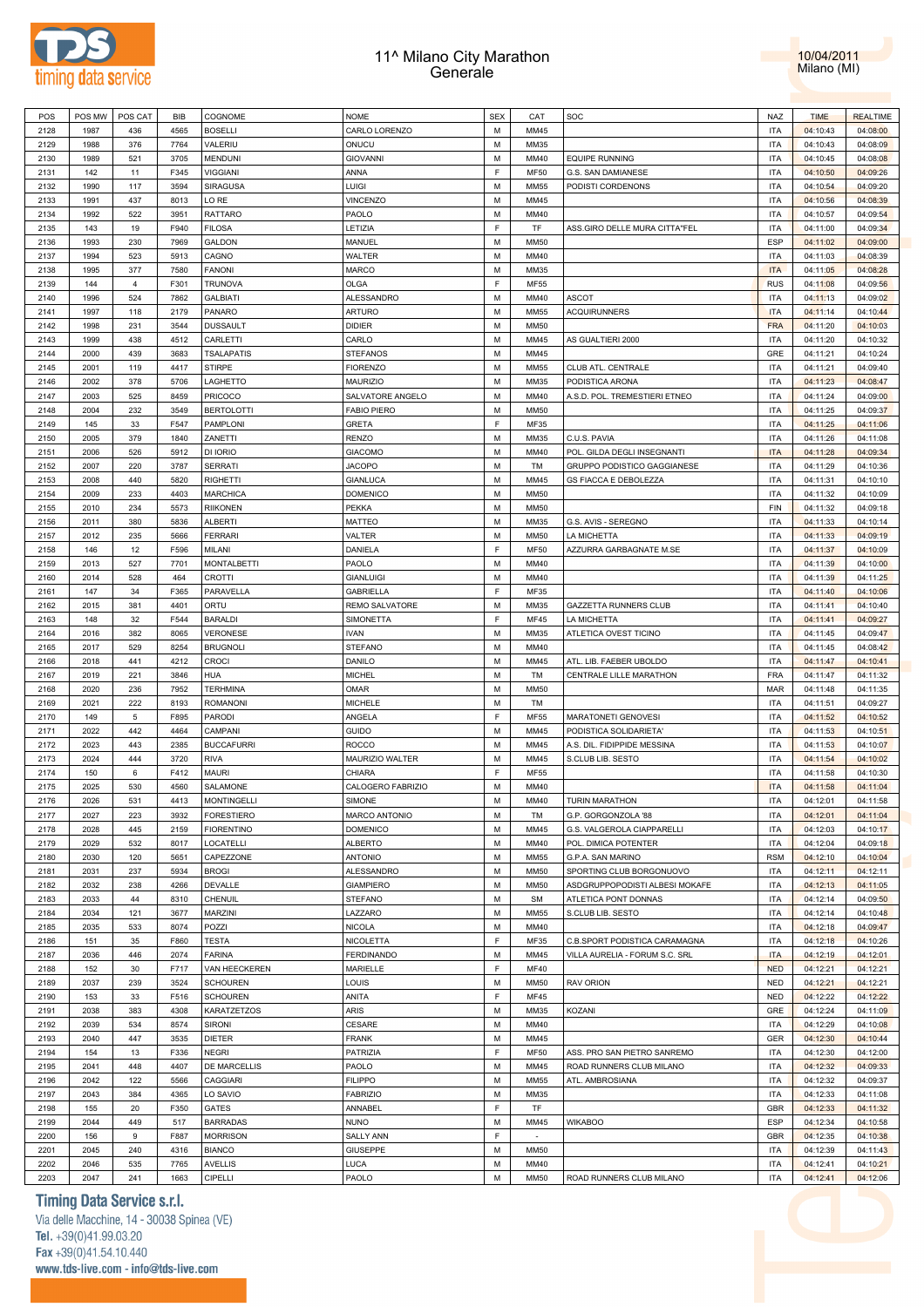



| POS  | POS MW | POS CAT        | <b>BIB</b> | COGNOME            | <b>NOME</b>        | <b>SEX</b> | CAT         | SOC                                | NAZ        | <b>TIME</b> | <b>REALTIME</b> |
|------|--------|----------------|------------|--------------------|--------------------|------------|-------------|------------------------------------|------------|-------------|-----------------|
| 2128 | 1987   | 436            | 4565       | <b>BOSELLI</b>     | CARLO LORENZO      | M          | MM45        |                                    | <b>ITA</b> | 04:10:43    | 04:08:00        |
|      |        |                |            |                    |                    |            |             |                                    |            |             |                 |
| 2129 | 1988   | 376            | 7764       | VALERIU            | ONUCU              | М          | MM35        |                                    | ITA        | 04:10:43    | 04:08:09        |
| 2130 | 1989   | 521            | 3705       | <b>MENDUNI</b>     | <b>GIOVANNI</b>    | M          | MM40        | <b>EQUIPE RUNNING</b>              | <b>ITA</b> | 04:10:45    | 04:08:08        |
| 2131 | 142    | 11             | F345       | <b>VIGGIANI</b>    | ANNA               | F          | <b>MF50</b> | G.S. SAN DAMIANESE                 | ITA        | 04:10:50    | 04:09:26        |
| 2132 | 1990   | 117            | 3594       | SIRAGUSA           | LUIGI              | M          | <b>MM55</b> | PODISTI CORDENONS                  | <b>ITA</b> | 04:10:54    | 04:09:20        |
| 2133 | 1991   | 437            | 8013       | LO RE              | <b>VINCENZO</b>    | M          | MM45        |                                    | ITA        | 04:10:56    | 04:08:39        |
| 2134 | 1992   | 522            | 3951       | RATTARO            | PAOLO              | М          | MM40        |                                    | <b>ITA</b> | 04:10:57    | 04:09:54        |
| 2135 | 143    | 19             | F940       | <b>FILOSA</b>      | LETIZIA            | F          | TF          | ASS.GIRO DELLE MURA CITTA"FEL      | ITA        | 04:11:00    | 04:09:34        |
| 2136 | 1993   | 230            | 7969       | <b>GALDON</b>      | MANUEL             | M          | <b>MM50</b> |                                    | <b>ESP</b> | 04:11:02    | 04:09:00        |
| 2137 | 1994   | 523            | 5913       | CAGNO              | WALTER             | М          | MM40        |                                    | <b>ITA</b> | 04:11:03    | 04:08:39        |
|      |        |                |            |                    |                    |            |             |                                    |            |             |                 |
| 2138 | 1995   | 377            | 7580       | <b>FANONI</b>      | <b>MARCO</b>       | M          | MM35        |                                    | <b>ITA</b> | 04:11:05    | 04:08:28        |
| 2139 | 144    | $\overline{4}$ | F301       | <b>TRUNOVA</b>     | <b>OLGA</b>        | F          | <b>MF55</b> |                                    | <b>RUS</b> | 04:11:08    | 04:09:56        |
| 2140 | 1996   | 524            | 7862       | <b>GALBIATI</b>    | ALESSANDRO         | M          | MM40        | <b>ASCOT</b>                       | <b>ITA</b> | 04:11:13    | 04:09:02        |
| 2141 | 1997   | 118            | 2179       | <b>PANARO</b>      | <b>ARTURO</b>      | M          | <b>MM55</b> | <b>ACQUIRUNNERS</b>                | <b>ITA</b> | 04:11:14    | 04:10:44        |
| 2142 | 1998   | 231            | 3544       | <b>DUSSAULT</b>    | <b>DIDIER</b>      | M          | <b>MM50</b> |                                    | <b>FRA</b> | 04:11:20    | 04:10:03        |
| 2143 | 1999   | 438            | 4512       | CARLETTI           | CARLO              | M          | MM45        | AS GUALTIERI 2000                  | ITA        | 04:11:20    | 04:10:32        |
| 2144 | 2000   | 439            | 3683       | <b>TSALAPATIS</b>  | <b>STEFANOS</b>    | M          | MM45        |                                    | GRE        | 04:11:21    | 04:10:24        |
| 2145 | 2001   | 119            | 4417       | <b>STIRPE</b>      | <b>FIORENZO</b>    | M          | MM55        | CLUB ATL. CENTRALE                 | <b>ITA</b> | 04:11:21    | 04:09:40        |
| 2146 | 2002   | 378            | 5706       | LAGHETTO           | MAURIZIO           | M          | MM35        | PODISTICA ARONA                    | <b>ITA</b> | 04:11:23    | 04:08:47        |
| 2147 | 2003   | 525            | 8459       | <b>PRICOCO</b>     | SALVATORE ANGELO   | M          | MM40        | A.S.D. POL. TREMESTIERI ETNEO      | <b>ITA</b> | 04:11:24    | 04:09:00        |
|      | 2004   | 232            | 3549       | <b>BERTOLOTTI</b>  | <b>FABIO PIERO</b> | M          | <b>MM50</b> |                                    | <b>ITA</b> |             |                 |
| 2148 |        |                |            |                    |                    |            |             |                                    |            | 04:11:25    | 04:09:37        |
| 2149 | 145    | 33             | F547       | <b>PAMPLONI</b>    | GRETA              | F          | MF35        |                                    | <b>ITA</b> | 04:11:25    | 04:11:06        |
| 2150 | 2005   | 379            | 1840       | ZANETTI            | <b>RENZO</b>       | M          | MM35        | C.U.S. PAVIA                       | <b>ITA</b> | 04:11:26    | 04:11:08        |
| 2151 | 2006   | 526            | 5912       | DI IORIO           | <b>GIACOMO</b>     | M          | MM40        | POL. GILDA DEGLI INSEGNANTI        | <b>ITA</b> | 04:11:28    | 04:09:34        |
| 2152 | 2007   | 220            | 3787       | <b>SERRATI</b>     | <b>JACOPO</b>      | M          | TM          | <b>GRUPPO PODISTICO GAGGIANESE</b> | <b>ITA</b> | 04:11:29    | 04:10:36        |
| 2153 | 2008   | 440            | 5820       | <b>RIGHETTI</b>    | <b>GIANLUCA</b>    | M          | MM45        | <b>GS FIACCA E DEBOLEZZA</b>       | <b>ITA</b> | 04:11:31    | 04:10:10        |
| 2154 | 2009   | 233            | 4403       | <b>MARCHICA</b>    | <b>DOMENICO</b>    | M          | <b>MM50</b> |                                    | <b>ITA</b> | 04:11:32    | 04:10:09        |
| 2155 | 2010   | 234            | 5573       | <b>RIIKONEN</b>    | PEKKA              | М          | <b>MM50</b> |                                    | FIN        | 04:11:32    | 04:09:18        |
| 2156 | 2011   | 380            | 5836       | <b>ALBERTI</b>     | <b>MATTEO</b>      | M          | MM35        | G.S. AVIS - SEREGNO                | ITA        | 04:11:33    | 04:10:14        |
| 2157 | 2012   | 235            | 5666       | <b>FERRARI</b>     | VALTER             | М          | MM50        | LA MICHETTA                        | ITA        | 04:11:33    | 04:09:19        |
| 2158 | 146    | 12             | F596       | MILANI             | DANIELA            | F          | <b>MF50</b> | AZZURRA GARBAGNATE M.SE            | <b>ITA</b> |             | 04:10:09        |
|      |        |                |            |                    |                    |            |             |                                    |            | 04:11:37    |                 |
| 2159 | 2013   | 527            | 7701       | <b>MONTALBETTI</b> | PAOLO              | М          | MM40        |                                    | ITA        | 04:11:39    | 04:10:00        |
| 2160 | 2014   | 528            | 464        | <b>CROTTI</b>      | <b>GIANLUIGI</b>   | M          | MM40        |                                    | <b>ITA</b> | 04:11:39    | 04:11:25        |
| 2161 | 147    | 34             | F365       | PARAVELLA          | <b>GABRIELLA</b>   | F          | MF35        |                                    | ITA        | 04:11:40    | 04:10:06        |
| 2162 | 2015   | 381            | 4401       | ORTU               | REMO SALVATORE     | M          | MM35        | GAZZETTA RUNNERS CLUB              | <b>ITA</b> | 04:11:41    | 04:10:40        |
| 2163 | 148    | 32             | F544       | <b>BARALDI</b>     | SIMONETTA          | F          | <b>MF45</b> | LA MICHETTA                        | ITA        | 04:11:41    | 04:09:27        |
| 2164 | 2016   | 382            | 8065       | <b>VERONESE</b>    | <b>IVAN</b>        | M          | MM35        | ATLETICA OVEST TICINO              | <b>ITA</b> | 04:11:45    | 04:09:47        |
| 2165 | 2017   | 529            | 8254       | <b>BRUGNOLI</b>    | <b>STEFANO</b>     | M          | MM40        |                                    | ITA        | 04:11:45    | 04:08:42        |
| 2166 | 2018   | 441            | 4212       | <b>CROCI</b>       | DANILO             | M          | MM45        | ATL. LIB. FAEBER UBOLDO            | <b>ITA</b> | 04:11:47    | 04:10:41        |
| 2167 | 2019   | 221            | 3846       | <b>HUA</b>         | <b>MICHEL</b>      | М          | TM          | CENTRALE LILLE MARATHON            | <b>FRA</b> | 04:11:47    | 04:11:32        |
| 2168 | 2020   | 236            | 7952       | <b>TERHMINA</b>    | OMAR               | M          | <b>MM50</b> |                                    | <b>MAR</b> | 04:11:48    | 04:11:35        |
|      | 2021   | 222            |            |                    |                    | M          | TM          |                                    |            |             |                 |
| 2169 |        |                | 8193       | ROMANONI           | <b>MICHELE</b>     |            |             |                                    | ITA        | 04:11:51    | 04:09:27        |
| 2170 | 149    | $\,$ 5 $\,$    | F895       | PARODI             | ANGELA             | F          | <b>MF55</b> | MARATONETI GENOVESI                | <b>ITA</b> | 04:11:52    | 04:10:52        |
| 2171 | 2022   | 442            | 4464       | CAMPANI            | <b>GUIDO</b>       | M          | MM45        | PODISTICA SOLIDARIETA'             | <b>ITA</b> | 04:11:53    | 04:10:51        |
| 2172 | 2023   | 443            | 2385       | <b>BUCCAFURRI</b>  | <b>ROCCO</b>       | M          | MM45        | A.S. DIL. FIDIPPIDE MESSINA        | <b>ITA</b> | 04:11:53    | 04:10:07        |
| 2173 | 2024   | 444            | 3720       | <b>RIVA</b>        | MAURIZIO WALTER    | М          | MM45        | S.CLUB LIB. SESTO                  | ITA        | 04:11:54    | 04:10:02        |
| 2174 | 150    | 6              | F412       | <b>MAURI</b>       | CHIARA             | F          | <b>MF55</b> |                                    | <b>ITA</b> | 04:11:58    | 04:10:30        |
| 2175 | 2025   | 530            | 4560       | SALAMONE           | CALOGERO FABRIZIO  | M          | MM40        |                                    | <b>ITA</b> | 04:11:58    | 04:11:04        |
| 2176 | 2026   | 531            | 4413       | <b>MONTINGELLI</b> | <b>SIMONE</b>      | M          | MM40        | <b>TURIN MARATHON</b>              | <b>ITA</b> | 04:12:01    | 04:11:58        |
| 2177 | 2027   | 223            | 3932       | <b>FORESTIERO</b>  | MARCO ANTONIO      | M          | TM          | G.P. GORGONZOLA '88                | ITA        | 04:12:01    | 04:11:04        |
| 2178 | 2028   | 445            | 2159       | <b>FIORENTINO</b>  | <b>DOMENICO</b>    | M          | MM45        | G.S. VALGEROLA CIAPPARELLI         | <b>ITA</b> | 04:12:03    | 04:10:17        |
| 2179 | 2029   | 532            | 8017       | LOCATELLI          | <b>ALBERTO</b>     | M          | MM40        | POL. DIMICA POTENTER               | <b>ITA</b> | 04:12:04    | 04:09:18        |
|      |        |                |            |                    |                    | M          |             |                                    |            |             |                 |
| 2180 | 2030   | 120            | 5651       | CAPEZZONE          | <b>ANTONIO</b>     |            | <b>MM55</b> | G.P.A. SAN MARINO                  | <b>RSM</b> | 04:12:10    | 04:10:04        |
| 2181 | 2031   | 237            | 5934       | <b>BROGI</b>       | ALESSANDRO         | М          | MM50        | SPORTING CLUB BORGONUOVO           | <b>ITA</b> | 04:12:11    | 04:12:11        |
| 2182 | 2032   | 238            | 4266       | DEVALLE            | <b>GIAMPIERO</b>   | М          | <b>MM50</b> | ASDGRUPPOPODISTI ALBESI MOKAFE     | <b>ITA</b> | 04:12:13    | 04:11:05        |
| 2183 | 2033   | 44             | 8310       | CHENUIL            | <b>STEFANO</b>     | М          | <b>SM</b>   | ATLETICA PONT DONNAS               | ITA        | 04:12:14    | 04:09:50        |
| 2184 | 2034   | 121            | 3677       | MARZINI            | LAZZARO            | M          | <b>MM55</b> | S.CLUB LIB. SESTO                  | <b>ITA</b> | 04:12:14    | 04:10:48        |
| 2185 | 2035   | 533            | 8074       | POZZI              | <b>NICOLA</b>      | М          | MM40        |                                    | ITA        | 04:12:18    | 04:09:47        |
| 2186 | 151    | 35             | F860       | <b>TESTA</b>       | <b>NICOLETTA</b>   | F          | MF35        | C.B.SPORT PODISTICA CARAMAGNA      | <b>ITA</b> | 04:12:18    | 04:10:26        |
| 2187 | 2036   | 446            | 2074       | <b>FARINA</b>      | <b>FERDINANDO</b>  | M          | MM45        | VILLA AURELIA - FORUM S.C. SRL     | <b>ITA</b> | 04:12:19    | 04:12:01        |
| 2188 | 152    | 30             | F717       | VAN HEECKEREN      | MARIELLE           | F          | <b>MF40</b> |                                    | <b>NED</b> | 04:12:21    | 04:12:21        |
| 2189 | 2037   | 239            | 3524       | <b>SCHOUREN</b>    | LOUIS              | М          | MM50        | <b>RAV ORION</b>                   | <b>NED</b> | 04:12:21    | 04:12:21        |
| 2190 | 153    | 33             | F516       | <b>SCHOUREN</b>    | ANITA              | F          | MF45        |                                    |            | 04:12:22    | 04:12:22        |
|      |        |                |            |                    |                    |            |             |                                    | <b>NED</b> |             |                 |
| 2191 | 2038   | 383            | 4308       | KARATZETZOS        | <b>ARIS</b>        | M          | MM35        | KOZANI                             | GRE        | 04:12:24    | 04:11:09        |
| 2192 | 2039   | 534            | 8574       | <b>SIRONI</b>      | CESARE             | M          | MM40        |                                    | <b>ITA</b> | 04:12:29    | 04:10:08        |
| 2193 | 2040   | 447            | 3535       | <b>DIETER</b>      | <b>FRANK</b>       | M          | MM45        |                                    | GER        | 04:12:30    | 04:10:44        |
| 2194 | 154    | 13             | F336       | <b>NEGRI</b>       | PATRIZIA           | F          | <b>MF50</b> | ASS. PRO SAN PIETRO SANREMO        | <b>ITA</b> | 04:12:30    | 04:12:00        |
| 2195 | 2041   | 448            | 4407       | DE MARCELLIS       | PAOLO              | M          | MM45        | ROAD RUNNERS CLUB MILANO           | <b>ITA</b> | 04:12:32    | 04:09:33        |
| 2196 | 2042   | 122            | 5566       | <b>CAGGIARI</b>    | <b>FILIPPO</b>     | M          | <b>MM55</b> | ATL. AMBROSIANA                    | <b>ITA</b> | 04:12:32    | 04:09:37        |
| 2197 | 2043   | 384            | 4365       | LO SAVIO           | <b>FABRIZIO</b>    | М          | MM35        |                                    | <b>ITA</b> | 04:12:33    | 04:11:08        |
| 2198 | 155    | 20             | F350       | GATES              | ANNABEL            | F          | TF          |                                    | GBR        | 04:12:33    | 04:11:32        |
| 2199 | 2044   | 449            | 517        | <b>BARRADAS</b>    | <b>NUNO</b>        | M          | MM45        | <b>WIKABOO</b>                     | <b>ESP</b> | 04:12:34    | 04:10:58        |
| 2200 | 156    | 9              | F887       | <b>MORRISON</b>    | <b>SALLY ANN</b>   | F          | $\sim$      |                                    | GBR        | 04:12:35    | 04:10:38        |
|      |        |                |            |                    |                    |            |             |                                    |            |             |                 |
| 2201 | 2045   | 240            | 4316       | <b>BIANCO</b>      | <b>GIUSEPPE</b>    | М          | MM50        |                                    | <b>ITA</b> | 04:12:39    | 04:11:43        |
| 2202 | 2046   | 535            | 7765       | <b>AVELLIS</b>     | <b>LUCA</b>        | М          | MM40        |                                    | <b>ITA</b> | 04:12:41    | 04:10:21        |
| 2203 | 2047   | 241            | 1663       | CIPELLI            | PAOLO              | М          | MM50        | ROAD RUNNERS CLUB MILANO           | <b>ITA</b> | 04:12:41    | 04:12:06        |

# **Timing Data Service s.r.l.**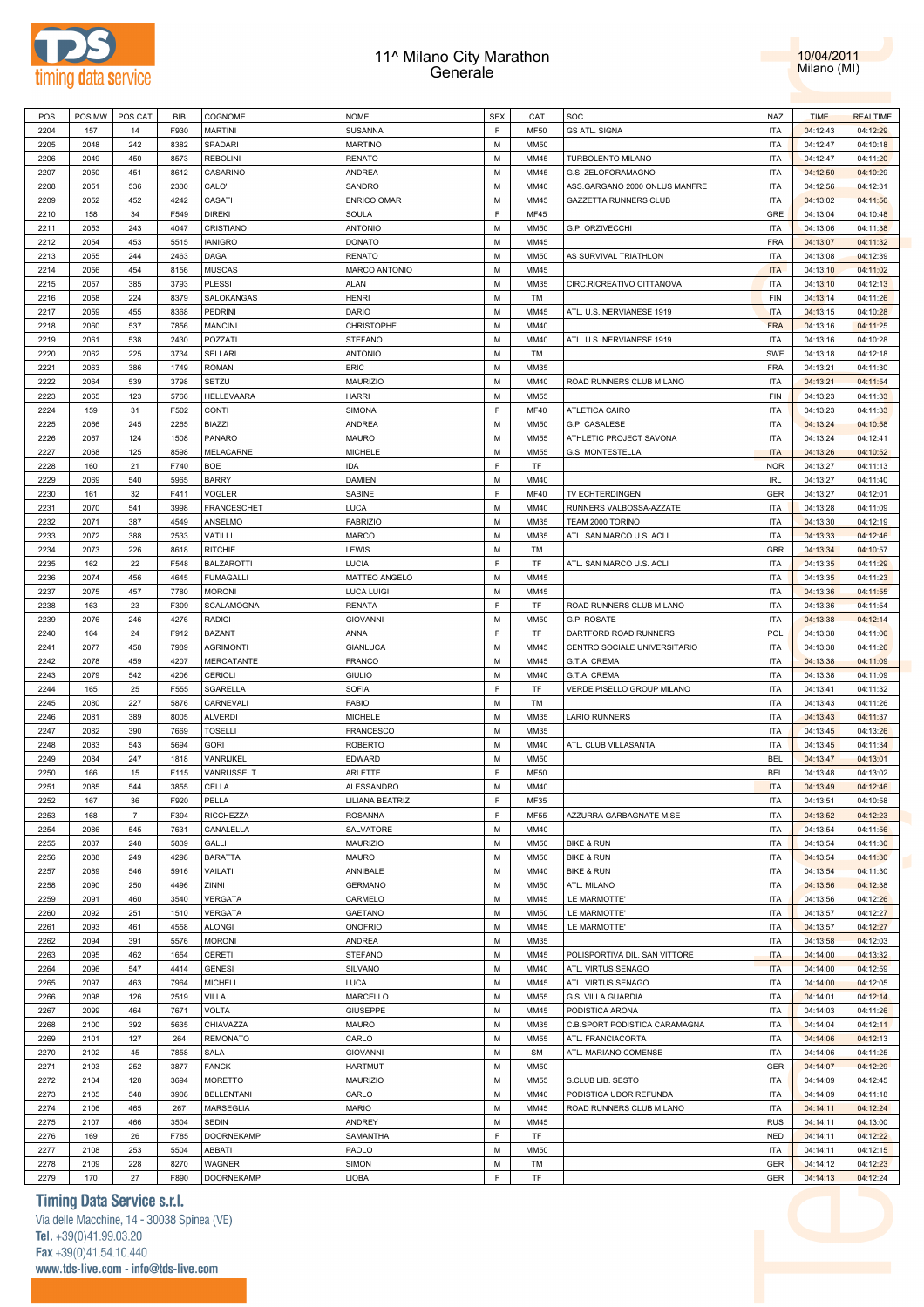



| POS  | POS MW | POS CAT        | BIB  | COGNOME           | <b>NOME</b>          | <b>SEX</b>  | CAT         | SOC                           | <b>NAZ</b> | <b>TIME</b> | <b>REALTIME</b> |
|------|--------|----------------|------|-------------------|----------------------|-------------|-------------|-------------------------------|------------|-------------|-----------------|
| 2204 | 157    | 14             | F930 | <b>MARTINI</b>    | SUSANNA              | E           | <b>MF50</b> | <b>GS ATL. SIGNA</b>          | <b>ITA</b> | 04:12:43    | 04:12:29        |
| 2205 | 2048   | 242            | 8382 | SPADARI           | <b>MARTINO</b>       | М           | <b>MM50</b> |                               | <b>ITA</b> | 04:12:47    | 04:10:18        |
| 2206 | 2049   | 450            | 8573 | <b>REBOLINI</b>   | <b>RENATO</b>        | M           | MM45        | <b>TURBOLENTO MILANO</b>      | <b>ITA</b> | 04:12:47    | 04:11:20        |
| 2207 | 2050   | 451            | 8612 | CASARINO          | ANDREA               | M           | MM45        | G.S. ZELOFORAMAGNO            | <b>ITA</b> | 04:12:50    | 04:10:29        |
| 2208 | 2051   | 536            | 2330 | CALO'             | SANDRO               | M           | MM40        | ASS.GARGANO 2000 ONLUS MANFRE | <b>ITA</b> | 04:12:56    | 04:12:31        |
|      |        |                |      |                   |                      | M           |             |                               | <b>ITA</b> |             |                 |
| 2209 | 2052   | 452            | 4242 | CASATI            | <b>ENRICO OMAR</b>   |             | MM45        | <b>GAZZETTA RUNNERS CLUB</b>  |            | 04:13:02    | 04:11:56        |
| 2210 | 158    | 34             | F549 | <b>DIREKI</b>     | SOULA                | E           | <b>MF45</b> |                               | GRE        | 04:13:04    | 04:10:48        |
| 2211 | 2053   | 243            | 4047 | CRISTIANO         | <b>ANTONIO</b>       | M           | <b>MM50</b> | G.P. ORZIVECCHI               | <b>ITA</b> | 04:13:06    | 04:11:38        |
| 2212 | 2054   | 453            | 5515 | <b>IANIGRO</b>    | <b>DONATO</b>        | M           | MM45        |                               | <b>FRA</b> | 04:13:07    | 04:11:32        |
| 2213 | 2055   | 244            | 2463 | DAGA              | <b>RENATO</b>        | M           | <b>MM50</b> | AS SURVIVAL TRIATHLON         | <b>ITA</b> | 04:13:08    | 04:12:39        |
| 2214 | 2056   | 454            | 8156 | <b>MUSCAS</b>     | <b>MARCO ANTONIO</b> | M           | MM45        |                               | <b>ITA</b> | 04:13:10    | 04:11:02        |
| 2215 | 2057   | 385            | 3793 | <b>PLESSI</b>     | ALAN                 | M           | MM35        | CIRC.RICREATIVO CITTANOVA     | <b>ITA</b> | 04:13:10    | 04:12:13        |
| 2216 | 2058   | 224            | 8379 | SALOKANGAS        | HENRI                | M           | TM          |                               | <b>FIN</b> | 04:13:14    | 04:11:26        |
| 2217 | 2059   | 455            | 8368 | <b>PEDRINI</b>    | DARIO                | M           | MM45        | ATL. U.S. NERVIANESE 1919     | <b>ITA</b> | 04:13:15    | 04:10:28        |
| 2218 | 2060   | 537            | 7856 | <b>MANCINI</b>    | <b>CHRISTOPHE</b>    | M           | MM40        |                               | <b>FRA</b> | 04:13:16    | 04:11:25        |
| 2219 | 2061   | 538            | 2430 | POZZATI           | <b>STEFANO</b>       | M           | MM40        | ATL. U.S. NERVIANESE 1919     | <b>ITA</b> | 04:13:16    | 04:10:28        |
| 2220 | 2062   | 225            | 3734 | <b>SELLARI</b>    | <b>ANTONIO</b>       | M           | TM          |                               | SWE        | 04:13:18    | 04:12:18        |
| 2221 | 2063   | 386            | 1749 | <b>ROMAN</b>      | <b>ERIC</b>          | M           | MM35        |                               | FRA        | 04:13:21    | 04:11:30        |
| 2222 | 2064   | 539            | 3798 | SETZU             | <b>MAURIZIO</b>      | M           | MM40        | ROAD RUNNERS CLUB MILANO      | <b>ITA</b> | 04:13:21    | 04:11:54        |
| 2223 | 2065   | 123            | 5766 | HELLEVAARA        | <b>HARRI</b>         | M           | MM55        |                               | <b>FIN</b> | 04:13:23    | 04:11:33        |
| 2224 | 159    | 31             | F502 | CONTI             | SIMONA               | $\mathsf F$ | MF40        | ATLETICA CAIRO                | <b>ITA</b> | 04:13:23    | 04:11:33        |
| 2225 | 2066   | 245            | 2265 | BIAZZI            | <b>ANDREA</b>        | M           | <b>MM50</b> | G.P. CASALESE                 | <b>ITA</b> | 04:13:24    | 04:10:58        |
|      |        |                |      |                   |                      | M           |             |                               |            |             |                 |
| 2226 | 2067   | 124            | 1508 | PANARO            | <b>MAURO</b>         |             | MM55        | ATHLETIC PROJECT SAVONA       | <b>ITA</b> | 04:13:24    | 04:12:41        |
| 2227 | 2068   | 125            | 8598 | MELACARNE         | <b>MICHELE</b>       | M           | MM55        | G.S. MONTESTELLA              | <b>ITA</b> | 04:13:26    | 04:10:52        |
| 2228 | 160    | 21             | F740 | <b>BOE</b>        | IDA                  | F           | TF          |                               | <b>NOR</b> | 04:13:27    | 04:11:13        |
| 2229 | 2069   | 540            | 5965 | <b>BARRY</b>      | <b>DAMIEN</b>        | M           | MM40        |                               | <b>IRL</b> | 04:13:27    | 04:11:40        |
| 2230 | 161    | 32             | F411 | <b>VOGLER</b>     | SABINE               | E           | MF40        | TV ECHTERDINGEN               | GER        | 04:13:27    | 04:12:01        |
| 2231 | 2070   | 541            | 3998 | FRANCESCHET       | LUCA                 | M           | MM40        | RUNNERS VALBOSSA-AZZATE       | <b>ITA</b> | 04:13:28    | 04:11:09        |
| 2232 | 2071   | 387            | 4549 | ANSELMO           | <b>FABRIZIO</b>      | M           | MM35        | TEAM 2000 TORINO              | <b>ITA</b> | 04:13:30    | 04:12:19        |
| 2233 | 2072   | 388            | 2533 | VATILLI           | MARCO                | M           | MM35        | ATL. SAN MARCO U.S. ACLI      | <b>ITA</b> | 04:13:33    | 04:12:46        |
| 2234 | 2073   | 226            | 8618 | <b>RITCHIE</b>    | LEWIS                | M           | TM          |                               | GBR        | 04:13:34    | 04:10:57        |
| 2235 | 162    | 22             | F548 | <b>BALZAROTTI</b> | <b>LUCIA</b>         | E           | TF          | ATL. SAN MARCO U.S. ACLI      | <b>ITA</b> | 04:13:35    | 04:11:29        |
| 2236 | 2074   | 456            | 4645 | <b>FUMAGALLI</b>  | MATTEO ANGELO        | M           | MM45        |                               | <b>ITA</b> | 04:13:35    | 04:11:23        |
| 2237 | 2075   | 457            | 7780 | <b>MORONI</b>     | <b>LUCA LUIGI</b>    | M           | MM45        |                               | <b>ITA</b> | 04:13:36    | 04:11:55        |
| 2238 | 163    | 23             | F309 | SCALAMOGNA        | <b>RENATA</b>        | F           | TF          | ROAD RUNNERS CLUB MILANO      | <b>ITA</b> | 04:13:36    | 04:11:54        |
| 2239 | 2076   | 246            | 4276 | <b>RADICI</b>     | <b>GIOVANNI</b>      | M           | <b>MM50</b> | G.P. ROSATE                   | <b>ITA</b> | 04:13:38    | 04:12:14        |
| 2240 | 164    | 24             | F912 | <b>BAZANT</b>     | ANNA                 | F           | TF          | DARTFORD ROAD RUNNERS         | <b>POL</b> | 04:13:38    | 04:11:06        |
| 2241 | 2077   | 458            | 7989 | <b>AGRIMONTI</b>  | <b>GIANLUCA</b>      | M           | MM45        | CENTRO SOCIALE UNIVERSITARIO  | <b>ITA</b> | 04:13:38    | 04:11:26        |
|      | 2078   |                |      |                   |                      | M           | MM45        |                               | <b>ITA</b> |             |                 |
| 2242 |        | 459            | 4207 | MERCATANTE        | <b>FRANCO</b>        |             |             | G.T.A. CREMA                  |            | 04:13:38    | 04:11:09        |
| 2243 | 2079   | 542            | 4206 | CERIOLI           | <b>GIULIO</b>        | M           | MM40        | G.T.A. CREMA                  | <b>ITA</b> | 04:13:38    | 04:11:09        |
| 2244 | 165    | 25             | F555 | SGARELLA          | SOFIA                | E           | TF          | VERDE PISELLO GROUP MILANO    | <b>ITA</b> | 04:13:41    | 04:11:32        |
| 2245 | 2080   | 227            | 5876 | CARNEVALI         | FABIO                | М           | TM          |                               | <b>ITA</b> | 04:13:43    | 04:11:26        |
| 2246 | 2081   | 389            | 8005 | <b>ALVERDI</b>    | <b>MICHELE</b>       | M           | MM35        | <b>LARIO RUNNERS</b>          | <b>ITA</b> | 04:13:43    | 04:11:37        |
| 2247 | 2082   | 390            | 7669 | <b>TOSELLI</b>    | <b>FRANCESCO</b>     | M           | MM35        |                               | <b>ITA</b> | 04:13:45    | 04:13:26        |
| 2248 | 2083   | 543            | 5694 | <b>GORI</b>       | <b>ROBERTO</b>       | M           | MM40        | ATL. CLUB VILLASANTA          | <b>ITA</b> | 04:13:45    | 04:11:34        |
| 2249 | 2084   | 247            | 1818 | VANRIJKEL         | <b>EDWARD</b>        | M           | <b>MM50</b> |                               | <b>BEL</b> | 04:13:47    | 04:13:01        |
| 2250 | 166    | 15             | F115 | VANRUSSELT        | ARLETTE              | F           | <b>MF50</b> |                               | <b>BEL</b> | 04:13:48    | 04:13:02        |
| 2251 | 2085   | 544            | 3855 | CELLA             | <b>ALESSANDRO</b>    | M           | MM40        |                               | <b>ITA</b> | 04:13:49    | 04:12:46        |
| 2252 | 167    | 36             | F920 | PELLA             | LILIANA BEATRIZ      | F           | MF35        |                               | <b>ITA</b> | 04:13:51    | 04:10:58        |
| 2253 | 168    | $\overline{7}$ | F394 | <b>RICCHEZZA</b>  | <b>ROSANNA</b>       | F           | MF55        | AZZURRA GARBAGNATE M.SE       | <b>ITA</b> | 04:13:52    | 04:12:23        |
| 2254 | 2086   | 545            | 7631 | CANALELLA         | SALVATORE            | M           | MM40        |                               | <b>ITA</b> | 04:13:54    | 04:11:56        |
| 2255 | 2087   | 248            | 5839 | GALLI             | <b>MAURIZIO</b>      | M           | <b>MM50</b> | <b>BIKE &amp; RUN</b>         | <b>ITA</b> | 04:13:54    | 04:11:30        |
| 2256 | 2088   | 249            | 4298 | <b>BARATTA</b>    | <b>MAURO</b>         | M           | <b>MM50</b> | <b>BIKE &amp; RUN</b>         | <b>ITA</b> | 04:13:54    | 04:11:30        |
| 2257 | 2089   | 546            | 5916 | VAILATI           | ANNIBALE             | M           | MM40        | <b>BIKE &amp; RUN</b>         | <b>ITA</b> | 04:13:54    | 04:11:30        |
| 2258 | 2090   | 250            | 4496 | ZINNI             | <b>GERMANO</b>       | M           | <b>MM50</b> | ATL. MILANO                   | <b>ITA</b> | 04:13:56    | 04:12:38        |
| 2259 | 2091   | 460            | 3540 | <b>VERGATA</b>    | CARMELO              | M           | MM45        | 'LE MARMOTTE'                 | <b>ITA</b> | 04:13:56    | 04:12:26        |
|      |        |                |      | <b>VERGATA</b>    |                      | M           |             | 'LE MARMOTTE'                 |            |             |                 |
| 2260 | 2092   | 251            | 1510 |                   | <b>GAETANO</b>       |             | <b>MM50</b> |                               | <b>ITA</b> | 04:13:57    | 04:12:27        |
| 2261 | 2093   | 461            | 4558 | <b>ALONGI</b>     | <b>ONOFRIO</b>       | M           | MM45        | 'LE MARMOTTE'                 | <b>ITA</b> | 04:13:57    | 04:12:27        |
| 2262 | 2094   | 391            | 5576 | <b>MORONI</b>     | ANDREA               | M           | MM35        |                               | <b>ITA</b> | 04:13:58    | 04:12:03        |
| 2263 | 2095   | 462            | 1654 | CERETI            | <b>STEFANO</b>       | M           | MM45        | POLISPORTIVA DIL. SAN VITTORE | <b>ITA</b> | 04:14:00    | 04:13:32        |
| 2264 | 2096   | 547            | 4414 | <b>GENESI</b>     | SILVANO              | M           | MM40        | ATL. VIRTUS SENAGO            | <b>ITA</b> | 04:14:00    | 04:12:59        |
| 2265 | 2097   | 463            | 7964 | <b>MICHELI</b>    | <b>LUCA</b>          | M           | MM45        | ATL. VIRTUS SENAGO            | <b>ITA</b> | 04:14:00    | 04:12:05        |
| 2266 | 2098   | 126            | 2519 | VILLA             | MARCELLO             | M           | <b>MM55</b> | G.S. VILLA GUARDIA            | <b>ITA</b> | 04:14:01    | 04:12:14        |
| 2267 | 2099   | 464            | 7671 | <b>VOLTA</b>      | <b>GIUSEPPE</b>      | M           | MM45        | PODISTICA ARONA               | <b>ITA</b> | 04:14:03    | 04:11:26        |
| 2268 | 2100   | 392            | 5635 | CHIAVAZZA         | <b>MAURO</b>         | M           | MM35        | C.B.SPORT PODISTICA CARAMAGNA | <b>ITA</b> | 04:14:04    | 04:12:11        |
| 2269 | 2101   | 127            | 264  | <b>REMONATO</b>   | CARLO                | M           | <b>MM55</b> | ATL. FRANCIACORTA             | <b>ITA</b> | 04:14:06    | 04:12:13        |
| 2270 | 2102   | 45             | 7858 | <b>SALA</b>       | <b>GIOVANNI</b>      | M           | <b>SM</b>   | ATL. MARIANO COMENSE          | <b>ITA</b> | 04:14:06    | 04:11:25        |
| 2271 | 2103   | 252            | 3877 | <b>FANCK</b>      | <b>HARTMUT</b>       | M           | <b>MM50</b> |                               | <b>GER</b> | 04:14:07    | 04:12:29        |
| 2272 | 2104   | 128            | 3694 | <b>MORETTO</b>    | <b>MAURIZIO</b>      | M           | <b>MM55</b> | S.CLUB LIB. SESTO             | ITA        | 04:14:09    | 04:12:45        |
| 2273 | 2105   | 548            | 3908 | <b>BELLENTANI</b> | CARLO                | M           | MM40        | PODISTICA UDOR REFUNDA        | <b>ITA</b> | 04:14:09    | 04:11:18        |
| 2274 | 2106   | 465            | 267  | <b>MARSEGLIA</b>  | <b>MARIO</b>         | M           | MM45        | ROAD RUNNERS CLUB MILANO      | <b>ITA</b> | 04:14:11    | 04:12:24        |
| 2275 | 2107   | 466            | 3504 | <b>SEDIN</b>      | ANDREY               | M           | MM45        |                               | <b>RUS</b> | 04:14:11    | 04:13:00        |
|      |        |                |      |                   |                      | F           |             |                               |            |             |                 |
| 2276 | 169    | 26             | F785 | <b>DOORNEKAMP</b> | SAMANTHA             |             | TF          |                               | <b>NED</b> | 04:14:11    | 04:12:22        |
| 2277 | 2108   | 253            | 5504 | ABBATI            | PAOLO                | М           | <b>MM50</b> |                               | <b>ITA</b> | 04:14:11    | 04:12:15        |
| 2278 | 2109   | 228            | 8270 | WAGNER            | SIMON                | M           | TM          |                               | <b>GER</b> | 04:14:12    | 04:12:23        |
| 2279 | 170    | 27             | F890 | <b>DOORNEKAMP</b> | <b>LIOBA</b>         | F           | TF          |                               | GER        | 04:14:13    | 04:12:24        |

# **Timing Data Service s.r.l.**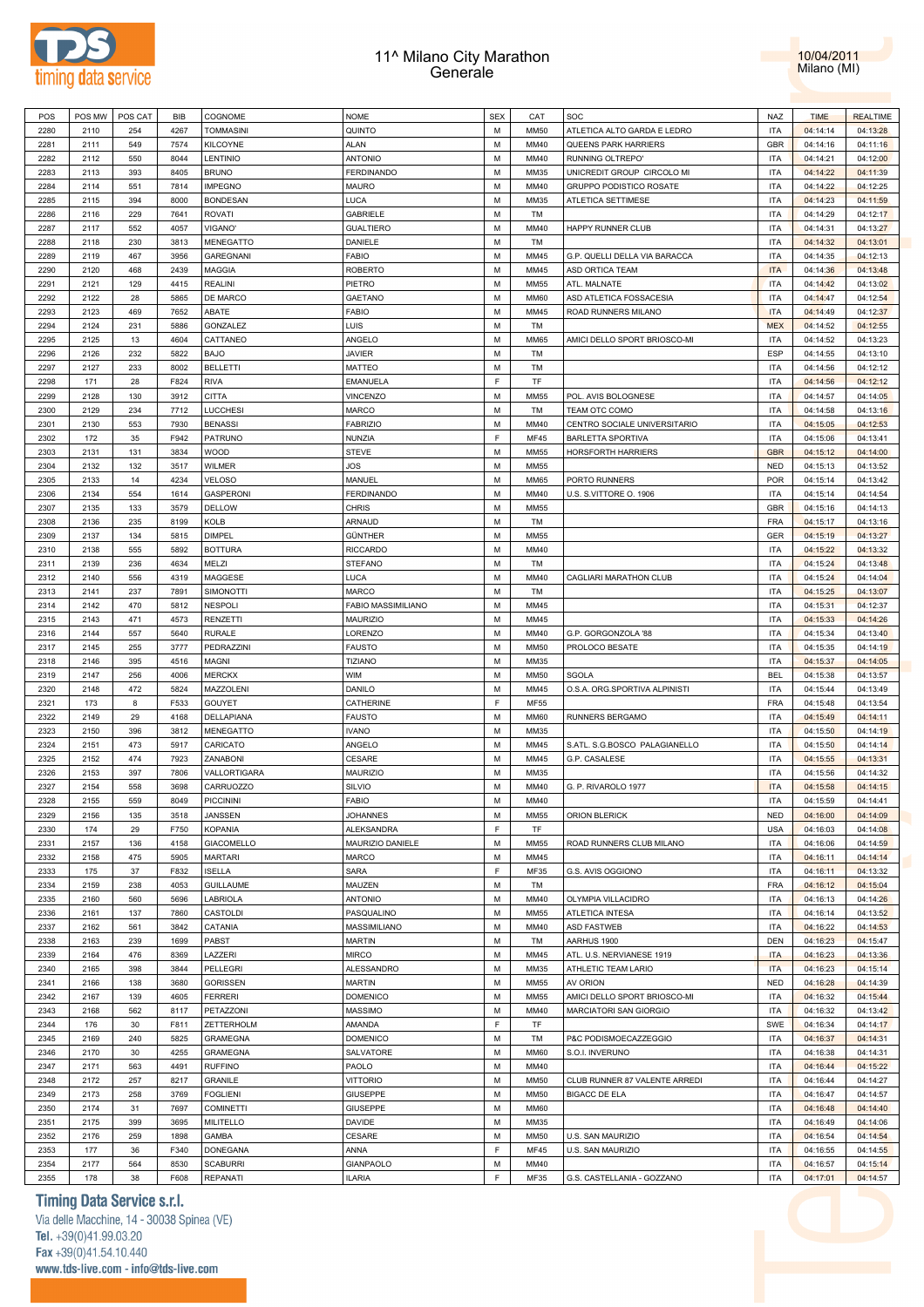



| POS  | POS MW | POS CAT | BIB  | COGNOME           | <b>NOME</b>        | <b>SEX</b> | CAT         | SOC                           | NAZ        | <b>TIME</b> | <b>REALTIME</b> |
|------|--------|---------|------|-------------------|--------------------|------------|-------------|-------------------------------|------------|-------------|-----------------|
| 2280 | 2110   | 254     | 4267 | <b>TOMMASINI</b>  | QUINTO             | M          | <b>MM50</b> | ATLETICA ALTO GARDA E LEDRO   | <b>ITA</b> | 04:14:14    | 04:13:28        |
| 2281 | 2111   | 549     | 7574 | KILCOYNE          | <b>ALAN</b>        | M          | MM40        | QUEENS PARK HARRIERS          | <b>GBR</b> | 04:14:16    | 04:11:16        |
| 2282 |        | 550     | 8044 |                   | <b>ANTONIO</b>     | M          | MM40        | RUNNING OLTREPO'              | <b>ITA</b> |             |                 |
|      | 2112   |         |      | LENTINIO          |                    |            |             |                               |            | 04:14:21    | 04:12:00        |
| 2283 | 2113   | 393     | 8405 | <b>BRUNO</b>      | <b>FERDINANDO</b>  | M          | MM35        | UNICREDIT GROUP CIRCOLO MI    | <b>ITA</b> | 04:14:22    | 04:11:39        |
| 2284 | 2114   | 551     | 7814 | <b>IMPEGNO</b>    | <b>MAURO</b>       | M          | MM40        | GRUPPO PODISTICO ROSATE       | <b>ITA</b> | 04:14:22    | 04:12:25        |
| 2285 | 2115   | 394     | 8000 | <b>BONDESAN</b>   | <b>LUCA</b>        | M          | MM35        | ATLETICA SETTIMESE            | <b>ITA</b> | 04:14:23    | 04:11:59        |
| 2286 | 2116   | 229     | 7641 | <b>ROVATI</b>     | GABRIELE           | M          | TM          |                               | <b>ITA</b> | 04:14:29    | 04:12:17        |
| 2287 | 2117   | 552     | 4057 | VIGANO'           | <b>GUALTIERO</b>   | M          | MM40        | HAPPY RUNNER CLUB             | <b>ITA</b> | 04:14:31    | 04:13:27        |
| 2288 | 2118   | 230     | 3813 | MENEGATTO         | DANIELE            | M          | TM          |                               | <b>ITA</b> | 04:14:32    | 04:13:01        |
|      |        |         |      |                   |                    |            |             |                               |            |             |                 |
| 2289 | 2119   | 467     | 3956 | <b>GAREGNANI</b>  | <b>FABIO</b>       | M          | MM45        | G.P. QUELLI DELLA VIA BARACCA | <b>ITA</b> | 04:14:35    | 04:12:13        |
| 2290 | 2120   | 468     | 2439 | MAGGIA            | <b>ROBERTO</b>     | M          | MM45        | ASD ORTICA TEAM               | <b>ITA</b> | 04:14:36    | 04:13:48        |
| 2291 | 2121   | 129     | 4415 | <b>REALINI</b>    | PIETRO             | M          | <b>MM55</b> | ATL. MALNATE                  | <b>ITA</b> | 04:14:42    | 04:13:02        |
| 2292 | 2122   | 28      | 5865 | <b>DE MARCO</b>   | GAETANO            | M          | <b>MM60</b> | ASD ATLETICA FOSSACESIA       | <b>ITA</b> | 04:14:47    | 04:12:54        |
| 2293 | 2123   | 469     | 7652 | ABATE             | <b>FABIO</b>       | M          | MM45        | ROAD RUNNERS MILANO           | <b>ITA</b> | 04:14:49    | 04:12:37        |
| 2294 | 2124   | 231     | 5886 | GONZALEZ          | LUIS               | M          | TM          |                               | <b>MEX</b> | 04:14:52    | 04:12:55        |
| 2295 | 2125   | 13      | 4604 | CATTANEO          | ANGELO             | M          | <b>MM65</b> | AMICI DELLO SPORT BRIOSCO-MI  | <b>ITA</b> | 04:14:52    | 04:13:23        |
|      |        |         |      |                   |                    | M          |             |                               |            |             |                 |
| 2296 | 2126   | 232     | 5822 | <b>BAJO</b>       | <b>JAVIER</b>      |            | TM          |                               | ESP        | 04:14:55    | 04:13:10        |
| 2297 | 2127   | 233     | 8002 | <b>BELLETTI</b>   | MATTEO             | М          | TM          |                               | <b>ITA</b> | 04:14:56    | 04:12:12        |
| 2298 | 171    | 28      | F824 | <b>RIVA</b>       | EMANUELA           | F          | TF          |                               | <b>ITA</b> | 04:14:56    | 04:12:12        |
| 2299 | 2128   | 130     | 3912 | <b>CITTA</b>      | VINCENZO           | M          | <b>MM55</b> | POL. AVIS BOLOGNESE           | <b>ITA</b> | 04:14:57    | 04:14:05        |
| 2300 | 2129   | 234     | 7712 | LUCCHESI          | MARCO              | M          | TM          | TEAM OTC COMO                 | <b>ITA</b> | 04:14:58    | 04:13:16        |
| 2301 | 2130   | 553     | 7930 | <b>BENASSI</b>    | <b>FABRIZIO</b>    | M          | MM40        | CENTRO SOCIALE UNIVERSITARIO  | <b>ITA</b> | 04:15:05    | 04:12:53        |
| 2302 | 172    | 35      | F942 | PATRUNO           | NUNZIA             | F          | <b>MF45</b> | <b>BARLETTA SPORTIVA</b>      | <b>ITA</b> | 04:15:06    | 04:13:41        |
|      |        |         |      |                   |                    | M          |             |                               | <b>GBR</b> |             |                 |
| 2303 | 2131   | 131     | 3834 | WOOD              | <b>STEVE</b>       |            | MM55        | HORSFORTH HARRIERS            |            | 04:15:12    | 04:14:00        |
| 2304 | 2132   | 132     | 3517 | <b>WILMER</b>     | JOS                | M          | MM55        |                               | <b>NED</b> | 04:15:13    | 04:13:52        |
| 2305 | 2133   | 14      | 4234 | <b>VELOSO</b>     | MANUEL             | M          | <b>MM65</b> | PORTO RUNNERS                 | <b>POR</b> | 04:15:14    | 04:13:42        |
| 2306 | 2134   | 554     | 1614 | <b>GASPERONI</b>  | <b>FERDINANDO</b>  | M          | MM40        | U.S. S.VITTORE O. 1906        | <b>ITA</b> | 04:15:14    | 04:14:54        |
| 2307 | 2135   | 133     | 3579 | <b>DELLOW</b>     | <b>CHRIS</b>       | M          | <b>MM55</b> |                               | <b>GBR</b> | 04:15:16    | 04:14:13        |
| 2308 | 2136   | 235     | 8199 | KOLB              | ARNAUD             | M          | TM          |                               | FRA        | 04:15:17    | 04:13:16        |
| 2309 | 2137   | 134     | 5815 | <b>DIMPEL</b>     | GÜNTHER            | M          | <b>MM55</b> |                               | <b>GER</b> | 04:15:19    | 04:13:27        |
|      |        |         |      |                   |                    |            |             |                               |            |             |                 |
| 2310 | 2138   | 555     | 5892 | <b>BOTTURA</b>    | <b>RICCARDO</b>    | M          | MM40        |                               | <b>ITA</b> | 04:15:22    | 04:13:32        |
| 2311 | 2139   | 236     | 4634 | MELZI             | <b>STEFANO</b>     | M          | TM          |                               | <b>ITA</b> | 04:15:24    | 04:13:48        |
| 2312 | 2140   | 556     | 4319 | MAGGESE           | LUCA               | M          | MM40        | CAGLIARI MARATHON CLUB        | <b>ITA</b> | 04:15:24    | 04:14:04        |
| 2313 | 2141   | 237     | 7891 | <b>SIMONOTTI</b>  | <b>MARCO</b>       | M          | TM          |                               | <b>ITA</b> | 04:15:25    | 04:13:07        |
| 2314 | 2142   | 470     | 5812 | <b>NESPOLI</b>    | FABIO MASSIMILIANO | M          | MM45        |                               | <b>ITA</b> | 04:15:31    | 04:12:37        |
| 2315 | 2143   | 471     | 4573 | RENZETTI          | MAURIZIO           | M          | MM45        |                               | <b>ITA</b> | 04:15:33    | 04:14:26        |
| 2316 | 2144   | 557     | 5640 | <b>RURALE</b>     | LORENZO            | M          | MM40        | G.P. GORGONZOLA '88           | <b>ITA</b> | 04:15:34    | 04:13:40        |
|      |        |         |      |                   |                    |            |             |                               |            |             |                 |
| 2317 | 2145   | 255     | 3777 | PEDRAZZINI        | <b>FAUSTO</b>      | M          | <b>MM50</b> | PROLOCO BESATE                | <b>ITA</b> | 04:15:35    | 04:14:19        |
| 2318 | 2146   | 395     | 4516 | MAGNI             | <b>TIZIANO</b>     | M          | MM35        |                               | <b>ITA</b> | 04:15:37    | 04:14:05        |
| 2319 | 2147   | 256     | 4006 | <b>MERCKX</b>     | <b>WIM</b>         | M          | <b>MM50</b> | SGOLA                         | <b>BEL</b> | 04:15:38    | 04:13:57        |
| 2320 | 2148   | 472     | 5824 | MAZZOLENI         | DANILO             | M          | MM45        | O.S.A. ORG.SPORTIVA ALPINISTI | <b>ITA</b> | 04:15:44    | 04:13:49        |
| 2321 | 173    | 8       | F533 | GOUYET            | CATHERINE          | F          | <b>MF55</b> |                               | FRA        | 04:15:48    | 04:13:54        |
| 2322 | 2149   | 29      | 4168 | DELLAPIANA        | <b>FAUSTO</b>      | M          | <b>MM60</b> | RUNNERS BERGAMO               | <b>ITA</b> | 04:15:49    | 04:14:11        |
| 2323 | 2150   | 396     | 3812 | MENEGATTO         | <b>IVANO</b>       | M          | MM35        |                               | <b>ITA</b> | 04:15:50    | 04:14:19        |
|      |        |         |      |                   |                    |            |             |                               |            |             |                 |
| 2324 | 2151   | 473     | 5917 | CARICATO          | ANGELO             | M          | MM45        | S.ATL. S.G.BOSCO PALAGIANELLO | <b>ITA</b> | 04:15:50    | 04:14:14        |
| 2325 | 2152   | 474     | 7923 | ZANABONI          | CESARE             | M          | MM45        | G.P. CASALESE                 | <b>ITA</b> | 04:15:55    | 04:13:31        |
| 2326 | 2153   | 397     | 7806 | VALLORTIGARA      | MAURIZIO           | M          | MM35        |                               | <b>ITA</b> | 04:15:56    | 04:14:32        |
| 2327 | 2154   | 558     | 3698 | CARRUOZZO         | SILVIO             | М          | MM40        | G. P. RIVAROLO 1977           | <b>ITA</b> | 04:15:58    | 04:14:15        |
| 2328 | 2155   | 559     | 8049 | <b>PICCININI</b>  | <b>FABIO</b>       | М          | MM40        |                               | <b>ITA</b> | 04:15:59    | 04:14:41        |
| 2329 | 2156   | 135     | 3518 | JANSSEN           | <b>JOHANNES</b>    | M          | MM55        | ORION BLERICK                 | <b>NED</b> | 04:16:00    | 04:14:09        |
| 2330 | 174    | 29      | F750 | <b>KOPANIA</b>    | <b>ALEKSANDRA</b>  | F          | TF          |                               | <b>USA</b> |             |                 |
|      |        |         |      |                   |                    |            |             |                               |            | 04:16:03    | 04:14:08        |
| 2331 | 2157   | 136     | 4158 | <b>GIACOMELLO</b> | MAURIZIO DANIELE   | M          | <b>MM55</b> | ROAD RUNNERS CLUB MILANO      | <b>ITA</b> | 04:16:06    | 04:14:59        |
| 2332 | 2158   | 475     | 5905 | <b>MARTARI</b>    | <b>MARCO</b>       | М          | MM45        |                               | <b>ITA</b> | 04:16:11    | 04:14:14        |
| 2333 | 175    | 37      | F832 | <b>ISELLA</b>     | SARA               | F          | MF35        | G.S. AVIS OGGIONO             | <b>ITA</b> | 04:16:11    | 04:13:32        |
| 2334 | 2159   | 238     | 4053 | <b>GUILLAUME</b>  | MAUZEN             | М          | TM          |                               | FRA        | 04:16:12    | 04:15:04        |
| 2335 | 2160   | 560     | 5696 | LABRIOLA          | <b>ANTONIO</b>     | М          | MM40        | OLYMPIA VILLACIDRO            | <b>ITA</b> | 04:16:13    | 04:14:26        |
| 2336 | 2161   | 137     | 7860 | CASTOLDI          | PASQUALINO         | М          | <b>MM55</b> | ATLETICA INTESA               | <b>ITA</b> | 04:16:14    | 04:13:52        |
| 2337 | 2162   | 561     | 3842 | CATANIA           | MASSIMILIANO       | М          | MM40        | <b>ASD FASTWEB</b>            | <b>ITA</b> | 04:16:22    | 04:14:53        |
|      |        |         |      |                   |                    |            |             |                               |            |             |                 |
| 2338 | 2163   | 239     | 1699 | PABST             | <b>MARTIN</b>      | М          | TM          | AARHUS 1900                   | <b>DEN</b> | 04:16:23    | 04:15:47        |
| 2339 | 2164   | 476     | 8369 | LAZZERI           | MIRCO              | М          | MM45        | ATL. U.S. NERVIANESE 1919     | <b>ITA</b> | 04:16:23    | 04:13:36        |
| 2340 | 2165   | 398     | 3844 | PELLEGRI          | ALESSANDRO         | М          | MM35        | ATHLETIC TEAM LARIO           | <b>ITA</b> | 04:16:23    | 04:15:14        |
| 2341 | 2166   | 138     | 3680 | <b>GORISSEN</b>   | <b>MARTIN</b>      | М          | MM55        | AV ORION                      | <b>NED</b> | 04:16:28    | 04:14:39        |
| 2342 | 2167   | 139     | 4605 | <b>FERRERI</b>    | <b>DOMENICO</b>    | M          | <b>MM55</b> | AMICI DELLO SPORT BRIOSCO-MI  | <b>ITA</b> | 04:16:32    | 04:15:44        |
| 2343 | 2168   | 562     | 8117 | PETAZZONI         | <b>MASSIMO</b>     | М          | MM40        | MARCIATORI SAN GIORGIO        | <b>ITA</b> | 04:16:32    | 04:13:42        |
|      |        |         |      |                   |                    | F          |             |                               |            |             |                 |
| 2344 | 176    | 30      | F811 | ZETTERHOLM        | AMANDA             |            | TF          |                               | SWE        | 04:16:34    | 04:14:17        |
| 2345 | 2169   | 240     | 5825 | <b>GRAMEGNA</b>   | <b>DOMENICO</b>    | M          | TM          | P&C PODISMOECAZZEGGIO         | <b>ITA</b> | 04:16:37    | 04:14:31        |
| 2346 | 2170   | 30      | 4255 | <b>GRAMEGNA</b>   | SALVATORE          | M          | <b>MM60</b> | S.O.I. INVERUNO               | <b>ITA</b> | 04:16:38    | 04:14:31        |
| 2347 | 2171   | 563     | 4491 | <b>RUFFINO</b>    | PAOLO              | M          | MM40        |                               | <b>ITA</b> | 04:16:44    | 04:15:22        |
| 2348 | 2172   | 257     | 8217 | GRANILE           | <b>VITTORIO</b>    | M          | <b>MM50</b> | CLUB RUNNER 87 VALENTE ARREDI | <b>ITA</b> | 04:16:44    | 04:14:27        |
| 2349 | 2173   | 258     | 3769 | <b>FOGLIENI</b>   | <b>GIUSEPPE</b>    | M          | <b>MM50</b> | <b>BIGACC DE ELA</b>          | <b>ITA</b> | 04:16:47    | 04:14:57        |
| 2350 | 2174   | 31      | 7697 | <b>COMINETTI</b>  | <b>GIUSEPPE</b>    | M          | <b>MM60</b> |                               | <b>ITA</b> | 04:16:48    | 04:14:40        |
|      |        |         |      |                   |                    |            |             |                               |            |             |                 |
| 2351 | 2175   | 399     | 3695 | MILITELLO         | DAVIDE             | M          | MM35        |                               | <b>ITA</b> | 04:16:49    | 04:14:06        |
| 2352 | 2176   | 259     | 1898 | GAMBA             | CESARE             | М          | MM50        | U.S. SAN MAURIZIO             | <b>ITA</b> | 04:16:54    | 04:14:54        |
| 2353 | 177    | 36      | F340 | DONEGANA          | ANNA               | F          | <b>MF45</b> | U.S. SAN MAURIZIO             | <b>ITA</b> | 04:16:55    | 04:14:55        |
| 2354 | 2177   | 564     | 8530 | <b>SCABURRI</b>   | GIANPAOLO          | М          | MM40        |                               | <b>ITA</b> | 04:16:57    | 04:15:14        |
| 2355 | 178    | 38      | F608 | REPANATI          | <b>ILARIA</b>      | F          | MF35        | G.S. CASTELLANIA - GOZZANO    | <b>ITA</b> | 04:17:01    | 04:14:57        |
|      |        |         |      |                   |                    |            |             |                               |            |             |                 |

# **Timing Data Service s.r.l.**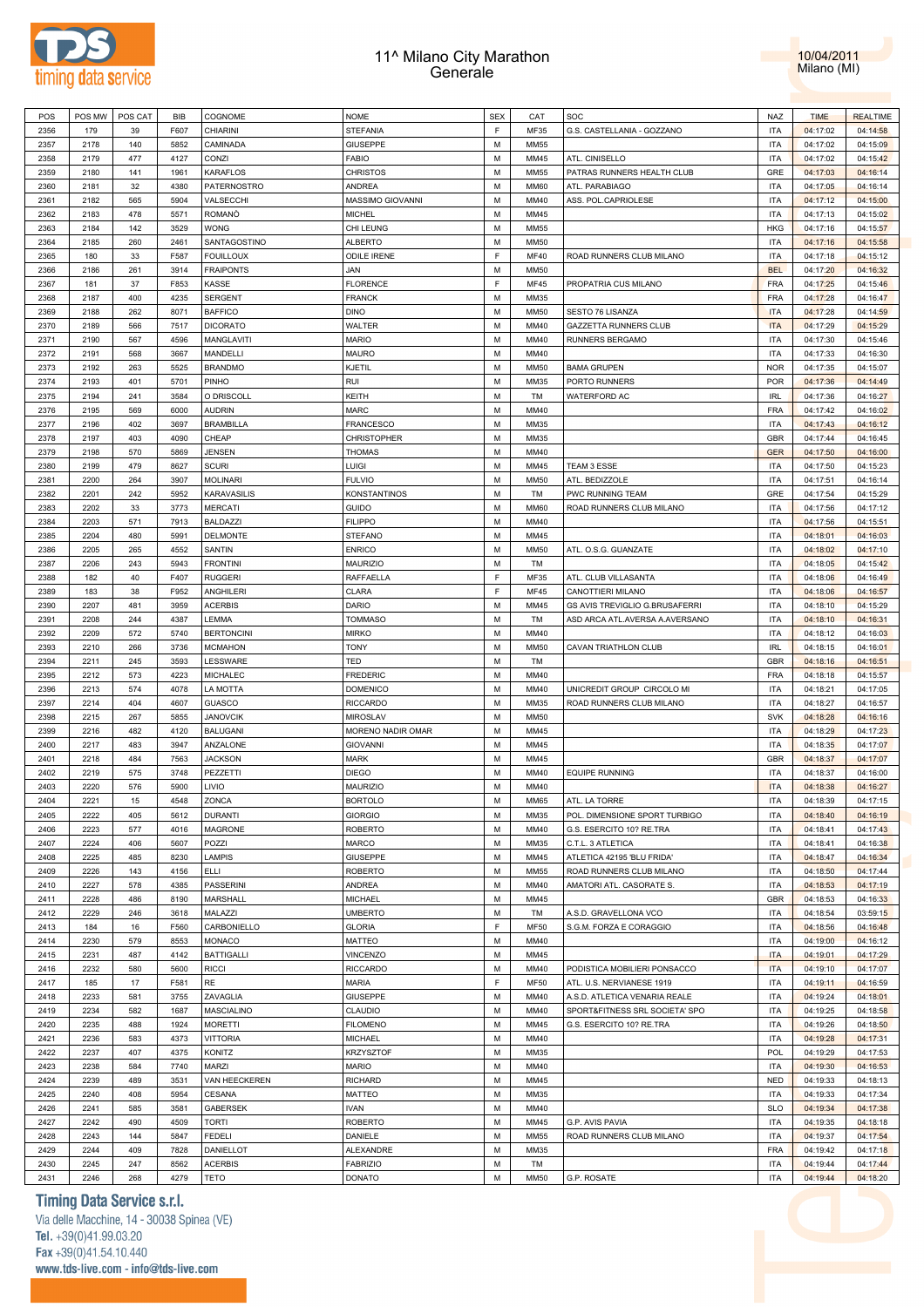



| POS  | POS MW | POS CAT | <b>BIB</b> | COGNOME            | <b>NOME</b>        | <b>SEX</b> | CAT         | SOC                            | <b>NAZ</b> | <b>TIME</b> | <b>REALTIME</b> |  |
|------|--------|---------|------------|--------------------|--------------------|------------|-------------|--------------------------------|------------|-------------|-----------------|--|
| 2356 | 179    | 39      | F607       | <b>CHIARINI</b>    | STEFANIA           | F.         | MF35        | G.S. CASTELLANIA - GOZZANO     | <b>ITA</b> | 04:17:02    | 04:14:58        |  |
| 2357 | 2178   | 140     | 5852       | CAMINADA           | GIUSEPPE           | M          | <b>MM55</b> |                                | <b>ITA</b> | 04:17:02    | 04:15:09        |  |
| 2358 | 2179   | 477     | 4127       | CONZI              | FABIO              | M          | MM45        | ATL. CINISELLO                 | <b>ITA</b> | 04:17:02    | 04:15:42        |  |
| 2359 | 2180   | 141     | 1961       | KARAFLOS           |                    | М          | <b>MM55</b> | PATRAS RUNNERS HEALTH CLUB     | GRE        | 04:17:03    | 04:16:14        |  |
|      |        |         |            |                    | CHRISTOS           |            |             |                                |            |             |                 |  |
| 2360 | 2181   | 32      | 4380       | PATERNOSTRO        | ANDREA             | M          | <b>MM60</b> | ATL. PARABIAGO                 | <b>ITA</b> | 04:17:05    | 04:16:14        |  |
| 2361 | 2182   | 565     | 5904       | VALSECCHI          | MASSIMO GIOVANNI   | M          | MM40        | ASS. POL.CAPRIOLESE            | <b>ITA</b> | 04:17:12    | 04:15:00        |  |
| 2362 | 2183   | 478     | 5571       | <b>ROMANO</b>      | MICHEL             | M          | MM45        |                                | <b>ITA</b> | 04:17:13    | 04:15:02        |  |
| 2363 | 2184   | 142     | 3529       | <b>WONG</b>        | CHI LEUNG          | M          | MM55        |                                | <b>HKG</b> | 04:17:16    | 04:15:57        |  |
| 2364 | 2185   | 260     | 2461       | SANTAGOSTINO       | <b>ALBERTO</b>     | M          | MM50        |                                | <b>ITA</b> | 04:17:16    | 04:15:58        |  |
| 2365 | 180    | 33      | F587       | <b>FOUILLOUX</b>   | <b>ODILE IRENE</b> | E          | <b>MF40</b> | ROAD RUNNERS CLUB MILANO       | <b>ITA</b> | 04:17:18    | 04:15:12        |  |
| 2366 | 2186   | 261     | 3914       | <b>FRAIPONTS</b>   | JAN                | M          | MM50        |                                | <b>BEL</b> | 04:17:20    | 04:16:32        |  |
| 2367 | 181    | 37      | F853       | KASSE              | <b>FLORENCE</b>    | E          | <b>MF45</b> | PROPATRIA CUS MILANO           | <b>FRA</b> | 04:17:25    | 04:15:46        |  |
| 2368 | 2187   | 400     | 4235       | <b>SERGENT</b>     | <b>FRANCK</b>      | M          | MM35        |                                | <b>FRA</b> | 04:17:28    | 04:16:47        |  |
| 2369 | 2188   | 262     | 8071       | <b>BAFFICO</b>     | DINO               | M          | <b>MM50</b> | SESTO 76 LISANZA               | <b>ITA</b> | 04:17:28    | 04:14:59        |  |
|      |        |         |            |                    |                    |            |             |                                |            |             |                 |  |
| 2370 | 2189   | 566     | 7517       | <b>DICORATO</b>    | WALTER             | M          | MM40        | <b>GAZZETTA RUNNERS CLUB</b>   | <b>ITA</b> | 04:17:29    | 04:15:29        |  |
| 2371 | 2190   | 567     | 4596       | MANGLAVITI         | <b>MARIO</b>       | М          | MM40        | RUNNERS BERGAMO                | <b>ITA</b> | 04:17:30    | 04:15:46        |  |
| 2372 | 2191   | 568     | 3667       | MANDELLI           | MAURO              | M          | MM40        |                                | <b>ITA</b> | 04:17:33    | 04:16:30        |  |
| 2373 | 2192   | 263     | 5525       | <b>BRANDMO</b>     | KJETIL             | M          | <b>MM50</b> | <b>BAMA GRUPEN</b>             | <b>NOR</b> | 04:17:35    | 04:15:07        |  |
| 2374 | 2193   | 401     | 5701       | PINHO              | rui                | M          | MM35        | PORTO RUNNERS                  | <b>POR</b> | 04:17:36    | 04:14:49        |  |
| 2375 | 2194   | 241     | 3584       | O DRISCOLL         | KEITH              | М          | TM          | WATERFORD AC                   | <b>IRL</b> | 04:17:36    | 04:16:27        |  |
| 2376 | 2195   | 569     | 6000       | <b>AUDRIN</b>      | MARC               | M          | MM40        |                                | <b>FRA</b> | 04:17:42    | 04:16:02        |  |
| 2377 | 2196   | 402     | 3697       | <b>BRAMBILLA</b>   | FRANCESCO          | М          | MM35        |                                | <b>ITA</b> | 04:17:43    | 04:16:12        |  |
| 2378 | 2197   | 403     | 4090       | CHEAP              | <b>CHRISTOPHER</b> | M          | MM35        |                                | <b>GBR</b> |             | 04:16:45        |  |
|      |        |         |            |                    |                    |            |             |                                |            | 04:17:44    |                 |  |
| 2379 | 2198   | 570     | 5869       | <b>JENSEN</b>      | THOMAS             | M          | MM40        |                                | <b>GER</b> | 04:17:50    | 04:16:00        |  |
| 2380 | 2199   | 479     | 8627       | <b>SCURI</b>       | Luigi              | M          | MM45        | TEAM 3 ESSE                    | <b>ITA</b> | 04:17:50    | 04:15:23        |  |
| 2381 | 2200   | 264     | 3907       | <b>MOLINARI</b>    | <b>FULVIO</b>      | M          | <b>MM50</b> | ATL. BEDIZZOLE                 | <b>ITA</b> | 04:17:51    | 04:16:14        |  |
| 2382 | 2201   | 242     | 5952       | <b>KARAVASILIS</b> | KONSTANTINOS       | M          | TM          | PWC RUNNING TEAM               | GRE        | 04:17:54    | 04:15:29        |  |
| 2383 | 2202   | 33      | 3773       | <b>MERCATI</b>     | <b>GUIDO</b>       | М          | <b>MM60</b> | ROAD RUNNERS CLUB MILANO       | <b>ITA</b> | 04:17:56    | 04:17:12        |  |
| 2384 | 2203   | 571     | 7913       | <b>BALDAZZI</b>    | <b>FILIPPO</b>     | M          | MM40        |                                | <b>ITA</b> | 04:17:56    | 04:15:51        |  |
| 2385 | 2204   | 480     | 5991       | DELMONTE           | STEFANO            | M          | MM45        |                                | <b>ITA</b> | 04:18:01    | 04:16:03        |  |
| 2386 | 2205   | 265     | 4552       | SANTIN             | <b>ENRICO</b>      | M          | MM50        | ATL. O.S.G. GUANZATE           | <b>ITA</b> | 04:18:02    | 04:17:10        |  |
| 2387 | 2206   | 243     | 5943       | <b>FRONTINI</b>    | <b>MAURIZIO</b>    | M          | TM          |                                | <b>ITA</b> | 04:18:05    | 04:15:42        |  |
|      |        |         |            |                    |                    | F          |             |                                |            |             |                 |  |
| 2388 | 182    | 40      | F407       | <b>RUGGERI</b>     | RAFFAELLA          |            | MF35        | ATL. CLUB VILLASANTA           | <b>ITA</b> | 04:18:06    | 04:16:49        |  |
| 2389 | 183    | 38      | F952       | ANGHILERI          | CLARA              | F          | <b>MF45</b> | CANOTTIERI MILANO              | <b>ITA</b> | 04:18:06    | 04:16:57        |  |
| 2390 | 2207   | 481     | 3959       | <b>ACERBIS</b>     | DARIO              | M          | MM45        | GS AVIS TREVIGLIO G.BRUSAFERRI | <b>ITA</b> | 04:18:10    | 04:15:29        |  |
| 2391 | 2208   | 244     | 4387       | LEMMA              | TOMMASO            | М          | TM          | ASD ARCA ATL.AVERSA A.AVERSANO | <b>ITA</b> | 04:18:10    | 04:16:31        |  |
| 2392 | 2209   | 572     | 5740       | <b>BERTONCINI</b>  | MIRKO              | M          | MM40        |                                | <b>ITA</b> | 04:18:12    | 04:16:03        |  |
| 2393 | 2210   | 266     | 3736       | <b>MCMAHON</b>     | TONY               | M          | <b>MM50</b> | CAVAN TRIATHLON CLUB           | <b>IRL</b> | 04:18:15    | 04:16:01        |  |
| 2394 | 2211   | 245     | 3593       | LESSWARE           | TED                | M          | TM          |                                | <b>GBR</b> | 04:18:16    | 04:16:51        |  |
| 2395 | 2212   | 573     | 4223       | MICHALEC           | FREDERIC           | M          | MM40        |                                | <b>FRA</b> | 04:18:18    | 04:15:57        |  |
| 2396 | 2213   | 574     | 4078       | LA MOTTA           | DOMENICO           | M          | MM40        | UNICREDIT GROUP CIRCOLO MI     | <b>ITA</b> | 04:18:21    | 04:17:05        |  |
|      |        |         |            |                    |                    |            |             |                                |            | 04:18:27    |                 |  |
| 2397 | 2214   | 404     | 4607       | <b>GUASCO</b>      | RICCARDO           | М          | MM35        | ROAD RUNNERS CLUB MILANO       | <b>ITA</b> |             | 04:16:57        |  |
| 2398 | 2215   | 267     | 5855       | <b>JANOVCIK</b>    | MIROSLAV           | M          | <b>MM50</b> |                                | <b>SVK</b> | 04:18:28    | 04:16:16        |  |
| 2399 | 2216   | 482     | 4120       | <b>BALUGANI</b>    | MORENO NADIR OMAR  | M          | MM45        |                                | <b>ITA</b> | 04:18:29    | 04:17:23        |  |
| 2400 | 2217   | 483     | 3947       | ANZALONE           | <b>GIOVANNI</b>    | M          | MM45        |                                | <b>ITA</b> | 04:18:35    | 04:17:07        |  |
| 2401 | 2218   | 484     | 7563       | <b>JACKSON</b>     | MARK               | M          | MM45        |                                | <b>GBR</b> | 04:18:37    | 04:17:07        |  |
| 2402 | 2219   | 575     | 3748       | PEZZETTI           | DIEGO              | М          | MM40        | <b>EQUIPE RUNNING</b>          | <b>ITA</b> | 04:18:37    | 04:16:00        |  |
| 2403 | 2220   | 576     | 5900       | LIVIO              | MAURIZIO           | M          | MM40        |                                | <b>ITA</b> | 04:18:38    | 04:16:27        |  |
| 2404 | 2221   | 15      | 4548       | ZONCA              | <b>BORTOLO</b>     | M          | MM65        | ATL. LA TORRE                  | <b>ITA</b> | 04:18:39    | 04:17:15        |  |
| 2405 | 2222   | 405     | 5612       | <b>DURANTI</b>     | <b>GIORGIO</b>     | М          | MM35        | POL. DIMENSIONE SPORT TURBIGO  | <b>ITA</b> | 04:18:40    | 04:16:19        |  |
| 2406 | 2223   | 577     | 4016       | <b>MAGRONE</b>     | <b>ROBERTO</b>     | M          | MM40        | G.S. ESERCITO 10? RE.TRA       | <b>ITA</b> |             | 04:17:43        |  |
|      |        |         |            |                    |                    |            |             |                                |            | 04:18:41    |                 |  |
| 2407 | 2224   | 406     | 5607       | POZZI              | MARCO              | M          | MM35        | C.T.L. 3 ATLETICA              | <b>ITA</b> | 04:18:41    | 04:16:38        |  |
| 2408 | 2225   | 485     | 8230       | LAMPIS             | <b>GIUSEPPE</b>    | M          | MM45        | ATLETICA 42195 'BLU FRIDA'     | <b>ITA</b> | 04:18:47    | 04:16:34        |  |
| 2409 | 2226   | 143     | 4156       | <b>ELLI</b>        | ROBERTO            | M          | <b>MM55</b> | ROAD RUNNERS CLUB MILANO       | <b>ITA</b> | 04:18:50    | 04:17:44        |  |
| 2410 | 2227   | 578     | 4385       | PASSERINI          | ANDREA             | М          | MM40        | AMATORI ATL. CASORATE S.       | <b>ITA</b> | 04:18:53    | 04:17:19        |  |
| 2411 | 2228   | 486     | 8190       | MARSHALL           | MICHAEL            | M          | MM45        |                                | <b>GBR</b> | 04:18:53    | 04:16:33        |  |
| 2412 | 2229   | 246     | 3618       | MALAZZI            | <b>UMBERTO</b>     | M          | TM          | A.S.D. GRAVELLONA VCO          | <b>ITA</b> | 04:18:54    | 03:59:15        |  |
| 2413 | 184    | 16      | F560       | CARBONIELLO        | <b>GLORIA</b>      | F          | <b>MF50</b> | S.G.M. FORZA E CORAGGIO        | <b>ITA</b> | 04:18:56    | 04:16:48        |  |
| 2414 | 2230   | 579     | 8553       | <b>MONACO</b>      | MATTEO             | M          | MM40        |                                | <b>ITA</b> | 04:19:00    | 04:16:12        |  |
| 2415 | 2231   | 487     | 4142       | <b>BATTIGALLI</b>  | VINCENZO           | M          | MM45        |                                | <b>ITA</b> | 04:19:01    | 04:17:29        |  |
|      |        |         |            |                    |                    |            |             |                                |            |             |                 |  |
| 2416 | 2232   | 580     | 5600       | <b>RICCI</b>       | <b>RICCARDO</b>    | M          | MM40        | PODISTICA MOBILIERI PONSACCO   | <b>ITA</b> | 04:19:10    | 04:17:07        |  |
| 2417 | 185    | 17      | F581       | RE                 | MARIA              | F          | <b>MF50</b> | ATL. U.S. NERVIANESE 1919      | <b>ITA</b> | 04:19:11    | 04:16:59        |  |
| 2418 | 2233   | 581     | 3755       | ZAVAGLIA           | GIUSEPPE           | M          | MM40        | A.S.D. ATLETICA VENARIA REALE  | <b>ITA</b> | 04:19:24    | 04:18:01        |  |
| 2419 | 2234   | 582     | 1687       | MASCIALINO         | CLAUDIO            | M          | MM40        | SPORT&FITNESS SRL SOCIETA' SPO | <b>ITA</b> | 04:19:25    | 04:18:58        |  |
| 2420 | 2235   | 488     | 1924       | <b>MORETTI</b>     | <b>FILOMENO</b>    | M          | MM45        | G.S. ESERCITO 10? RE.TRA       | <b>ITA</b> | 04:19:26    | 04:18:50        |  |
| 2421 | 2236   | 583     | 4373       | <b>VITTORIA</b>    | MICHAEL            | M          | MM40        |                                | <b>ITA</b> | 04:19:28    | 04:17:31        |  |
| 2422 | 2237   | 407     | 4375       | KONITZ             | <b>KRZYSZTOF</b>   | M          | MM35        |                                | <b>POL</b> | 04:19:29    | 04:17:53        |  |
| 2423 | 2238   | 584     | 7740       | MARZI              | <b>MARIO</b>       | M          | MM40        |                                | <b>ITA</b> | 04:19:30    | 04:16:53        |  |
| 2424 | 2239   | 489     | 3531       | VAN HEECKEREN      | <b>RICHARD</b>     | M          | MM45        |                                | <b>NED</b> | 04:19:33    | 04:18:13        |  |
|      |        |         |            |                    |                    |            |             |                                |            |             |                 |  |
| 2425 | 2240   | 408     | 5954       | CESANA             | MATTEO             | M          | MM35        |                                | <b>ITA</b> | 04:19:33    | 04:17:34        |  |
| 2426 | 2241   | 585     | 3581       | <b>GABERSEK</b>    | IVAN               | M          | MM40        |                                | <b>SLO</b> | 04:19:34    | 04:17:38        |  |
| 2427 | 2242   | 490     | 4509       | <b>TORTI</b>       | <b>ROBERTO</b>     | M          | MM45        | G.P. AVIS PAVIA                | <b>ITA</b> | 04:19:35    | 04:18:18        |  |
| 2428 | 2243   | 144     | 5847       | <b>FEDELI</b>      | DANIELE            | M          | <b>MM55</b> | ROAD RUNNERS CLUB MILANO       | ITA        | 04:19:37    | 04:17:54        |  |
| 2429 | 2244   | 409     | 7828       | DANIELLOT          | <b>ALEXANDRE</b>   | M          | MM35        |                                | <b>FRA</b> | 04:19:42    | 04:17:18        |  |
| 2430 | 2245   | 247     | 8562       | <b>ACERBIS</b>     | <b>FABRIZIO</b>    | M          | TM          |                                | <b>ITA</b> | 04:19:44    | 04:17:44        |  |
| 2431 | 2246   | 268     | 4279       | <b>TETO</b>        | <b>DONATO</b>      | M          | MM50        | G.P. ROSATE                    | <b>ITA</b> | 04:19:44    | 04:18:20        |  |
|      |        |         |            |                    |                    |            |             |                                |            |             |                 |  |

### **Timing Data Service s.r.l.**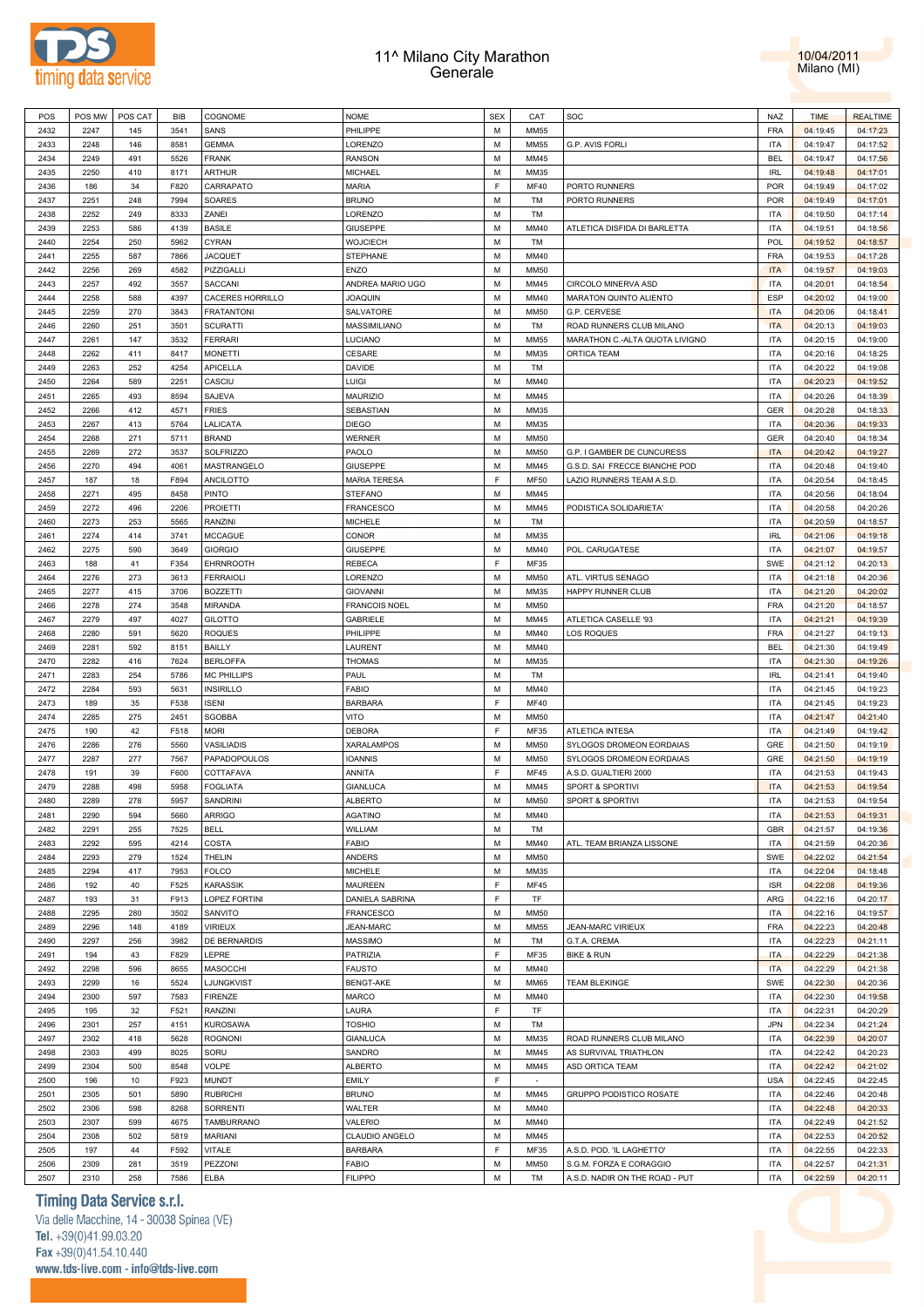



| POS  | POS MW | POS CAT | <b>BIB</b> | COGNOME            | <b>NOME</b>          | <b>SEX</b> | CAT         | SOC                              | NAZ        | <b>TIME</b> | <b>REALTIME</b> |  |
|------|--------|---------|------------|--------------------|----------------------|------------|-------------|----------------------------------|------------|-------------|-----------------|--|
| 2432 | 2247   | 145     | 3541       | SANS               | PHILIPPE             | M          | <b>MM55</b> |                                  | <b>FRA</b> | 04:19:45    | 04:17:23        |  |
| 2433 | 2248   | 146     | 8581       | <b>GEMMA</b>       | LORENZO              | M          | <b>MM55</b> | G.P. AVIS FORLI                  | <b>ITA</b> | 04:19:47    | 04:17:52        |  |
|      |        |         |            |                    |                      |            |             |                                  |            |             |                 |  |
| 2434 | 2249   | 491     | 5526       | <b>FRANK</b>       | RANSON               | M          | MM45        |                                  | <b>BEL</b> | 04:19:47    | 04:17:56        |  |
| 2435 | 2250   | 410     | 8171       | <b>ARTHUR</b>      | MICHAEL              | М          | MM35        |                                  | <b>IRL</b> | 04:19:48    | 04:17:01        |  |
| 2436 | 186    | 34      | F820       | CARRAPATO          | MARIA                | F          | <b>MF40</b> | PORTO RUNNERS                    | <b>POR</b> | 04:19:49    | 04:17:02        |  |
| 2437 | 2251   | 248     | 7994       | SOARES             | <b>BRUNO</b>         | M          | TM          | PORTO RUNNERS                    | <b>POR</b> | 04:19:49    | 04:17:01        |  |
| 2438 | 2252   | 249     | 8333       | ZANEI              | LORENZO              | M          | TM          |                                  | <b>ITA</b> | 04:19:50    | 04:17:14        |  |
| 2439 | 2253   | 586     | 4139       | <b>BASILE</b>      | GIUSEPPE             | М          | MM40        | ATLETICA DISFIDA DI BARLETTA     | <b>ITA</b> | 04:19:51    | 04:18:56        |  |
|      |        |         |            |                    |                      |            |             |                                  |            |             |                 |  |
| 2440 | 2254   | 250     | 5962       | <b>CYRAN</b>       | WOJCIECH             | M          | TM          |                                  | <b>POL</b> | 04:19:52    | 04:18:57        |  |
| 2441 | 2255   | 587     | 7866       | <b>JACQUET</b>     | STEPHANE             | M          | MM40        |                                  | <b>FRA</b> | 04:19:53    | 04:17:28        |  |
| 2442 | 2256   | 269     | 4582       | PIZZIGALLI         | ENZO                 | M          | <b>MM50</b> |                                  | <b>ITA</b> | 04:19:57    | 04:19:03        |  |
| 2443 | 2257   | 492     | 3557       | SACCANI            | ANDREA MARIO UGO     | M          | MM45        | CIRCOLO MINERVA ASD              | <b>ITA</b> | 04:20:01    | 04:18:54        |  |
| 2444 | 2258   | 588     | 4397       | CACERES HORRILLO   | JOAQUIN              | M          | MM40        | MARATON QUINTO ALIENTO           | <b>ESP</b> | 04:20:02    | 04:19:00        |  |
| 2445 | 2259   | 270     | 3843       | <b>FRATANTONI</b>  | SALVATORE            | M          | <b>MM50</b> | G.P. CERVESE                     | <b>ITA</b> | 04:20:06    | 04:18:41        |  |
| 2446 | 2260   | 251     | 3501       |                    |                      | M          | TM          |                                  | <b>ITA</b> |             |                 |  |
|      |        |         |            | <b>SCURATTI</b>    | MASSIMILIANO         |            |             | ROAD RUNNERS CLUB MILANO         |            | 04:20:13    | 04:19:03        |  |
| 2447 | 2261   | 147     | 3532       | <b>FERRARI</b>     | LUCIANO              | М          | MM55        | MARATHON C .- ALTA QUOTA LIVIGNO | <b>ITA</b> | 04:20:15    | 04:19:00        |  |
| 2448 | 2262   | 411     | 8417       | <b>MONETTI</b>     | CESARE               | M          | MM35        | ORTICA TEAM                      | <b>ITA</b> | 04:20:16    | 04:18:25        |  |
| 2449 | 2263   | 252     | 4254       | APICELLA           | DAVIDE               | M          | TM          |                                  | <b>ITA</b> | 04:20:22    | 04:19:08        |  |
| 2450 | 2264   | 589     | 2251       | CASCIU             | Luigi                | M          | MM40        |                                  | <b>ITA</b> | 04:20:23    | 04:19:52        |  |
| 2451 | 2265   | 493     | 8594       | SAJEVA             | MAURIZIO             | M          | MM45        |                                  | <b>ITA</b> | 04:20:26    | 04:18:39        |  |
| 2452 | 2266   | 412     | 4571       | <b>FRIES</b>       | SEBASTIAN            | M          | MM35        |                                  | <b>GER</b> | 04:20:28    | 04:18:33        |  |
|      |        | 413     | 5764       |                    |                      | M          |             |                                  | <b>ITA</b> |             |                 |  |
| 2453 | 2267   |         |            | LALICATA           | DIEGO                |            | MM35        |                                  |            | 04:20:36    | 04:19:33        |  |
| 2454 | 2268   | 271     | 5711       | <b>BRAND</b>       | WERNER               | M          | <b>MM50</b> |                                  | <b>GER</b> | 04:20:40    | 04:18:34        |  |
| 2455 | 2269   | 272     | 3537       | <b>SOLFRIZZO</b>   | PAOLO                | M          | MM50        | G.P. I GAMBER DE CUNCURESS       | <b>ITA</b> | 04:20:42    | 04:19:27        |  |
| 2456 | 2270   | 494     | 4061       | MASTRANGELO        | GIUSEPPE             | M          | MM45        | G.S.D. SAI FRECCE BIANCHE POD    | <b>ITA</b> | 04:20:48    | 04:19:40        |  |
| 2457 | 187    | 18      | F894       | ANCILOTTO          | <b>MARIA TERESA</b>  | E          | <b>MF50</b> | LAZIO RUNNERS TEAM A.S.D.        | <b>ITA</b> | 04:20:54    | 04:18:45        |  |
| 2458 | 2271   | 495     | 8458       | <b>PINTO</b>       | STEFANO              | M          | MM45        |                                  | <b>ITA</b> | 04:20:56    | 04:18:04        |  |
| 2459 | 2272   | 496     | 2206       | <b>PROIETTI</b>    | FRANCESCO            | M          | MM45        | PODISTICA SOLIDARIETA'           | <b>ITA</b> | 04:20:58    | 04:20:26        |  |
|      |        |         |            |                    |                      |            |             |                                  |            |             |                 |  |
| 2460 | 2273   | 253     | 5565       | <b>RANZINI</b>     | MICHELE              | M          | TM          |                                  | <b>ITA</b> | 04:20:59    | 04:18:57        |  |
| 2461 | 2274   | 414     | 3741       | <b>MCCAGUE</b>     | CONOR                | M          | MM35        |                                  | <b>IRL</b> | 04:21:06    | 04:19:18        |  |
| 2462 | 2275   | 590     | 3649       | <b>GIORGIO</b>     | GIUSEPPE             | M          | MM40        | POL. CARUGATESE                  | <b>ITA</b> | 04:21:07    | 04:19:57        |  |
| 2463 | 188    | 41      | F354       | <b>EHRNROOTH</b>   | REBECA               | E          | MF35        |                                  | SWE        | 04:21:12    | 04:20:13        |  |
| 2464 | 2276   | 273     | 3613       | <b>FERRAIOLI</b>   | LORENZO              | M          | MM50        | ATL. VIRTUS SENAGO               | <b>ITA</b> | 04:21:18    | 04:20:36        |  |
| 2465 | 2277   | 415     | 3706       | <b>BOZZETTI</b>    | <b>GIOVANNI</b>      | M          | MM35        | HAPPY RUNNER CLUB                | <b>ITA</b> | 04:21:20    | 04:20:02        |  |
|      |        |         |            |                    |                      |            |             |                                  |            |             |                 |  |
| 2466 | 2278   | 274     | 3548       | MIRANDA            | <b>FRANCOIS NOEL</b> | M          | <b>MM50</b> |                                  | <b>FRA</b> | 04:21:20    | 04:18:57        |  |
| 2467 | 2279   | 497     | 4027       | <b>GILOTTO</b>     | GABRIELE             | M          | MM45        | ATLETICA CASELLE '93             | <b>ITA</b> | 04:21:21    | 04:19:39        |  |
| 2468 | 2280   | 591     | 5620       | <b>ROQUES</b>      | PHILIPPE             | M          | MM40        | <b>LOS ROQUES</b>                | <b>FRA</b> | 04:21:27    | 04:19:13        |  |
| 2469 | 2281   | 592     | 8151       | <b>BAILLY</b>      | LAURENT              | M          | MM40        |                                  | <b>BEL</b> | 04:21:30    | 04:19:49        |  |
| 2470 | 2282   | 416     | 7624       | <b>BERLOFFA</b>    | THOMAS               | M          | MM35        |                                  | <b>ITA</b> | 04:21:30    | 04:19:26        |  |
| 2471 | 2283   | 254     | 5786       | <b>MC PHILLIPS</b> | PAUL                 | M          | TM          |                                  | <b>IRL</b> | 04:21:41    | 04:19:40        |  |
| 2472 | 2284   | 593     | 5631       | <b>INSIRILLO</b>   | <b>FABIO</b>         | M          | MM40        |                                  | <b>ITA</b> | 04:21:45    | 04:19:23        |  |
|      |        |         |            |                    |                      |            |             |                                  |            |             |                 |  |
| 2473 | 189    | 35      | F538       | <b>ISENI</b>       | <b>BARBARA</b>       | F.         | <b>MF40</b> |                                  | <b>ITA</b> | 04:21:45    | 04:19:23        |  |
| 2474 | 2285   | 275     | 2451       | SGOBBA             | VITO                 | M          | <b>MM50</b> |                                  | <b>ITA</b> | 04:21:47    | 04:21:40        |  |
| 2475 | 190    | 42      | F518       | <b>MORI</b>        | DEBORA               | E          | MF35        | ATLETICA INTESA                  | <b>ITA</b> | 04:21:49    | 04:19:42        |  |
| 2476 | 2286   | 276     | 5560       | VASILIADIS         | XARALAMPOS           | M          | MM50        | SYLOGOS DROMEON EORDAIAS         | GRE        | 04:21:50    | 04:19:19        |  |
| 2477 | 2287   | 277     | 7567       | PAPADOPOULOS       | IOANNIS              | M          | <b>MM50</b> | SYLOGOS DROMEON EORDAIAS         | GRE        | 04:21:50    | 04:19:19        |  |
| 2478 | 191    | 39      | F600       | COTTAFAVA          | ANNITA               | F          | <b>MF45</b> | A.S.D. GUALTIERI 2000            | <b>ITA</b> | 04:21:53    | 04:19:43        |  |
| 2479 | 2288   | 498     | 5958       | <b>FOGLIATA</b>    | GIANLUCA             | М          | MM45        | <b>SPORT &amp; SPORTIVI</b>      | <b>ITA</b> | 04:21:53    | 04:19:54        |  |
|      |        |         |            |                    |                      |            |             |                                  |            |             |                 |  |
| 2480 | 2289   | 278     | 5957       | SANDRINI           | <b>ALBERTO</b>       | M          | MM50        | SPORT & SPORTIVI                 | <b>ITA</b> | 04:21:53    | 04:19:54        |  |
| 2481 | 2290   | 594     | 5660       | <b>ARRIGO</b>      | AGATINO              | М          | MM40        |                                  | <b>ITA</b> | 04:21:53    | 04:19:31        |  |
| 2482 | 2291   | 255     | 7525       | <b>BELL</b>        | WILLIAM              | M          | TM          |                                  | <b>GBR</b> | 04:21:57    | 04:19:36        |  |
| 2483 | 2292   | 595     | 4214       | COSTA              | FABIO                | M          | MM40        | ATL. TEAM BRIANZA LISSONE        | <b>ITA</b> | 04:21:59    | 04:20:36        |  |
| 2484 | 2293   | 279     | 1524       | THELIN             | ANDERS               | M          | <b>MM50</b> |                                  | <b>SWE</b> | 04:22:02    | 04:21:54        |  |
| 2485 | 2294   | 417     | 7953       | <b>FOLCO</b>       | MICHELE              | M          | MM35        |                                  | <b>ITA</b> | 04:22:04    | 04:18:48        |  |
| 2486 | 192    | 40      | F525       | <b>KARASSIK</b>    | <b>MAUREEN</b>       | F          | MF45        |                                  | <b>ISR</b> | 04:22:08    | 04:19:36        |  |
|      |        |         |            |                    |                      | F          |             |                                  |            |             |                 |  |
| 2487 | 193    | 31      | F913       | LOPEZ FORTINI      | DANIELA SABRINA      |            | <b>TF</b>   |                                  | ARG        | 04:22:16    | 04:20:17        |  |
| 2488 | 2295   | 280     | 3502       | SANVITO            | <b>FRANCESCO</b>     | M          | <b>MM50</b> |                                  | ITA        | 04:22:16    | 04:19:57        |  |
| 2489 | 2296   | 148     | 4189       | <b>VIRIEUX</b>     | <b>JEAN-MARC</b>     | M          | <b>MM55</b> | <b>JEAN-MARC VIRIEUX</b>         | <b>FRA</b> | 04:22:23    | 04:20:48        |  |
| 2490 | 2297   | 256     | 3982       | DE BERNARDIS       | MASSIMO              | M          | TM          | G.T.A. CREMA                     | <b>ITA</b> | 04:22:23    | 04:21:11        |  |
| 2491 | 194    | 43      | F829       | LEPRE              | PATRIZIA             | F          | MF35        | <b>BIKE &amp; RUN</b>            | <b>ITA</b> | 04:22:29    | 04:21:38        |  |
| 2492 | 2298   | 596     | 8655       | MASOCCHI           | <b>FAUSTO</b>        | M          | MM40        |                                  | <b>ITA</b> | 04:22:29    | 04:21:38        |  |
| 2493 | 2299   | 16      | 5524       | LJUNGKVIST         | BENGT-AKE            | M          | <b>MM65</b> | <b>TEAM BLEKINGE</b>             | SWE        | 04:22:30    | 04:20:36        |  |
|      |        |         |            |                    |                      |            |             |                                  |            |             |                 |  |
| 2494 | 2300   | 597     | 7583       | <b>FIRENZE</b>     | MARCO                | M          | MM40        |                                  | <b>ITA</b> | 04:22:30    | 04:19:58        |  |
| 2495 | 195    | 32      | F521       | <b>RANZINI</b>     | LAURA                | F          | TF          |                                  | <b>ITA</b> | 04:22:31    | 04:20:29        |  |
| 2496 | 2301   | 257     | 4151       | <b>KUROSAWA</b>    | TOSHIO               | M          | TM          |                                  | <b>JPN</b> | 04:22:34    | 04:21:24        |  |
| 2497 | 2302   | 418     | 5628       | <b>ROGNONI</b>     | GIANLUCA             | M          | MM35        | ROAD RUNNERS CLUB MILANO         | <b>ITA</b> | 04:22:39    | 04:20:07        |  |
| 2498 | 2303   | 499     | 8025       | SORU               | SANDRO               | M          | MM45        | AS SURVIVAL TRIATHLON            | <b>ITA</b> | 04:22:42    | 04:20:23        |  |
| 2499 | 2304   | 500     | 8548       | <b>VOLPE</b>       | <b>ALBERTO</b>       | M          | MM45        | ASD ORTICA TEAM                  | <b>ITA</b> | 04:22:42    | 04:21:02        |  |
| 2500 | 196    | 10      | F923       | <b>MUNDT</b>       | <b>EMILY</b>         | F          | $\sim$      |                                  | <b>USA</b> | 04:22:45    | 04:22:45        |  |
|      |        |         |            |                    |                      |            |             |                                  |            |             |                 |  |
| 2501 | 2305   | 501     | 5890       | <b>RUBRICHI</b>    | <b>BRUNO</b>         | M          | MM45        | GRUPPO PODISTICO ROSATE          | <b>ITA</b> | 04:22:46    | 04:20:48        |  |
| 2502 | 2306   | 598     | 8268       | SORRENTI           | WALTER               | M          | MM40        |                                  | <b>ITA</b> | 04:22:48    | 04:20:33        |  |
| 2503 | 2307   | 599     | 4675       | TAMBURRANO         | VALERIO              | M          | MM40        |                                  | <b>ITA</b> | 04:22:49    | 04:21:52        |  |
| 2504 | 2308   | 502     | 5819       | <b>MARIANI</b>     | CLAUDIO ANGELO       | M          | MM45        |                                  | <b>ITA</b> | 04:22:53    | 04:20:52        |  |
| 2505 | 197    | 44      | F592       | <b>VITALE</b>      | <b>BARBARA</b>       | F.         | MF35        | A.S.D. POD. 'IL LAGHETTO'        | <b>ITA</b> | 04:22:55    | 04:22:33        |  |
| 2506 | 2309   | 281     | 3519       | PEZZONI            | FABIO                | M          | <b>MM50</b> | S.G.M. FORZA E CORAGGIO          | <b>ITA</b> | 04:22:57    | 04:21:31        |  |
| 2507 | 2310   | 258     | 7586       | <b>ELBA</b>        | <b>FILIPPO</b>       | M          | TM          | A.S.D. NADIR ON THE ROAD - PUT   | <b>ITA</b> | 04:22:59    | 04:20:11        |  |
|      |        |         |            |                    |                      |            |             |                                  |            |             |                 |  |

### **Timing Data Service s.r.l.**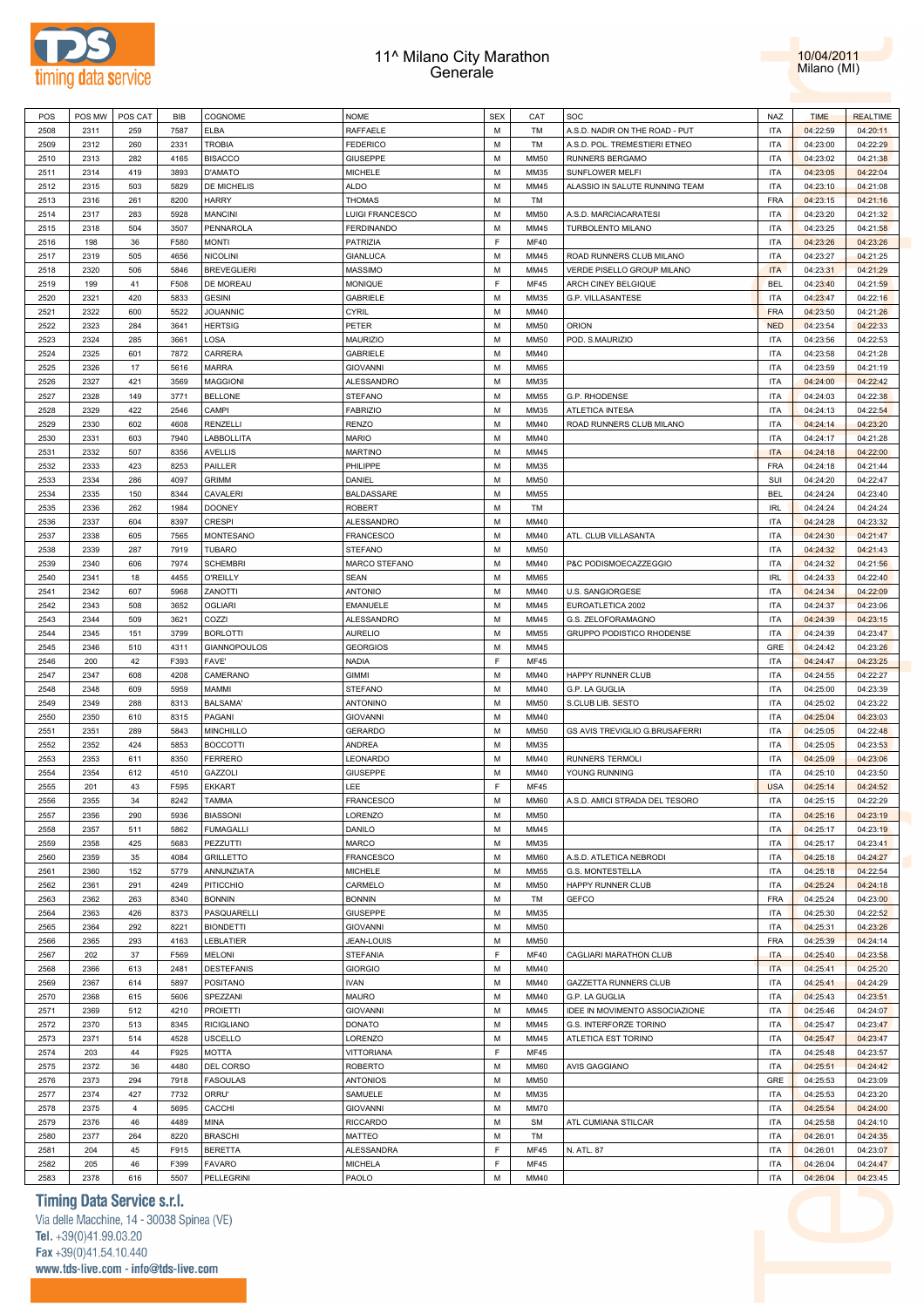



| POS  | POS MW | POS CAT        | BIB  | COGNOME             | <b>NOME</b>       | <b>SEX</b> | CAT         | SOC                            | <b>NAZ</b> | <b>TIME</b> | <b>REALTIME</b> |
|------|--------|----------------|------|---------------------|-------------------|------------|-------------|--------------------------------|------------|-------------|-----------------|
| 2508 | 2311   | 259            | 7587 | <b>ELBA</b>         | RAFFAELE          | M          | TM          | A.S.D. NADIR ON THE ROAD - PUT | <b>ITA</b> | 04:22:59    | 04:20:11        |
| 2509 | 2312   | 260            | 2331 | <b>TROBIA</b>       | <b>FEDERICO</b>   | М          | TM          | A.S.D. POL. TREMESTIERI ETNEO  | <b>ITA</b> | 04:23:00    | 04:22:29        |
| 2510 | 2313   | 282            | 4165 | <b>BISACCO</b>      | <b>GIUSEPPE</b>   | M          | <b>MM50</b> | RUNNERS BERGAMO                | <b>ITA</b> | 04:23:02    | 04:21:38        |
| 2511 | 2314   | 419            | 3893 | D'AMATO             | <b>MICHELE</b>    | M          | MM35        | SUNFLOWER MELFI                | <b>ITA</b> | 04:23:05    | 04:22:04        |
|      |        |                |      |                     |                   |            |             |                                |            |             |                 |
| 2512 | 2315   | 503            | 5829 | DE MICHELIS         | <b>ALDO</b>       | M          | MM45        | ALASSIO IN SALUTE RUNNING TEAM | <b>ITA</b> | 04:23:10    | 04:21:08        |
| 2513 | 2316   | 261            | 8200 | <b>HARRY</b>        | <b>THOMAS</b>     | М          | TM          |                                | <b>FRA</b> | 04:23:15    | 04:21:16        |
| 2514 | 2317   | 283            | 5928 | <b>MANCINI</b>      | LUIGI FRANCESCO   | M          | <b>MM50</b> | A.S.D. MARCIACARATESI          | <b>ITA</b> | 04:23:20    | 04:21:32        |
| 2515 | 2318   | 504            | 3507 | PENNAROLA           | <b>FERDINANDO</b> | М          | MM45        | TURBOLENTO MILANO              | <b>ITA</b> | 04:23:25    | 04:21:58        |
| 2516 | 198    | 36             | F580 | <b>MONTI</b>        | PATRIZIA          | F          | <b>MF40</b> |                                | <b>ITA</b> | 04:23:26    | 04:23:26        |
| 2517 | 2319   | 505            | 4656 | <b>NICOLINI</b>     | <b>GIANLUCA</b>   | M          | MM45        | ROAD RUNNERS CLUB MILANO       | <b>ITA</b> | 04:23:27    | 04:21:25        |
| 2518 | 2320   | 506            | 5846 | <b>BREVEGLIERI</b>  | <b>MASSIMO</b>    | M          | MM45        | VERDE PISELLO GROUP MILANO     | <b>ITA</b> | 04:23:31    | 04:21:29        |
| 2519 | 199    | 41             | F508 | DE MOREAU           | MONIQUE           | F          | <b>MF45</b> | ARCH CINEY BELGIQUE            | <b>BEL</b> | 04:23:40    | 04:21:59        |
| 2520 | 2321   | 420            | 5833 | <b>GESINI</b>       | <b>GABRIELE</b>   | M          | MM35        | G.P. VILLASANTESE              | <b>ITA</b> | 04:23:47    | 04:22:16        |
|      |        |                |      |                     |                   |            |             |                                |            |             |                 |
| 2521 | 2322   | 600            | 5522 | <b>JOUANNIC</b>     | <b>CYRIL</b>      | M          | MM40        |                                | <b>FRA</b> | 04:23:50    | 04:21:26        |
| 2522 | 2323   | 284            | 3641 | <b>HERTSIG</b>      | PETER             | M          | <b>MM50</b> | ORION                          | <b>NED</b> | 04:23:54    | 04:22:33        |
| 2523 | 2324   | 285            | 3661 | LOSA                | MAURIZIO          | M          | <b>MM50</b> | POD. S.MAURIZIO                | <b>ITA</b> | 04:23:56    | 04:22:53        |
| 2524 | 2325   | 601            | 7872 | CARRERA             | <b>GABRIELE</b>   | M          | MM40        |                                | <b>ITA</b> | 04:23:58    | 04:21:28        |
| 2525 | 2326   | 17             | 5616 | <b>MARRA</b>        | <b>GIOVANNI</b>   | M          | <b>MM65</b> |                                | <b>ITA</b> | 04:23:59    | 04:21:19        |
| 2526 | 2327   | 421            | 3569 | <b>MAGGIONI</b>     | ALESSANDRO        | M          | MM35        |                                | <b>ITA</b> | 04:24:00    | 04:22:42        |
| 2527 | 2328   | 149            | 3771 | <b>BELLONE</b>      | <b>STEFANO</b>    | М          | <b>MM55</b> | G.P. RHODENSE                  | <b>ITA</b> | 04:24:03    | 04:22:38        |
| 2528 | 2329   | 422            | 2546 | CAMPI               | <b>FABRIZIO</b>   | M          | MM35        | <b>ATLETICA INTESA</b>         | <b>ITA</b> | 04:24:13    | 04:22:54        |
| 2529 | 2330   | 602            | 4608 | <b>RENZELLI</b>     | <b>RENZO</b>      | М          | MM40        | ROAD RUNNERS CLUB MILANO       | <b>ITA</b> | 04:24:14    | 04:23:20        |
| 2530 | 2331   | 603            | 7940 |                     |                   | M          | MM40        |                                | <b>ITA</b> |             |                 |
|      |        |                |      | LABBOLLITA          | <b>MARIO</b>      |            |             |                                |            | 04:24:17    | 04:21:28        |
| 2531 | 2332   | 507            | 8356 | <b>AVELLIS</b>      | <b>MARTINO</b>    | М          | MM45        |                                | <b>ITA</b> | 04:24:18    | 04:22:00        |
| 2532 | 2333   | 423            | 8253 | PAILLER             | PHILIPPE          | M          | MM35        |                                | FRA        | 04:24:18    | 04:21:44        |
| 2533 | 2334   | 286            | 4097 | <b>GRIMM</b>        | DANIEL            | M          | <b>MM50</b> |                                | SUI        | 04:24:20    | 04:22:47        |
| 2534 | 2335   | 150            | 8344 | CAVALERI            | BALDASSARE        | M          | <b>MM55</b> |                                | <b>BEL</b> | 04:24:24    | 04:23:40        |
| 2535 | 2336   | 262            | 1984 | <b>DOONEY</b>       | <b>ROBERT</b>     | M          | TM          |                                | <b>IRL</b> | 04:24:24    | 04:24:24        |
| 2536 | 2337   | 604            | 8397 | <b>CRESPI</b>       | ALESSANDRO        | M          | MM40        |                                | <b>ITA</b> | 04:24:28    | 04:23:32        |
| 2537 | 2338   | 605            | 7565 | MONTESANO           | <b>FRANCESCO</b>  | M          | MM40        | ATL. CLUB VILLASANTA           | <b>ITA</b> | 04:24:30    | 04:21:47        |
| 2538 | 2339   | 287            | 7919 | <b>TUBARO</b>       | <b>STEFANO</b>    | M          | <b>MM50</b> |                                | <b>ITA</b> | 04:24:32    | 04:21:43        |
| 2539 | 2340   | 606            | 7974 | <b>SCHEMBRI</b>     | MARCO STEFANO     | M          | MM40        | P&C PODISMOECAZZEGGIO          | <b>ITA</b> | 04:24:32    | 04:21:56        |
|      |        |                |      |                     |                   |            |             |                                |            |             |                 |
| 2540 | 2341   | 18             | 4455 | <b>O'REILLY</b>     | <b>SEAN</b>       | M          | <b>MM65</b> |                                | <b>IRL</b> | 04:24:33    | 04:22:40        |
| 2541 | 2342   | 607            | 5968 | ZANOTTI             | <b>ANTONIO</b>    | M          | MM40        | U.S. SANGIORGESE               | <b>ITA</b> | 04:24:34    | 04:22:09        |
| 2542 | 2343   | 508            | 3652 | <b>OGLIARI</b>      | EMANUELE          | M          | MM45        | EUROATLETICA 2002              | <b>ITA</b> | 04:24:37    | 04:23:06        |
| 2543 | 2344   | 509            | 3621 | COZZI               | ALESSANDRO        | M          | MM45        | G.S. ZELOFORAMAGNO             | <b>ITA</b> | 04:24:39    | 04:23:15        |
| 2544 | 2345   | 151            | 3799 | <b>BORLOTTI</b>     | <b>AURELIO</b>    | M          | <b>MM55</b> | GRUPPO PODISTICO RHODENSE      | <b>ITA</b> | 04:24:39    | 04:23:47        |
| 2545 | 2346   | 510            | 4311 | <b>GIANNOPOULOS</b> | <b>GEORGIOS</b>   | М          | MM45        |                                | GRE        | 04:24:42    | 04:23:26        |
| 2546 | 200    | 42             | F393 | FAVE'               | <b>NADIA</b>      | F          | <b>MF45</b> |                                | <b>ITA</b> | 04:24:47    | 04:23:25        |
| 2547 | 2347   | 608            | 4208 | CAMERANO            | <b>GIMMI</b>      | M          | MM40        | HAPPY RUNNER CLUB              | <b>ITA</b> | 04:24:55    | 04:22:27        |
| 2548 | 2348   | 609            | 5959 | MAMMI               | <b>STEFANO</b>    | M          | MM40        | G.P. LA GUGLIA                 | <b>ITA</b> | 04:25:00    | 04:23:39        |
|      |        |                |      |                     |                   | M          |             |                                | <b>ITA</b> |             |                 |
| 2549 | 2349   | 288            | 8313 | <b>BALSAMA'</b>     | ANTONINO          |            | <b>MM50</b> | S.CLUB LIB. SESTO              |            | 04:25:02    | 04:23:22        |
| 2550 | 2350   | 610            | 8315 | PAGANI              | <b>GIOVANNI</b>   | M          | MM40        |                                | <b>ITA</b> | 04:25:04    | 04:23:03        |
| 2551 | 2351   | 289            | 5843 | <b>MINCHILLO</b>    | <b>GERARDO</b>    | M          | <b>MM50</b> | GS AVIS TREVIGLIO G.BRUSAFERRI | <b>ITA</b> | 04:25:05    | 04:22:48        |
| 2552 | 2352   | 424            | 5853 | <b>BOCCOTTI</b>     | ANDREA            | M          | MM35        |                                | <b>ITA</b> | 04:25:05    | 04:23:53        |
| 2553 | 2353   | 611            | 8350 | <b>FERRERO</b>      | LEONARDO          | М          | MM40        | RUNNERS TERMOLI                | <b>ITA</b> | 04:25:09    | 04:23:06        |
| 2554 | 2354   | 612            | 4510 | <b>GAZZOLI</b>      | <b>GIUSEPPE</b>   | М          | MM40        | YOUNG RUNNING                  | <b>ITA</b> | 04:25:10    | 04:23:50        |
| 2555 | 201    | 43             | F595 | <b>EKKART</b>       | LEE               | F          | <b>MF45</b> |                                | <b>USA</b> | 04:25:14    | 04:24:52        |
| 2556 | 2355   | 34             | 8242 | <b>TAMMA</b>        | <b>FRANCESCO</b>  | M          | <b>MM60</b> | A.S.D. AMICI STRADA DEL TESORO | <b>ITA</b> | 04:25:15    | 04:22:29        |
| 2557 | 2356   | 290            | 5936 | <b>BIASSONI</b>     | LORENZO           | M          | MM50        |                                | <b>ITA</b> | 04:25:16    | 04:23:19        |
| 2558 | 2357   | 511            | 5862 |                     | DANILO            | M          | MM45        |                                | <b>ITA</b> |             | 04:23:19        |
|      |        |                |      | <b>FUMAGALLI</b>    |                   |            |             |                                |            | 04:25:17    |                 |
| 2559 | 2358   | 425            | 5683 | PEZZUTTI            | MARCO             | М          | MM35        |                                | <b>ITA</b> | 04:25:17    | 04:23:41        |
| 2560 | 2359   | 35             | 4084 | <b>GRILLETTO</b>    | FRANCESCO         | М          | <b>MM60</b> | A.S.D. ATLETICA NEBRODI        | <b>ITA</b> | 04:25:18    | 04:24:27        |
| 2561 | 2360   | 152            | 5779 | ANNUNZIATA          | <b>MICHELE</b>    | М          | <b>MM55</b> | G.S. MONTESTELLA               | <b>ITA</b> | 04:25:18    | 04:22:54        |
| 2562 | 2361   | 291            | 4249 | PITICCHIO           | CARMELO           | M          | <b>MM50</b> | HAPPY RUNNER CLUB              | <b>ITA</b> | 04:25:24    | 04:24:18        |
| 2563 | 2362   | 263            | 8340 | <b>BONNIN</b>       | <b>BONNIN</b>     | М          | TM          | GEFCO                          | <b>FRA</b> | 04:25:24    | 04:23:00        |
| 2564 | 2363   | 426            | 8373 | PASQUARELLI         | <b>GIUSEPPE</b>   | М          | MM35        |                                | <b>ITA</b> | 04:25:30    | 04:22:52        |
| 2565 | 2364   | 292            | 8221 | <b>BIONDETTI</b>    | <b>GIOVANNI</b>   | М          | <b>MM50</b> |                                | <b>ITA</b> | 04:25:31    | 04:23:26        |
| 2566 | 2365   | 293            | 4163 | LEBLATIER           | JEAN-LOUIS        | M          | <b>MM50</b> |                                | FRA        | 04:25:39    | 04:24:14        |
| 2567 | 202    | 37             | F569 | <b>MELONI</b>       | <b>STEFANIA</b>   | F          | <b>MF40</b> | CAGLIARI MARATHON CLUB         | <b>ITA</b> | 04:25:40    | 04:23:58        |
|      |        |                |      |                     |                   |            |             |                                |            |             |                 |
| 2568 | 2366   | 613            | 2481 | <b>DESTEFANIS</b>   | <b>GIORGIO</b>    | M          | MM40        |                                | <b>ITA</b> | 04:25:41    | 04:25:20        |
| 2569 | 2367   | 614            | 5897 | POSITANO            | <b>IVAN</b>       | М          | MM40        | <b>GAZZETTA RUNNERS CLUB</b>   | <b>ITA</b> | 04:25:41    | 04:24:29        |
| 2570 | 2368   | 615            | 5606 | SPEZZANI            | <b>MAURO</b>      | M          | MM40        | G.P. LA GUGLIA                 | <b>ITA</b> | 04:25:43    | 04:23:51        |
| 2571 | 2369   | 512            | 4210 | PROIETTI            | <b>GIOVANNI</b>   | М          | MM45        | IDEE IN MOVIMENTO ASSOCIAZIONE | <b>ITA</b> | 04:25:46    | 04:24:07        |
| 2572 | 2370   | 513            | 8345 | <b>RICIGLIANO</b>   | <b>DONATO</b>     | M          | MM45        | G.S. INTERFORZE TORINO         | <b>ITA</b> | 04:25:47    | 04:23:47        |
| 2573 | 2371   | 514            | 4528 | <b>USCELLO</b>      | LORENZO           | М          | MM45        | ATLETICA EST TORINO            | <b>ITA</b> | 04:25:47    | 04:23:47        |
| 2574 | 203    | 44             | F925 | MOTTA               | <b>VITTORIANA</b> | F          | MF45        |                                | <b>ITA</b> | 04:25:48    | 04:23:57        |
| 2575 | 2372   | 36             | 4480 | DEL CORSO           | <b>ROBERTO</b>    | М          | <b>MM60</b> | <b>AVIS GAGGIANO</b>           | <b>ITA</b> | 04:25:51    | 04:24:42        |
|      | 2373   |                |      |                     |                   | М          |             |                                |            |             |                 |
| 2576 |        | 294            | 7918 | <b>FASOULAS</b>     | ANTONIOS          |            | <b>MM50</b> |                                | GRE        | 04:25:53    | 04:23:09        |
| 2577 | 2374   | 427            | 7732 | ORRU'               | SAMUELE           | М          | MM35        |                                | <b>ITA</b> | 04:25:53    | 04:23:20        |
| 2578 | 2375   | $\overline{4}$ | 5695 | CACCHI              | <b>GIOVANNI</b>   | M          | <b>MM70</b> |                                | <b>ITA</b> | 04:25:54    | 04:24:00        |
| 2579 | 2376   | 46             | 4489 | MINA                | <b>RICCARDO</b>   | М          | <b>SM</b>   | ATL CUMIANA STILCAR            | <b>ITA</b> | 04:25:58    | 04:24:10        |
| 2580 | 2377   | 264            | 8220 | <b>BRASCHI</b>      | MATTEO            | М          | TM          |                                | <b>ITA</b> | 04:26:01    | 04:24:35        |
| 2581 | 204    | 45             | F915 | <b>BERETTA</b>      | ALESSANDRA        | F          | <b>MF45</b> | N. ATL. 87                     | <b>ITA</b> | 04:26:01    | 04:23:07        |
| 2582 | 205    | 46             | F399 | <b>FAVARO</b>       | <b>MICHELA</b>    | F          | MF45        |                                | <b>ITA</b> | 04:26:04    | 04:24:47        |
| 2583 | 2378   |                | 5507 | PELLEGRINI          | PAOLO             | М          | MM40        |                                | <b>ITA</b> |             | 04:23:45        |
|      |        | 616            |      |                     |                   |            |             |                                |            | 04:26:04    |                 |

# **Timing Data Service s.r.l.**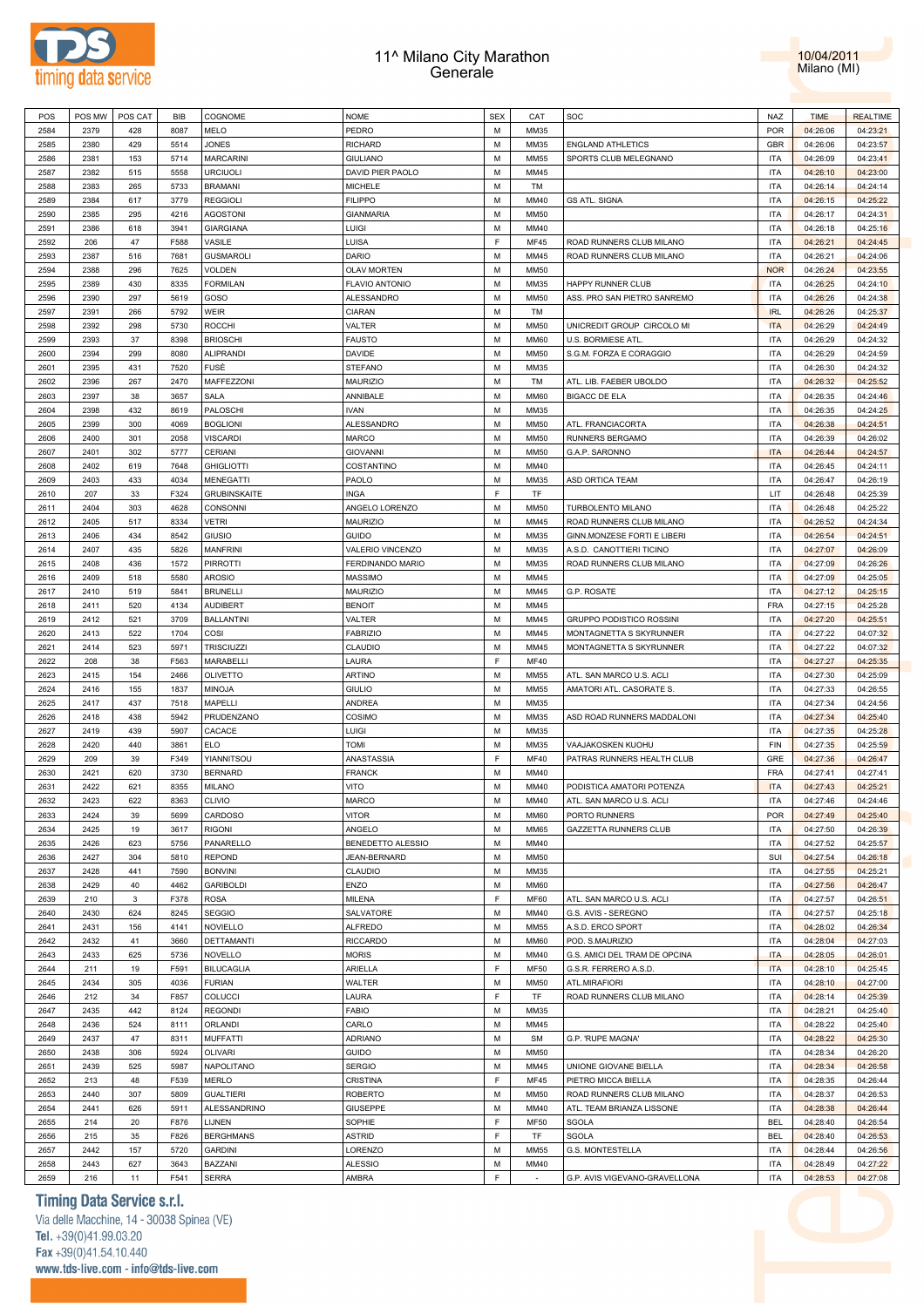



| POS  | POS MW | POS CAT      | BIB  | COGNOME             | <b>NOME</b>           | <b>SEX</b> | CAT         | SOC                           | NAZ        | <b>TIME</b> | <b>REALTIME</b> |
|------|--------|--------------|------|---------------------|-----------------------|------------|-------------|-------------------------------|------------|-------------|-----------------|
| 2584 | 2379   | 428          | 8087 | MELO                | PEDRO                 | М          | MM35        |                               | <b>POR</b> | 04:26:06    | 04:23:21        |
| 2585 | 2380   | 429          | 5514 | <b>JONES</b>        | <b>RICHARD</b>        | M          | MM35        | <b>ENGLAND ATHLETICS</b>      | GBR        | 04:26:06    | 04:23:57        |
| 2586 | 2381   | 153          | 5714 | <b>MARCARINI</b>    | <b>GIULIANO</b>       | М          | <b>MM55</b> | SPORTS CLUB MELEGNANO         | ITA        | 04:26:09    | 04:23:41        |
|      |        |              |      |                     |                       |            |             |                               |            |             |                 |
| 2587 | 2382   | 515          | 5558 | <b>URCIUOLI</b>     | DAVID PIER PAOLO      | M          | MM45        |                               | <b>ITA</b> | 04:26:10    | 04:23:00        |
| 2588 | 2383   | 265          | 5733 | <b>BRAMANI</b>      | <b>MICHELE</b>        | М          | TM          |                               | ITA        | 04:26:14    | 04:24:14        |
| 2589 | 2384   | 617          | 3779 | <b>REGGIOLI</b>     | <b>FILIPPO</b>        | M          | MM40        | <b>GS ATL. SIGNA</b>          | <b>ITA</b> | 04:26:15    | 04:25:22        |
| 2590 | 2385   | 295          | 4216 | <b>AGOSTONI</b>     | <b>GIANMARIA</b>      | М          | <b>MM50</b> |                               | <b>ITA</b> | 04:26:17    | 04:24:31        |
| 2591 | 2386   | 618          | 3941 | <b>GIARGIANA</b>    | LUIGI                 | М          | MM40        |                               | <b>ITA</b> | 04:26:18    | 04:25:16        |
| 2592 | 206    | 47           | F588 | VASILE              | LUISA                 | F          | <b>MF45</b> | ROAD RUNNERS CLUB MILANO      | <b>ITA</b> | 04:26:21    | 04:24:45        |
| 2593 | 2387   | 516          | 7681 | <b>GUSMAROLI</b>    | DARIO                 | М          | MM45        | ROAD RUNNERS CLUB MILANO      | <b>ITA</b> | 04:26:21    | 04:24:06        |
| 2594 | 2388   |              |      |                     |                       | М          |             |                               |            |             |                 |
|      |        | 296          | 7625 | <b>VOLDEN</b>       | <b>OLAV MORTEN</b>    |            | <b>MM50</b> |                               | <b>NOR</b> | 04:26:24    | 04:23:55        |
| 2595 | 2389   | 430          | 8335 | <b>FORMILAN</b>     | <b>FLAVIO ANTONIO</b> | М          | MM35        | HAPPY RUNNER CLUB             | ITA        | 04:26:25    | 04:24:10        |
| 2596 | 2390   | 297          | 5619 | GOSO                | ALESSANDRO            | М          | <b>MM50</b> | ASS. PRO SAN PIETRO SANREMO   | <b>ITA</b> | 04:26:26    | 04:24:38        |
| 2597 | 2391   | 266          | 5792 | <b>WEIR</b>         | CIARAN                | М          | TM          |                               | <b>IRL</b> | 04:26:26    | 04:25:37        |
| 2598 | 2392   | 298          | 5730 | <b>ROCCHI</b>       | VALTER                | М          | <b>MM50</b> | UNICREDIT GROUP CIRCOLO MI    | <b>ITA</b> | 04:26:29    | 04:24:49        |
| 2599 | 2393   | 37           | 8398 | <b>BRIOSCHI</b>     | <b>FAUSTO</b>         | M          | <b>MM60</b> | U.S. BORMIESE ATL             | ITA        | 04:26:29    | 04:24:32        |
| 2600 | 2394   | 299          | 8080 | <b>ALIPRANDI</b>    | DAVIDE                | М          | <b>MM50</b> | S.G.M. FORZA E CORAGGIO       | ITA        | 04:26:29    | 04:24:59        |
| 2601 | 2395   | 431          | 7520 | FUSÈ                | STEFANO               | M          | MM35        |                               | ITA        | 04:26:30    | 04:24:32        |
|      |        |              |      |                     |                       |            |             |                               |            |             |                 |
| 2602 | 2396   | 267          | 2470 | MAFFEZZONI          | <b>MAURIZIO</b>       | М          | TM          | ATL. LIB. FAEBER UBOLDO       | ITA        | 04:26:32    | 04:25:52        |
| 2603 | 2397   | 38           | 3657 | <b>SALA</b>         | ANNIBALE              | M          | <b>MM60</b> | <b>BIGACC DE ELA</b>          | ITA        | 04:26:35    | 04:24:46        |
| 2604 | 2398   | 432          | 8619 | PALOSCHI            | <b>IVAN</b>           | М          | MM35        |                               | ITA        | 04:26:35    | 04:24:25        |
| 2605 | 2399   | 300          | 4069 | <b>BOGLIONI</b>     | ALESSANDRO            | M          | <b>MM50</b> | ATL. FRANCIACORTA             | ITA        | 04:26:38    | 04:24:51        |
| 2606 | 2400   | 301          | 2058 | <b>VISCARDI</b>     | <b>MARCO</b>          | М          | <b>MM50</b> | RUNNERS BERGAMO               | ITA        | 04:26:39    | 04:26:02        |
| 2607 | 2401   | 302          | 5777 | <b>CERIANI</b>      | <b>GIOVANNI</b>       | М          | <b>MM50</b> | G.A.P. SARONNO                | <b>ITA</b> | 04:26:44    | 04:24:57        |
| 2608 | 2402   | 619          | 7648 | <b>GHIGLIOTTI</b>   | COSTANTINO            | М          | MM40        |                               | <b>ITA</b> | 04:26:45    | 04:24:11        |
| 2609 | 2403   | 433          | 4034 | <b>MENEGATTI</b>    | PAOLO                 | М          | MM35        | ASD ORTICA TEAM               | <b>ITA</b> | 04:26:47    | 04:26:19        |
|      |        |              |      |                     |                       |            |             |                               |            |             |                 |
| 2610 | 207    | 33           | F324 | <b>GRUBINSKAITE</b> | <b>INGA</b>           | F          | TF          |                               | LIT        | 04:26:48    | 04:25:39        |
| 2611 | 2404   | 303          | 4628 | CONSONNI            | ANGELO LORENZO        | М          | <b>MM50</b> | TURBOLENTO MILANO             | <b>ITA</b> | 04:26:48    | 04:25:22        |
| 2612 | 2405   | 517          | 8334 | <b>VETRI</b>        | <b>MAURIZIO</b>       | М          | MM45        | ROAD RUNNERS CLUB MILANO      | <b>ITA</b> | 04:26:52    | 04:24:34        |
| 2613 | 2406   | 434          | 8542 | GIUSIO              | <b>GUIDO</b>          | М          | MM35        | GINN.MONZESE FORTI E LIBERI   | ITA        | 04:26:54    | 04:24:51        |
| 2614 | 2407   | 435          | 5826 | <b>MANFRINI</b>     | VALERIO VINCENZO      | М          | MM35        | A.S.D. CANOTTIERI TICINO      | ITA        | 04:27:07    | 04:26:09        |
| 2615 | 2408   | 436          | 1572 | <b>PIRROTTI</b>     | FERDINANDO MARIO      | М          | MM35        | ROAD RUNNERS CLUB MILANO      | ITA        | 04:27:09    | 04:26:26        |
| 2616 | 2409   | 518          | 5580 | <b>AROSIO</b>       | <b>MASSIMO</b>        | М          | MM45        |                               | ITA        | 04:27:09    | 04:25:05        |
|      |        |              |      |                     |                       |            |             |                               |            |             |                 |
| 2617 | 2410   | 519          | 5841 | <b>BRUNELLI</b>     | <b>MAURIZIO</b>       | M          | MM45        | G.P. ROSATE                   | ITA        | 04:27:12    | 04:25:15        |
| 2618 | 2411   | 520          | 4134 | <b>AUDIBERT</b>     | <b>BENOIT</b>         | М          | MM45        |                               | <b>FRA</b> | 04:27:15    | 04:25:28        |
| 2619 | 2412   | 521          | 3709 | <b>BALLANTINI</b>   | VALTER                | M          | MM45        | GRUPPO PODISTICO ROSSINI      | ITA        | 04:27:20    | 04:25:51        |
| 2620 | 2413   | 522          | 1704 | COSI                | <b>FABRIZIO</b>       | М          | MM45        | MONTAGNETTA S SKYRUNNER       | ITA        | 04:27:22    | 04:07:32        |
| 2621 | 2414   | 523          | 5971 | <b>TRISCIUZZI</b>   | CLAUDIO               | M          | MM45        | MONTAGNETTA S SKYRUNNER       | <b>ITA</b> | 04:27:22    | 04:07:32        |
| 2622 | 208    | 38           | F563 | MARABELLI           | LAURA                 | F          | <b>MF40</b> |                               | ITA        | 04:27:27    | 04:25:35        |
| 2623 | 2415   | 154          | 2466 | <b>OLIVETTO</b>     | <b>ARTINO</b>         | M          | <b>MM55</b> | ATL. SAN MARCO U.S. ACLI      | <b>ITA</b> | 04:27:30    | 04:25:09        |
| 2624 | 2416   | 155          | 1837 | <b>MINOJA</b>       | <b>GIULIO</b>         | М          | <b>MM55</b> | AMATORI ATL. CASORATE S.      | <b>ITA</b> | 04:27:33    | 04:26:55        |
|      |        |              |      |                     |                       |            |             |                               |            |             |                 |
| 2625 | 2417   | 437          | 7518 | MAPELLI             | ANDREA                | М          | MM35        |                               | ITA        | 04:27:34    | 04:24:56        |
| 2626 | 2418   | 438          | 5942 | PRUDENZANO          | COSIMO                | М          | MM35        | ASD ROAD RUNNERS MADDALONI    | <b>ITA</b> | 04:27:34    | 04:25:40        |
| 2627 | 2419   | 439          | 5907 | CACACE              | LUIGI                 | М          | MM35        |                               | <b>ITA</b> | 04:27:35    | 04:25:28        |
| 2628 | 2420   | 440          | 3861 | <b>ELO</b>          | <b>TOMI</b>           | М          | MM35        | VAAJAKOSKEN KUOHU             | FIN        | 04:27:35    | 04:25:59        |
| 2629 | 209    | 39           | F349 | YIANNITSOU          | ANASTASSIA            | F          | <b>MF40</b> | PATRAS RUNNERS HEALTH CLUB    | GRE        | 04:27:36    | 04:26:47        |
| 2630 | 2421   | 620          | 3730 | <b>BERNARD</b>      | <b>FRANCK</b>         | М          | MM40        |                               | <b>FRA</b> | 04:27:41    | 04:27:41        |
| 2631 | 2422   | 621          | 8355 | MILANO              | VITO                  | М          | MM40        | PODISTICA AMATORI POTENZA     | <b>ITA</b> | 04:27:43    | 04:25:21        |
| 2632 | 2423   | 622          | 8363 | <b>CLIVIO</b>       | <b>MARCO</b>          | M          | MM40        | ATL. SAN MARCO U.S. ACLI      | <b>ITA</b> | 04:27:46    | 04:24:46        |
|      |        |              |      |                     |                       |            |             |                               |            |             |                 |
| 2633 | 2424   | 39           | 5699 | CARDOSO             | VITOR                 | М          | <b>MM60</b> | PORTO RUNNERS                 | POR        | 04:27:49    | 04:25:40        |
| 2634 | 2425   | 19           | 3617 | <b>RIGONI</b>       | ANGELO                | M          | <b>MM65</b> | GAZZETTA RUNNERS CLUB         | <b>ITA</b> | 04:27:50    | 04:26:39        |
| 2635 | 2426   | 623          | 5756 | PANARELLO           | BENEDETTO ALESSIO     | М          | MM40        |                               | <b>ITA</b> | 04:27:52    | 04:25:57        |
| 2636 | 2427   | 304          | 5810 | <b>REPOND</b>       | JEAN-BERNARD          | М          | <b>MM50</b> |                               | SUI        | 04:27:54    | 04:26:18        |
| 2637 | 2428   | 441          | 7590 | <b>BONVINI</b>      | CLAUDIO               | М          | MM35        |                               | <b>ITA</b> | 04:27:55    | 04:25:21        |
| 2638 | 2429   | 40           | 4462 | <b>GARIBOLDI</b>    | ENZO                  | M          | <b>MM60</b> |                               | <b>ITA</b> | 04:27:56    | 04:26:47        |
| 2639 | 210    | $\mathbf{3}$ | F378 | <b>ROSA</b>         | MILENA                | F          | MF60        | ATL. SAN MARCO U.S. ACLI      | <b>ITA</b> | 04:27:57    | 04:26:51        |
| 2640 | 2430   | 624          | 8245 | <b>SEGGIO</b>       | SALVATORE             | М          | MM40        | G.S. AVIS - SEREGNO           | <b>ITA</b> | 04:27:57    | 04:25:18        |
| 2641 | 2431   | 156          | 4141 | <b>NOVIELLO</b>     | <b>ALFREDO</b>        | M          | <b>MM55</b> | A.S.D. ERCO SPORT             | <b>ITA</b> | 04:28:02    | 04:26:34        |
| 2642 | 2432   | 41           |      |                     |                       | М          | <b>MM60</b> |                               | <b>ITA</b> |             |                 |
|      |        |              | 3660 | <b>DETTAMANTI</b>   | <b>RICCARDO</b>       |            |             | POD. S.MAURIZIO               |            | 04:28:04    | 04:27:03        |
| 2643 | 2433   | 625          | 5736 | <b>NOVELLO</b>      | <b>MORIS</b>          | M          | MM40        | G.S. AMICI DEL TRAM DE OPCINA | <b>ITA</b> | 04:28:05    | 04:26:01        |
| 2644 | 211    | 19           | F591 | <b>BILUCAGLIA</b>   | ARIELLA               | F          | <b>MF50</b> | G.S.R. FERRERO A.S.D.         | <b>ITA</b> | 04:28:10    | 04:25:45        |
| 2645 | 2434   | 305          | 4036 | <b>FURIAN</b>       | WALTER                | М          | <b>MM50</b> | ATL.MIRAFIORI                 | <b>ITA</b> | 04:28:10    | 04:27:00        |
| 2646 | 212    | 34           | F857 | COLUCCI             | LAURA                 | F          | TF          | ROAD RUNNERS CLUB MILANO      | <b>ITA</b> | 04:28:14    | 04:25:39        |
| 2647 | 2435   | 442          | 8124 | <b>REGONDI</b>      | FABIO                 | M          | MM35        |                               | <b>ITA</b> | 04:28:21    | 04:25:40        |
| 2648 | 2436   | 524          | 8111 | <b>ORLANDI</b>      | CARLO                 | М          | MM45        |                               | <b>ITA</b> | 04:28:22    | 04:25:40        |
| 2649 | 2437   | 47           | 8311 | <b>MUFFATTI</b>     | <b>ADRIANO</b>        | M          | <b>SM</b>   | G.P. 'RUPE MAGNA'             | <b>ITA</b> | 04:28:22    | 04:25:30        |
|      |        |              |      |                     |                       |            |             |                               |            |             |                 |
| 2650 | 2438   | 306          | 5924 | <b>OLIVARI</b>      | <b>GUIDO</b>          | М          | <b>MM50</b> |                               | <b>ITA</b> | 04:28:34    | 04:26:20        |
| 2651 | 2439   | 525          | 5987 | NAPOLITANO          | <b>SERGIO</b>         | M          | MM45        | UNIONE GIOVANE BIELLA         | <b>ITA</b> | 04:28:34    | 04:26:58        |
| 2652 | 213    | 48           | F539 | <b>MERLO</b>        | CRISTINA              | F          | <b>MF45</b> | PIETRO MICCA BIELLA           | <b>ITA</b> | 04:28:35    | 04:26:44        |
| 2653 | 2440   | 307          | 5809 | <b>GUALTIERI</b>    | <b>ROBERTO</b>        | M          | <b>MM50</b> | ROAD RUNNERS CLUB MILANO      | <b>ITA</b> | 04:28:37    | 04:26:53        |
| 2654 | 2441   | 626          | 5911 | ALESSANDRINO        | <b>GIUSEPPE</b>       | М          | MM40        | ATL. TEAM BRIANZA LISSONE     | ITA        | 04:28:38    | 04:26:44        |
| 2655 | 214    | 20           | F876 | LIJNEN              | SOPHIE                | F          | <b>MF50</b> | SGOLA                         | <b>BEL</b> | 04:28:40    | 04:26:54        |
| 2656 | 215    | 35           | F826 | <b>BERGHMANS</b>    | <b>ASTRID</b>         | F          | TF          | SGOLA                         | <b>BEL</b> | 04:28:40    | 04:26:53        |
| 2657 | 2442   | 157          | 5720 | <b>GARDINI</b>      | LORENZO               | M          | <b>MM55</b> | G.S. MONTESTELLA              | <b>ITA</b> | 04:28:44    | 04:26:56        |
| 2658 | 2443   | 627          | 3643 | BAZZANI             | <b>ALESSIO</b>        | М          | MM40        |                               | ITA        | 04:28:49    | 04:27:22        |
|      |        |              |      |                     |                       |            |             |                               |            |             |                 |
| 2659 | 216    | 11           | F541 | <b>SERRA</b>        | AMBRA                 | F          | $\sim$      | G.P. AVIS VIGEVANO-GRAVELLONA | <b>ITA</b> | 04:28:53    | 04:27:08        |

**Timing Data Service s.r.l.**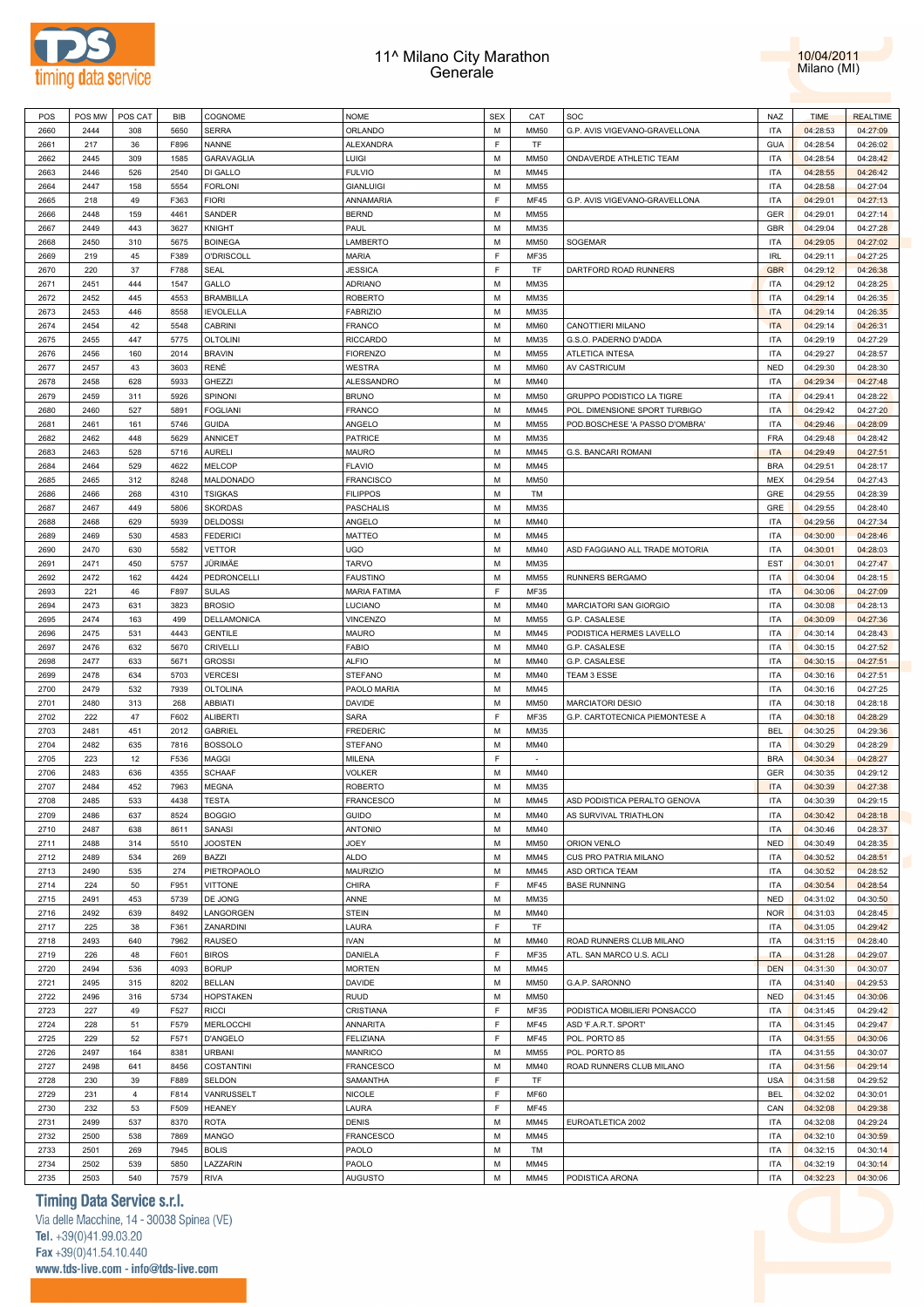



| POS  | POS MW | POS CAT        | <b>BIB</b> | COGNOME           | <b>NOME</b>         | <b>SEX</b>  | CAT         | SOC                            | NAZ        | <b>TIME</b> | <b>REALTIME</b> |
|------|--------|----------------|------------|-------------------|---------------------|-------------|-------------|--------------------------------|------------|-------------|-----------------|
| 2660 | 2444   | 308            | 5650       | <b>SERRA</b>      | ORLANDO             | M           | <b>MM50</b> | G.P. AVIS VIGEVANO-GRAVELLONA  | ITA        | 04:28:53    | 04:27:09        |
| 2661 | 217    | 36             | F896       | NANNE             | <b>ALEXANDRA</b>    | E           | TF          |                                | <b>GUA</b> | 04:28:54    | 04:26:02        |
| 2662 | 2445   | 309            | 1585       | GARAVAGLIA        | LUIGI               | М           | <b>MM50</b> | ONDAVERDE ATHLETIC TEAM        | <b>ITA</b> | 04:28:54    | 04:28:42        |
|      |        |                |            |                   |                     | M           |             |                                |            |             |                 |
| 2663 | 2446   | 526            | 2540       | DI GALLO          | <b>FULVIO</b>       |             | MM45        |                                | <b>ITA</b> | 04:28:55    | 04:26:42        |
| 2664 | 2447   | 158            | 5554       | <b>FORLONI</b>    | <b>GIANLUIGI</b>    | M           | MM55        |                                | <b>ITA</b> | 04:28:58    | 04:27:04        |
| 2665 | 218    | 49             | F363       | <b>FIORI</b>      | ANNAMARIA           | E           | MF45        | G.P. AVIS VIGEVANO-GRAVELLONA  | <b>ITA</b> | 04:29:01    | 04:27:13        |
| 2666 | 2448   | 159            | 4461       | SANDER            | <b>BERND</b>        | M           | MM55        |                                | GER        | 04:29:01    | 04:27:14        |
| 2667 | 2449   | 443            | 3627       | <b>KNIGHT</b>     | PAUL                | M           | MM35        |                                | GBR        | 04:29:04    | 04:27:28        |
| 2668 | 2450   | 310            | 5675       | <b>BOINEGA</b>    | LAMBERTO            | M           | <b>MM50</b> | SOGEMAR                        | <b>ITA</b> | 04:29:05    | 04:27:02        |
| 2669 | 219    | 45             | F389       | <b>O'DRISCOLL</b> | <b>MARIA</b>        | F           | MF35        |                                | <b>IRL</b> | 04:29:11    | 04:27:25        |
|      |        |                |            |                   |                     | F           |             |                                |            |             |                 |
| 2670 | 220    | 37             | F788       | SEAL              | JESSICA             |             | TF          | DARTFORD ROAD RUNNERS          | <b>GBR</b> | 04:29:12    | 04:26:38        |
| 2671 | 2451   | 444            | 1547       | GALLO             | <b>ADRIANO</b>      | M           | MM35        |                                | <b>ITA</b> | 04:29:12    | 04:28:25        |
| 2672 | 2452   | 445            | 4553       | <b>BRAMBILLA</b>  | <b>ROBERTO</b>      | М           | MM35        |                                | <b>ITA</b> | 04:29:14    | 04:26:35        |
| 2673 | 2453   | 446            | 8558       | <b>IEVOLELLA</b>  | <b>FABRIZIO</b>     | M           | MM35        |                                | <b>ITA</b> | 04:29:14    | 04:26:35        |
| 2674 | 2454   | 42             | 5548       | CABRINI           | <b>FRANCO</b>       | М           | <b>MM60</b> | CANOTTIERI MILANO              | <b>ITA</b> | 04:29:14    | 04:26:31        |
| 2675 | 2455   | 447            | 5775       | <b>OLTOLINI</b>   | <b>RICCARDO</b>     | M           | MM35        | G.S.O. PADERNO D'ADDA          | <b>ITA</b> | 04:29:19    | 04:27:29        |
| 2676 | 2456   | 160            | 2014       | <b>BRAVIN</b>     | <b>FIORENZO</b>     | M           | MM55        | <b>ATLETICA INTESA</b>         | ITA        | 04:29:27    | 04:28:57        |
|      | 2457   | 43             | 3603       | RENÉ              |                     | M           | <b>MM60</b> | <b>AV CASTRICUM</b>            |            |             |                 |
| 2677 |        |                |            |                   | <b>WESTRA</b>       |             |             |                                | <b>NED</b> | 04:29:30    | 04:28:30        |
| 2678 | 2458   | 628            | 5933       | <b>GHEZZI</b>     | ALESSANDRO          | M           | MM40        |                                | ITA        | 04:29:34    | 04:27:48        |
| 2679 | 2459   | 311            | 5926       | SPINONI           | <b>BRUNO</b>        | M           | <b>MM50</b> | GRUPPO PODISTICO LA TIGRE      | <b>ITA</b> | 04:29:41    | 04:28:22        |
| 2680 | 2460   | 527            | 5891       | <b>FOGLIANI</b>   | <b>FRANCO</b>       | M           | MM45        | POL. DIMENSIONE SPORT TURBIGO  | <b>ITA</b> | 04:29:42    | 04:27:20        |
| 2681 | 2461   | 161            | 5746       | <b>GUIDA</b>      | ANGELO              | M           | MM55        | POD.BOSCHESE 'A PASSO D'OMBRA' | <b>ITA</b> | 04:29:46    | 04:28:09        |
| 2682 | 2462   | 448            | 5629       | <b>ANNICET</b>    | <b>PATRICE</b>      | M           | MM35        |                                | <b>FRA</b> | 04:29:48    | 04:28:42        |
| 2683 | 2463   | 528            | 5716       | <b>AURELI</b>     | <b>MAURO</b>        | M           | MM45        | G.S. BANCARI ROMANI            | <b>ITA</b> | 04:29:49    | 04:27:51        |
| 2684 | 2464   | 529            | 4622       | <b>MELCOP</b>     | <b>FLAVIO</b>       | М           | MM45        |                                | <b>BRA</b> | 04:29:51    | 04:28:17        |
|      |        |                |            |                   |                     |             |             |                                |            |             |                 |
| 2685 | 2465   | 312            | 8248       | MALDONADO         | <b>FRANCISCO</b>    | M           | <b>MM50</b> |                                | <b>MEX</b> | 04:29:54    | 04:27:43        |
| 2686 | 2466   | 268            | 4310       | <b>TSIGKAS</b>    | <b>FILIPPOS</b>     | М           | TM          |                                | GRE        | 04:29:55    | 04:28:39        |
| 2687 | 2467   | 449            | 5806       | <b>SKORDAS</b>    | <b>PASCHALIS</b>    | M           | MM35        |                                | GRE        | 04:29:55    | 04:28:40        |
| 2688 | 2468   | 629            | 5939       | <b>DELDOSSI</b>   | ANGELO              | М           | MM40        |                                | <b>ITA</b> | 04:29:56    | 04:27:34        |
| 2689 | 2469   | 530            | 4583       | <b>FEDERICI</b>   | <b>MATTEO</b>       | М           | MM45        |                                | <b>ITA</b> | 04:30:00    | 04:28:46        |
| 2690 | 2470   | 630            | 5582       | VETTOR            | <b>UGO</b>          | М           | MM40        | ASD FAGGIANO ALL TRADE MOTORIA | <b>ITA</b> | 04:30:01    | 04:28:03        |
| 2691 | 2471   | 450            | 5757       | JÜRIMÄE           | <b>TARVO</b>        | М           | MM35        |                                | <b>EST</b> | 04:30:01    | 04:27:47        |
|      |        |                |            |                   |                     |             |             |                                |            |             |                 |
| 2692 | 2472   | 162            | 4424       | PEDRONCELLI       | <b>FAUSTINO</b>     | М           | MM55        | RUNNERS BERGAMO                | <b>ITA</b> | 04:30:04    | 04:28:15        |
| 2693 | 221    | 46             | F897       | <b>SULAS</b>      | <b>MARIA FATIMA</b> | $\mathsf F$ | MF35        |                                | <b>ITA</b> | 04:30:06    | 04:27:09        |
| 2694 | 2473   | 631            | 3823       | <b>BROSIO</b>     | LUCIANO             | M           | MM40        | MARCIATORI SAN GIORGIO         | <b>ITA</b> | 04:30:08    | 04:28:13        |
| 2695 | 2474   | 163            | 499        | DELLAMONICA       | VINCENZO            | M           | MM55        | G.P. CASALESE                  | <b>ITA</b> | 04:30:09    | 04:27:36        |
| 2696 | 2475   | 531            | 4443       | <b>GENTILE</b>    | <b>MAURO</b>        | M           | MM45        | PODISTICA HERMES LAVELLO       | <b>ITA</b> | 04:30:14    | 04:28:43        |
| 2697 | 2476   | 632            | 5670       | <b>CRIVELLI</b>   | <b>FABIO</b>        | M           | MM40        | G.P. CASALESE                  | <b>ITA</b> | 04:30:15    | 04:27:52        |
| 2698 | 2477   | 633            | 5671       | <b>GROSSI</b>     | <b>ALFIO</b>        | M           | MM40        | G.P. CASALESE                  | <b>ITA</b> | 04:30:15    | 04:27:51        |
| 2699 | 2478   | 634            | 5703       | <b>VERCESI</b>    | <b>STEFANO</b>      | M           | MM40        | TEAM 3 ESSE                    | <b>ITA</b> | 04:30:16    | 04:27:51        |
|      |        |                |            |                   |                     |             |             |                                |            |             |                 |
| 2700 | 2479   | 532            | 7939       | OLTOLINA          | PAOLO MARIA         | М           | MM45        |                                | <b>ITA</b> | 04:30:16    | 04:27:25        |
| 2701 | 2480   | 313            | 268        | ABBIATI           | <b>DAVIDE</b>       | M           | <b>MM50</b> | <b>MARCIATORI DESIO</b>        | <b>ITA</b> | 04:30:18    | 04:28:18        |
| 2702 | 222    | 47             | F602       | <b>ALIBERTI</b>   | SARA                | F           | MF35        | G.P. CARTOTECNICA PIEMONTESE A | <b>ITA</b> | 04:30:18    | 04:28:29        |
| 2703 | 2481   | 451            | 2012       | <b>GABRIEL</b>    | <b>FREDERIC</b>     | M           | MM35        |                                | <b>BEL</b> | 04:30:25    | 04:29:36        |
| 2704 | 2482   | 635            | 7816       | <b>BOSSOLO</b>    | <b>STEFANO</b>      | М           | MM40        |                                | <b>ITA</b> | 04:30:29    | 04:28:29        |
| 2705 | 223    | 12             | F536       | MAGGI             | MILENA              | F           | $\sim$      |                                | <b>BRA</b> | 04:30:34    | 04:28:27        |
| 2706 | 2483   | 636            | 4355       | <b>SCHAAF</b>     | <b>VOLKER</b>       | М           | MM40        |                                | GER        | 04:30:35    | 04:29:12        |
| 2707 | 2484   | 452            | 7963       | MEGNA             | <b>ROBERTO</b>      | M           | MM35        |                                | <b>ITA</b> | 04:30:39    | 04:27:38        |
|      |        |                |            |                   |                     |             |             |                                |            |             |                 |
| 2708 | 2485   | 533            | 4438       | <b>TESTA</b>      | <b>FRANCESCO</b>    | M           | MM45        | ASD PODISTICA PERALTO GENOVA   | <b>ITA</b> | 04:30:39    | 04:29:15        |
| 2709 | 2486   | 637            | 8524       | <b>BOGGIO</b>     | GUIDO               | М           | MM40        | AS SURVIVAL TRIATHLON          | <b>ITA</b> | 04:30:42    | 04:28:18        |
| 2710 | 2487   | 638            | 8611       | SANASI            | <b>ANTONIO</b>      | M           | MM40        |                                | <b>ITA</b> | 04:30:46    | 04:28:37        |
| 2711 | 2488   | 314            | 5510       | <b>JOOSTEN</b>    | JOEY                | M           | MM50        | ORION VENLO                    | <b>NED</b> | 04:30:49    | 04:28:35        |
| 2712 | 2489   | 534            | 269        | BAZZI             | <b>ALDO</b>         | M           | MM45        | CUS PRO PATRIA MILANO          | <b>ITA</b> | 04:30:52    | 04:28:51        |
| 2713 | 2490   | 535            | 274        | PIETROPAOLO       | <b>MAURIZIO</b>     | M           | MM45        | ASD ORTICA TEAM                | <b>ITA</b> | 04:30:52    | 04:28:52        |
| 2714 | 224    | 50             | F951       | VITTONE           | <b>CHIRA</b>        | E           | <b>MF45</b> | <b>BASE RUNNING</b>            | <b>ITA</b> | 04:30:54    | 04:28:54        |
| 2715 | 2491   | 453            | 5739       | DE JONG           | ANNE                | M           | MM35        |                                | <b>NED</b> | 04:31:02    | 04:30:50        |
|      |        |                |            |                   |                     |             |             |                                |            |             |                 |
| 2716 | 2492   | 639            | 8492       | LANGORGEN         | <b>STEIN</b>        | M           | MM40        |                                | <b>NOR</b> | 04:31:03    | 04:28:45        |
| 2717 | 225    | 38             | F361       | ZANARDINI         | LAURA               | F           | TF          |                                | <b>ITA</b> | 04:31:05    | 04:29:42        |
| 2718 | 2493   | 640            | 7962       | <b>RAUSEO</b>     | <b>IVAN</b>         | M           | MM40        | ROAD RUNNERS CLUB MILANO       | <b>ITA</b> | 04:31:15    | 04:28:40        |
| 2719 | 226    | 48             | F601       | <b>BIROS</b>      | DANIELA             | F           | MF35        | ATL. SAN MARCO U.S. ACLI       | <b>ITA</b> | 04:31:28    | 04:29:07        |
| 2720 | 2494   | 536            | 4093       | <b>BORUP</b>      | <b>MORTEN</b>       | М           | MM45        |                                | <b>DEN</b> | 04:31:30    | 04:30:07        |
| 2721 | 2495   | 315            | 8202       | <b>BELLAN</b>     | DAVIDE              | М           | MM50        | G.A.P. SARONNO                 | <b>ITA</b> | 04:31:40    | 04:29:53        |
| 2722 | 2496   | 316            | 5734       | HOPSTAKEN         | <b>RUUD</b>         | M           | MM50        |                                | <b>NED</b> | 04:31:45    | 04:30:06        |
|      |        | 49             |            |                   |                     | F           | MF35        |                                |            |             |                 |
| 2723 | 227    |                | F527       | <b>RICCI</b>      | CRISTIANA           |             |             | PODISTICA MOBILIERI PONSACCO   | <b>ITA</b> | 04:31:45    | 04:29:42        |
| 2724 | 228    | 51             | F579       | MERLOCCHI         | <b>ANNARITA</b>     | F           | MF45        | ASD 'F.A.R.T. SPORT'           | <b>ITA</b> | 04:31:45    | 04:29:47        |
| 2725 | 229    | 52             | F571       | D'ANGELO          | <b>FELIZIANA</b>    | F           | MF45        | POL. PORTO 85                  | <b>ITA</b> | 04:31:55    | 04:30:06        |
| 2726 | 2497   | 164            | 8381       | URBANI            | <b>MANRICO</b>      | M           | MM55        | POL. PORTO 85                  | <b>ITA</b> | 04:31:55    | 04:30:07        |
| 2727 | 2498   | 641            | 8456       | <b>COSTANTINI</b> | <b>FRANCESCO</b>    | M           | MM40        | ROAD RUNNERS CLUB MILANO       | <b>ITA</b> | 04:31:56    | 04:29:14        |
| 2728 | 230    | 39             | F889       | <b>SELDON</b>     | SAMANTHA            | F           | TF          |                                | <b>USA</b> | 04:31:58    | 04:29:52        |
| 2729 | 231    | $\overline{4}$ | F814       | VANRUSSELT        | <b>NICOLE</b>       | F           | <b>MF60</b> |                                | <b>BEL</b> | 04:32:02    | 04:30:01        |
| 2730 | 232    | 53             | F509       | <b>HEANEY</b>     | LAURA               | E           | MF45        |                                | CAN        | 04:32:08    | 04:29:38        |
|      |        |                |            |                   |                     |             |             |                                |            |             |                 |
| 2731 | 2499   | 537            | 8370       | <b>ROTA</b>       | <b>DENIS</b>        | M           | MM45        | EUROATLETICA 2002              | <b>ITA</b> | 04:32:08    | 04:29:24        |
| 2732 | 2500   | 538            | 7869       | MANGO             | <b>FRANCESCO</b>    | М           | MM45        |                                | <b>ITA</b> | 04:32:10    | 04:30:59        |
| 2733 | 2501   | 269            | 7945       | <b>BOLIS</b>      | PAOLO               | M           | TM          |                                | <b>ITA</b> | 04:32:15    | 04:30:14        |
| 2734 | 2502   | 539            | 5850       | LAZZARIN          | PAOLO               | M           | MM45        |                                | <b>ITA</b> | 04:32:19    | 04:30:14        |
| 2735 | 2503   | 540            | 7579       | <b>RIVA</b>       | <b>AUGUSTO</b>      | M           | MM45        | PODISTICA ARONA                | <b>ITA</b> | 04:32:23    | 04:30:06        |

### **Timing Data Service s.r.l.**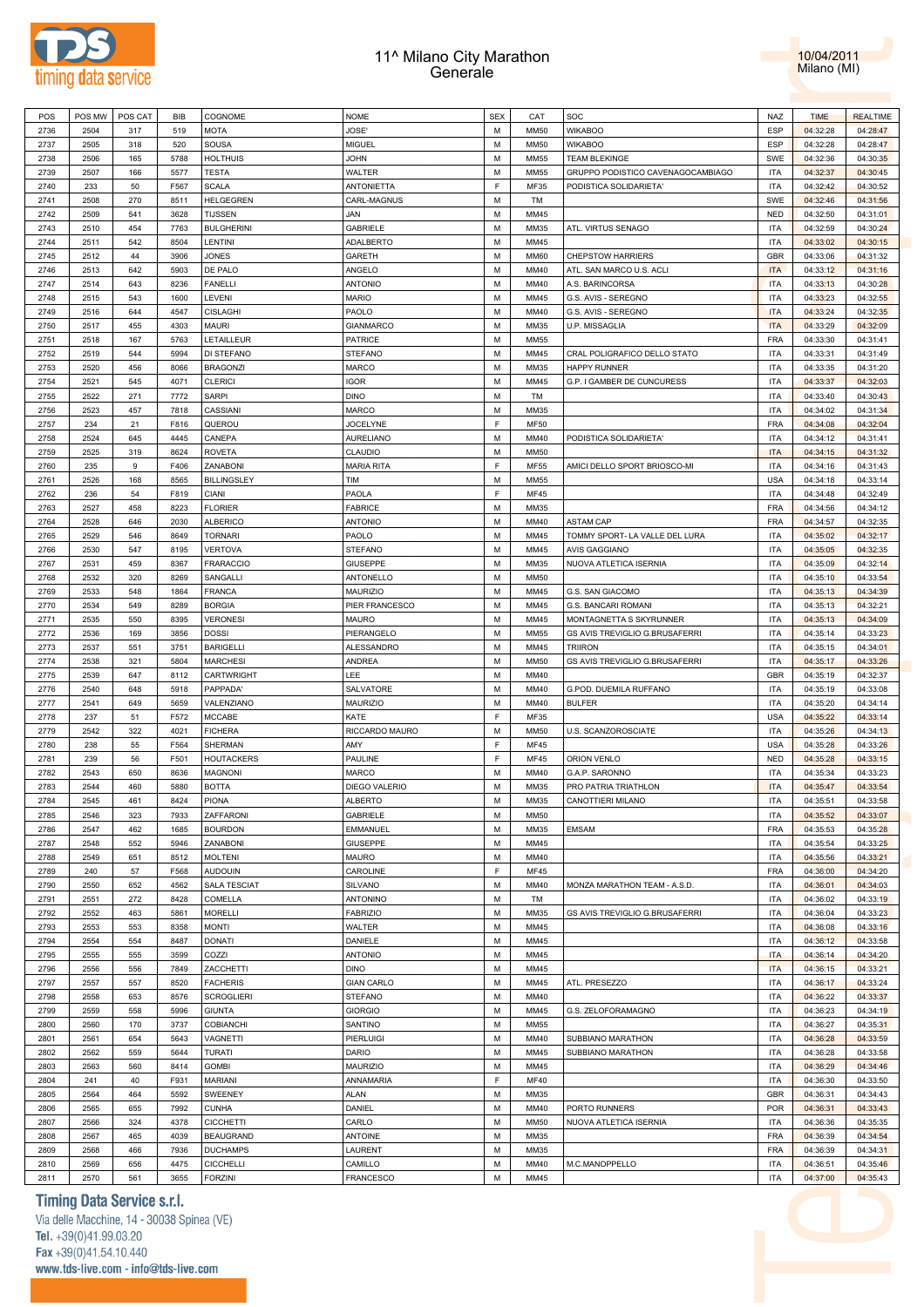



| POS  | POS MW | POS CAT | BIB  | COGNOME             | <b>NOME</b>       | <b>SEX</b> | CAT         | SOC                               | <b>NAZ</b> | <b>TIME</b> | <b>REALTIME</b> |
|------|--------|---------|------|---------------------|-------------------|------------|-------------|-----------------------------------|------------|-------------|-----------------|
| 2736 | 2504   | 317     | 519  | <b>MOTA</b>         | JOSE'             | M          | <b>MM50</b> | <b>WIKABOO</b>                    | <b>ESP</b> | 04:32:28    | 04:28:47        |
|      |        |         |      |                     |                   |            |             |                                   |            |             |                 |
| 2737 | 2505   | 318     | 520  | SOUSA               | MIGUEL            | M          | MM50        | <b>WIKABOO</b>                    | <b>ESP</b> | 04:32:28    | 04:28:47        |
| 2738 | 2506   | 165     | 5788 | <b>HOLTHUIS</b>     | <b>JOHN</b>       | M          | <b>MM55</b> | <b>TEAM BLEKINGE</b>              | <b>SWE</b> | 04:32:36    | 04:30:35        |
| 2739 | 2507   | 166     | 5577 | <b>TESTA</b>        | WALTER            | M          | <b>MM55</b> | GRUPPO PODISTICO CAVENAGOCAMBIAGO | <b>ITA</b> | 04:32:37    | 04:30:45        |
| 2740 | 233    | 50      | F567 | <b>SCALA</b>        | <b>ANTONIETTA</b> | F          | MF35        | PODISTICA SOLIDARIETA'            | <b>ITA</b> | 04:32:42    | 04:30:52        |
| 2741 | 2508   | 270     | 8511 | <b>HELGEGREN</b>    | CARL-MAGNUS       | M          | <b>TM</b>   |                                   | <b>SWE</b> | 04:32:46    | 04:31:56        |
|      |        |         |      |                     |                   |            |             |                                   |            |             |                 |
| 2742 | 2509   | 541     | 3628 | <b>TIJSSEN</b>      | JAN               | M          | MM45        |                                   | <b>NED</b> | 04:32:50    | 04:31:01        |
| 2743 | 2510   | 454     | 7763 | <b>BULGHERINI</b>   | <b>GABRIELE</b>   | M          | MM35        | ATL. VIRTUS SENAGO                | <b>ITA</b> | 04:32:59    | 04:30:24        |
| 2744 | 2511   | 542     | 8504 | LENTINI             | <b>ADALBERTO</b>  | M          | MM45        |                                   | <b>ITA</b> | 04:33:02    | 04:30:15        |
| 2745 | 2512   | 44      | 3906 | <b>JONES</b>        | GARETH            | M          | MM60        | <b>CHEPSTOW HARRIERS</b>          | <b>GBR</b> | 04:33:06    | 04:31:32        |
| 2746 | 2513   | 642     | 5903 | DE PALO             | ANGELO            | M          | MM40        | ATL. SAN MARCO U.S. ACLI          | <b>ITA</b> |             |                 |
|      |        |         |      |                     |                   |            |             |                                   |            | 04:33:12    | 04:31:16        |
| 2747 | 2514   | 643     | 8236 | <b>FANELLI</b>      | <b>ANTONIO</b>    | M          | MM40        | A.S. BARINCORSA                   | <b>ITA</b> | 04:33:13    | 04:30:28        |
| 2748 | 2515   | 543     | 1600 | LEVENI              | <b>MARIO</b>      | M          | MM45        | G.S. AVIS - SEREGNO               | <b>ITA</b> | 04:33:23    | 04:32:55        |
| 2749 | 2516   | 644     | 4547 | <b>CISLAGHI</b>     | PAOLO             | M          | MM40        | G.S. AVIS - SEREGNO               | <b>ITA</b> | 04:33:24    | 04:32:35        |
| 2750 | 2517   | 455     | 4303 | <b>MAURI</b>        | <b>GIANMARCO</b>  | M          | MM35        | U.P. MISSAGLIA                    | <b>ITA</b> | 04:33:29    | 04:32:09        |
| 2751 | 2518   | 167     | 5763 | LETAILLEUR          | <b>PATRICE</b>    | M          | MM55        |                                   | <b>FRA</b> | 04:33:30    | 04:31:41        |
|      |        |         |      |                     |                   |            |             |                                   |            |             |                 |
| 2752 | 2519   | 544     | 5994 | DI STEFANO          | <b>STEFANO</b>    | M          | MM45        | CRAL POLIGRAFICO DELLO STATO      | <b>ITA</b> | 04:33:31    | 04:31:49        |
| 2753 | 2520   | 456     | 8066 | <b>BRAGONZI</b>     | MARCO             | M          | MM35        | <b>HAPPY RUNNER</b>               | <b>ITA</b> | 04:33:35    | 04:31:20        |
| 2754 | 2521   | 545     | 4071 | <b>CLERICI</b>      | <b>IGOR</b>       | M          | MM45        | G.P. I GAMBER DE CUNCURESS        | <b>ITA</b> | 04:33:37    | 04:32:03        |
| 2755 | 2522   | 271     | 7772 | <b>SARPI</b>        | <b>DINO</b>       | M          | <b>TM</b>   |                                   | <b>ITA</b> | 04:33:40    | 04:30:43        |
|      |        |         |      |                     |                   | M          |             |                                   | <b>ITA</b> |             |                 |
| 2756 | 2523   | 457     | 7818 | CASSIANI            | MARCO             |            | MM35        |                                   |            | 04:34:02    | 04:31:34        |
| 2757 | 234    | 21      | F816 | QUEROU              | <b>JOCELYNE</b>   | F          | <b>MF50</b> |                                   | <b>FRA</b> | 04:34:08    | 04:32:04        |
| 2758 | 2524   | 645     | 4445 | CANEPA              | <b>AURELIANO</b>  | M          | MM40        | PODISTICA SOLIDARIETA'            | <b>ITA</b> | 04:34:12    | 04:31:41        |
| 2759 | 2525   | 319     | 8624 | <b>ROVETA</b>       | CLAUDIO           | M          | MM50        |                                   | <b>ITA</b> | 04:34:15    | 04:31:32        |
| 2760 | 235    | 9       | F406 | ZANABONI            | <b>MARIA RITA</b> | F          | <b>MF55</b> | AMICI DELLO SPORT BRIOSCO-MI      | <b>ITA</b> | 04:34:16    | 04:31:43        |
| 2761 | 2526   | 168     | 8565 |                     | TIM               | M          | MM55        |                                   | <b>USA</b> |             | 04:33:14        |
|      |        |         |      | <b>BILLINGSLEY</b>  |                   |            |             |                                   |            | 04:34:18    |                 |
| 2762 | 236    | 54      | F819 | <b>CIANI</b>        | PAOLA             | F          | <b>MF45</b> |                                   | <b>ITA</b> | 04:34:48    | 04:32:49        |
| 2763 | 2527   | 458     | 8223 | <b>FLORIER</b>      | <b>FABRICE</b>    | M          | MM35        |                                   | <b>FRA</b> | 04:34:56    | 04:34:12        |
| 2764 | 2528   | 646     | 2030 | <b>ALBERICO</b>     | <b>ANTONIO</b>    | M          | MM40        | <b>ASTAM CAP</b>                  | <b>FRA</b> | 04:34:57    | 04:32:35        |
| 2765 | 2529   | 546     | 8649 | <b>TORNARI</b>      | PAOLO             | M          | MM45        | TOMMY SPORT- LA VALLE DEL LURA    | <b>ITA</b> | 04:35:02    | 04:32:17        |
|      |        |         |      |                     |                   | M          |             |                                   |            |             |                 |
| 2766 | 2530   | 547     | 8195 | <b>VERTOVA</b>      | <b>STEFANO</b>    |            | MM45        | <b>AVIS GAGGIANO</b>              | <b>ITA</b> | 04:35:05    | 04:32:35        |
| 2767 | 2531   | 459     | 8367 | <b>FRARACCIO</b>    | <b>GIUSEPPE</b>   | M          | MM35        | NUOVA ATLETICA ISERNIA            | <b>ITA</b> | 04:35:09    | 04:32:14        |
| 2768 | 2532   | 320     | 8269 | SANGALLI            | <b>ANTONELLO</b>  | M          | MM50        |                                   | <b>ITA</b> | 04:35:10    | 04:33:54        |
| 2769 | 2533   | 548     | 1864 | <b>FRANCA</b>       | <b>MAURIZIO</b>   | M          | MM45        | G.S. SAN GIACOMO                  | <b>ITA</b> | 04:35:13    | 04:34:39        |
| 2770 | 2534   | 549     | 8289 | <b>BORGIA</b>       | PIER FRANCESCO    | M          | MM45        | G.S. BANCARI ROMANI               | <b>ITA</b> | 04:35:13    | 04:32:21        |
|      |        |         |      |                     |                   | M          |             |                                   | <b>ITA</b> |             |                 |
| 2771 | 2535   | 550     | 8395 | <b>VERONESI</b>     | MAURO             |            | MM45        | MONTAGNETTA S SKYRUNNER           |            | 04:35:13    | 04:34:09        |
| 2772 | 2536   | 169     | 3856 | <b>DOSSI</b>        | PIERANGELO        | M          | MM55        | GS AVIS TREVIGLIO G.BRUSAFERRI    | <b>ITA</b> | 04:35:14    | 04:33:23        |
| 2773 | 2537   | 551     | 3751 | <b>BARIGELLI</b>    | ALESSANDRO        | M          | MM45        | <b>TRIIRON</b>                    | <b>ITA</b> | 04:35:15    | 04:34:01        |
| 2774 | 2538   | 321     | 5804 | <b>MARCHESI</b>     | <b>ANDREA</b>     | M          | MM50        | GS AVIS TREVIGLIO G.BRUSAFERRI    | <b>ITA</b> | 04:35:17    | 04:33:26        |
| 2775 | 2539   | 647     | 8112 | CARTWRIGHT          | LEE               | M          | MM40        |                                   | <b>GBR</b> | 04:35:19    | 04:32:37        |
| 2776 | 2540   | 648     | 5918 | PAPPADA'            | SALVATORE         | M          | MM40        | G.POD. DUEMILA RUFFANO            | <b>ITA</b> | 04:35:19    | 04:33:08        |
|      |        |         |      |                     |                   |            |             |                                   |            |             |                 |
| 2777 | 2541   | 649     | 5659 | VALENZIANO          | <b>MAURIZIO</b>   | M          | MM40        | <b>BULFER</b>                     | <b>ITA</b> | 04:35:20    | 04:34:14        |
| 2778 | 237    | 51      | F572 | <b>MCCABE</b>       | KATE              | F          | MF35        |                                   | <b>USA</b> | 04:35:22    | 04:33:14        |
| 2779 | 2542   | 322     | 4021 | <b>FICHERA</b>      | RICCARDO MAURO    | M          | MM50        | U.S. SCANZOROSCIATE               | <b>ITA</b> | 04:35:26    | 04:34:13        |
| 2780 | 238    | 55      | F564 | SHERMAN             | AMY               | F          | <b>MF45</b> |                                   | <b>USA</b> | 04:35:28    | 04:33:26        |
| 2781 | 239    |         | F501 |                     | PAULINE           | F          | <b>MF45</b> |                                   | <b>NED</b> |             |                 |
|      |        | 56      |      | <b>HOUTACKERS</b>   |                   |            |             | ORION VENLO                       |            | 04:35:28    | 04:33:15        |
| 2782 | 2543   | 650     | 8636 | <b>MAGNONI</b>      | <b>MARCO</b>      | M          | <b>MM40</b> | G.A.P. SARONNO                    | <b>ITA</b> | 04:35:34    | 04:33:23        |
| 2783 | 2544   | 460     | 5880 | <b>BOTTA</b>        | DIEGO VALERIO     | M          | MM35        | PRO PATRIA TRIATHLON              | <b>ITA</b> | 04:35:47    | 04:33:54        |
| 2784 | 2545   | 461     | 8424 | <b>PIONA</b>        | <b>ALBERTO</b>    | M          | MM35        | CANOTTIERI MILANO                 | <b>ITA</b> | 04:35:51    | 04:33:58        |
| 2785 | 2546   | 323     | 7933 | ZAFFARONI           | <b>GABRIELE</b>   | M          | MM50        |                                   | <b>ITA</b> | 04:35:52    | 04:33:07        |
| 2786 | 2547   | 462     | 1685 | <b>BOURDON</b>      | EMMANUEL          | M          | MM35        | EMSAM                             | <b>FRA</b> | 04:35:53    | 04:35:28        |
|      |        |         |      |                     |                   |            |             |                                   |            |             |                 |
| 2787 | 2548   | 552     | 5946 | ZANABONI            | GIUSEPPE          | M          | MM45        |                                   | <b>ITA</b> | 04:35:54    | 04:33:25        |
| 2788 | 2549   | 651     | 8512 | <b>MOLTENI</b>      | MAURO             | M          | MM40        |                                   | <b>ITA</b> | 04:35:56    | 04:33:21        |
| 2789 | 240    | 57      | F568 | <b>AUDOUIN</b>      | CAROLINE          | F          | MF45        |                                   | <b>FRA</b> | 04:36:00    | 04:34:20        |
| 2790 | 2550   | 652     | 4562 | <b>SALA TESCIAT</b> | <b>SILVANO</b>    | M          | MM40        | MONZA MARATHON TEAM - A.S.D.      | <b>ITA</b> | 04:36:01    | 04:34:03        |
| 2791 | 2551   | 272     | 8428 | COMELLA             | <b>ANTONINO</b>   | M          | <b>TM</b>   |                                   | <b>ITA</b> | 04:36:02    | 04:33:19        |
|      |        |         |      |                     |                   |            |             |                                   |            |             |                 |
| 2792 | 2552   | 463     | 5861 | <b>MORELLI</b>      | <b>FABRIZIO</b>   | M          | MM35        | GS AVIS TREVIGLIO G.BRUSAFERRI    | <b>ITA</b> | 04:36:04    | 04:33:23        |
| 2793 | 2553   | 553     | 8358 | <b>MONTI</b>        | <b>WALTER</b>     | M          | MM45        |                                   | <b>ITA</b> | 04:36:08    | 04:33:16        |
| 2794 | 2554   | 554     | 8487 | <b>DONATI</b>       | DANIELE           | M          | MM45        |                                   | <b>ITA</b> | 04:36:12    | 04:33:58        |
| 2795 | 2555   | 555     | 3599 | COZZI               | <b>ANTONIO</b>    | M          | MM45        |                                   | <b>ITA</b> | 04:36:14    | 04:34:20        |
| 2796 | 2556   | 556     | 7849 | ZACCHETTI           | <b>DINO</b>       | M          | MM45        |                                   | <b>ITA</b> | 04:36:15    | 04:33:21        |
|      |        |         |      |                     |                   |            |             |                                   |            |             |                 |
| 2797 | 2557   | 557     | 8520 | <b>FACHERIS</b>     | <b>GIAN CARLO</b> | M          | MM45        | ATL. PRESEZZO                     | <b>ITA</b> | 04:36:17    | 04:33:24        |
| 2798 | 2558   | 653     | 8576 | <b>SCROGLIERI</b>   | <b>STEFANO</b>    | M          | MM40        |                                   | <b>ITA</b> | 04:36:22    | 04:33:37        |
| 2799 | 2559   | 558     | 5996 | <b>GIUNTA</b>       | <b>GIORGIO</b>    | M          | MM45        | G.S. ZELOFORAMAGNO                | <b>ITA</b> | 04:36:23    | 04:34:19        |
| 2800 | 2560   | 170     | 3737 | <b>COBIANCHI</b>    | SANTINO           | M          | MM55        |                                   | <b>ITA</b> | 04:36:27    | 04:35:31        |
| 2801 | 2561   | 654     | 5643 | VAGNETTI            | PIERLUIGI         | M          | MM40        | SUBBIANO MARATHON                 | <b>ITA</b> | 04:36:28    | 04:33:59        |
|      |        |         |      |                     |                   |            |             |                                   |            |             |                 |
| 2802 | 2562   | 559     | 5644 | <b>TURATI</b>       | DARIO             | M          | MM45        | SUBBIANO MARATHON                 | <b>ITA</b> | 04:36:28    | 04:33:58        |
| 2803 | 2563   | 560     | 8414 | <b>GOMBI</b>        | <b>MAURIZIO</b>   | M          | MM45        |                                   | <b>ITA</b> | 04:36:29    | 04:34:46        |
| 2804 | 241    | 40      | F931 | <b>MARIANI</b>      | ANNAMARIA         | F          | <b>MF40</b> |                                   | <b>ITA</b> | 04:36:30    | 04:33:50        |
| 2805 | 2564   | 464     | 5592 | SWEENEY             | <b>ALAN</b>       | M          | MM35        |                                   | GBR        | 04:36:31    | 04:34:43        |
| 2806 | 2565   | 655     | 7992 | <b>CUNHA</b>        | DANIEL            | M          | MM40        | PORTO RUNNERS                     | <b>POR</b> | 04:36:31    | 04:33:43        |
|      |        |         |      |                     |                   |            |             |                                   |            |             |                 |
| 2807 | 2566   | 324     | 4378 | <b>CICCHETTI</b>    | CARLO             | M          | MM50        | NUOVA ATLETICA ISERNIA            | <b>ITA</b> | 04:36:36    | 04:35:35        |
| 2808 | 2567   | 465     | 4039 | <b>BEAUGRAND</b>    | <b>ANTOINE</b>    | M          | MM35        |                                   | <b>FRA</b> | 04:36:39    | 04:34:54        |
| 2809 | 2568   | 466     | 7936 | <b>DUCHAMPS</b>     | LAURENT           | M          | MM35        |                                   | <b>FRA</b> | 04:36:39    | 04:34:31        |
| 2810 | 2569   | 656     | 4475 | <b>CICCHELLI</b>    | CAMILLO           | M          | MM40        | M.C.MANOPPELLO                    | <b>ITA</b> | 04:36:51    | 04:35:46        |
|      |        |         |      |                     |                   |            |             |                                   |            |             |                 |
| 2811 | 2570   | 561     | 3655 | <b>FORZINI</b>      | <b>FRANCESCO</b>  | M          | MM45        |                                   | <b>ITA</b> | 04:37:00    | 04:35:43        |

# **Timing Data Service s.r.l.**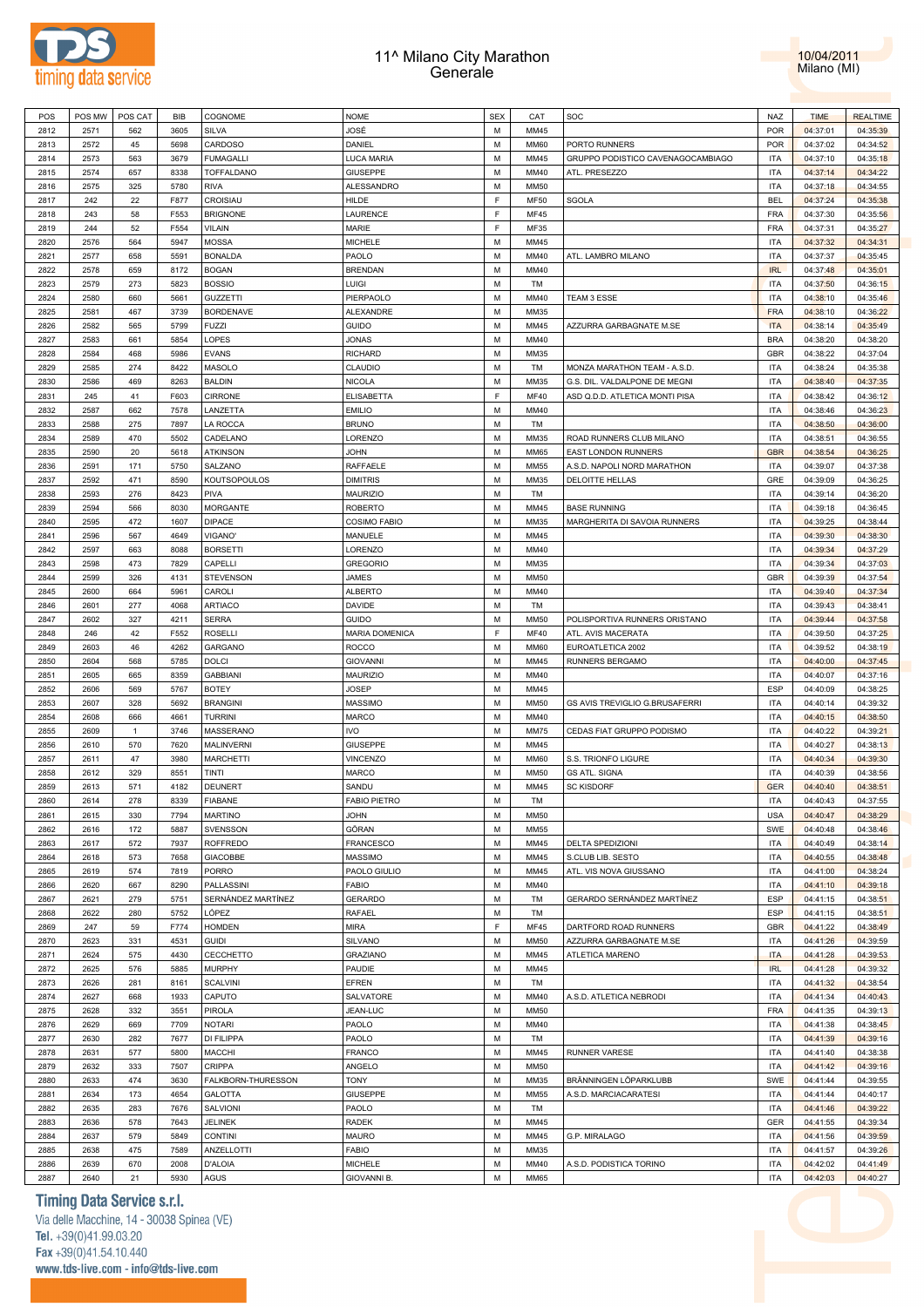



| POS          | POS MW       | POS CAT    | <b>BIB</b>   | COGNOME                       | <b>NOME</b>                   | <b>SEX</b> | CAT          | SOC                               | <b>NAZ</b>               | <b>TIME</b>          | <b>REALTIME</b>      |
|--------------|--------------|------------|--------------|-------------------------------|-------------------------------|------------|--------------|-----------------------------------|--------------------------|----------------------|----------------------|
| 2812         | 2571         | 562        | 3605         | SILVA                         | JOSÉ                          | M          | MM45         |                                   | <b>POR</b>               | 04:37:01             | 04:35:39             |
| 2813         | 2572         | 45         | 5698         | CARDOSO                       | DANIEL                        | M          | <b>MM60</b>  | PORTO RUNNERS                     | <b>POR</b>               | 04:37:02             | 04:34:52             |
| 2814         | 2573         | 563        | 3679         | <b>FUMAGALLI</b>              | LUCA MARIA                    | M          | MM45         | GRUPPO PODISTICO CAVENAGOCAMBIAGO | <b>ITA</b>               | 04:37:10             | 04:35:18             |
| 2815         | 2574         | 657        | 8338         | TOFFALDANO                    | GIUSEPPE                      | M          | MM40         | ATL. PRESEZZO                     | <b>ITA</b>               | 04:37:14             | 04:34:22             |
| 2816         | 2575         | 325        | 5780         | <b>RIVA</b>                   | <b>ALESSANDRO</b>             | М          | MM50         |                                   | <b>ITA</b>               | 04:37:18             | 04:34:55             |
| 2817         | 242          | 22         | F877         | CROISIAU                      | HILDE                         | E          | <b>MF50</b>  | SGOLA                             | <b>BEL</b>               | 04:37:24             | 04:35:38             |
| 2818         | 243          | 58         | F553         | <b>BRIGNONE</b>               | LAURENCE                      | E          | <b>MF45</b>  |                                   | FRA                      | 04:37:30             | 04:35:56             |
| 2819         | 244          | 52         | F554         | <b>VILAIN</b>                 | MARIE                         | F          | MF35         |                                   | FRA                      | 04:37:31             | 04:35:27             |
| 2820         | 2576         | 564        | 5947         | <b>MOSSA</b>                  | MICHELE                       | M          | MM45         |                                   | <b>ITA</b>               | 04:37:32             | 04:34:31             |
| 2821         | 2577         | 658        | 5591         | <b>BONALDA</b>                | PAOLO                         | M          | MM40         | ATL. LAMBRO MILANO                | <b>ITA</b>               | 04:37:37             | 04:35:45             |
| 2822         | 2578         | 659        | 8172         | <b>BOGAN</b>                  | <b>BRENDAN</b>                | М          | MM40         |                                   | <b>IRL</b>               | 04:37:48             | 04:35:01             |
| 2823         | 2579         | 273        | 5823         | <b>BOSSIO</b>                 | LUIGI                         | M          | TM           |                                   | <b>ITA</b>               | 04:37:50             | 04:36:15             |
| 2824         | 2580         | 660        | 5661         | <b>GUZZETTI</b>               | PIERPAOLO                     | M          | MM40         | TEAM 3 ESSE                       | <b>ITA</b>               | 04:38:10             | 04:35:46             |
| 2825         | 2581         | 467        | 3739         | <b>BORDENAVE</b>              | ALEXANDRE                     | M          | MM35         |                                   | <b>FRA</b>               | 04:38:10             | 04:36:22             |
| 2826         | 2582         | 565        | 5799         | <b>FUZZI</b>                  | <b>GUIDO</b>                  | M          | MM45         | AZZURRA GARBAGNATE M.SE           | <b>ITA</b>               | 04:38:14             | 04:35:49             |
| 2827         | 2583         | 661        | 5854         | LOPES                         | JONAS                         | M          | MM40         |                                   | <b>BRA</b>               | 04:38:20             | 04:38:20             |
| 2828         | 2584         | 468        | 5986         | <b>EVANS</b>                  | RICHARD                       | М          | MM35         |                                   | <b>GBR</b>               | 04:38:22             | 04:37:04             |
| 2829         | 2585         | 274        | 8422         | <b>MASOLO</b>                 | CLAUDIO                       | M          | TM           | MONZA MARATHON TEAM - A.S.D.      | <b>ITA</b>               | 04:38:24             | 04:35:38             |
| 2830         | 2586         | 469        | 8263         | <b>BALDIN</b>                 | NICOLA                        | М          | MM35         | G.S. DIL. VALDALPONE DE MEGNI     | <b>ITA</b>               | 04:38:40             | 04:37:35             |
| 2831         | 245          | 41         | F603         | <b>CIRRONE</b>                | ELISABETTA                    | E          | <b>MF40</b>  | ASD Q.D.D. ATLETICA MONTI PISA    | <b>ITA</b>               | 04:38:42             | 04:36:12             |
| 2832         | 2587         | 662        | 7578         | LANZETTA                      | <b>EMILIO</b>                 | M          | MM40         |                                   | <b>ITA</b>               | 04:38:46             | 04:36:23             |
| 2833         | 2588         | 275        | 7897         | LA ROCCA                      | <b>BRUNO</b>                  | M          | TM           |                                   | <b>ITA</b>               | 04:38:50             | 04:36:00             |
| 2834         | 2589         | 470        | 5502         | CADELANO                      | LORENZO                       | M          | MM35         | ROAD RUNNERS CLUB MILANO          | <b>ITA</b>               | 04:38:51             | 04:36:55             |
| 2835         | 2590         | 20         | 5618         | <b>ATKINSON</b>               | JOHN                          | M          | <b>MM65</b>  | <b>EAST LONDON RUNNERS</b>        | <b>GBR</b>               | 04:38:54             | 04:36:25             |
| 2836         | 2591         | 171        | 5750         | SALZANO                       | RAFFAELE                      | M          | MM55         | A.S.D. NAPOLI NORD MARATHON       | <b>ITA</b>               |                      |                      |
|              |              |            |              |                               |                               |            |              | <b>DELOITTE HELLAS</b>            |                          | 04:39:07             | 04:37:38             |
| 2837         | 2592         | 471        | 8590         | <b>KOUTSOPOULOS</b>           | <b>DIMITRIS</b>               | M          | MM35         |                                   | GRE                      | 04:39:09             | 04:36:25             |
| 2838         | 2593         | 276        | 8423         | <b>PIVA</b>                   | MAURIZIO                      | М          | <b>TM</b>    |                                   | <b>ITA</b>               | 04:39:14             | 04:36:20             |
| 2839         | 2594         | 566        | 8030         | <b>MORGANTE</b>               | <b>ROBERTO</b>                | M          | MM45         | <b>BASE RUNNING</b>               | <b>ITA</b>               | 04:39:18             | 04:36:45             |
| 2840         | 2595         | 472        | 1607         | <b>DIPACE</b>                 | COSIMO FABIO<br>MANUELE       | M          | MM35         | MARGHERITA DI SAVOIA RUNNERS      | <b>ITA</b>               | 04:39:25             | 04:38:44             |
| 2841         | 2596         | 567        | 4649         | VIGANO'                       |                               | M          | MM45         |                                   | <b>ITA</b>               | 04:39:30             | 04:38:30             |
| 2842         | 2597         | 663        | 8088         | <b>BORSETTI</b>               | LORENZO                       | М          | MM40         |                                   | <b>ITA</b>               | 04:39:34             | 04:37:29             |
| 2843         | 2598         | 473        | 7829         | CAPELLI                       | GREGORIO                      | M          | MM35         |                                   | <b>ITA</b>               | 04:39:34             | 04:37:03             |
| 2844         | 2599         | 326        | 4131         | <b>STEVENSON</b>              | JAMES                         | М          | MM50         |                                   | <b>GBR</b>               | 04:39:39             | 04:37:54             |
| 2845         | 2600         | 664        | 5961         | CAROLI                        | <b>ALBERTO</b>                | M          | MM40         |                                   | <b>ITA</b>               | 04:39:40             | 04:37:34             |
| 2846         | 2601         | 277        | 4068         | <b>ARTIACO</b>                | DAVIDE                        | M          | TM           |                                   | <b>ITA</b>               | 04:39:43             | 04:38:41             |
| 2847         | 2602         | 327        | 4211         | <b>SERRA</b>                  | GUIDO                         | M          | <b>MM50</b>  | POLISPORTIVA RUNNERS ORISTANO     | <b>ITA</b>               | 04:39:44             | 04:37:58             |
| 2848         | 246          | 42         | F552         | <b>ROSELLI</b>                | <b>MARIA DOMENICA</b>         | F          | <b>MF40</b>  | ATL. AVIS MACERATA                | <b>ITA</b>               | 04:39:50             | 04:37:25             |
| 2849         |              |            |              |                               |                               |            |              |                                   |                          |                      |                      |
|              | 2603         | 46         | 4262         | <b>GARGANO</b>                | ROCCO                         | M          | <b>MM60</b>  | EUROATLETICA 2002                 | <b>ITA</b>               | 04:39:52             | 04:38:19             |
| 2850         | 2604         | 568        | 5785         | <b>DOLCI</b>                  | <b>GIOVANNI</b>               | М          | MM45         | RUNNERS BERGAMO                   | <b>ITA</b>               | 04:40:00             | 04:37:45             |
| 2851         | 2605         | 665        | 8359         | <b>GABBIANI</b>               | MAURIZIO                      | M          | MM40         |                                   | <b>ITA</b>               | 04:40:07             | 04:37:16             |
| 2852         | 2606         | 569        | 5767         | <b>BOTEY</b>                  | <b>JOSEP</b>                  | M          | MM45         |                                   | <b>ESP</b>               | 04:40:09             | 04:38:25             |
| 2853         | 2607         | 328        | 5692         | <b>BRANGINI</b>               | MASSIMO                       | M          | MM50         | GS AVIS TREVIGLIO G.BRUSAFERRI    | <b>ITA</b>               | 04:40:14             | 04:39:32             |
| 2854         | 2608         | 666        | 4661         | <b>TURRINI</b>                | MARCO                         | М          | MM40         |                                   | <b>ITA</b>               | 04:40:15             | 04:38:50             |
| 2855         | 2609         | 1          | 3746         | MASSERANO                     | IVO                           | M          | <b>MM75</b>  | CEDAS FIAT GRUPPO PODISMO         | <b>ITA</b>               | 04:40:22             | 04:39:21             |
| 2856         | 2610         | 570        | 7620         | <b>MALINVERNI</b>             | <b>GIUSEPPE</b>               | M          | MM45         |                                   | <b>ITA</b>               | 04:40:27             | 04:38:13             |
| 2857         | 2611         | 47         | 3980         | <b>MARCHETTI</b>              | VINCENZO                      | M          | <b>MM60</b>  | S.S. TRIONFO LIGURE               | <b>ITA</b>               | 04:40:34             | 04:39:30             |
| 2858         | 2612         | 329        | 8551         | TINTI                         | MARCO                         | M          | <b>MM50</b>  | <b>GS ATL. SIGNA</b>              | <b>ITA</b>               | 04:40:39             | 04:38:56             |
| 2859         | 2613         | 571        | 4182         | <b>DEUNERT</b>                | SANDU                         | M          | MM45         | <b>SC KISDORF</b>                 | <b>GER</b>               | 04:40:40             | 04:38:51             |
| 2860         | 2614         | 278        | 8339         | <b>FIABANE</b>                | <b>FABIO PIETRO</b>           | M          | TM           |                                   | <b>ITA</b>               | 04:40:43             | 04:37:55             |
| 2861         | 2615         | 330        | 7794         | <b>MARTINO</b>                | JOHN                          | M          | MM50         |                                   | <b>USA</b>               | 04:40:47             | 04:38:29             |
| 2862         | 2616         | 172        | 5887         | SVENSSON                      | GÖRAN                         | M          | MM55         |                                   | SWE                      | 04:40:48             | 04:38:46             |
| 2863         | 2617         | 572        | 7937         | <b>ROFFREDO</b>               | <b>FRANCESCO</b>              | M          | MM45         | DELTA SPEDIZIONI                  | <b>ITA</b>               | 04:40:49             | 04:38:14             |
| 2864         | 2618         | 573        | 7658         | <b>GIACOBBE</b>               | MASSIMO                       | M          | MM45         | S.CLUB LIB. SESTO                 | <b>ITA</b>               | 04:40:55             | 04:38:48             |
| 2865         | 2619         | 574        | 7819         | <b>PORRO</b>                  | PAOLO GIULIO                  | M          | MM45         | ATL. VIS NOVA GIUSSANO            | <b>ITA</b>               | 04:41:00             | 04:38:24             |
| 2866         | 2620         | 667        | 8290         | PALLASSINI                    | FABIO                         | M          | MM40         |                                   | <b>ITA</b>               | 04:41:10             | 04:39:18             |
| 2867         | 2621         | 279        | 5751         | SERNÁNDEZ MARTÍNEZ            | <b>GERARDO</b>                | M          | TM           | GERARDO SERNÁNDEZ MARTÍNEZ        | <b>ESP</b>               | 04:41:15             | 04:38:51             |
| 2868         | 2622         | 280        | 5752         | LÓPEZ                         | RAFAEL                        | M          | TM           |                                   | <b>ESP</b>               | 04:41:15             | 04:38:51             |
| 2869         | 247          | 59         | F774         | <b>HOMDEN</b>                 | MIRA                          | E          | MF45         | DARTFORD ROAD RUNNERS             | <b>GBR</b>               | 04:41:22             | 04:38:49             |
| 2870         | 2623         | 331        | 4531         | <b>GUIDI</b>                  | <b>SILVANO</b>                | M          | MM50         | AZZURRA GARBAGNATE M.SE           | <b>ITA</b>               | 04:41:26             | 04:39:59             |
| 2871         | 2624         | 575        | 4430         | <b>CECCHETTO</b>              | <b>GRAZIANO</b>               | M          | MM45         | ATLETICA MARENO                   | <b>ITA</b>               | 04:41:28             | 04:39:53             |
| 2872         | 2625         | 576        | 5885         | <b>MURPHY</b>                 | PAUDIE                        | M          | MM45         |                                   | <b>IRL</b>               | 04:41:28             | 04:39:32             |
| 2873         | 2626         | 281        | 8161         | <b>SCALVINI</b>               | EFREN                         | M          | TM           |                                   | <b>ITA</b>               | 04:41:32             | 04:38:54             |
| 2874         | 2627         | 668        | 1933         | CAPUTO                        | SALVATORE                     | M          | MM40         | A.S.D. ATLETICA NEBRODI           | <b>ITA</b>               | 04:41:34             | 04:40:43             |
| 2875         | 2628         |            | 3551         |                               |                               | M          | MM50         |                                   | <b>FRA</b>               | 04:41:35             |                      |
|              | 2629         | 332<br>669 | 7709         | PIROLA<br><b>NOTARI</b>       | <b>JEAN-LUC</b>               | M          | MM40         |                                   | <b>ITA</b>               | 04:41:38             | 04:39:13             |
| 2876<br>2877 | 2630         |            | 7677         | DI FILIPPA                    | PAOLO<br>PAOLO                | M          | TM           |                                   | <b>ITA</b>               | 04:41:39             | 04:38:45<br>04:39:16 |
|              |              | 282<br>577 | 5800         | <b>MACCHI</b>                 | <b>FRANCO</b>                 | M          | MM45         | <b>RUNNER VARESE</b>              | <b>ITA</b>               | 04:41:40             |                      |
| 2878         | 2631         |            |              |                               |                               |            |              |                                   |                          |                      | 04:38:38             |
| 2879         | 2632         | 333        | 7507         | <b>CRIPPA</b>                 | ANGELO                        | M          | MM50         |                                   | <b>ITA</b>               | 04:41:42             | 04:39:16             |
| 2880         | 2633         | 474        | 3630         | FALKBORN-THURESSON            | TONY                          | M          | MM35         | BRÄNNINGEN LÖPARKLUBB             | SWE                      | 04:41:44             | 04:39:55             |
| 2881         | 2634         | 173        | 4654         | <b>GALOTTA</b>                | <b>GIUSEPPE</b>               | M          | <b>MM55</b>  | A.S.D. MARCIACARATESI             | <b>ITA</b>               | 04:41:44             | 04:40:17             |
| 2882         | 2635         | 283        | 7676         | SALVIONI                      | PAOLO                         | M          | TM           |                                   | <b>ITA</b>               | 04:41:46             | 04:39:22             |
| 2883         | 2636         | 578        | 7643         | <b>JELINEK</b>                | RADEK                         | M          | MM45         |                                   | GER                      | 04:41:55             | 04:39:34             |
| 2884         | 2637         | 579        | 5849         | <b>CONTINI</b>                | MAURO                         | M          | MM45         | G.P. MIRALAGO                     | <b>ITA</b>               | 04:41:56             | 04:39:59             |
| 2885         | 2638         | 475        | 7589         | ANZELLOTTI                    | <b>FABIO</b>                  | M          | MM35         |                                   | <b>ITA</b>               | 04:41:57             | 04:39:26             |
| 2886<br>2887 | 2639<br>2640 | 670<br>21  | 2008<br>5930 | <b>D'ALOIA</b><br><b>AGUS</b> | <b>MICHELE</b><br>GIOVANNI B. | M<br>M     | MM40<br>MM65 | A.S.D. PODISTICA TORINO           | <b>ITA</b><br><b>ITA</b> | 04:42:02<br>04:42:03 | 04:41:49<br>04:40:27 |

# **Timing Data Service s.r.l.**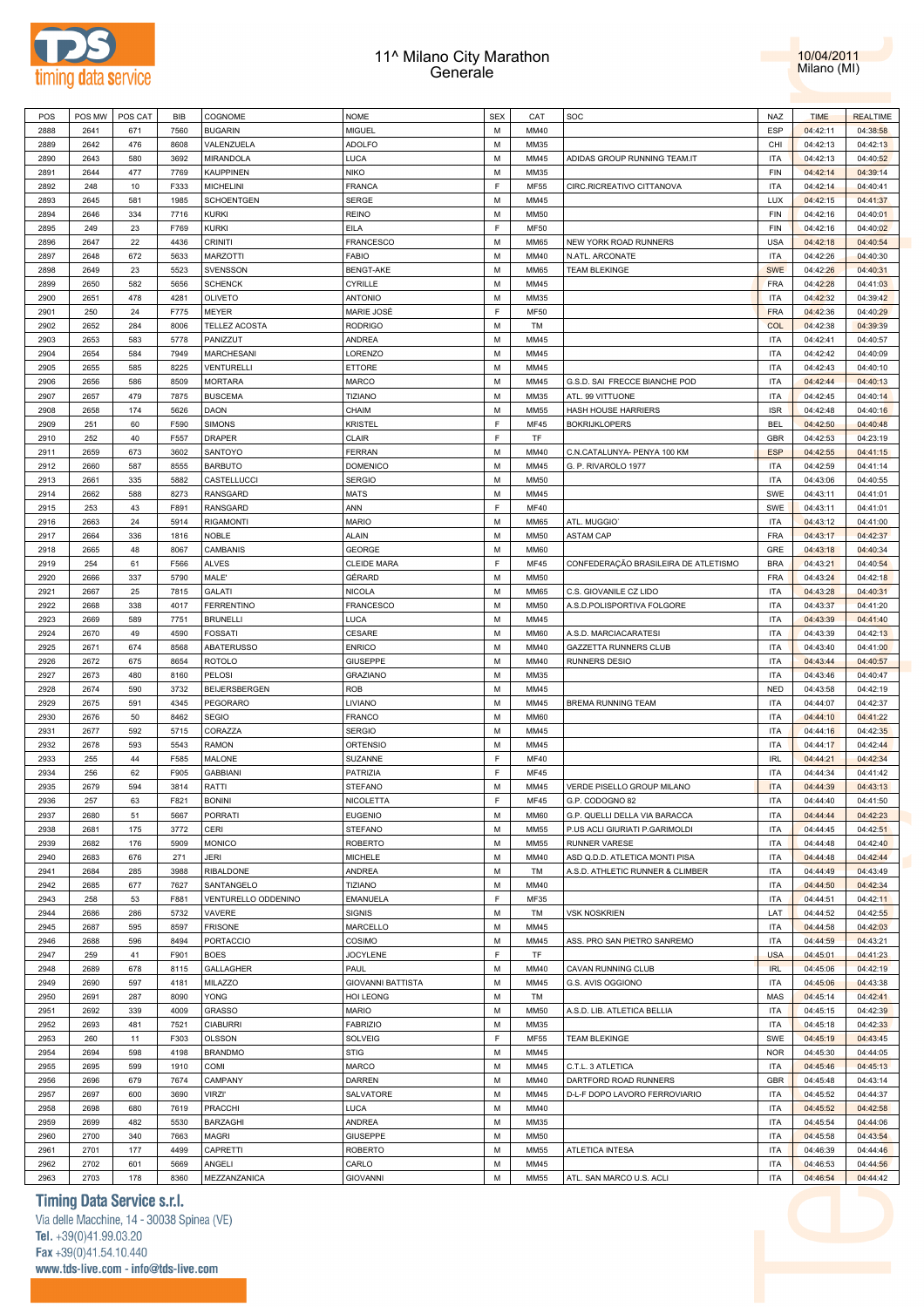



| POS          | POS MW       | POS CAT    | BIB          | COGNOME                | <b>NOME</b>              | <b>SEX</b> | CAT          | SOC                                  | NAZ                      | <b>TIME</b>          | <b>REALTIME</b>      |  |
|--------------|--------------|------------|--------------|------------------------|--------------------------|------------|--------------|--------------------------------------|--------------------------|----------------------|----------------------|--|
| 2888         | 2641         | 671        | 7560         | <b>BUGARIN</b>         | MIGUEL                   | M          | MM40         |                                      | <b>ESP</b>               | 04:42:11             | 04:38:58             |  |
|              |              |            |              |                        |                          |            |              |                                      |                          |                      |                      |  |
| 2889         | 2642         | 476        | 8608         | VALENZUELA             | ADOLFO                   | М          | MM35         |                                      | CHI                      | 04:42:13             | 04:42:13             |  |
| 2890         | 2643         | 580        | 3692         | MIRANDOLA              | LUCA                     | М          | MM45         | ADIDAS GROUP RUNNING TEAM.IT         | ITA                      | 04:42:13             | 04:40:52             |  |
| 2891         | 2644         | 477        | 7769         | <b>KAUPPINEN</b>       | NIKO                     | М          | MM35         |                                      | <b>FIN</b>               | 04:42:14             | 04:39:14             |  |
|              |              |            |              |                        |                          |            |              |                                      |                          |                      |                      |  |
| 2892         | 248          | 10         | F333         | <b>MICHELINI</b>       | FRANCA                   | F          | <b>MF55</b>  | CIRC.RICREATIVO CITTANOVA            | ITA                      | 04:42:14             | 04:40:41             |  |
| 2893         | 2645         | 581        | 1985         | <b>SCHOENTGEN</b>      | SERGE                    | М          | MM45         |                                      | LUX                      | 04:42:15             | 04:41:37             |  |
| 2894         | 2646         | 334        | 7716         | <b>KURKI</b>           | REINO                    | М          | MM50         |                                      | <b>FIN</b>               | 04:42:16             | 04:40:01             |  |
| 2895         | 249          | 23         | F769         | <b>KURKI</b>           | EILA                     | F          | <b>MF50</b>  |                                      | <b>FIN</b>               | 04:42:16             | 04:40:02             |  |
|              |              |            |              |                        |                          |            |              |                                      |                          |                      |                      |  |
| 2896         | 2647         | 22         | 4436         | <b>CRINITI</b>         | <b>FRANCESCO</b>         | M          | <b>MM65</b>  | NEW YORK ROAD RUNNERS                | <b>USA</b>               | 04:42:18             | 04:40:54             |  |
| 2897         | 2648         | 672        | 5633         | <b>MARZOTTI</b>        | FABIO                    | М          | MM40         | N.ATL. ARCONATE                      | <b>ITA</b>               | 04:42:26             | 04:40:30             |  |
| 2898         | 2649         | 23         | 5523         | <b>SVENSSON</b>        | <b>BENGT-AKE</b>         | М          | <b>MM65</b>  | <b>TEAM BLEKINGE</b>                 | <b>SWE</b>               | 04:42:26             | 04:40:31             |  |
| 2899         | 2650         | 582        | 5656         | <b>SCHENCK</b>         | CYRILLE                  | М          | MM45         |                                      | <b>FRA</b>               | 04:42:28             | 04:41:03             |  |
|              |              |            |              |                        |                          |            |              |                                      |                          |                      |                      |  |
| 2900         | 2651         | 478        | 4281         | <b>OLIVETO</b>         | ANTONIO                  | М          | MM35         |                                      | <b>ITA</b>               | 04:42:32             | 04:39:42             |  |
| 2901         | 250          | 24         | F775         | MEYER                  | MARIE JOSÉ               | F          | <b>MF50</b>  |                                      | <b>FRA</b>               | 04:42:36             | 04:40:29             |  |
| 2902         | 2652         | 284        | 8006         | <b>TELLEZ ACOSTA</b>   | Rodrigo                  | М          | TM           |                                      | COL                      | 04:42:38             | 04:39:39             |  |
| 2903         | 2653         | 583        | 5778         | PANIZZUT               | ANDREA                   | М          | MM45         |                                      | <b>ITA</b>               | 04:42:41             | 04:40:57             |  |
|              |              |            |              |                        |                          |            |              |                                      |                          |                      |                      |  |
| 2904         | 2654         | 584        | 7949         | <b>MARCHESANI</b>      | LORENZO                  | М          | MM45         |                                      | ITA                      | 04:42:42             | 04:40:09             |  |
| 2905         | 2655         | 585        | 8225         | VENTURELLI             | ETTORE                   | М          | MM45         |                                      | <b>ITA</b>               | 04:42:43             | 04:40:10             |  |
| 2906         | 2656         | 586        | 8509         | <b>MORTARA</b>         | MARCO                    | M          | MM45         | G.S.D. SAI FRECCE BIANCHE POD        | ITA                      | 04:42:44             | 04:40:13             |  |
| 2907         | 2657         | 479        | 7875         |                        | <b>TIZIANO</b>           | М          | MM35         |                                      | <b>ITA</b>               |                      | 04:40:14             |  |
|              |              |            |              | <b>BUSCEMA</b>         |                          |            |              | ATL. 99 VITTUONE                     |                          | 04:42:45             |                      |  |
| 2908         | 2658         | 174        | 5626         | DAON                   | CHAIM                    | М          | <b>MM55</b>  | <b>HASH HOUSE HARRIERS</b>           | <b>ISR</b>               | 04:42:48             | 04:40:16             |  |
| 2909         | 251          | 60         | F590         | <b>SIMONS</b>          | KRISTEL                  | F          | <b>MF45</b>  | <b>BOKRIJKLOPERS</b>                 | <b>BEL</b>               | 04:42:50             | 04:40:48             |  |
| 2910         | 252          | 40         | F557         | DRAPER                 | CLAIR                    | F          | TF           |                                      | <b>GBR</b>               | 04:42:53             | 04:23:19             |  |
|              |              |            |              |                        |                          |            |              |                                      |                          |                      |                      |  |
| 2911         | 2659         | 673        | 3602         | SANTOYO                | FERRAN                   | M          | MM40         | C.N.CATALUNYA- PENYA 100 KM          | <b>ESP</b>               | 04:42:55             | 04:41:15             |  |
| 2912         | 2660         | 587        | 8555         | <b>BARBUTO</b>         | DOMENICO                 | M          | MM45         | G. P. RIVAROLO 1977                  | <b>ITA</b>               | 04:42:59             | 04:41:14             |  |
| 2913         | 2661         | 335        | 5882         | CASTELLUCCI            | <b>SERGIO</b>            | М          | <b>MM50</b>  |                                      | <b>ITA</b>               | 04:43:06             | 04:40:55             |  |
| 2914         | 2662         | 588        | 8273         | RANSGARD               | MATS                     | М          | MM45         |                                      | SWE                      | 04:43:11             | 04:41:01             |  |
|              |              |            |              |                        |                          |            |              |                                      |                          |                      |                      |  |
| 2915         | 253          | 43         | F891         | <b>RANSGARD</b>        | ANN                      | F          | <b>MF40</b>  |                                      | SWE                      | 04:43:11             | 04:41:01             |  |
| 2916         | 2663         | 24         | 5914         | <b>RIGAMONTI</b>       | <b>MARIO</b>             | M          | <b>MM65</b>  | ATL. MUGGIOT                         | ITA                      | 04:43:12             | 04:41:00             |  |
| 2917         | 2664         | 336        | 1816         | <b>NOBLE</b>           | <b>ALAIN</b>             | М          | <b>MM50</b>  | <b>ASTAM CAP</b>                     | <b>FRA</b>               | 04:43:17             | 04:42:37             |  |
| 2918         | 2665         | 48         | 8067         | CAMBANIS               | GEORGE                   | М          | MM60         |                                      | GRE                      | 04:43:18             | 04:40:34             |  |
|              |              |            |              |                        |                          |            |              |                                      |                          |                      |                      |  |
| 2919         | 254          | 61         | F566         | <b>ALVES</b>           | CLEIDE MARA              | F          | <b>MF45</b>  | CONFEDERAÇÃO BRASILEIRA DE ATLETISMO | <b>BRA</b>               | 04:43:21             | 04:40:54             |  |
| 2920         | 2666         | 337        | 5790         | MALE'                  | GÉRARD                   | M          | <b>MM50</b>  |                                      | <b>FRA</b>               | 04:43:24             | 04:42:18             |  |
| 2921         | 2667         | 25         | 7815         | <b>GALATI</b>          | NICOLA                   | М          | <b>MM65</b>  | C.S. GIOVANILE CZ LIDO               | <b>ITA</b>               | 04:43:28             | 04:40:31             |  |
| 2922         | 2668         | 338        | 4017         | <b>FERRENTINO</b>      | FRANCESCO                | М          | <b>MM50</b>  | A.S.D.POLISPORTIVA FOLGORE           | ITA                      | 04:43:37             | 04:41:20             |  |
|              |              |            |              |                        |                          |            |              |                                      |                          |                      |                      |  |
| 2923         | 2669         | 589        | 7751         | <b>BRUNELLI</b>        | LUCA                     | М          | MM45         |                                      | <b>ITA</b>               | 04:43:39             | 04:41:40             |  |
| 2924         | 2670         | 49         | 4590         | <b>FOSSATI</b>         | CESARE                   | М          | <b>MM60</b>  | A.S.D. MARCIACARATESI                | <b>ITA</b>               | 04:43:39             | 04:42:13             |  |
| 2925         | 2671         | 674        | 8568         | <b>ABATERUSSO</b>      | <b>ENRICO</b>            | М          | MM40         | <b>GAZZETTA RUNNERS CLUB</b>         | <b>ITA</b>               | 04:43:40             | 04:41:00             |  |
| 2926         | 2672         | 675        | 8654         | <b>ROTOLO</b>          | GIUSEPPE                 | M          | MM40         | <b>RUNNERS DESIO</b>                 | <b>ITA</b>               | 04:43:44             | 04:40:57             |  |
|              |              |            |              |                        |                          |            |              |                                      |                          |                      |                      |  |
|              |              |            |              |                        |                          |            |              |                                      |                          |                      |                      |  |
| 2927         | 2673         | 480        | 8160         | <b>PELOSI</b>          | <b>GRAZIANO</b>          | М          | MM35         |                                      | <b>ITA</b>               | 04:43:46             | 04:40:47             |  |
| 2928         | 2674         | 590        | 3732         | BEIJERSBERGEN          | ROB                      | М          | MM45         |                                      | <b>NED</b>               | 04:43:58             | 04:42:19             |  |
| 2929         |              | 591        | 4345         |                        |                          | М          | MM45         |                                      | <b>ITA</b>               |                      |                      |  |
|              | 2675         |            |              | PEGORARO               | LIVIANO                  |            |              | BREMA RUNNING TEAM                   |                          | 04:44:07             | 04:42:37             |  |
| 2930         | 2676         | 50         | 8462         | SEGIO                  | FRANCO                   | М          | MM60         |                                      | ITA                      | 04:44:10             | 04:41:22             |  |
| 2931         | 2677         | 592        | 5715         | CORAZZA                | <b>SERGIO</b>            | М          | MM45         |                                      | <b>ITA</b>               | 04:44:16             | 04:42:35             |  |
| 2932         | 2678         | 593        | 5543         | <b>RAMON</b>           | ORTENSIO                 | М          | MM45         |                                      | <b>ITA</b>               | 04:44:17             | 04:42:44             |  |
| 2933         | 255          | 44         | F585         |                        |                          | F          | <b>MF40</b>  |                                      | <b>IRL</b>               | 04:44:21             |                      |  |
|              |              |            |              | MALONE                 | SUZANNE                  |            |              |                                      |                          |                      | 04:42:34             |  |
| 2934         | 256          | 62         | F905         | <b>GABBIANI</b>        | PATRIZIA                 | F          | MF45         |                                      | ITA                      | 04:44:34             | 04:41:42             |  |
| 2935         | 2679         | 594        | 3814         | RATTI                  | STEFANO                  | М          | MM45         | VERDE PISELLO GROUP MILANO           | <b>ITA</b>               | 04:44:39             | 04:43:13             |  |
| 2936         | 257          | 63         | F821         | <b>BONINI</b>          | <b>NICOLETTA</b>         | F          | MF45         | G.P. CODOGNO 82                      | <b>ITA</b>               | 04:44:40             | 04:41:50             |  |
| 2937         | 2680         | 51         | 5667         | PORRATI                | <b>EUGENIO</b>           | М          | MM60         | G.P. QUELLI DELLA VIA BARACCA        | ITA                      | 04:44:44             | 04:42:23             |  |
|              |              |            |              |                        |                          |            |              |                                      |                          |                      |                      |  |
| 2938         | 2681         | 175        | 3772         | CERI                   | STEFANO                  | M          | MM55         | P.US ACLI GIURIATI P.GARIMOLDI       | <b>ITA</b>               | 04:44:45             | 04:42:51             |  |
| 2939         | 2682         | 176        | 5909         | <b>MONICO</b>          | <b>ROBERTO</b>           | M          | MM55         | RUNNER VARESE                        | <b>ITA</b>               | 04:44:48             | 04:42:40             |  |
| 2940         | 2683         | 676        | 271          | JERI                   | MICHELE                  | М          | MM40         | ASD Q.D.D. ATLETICA MONTI PISA       | ITA                      | 04:44:48             | 04:42:44             |  |
| 2941         | 2684         | 285        | 3988         | RIBALDONE              | ANDREA                   | М          | TM           | A.S.D. ATHLETIC RUNNER & CLIMBER     | <b>ITA</b>               | 04:44:49             | 04:43:49             |  |
|              |              |            |              |                        |                          |            |              |                                      |                          |                      |                      |  |
| 2942         | 2685         | 677        | 7627         | SANTANGELO             | TIZIANO                  | М          | MM40         |                                      | <b>ITA</b>               | 04:44:50             | 04:42:34             |  |
| 2943         | 258          | 53         | F881         | VENTURELLO ODDENINO    | <b>EMANUELA</b>          | F          | MF35         |                                      | <b>ITA</b>               | 04:44:51             | 04:42:11             |  |
| 2944         | 2686         | 286        | 5732         | VAVERE                 | SIGNIS                   | M          | TM           | <b>VSK NOSKRIEN</b>                  | LAT                      | 04:44:52             | 04:42:55             |  |
| 2945         | 2687         | 595        | 8597         | <b>FRISONE</b>         | MARCELLO                 | М          | MM45         |                                      | <b>ITA</b>               | 04:44:58             | 04:42:03             |  |
|              |              |            |              |                        |                          |            |              |                                      |                          |                      |                      |  |
| 2946         | 2688         | 596        | 8494         | PORTACCIO              | COSIMO                   | М          | MM45         | ASS. PRO SAN PIETRO SANREMO          | <b>ITA</b>               | 04:44:59             | 04:43:21             |  |
| 2947         | 259          | 41         | F901         | <b>BOES</b>            | <b>JOCYLENE</b>          | F          | TF           |                                      | <b>USA</b>               | 04:45:01             | 04:41:23             |  |
| 2948         | 2689         | 678        | 8115         | GALLAGHER              | PAUL                     | М          | MM40         | CAVAN RUNNING CLUB                   | <b>IRL</b>               | 04:45:06             | 04:42:19             |  |
| 2949         | 2690         | 597        | 4181         | MILAZZO                | <b>GIOVANNI BATTISTA</b> | М          | MM45         | G.S. AVIS OGGIONO                    | <b>ITA</b>               | 04:45:06             | 04:43:38             |  |
|              |              |            |              |                        |                          |            |              |                                      |                          |                      |                      |  |
| 2950         | 2691         | 287        | 8090         | YONG                   | HOI LEONG                | М          | TM           |                                      | MAS                      | 04:45:14             | 04:42:41             |  |
| 2951         | 2692         | 339        | 4009         | <b>GRASSO</b>          | <b>MARIO</b>             | М          | <b>MM50</b>  | A.S.D. LIB. ATLETICA BELLIA          | <b>ITA</b>               | 04:45:15             | 04:42:39             |  |
| 2952         | 2693         | 481        | 7521         | <b>CIABURRI</b>        | <b>FABRIZIO</b>          | М          | MM35         |                                      | <b>ITA</b>               | 04:45:18             | 04:42:33             |  |
| 2953         | 260          | 11         | F303         | OLSSON                 | SOLVEIG                  | F          | <b>MF55</b>  | <b>TEAM BLEKINGE</b>                 | SWE                      | 04:45:19             | 04:43:45             |  |
|              |              |            |              |                        |                          |            |              |                                      |                          |                      |                      |  |
| 2954         | 2694         | 598        | 4198         | <b>BRANDMO</b>         | STIG                     | М          | MM45         |                                      | NOR                      | 04:45:30             | 04:44:05             |  |
| 2955         | 2695         | 599        | 1910         | COMI                   | MARCO                    | М          | MM45         | C.T.L. 3 ATLETICA                    | <b>ITA</b>               | 04:45:46             | 04:45:13             |  |
| 2956         | 2696         | 679        | 7674         | CAMPANY                | DARREN                   | M          | MM40         | DARTFORD ROAD RUNNERS                | <b>GBR</b>               | 04:45:48             | 04:43:14             |  |
| 2957         | 2697         | 600        | 3690         | <b>VIRZI'</b>          | SALVATORE                | М          | MM45         | D-L-F DOPO LAVORO FERROVIARIO        | <b>ITA</b>               | 04:45:52             | 04:44:37             |  |
|              |              |            |              |                        |                          |            |              |                                      |                          |                      |                      |  |
| 2958         | 2698         | 680        | 7619         | PRACCHI                | LUCA                     | М          | MM40         |                                      | <b>ITA</b>               | 04:45:52             | 04:42:58             |  |
| 2959         | 2699         | 482        | 5530         | BARZAGHI               | ANDREA                   | М          | MM35         |                                      | <b>ITA</b>               | 04:45:54             | 04:44:06             |  |
| 2960         | 2700         | 340        | 7663         | MAGRI                  | GIUSEPPE                 | М          | MM50         |                                      | ITA                      | 04:45:58             | 04:43:54             |  |
| 2961         | 2701         | 177        | 4499         | CAPRETTI               | ROBERTO                  | М          | <b>MM55</b>  | ATLETICA INTESA                      | <b>ITA</b>               | 04:46:39             | 04:44:46             |  |
|              |              |            |              |                        |                          |            |              |                                      |                          |                      |                      |  |
| 2962<br>2963 | 2702<br>2703 | 601<br>178 | 5669<br>8360 | ANGELI<br>MEZZANZANICA | CARLO<br><b>GIOVANNI</b> | М<br>M     | MM45<br>MM55 | ATL. SAN MARCO U.S. ACLI             | <b>ITA</b><br><b>ITA</b> | 04:46:53<br>04:46:54 | 04:44:56<br>04:44:42 |  |

### **Timing Data Service s.r.l.**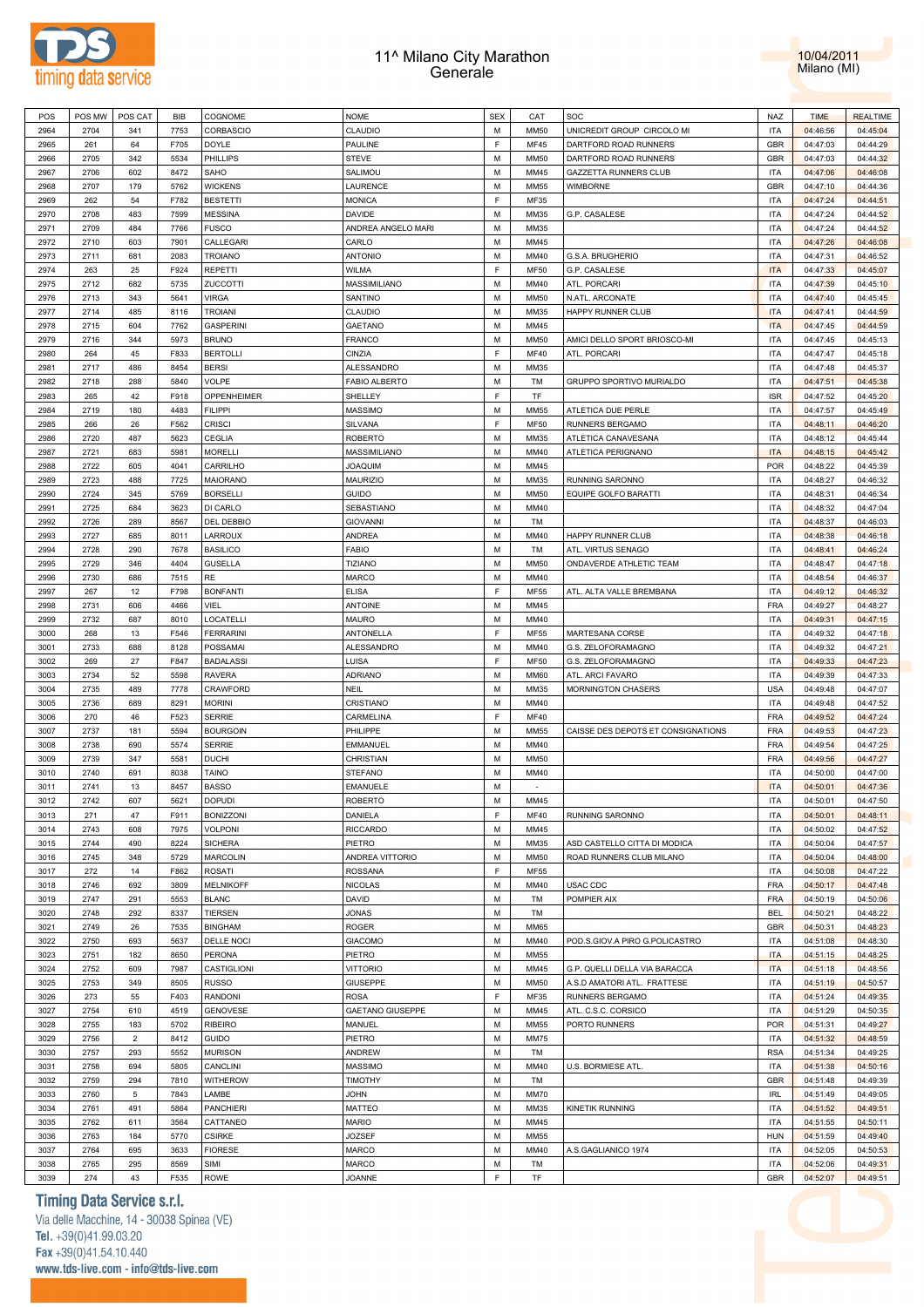



| POS  | POS MW | POS CAT        | BIB  | COGNOME           | <b>NOME</b>               | <b>SEX</b> | CAT         | SOC                                | <b>NAZ</b> | <b>TIME</b> | <b>REALTIME</b> |
|------|--------|----------------|------|-------------------|---------------------------|------------|-------------|------------------------------------|------------|-------------|-----------------|
| 2964 | 2704   | 341            | 7753 | <b>CORBASCIO</b>  | CLAUDIO                   | M          | <b>MM50</b> | UNICREDIT GROUP CIRCOLO MI         | <b>ITA</b> | 04:46:56    | 04:45:04        |
| 2965 | 261    | 64             | F705 | DOYLE             | PAULINE                   | E          | <b>MF45</b> | DARTFORD ROAD RUNNERS              | <b>GBR</b> | 04:47:03    | 04:44:29        |
| 2966 | 2705   | 342            | 5534 | PHILLIPS          | STEVE                     | M          | <b>MM50</b> | DARTFORD ROAD RUNNERS              | <b>GBR</b> | 04:47:03    | 04:44:32        |
| 2967 | 2706   | 602            | 8472 | SAHO              | SALIMOU                   | M          | MM45        | GAZZETTA RUNNERS CLUB              | <b>ITA</b> | 04:47:06    | 04:46:08        |
| 2968 | 2707   | 179            | 5762 | <b>WICKENS</b>    | LAURENCE                  | M          | <b>MM55</b> | <b>WIMBORNE</b>                    | <b>GBR</b> | 04:47:10    | 04:44:36        |
|      |        |                |      | <b>BESTETTI</b>   |                           | E          |             |                                    | <b>ITA</b> |             |                 |
| 2969 | 262    | 54             | F782 |                   | <b>MONICA</b>             |            | MF35        |                                    |            | 04:47:24    | 04:44:51        |
| 2970 | 2708   | 483            | 7599 | <b>MESSINA</b>    | <b>DAVIDE</b>             | M          | MM35        | G.P. CASALESE                      | <b>ITA</b> | 04:47:24    | 04:44:52        |
| 2971 | 2709   | 484            | 7766 | <b>FUSCO</b>      | ANDREA ANGELO MARI        | M          | MM35        |                                    | <b>ITA</b> | 04:47:24    | 04:44:52        |
| 2972 | 2710   | 603            | 7901 | CALLEGARI         | CARLO                     | M          | MM45        |                                    | <b>ITA</b> | 04:47:26    | 04:46:08        |
| 2973 | 2711   | 681            | 2083 | <b>TROIANO</b>    | <b>ANTONIO</b>            | M          | MM40        | G.S.A. BRUGHERIO                   | <b>ITA</b> | 04:47:31    | 04:46:52        |
| 2974 | 263    | 25             | F924 | <b>REPETTI</b>    | WILMA                     | F          | <b>MF50</b> | G.P. CASALESE                      | <b>ITA</b> | 04:47:33    | 04:45:07        |
| 2975 | 2712   | 682            | 5735 | ZUCCOTTI          | MASSIMILIANO              | M          | MM40        | ATL. PORCARI                       | <b>ITA</b> | 04:47:39    | 04:45:10        |
| 2976 | 2713   | 343            | 5641 | <b>VIRGA</b>      | SANTINO                   | M          | <b>MM50</b> | N.ATL. ARCONATE                    | <b>ITA</b> | 04:47:40    | 04:45:45        |
| 2977 | 2714   | 485            | 8116 | <b>TROIANI</b>    | CLAUDIO                   | M          | MM35        | HAPPY RUNNER CLUB                  | <b>ITA</b> | 04:47:41    | 04:44:59        |
| 2978 | 2715   | 604            | 7762 | <b>GASPERINI</b>  | <b>GAETANO</b>            | M          | MM45        |                                    | <b>ITA</b> | 04:47:45    | 04:44:59        |
| 2979 | 2716   | 344            | 5973 | <b>BRUNO</b>      | FRANCO                    | M          | <b>MM50</b> | AMICI DELLO SPORT BRIOSCO-MI       | <b>ITA</b> | 04:47:45    | 04:45:13        |
| 2980 | 264    | 45             | F833 | <b>BERTOLLI</b>   | CINZIA                    | E          | <b>MF40</b> | ATL. PORCARI                       | <b>ITA</b> | 04:47:47    | 04:45:18        |
| 2981 | 2717   | 486            | 8454 | <b>BERSI</b>      | <b>ALESSANDRO</b>         | M          | MM35        |                                    | <b>ITA</b> | 04:47:48    | 04:45:37        |
| 2982 | 2718   | 288            | 5840 | <b>VOLPE</b>      | <b>FABIO ALBERTO</b>      | M          | TM          | GRUPPO SPORTIVO MURIALDO           | <b>ITA</b> | 04:47:51    | 04:45:38        |
| 2983 | 265    | 42             | F918 | OPPENHEIMER       | SHELLEY                   | E          | TF          |                                    | <b>ISR</b> | 04:47:52    | 04:45:20        |
|      |        |                |      |                   |                           | M          |             |                                    |            |             |                 |
| 2984 | 2719   | 180            | 4483 | <b>FILIPPI</b>    | <b>MASSIMO</b><br>SILVANA | E          | <b>MM55</b> | ATLETICA DUE PERLE                 | <b>ITA</b> | 04:47:57    | 04:45:49        |
| 2985 | 266    | 26             | F562 | <b>CRISCI</b>     |                           |            | <b>MF50</b> | <b>RUNNERS BERGAMO</b>             | <b>ITA</b> | 04:48:11    | 04:46:20        |
| 2986 | 2720   | 487            | 5623 | <b>CEGLIA</b>     | <b>ROBERTO</b>            | M          | MM35        | ATLETICA CANAVESANA                | <b>ITA</b> | 04:48:12    | 04:45:44        |
| 2987 | 2721   | 683            | 5981 | <b>MORELLI</b>    | MASSIMILIANO              | M          | MM40        | ATLETICA PERIGNANO                 | <b>ITA</b> | 04:48:15    | 04:45:42        |
| 2988 | 2722   | 605            | 4041 | CARRILHO          | <b>JOAQUIM</b>            | M          | MM45        |                                    | <b>POR</b> | 04:48:22    | 04:45:39        |
| 2989 | 2723   | 488            | 7725 | MAIORANO          | <b>MAURIZIO</b>           | M          | MM35        | RUNNING SARONNO                    | <b>ITA</b> | 04:48:27    | 04:46:32        |
| 2990 | 2724   | 345            | 5769 | <b>BORSELLI</b>   | GUIDO                     | M          | <b>MM50</b> | EQUIPE GOLFO BARATTI               | <b>ITA</b> | 04:48:31    | 04:46:34        |
| 2991 | 2725   | 684            | 3623 | DI CARLO          | SEBASTIANO                | M          | MM40        |                                    | <b>ITA</b> | 04:48:32    | 04:47:04        |
| 2992 | 2726   | 289            | 8567 | DEL DEBBIO        | <b>GIOVANNI</b>           | M          | TM          |                                    | <b>ITA</b> | 04:48:37    | 04:46:03        |
| 2993 | 2727   | 685            | 8011 | LARROUX           | ANDREA                    | M          | MM40        | HAPPY RUNNER CLUB                  | <b>ITA</b> | 04:48:38    | 04:46:18        |
| 2994 | 2728   | 290            | 7678 | <b>BASILICO</b>   | <b>FABIO</b>              | M          | TM          | ATL. VIRTUS SENAGO                 | <b>ITA</b> | 04:48:41    | 04:46:24        |
| 2995 | 2729   | 346            | 4404 | <b>GUSELLA</b>    | <b>TIZIANO</b>            | M          | <b>MM50</b> | ONDAVERDE ATHLETIC TEAM            | <b>ITA</b> | 04:48:47    | 04:47:18        |
| 2996 | 2730   | 686            | 7515 | RE                | <b>MARCO</b>              | M          | MM40        |                                    | <b>ITA</b> | 04:48:54    | 04:46:37        |
| 2997 | 267    | 12             | F798 | <b>BONFANTI</b>   | <b>ELISA</b>              | E          | MF55        | ATL. ALTA VALLE BREMBANA           | <b>ITA</b> | 04:49:12    | 04:46:32        |
|      |        |                |      |                   |                           | M          |             |                                    |            |             |                 |
| 2998 | 2731   | 606            | 4466 | VIEL              | <b>ANTOINE</b>            |            | MM45        |                                    | <b>FRA</b> | 04:49:27    | 04:48:27        |
| 2999 | 2732   | 687            | 8010 | LOCATELLI         | <b>MAURO</b>              | M          | MM40        |                                    | <b>ITA</b> | 04:49:31    | 04:47:15        |
| 3000 | 268    | 13             | F546 | <b>FERRARINI</b>  | ANTONELLA                 | F          | <b>MF55</b> | MARTESANA CORSE                    | <b>ITA</b> | 04:49:32    | 04:47:18        |
| 3001 | 2733   | 688            | 8128 | POSSAMAI          | ALESSANDRO                | M          | MM40        | G.S. ZELOFORAMAGNO                 | <b>ITA</b> | 04:49:32    | 04:47:21        |
| 3002 | 269    | 27             | F847 | <b>BADALASSI</b>  | LUISA                     | F          | <b>MF50</b> | G.S. ZELOFORAMAGNO                 | <b>ITA</b> | 04:49:33    | 04:47:23        |
| 3003 | 2734   | 52             | 5598 | <b>RAVERA</b>     | ADRIANO                   | M          | <b>MM60</b> | ATL. ARCI FAVARO                   | <b>ITA</b> | 04:49:39    | 04:47:33        |
| 3004 | 2735   | 489            | 7778 | CRAWFORD          | NEIL                      | M          | MM35        | <b>MORNINGTON CHASERS</b>          | <b>USA</b> | 04:49:48    | 04:47:07        |
| 3005 | 2736   | 689            | 8291 | <b>MORINI</b>     | CRISTIANO                 | M          | MM40        |                                    | <b>ITA</b> | 04:49:48    | 04:47:52        |
| 3006 | 270    | 46             | F523 | <b>SERRIE</b>     | CARMELINA                 | E          | <b>MF40</b> |                                    | <b>FRA</b> | 04:49:52    | 04:47:24        |
| 3007 | 2737   | 181            | 5594 | <b>BOURGOIN</b>   | PHILIPPE                  | M          | <b>MM55</b> | CAISSE DES DEPOTS ET CONSIGNATIONS | <b>FRA</b> | 04:49:53    | 04:47:23        |
| 3008 | 2738   | 690            | 5574 | <b>SERRIE</b>     | <b>EMMANUEL</b>           | M          | MM40        |                                    | <b>FRA</b> | 04:49:54    | 04:47:25        |
| 3009 | 2739   | 347            | 5581 | <b>DUCHI</b>      | CHRISTIAN                 | M          | <b>MM50</b> |                                    | <b>FRA</b> | 04:49:56    | 04:47:27        |
| 3010 | 2740   | 691            | 8038 | <b>TAINO</b>      | <b>STEFANO</b>            | M          | MM40        |                                    | <b>ITA</b> | 04:50:00    | 04:47:00        |
| 3011 | 2741   | 13             | 8457 | <b>BASSO</b>      | <b>EMANUELE</b>           | M          |             |                                    | <b>ITA</b> | 04:50:01    | 04:47:36        |
| 3012 | 2742   | 607            | 5621 | <b>DOPUDI</b>     |                           | M          |             |                                    | <b>ITA</b> |             |                 |
|      |        |                |      |                   | <b>ROBERTO</b>            |            | MM45        |                                    |            | 04:50:01    | 04:47:50        |
| 3013 | 271    | 47             | F911 | <b>BONIZZONI</b>  | DANIELA                   | F          | MF40        | RUNNING SARONNO                    | <b>ITA</b> | 04:50:01    | 04:48:11        |
| 3014 | 2743   | 608            | 7975 | <b>VOLPONI</b>    | <b>RICCARDO</b>           | M          | MM45        |                                    | <b>ITA</b> | 04:50:02    | 04:47:52        |
| 3015 | 2744   | 490            | 8224 | <b>SICHERA</b>    | PIETRO                    | M          | MM35        | ASD CASTELLO CITTA DI MODICA       | <b>ITA</b> | 04:50:04    | 04:47:57        |
| 3016 | 2745   | 348            | 5729 | <b>MARCOLIN</b>   | ANDREA VITTORIO           | M          | <b>MM50</b> | ROAD RUNNERS CLUB MILANO           | <b>ITA</b> | 04:50:04    | 04:48:00        |
| 3017 | 272    | 14             | F862 | <b>ROSATI</b>     | <b>ROSSANA</b>            | E          | MF55        |                                    | <b>ITA</b> | 04:50:08    | 04:47:22        |
| 3018 | 2746   | 692            | 3809 | <b>MELNIKOFF</b>  | <b>NICOLAS</b>            | M          | MM40        | USAC CDC                           | <b>FRA</b> | 04:50:17    | 04:47:48        |
| 3019 | 2747   | 291            | 5553 | <b>BLANC</b>      | DAVID                     | M          | TM          | POMPIER AIX                        | FRA        | 04:50:19    | 04:50:06        |
| 3020 | 2748   | 292            | 8337 | TIERSEN           | JONAS                     | M          | TM          |                                    | <b>BEL</b> | 04:50:21    | 04:48:22        |
| 3021 | 2749   | 26             | 7535 | <b>BINGHAM</b>    | <b>ROGER</b>              | M          | MM65        |                                    | GBR        | 04:50:31    | 04:48:23        |
| 3022 | 2750   | 693            | 5637 | <b>DELLE NOCI</b> | <b>GIACOMO</b>            | M          | MM40        | POD.S.GIOV.A PIRO G.POLICASTRO     | <b>ITA</b> | 04:51:08    | 04:48:30        |
| 3023 | 2751   | 182            | 8650 | <b>PERONA</b>     | PIETRO                    | M          | <b>MM55</b> |                                    | <b>ITA</b> | 04:51:15    | 04:48:25        |
| 3024 | 2752   | 609            | 7987 | CASTIGLIONI       | <b>VITTORIO</b>           | M          | MM45        | G.P. QUELLI DELLA VIA BARACCA      | <b>ITA</b> | 04:51:18    | 04:48:56        |
| 3025 | 2753   | 349            | 8505 | <b>RUSSO</b>      | <b>GIUSEPPE</b>           | M          | <b>MM50</b> | A.S.D AMATORI ATL. FRATTESE        | <b>ITA</b> | 04:51:19    | 04:50:57        |
| 3026 | 273    | 55             | F403 | <b>RANDONI</b>    | <b>ROSA</b>               | F          | MF35        | <b>RUNNERS BERGAMO</b>             | <b>ITA</b> | 04:51:24    | 04:49:35        |
|      |        |                |      |                   |                           | M          |             |                                    |            |             |                 |
| 3027 | 2754   | 610            | 4519 | <b>GENOVESE</b>   | <b>GAETANO GIUSEPPE</b>   |            | MM45        | ATL. C.S.C. CORSICO                | <b>ITA</b> | 04:51:29    | 04:50:35        |
| 3028 | 2755   | 183            | 5702 | <b>RIBEIRO</b>    | MANUEL                    | M          | <b>MM55</b> | PORTO RUNNERS                      | <b>POR</b> | 04:51:31    | 04:49:27        |
| 3029 | 2756   | $\overline{2}$ | 8412 | <b>GUIDO</b>      | PIETRO                    | M          | <b>MM75</b> |                                    | <b>ITA</b> | 04:51:32    | 04:48:59        |
| 3030 | 2757   | 293            | 5552 | <b>MURISON</b>    | ANDREW                    | M          | TM          |                                    | <b>RSA</b> | 04:51:34    | 04:49:25        |
| 3031 | 2758   | 694            | 5805 | CANCLINI          | <b>MASSIMO</b>            | M          | MM40        | U.S. BORMIESE ATL                  | <b>ITA</b> | 04:51:38    | 04:50:16        |
| 3032 | 2759   | 294            | 7810 | WITHEROW          | <b>TIMOTHY</b>            | M          | TM          |                                    | <b>GBR</b> | 04:51:48    | 04:49:39        |
| 3033 | 2760   | 5              | 7843 | LAMBE             | JOHN                      | M          | <b>MM70</b> |                                    | <b>IRL</b> | 04:51:49    | 04:49:05        |
| 3034 | 2761   | 491            | 5864 | <b>PANCHIERI</b>  | <b>MATTEO</b>             | M          | MM35        | KINETIK RUNNING                    | <b>ITA</b> | 04:51:52    | 04:49:51        |
| 3035 | 2762   | 611            | 3564 | CATTANEO          | <b>MARIO</b>              | M          | MM45        |                                    | <b>ITA</b> | 04:51:55    | 04:50:11        |
| 3036 | 2763   | 184            | 5770 | <b>CSIRKE</b>     | JOZSEF                    | M          | <b>MM55</b> |                                    | <b>HUN</b> | 04:51:59    | 04:49:40        |
| 3037 | 2764   | 695            | 3633 | <b>FIORESE</b>    | <b>MARCO</b>              | M          | MM40        | A.S.GAGLIANICO 1974                | <b>ITA</b> | 04:52:05    | 04:50:53        |
| 3038 | 2765   | 295            | 8569 | SIMI              | <b>MARCO</b>              | M          | TM          |                                    | <b>ITA</b> | 04:52:06    | 04:49:31        |
|      | 274    |                |      | <b>ROWE</b>       |                           | E          | TF          |                                    | <b>GBR</b> |             |                 |
| 3039 |        | 43             | F535 |                   | JOANNE                    |            |             |                                    |            | 04:52:07    | 04:49:51        |

# **Timing Data Service s.r.l.**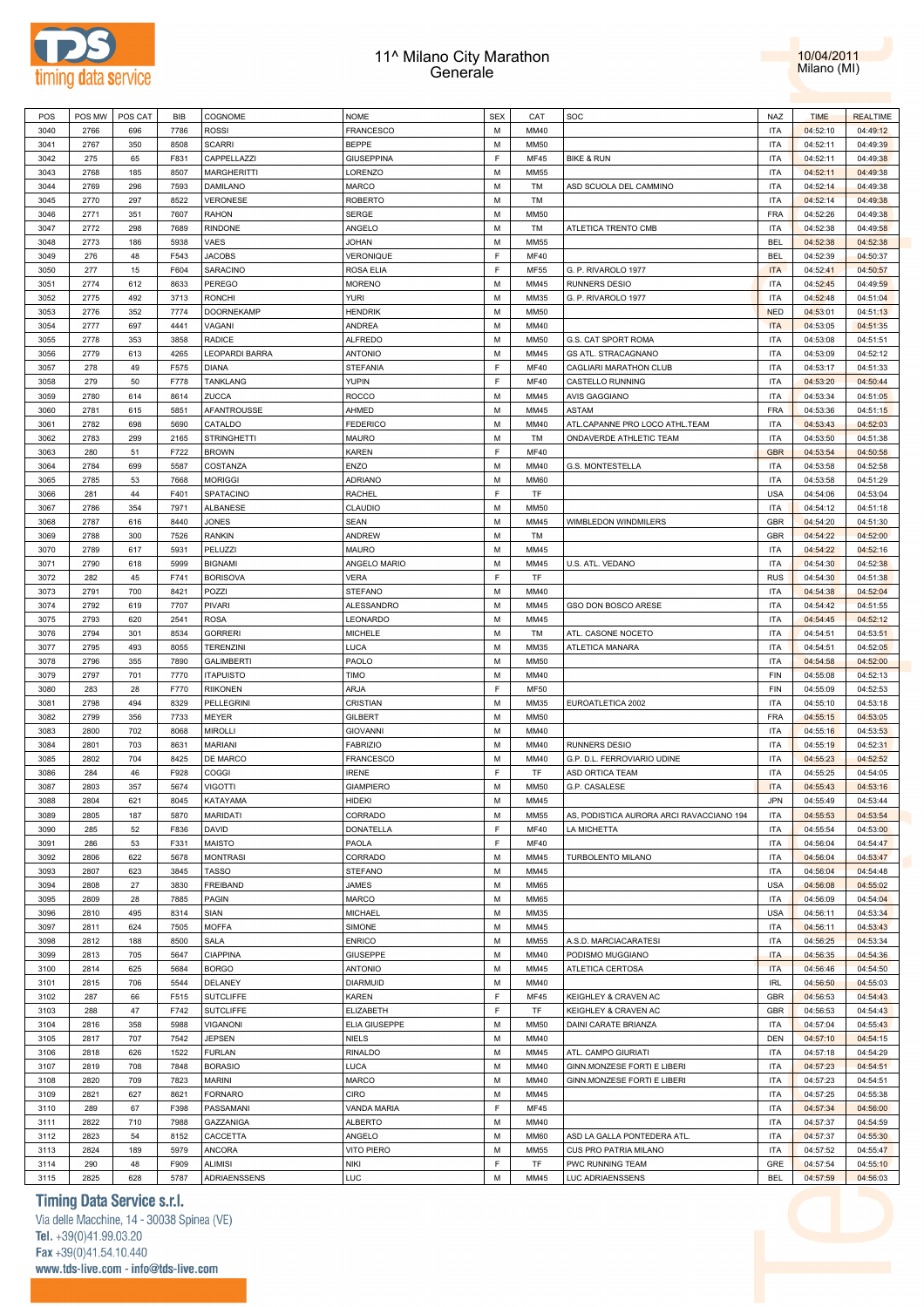



| POS  | POS MW | POS CAT | <b>BIB</b> | COGNOME            | <b>NOME</b>       | <b>SEX</b> | CAT         | SOC                                      | <b>NAZ</b> | <b>TIME</b> | <b>REALTIME</b> |
|------|--------|---------|------------|--------------------|-------------------|------------|-------------|------------------------------------------|------------|-------------|-----------------|
| 3040 | 2766   | 696     | 7786       | <b>ROSSI</b>       | <b>FRANCESCO</b>  | M          | MM40        |                                          | <b>ITA</b> | 04:52:10    | 04:49:12        |
| 3041 | 2767   | 350     | 8508       | <b>SCARRI</b>      | BEPPE             | M          | <b>MM50</b> |                                          | <b>ITA</b> | 04:52:11    | 04:49:39        |
| 3042 | 275    | 65      | F831       | CAPPELLAZZI        | GIUSEPPINA        | E          | <b>MF45</b> | <b>BIKE &amp; RUN</b>                    | <b>ITA</b> | 04:52:11    | 04:49:38        |
| 3043 | 2768   | 185     | 8507       | <b>MARGHERITTI</b> | LORENZO           | М          | MM55        |                                          | <b>ITA</b> | 04:52:11    | 04:49:38        |
| 3044 | 2769   | 296     | 7593       | DAMILANO           | MARCO             | M          | TM          | ASD SCUOLA DEL CAMMINO                   | <b>ITA</b> | 04:52:14    | 04:49:38        |
| 3045 | 2770   | 297     | 8522       | <b>VERONESE</b>    | ROBERTO           | M          | TM          |                                          | <b>ITA</b> | 04:52:14    | 04:49:38        |
| 3046 | 2771   | 351     | 7607       | <b>RAHON</b>       | SERGE             | M          | <b>MM50</b> |                                          | FRA        | 04:52:26    | 04:49:38        |
| 3047 | 2772   | 298     | 7689       | <b>RINDONE</b>     | ANGELO            | M          | TM          | ATLETICA TRENTO CMB                      | <b>ITA</b> | 04:52:38    | 04:49:58        |
| 3048 | 2773   | 186     | 5938       | VAES               | <b>JOHAN</b>      | M          | <b>MM55</b> |                                          | <b>BEL</b> | 04:52:38    | 04:52:38        |
|      |        |         |            |                    |                   | E          |             |                                          |            |             |                 |
| 3049 | 276    | 48      | F543       | <b>JACOBS</b>      | VERONIQUE         |            | MF40        |                                          | <b>BEL</b> | 04:52:39    | 04:50:37        |
| 3050 | 277    | 15      | F604       | SARACINO           | ROSA ELIA         | E          | MF55        | G. P. RIVAROLO 1977                      | <b>ITA</b> | 04:52:41    | 04:50:57        |
| 3051 | 2774   | 612     | 8633       | <b>PEREGO</b>      | <b>MORENO</b>     | M          | MM45        | <b>RUNNERS DESIO</b>                     | <b>ITA</b> | 04:52:45    | 04:49:59        |
| 3052 | 2775   | 492     | 3713       | <b>RONCHI</b>      | <b>YURI</b>       | M          | MM35        | G. P. RIVAROLO 1977                      | <b>ITA</b> | 04:52:48    | 04:51:04        |
| 3053 | 2776   | 352     | 7774       | <b>DOORNEKAMP</b>  | HENDRIK           | M          | MM50        |                                          | <b>NED</b> | 04:53:01    | 04:51:13        |
| 3054 | 2777   | 697     | 4441       | VAGANI             | ANDREA            | M          | MM40        |                                          | <b>ITA</b> | 04:53:05    | 04:51:35        |
| 3055 | 2778   | 353     | 3858       | <b>RADICE</b>      | <b>ALFREDO</b>    | M          | MM50        | G.S. CAT SPORT ROMA                      | <b>ITA</b> | 04:53:08    | 04:51:51        |
| 3056 | 2779   | 613     | 4265       | LEOPARDI BARRA     | <b>ANTONIO</b>    | M          | MM45        | GS ATL. STRACAGNANO                      | <b>ITA</b> | 04:53:09    | 04:52:12        |
| 3057 | 278    | 49      | F575       | <b>DIANA</b>       | <b>STEFANIA</b>   | E          | MF40        | CAGLIARI MARATHON CLUB                   | <b>ITA</b> | 04:53:17    | 04:51:33        |
| 3058 | 279    | 50      | F778       | <b>TANKLANG</b>    | YUPIN             | E          | <b>MF40</b> | CASTELLO RUNNING                         | <b>ITA</b> | 04:53:20    | 04:50:44        |
| 3059 | 2780   | 614     | 8614       | ZUCCA              | ROCCO             | M          | MM45        | <b>AVIS GAGGIANO</b>                     | <b>ITA</b> | 04:53:34    | 04:51:05        |
| 3060 | 2781   | 615     | 5851       | AFANTROUSSE        | AHMED             | M          | MM45        | <b>ASTAM</b>                             | <b>FRA</b> | 04:53:36    | 04:51:15        |
| 3061 | 2782   | 698     | 5690       | CATALDO            | <b>FEDERICO</b>   | M          | MM40        | ATL.CAPANNE PRO LOCO ATHL.TEAM           | <b>ITA</b> | 04:53:43    | 04:52:03        |
| 3062 | 2783   | 299     | 2165       | <b>STRINGHETTI</b> | MAURO             | M          | TM          | ONDAVERDE ATHLETIC TEAM                  | <b>ITA</b> | 04:53:50    | 04:51:38        |
| 3063 | 280    | 51      | F722       | <b>BROWN</b>       | KAREN             | E          | <b>MF40</b> |                                          | <b>GBR</b> | 04:53:54    | 04:50:58        |
| 3064 | 2784   | 699     | 5587       | COSTANZA           | ENZO              | M          | MM40        | G.S. MONTESTELLA                         | <b>ITA</b> | 04:53:58    | 04:52:58        |
| 3065 | 2785   | 53      | 7668       | <b>MORIGGI</b>     | ADRIANO           | M          | <b>MM60</b> |                                          | <b>ITA</b> |             | 04:51:29        |
|      |        |         |            | SPATACINO          |                   | E          |             |                                          | <b>USA</b> | 04:53:58    |                 |
| 3066 | 281    | 44      | F401       |                    | RACHEL            |            | TF          |                                          |            | 04:54:06    | 04:53:04        |
| 3067 | 2786   | 354     | 7971       | ALBANESE           | CLAUDIO           | M          | MM50        |                                          | <b>ITA</b> | 04:54:12    | 04:51:18        |
| 3068 | 2787   | 616     | 8440       | <b>JONES</b>       | <b>SEAN</b>       | M          | MM45        | WIMBLEDON WINDMILERS                     | <b>GBR</b> | 04:54:20    | 04:51:30        |
| 3069 | 2788   | 300     | 7526       | <b>RANKIN</b>      | ANDREW            | M          | TM          |                                          | <b>GBR</b> | 04:54:22    | 04:52:00        |
| 3070 | 2789   | 617     | 5931       | PELUZZI            | MAURO             | M          | MM45        |                                          | <b>ITA</b> | 04:54:22    | 04:52:16        |
| 3071 | 2790   | 618     | 5999       | <b>BIGNAMI</b>     | ANGELO MARIO      | M          | MM45        | U.S. ATL. VEDANO                         | <b>ITA</b> | 04:54:30    | 04:52:38        |
| 3072 | 282    | 45      | F741       | <b>BORISOVA</b>    | <b>VERA</b>       | E          | TF          |                                          | <b>RUS</b> | 04:54:30    | 04:51:38        |
| 3073 | 2791   | 700     | 8421       | POZZI              | <b>STEFANO</b>    | M          | MM40        |                                          | <b>ITA</b> | 04:54:38    | 04:52:04        |
| 3074 | 2792   | 619     | 7707       | PIVARI             | <b>ALESSANDRO</b> | M          | MM45        | GSO DON BOSCO ARESE                      | <b>ITA</b> | 04:54:42    | 04:51:55        |
| 3075 | 2793   | 620     | 2541       | <b>ROSA</b>        | LEONARDO          | M          | MM45        |                                          | <b>ITA</b> | 04:54:45    | 04:52:12        |
| 3076 | 2794   | 301     | 8534       | <b>GORRERI</b>     | MICHELE           | М          | TM          | ATL. CASONE NOCETO                       | <b>ITA</b> | 04:54:51    | 04:53:51        |
| 3077 | 2795   | 493     | 8055       | <b>TERENZINI</b>   | LUCA              | M          | MM35        | ATLETICA MANARA                          | <b>ITA</b> | 04:54:51    | 04:52:05        |
| 3078 |        |         |            |                    |                   |            |             |                                          |            |             |                 |
|      | 2796   | 355     | 7890       | <b>GALIMBERTI</b>  |                   | М          | MM50        |                                          | <b>ITA</b> |             |                 |
|      |        |         |            |                    | PAOLO             |            |             |                                          |            | 04:54:58    | 04:52:00        |
| 3079 | 2797   | 701     | 7770       | <b>ITAPUISTO</b>   | <b>TIMO</b>       | M          | MM40        |                                          | <b>FIN</b> | 04:55:08    | 04:52:13        |
| 3080 | 283    | 28      | F770       | <b>RIIKONEN</b>    | ARJA              | E          | <b>MF50</b> |                                          | <b>FIN</b> | 04:55:09    | 04:52:53        |
| 3081 | 2798   | 494     | 8329       | PELLEGRINI         | CRISTIAN          | M          | MM35        | EUROATLETICA 2002                        | <b>ITA</b> | 04:55:10    | 04:53:18        |
| 3082 | 2799   | 356     | 7733       | MEYER              | GILBERT           | М          | <b>MM50</b> |                                          | FRA        | 04:55:15    | 04:53:05        |
| 3083 | 2800   | 702     | 8068       | <b>MIROLLI</b>     | <b>GIOVANNI</b>   | M          | MM40        |                                          | <b>ITA</b> | 04:55:16    | 04:53:53        |
| 3084 | 2801   | 703     | 8631       | <b>MARIANI</b>     | <b>FABRIZIO</b>   | M          | MM40        | <b>RUNNERS DESIO</b>                     | <b>ITA</b> | 04:55:19    | 04:52:31        |
| 3085 | 2802   | 704     | 8425       | DE MARCO           | FRANCESCO         | M          | MM40        | G.P. D.L. FERROVIARIO UDINE              | <b>ITA</b> | 04:55:23    | 04:52:52        |
| 3086 | 284    | 46      | F928       | COGGI              | <b>IRENE</b>      | E          | TF          | ASD ORTICA TEAM                          | <b>ITA</b> | 04:55:25    | 04:54:05        |
| 3087 | 2803   | 357     | 5674       | <b>VIGOTTI</b>     | <b>GIAMPIERO</b>  | М          | <b>MM50</b> | G.P. CASALESE                            | <b>ITA</b> | 04:55:43    | 04:53:16        |
| 3088 | 2804   | 621     | 8045       | KATAYAMA           | HIDEKI            | M          | MM45        |                                          | <b>JPN</b> | 04:55:49    | 04:53:44        |
| 3089 | 2805   | 187     | 5870       | MARIDATI           | CORRADO           | M          | MM55        | AS, PODISTICA AURORA ARCI RAVACCIANO 194 | <b>ITA</b> | 04:55:53    | 04:53:54        |
| 3090 | 285    | 52      | F836       | DAVID              | DONATELLA         | F          | MF40        | LA MICHETTA                              | <b>ITA</b> | 04:55:54    | 04:53:00        |
| 3091 | 286    | 53      | F331       | <b>MAISTO</b>      | PAOLA             | E          | MF40        |                                          | <b>ITA</b> | 04:56:04    | 04:54:47        |
| 3092 | 2806   | 622     | 5678       | <b>MONTRASI</b>    | CORRADO           | M          | MM45        | TURBOLENTO MILANO                        | <b>ITA</b> | 04:56:04    | 04:53:47        |
| 3093 | 2807   | 623     | 3845       | <b>TASSO</b>       | <b>STEFANO</b>    | M          | MM45        |                                          | <b>ITA</b> | 04:56:04    | 04:54:48        |
| 3094 | 2808   | 27      | 3830       | <b>FREIBAND</b>    | JAMES             | M          | MM65        |                                          | <b>USA</b> | 04:56:08    | 04:55:02        |
| 3095 | 2809   | 28      | 7885       | <b>PAGIN</b>       | MARCO             | M          | MM65        |                                          | <b>ITA</b> | 04:56:09    | 04:54:04        |
| 3096 | 2810   | 495     | 8314       | SIAN               | MICHAEL           | M          | MM35        |                                          | <b>USA</b> | 04:56:11    | 04:53:34        |
| 3097 | 2811   | 624     | 7505       | <b>MOFFA</b>       | SIMONE            | M          | MM45        |                                          | <b>ITA</b> | 04:56:11    | 04:53:43        |
| 3098 | 2812   | 188     | 8500       | SALA               | <b>ENRICO</b>     | M          | MM55        | A.S.D. MARCIACARATESI                    | <b>ITA</b> | 04:56:25    | 04:53:34        |
| 3099 | 2813   |         | 5647       | <b>CIAPPINA</b>    | <b>GIUSEPPE</b>   | M          | MM40        |                                          | <b>ITA</b> |             |                 |
|      |        | 705     |            |                    |                   |            |             | PODISMO MUGGIANO                         |            | 04:56:35    | 04:54:36        |
| 3100 | 2814   | 625     | 5684       | <b>BORGO</b>       | <b>ANTONIO</b>    | M          | MM45        | ATLETICA CERTOSA                         | <b>ITA</b> | 04:56:46    | 04:54:50        |
| 3101 | 2815   | 706     | 5544       | DELANEY            | DIARMUID          | M          | MM40        |                                          | <b>IRL</b> | 04:56:50    | 04:55:03        |
| 3102 | 287    | 66      | F515       | <b>SUTCLIFFE</b>   | KAREN             | E          | MF45        | KEIGHLEY & CRAVEN AC                     | <b>GBR</b> | 04:56:53    | 04:54:43        |
| 3103 | 288    | 47      | F742       | <b>SUTCLIFFE</b>   | ELIZABETH         | E          | TF          | KEIGHLEY & CRAVEN AC                     | GBR        | 04:56:53    | 04:54:43        |
| 3104 | 2816   | 358     | 5988       | <b>VIGANONI</b>    | ELIA GIUSEPPE     | M          | MM50        | DAINI CARATE BRIANZA                     | <b>ITA</b> | 04:57:04    | 04:55:43        |
| 3105 | 2817   | 707     | 7542       | <b>JEPSEN</b>      | NIELS             | M          | MM40        |                                          | <b>DEN</b> | 04:57:10    | 04:54:15        |
| 3106 | 2818   | 626     | 1522       | <b>FURLAN</b>      | RINALDO           | M          | MM45        | ATL. CAMPO GIURIATI                      | <b>ITA</b> | 04:57:18    | 04:54:29        |
| 3107 | 2819   | 708     | 7848       | <b>BORASIO</b>     | LUCA              | M          | MM40        | GINN.MONZESE FORTI E LIBERI              | <b>ITA</b> | 04:57:23    | 04:54:51        |
| 3108 | 2820   | 709     | 7823       | <b>MARINI</b>      | MARCO             | M          | MM40        | GINN.MONZESE FORTI E LIBERI              | <b>ITA</b> | 04:57:23    | 04:54:51        |
| 3109 | 2821   | 627     | 8621       | <b>FORNARO</b>     | CIRO              | M          | MM45        |                                          | <b>ITA</b> | 04:57:25    | 04:55:38        |
| 3110 | 289    | 67      | F398       | PASSAMANI          | VANDA MARIA       | E          | <b>MF45</b> |                                          | <b>ITA</b> | 04:57:34    | 04:56:00        |
| 3111 | 2822   | 710     | 7988       | GAZZANIGA          | <b>ALBERTO</b>    | M          | MM40        |                                          | <b>ITA</b> | 04:57:37    | 04:54:59        |
| 3112 | 2823   | 54      | 8152       | CACCETTA           | ANGELO            | M          | <b>MM60</b> | ASD LA GALLA PONTEDERA ATL               | <b>ITA</b> | 04:57:37    | 04:55:30        |
| 3113 | 2824   | 189     | 5979       | <b>ANCORA</b>      | VITO PIERO        | M          | MM55        | CUS PRO PATRIA MILANO                    | <b>ITA</b> | 04:57:52    | 04:55:47        |
| 3114 | 290    | 48      | F909       | <b>ALIMISI</b>     | <b>NIKI</b>       | F.         | TF          | PWC RUNNING TEAM                         | GRE        | 04:57:54    | 04:55:10        |
| 3115 | 2825   | 628     | 5787       | ADRIAENSSENS       | LUC               | M          | MM45        | LUC ADRIAENSSENS                         | <b>BEL</b> | 04:57:59    | 04:56:03        |

# **Timing Data Service s.r.l.**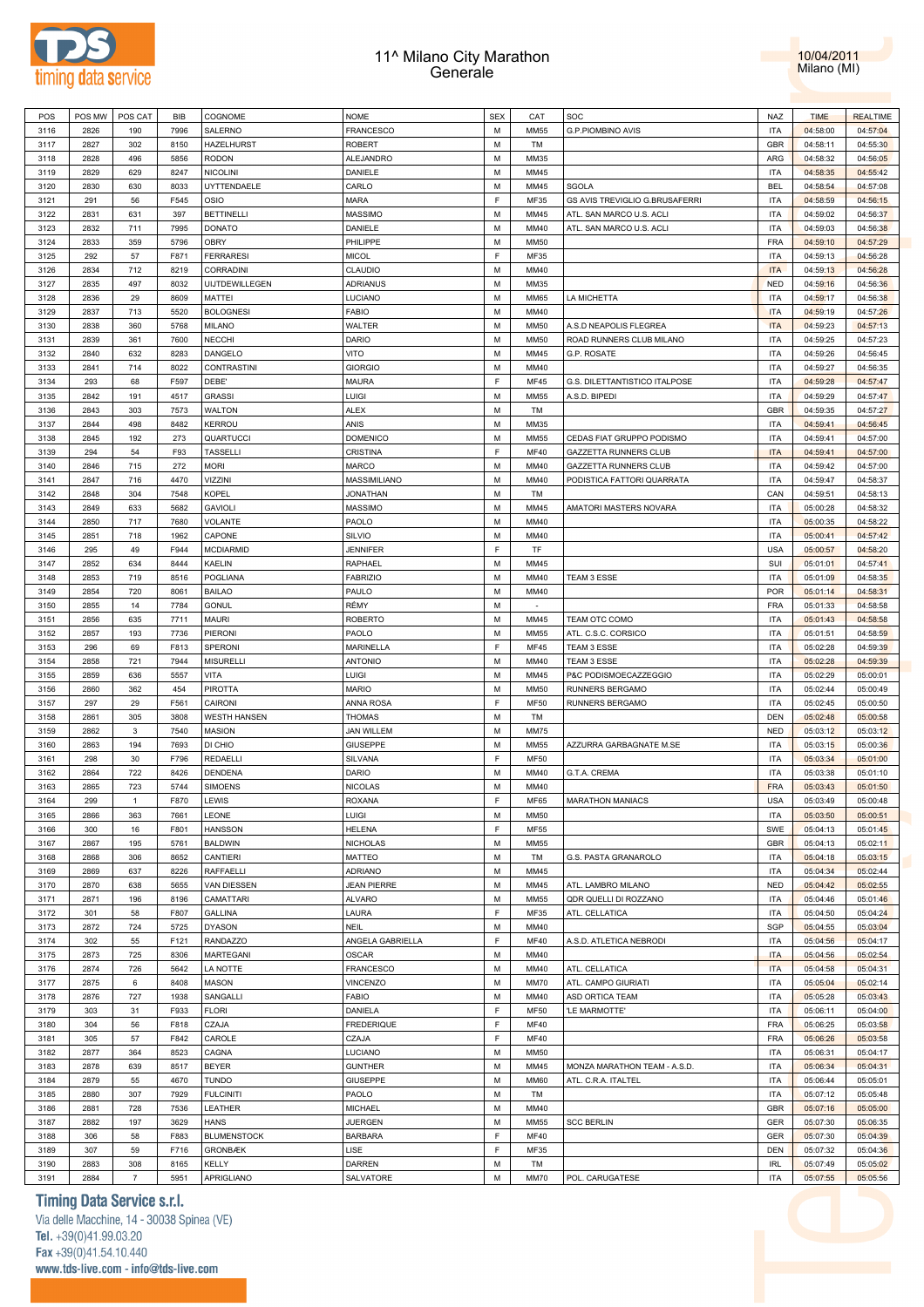



| POS          | POS MW       | POS CAT               | BIB          | COGNOME             | <b>NOME</b>                | <b>SEX</b> | CAT               | SOC                            | NAZ                      | <b>TIME</b>          | <b>REALTIME</b>      |
|--------------|--------------|-----------------------|--------------|---------------------|----------------------------|------------|-------------------|--------------------------------|--------------------------|----------------------|----------------------|
| 3116         | 2826         | 190                   | 7996         | SALERNO             | <b>FRANCESCO</b>           | M          | <b>MM55</b>       | G.P.PIOMBINO AVIS              | <b>ITA</b>               | 04:58:00             | 04:57:04             |
| 3117         | 2827         | 302                   | 8150         | HAZELHURST          | <b>ROBERT</b>              | M          | TM                |                                | <b>GBR</b>               | 04:58:11             | 04:55:30             |
| 3118         | 2828         | 496                   | 5856         | RODON               | ALEJANDRO                  | М          | MM35              |                                | ARG                      | 04:58:32             | 04:56:05             |
|              |              |                       |              |                     |                            |            |                   |                                |                          |                      |                      |
| 3119         | 2829         | 629                   | 8247         | NICOLINI            | DANIELE                    | M          | MM45              |                                | <b>ITA</b>               | 04:58:35             | 04:55:42             |
| 3120         | 2830         | 630                   | 8033         | UYTTENDAELE         | CARLO                      | M          | MM45              | SGOLA                          | <b>BEL</b>               | 04:58:54             | 04:57:08             |
| 3121         | 291          | 56                    | F545         | OSIO                | MARA                       | F          | MF35              | GS AVIS TREVIGLIO G.BRUSAFERRI | <b>ITA</b>               | 04:58:59             | 04:56:15             |
| 3122         | 2831         | 631                   | 397          | <b>BETTINELLI</b>   | MASSIMO                    | M          | MM45              | ATL. SAN MARCO U.S. ACLI       | <b>ITA</b>               | 04:59:02             | 04:56:37             |
| 3123         | 2832         | 711                   | 7995         | <b>DONATO</b>       | DANIELE                    | M          | MM40              | ATL. SAN MARCO U.S. ACLI       | <b>ITA</b>               | 04:59:03             | 04:56:38             |
| 3124         | 2833         | 359                   | 5796         | OBRY                | PHILIPPE                   | М          | <b>MM50</b>       |                                | <b>FRA</b>               | 04:59:10             | 04:57:29             |
| 3125         | 292          | 57                    | F871         | <b>FERRARESI</b>    | <b>MICOL</b>               | F          | MF35              |                                | <b>ITA</b>               | 04:59:13             | 04:56:28             |
| 3126         | 2834         | 712                   | 8219         | CORRADINI           | CLAUDIO                    | M          | MM40              |                                | <b>ITA</b>               | 04:59:13             | 04:56:28             |
| 3127         | 2835         | 497                   | 8032         | UIJTDEWILLEGEN      | <b>ADRIANUS</b>            | M          | MM35              |                                | <b>NED</b>               | 04:59:16             | 04:56:36             |
| 3128         | 2836         | 29                    | 8609         | MATTEI              | LUCIANO                    | M          | <b>MM65</b>       | LA MICHETTA                    | <b>ITA</b>               | 04:59:17             | 04:56:38             |
|              |              |                       |              | <b>BOLOGNESI</b>    |                            |            |                   |                                |                          |                      |                      |
| 3129         | 2837         | 713                   | 5520         |                     | <b>FABIO</b>               | M          | MM40              |                                | <b>ITA</b>               | 04:59:19             | 04:57:26             |
| 3130         | 2838         | 360                   | 5768         | <b>MILANO</b>       | WALTER                     | M          | <b>MM50</b>       | A.S.D NEAPOLIS FLEGREA         | <b>ITA</b>               | 04:59:23             | 04:57:13             |
| 3131         | 2839         | 361                   | 7600         | <b>NECCHI</b>       | DARIO                      | M          | MM50              | ROAD RUNNERS CLUB MILANO       | <b>ITA</b>               | 04:59:25             | 04:57:23             |
| 3132         | 2840         | 632                   | 8283         | DANGELO             | VITO                       | M          | MM45              | G.P. ROSATE                    | <b>ITA</b>               | 04:59:26             | 04:56:45             |
| 3133         | 2841         | 714                   | 8022         | CONTRASTINI         | <b>GIORGIO</b>             | M          | MM40              |                                | <b>ITA</b>               | 04:59:27             | 04:56:35             |
| 3134         | 293          | 68                    | F597         | DEBE'               | <b>MAURA</b>               | F          | <b>MF45</b>       | G.S. DILETTANTISTICO ITALPOSE  | <b>ITA</b>               | 04:59:28             | 04:57:47             |
| 3135         | 2842         | 191                   | 4517         | <b>GRASSI</b>       | LUIGI                      | M          | <b>MM55</b>       | A.S.D. BIPEDI                  | <b>ITA</b>               | 04:59:29             | 04:57:47             |
| 3136         | 2843         | 303                   | 7573         | WALTON              | <b>ALEX</b>                | М          | TM                |                                | GBR                      | 04:59:35             | 04:57:27             |
| 3137         | 2844         | 498                   | 8482         | <b>KERROU</b>       | ANIS                       | M          | MM35              |                                | <b>ITA</b>               | 04:59:41             | 04:56:45             |
| 3138         | 2845         | 192                   | 273          | QUARTUCCI           | <b>DOMENICO</b>            | М          | <b>MM55</b>       | CEDAS FIAT GRUPPO PODISMO      | <b>ITA</b>               | 04:59:41             | 04:57:00             |
| 3139         | 294          | 54                    | F93          | <b>TASSELLI</b>     | CRISTINA                   | F          | <b>MF40</b>       | <b>GAZZETTA RUNNERS CLUB</b>   | <b>ITA</b>               | 04:59:41             | 04:57:00             |
| 3140         | 2846         | 715                   | 272          | <b>MORI</b>         | MARCO                      | M          | MM40              | GAZZETTA RUNNERS CLUB          | <b>ITA</b>               | 04:59:42             | 04:57:00             |
| 3141         | 2847         | 716                   | 4470         | <b>VIZZINI</b>      | MASSIMILIANO               | M          | MM40              | PODISTICA FATTORI QUARRATA     | <b>ITA</b>               | 04:59:47             | 04:58:37             |
|              |              |                       |              |                     |                            | M          |                   |                                | CAN                      |                      |                      |
| 3142         | 2848         | 304                   | 7548         | KOPEL               | <b>JONATHAN</b>            |            | TM                |                                |                          | 04:59:51             | 04:58:13             |
| 3143         | 2849         | 633                   | 5682         | <b>GAVIOLI</b>      | MASSIMO                    | M          | MM45              | AMATORI MASTERS NOVARA         | <b>ITA</b>               | 05:00:28             | 04:58:32             |
| 3144         | 2850         | 717                   | 7680         | VOLANTE             | PAOLO                      | М          | MM40              |                                | <b>ITA</b>               | 05:00:35             | 04:58:22             |
| 3145         | 2851         | 718                   | 1962         | CAPONE              | <b>SILVIO</b>              | M          | MM40              |                                | <b>ITA</b>               | 05:00:41             | 04:57:42             |
| 3146         | 295          | 49                    | F944         | <b>MCDIARMID</b>    | <b>JENNIFER</b>            | F          | TF                |                                | <b>USA</b>               | 05:00:57             | 04:58:20             |
| 3147         | 2852         | 634                   | 8444         | KAELIN              | RAPHAEL                    | M          | MM45              |                                | SUI                      | 05:01:01             | 04:57:41             |
| 3148         | 2853         | 719                   | 8516         | POGLIANA            | <b>FABRIZIO</b>            | M          | MM40              | TEAM 3 ESSE                    | <b>ITA</b>               | 05:01:09             | 04:58:35             |
| 3149         | 2854         | 720                   | 8061         | <b>BAILAO</b>       | PAULO                      | M          | MM40              |                                | <b>POR</b>               | 05:01:14             | 04:58:31             |
| 3150         | 2855         | 14                    | 7784         | <b>GONUL</b>        | RÉMY                       | M          |                   |                                | <b>FRA</b>               | 05:01:33             | 04:58:58             |
| 3151         | 2856         | 635                   | 7711         | MAURI               | <b>ROBERTO</b>             | M          | MM45              | TEAM OTC COMO                  | <b>ITA</b>               | 05:01:43             | 04:58:58             |
| 3152         | 2857         | 193                   | 7736         | PIERONI             | PAOLO                      | М          | <b>MM55</b>       | ATL. C.S.C. CORSICO            | <b>ITA</b>               | 05:01:51             | 04:58:59             |
| 3153         | 296          | 69                    | F813         | SPERONI             | MARINELLA                  | F          | <b>MF45</b>       | TEAM 3 ESSE                    | <b>ITA</b>               | 05:02:28             | 04:59:39             |
| 3154         | 2858         | 721                   | 7944         | <b>MISURELLI</b>    | <b>ANTONIO</b>             | M          | MM40              | TEAM 3 ESSE                    | <b>ITA</b>               | 05:02:28             | 04:59:39             |
| 3155         | 2859         | 636                   | 5557         | VITA                | LUIGI                      | M          | MM45              | P&C PODISMOECAZZEGGIO          | <b>ITA</b>               | 05:02:29             | 05:00:01             |
| 3156         | 2860         | 362                   | 454          | <b>PIROTTA</b>      | <b>MARIO</b>               | M          | MM50              | RUNNERS BERGAMO                | <b>ITA</b>               | 05:02:44             | 05:00:49             |
|              |              |                       |              |                     |                            |            |                   |                                |                          |                      |                      |
| 3157         | 297          | 29                    | F561         | CAIRONI             | ANNA ROSA                  | F          | <b>MF50</b>       | RUNNERS BERGAMO                | <b>ITA</b>               | 05:02:45             | 05:00:50             |
| 3158         | 2861         | 305                   | 3808         | <b>WESTH HANSEN</b> | <b>THOMAS</b>              | М          | TM                |                                | DEN                      | 05:02:48             | 05:00:58             |
| 3159         | 2862         | 3                     | 7540         | MASION              | <b>JAN WILLEM</b>          | M          | <b>MM75</b>       |                                | <b>NED</b>               | 05:03:12             | 05:03:12             |
| 3160         | 2863         | 194                   | 7693         | DI CHIO             | <b>GIUSEPPE</b>            | М          | <b>MM55</b>       | AZZURRA GARBAGNATE M.SE        | <b>ITA</b>               | 05:03:15             | 05:00:36             |
| 3161         | 298          | 30                    | F796         | REDAELLI            | SILVANA                    | F          | <b>MF50</b>       |                                | <b>ITA</b>               | 05:03:34             | 05:01:00             |
| 3162         | 2864         | 722                   | 8426         | DENDENA             | DARIO                      | M          | MM40              | G.T.A. CREMA                   | <b>ITA</b>               | 05:03:38             | 05:01:10             |
| 3163         | 2865         | 723                   | 5744         | <b>SIMOENS</b>      | <b>NICOLAS</b>             | M          | MM40              |                                | <b>FRA</b>               | 05:03:43             | 05:01:50             |
| 3164         | 299          | $\mathbf{1}$          | F870         | LEWIS               | <b>ROXANA</b>              | E          | MF65              | <b>MARATHON MANIACS</b>        | <b>USA</b>               | 05:03:49             | 05:00:48             |
| 3165         | 2866         | 363                   | 7661         | LEONE               | LUIGI                      | М          | <b>MM50</b>       |                                | <b>ITA</b>               | 05:03:50             | 05:00:51             |
| 3166         | 300          | 16                    | F801         | <b>HANSSON</b>      | <b>HELENA</b>              | F          | MF55              |                                | SWE                      | 05:04:13             | 05:01:45             |
| 3167         | 2867         | 195                   | 5761         | <b>BALDWIN</b>      | <b>NICHOLAS</b>            | M          | <b>MM55</b>       |                                | <b>GBR</b>               | 05:04:13             | 05:02:11             |
| 3168         | 2868         | 306                   | 8652         | CANTIERI            | MATTEO                     | M          | TM                | G.S. PASTA GRANAROLO           | <b>ITA</b>               | 05:04:18             | 05:03:15             |
| 3169         | 2869         | 637                   | 8226         | <b>RAFFAELLI</b>    | <b>ADRIANO</b>             | M          | MM45              |                                | <b>ITA</b>               | 05:04:34             | 05:02:44             |
| 3170         | 2870         | 638                   | 5655         | VAN DIESSEN         | <b>JEAN PIERRE</b>         | M          | MM45              | ATL. LAMBRO MILANO             | <b>NED</b>               | 05:04:42             | 05:02:55             |
| 3171         | 2871         | 196                   | 8196         | CAMATTARI           | <b>ALVARO</b>              | M          | <b>MM55</b>       | QDR QUELLI DI ROZZANO          | <b>ITA</b>               | 05:04:46             | 05:01:46             |
|              |              |                       |              |                     |                            |            |                   |                                |                          |                      |                      |
| 3172         | 301          | 58                    | F807         | <b>GALLINA</b>      | LAURA                      | F          | MF35              | ATL. CELLATICA                 | <b>ITA</b>               | 05:04:50             | 05:04:24             |
| 3173         | 2872         | 724                   | 5725         | <b>DYASON</b>       | <b>NEIL</b>                | M          | MM40              |                                | SGP                      | 05:04:55             | 05:03:04             |
| 3174         | 302          | 55                    | F121         | <b>RANDAZZO</b>     | ANGELA GABRIELLA           | F          | <b>MF40</b>       | A.S.D. ATLETICA NEBRODI        | <b>ITA</b>               | 05:04:56             | 05:04:17             |
| 3175         | 2873         | 725                   | 8306         | MARTEGANI           | OSCAR                      | M          | MM40              |                                | <b>ITA</b>               | 05:04:56             | 05:02:54             |
| 3176         | 2874         | 726                   | 5642         | LA NOTTE            | <b>FRANCESCO</b>           | M          | MM40              | ATL. CELLATICA                 | <b>ITA</b>               | 05:04:58             | 05:04:31             |
| 3177         | 2875         | 6                     | 8408         | <b>MASON</b>        | <b>VINCENZO</b>            | M          | <b>MM70</b>       | ATL. CAMPO GIURIATI            | <b>ITA</b>               | 05:05:04             | 05:02:14             |
| 3178         | 2876         | 727                   | 1938         | SANGALLI            | <b>FABIO</b>               | M          | MM40              | ASD ORTICA TEAM                | <b>ITA</b>               | 05:05:28             | 05:03:43             |
| 3179         | 303          | 31                    | F933         | <b>FLORI</b>        | DANIELA                    | F          | <b>MF50</b>       | 'LE MARMOTTE'                  | <b>ITA</b>               | 05:06:11             | 05:04:00             |
| 3180         | 304          | 56                    | F818         | CZAJA               | <b>FREDERIQUE</b>          | F          | <b>MF40</b>       |                                | <b>FRA</b>               | 05:06:25             | 05:03:58             |
| 3181         | 305          | 57                    | F842         | CAROLE              | CZAJA                      | F          | <b>MF40</b>       |                                | <b>FRA</b>               | 05:06:26             | 05:03:58             |
| 3182         | 2877         | 364                   | 8523         | CAGNA               | LUCIANO                    | M          | <b>MM50</b>       |                                | <b>ITA</b>               | 05:06:31             | 05:04:17             |
| 3183         | 2878         | 639                   | 8517         | <b>BEYER</b>        | <b>GUNTHER</b>             | M          | MM45              | MONZA MARATHON TEAM - A.S.D.   | <b>ITA</b>               | 05:06:34             | 05:04:31             |
| 3184         | 2879         | 55                    | 4670         | TUNDO               | <b>GIUSEPPE</b>            | M          | <b>MM60</b>       | ATL. C.R.A. ITALTEL            | <b>ITA</b>               | 05:06:44             | 05:05:01             |
| 3185         | 2880         | 307                   | 7929         | <b>FULCINITI</b>    | PAOLO                      | M          | TM                |                                | <b>ITA</b>               | 05:07:12             | 05:05:48             |
|              |              |                       |              |                     |                            |            |                   |                                |                          |                      |                      |
| 3186         | 2881         | 728                   | 7536         | LEATHER             | MICHAEL                    | M          | MM40              |                                | <b>GBR</b>               | 05:07:16             | 05:05:00             |
|              |              |                       |              |                     |                            | M          | <b>MM55</b>       | <b>SCC BERLIN</b>              | GER                      | 05:07:30             | 05:06:35             |
| 3187         | 2882         | 197                   | 3629         | HANS                | <b>JUERGEN</b>             |            |                   |                                |                          |                      |                      |
| 3188         | 306          | 58                    | F883         | <b>BLUMENSTOCK</b>  | <b>BARBARA</b>             | F          | <b>MF40</b>       |                                | GER                      | 05:07:30             | 05:04:39             |
| 3189         | 307          | 59                    | F716         | <b>GRONBÆK</b>      | <b>LISE</b>                | F          | MF35              |                                | DEN                      | 05:07:32             | 05:04:36             |
| 3190<br>3191 | 2883<br>2884 | 308<br>$\overline{7}$ | 8165<br>5951 | KELLY<br>APRIGLIANO | <b>DARREN</b><br>SALVATORE | M<br>М     | TM<br><b>MM70</b> | POL. CARUGATESE                | <b>IRL</b><br><b>ITA</b> | 05:07:49<br>05:07:55 | 05:05:02<br>05:05:56 |

# **Timing Data Service s.r.l.**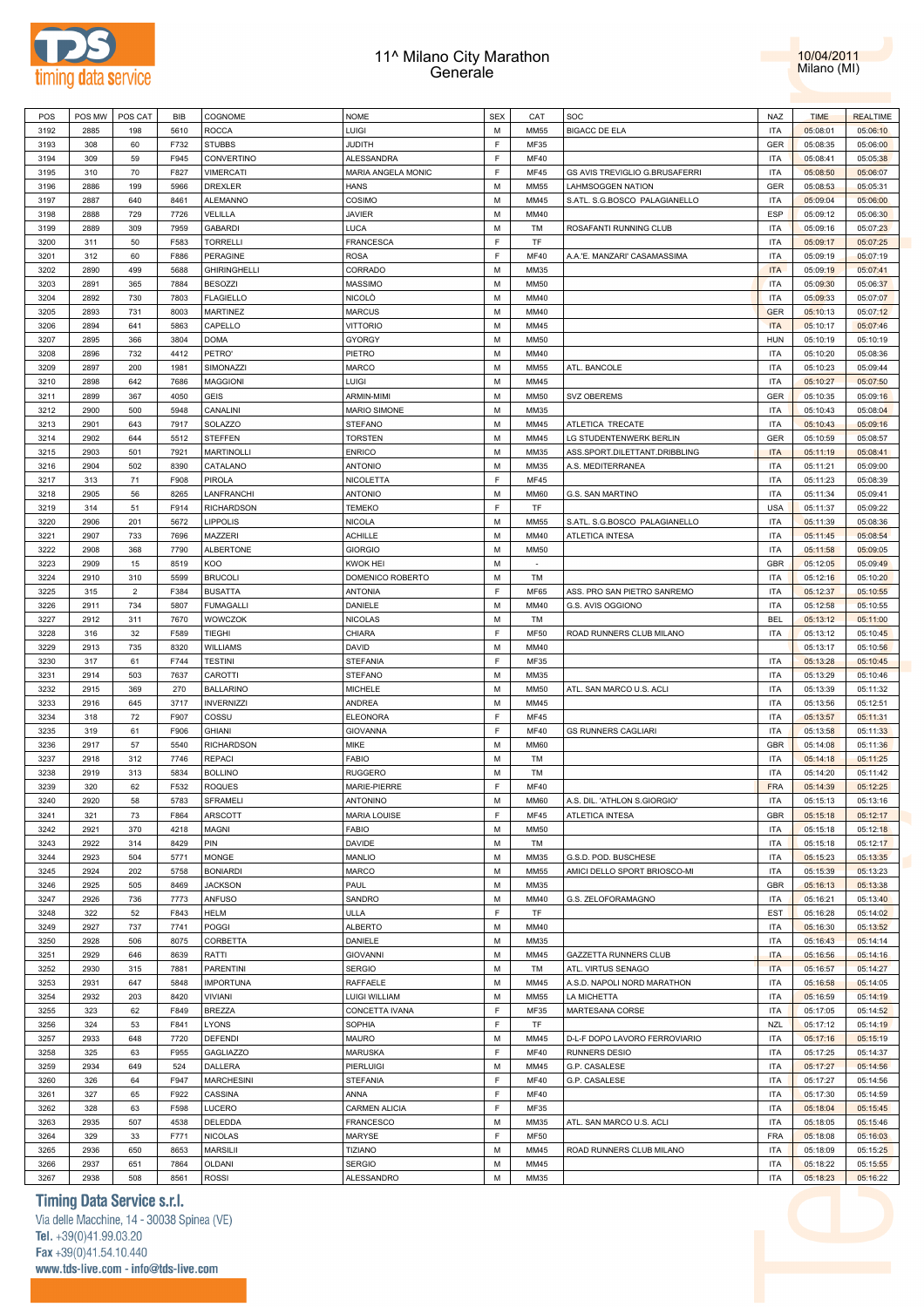



| POS          | POS MW       | POS CAT        | BIB          | COGNOME                | <b>NOME</b>                 | <b>SEX</b> | CAT          | SOC                            | NAZ                      | <b>TIME</b>          | <b>REALTIME</b>      |  |
|--------------|--------------|----------------|--------------|------------------------|-----------------------------|------------|--------------|--------------------------------|--------------------------|----------------------|----------------------|--|
|              |              |                |              |                        |                             | M          |              |                                | <b>ITA</b>               |                      |                      |  |
| 3192         | 2885         | 198            | 5610         | <b>ROCCA</b>           | LUIGI                       |            | <b>MM55</b>  | <b>BIGACC DE ELA</b>           |                          | 05:08:01             | 05:06:10             |  |
| 3193         | 308          | 60             | F732         | <b>STUBBS</b>          | <b>JUDITH</b>               | F          | MF35         |                                | GER                      | 05:08:35             | 05:06:00             |  |
| 3194         | 309          | 59             | F945         | CONVERTINO             | ALESSANDRA                  | F          | MF40         |                                | <b>ITA</b>               | 05:08:41             | 05:05:38             |  |
| 3195         |              | 70             | F827         | <b>VIMERCATI</b>       | MARIA ANGELA MONIC          | F          | <b>MF45</b>  | GS AVIS TREVIGLIO G.BRUSAFERRI | <b>ITA</b>               |                      | 05:06:07             |  |
|              | 310          |                |              |                        |                             |            |              |                                |                          | 05:08:50             |                      |  |
| 3196         | 2886         | 199            | 5966         | DREXLER                | HANS                        | M          | <b>MM55</b>  | <b>LAHMSOGGEN NATION</b>       | GER                      | 05:08:53             | 05:05:31             |  |
| 3197         | 2887         | 640            | 8461         | ALEMANNO               | COSIMO                      | М          | MM45         | S.ATL. S.G.BOSCO PALAGIANELLO  | <b>ITA</b>               | 05:09:04             | 05:06:00             |  |
| 3198         | 2888         | 729            | 7726         | VELILLA                | JAVIER                      | М          | MM40         |                                | ESP                      | 05:09:12             | 05:06:30             |  |
|              |              |                |              |                        | LUCA                        | М          |              |                                | <b>ITA</b>               |                      |                      |  |
| 3199         | 2889         | 309            | 7959         | <b>GABARDI</b>         |                             |            | TM           | ROSAFANTI RUNNING CLUB         |                          | 05:09:16             | 05:07:23             |  |
| 3200         | 311          | 50             | F583         | <b>TORRELLI</b>        | FRANCESCA                   | F          | TF           |                                | <b>ITA</b>               | 05:09:17             | 05:07:25             |  |
| 3201         | 312          | 60             | F886         | PERAGINE               | ROSA                        | F          | <b>MF40</b>  | A.A.'E. MANZARI' CASAMASSIMA   | <b>ITA</b>               | 05:09:19             | 05:07:19             |  |
| 3202         | 2890         | 499            | 5688         | <b>GHIRINGHELLI</b>    | CORRADO                     | М          | MM35         |                                | <b>ITA</b>               | 05:09:19             | 05:07:41             |  |
|              |              |                |              |                        |                             |            |              |                                |                          |                      |                      |  |
| 3203         | 2891         | 365            | 7884         | <b>BESOZZI</b>         | MASSIMO                     | М          | MM50         |                                | <b>ITA</b>               | 05:09:30             | 05:06:37             |  |
| 3204         | 2892         | 730            | 7803         | <b>FLAGIELLO</b>       | NICOLÒ                      | М          | MM40         |                                | <b>ITA</b>               | 05:09:33             | 05:07:07             |  |
| 3205         | 2893         | 731            | 8003         | <b>MARTINEZ</b>        | MARCUS                      | М          | MM40         |                                | <b>GER</b>               | 05:10:13             | 05:07:12             |  |
| 3206         | 2894         | 641            | 5863         | CAPELLO                | <b>VITTORIO</b>             | М          | MM45         |                                | <b>ITA</b>               | 05:10:17             | 05:07:46             |  |
|              |              |                |              |                        |                             |            |              |                                |                          |                      |                      |  |
| 3207         | 2895         | 366            | 3804         | <b>DOMA</b>            | GYORGY                      | М          | MM50         |                                | <b>HUN</b>               | 05:10:19             | 05:10:19             |  |
| 3208         | 2896         | 732            | 4412         | PETRO'                 | PIETRO                      | М          | MM40         |                                | <b>ITA</b>               | 05:10:20             | 05:08:36             |  |
| 3209         | 2897         | 200            | 1981         | SIMONAZZI              | MARCO                       | М          | MM55         | ATL. BANCOLE                   | <b>ITA</b>               | 05:10:23             | 05:09:44             |  |
| 3210         | 2898         | 642            | 7686         | <b>MAGGIONI</b>        | Luigi                       | М          | MM45         |                                | <b>ITA</b>               | 05:10:27             | 05:07:50             |  |
|              |              |                |              |                        |                             |            |              |                                |                          |                      |                      |  |
| 3211         | 2899         | 367            | 4050         | GEIS                   | ARMIN-MIMI                  | М          | <b>MM50</b>  | <b>SVZ OBEREMS</b>             | GER                      | 05:10:35             | 05:09:16             |  |
| 3212         | 2900         | 500            | 5948         | CANALINI               | MARIO SIMONE                | М          | MM35         |                                | <b>ITA</b>               | 05:10:43             | 05:08:04             |  |
| 3213         | 2901         | 643            | 7917         | SOLAZZO                | STEFANO                     | М          | MM45         | ATLETICA TRECATE               | <b>ITA</b>               | 05:10:43             | 05:09:16             |  |
| 3214         | 2902         | 644            | 5512         | <b>STEFFEN</b>         | TORSTEN                     | м          | MM45         | LG STUDENTENWERK BERLIN        | GER                      | 05:10:59             | 05:08:57             |  |
|              |              |                |              |                        |                             |            |              |                                |                          |                      |                      |  |
| 3215         | 2903         | 501            | 7921         | <b>MARTINOLLI</b>      | <b>ENRICO</b>               | М          | MM35         | ASS.SPORT.DILETTANT.DRIBBLING  | <b>ITA</b>               | 05:11:19             | 05:08:41             |  |
| 3216         | 2904         | 502            | 8390         | CATALANO               | <b>ANTONIO</b>              | М          | MM35         | A.S. MEDITERRANEA              | <b>ITA</b>               | 05:11:21             | 05:09:00             |  |
| 3217         | 313          | 71             | F908         | PIROLA                 | NICOLETTA                   | F          | MF45         |                                | <b>ITA</b>               | 05:11:23             | 05:08:39             |  |
| 3218         | 2905         | 56             | 8265         | LANFRANCHI             | <b>ANTONIO</b>              | М          | MM60         | G.S. SAN MARTINO               | <b>ITA</b>               | 05:11:34             | 05:09:41             |  |
|              |              |                |              |                        |                             |            |              |                                |                          |                      |                      |  |
| 3219         | 314          | 51             | F914         | <b>RICHARDSON</b>      | TEMEKO                      | F          | TF           |                                | <b>USA</b>               | 05:11:37             | 05:09:22             |  |
| 3220         | 2906         | 201            | 5672         | LIPPOLIS               | NICOLA                      | M          | <b>MM55</b>  | S.ATL. S.G.BOSCO PALAGIANELLO  | <b>ITA</b>               | 05:11:39             | 05:08:36             |  |
| 3221         | 2907         | 733            | 7696         | MAZZERI                | ACHILLE                     | М          | MM40         | <b>ATLETICA INTESA</b>         | <b>ITA</b>               | 05:11:45             | 05:08:54             |  |
|              | 2908         |                |              |                        |                             |            |              |                                | <b>ITA</b>               |                      |                      |  |
| 3222         |              | 368            | 7790         | <b>ALBERTONE</b>       | <b>GIORGIO</b>              | M          | MM50         |                                |                          | 05:11:58             | 05:09:05             |  |
| 3223         | 2909         | 15             | 8519         | KOO                    | KWOK HEI                    | М          | $\sim$       |                                | GBR                      | 05:12:05             | 05:09:49             |  |
| 3224         | 2910         | 310            | 5599         | <b>BRUCOLI</b>         | DOMENICO ROBERTO            | М          | TM           |                                | <b>ITA</b>               | 05:12:16             | 05:10:20             |  |
| 3225         | 315          | $\overline{2}$ | F384         | <b>BUSATTA</b>         | <b>ANTONIA</b>              | F          | MF65         | ASS. PRO SAN PIETRO SANREMO    | <b>ITA</b>               | 05:12:37             | 05:10:55             |  |
|              |              |                |              |                        |                             |            |              |                                |                          |                      |                      |  |
| 3226         | 2911         | 734            | 5807         | <b>FUMAGALLI</b>       | DANIELE                     | м          | MM40         | G.S. AVIS OGGIONO              | <b>ITA</b>               | 05:12:58             | 05:10:55             |  |
| 3227         | 2912         | 311            | 7670         | WOWCZOK                | NICOLAS                     | М          | TM           |                                | <b>BEL</b>               | 05:13:12             | 05:11:00             |  |
| 3228         | 316          | 32             | F589         | TIEGHI                 | CHIARA                      | F          | <b>MF50</b>  | ROAD RUNNERS CLUB MILANO       | <b>ITA</b>               | 05:13:12             | 05:10:45             |  |
| 3229         | 2913         | 735            | 8320         | <b>WILLIAMS</b>        | DAVID                       | М          | MM40         |                                |                          | 05:13:17             | 05:10:56             |  |
| 3230         | 317          | 61             | F744         | <b>TESTINI</b>         | STEFANIA                    | F          | MF35         |                                | <b>ITA</b>               | 05:13:28             | 05:10:45             |  |
|              |              |                |              |                        |                             |            |              |                                |                          |                      |                      |  |
| 3231         | 2914         | 503            | 7637         | CAROTTI                | STEFANO                     | М          | MM35         |                                | <b>ITA</b>               | 05:13:29             | 05:10:46             |  |
| 3232         | 2915         | 369            | 270          | <b>BALLARINO</b>       | MICHELE                     | м          | MM50         | ATL. SAN MARCO U.S. ACLI       | <b>ITA</b>               | 05:13:39             | 05:11:32             |  |
| 3233         | 2916         | 645            | 3717         | <b>INVERNIZZI</b>      | ANDREA                      | М          | MM45         |                                | <b>ITA</b>               | 05:13:56             | 05:12:51             |  |
|              |              | 72             |              |                        |                             | F          | <b>MF45</b>  |                                | <b>ITA</b>               |                      |                      |  |
|              |              |                | F907         | COSSU                  | <b>ELEONORA</b>             |            |              |                                |                          | 05:13:57             | 05:11:31             |  |
| 3234         | 318          |                |              |                        |                             |            |              |                                |                          |                      |                      |  |
| 3235         | 319          | 61             | F906         | <b>GHIANI</b>          | <b>GIOVANNA</b>             | F          | MF40         | <b>GS RUNNERS CAGLIARI</b>     | <b>ITA</b>               | 05:13:58             | 05:11:33             |  |
| 3236         | 2917         | 57             | 5540         | <b>RICHARDSON</b>      | MIKE                        | М          | MM60         |                                | GBR                      | 05:14:08             | 05:11:36             |  |
|              |              |                |              |                        |                             |            |              |                                |                          |                      |                      |  |
| 3237         | 2918         | 312            | 7746         | <b>REPACI</b>          | FABIO                       | М          | TM           |                                | <b>ITA</b>               | 05:14:18             | 05:11:25             |  |
| 3238         | 2919         | 313            | 5834         | <b>BOLLINO</b>         | <b>RUGGERO</b>              | М          | TM           |                                | ITA                      | 05:14:20             | 05:11:42             |  |
| 3239         | 320          | 62             | F532         | <b>ROQUES</b>          | MARIE-PIERRE                | F          | MF40         |                                | <b>FRA</b>               | 05:14:39             | 05:12:25             |  |
| 3240         | 2920         | 58             | 5783         | SFRAMELI               | ANTONINO                    | М          | <b>MM60</b>  | A.S. DIL. 'ATHLON S.GIORGIO'   | <b>ITA</b>               | 05:15:13             | 05:13:16             |  |
|              |              |                |              |                        |                             | F          |              |                                |                          |                      |                      |  |
| 3241         | 321          | 73             | F864         | ARSCOTT                | <b>MARIA LOUISE</b>         |            | MF45         | ATLETICA INTESA                | GBR                      | 05:15:18             | 05:12:17             |  |
| 3242         | 2921         | 370            | 4218         | MAGNI                  | FABIO                       | М          | MM50         |                                | <b>ITA</b>               | 05:15:18             | 05:12:18             |  |
| 3243         | 2922         | 314            | 8429         | PIN                    | DAVIDE                      | M          | TM           |                                | <b>ITA</b>               | 05:15:18             | 05:12:17             |  |
| 3244         | 2923         | 504            | 5771         | <b>MONGE</b>           | <b>MANLIO</b>               | М          | MM35         | G.S.D. POD. BUSCHESE           | <b>ITA</b>               | 05:15:23             | 05:13:35             |  |
| 3245         | 2924         | 202            | 5758         | <b>BONIARDI</b>        | MARCO                       | М          | MM55         | AMICI DELLO SPORT BRIOSCO-MI   | <b>ITA</b>               | 05:15:39             | 05:13:23             |  |
|              |              |                |              |                        |                             |            |              |                                |                          |                      |                      |  |
| 3246         | 2925         | 505            | 8469         | <b>JACKSON</b>         | PAUL                        | M          | MM35         |                                | GBR                      | 05:16:13             | 05:13:38             |  |
| 3247         | 2926         | 736            | 7773         | <b>ANFUSO</b>          | SANDRO                      | М          | MM40         | G.S. ZELOFORAMAGNO             | <b>ITA</b>               | 05:16:21             | 05:13:40             |  |
| 3248         | 322          | 52             | F843         | <b>HELM</b>            | ULLA                        | F          | TF           |                                | EST                      | 05:16:28             | 05:14:02             |  |
| 3249         | 2927         | 737            | 7741         | <b>POGGI</b>           | <b>ALBERTO</b>              | M          | MM40         |                                | <b>ITA</b>               | 05:16:30             | 05:13:52             |  |
|              |              |                |              |                        |                             |            |              |                                |                          |                      |                      |  |
| 3250         | 2928         | 506            | 8075         | CORBETTA               | DANIELE                     | М          | MM35         |                                | <b>ITA</b>               | 05:16:43             | 05:14:14             |  |
| 3251         | 2929         | 646            | 8639         | RATTI                  | <b>GIOVANNI</b>             | М          | MM45         | <b>GAZZETTA RUNNERS CLUB</b>   | <b>ITA</b>               | 05:16:56             | 05:14:16             |  |
| 3252         | 2930         | 315            | 7881         | <b>PARENTINI</b>       | <b>SERGIO</b>               | M          | TM           | ATL. VIRTUS SENAGO             | <b>ITA</b>               | 05:16:57             | 05:14:27             |  |
| 3253         | 2931         | 647            | 5848         | <b>IMPORTUNA</b>       | RAFFAELE                    | М          | MM45         | A.S.D. NAPOLI NORD MARATHON    | <b>ITA</b>               | 05:16:58             | 05:14:05             |  |
|              |              |                |              |                        |                             |            |              |                                |                          |                      |                      |  |
| 3254         | 2932         | 203            | 8420         | <b>VIVIANI</b>         | LUIGI WILLIAM               | М          | MM55         | LA MICHETTA                    | <b>ITA</b>               | 05:16:59             | 05:14:19             |  |
| 3255         | 323          | 62             | F849         | <b>BREZZA</b>          | CONCETTA IVANA              | F          | MF35         | MARTESANA CORSE                | <b>ITA</b>               | 05:17:05             | 05:14:52             |  |
| 3256         | 324          | 53             | F841         | LYONS                  | SOPHIA                      | F          | TF           |                                | <b>NZL</b>               | 05:17:12             | 05:14:19             |  |
| 3257         | 2933         | 648            | 7720         | <b>DEFENDI</b>         | MAURO                       | М          | MM45         | D-L-F DOPO LAVORO FERROVIARIO  | <b>ITA</b>               | 05:17:16             | 05:15:19             |  |
|              |              |                |              |                        |                             |            |              |                                |                          |                      |                      |  |
| 3258         | 325          | 63             | F955         | <b>GAGLIAZZO</b>       | MARUSKA                     | F          | <b>MF40</b>  | RUNNERS DESIO                  | <b>ITA</b>               | 05:17:25             | 05:14:37             |  |
| 3259         | 2934         | 649            | 524          | DALLERA                | PIERLUIGI                   | М          | MM45         | G.P. CASALESE                  | <b>ITA</b>               | 05:17:27             | 05:14:56             |  |
| 3260         | 326          | 64             | F947         | <b>MARCHESINI</b>      | STEFANIA                    | F          | <b>MF40</b>  | G.P. CASALESE                  | <b>ITA</b>               | 05:17:27             | 05:14:56             |  |
| 3261         | 327          | 65             | F922         | CASSINA                | ANNA                        | F          | MF40         |                                | <b>ITA</b>               | 05:17:30             | 05:14:59             |  |
|              |              |                |              |                        |                             |            |              |                                |                          |                      |                      |  |
| 3262         | 328          | 63             | F598         | LUCERO                 | CARMEN ALICIA               | F          | MF35         |                                | <b>ITA</b>               | 05:18:04             | 05:15:45             |  |
| 3263         | 2935         | 507            | 4538         | DELEDDA                | FRANCESCO                   | М          | MM35         | ATL. SAN MARCO U.S. ACLI       | <b>ITA</b>               | 05:18:05             | 05:15:46             |  |
| 3264         | 329          | 33             | F771         | <b>NICOLAS</b>         | MARYSE                      | F          | <b>MF50</b>  |                                | <b>FRA</b>               | 05:18:08             | 05:16:03             |  |
| 3265         | 2936         | 650            | 8653         | <b>MARSILII</b>        | TIZIANO                     | M          | MM45         | ROAD RUNNERS CLUB MILANO       | <b>ITA</b>               | 05:18:09             | 05:15:25             |  |
|              |              |                |              |                        |                             |            |              |                                |                          |                      |                      |  |
| 3266<br>3267 | 2937<br>2938 | 651<br>508     | 7864<br>8561 | OLDANI<br><b>ROSSI</b> | <b>SERGIO</b><br>ALESSANDRO | М<br>М     | MM45<br>MM35 |                                | <b>ITA</b><br><b>ITA</b> | 05:18:22<br>05:18:23 | 05:15:55<br>05:16:22 |  |

### **Timing Data Service s.r.l.**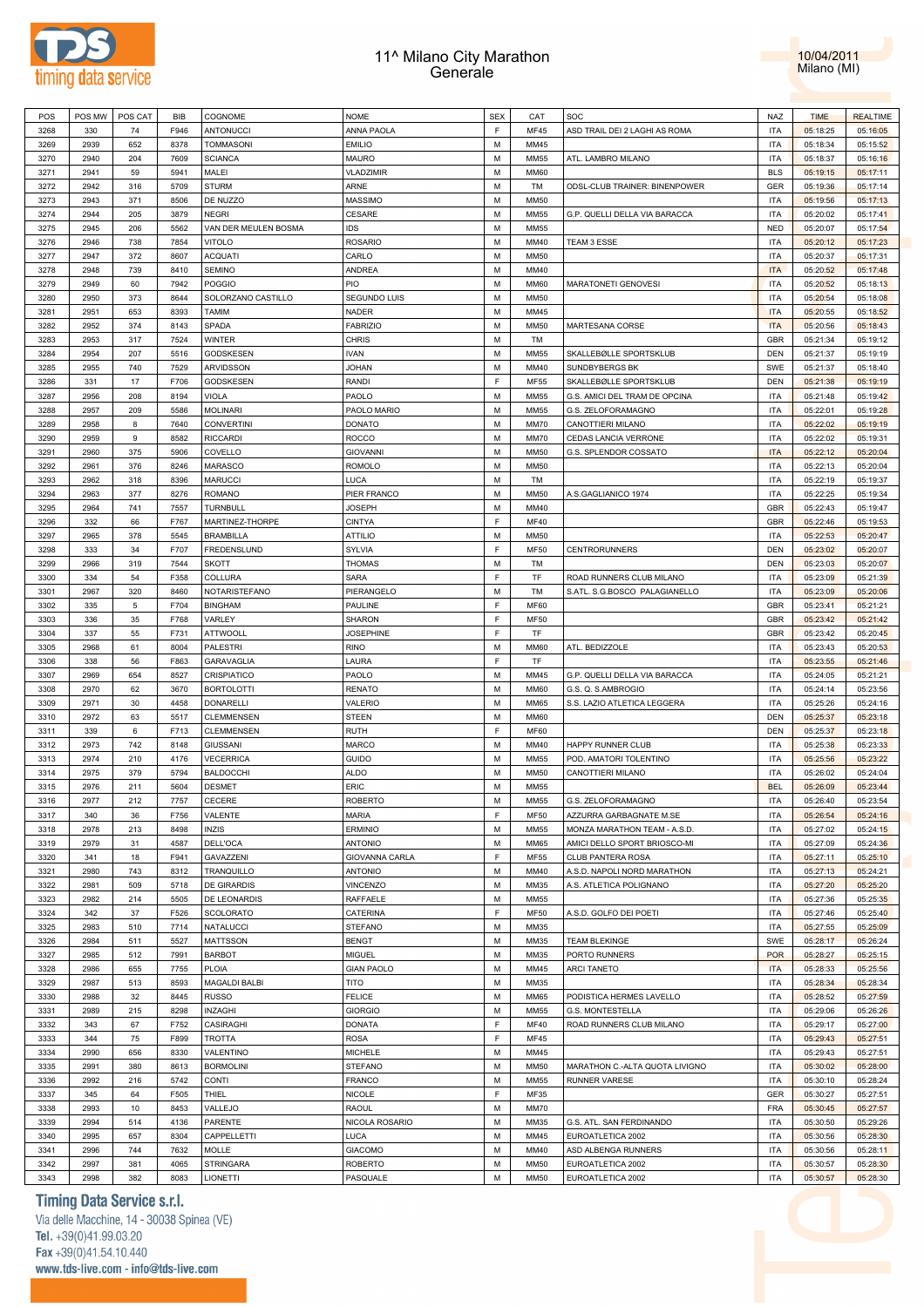



| POS  | POS MW | POS CAT     | <b>BIB</b> | COGNOME              | <b>NOME</b>       | <b>SEX</b>  | CAT         | SOC                              | NAZ        | <b>TIME</b> | <b>REALTIME</b> |
|------|--------|-------------|------------|----------------------|-------------------|-------------|-------------|----------------------------------|------------|-------------|-----------------|
| 3268 | 330    | 74          | F946       | ANTONUCCI            | ANNA PAOLA        | F           | <b>MF45</b> | ASD TRAIL DEI 2 LAGHI AS ROMA    | <b>ITA</b> | 05:18:25    | 05:16:05        |
| 3269 | 2939   | 652         | 8378       | <b>TOMMASONI</b>     | <b>EMILIO</b>     | M           | MM45        |                                  | <b>ITA</b> | 05:18:34    | 05:15:52        |
| 3270 | 2940   | 204         | 7609       | <b>SCIANCA</b>       | MAURO             | M           | <b>MM55</b> | ATL. LAMBRO MILANO               | <b>ITA</b> | 05:18:37    | 05:16:16        |
| 3271 | 2941   | 59          | 5941       | MALEI                | VLADZIMIR         | M           | <b>MM60</b> |                                  | <b>BLS</b> | 05:19:15    | 05:17:11        |
|      |        |             |            |                      |                   |             |             |                                  |            |             |                 |
| 3272 | 2942   | 316         | 5709       | <b>STURM</b>         | ARNE              | M           | TM          | ODSL-CLUB TRAINER: BINENPOWER    | GER        | 05:19:36    | 05:17:14        |
| 3273 | 2943   | 371         | 8506       | DE NUZZO             | <b>MASSIMO</b>    | M           | <b>MM50</b> |                                  | <b>ITA</b> | 05:19:56    | 05:17:13        |
| 3274 | 2944   | 205         | 3879       | <b>NEGRI</b>         | CESARE            | M           | <b>MM55</b> | G.P. QUELLI DELLA VIA BARACCA    | <b>ITA</b> | 05:20:02    | 05:17:41        |
| 3275 | 2945   | 206         | 5562       | VAN DER MEULEN BOSMA | IDS               | M           | <b>MM55</b> |                                  | <b>NED</b> | 05:20:07    | 05:17:54        |
| 3276 | 2946   | 738         | 7854       | <b>VITOLO</b>        | <b>ROSARIO</b>    | M           | MM40        | TEAM 3 ESSE                      | <b>ITA</b> | 05:20:12    | 05:17:23        |
| 3277 | 2947   | 372         | 8607       | <b>ACQUATI</b>       | CARLO             | M           | <b>MM50</b> |                                  | <b>ITA</b> | 05:20:37    | 05:17:31        |
| 3278 | 2948   | 739         | 8410       | <b>SEMINO</b>        | ANDREA            | M           | MM40        |                                  | <b>ITA</b> | 05:20:52    | 05:17:48        |
| 3279 | 2949   | 60          | 7942       | <b>POGGIO</b>        | PIO               | M           | <b>MM60</b> | MARATONETI GENOVESI              | <b>ITA</b> | 05:20:52    | 05:18:13        |
| 3280 | 2950   | 373         | 8644       | SOLORZANO CASTILLO   | SEGUNDO LUIS      | M           | <b>MM50</b> |                                  | <b>ITA</b> | 05:20:54    | 05:18:08        |
|      |        |             |            |                      |                   |             |             |                                  |            |             |                 |
| 3281 | 2951   | 653         | 8393       | <b>TAMIM</b>         | NADER             | M           | MM45        |                                  | <b>ITA</b> | 05:20:55    | 05:18:52        |
| 3282 | 2952   | 374         | 8143       | SPADA                | <b>FABRIZIO</b>   | M           | <b>MM50</b> | MARTESANA CORSE                  | <b>ITA</b> | 05:20:56    | 05:18:43        |
| 3283 | 2953   | 317         | 7524       | <b>WINTER</b>        | <b>CHRIS</b>      | M           | TM          |                                  | GBR        | 05:21:34    | 05:19:12        |
| 3284 | 2954   | 207         | 5516       | <b>GODSKESEN</b>     | <b>IVAN</b>       | M           | <b>MM55</b> | SKALLEBØLLE SPORTSKLUB           | DEN        | 05:21:37    | 05:19:19        |
| 3285 | 2955   | 740         | 7529       | <b>ARVIDSSON</b>     | <b>JOHAN</b>      | M           | MM40        | SUNDBYBERGS BK                   | SWE        | 05:21:37    | 05:18:40        |
| 3286 | 331    | 17          | F706       | <b>GODSKESEN</b>     | <b>RANDI</b>      | F           | <b>MF55</b> | SKALLEBØLLE SPORTSKLUB           | <b>DEN</b> | 05:21:38    | 05:19:19        |
| 3287 | 2956   | 208         | 8194       | <b>VIOLA</b>         | PAOLO             | M           | <b>MM55</b> | G.S. AMICI DEL TRAM DE OPCINA    | <b>ITA</b> | 05:21:48    | 05:19:42        |
| 3288 | 2957   | 209         | 5586       | <b>MOLINARI</b>      | PAOLO MARIO       | M           | <b>MM55</b> | G.S. ZELOFORAMAGNO               | <b>ITA</b> | 05:22:01    | 05:19:28        |
| 3289 | 2958   | 8           | 7640       | <b>CONVERTINI</b>    | <b>DONATO</b>     | M           | <b>MM70</b> | CANOTTIERI MILANO                | <b>ITA</b> | 05:22:02    | 05:19:19        |
|      |        | $\mathsf g$ | 8582       |                      |                   | M           |             |                                  |            |             |                 |
| 3290 | 2959   |             |            | <b>RICCARDI</b>      | <b>ROCCO</b>      |             | <b>MM70</b> | CEDAS LANCIA VERRONE             | <b>ITA</b> | 05:22:02    | 05:19:31        |
| 3291 | 2960   | 375         | 5906       | COVELLO              | <b>GIOVANNI</b>   | M           | <b>MM50</b> | G.S. SPLENDOR COSSATO            | <b>ITA</b> | 05:22:12    | 05:20:04        |
| 3292 | 2961   | 376         | 8246       | MARASCO              | <b>ROMOLO</b>     | M           | <b>MM50</b> |                                  | <b>ITA</b> | 05:22:13    | 05:20:04        |
| 3293 | 2962   | 318         | 8396       | <b>MARUCCI</b>       | LUCA              | M           | TM          |                                  | <b>ITA</b> | 05:22:19    | 05:19:37        |
| 3294 | 2963   | 377         | 8276       | <b>ROMANO</b>        | PIER FRANCO       | M           | <b>MM50</b> | A.S.GAGLIANICO 1974              | <b>ITA</b> | 05:22:25    | 05:19:34        |
| 3295 | 2964   | 741         | 7557       | TURNBULL             | <b>JOSEPH</b>     | M           | MM40        |                                  | GBR        | 05:22:43    | 05:19:47        |
| 3296 | 332    | 66          | F767       | MARTINEZ-THORPE      | <b>CINTYA</b>     | $\mathsf F$ | <b>MF40</b> |                                  | GBR        | 05:22:46    | 05:19:53        |
| 3297 | 2965   | 378         | 5545       | <b>BRAMBILLA</b>     | <b>ATTILIO</b>    | M           | <b>MM50</b> |                                  | <b>ITA</b> | 05:22:53    | 05:20:47        |
| 3298 | 333    | 34          | F707       | FREDENSLUND          | <b>SYLVIA</b>     | F           | <b>MF50</b> | <b>CENTRORUNNERS</b>             | DEN        | 05:23:02    | 05:20:07        |
| 3299 | 2966   | 319         | 7544       | <b>SKOTT</b>         | <b>THOMAS</b>     | M           | TM          |                                  | DEN        | 05:23:03    | 05:20:07        |
|      |        |             |            |                      |                   |             |             |                                  |            |             |                 |
| 3300 | 334    | 54          | F358       | COLLURA              | <b>SARA</b>       | F           | TF          | ROAD RUNNERS CLUB MILANO         | <b>ITA</b> | 05:23:09    | 05:21:39        |
| 3301 | 2967   | 320         | 8460       | NOTARISTEFANO        | PIERANGELO        | M           | TM          | S.ATL. S.G.BOSCO PALAGIANELLO    | <b>ITA</b> | 05:23:09    | 05:20:06        |
| 3302 | 335    | 5           | F704       | <b>BINGHAM</b>       | PAULINE           | F           | <b>MF60</b> |                                  | <b>GBR</b> | 05:23:41    | 05:21:21        |
| 3303 | 336    | 35          | F768       | VARLEY               | SHARON            | F           | <b>MF50</b> |                                  | GBR        | 05:23:42    | 05:21:42        |
| 3304 | 337    | 55          | F731       | <b>ATTWOOLL</b>      | <b>JOSEPHINE</b>  | F           | TF          |                                  | GBR        | 05:23:42    | 05:20:45        |
| 3305 | 2968   | 61          | 8004       | PALESTRI             | <b>RINO</b>       | M           | <b>MM60</b> | ATL. BEDIZZOLE                   | <b>ITA</b> | 05:23:43    | 05:20:53        |
| 3306 | 338    | 56          | F863       | GARAVAGLIA           | LAURA             | $\mathsf F$ | TF          |                                  | <b>ITA</b> | 05:23:55    | 05:21:46        |
| 3307 | 2969   | 654         | 8527       | CRISPIATICO          | PAOLO             | M           | MM45        | G.P. QUELLI DELLA VIA BARACCA    | <b>ITA</b> | 05:24:05    | 05:21:21        |
| 3308 | 2970   | 62          | 3670       | <b>BORTOLOTTI</b>    | <b>RENATO</b>     | M           | <b>MM60</b> | G.S. Q. S.AMBROGIO               | <b>ITA</b> | 05:24:14    | 05:23:56        |
|      |        |             |            |                      |                   | M           |             |                                  | <b>ITA</b> |             |                 |
| 3309 | 2971   | 30          | 4458       | <b>DONARELLI</b>     | VALERIO           |             | <b>MM65</b> | S.S. LAZIO ATLETICA LEGGERA      |            | 05:25:26    | 05:24:16        |
| 3310 | 2972   | 63          | 5517       | <b>CLEMMENSEN</b>    | <b>STEEN</b>      | M           | <b>MM60</b> |                                  | DEN        | 05:25:37    | 05:23:18        |
| 3311 | 339    | 6           | F713       | CLEMMENSEN           | <b>RUTH</b>       | $\mathsf F$ | <b>MF60</b> |                                  | DEN        | 05:25:37    | 05:23:18        |
| 3312 | 2973   | 742         | 8148       | <b>GIUSSANI</b>      | MARCO             | M           | MM40        | HAPPY RUNNER CLUB                | <b>ITA</b> | 05:25:38    | 05:23:33        |
| 3313 | 2974   | 210         | 4176       | <b>VECERRICA</b>     | GUIDO             | M           | <b>MM55</b> | POD. AMATORI TOLENTINO           | <b>ITA</b> | 05:25:56    | 05:23:22        |
| 3314 | 2975   | 379         | 5794       | <b>BALDOCCHI</b>     | <b>ALDO</b>       | M           | <b>MM50</b> | CANOTTIERI MILANO                | <b>ITA</b> | 05:26:02    | 05:24:04        |
| 3315 | 2976   | 211         | 5604       | <b>DESMET</b>        | ERIC              | M           | <b>MM55</b> |                                  | <b>BEL</b> | 05:26:09    | 05:23:44        |
| 3316 | 2977   | 212         | 7757       | CECERE               | <b>ROBERTO</b>    | M           | <b>MM55</b> | G.S. ZELOFORAMAGNO               | <b>ITA</b> | 05:26:40    | 05:23:54        |
| 3317 | 340    | 36          | F756       | VALENTE              | <b>MARIA</b>      | F           | <b>MF50</b> | AZZURRA GARBAGNATE M.SE          | <b>ITA</b> | 05:26:54    | 05:24:16        |
| 3318 | 2978   |             |            |                      | <b>ERMINIO</b>    | M           | <b>MM55</b> | MONZA MARATHON TEAM - A.S.D.     |            |             |                 |
|      |        | 213         | 8498       | <b>INZIS</b>         |                   |             |             |                                  | <b>ITA</b> | 05:27:02    | 05:24:15        |
| 3319 | 2979   | 31          | 4587       | DELL'OCA             | <b>ANTONIO</b>    | M           | <b>MM65</b> | AMICI DELLO SPORT BRIOSCO-MI     | <b>ITA</b> | 05:27:09    | 05:24:36        |
| 3320 | 341    | 18          | F941       | GAVAZZENI            | GIOVANNA CARLA    | F           | <b>MF55</b> | CLUB PANTERA ROSA                | <b>ITA</b> | 05:27:11    | 05:25:10        |
| 3321 | 2980   | 743         | 8312       | TRANQUILLO           | <b>ANTONIO</b>    | M           | MM40        | A.S.D. NAPOLI NORD MARATHON      | <b>ITA</b> | 05:27:13    | 05:24:21        |
| 3322 | 2981   | 509         | 5718       | <b>DE GIRARDIS</b>   | VINCENZO          | M           | MM35        | A.S. ATLETICA POLIGNANO          | <b>ITA</b> | 05:27:20    | 05:25:20        |
| 3323 | 2982   | 214         | 5505       | DE LEONARDIS         | RAFFAELE          | M           | <b>MM55</b> |                                  | <b>ITA</b> | 05:27:36    | 05:25:35        |
| 3324 | 342    | 37          | F526       | SCOLORATO            | CATERINA          | F           | <b>MF50</b> | A.S.D. GOLFO DEI POETI           | <b>ITA</b> | 05:27:46    | 05:25:40        |
| 3325 | 2983   | 510         | 7714       | NATALUCCI            | STEFANO           | M           | MM35        |                                  | <b>ITA</b> | 05:27:55    | 05:25:09        |
| 3326 | 2984   | 511         | 5527       | <b>MATTSSON</b>      | <b>BENGT</b>      | M           | MM35        | <b>TEAM BLEKINGE</b>             | SWE        | 05:28:17    | 05:26:24        |
| 3327 | 2985   | 512         | 7991       | <b>BARBOT</b>        | MIGUEL            | M           | MM35        | PORTO RUNNERS                    | POR        | 05:28:27    | 05:25:15        |
| 3328 | 2986   | 655         | 7755       | PLOIA                | <b>GIAN PAOLO</b> | M           | MM45        | <b>ARCI TANETO</b>               | <b>ITA</b> | 05:28:33    | 05:25:56        |
|      |        |             |            |                      |                   |             |             |                                  |            |             |                 |
| 3329 | 2987   | 513         | 8593       | MAGALDI BALBI        | TITO              | M           | MM35        |                                  | <b>ITA</b> | 05:28:34    | 05:28:34        |
| 3330 | 2988   | 32          | 8445       | <b>RUSSO</b>         | <b>FELICE</b>     | M           | <b>MM65</b> | PODISTICA HERMES LAVELLO         | <b>ITA</b> | 05:28:52    | 05:27:59        |
| 3331 | 2989   | 215         | 8298       | INZAGHI              | <b>GIORGIO</b>    | M           | <b>MM55</b> | <b>G.S. MONTESTELLA</b>          | <b>ITA</b> | 05:29:06    | 05:26:26        |
| 3332 | 343    | 67          | F752       | CASIRAGHI            | <b>DONATA</b>     | F           | <b>MF40</b> | ROAD RUNNERS CLUB MILANO         | <b>ITA</b> | 05:29:17    | 05:27:00        |
| 3333 | 344    | 75          | F899       | <b>TROTTA</b>        | ROSA              | F           | <b>MF45</b> |                                  | <b>ITA</b> | 05:29:43    | 05:27:51        |
| 3334 | 2990   | 656         | 8330       | VALENTINO            | <b>MICHELE</b>    | M           | MM45        |                                  | <b>ITA</b> | 05:29:43    | 05:27:51        |
| 3335 | 2991   | 380         | 8613       | <b>BORMOLINI</b>     | STEFANO           | M           | <b>MM50</b> | MARATHON C .- ALTA QUOTA LIVIGNO | <b>ITA</b> | 05:30:02    | 05:28:00        |
| 3336 | 2992   | 216         | 5742       | <b>CONTI</b>         | FRANCO            | M           | <b>MM55</b> | RUNNER VARESE                    | <b>ITA</b> | 05:30:10    | 05:28:24        |
|      |        |             |            | THIEL                |                   | $\mathsf F$ | MF35        |                                  |            |             |                 |
| 3337 | 345    | 64          | F505       |                      | NICOLE            |             |             |                                  | GER        | 05:30:27    | 05:27:51        |
| 3338 | 2993   | 10          | 8453       | VALLEJO              | RAOUL             | M           | MM70        |                                  | <b>FRA</b> | 05:30:45    | 05:27:57        |
| 3339 | 2994   | 514         | 4136       | PARENTE              | NICOLA ROSARIO    | M           | MM35        | G.S. ATL. SAN FERDINANDO         | <b>ITA</b> | 05:30:50    | 05:29:26        |
| 3340 | 2995   | 657         | 8304       | CAPPELLETTI          | <b>LUCA</b>       | M           | MM45        | EUROATLETICA 2002                | <b>ITA</b> | 05:30:56    | 05:28:30        |
| 3341 | 2996   | 744         | 7632       | <b>MOLLE</b>         | <b>GIACOMO</b>    | M           | MM40        | ASD ALBENGA RUNNERS              | <b>ITA</b> | 05:30:56    | 05:28:11        |
| 3342 | 2997   | 381         | 4065       | <b>STRINGARA</b>     | <b>ROBERTO</b>    | M           | <b>MM50</b> | EUROATLETICA 2002                | <b>ITA</b> | 05:30:57    | 05:28:30        |
| 3343 | 2998   | 382         | 8083       | LIONETTI             | PASQUALE          | М           | <b>MM50</b> | EUROATLETICA 2002                | <b>ITA</b> | 05:30:57    | 05:28:30        |

# **Timing Data Service s.r.l.**